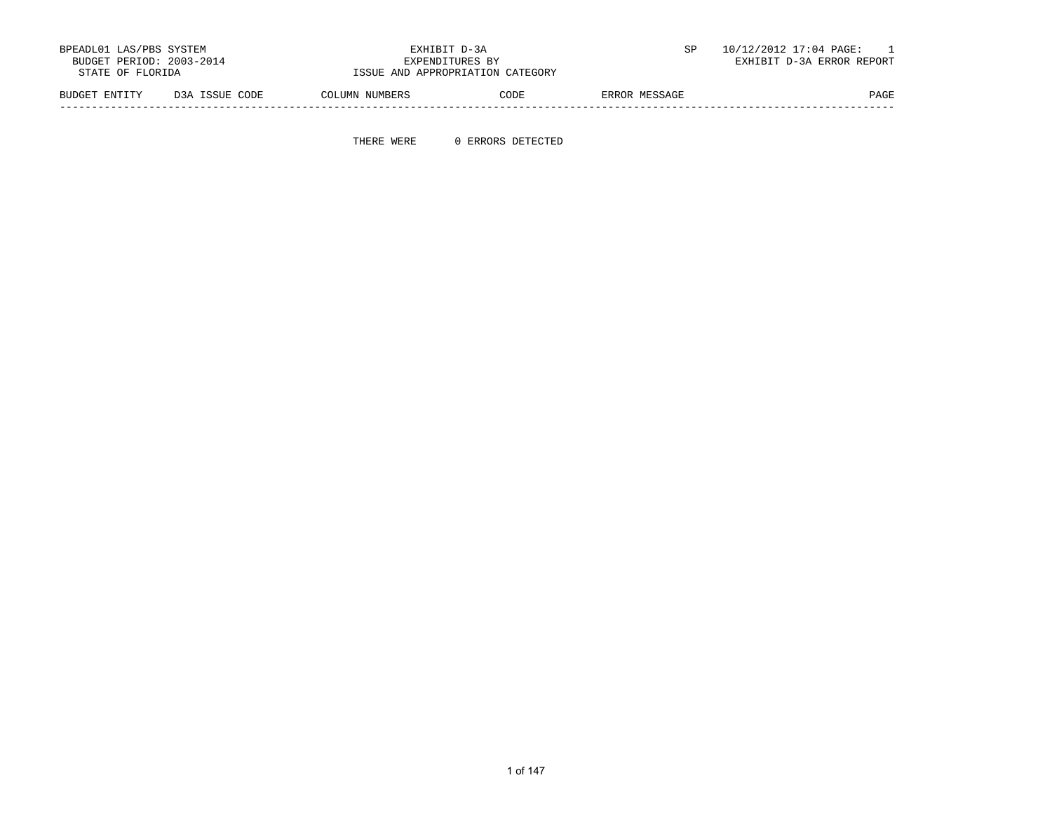|               | BPEADL01 LAS/PBS SYSTEM<br>BUDGET PERIOD: 2003-2014<br>STATE OF FLORIDA |                | EXHIBIT D-3A<br>EXPENDITURES BY<br>ISSUE AND APPROPRIATION CATEGORY |               | 10/12/2012 17:04 PAGE:<br>EXHIBIT D-3A ERROR REPORT |
|---------------|-------------------------------------------------------------------------|----------------|---------------------------------------------------------------------|---------------|-----------------------------------------------------|
| BUDGET ENTITY | D3A ISSUE CODE                                                          | COLUMN NUMBERS | CODE                                                                | ERROR MESSAGE | PAGE                                                |

-----------------------------------------------------------------------------------------------------------------------------------

THERE WERE 0 ERRORS DETECTED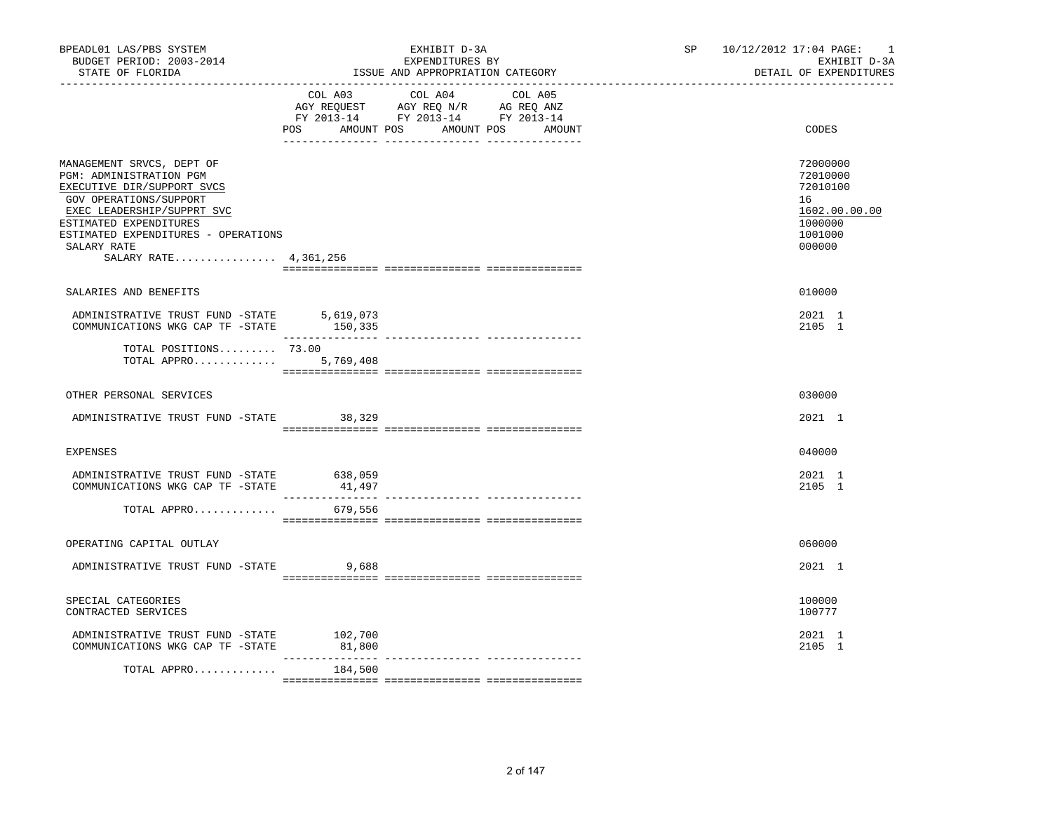| BPEADL01 LAS/PBS SYSTEM<br>BUDGET PERIOD: 2003-2014<br>STATE OF FLORIDA                                                                                                                                                                             |                        | EXHIBIT D-3A<br>EXPENDITURES BY<br>ISSUE AND APPROPRIATION CATEGORY                                                                                                                            | SP 10/12/2012 17:04 PAGE:<br>$\overline{\phantom{0}}$<br>EXHIBIT D-3A<br>DETAIL OF EXPENDITURES |
|-----------------------------------------------------------------------------------------------------------------------------------------------------------------------------------------------------------------------------------------------------|------------------------|------------------------------------------------------------------------------------------------------------------------------------------------------------------------------------------------|-------------------------------------------------------------------------------------------------|
|                                                                                                                                                                                                                                                     |                        | $\begin{tabular}{lcccc} COL A03 & COL A04 & COL A05 \\ AGY REQUEST & AGY REQ N/R & AG REQ ANZ \\ FY & 2013-14 & FY & 2013-14 & FY & 2013-14 \end{tabular}$<br>POS AMOUNT POS AMOUNT POS AMOUNT | CODES                                                                                           |
| MANAGEMENT SRVCS, DEPT OF<br>PGM: ADMINISTRATION PGM<br>EXECUTIVE DIR/SUPPORT SVCS<br>GOV OPERATIONS/SUPPORT<br>EXEC LEADERSHIP/SUPPRT SVC<br>ESTIMATED EXPENDITURES<br>ESTIMATED EXPENDITURES - OPERATIONS<br>SALARY RATE<br>SALARY RATE 4,361,256 |                        |                                                                                                                                                                                                | 72000000<br>72010000<br>72010100<br>16<br>1602.00.00.00<br>1000000<br>1001000<br>000000         |
| SALARIES AND BENEFITS                                                                                                                                                                                                                               |                        |                                                                                                                                                                                                | 010000                                                                                          |
| ADMINISTRATIVE TRUST FUND -STATE 5,619,073<br>COMMUNICATIONS WKG CAP TF -STATE 150,335                                                                                                                                                              |                        |                                                                                                                                                                                                | 2021 1<br>2105 1                                                                                |
| TOTAL POSITIONS 73.00<br>TOTAL APPRO                                                                                                                                                                                                                | 5,769,408              |                                                                                                                                                                                                |                                                                                                 |
| OTHER PERSONAL SERVICES                                                                                                                                                                                                                             |                        |                                                                                                                                                                                                | 030000                                                                                          |
| ADMINISTRATIVE TRUST FUND -STATE 38,329                                                                                                                                                                                                             |                        |                                                                                                                                                                                                | 2021 1                                                                                          |
| EXPENSES                                                                                                                                                                                                                                            |                        |                                                                                                                                                                                                | 040000                                                                                          |
| ADMINISTRATIVE TRUST FUND -STATE 638,059<br>COMMUNICATIONS WKG CAP TF -STATE                                                                                                                                                                        | 41,497                 |                                                                                                                                                                                                | 2021 1<br>2105 1                                                                                |
| TOTAL APPRO                                                                                                                                                                                                                                         | 679,556                |                                                                                                                                                                                                |                                                                                                 |
| OPERATING CAPITAL OUTLAY                                                                                                                                                                                                                            |                        |                                                                                                                                                                                                | 060000                                                                                          |
| ADMINISTRATIVE TRUST FUND -STATE                                                                                                                                                                                                                    | 9,688                  |                                                                                                                                                                                                | 2021 1                                                                                          |
| SPECIAL CATEGORIES<br>CONTRACTED SERVICES                                                                                                                                                                                                           |                        |                                                                                                                                                                                                | 100000<br>100777                                                                                |
| ADMINISTRATIVE TRUST FUND -STATE 102,700<br>COMMUNICATIONS WKG CAP TF -STATE                                                                                                                                                                        | 81,800<br>____________ |                                                                                                                                                                                                | 2021 1<br>2105 1                                                                                |
| TOTAL APPRO                                                                                                                                                                                                                                         | 184,500                |                                                                                                                                                                                                |                                                                                                 |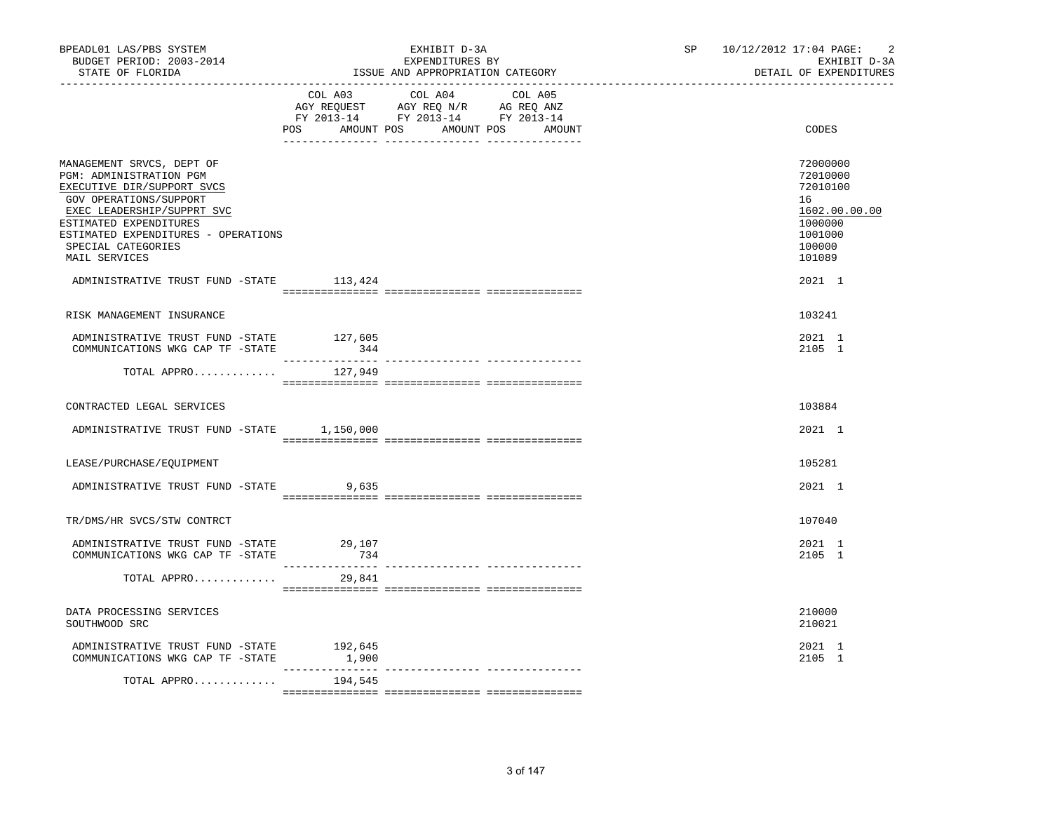| BPEADL01 LAS/PBS SYSTEM<br>BUDGET PERIOD: 2003-2014<br>STATE OF FLORIDA                                                                                                                                                                            |                  | EXHIBIT D-3A<br>EXPENDITURES BY<br>ISSUE AND APPROPRIATION CATEGORY                                                                      | $\overline{2}$<br>SP 10/12/2012 17:04 PAGE:<br>EXHIBIT D-3A<br>DETAIL OF EXPENDITURES             |
|----------------------------------------------------------------------------------------------------------------------------------------------------------------------------------------------------------------------------------------------------|------------------|------------------------------------------------------------------------------------------------------------------------------------------|---------------------------------------------------------------------------------------------------|
|                                                                                                                                                                                                                                                    |                  | COL A03 COL A04 COL A05<br>CO AGY REQUEST AGY REQ N/R AG REQ ANZ<br>FY 2013-14 FY 2013-14 FY 2013-14<br>POS AMOUNT POS AMOUNT POS AMOUNT | CODES                                                                                             |
| MANAGEMENT SRVCS, DEPT OF<br>PGM: ADMINISTRATION PGM<br>EXECUTIVE DIR/SUPPORT SVCS<br>GOV OPERATIONS/SUPPORT<br>EXEC LEADERSHIP/SUPPRT SVC<br>ESTIMATED EXPENDITURES<br>ESTIMATED EXPENDITURES - OPERATIONS<br>SPECIAL CATEGORIES<br>MAIL SERVICES |                  |                                                                                                                                          | 72000000<br>72010000<br>72010100<br>16<br>1602.00.00.00<br>1000000<br>1001000<br>100000<br>101089 |
| ADMINISTRATIVE TRUST FUND -STATE 113,424                                                                                                                                                                                                           |                  |                                                                                                                                          | 2021 1                                                                                            |
|                                                                                                                                                                                                                                                    |                  |                                                                                                                                          | 103241                                                                                            |
| RISK MANAGEMENT INSURANCE                                                                                                                                                                                                                          |                  |                                                                                                                                          |                                                                                                   |
| ADMINISTRATIVE TRUST FUND -STATE 127,605<br>COMMUNICATIONS WKG CAP TF -STATE                                                                                                                                                                       | 344              |                                                                                                                                          | 2021 1<br>2105 1                                                                                  |
| TOTAL APPRO                                                                                                                                                                                                                                        | 127,949          |                                                                                                                                          |                                                                                                   |
|                                                                                                                                                                                                                                                    |                  |                                                                                                                                          |                                                                                                   |
| CONTRACTED LEGAL SERVICES                                                                                                                                                                                                                          |                  |                                                                                                                                          | 103884                                                                                            |
| ADMINISTRATIVE TRUST FUND -STATE 1,150,000                                                                                                                                                                                                         |                  |                                                                                                                                          | 2021 1                                                                                            |
|                                                                                                                                                                                                                                                    |                  |                                                                                                                                          |                                                                                                   |
| LEASE/PURCHASE/EQUIPMENT                                                                                                                                                                                                                           |                  |                                                                                                                                          | 105281                                                                                            |
| ADMINISTRATIVE TRUST FUND -STATE                                                                                                                                                                                                                   | 9,635            |                                                                                                                                          | 2021 1                                                                                            |
| TR/DMS/HR SVCS/STW CONTRCT                                                                                                                                                                                                                         |                  |                                                                                                                                          | 107040                                                                                            |
| ADMINISTRATIVE TRUST FUND -STATE                                                                                                                                                                                                                   |                  |                                                                                                                                          | 2021 1                                                                                            |
| COMMUNICATIONS WKG CAP TF -STATE                                                                                                                                                                                                                   | 29,107<br>734    |                                                                                                                                          | 2105 1                                                                                            |
| TOTAL APPRO                                                                                                                                                                                                                                        | 29,841           |                                                                                                                                          |                                                                                                   |
|                                                                                                                                                                                                                                                    |                  |                                                                                                                                          |                                                                                                   |
| DATA PROCESSING SERVICES<br>SOUTHWOOD SRC                                                                                                                                                                                                          |                  |                                                                                                                                          | 210000<br>210021                                                                                  |
| ADMINISTRATIVE TRUST FUND -STATE<br>COMMUNICATIONS WKG CAP TF -STATE                                                                                                                                                                               | 192,645<br>1,900 |                                                                                                                                          | 2021 1<br>2105 1                                                                                  |
| TOTAL APPRO                                                                                                                                                                                                                                        | 194,545          |                                                                                                                                          |                                                                                                   |
|                                                                                                                                                                                                                                                    |                  |                                                                                                                                          |                                                                                                   |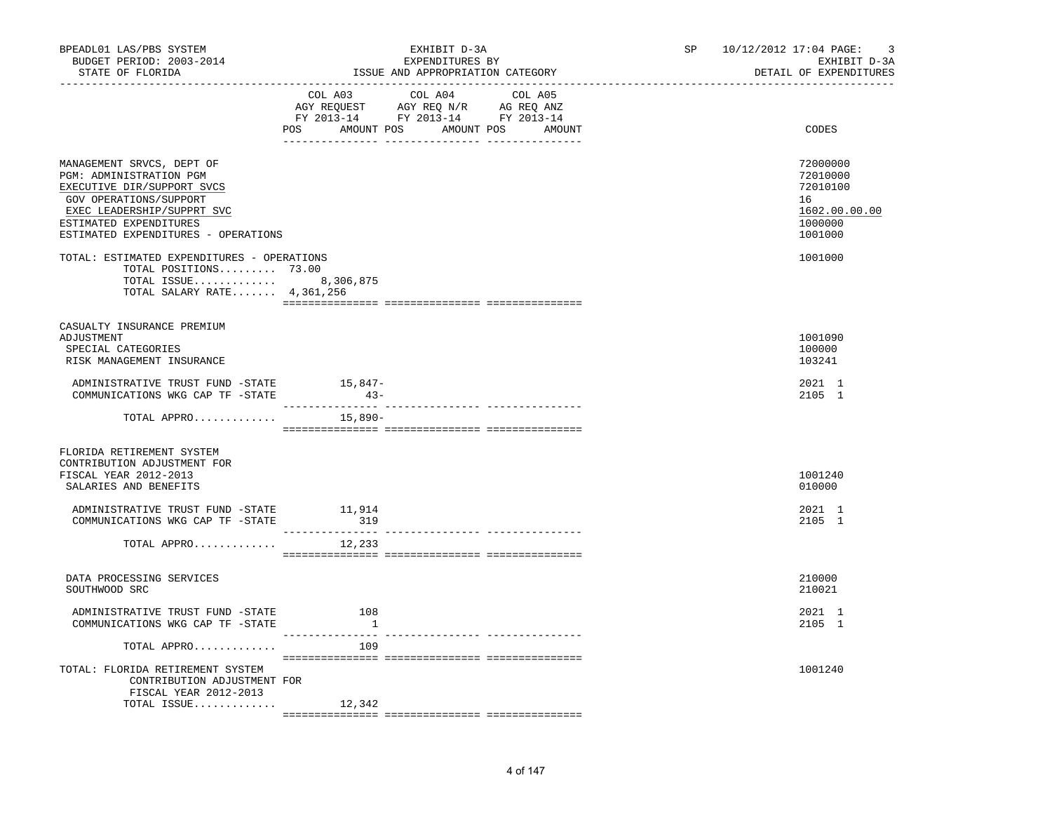| BPEADL01 LAS/PBS SYSTEM<br>BUDGET PERIOD: 2003-2014<br>STATE OF FLORIDA<br>. _ _ _ _ _ _ _ _ _ _ _ _ _ _ _ _                                                                                                |                                                       | EXHIBIT D-3A<br>EXPENDITURES BY<br>ISSUE AND APPROPRIATION CATEGORY                                                                   |  | SP 10/12/2012 17:04 PAGE: | 3<br>EXHIBIT D-3A<br>DETAIL OF EXPENDITURES                                   |
|-------------------------------------------------------------------------------------------------------------------------------------------------------------------------------------------------------------|-------------------------------------------------------|---------------------------------------------------------------------------------------------------------------------------------------|--|---------------------------|-------------------------------------------------------------------------------|
|                                                                                                                                                                                                             |                                                       | COL A03 COL A04 COL A05<br>NOT REQUEST AGY REQ N/R AG REQ ANZ<br>FY 2013-14 FY 2013-14 FY 2013-14<br>POS AMOUNT POS AMOUNT POS AMOUNT |  |                           | CODES                                                                         |
| MANAGEMENT SRVCS, DEPT OF<br>PGM: ADMINISTRATION PGM<br>EXECUTIVE DIR/SUPPORT SVCS<br>GOV OPERATIONS/SUPPORT<br>EXEC LEADERSHIP/SUPPRT SVC<br>ESTIMATED EXPENDITURES<br>ESTIMATED EXPENDITURES - OPERATIONS |                                                       |                                                                                                                                       |  |                           | 72000000<br>72010000<br>72010100<br>16<br>1602.00.00.00<br>1000000<br>1001000 |
| TOTAL: ESTIMATED EXPENDITURES - OPERATIONS<br>TOTAL POSITIONS 73.00<br>TOTAL ISSUE 8,306,875<br>TOTAL SALARY RATE 4,361,256                                                                                 |                                                       |                                                                                                                                       |  |                           | 1001000                                                                       |
| CASUALTY INSURANCE PREMIUM<br>ADJUSTMENT<br>SPECIAL CATEGORIES<br>RISK MANAGEMENT INSURANCE                                                                                                                 |                                                       |                                                                                                                                       |  |                           | 1001090<br>100000<br>103241                                                   |
| ADMINISTRATIVE TRUST FUND -STATE<br>COMMUNICATIONS WKG CAP TF -STATE                                                                                                                                        | 15,847-<br>$43-$                                      |                                                                                                                                       |  |                           | 2021 1<br>2105 1                                                              |
| TOTAL APPRO                                                                                                                                                                                                 | 15,890-                                               |                                                                                                                                       |  |                           |                                                                               |
| FLORIDA RETIREMENT SYSTEM<br>CONTRIBUTION ADJUSTMENT FOR<br>FISCAL YEAR 2012-2013<br>SALARIES AND BENEFITS                                                                                                  |                                                       |                                                                                                                                       |  |                           | 1001240<br>010000                                                             |
| ADMINISTRATIVE TRUST FUND -STATE 11,914<br>COMMUNICATIONS WKG CAP TF -STATE                                                                                                                                 | 319                                                   |                                                                                                                                       |  |                           | 2021 1<br>2105 1                                                              |
| TOTAL APPRO                                                                                                                                                                                                 | 12,233                                                |                                                                                                                                       |  |                           |                                                                               |
| DATA PROCESSING SERVICES<br>SOUTHWOOD SRC                                                                                                                                                                   |                                                       |                                                                                                                                       |  |                           | 210000<br>210021                                                              |
| ADMINISTRATIVE TRUST FUND -STATE<br>COMMUNICATIONS WKG CAP TF -STATE                                                                                                                                        | 108<br>$\overline{\phantom{a}}$<br>--------------- -- |                                                                                                                                       |  |                           | 2021 1<br>2105 1                                                              |
| TOTAL APPRO                                                                                                                                                                                                 | 109                                                   |                                                                                                                                       |  |                           |                                                                               |
| TOTAL: FLORIDA RETIREMENT SYSTEM<br>CONTRIBUTION ADJUSTMENT FOR<br>FISCAL YEAR 2012-2013                                                                                                                    |                                                       |                                                                                                                                       |  |                           | 1001240                                                                       |
| TOTAL ISSUE                                                                                                                                                                                                 | 12,342                                                |                                                                                                                                       |  |                           |                                                                               |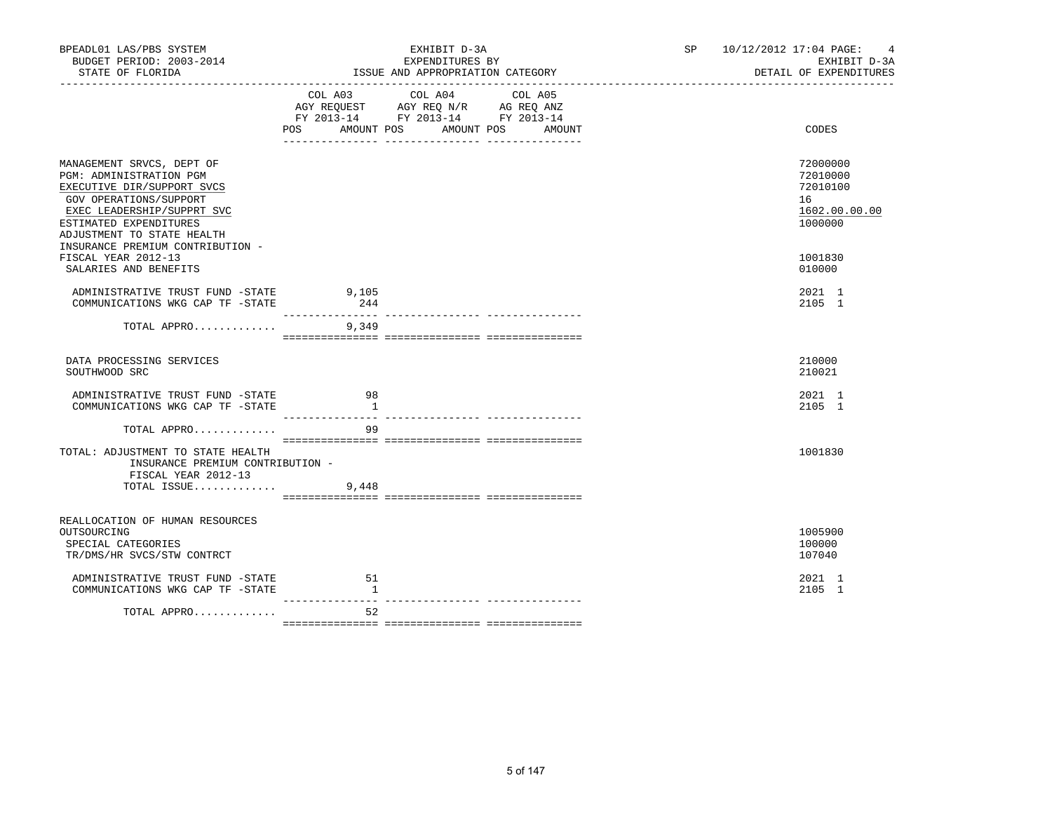| BPEADL01 LAS/PBS SYSTEM<br>BUDGET PERIOD: 2003-2014<br>STATE OF FLORIDA                                                                                                                                                                |                                            | EXHIBIT D-3A<br>EXPENDITURES BY<br>ISSUE AND APPROPRIATION CATEGORY                                                                     | SP <sub>2</sub> | 10/12/2012 17:04 PAGE:<br>$\overline{4}$<br>EXHIBIT D-3A<br>DETAIL OF EXPENDITURES |
|----------------------------------------------------------------------------------------------------------------------------------------------------------------------------------------------------------------------------------------|--------------------------------------------|-----------------------------------------------------------------------------------------------------------------------------------------|-----------------|------------------------------------------------------------------------------------|
|                                                                                                                                                                                                                                        | POS                                        | COL A03 COL A04<br>COL A05<br>AGY REQUEST AGY REQ N/R AG REQ ANZ<br>FY 2013-14 FY 2013-14 FY 2013-14<br>AMOUNT POS AMOUNT POS<br>AMOUNT |                 | CODES                                                                              |
| MANAGEMENT SRVCS, DEPT OF<br>PGM: ADMINISTRATION PGM<br>EXECUTIVE DIR/SUPPORT SVCS<br>GOV OPERATIONS/SUPPORT<br>EXEC LEADERSHIP/SUPPRT SVC<br>ESTIMATED EXPENDITURES<br>ADJUSTMENT TO STATE HEALTH<br>INSURANCE PREMIUM CONTRIBUTION - |                                            |                                                                                                                                         |                 | 72000000<br>72010000<br>72010100<br>16<br>1602.00.00.00<br>1000000                 |
| FISCAL YEAR 2012-13<br>SALARIES AND BENEFITS                                                                                                                                                                                           |                                            |                                                                                                                                         |                 | 1001830<br>010000                                                                  |
| ADMINISTRATIVE TRUST FUND -STATE<br>COMMUNICATIONS WKG CAP TF -STATE                                                                                                                                                                   | 9,105<br>244                               |                                                                                                                                         |                 | 2021 1<br>2105 1                                                                   |
| TOTAL APPRO 9,349                                                                                                                                                                                                                      |                                            |                                                                                                                                         |                 |                                                                                    |
| DATA PROCESSING SERVICES<br>SOUTHWOOD SRC                                                                                                                                                                                              |                                            |                                                                                                                                         |                 | 210000<br>210021                                                                   |
| ADMINISTRATIVE TRUST FUND -STATE<br>COMMUNICATIONS WKG CAP TF -STATE                                                                                                                                                                   | 98<br>$\overline{1}$<br>--------------- -- |                                                                                                                                         |                 | 2021 1<br>2105 1                                                                   |
| TOTAL APPRO                                                                                                                                                                                                                            | 99                                         |                                                                                                                                         |                 |                                                                                    |
| TOTAL: ADJUSTMENT TO STATE HEALTH<br>INSURANCE PREMIUM CONTRIBUTION -<br>FISCAL YEAR 2012-13<br>TOTAL ISSUE                                                                                                                            | 9,448                                      |                                                                                                                                         |                 | 1001830                                                                            |
| REALLOCATION OF HUMAN RESOURCES<br>OUTSOURCING<br>SPECIAL CATEGORIES<br>TR/DMS/HR SVCS/STW CONTRCT                                                                                                                                     |                                            |                                                                                                                                         |                 | 1005900<br>100000<br>107040                                                        |
| ADMINISTRATIVE TRUST FUND -STATE<br>COMMUNICATIONS WKG CAP TF -STATE                                                                                                                                                                   | 51<br>$\mathbf{1}$                         |                                                                                                                                         |                 | 2021 1<br>2105 1                                                                   |
| TOTAL APPRO                                                                                                                                                                                                                            | 52                                         |                                                                                                                                         |                 |                                                                                    |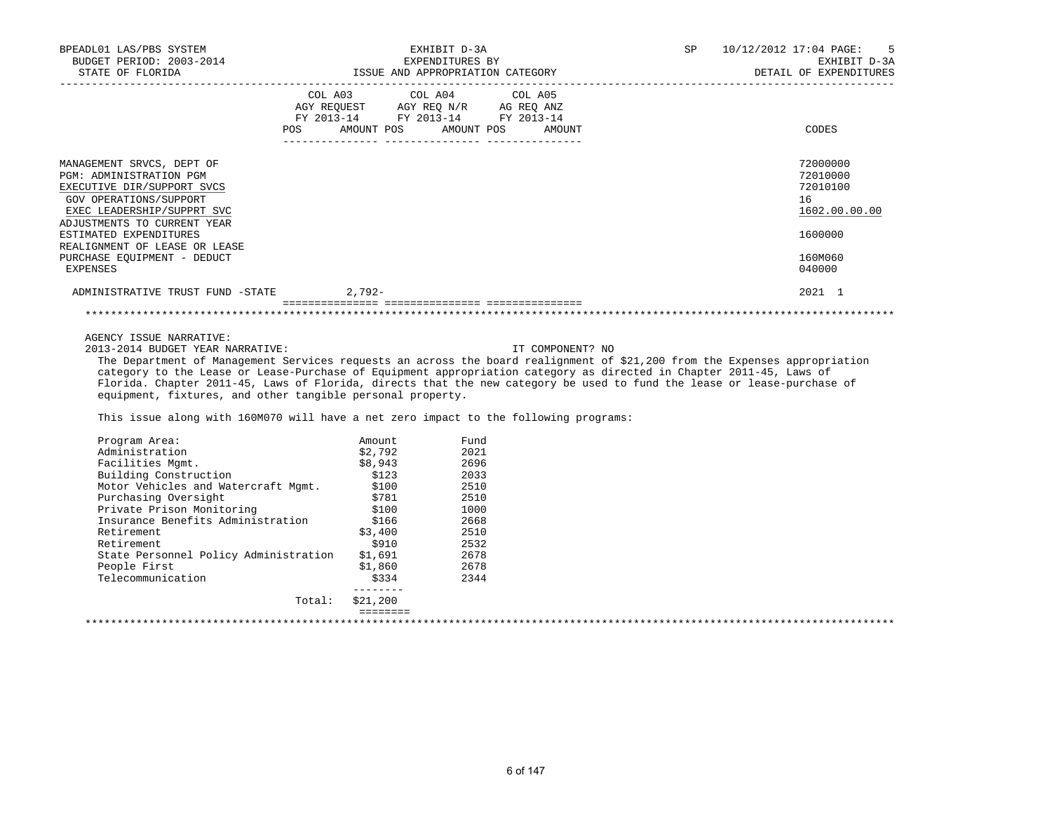| BPEADL01 LAS/PBS SYSTEM<br>BUDGET PERIOD: 2003-2014<br>STATE OF FLORIDA                                                                                                          | EXHIBIT D-3A<br>EXPENDITURES BY<br>ISSUE AND APPROPRIATION CATEGORY                                                                             | SP | 10/12/2012 17:04 PAGE: 5<br>EXHIBIT D-3A<br>DETAIL OF EXPENDITURES |
|----------------------------------------------------------------------------------------------------------------------------------------------------------------------------------|-------------------------------------------------------------------------------------------------------------------------------------------------|----|--------------------------------------------------------------------|
|                                                                                                                                                                                  | COL A03 COL A04 COL A05<br>AGY REQUEST AGY REQ N/R AG REQ ANZ<br>FY 2013-14 FY 2013-14 FY 2013-14<br>AMOUNT POS AMOUNT POS AMOUNT<br><b>POS</b> |    | CODES                                                              |
| MANAGEMENT SRVCS, DEPT OF<br><b>PGM: ADMINISTRATION PGM</b><br>EXECUTIVE DIR/SUPPORT SVCS<br>GOV OPERATIONS/SUPPORT<br>EXEC LEADERSHIP/SUPPRT SVC<br>ADJUSTMENTS TO CURRENT YEAR |                                                                                                                                                 |    | 72000000<br>72010000<br>72010100<br>16<br>1602.00.00.00            |
| ESTIMATED EXPENDITURES<br>REALIGNMENT OF LEASE OR LEASE                                                                                                                          |                                                                                                                                                 |    | 1600000                                                            |
| PURCHASE EQUIPMENT - DEDUCT<br>EXPENSES                                                                                                                                          |                                                                                                                                                 |    | 160M060<br>040000                                                  |
| ADMINISTRATIVE TRUST FUND -STATE                                                                                                                                                 | 2,792-                                                                                                                                          |    | 2021 1                                                             |
|                                                                                                                                                                                  |                                                                                                                                                 |    |                                                                    |

AGENCY ISSUE NARRATIVE:

2013-2014 BUDGET YEAR NARRATIVE: IT COMPONENT? NO

 The Department of Management Services requests an across the board realignment of \$21,200 from the Expenses appropriation category to the Lease or Lease-Purchase of Equipment appropriation category as directed in Chapter 2011-45, Laws of Florida. Chapter 2011-45, Laws of Florida, directs that the new category be used to fund the lease or lease-purchase of equipment, fixtures, and other tangible personal property.

This issue along with 160M070 will have a net zero impact to the following programs:

| Total:                                | \$21,200          |              |  |  |
|---------------------------------------|-------------------|--------------|--|--|
|                                       | \$334<br>-------- | 2344         |  |  |
| People First<br>Telecommunication     | \$1,860           | 2678         |  |  |
| State Personnel Policy Administration | \$1,691           | 2678         |  |  |
| Retirement                            | \$910             |              |  |  |
| Retirement                            | \$3,400           | 2510<br>2532 |  |  |
| Insurance Benefits Administration     | \$166             | 2668         |  |  |
| Private Prison Monitoring             | \$100             | 1000         |  |  |
| Purchasing Oversight                  | \$781             | 2510         |  |  |
| Motor Vehicles and Watercraft Mgmt.   | \$100             | 2510         |  |  |
| Building Construction                 | \$123             | 2033         |  |  |
| Facilities Mgmt.                      | \$8,943           | 2696         |  |  |
| Administration                        | \$2,792           | 2021         |  |  |
| Program Area:                         | Amount            | Fund         |  |  |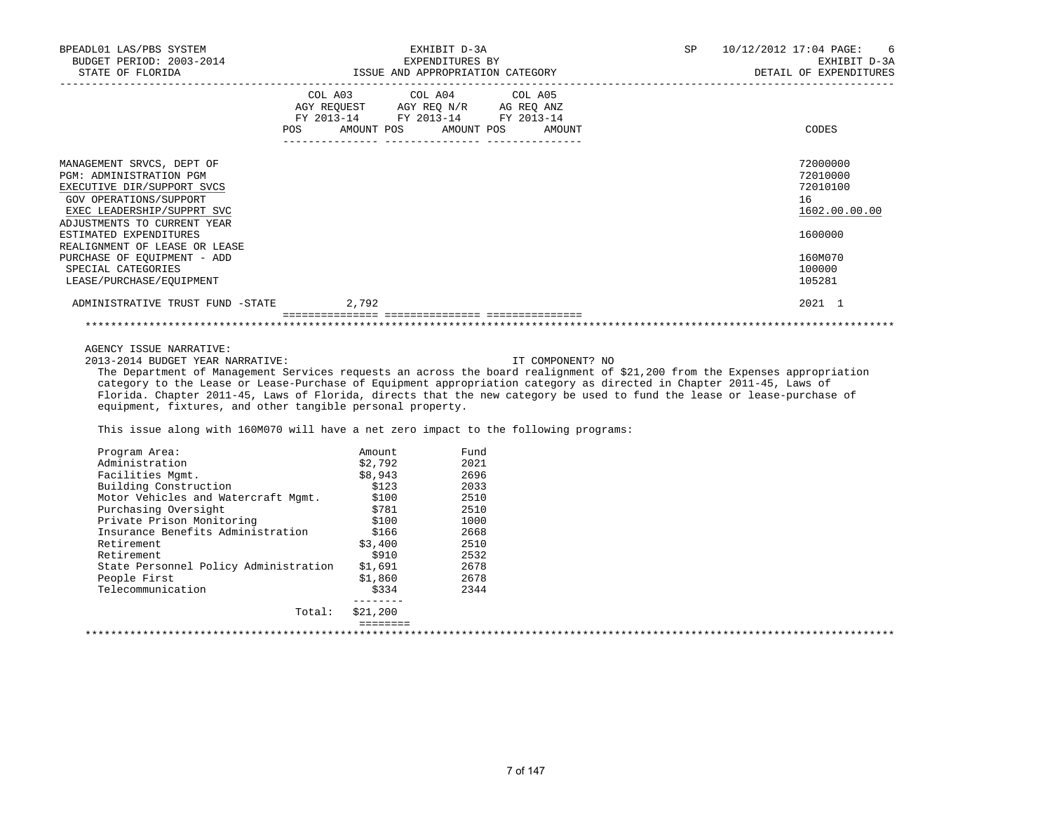| BPEADL01 LAS/PBS SYSTEM<br>EXPENDITURES BY<br>BUDGET PERIOD: 2003-2014 ESUE AND APPROPRIATION CATEGORY DETAIL OF EXPENDI<br>STATE OF FLORIDA EXPENDITURES BY DETAIL OF EXPENDITURES BY DETAIL OF EXPENDITURES BY                                                                                                                                                                                                                                                                                                                                                                                  |                                  | EXHIBIT D-3A                                                                                                                                                                                                                                                                                                                                                                                                                                                    |                  | <b>SP</b> | 10/12/2012 17:04 PAGE:<br>6<br>EXHIBIT D-3A<br>DETAIL OF EXPENDITURES                             |
|---------------------------------------------------------------------------------------------------------------------------------------------------------------------------------------------------------------------------------------------------------------------------------------------------------------------------------------------------------------------------------------------------------------------------------------------------------------------------------------------------------------------------------------------------------------------------------------------------|----------------------------------|-----------------------------------------------------------------------------------------------------------------------------------------------------------------------------------------------------------------------------------------------------------------------------------------------------------------------------------------------------------------------------------------------------------------------------------------------------------------|------------------|-----------|---------------------------------------------------------------------------------------------------|
|                                                                                                                                                                                                                                                                                                                                                                                                                                                                                                                                                                                                   | POS AMOUNT POS AMOUNT POS AMOUNT | COL A03 COL A04 COL A05<br>$\begin{array}{ccccccccc}\n\text{AGY REQUEST} & & & \text{CUT} & \text{CUT} & & \text{CUT} & \text{CUT} & \text{CUT} & \text{CUT} & \text{CUT} & \text{CUT} & \text{CUT} & \text{CUT} & \text{CUT} & \text{CUT} & \text{CUT} & \text{CUT} & \text{CUT} & \text{CUT} & \text{CUT} & \text{CUT} & \text{CUT} & \text{CUT} & \text{CUT} & \text{CUT} & \text{CUT} & \text{CUT} & \text{CUT} & \text{CUT} & \text{CUT} & \text{CUT} & \$ |                  |           | CODES                                                                                             |
| MANAGEMENT SRVCS, DEPT OF<br><b>PGM: ADMINISTRATION PGM</b><br>EXECUTIVE DIR/SUPPORT SVCS<br>GOV OPERATIONS/SUPPORT<br>EXEC LEADERSHIP/SUPPRT SVC<br>ADJUSTMENTS TO CURRENT YEAR<br>ESTIMATED EXPENDITURES<br>REALIGNMENT OF LEASE OR LEASE<br>PURCHASE OF EQUIPMENT - ADD<br>SPECIAL CATEGORIES<br>LEASE/PURCHASE/EOUIPMENT                                                                                                                                                                                                                                                                      |                                  |                                                                                                                                                                                                                                                                                                                                                                                                                                                                 |                  |           | 72000000<br>72010000<br>72010100<br>16<br>1602.00.00.00<br>1600000<br>160M070<br>100000<br>105281 |
| ADMINISTRATIVE TRUST FUND -STATE 2,792                                                                                                                                                                                                                                                                                                                                                                                                                                                                                                                                                            |                                  |                                                                                                                                                                                                                                                                                                                                                                                                                                                                 |                  |           | 2021 1                                                                                            |
|                                                                                                                                                                                                                                                                                                                                                                                                                                                                                                                                                                                                   |                                  |                                                                                                                                                                                                                                                                                                                                                                                                                                                                 |                  |           |                                                                                                   |
| AGENCY ISSUE NARRATIVE:<br>2013-2014 BUDGET YEAR NARRATIVE:<br>The Department of Management Services requests an across the board realignment of \$21,200 from the Expenses appropriation<br>category to the Lease or Lease-Purchase of Equipment appropriation category as directed in Chapter 2011-45, Laws of<br>Florida. Chapter 2011-45, Laws of Florida, directs that the new category be used to fund the lease or lease-purchase of<br>equipment, fixtures, and other tangible personal property.<br>This issue along with 160M070 will have a net zero impact to the following programs: |                                  |                                                                                                                                                                                                                                                                                                                                                                                                                                                                 | IT COMPONENT? NO |           |                                                                                                   |
| Program Area:<br>Administration                                                                                                                                                                                                                                                                                                                                                                                                                                                                                                                                                                   | Amount<br>\$2,792                | Fund<br>2021                                                                                                                                                                                                                                                                                                                                                                                                                                                    |                  |           |                                                                                                   |

| Program Area:                         | Amount   | Fund |  |  |
|---------------------------------------|----------|------|--|--|
| Administration                        | \$2,792  | 2021 |  |  |
| Facilities Mqmt.                      | \$8,943  | 2696 |  |  |
| Building Construction                 | \$123    | 2033 |  |  |
| Motor Vehicles and Watercraft Mqmt.   | \$100    | 2510 |  |  |
| Purchasing Oversight                  | \$781    | 2510 |  |  |
| Private Prison Monitoring             | \$100    | 1000 |  |  |
| Insurance Benefits Administration     | \$166    | 2668 |  |  |
| Retirement                            | \$3,400  | 2510 |  |  |
| Retirement                            | \$910    | 2532 |  |  |
| State Personnel Policy Administration | \$1,691  | 2678 |  |  |
| People First                          | \$1,860  | 2678 |  |  |
| Telecommunication                     | \$334    | 2344 |  |  |
| Total:                                | \$21,200 |      |  |  |
|                                       |          |      |  |  |
|                                       |          |      |  |  |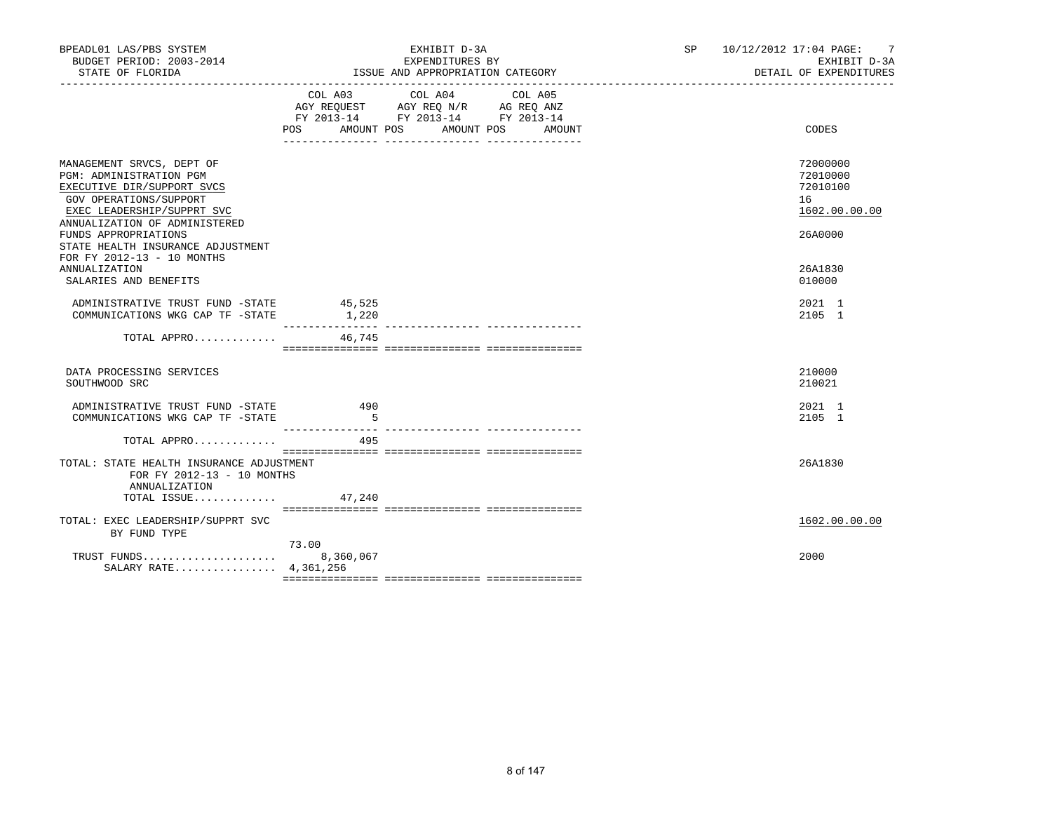| BPEADL01 LAS/PBS SYSTEM<br>BUDGET PERIOD: 2003-2014<br>STATE OF FLORIDA                                                                                                     |                    | EXHIBIT D-3A<br>EXPENDITURES BY<br>ISSUE AND APPROPRIATION CATEGORY                                                          | SP 10/12/2012 17:04 PAGE:<br>7<br>EXHIBIT D-3A<br>DETAIL OF EXPENDITURES |
|-----------------------------------------------------------------------------------------------------------------------------------------------------------------------------|--------------------|------------------------------------------------------------------------------------------------------------------------------|--------------------------------------------------------------------------|
|                                                                                                                                                                             | POS<br>AMOUNT POS  | COL A03 COL A04<br>COL A05<br>AGY REQUEST AGY REQ N/R AG REQ ANZ<br>FY 2013-14 FY 2013-14 FY 2013-14<br>AMOUNT POS<br>AMOUNT | CODES                                                                    |
| MANAGEMENT SRVCS, DEPT OF<br>PGM: ADMINISTRATION PGM<br>EXECUTIVE DIR/SUPPORT SVCS<br>GOV OPERATIONS/SUPPORT<br>EXEC LEADERSHIP/SUPPRT SVC<br>ANNUALIZATION OF ADMINISTERED |                    |                                                                                                                              | 72000000<br>72010000<br>72010100<br>16<br>1602.00.00.00                  |
| FUNDS APPROPRIATIONS<br>STATE HEALTH INSURANCE ADJUSTMENT<br>FOR FY 2012-13 - 10 MONTHS<br>ANNUALIZATION<br>SALARIES AND BENEFITS                                           |                    |                                                                                                                              | 26A0000<br>26A1830<br>010000                                             |
| ADMINISTRATIVE TRUST FUND -STATE 45,525<br>COMMUNICATIONS WKG CAP TF -STATE                                                                                                 | 1,220              |                                                                                                                              | 2021 1<br>2105 1                                                         |
| TOTAL APPRO                                                                                                                                                                 | 46,745             |                                                                                                                              |                                                                          |
| DATA PROCESSING SERVICES<br>SOUTHWOOD SRC                                                                                                                                   |                    |                                                                                                                              | 210000<br>210021                                                         |
| ADMINISTRATIVE TRUST FUND -STATE<br>COMMUNICATIONS WKG CAP TF -STATE                                                                                                        | 490<br>$-5$        |                                                                                                                              | 2021 1<br>2105 1                                                         |
| TOTAL APPRO                                                                                                                                                                 | 495                |                                                                                                                              |                                                                          |
| TOTAL: STATE HEALTH INSURANCE ADJUSTMENT<br>FOR FY 2012-13 - 10 MONTHS<br>ANNUALIZATION                                                                                     |                    |                                                                                                                              | 26A1830                                                                  |
| TOTAL ISSUE $47,240$<br>TOTAL: EXEC LEADERSHIP/SUPPRT SVC<br>BY FUND TYPE                                                                                                   |                    |                                                                                                                              | 1602.00.00.00                                                            |
| TRUST FUNDS<br>SALARY RATE 4,361,256                                                                                                                                        | 73.00<br>8,360,067 |                                                                                                                              | 2000                                                                     |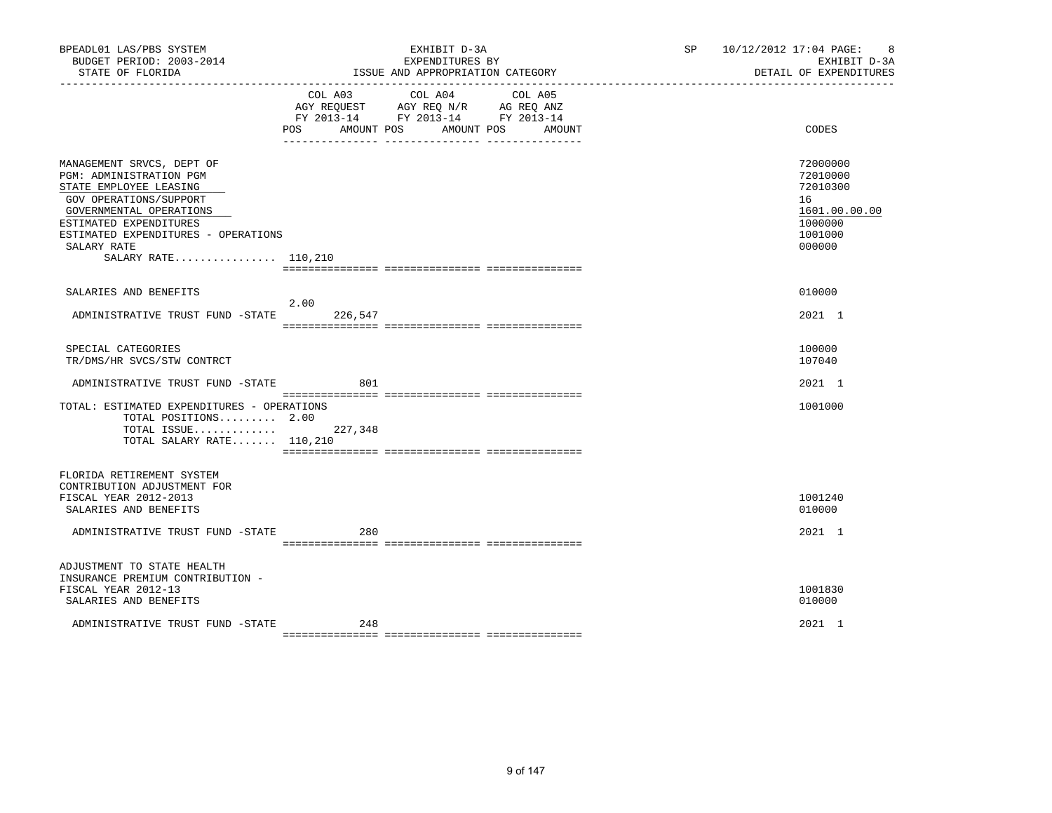| BPEADL01 LAS/PBS SYSTEM<br>BUDGET PERIOD: 2003-2014<br>STATE OF FLORIDA                                                                                                                                                                    |                 | EXHIBIT D-3A<br>EXPENDITURES BY<br>ISSUE AND APPROPRIATION CATEGORY                                                                                                     | SP 10/12/2012 17:04 PAGE: 8<br>EXHIBIT D-3A<br>DETAIL OF EXPENDITURES                   |
|--------------------------------------------------------------------------------------------------------------------------------------------------------------------------------------------------------------------------------------------|-----------------|-------------------------------------------------------------------------------------------------------------------------------------------------------------------------|-----------------------------------------------------------------------------------------|
|                                                                                                                                                                                                                                            | POS             | COL A03 COL A04 COL A05<br>AGY REQUEST AGY REQ N/R AG REQ ANZ<br>FY 2013-14 FY 2013-14 FY 2013-14<br>AMOUNT POS AMOUNT POS<br>AMOUNT<br>___ _______________ ___________ | CODES                                                                                   |
| MANAGEMENT SRVCS, DEPT OF<br>PGM: ADMINISTRATION PGM<br>STATE EMPLOYEE LEASING<br>GOV OPERATIONS/SUPPORT<br>GOVERNMENTAL OPERATIONS<br>ESTIMATED EXPENDITURES<br>ESTIMATED EXPENDITURES - OPERATIONS<br>SALARY RATE<br>SALARY RATE 110,210 |                 |                                                                                                                                                                         | 72000000<br>72010000<br>72010300<br>16<br>1601.00.00.00<br>1000000<br>1001000<br>000000 |
| SALARIES AND BENEFITS                                                                                                                                                                                                                      |                 |                                                                                                                                                                         | 010000                                                                                  |
| ADMINISTRATIVE TRUST FUND -STATE                                                                                                                                                                                                           | 2.00<br>226,547 |                                                                                                                                                                         | 2021 1                                                                                  |
| SPECIAL CATEGORIES<br>TR/DMS/HR SVCS/STW CONTRCT                                                                                                                                                                                           |                 |                                                                                                                                                                         | 100000<br>107040                                                                        |
| ADMINISTRATIVE TRUST FUND -STATE                                                                                                                                                                                                           | 801             |                                                                                                                                                                         | 2021 1                                                                                  |
| TOTAL: ESTIMATED EXPENDITURES - OPERATIONS<br>TOTAL POSITIONS 2.00<br>TOTAL ISSUE 227,348<br>TOTAL SALARY RATE 110,210                                                                                                                     |                 |                                                                                                                                                                         | 1001000                                                                                 |
| FLORIDA RETIREMENT SYSTEM<br>CONTRIBUTION ADJUSTMENT FOR<br>FISCAL YEAR 2012-2013<br>SALARIES AND BENEFITS                                                                                                                                 |                 |                                                                                                                                                                         | 1001240<br>010000                                                                       |
| ADMINISTRATIVE TRUST FUND -STATE                                                                                                                                                                                                           | 280             |                                                                                                                                                                         | 2021 1                                                                                  |
| ADJUSTMENT TO STATE HEALTH<br>INSURANCE PREMIUM CONTRIBUTION -<br>FISCAL YEAR 2012-13<br>SALARIES AND BENEFITS                                                                                                                             |                 |                                                                                                                                                                         | 1001830<br>010000                                                                       |
| ADMINISTRATIVE TRUST FUND -STATE                                                                                                                                                                                                           | 248             |                                                                                                                                                                         | 2021 1                                                                                  |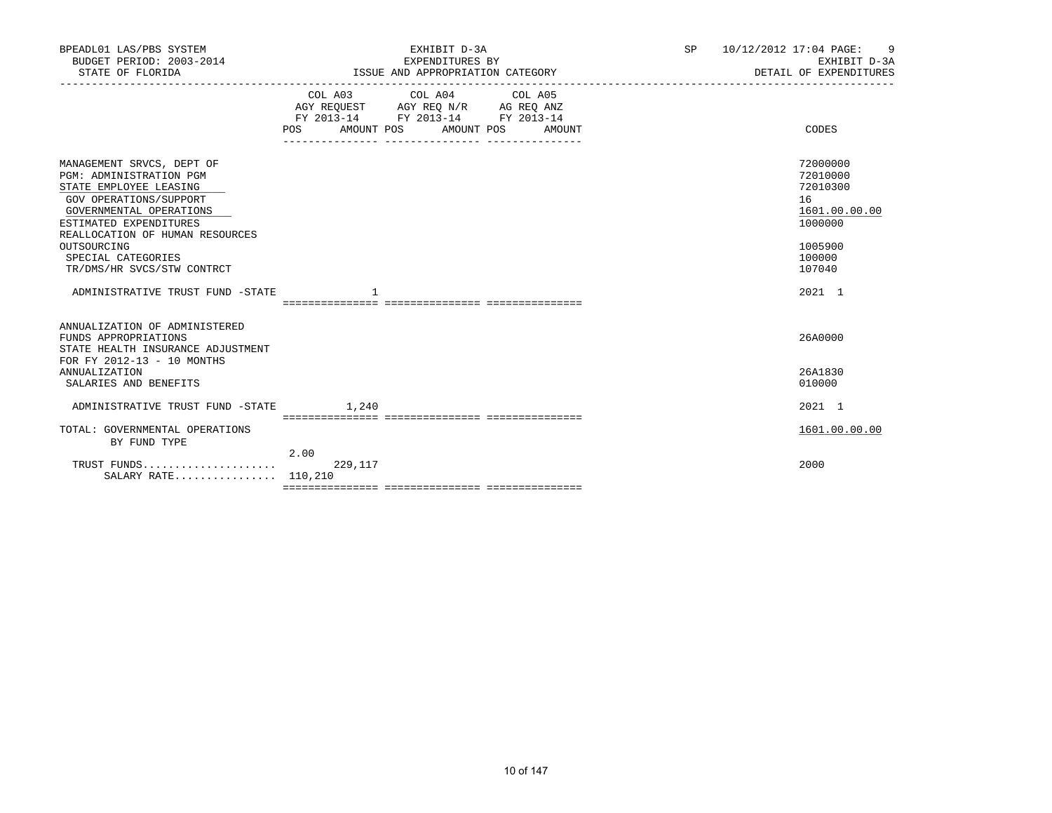| BPEADL01 LAS/PBS SYSTEM<br>BUDGET PERIOD: 2003-2014<br>STATE OF FLORIDA                                                                                                                                                                                                    | EXHIBIT D-3A<br>EXPENDITURES BY<br>ISSUE AND APPROPRIATION CATEGORY                                                                                  | SP<br>9<br>10/12/2012 17:04 PAGE:<br>EXHIBIT D-3A<br>DETAIL OF EXPENDITURES                       |
|----------------------------------------------------------------------------------------------------------------------------------------------------------------------------------------------------------------------------------------------------------------------------|------------------------------------------------------------------------------------------------------------------------------------------------------|---------------------------------------------------------------------------------------------------|
|                                                                                                                                                                                                                                                                            | COL A03<br>COL A04<br>COL A05<br>AGY REQUEST AGY REQ N/R AG REQ ANZ<br>FY 2013-14 FY 2013-14 FY 2013-14<br>AMOUNT POS<br>POS<br>AMOUNT POS<br>AMOUNT | CODES                                                                                             |
| MANAGEMENT SRVCS, DEPT OF<br><b>PGM: ADMINISTRATION PGM</b><br>STATE EMPLOYEE LEASING<br>GOV OPERATIONS/SUPPORT<br>GOVERNMENTAL OPERATIONS<br>ESTIMATED EXPENDITURES<br>REALLOCATION OF HUMAN RESOURCES<br>OUTSOURCING<br>SPECIAL CATEGORIES<br>TR/DMS/HR SVCS/STW CONTRCT |                                                                                                                                                      | 72000000<br>72010000<br>72010300<br>16<br>1601.00.00.00<br>1000000<br>1005900<br>100000<br>107040 |
| ADMINISTRATIVE TRUST FUND -STATE                                                                                                                                                                                                                                           |                                                                                                                                                      | 2021 1                                                                                            |
| ANNUALIZATION OF ADMINISTERED<br>FUNDS APPROPRIATIONS<br>STATE HEALTH INSURANCE ADJUSTMENT<br>FOR FY 2012-13 - 10 MONTHS<br><b>ANNUALIZATION</b>                                                                                                                           |                                                                                                                                                      | 26A0000<br>26A1830                                                                                |
| SALARIES AND BENEFITS<br>ADMINISTRATIVE TRUST FUND -STATE                                                                                                                                                                                                                  | 1,240                                                                                                                                                | 010000<br>2021 1                                                                                  |
| TOTAL: GOVERNMENTAL OPERATIONS<br>BY FUND TYPE                                                                                                                                                                                                                             |                                                                                                                                                      | 1601.00.00.00                                                                                     |
| SALARY RATE                                                                                                                                                                                                                                                                | 2.00<br>229,117<br>110,210                                                                                                                           | 2000                                                                                              |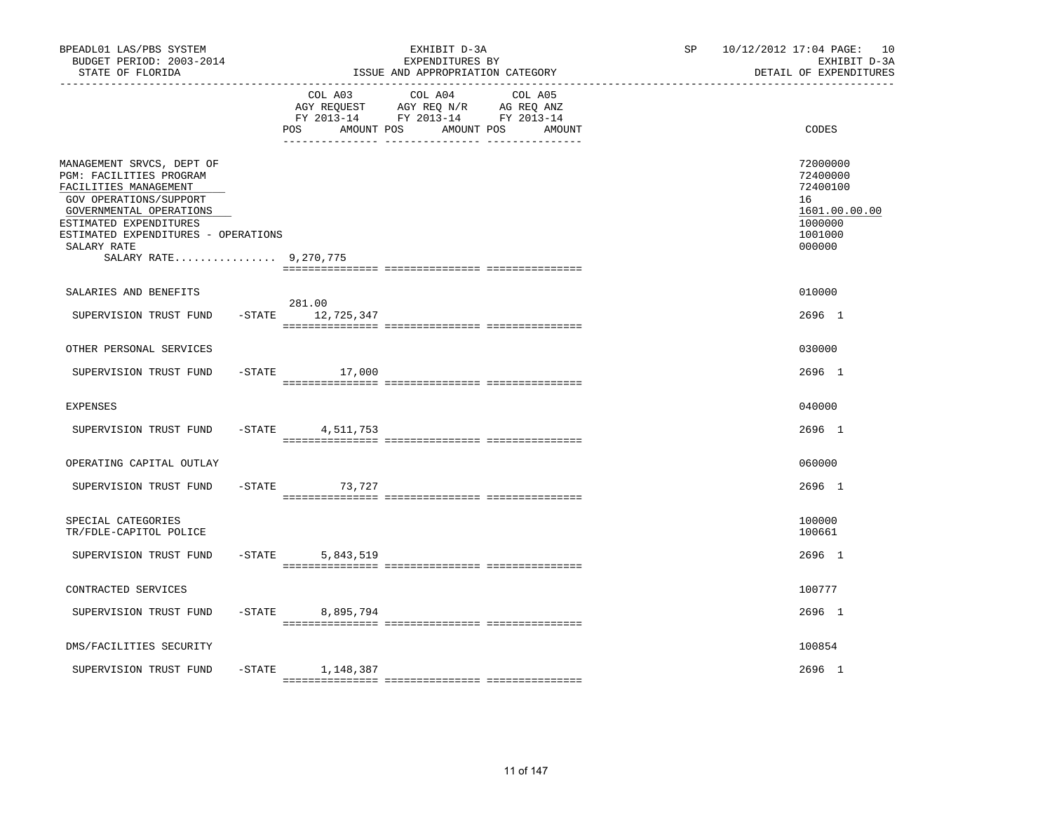| BPEADL01 LAS/PBS SYSTEM<br>BUDGET PERIOD: 2003-2014<br>STATE OF FLORIDA<br>----------------                                                                                                                                                 |           |                              | EXHIBIT D-3A<br>EXPENDITURES BY<br>ISSUE AND APPROPRIATION CATEGORY                                               | SP | 10/12/2012 17:04 PAGE: 10<br>EXHIBIT D-3A<br>DETAIL OF EXPENDITURES                     |
|---------------------------------------------------------------------------------------------------------------------------------------------------------------------------------------------------------------------------------------------|-----------|------------------------------|-------------------------------------------------------------------------------------------------------------------|----|-----------------------------------------------------------------------------------------|
|                                                                                                                                                                                                                                             |           | COL A03<br>POS<br>AMOUNT POS | COL A04 COL A05<br>AGY REQUEST AGY REQ N/R AG REQ ANZ<br>FY 2013-14 FY 2013-14 FY 2013-14<br>AMOUNT POS<br>AMOUNT |    | CODES                                                                                   |
| MANAGEMENT SRVCS, DEPT OF<br>PGM: FACILITIES PROGRAM<br>FACILITIES MANAGEMENT<br>GOV OPERATIONS/SUPPORT<br>GOVERNMENTAL OPERATIONS<br>ESTIMATED EXPENDITURES<br>ESTIMATED EXPENDITURES - OPERATIONS<br>SALARY RATE<br>SALARY RATE 9,270,775 |           |                              |                                                                                                                   |    | 72000000<br>72400000<br>72400100<br>16<br>1601.00.00.00<br>1000000<br>1001000<br>000000 |
| SALARIES AND BENEFITS                                                                                                                                                                                                                       |           |                              |                                                                                                                   |    | 010000                                                                                  |
| SUPERVISION TRUST FUND                                                                                                                                                                                                                      |           | 281.00<br>-STATE 12,725,347  |                                                                                                                   |    | 2696 1                                                                                  |
| OTHER PERSONAL SERVICES                                                                                                                                                                                                                     |           |                              |                                                                                                                   |    | 030000                                                                                  |
| SUPERVISION TRUST FUND                                                                                                                                                                                                                      |           | $-STATE$<br>17,000           |                                                                                                                   |    | 2696 1                                                                                  |
| <b>EXPENSES</b>                                                                                                                                                                                                                             |           |                              |                                                                                                                   |    | 040000                                                                                  |
| SUPERVISION TRUST FUND                                                                                                                                                                                                                      | $-STATE$  | 4,511,753                    |                                                                                                                   |    | 2696 1                                                                                  |
| OPERATING CAPITAL OUTLAY                                                                                                                                                                                                                    |           |                              |                                                                                                                   |    | 060000                                                                                  |
| SUPERVISION TRUST FUND                                                                                                                                                                                                                      |           | $-$ STATE<br>73,727          |                                                                                                                   |    | 2696 1                                                                                  |
| SPECIAL CATEGORIES<br>TR/FDLE-CAPITOL POLICE                                                                                                                                                                                                |           |                              |                                                                                                                   |    | 100000<br>100661                                                                        |
| SUPERVISION TRUST FUND                                                                                                                                                                                                                      | $-$ STATE | 5,843,519                    |                                                                                                                   |    | 2696 1                                                                                  |
| CONTRACTED SERVICES                                                                                                                                                                                                                         |           |                              |                                                                                                                   |    | 100777                                                                                  |
| SUPERVISION TRUST FUND                                                                                                                                                                                                                      | $-$ STATE | 8,895,794                    |                                                                                                                   |    | 2696 1                                                                                  |
| DMS/FACILITIES SECURITY                                                                                                                                                                                                                     |           |                              |                                                                                                                   |    | 100854                                                                                  |
| SUPERVISION TRUST FUND                                                                                                                                                                                                                      |           | $-$ STATE $1, 148, 387$      |                                                                                                                   |    | 2696 1                                                                                  |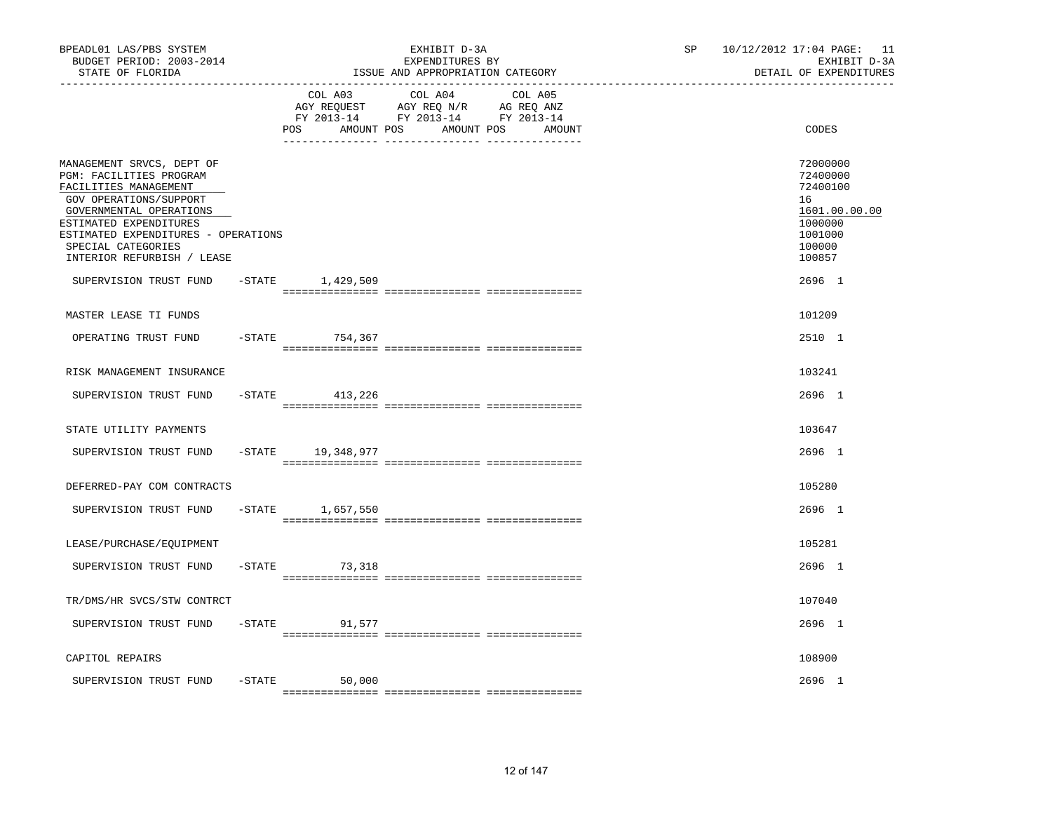| BPEADL01 LAS/PBS SYSTEM<br>BUDGET PERIOD: 2003-2014<br>STATE OF FLORIDA<br>----------------                                                                                                                                                             |           |                                     | EXHIBIT D-3A<br>EXPENDITURES BY<br>ISSUE AND APPROPRIATION CATEGORY                                                  | 10/12/2012 17:04 PAGE: 11<br>SP<br>EXHIBIT D-3A<br>DETAIL OF EXPENDITURES |                                                                                                   |
|---------------------------------------------------------------------------------------------------------------------------------------------------------------------------------------------------------------------------------------------------------|-----------|-------------------------------------|----------------------------------------------------------------------------------------------------------------------|---------------------------------------------------------------------------|---------------------------------------------------------------------------------------------------|
|                                                                                                                                                                                                                                                         |           | COL A03<br><b>POS</b><br>AMOUNT POS | COL A04<br>COL A05<br>AGY REQUEST AGY REQ N/R AG REQ ANZ<br>FY 2013-14 FY 2013-14 FY 2013-14<br>AMOUNT POS<br>AMOUNT |                                                                           | CODES                                                                                             |
| MANAGEMENT SRVCS, DEPT OF<br>PGM: FACILITIES PROGRAM<br>FACILITIES MANAGEMENT<br>GOV OPERATIONS/SUPPORT<br>GOVERNMENTAL OPERATIONS<br>ESTIMATED EXPENDITURES<br>ESTIMATED EXPENDITURES - OPERATIONS<br>SPECIAL CATEGORIES<br>INTERIOR REFURBISH / LEASE |           |                                     |                                                                                                                      |                                                                           | 72000000<br>72400000<br>72400100<br>16<br>1601.00.00.00<br>1000000<br>1001000<br>100000<br>100857 |
| SUPERVISION TRUST FUND                                                                                                                                                                                                                                  |           | $-$ STATE $1,429,509$               |                                                                                                                      |                                                                           | 2696 1                                                                                            |
| MASTER LEASE TI FUNDS                                                                                                                                                                                                                                   |           |                                     |                                                                                                                      |                                                                           | 101209                                                                                            |
| OPERATING TRUST FUND                                                                                                                                                                                                                                    | $-$ STATE | 754,367                             |                                                                                                                      |                                                                           | 2510 1                                                                                            |
| RISK MANAGEMENT INSURANCE                                                                                                                                                                                                                               |           |                                     |                                                                                                                      |                                                                           | 103241                                                                                            |
| SUPERVISION TRUST FUND                                                                                                                                                                                                                                  |           | -STATE 413,226                      |                                                                                                                      |                                                                           | 2696 1                                                                                            |
| STATE UTILITY PAYMENTS                                                                                                                                                                                                                                  |           |                                     |                                                                                                                      |                                                                           | 103647                                                                                            |
| SUPERVISION TRUST FUND                                                                                                                                                                                                                                  |           | -STATE 19,348,977                   |                                                                                                                      |                                                                           | 2696 1                                                                                            |
| DEFERRED-PAY COM CONTRACTS                                                                                                                                                                                                                              |           |                                     |                                                                                                                      |                                                                           | 105280                                                                                            |
| SUPERVISION TRUST FUND                                                                                                                                                                                                                                  | $-$ STATE | 1,657,550                           |                                                                                                                      |                                                                           | 2696 1                                                                                            |
|                                                                                                                                                                                                                                                         |           |                                     |                                                                                                                      |                                                                           |                                                                                                   |
| LEASE/PURCHASE/EQUIPMENT                                                                                                                                                                                                                                |           |                                     |                                                                                                                      |                                                                           | 105281                                                                                            |
| SUPERVISION TRUST FUND                                                                                                                                                                                                                                  | $-$ STATE | 73,318                              |                                                                                                                      |                                                                           | 2696 1                                                                                            |
| TR/DMS/HR SVCS/STW CONTRCT                                                                                                                                                                                                                              |           |                                     |                                                                                                                      |                                                                           | 107040                                                                                            |
| SUPERVISION TRUST FUND                                                                                                                                                                                                                                  | $-$ STATE | 91,577                              |                                                                                                                      |                                                                           | 2696 1                                                                                            |
| CAPITOL REPAIRS                                                                                                                                                                                                                                         |           |                                     |                                                                                                                      |                                                                           | 108900                                                                                            |
| SUPERVISION TRUST FUND                                                                                                                                                                                                                                  | $-$ STATE | 50,000                              |                                                                                                                      |                                                                           | 2696 1                                                                                            |
|                                                                                                                                                                                                                                                         |           |                                     |                                                                                                                      |                                                                           |                                                                                                   |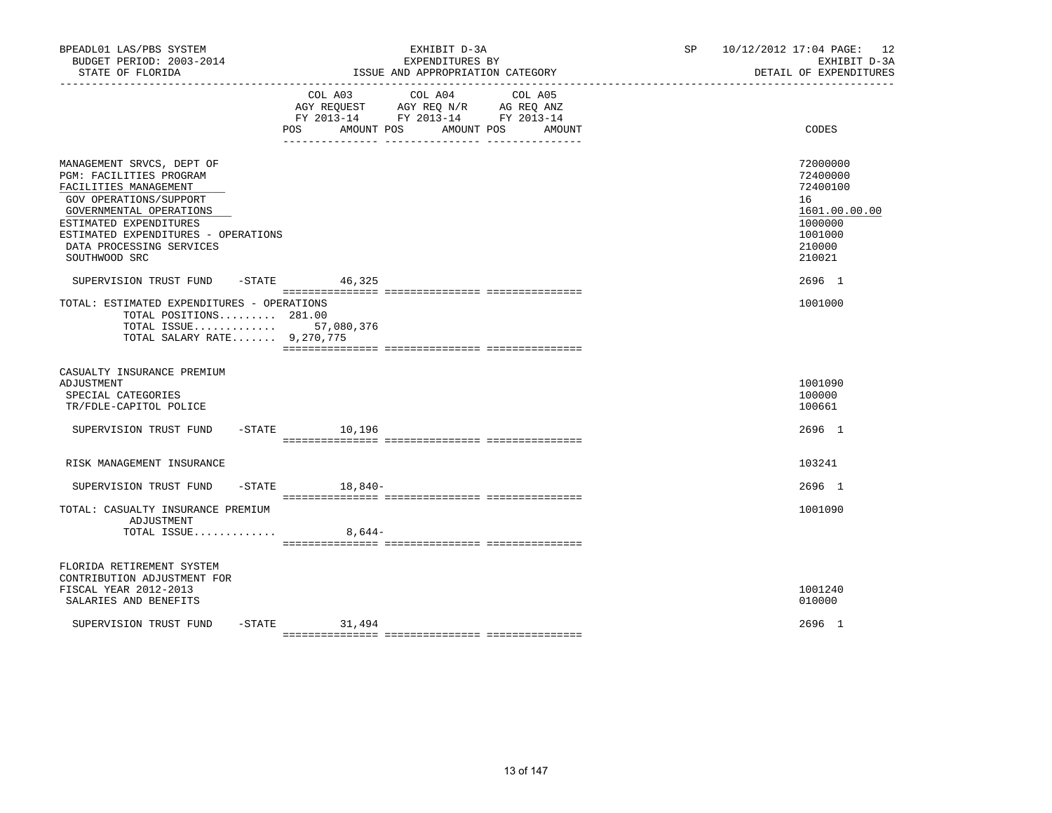| BPEADL01 LAS/PBS SYSTEM<br>BUDGET PERIOD: 2003-2014<br>STATE OF FLORIDA                                                                                                                                                                          | EXHIBIT D-3A<br>EXPENDITURES BY<br>ISSUE AND APPROPRIATION CATEGORY                                                                                                                                                                                                                                   | 10/12/2012 17:04 PAGE: 12<br>SP and the set of the set of the set of the set of the set of the set of the set of the set of the set of the set of the set of the set of the set of the set of the set of the set of the set of the set of the set of the se<br>EXHIBIT D-3A<br>DETAIL OF EXPENDITURES |
|--------------------------------------------------------------------------------------------------------------------------------------------------------------------------------------------------------------------------------------------------|-------------------------------------------------------------------------------------------------------------------------------------------------------------------------------------------------------------------------------------------------------------------------------------------------------|-------------------------------------------------------------------------------------------------------------------------------------------------------------------------------------------------------------------------------------------------------------------------------------------------------|
|                                                                                                                                                                                                                                                  | COL A03 COL A04<br>COL A05<br>$\begin{tabular}{lllllll} \bf AGY \,\, REQUEST \,\, &\bf AGY \,\, REQ \,\, N/R &\bf AG \,\, REQ \,\, ANZ \\ \bf FY \,\, 2013-14 &\bf FY \,\, 2013-14 &\bf FY \,\, 2013-14 \\ \end{tabular}$<br>AMOUNT POS<br>POS<br>AMOUNT POS AMOUNT<br>__ ________________ __________ | CODES                                                                                                                                                                                                                                                                                                 |
| MANAGEMENT SRVCS, DEPT OF<br>PGM: FACILITIES PROGRAM<br>FACILITIES MANAGEMENT<br>GOV OPERATIONS/SUPPORT<br>GOVERNMENTAL OPERATIONS<br>ESTIMATED EXPENDITURES<br>ESTIMATED EXPENDITURES - OPERATIONS<br>DATA PROCESSING SERVICES<br>SOUTHWOOD SRC |                                                                                                                                                                                                                                                                                                       | 72000000<br>72400000<br>72400100<br>16<br>1601.00.00.00<br>1000000<br>1001000<br>210000<br>210021                                                                                                                                                                                                     |
| SUPERVISION TRUST FUND -STATE 46,325<br>TOTAL: ESTIMATED EXPENDITURES - OPERATIONS<br>TOTAL POSITIONS 281.00<br>TOTAL ISSUE 57,080,376<br>TOTAL SALARY RATE 9,270,775                                                                            |                                                                                                                                                                                                                                                                                                       | 2696 1<br>1001000                                                                                                                                                                                                                                                                                     |
| CASUALTY INSURANCE PREMIUM<br>ADJUSTMENT<br>SPECIAL CATEGORIES<br>TR/FDLE-CAPITOL POLICE                                                                                                                                                         |                                                                                                                                                                                                                                                                                                       | 1001090<br>100000<br>100661                                                                                                                                                                                                                                                                           |
| SUPERVISION TRUST FUND -STATE 10,196                                                                                                                                                                                                             |                                                                                                                                                                                                                                                                                                       | 2696 1                                                                                                                                                                                                                                                                                                |
| RISK MANAGEMENT INSURANCE                                                                                                                                                                                                                        |                                                                                                                                                                                                                                                                                                       | 103241                                                                                                                                                                                                                                                                                                |
| SUPERVISION TRUST FUND                                                                                                                                                                                                                           | $-STATE$ 18,840-                                                                                                                                                                                                                                                                                      | $2696$ 1                                                                                                                                                                                                                                                                                              |
| TOTAL: CASUALTY INSURANCE PREMIUM<br>ADJUSTMENT<br>TOTAL ISSUE                                                                                                                                                                                   | $8,644-$                                                                                                                                                                                                                                                                                              | 1001090                                                                                                                                                                                                                                                                                               |
| FLORIDA RETIREMENT SYSTEM<br>CONTRIBUTION ADJUSTMENT FOR<br>FISCAL YEAR 2012-2013<br>SALARIES AND BENEFITS                                                                                                                                       |                                                                                                                                                                                                                                                                                                       | 1001240<br>010000                                                                                                                                                                                                                                                                                     |
| SUPERVISION TRUST FUND                                                                                                                                                                                                                           | $-STATE$ 31,494                                                                                                                                                                                                                                                                                       | 2696 1                                                                                                                                                                                                                                                                                                |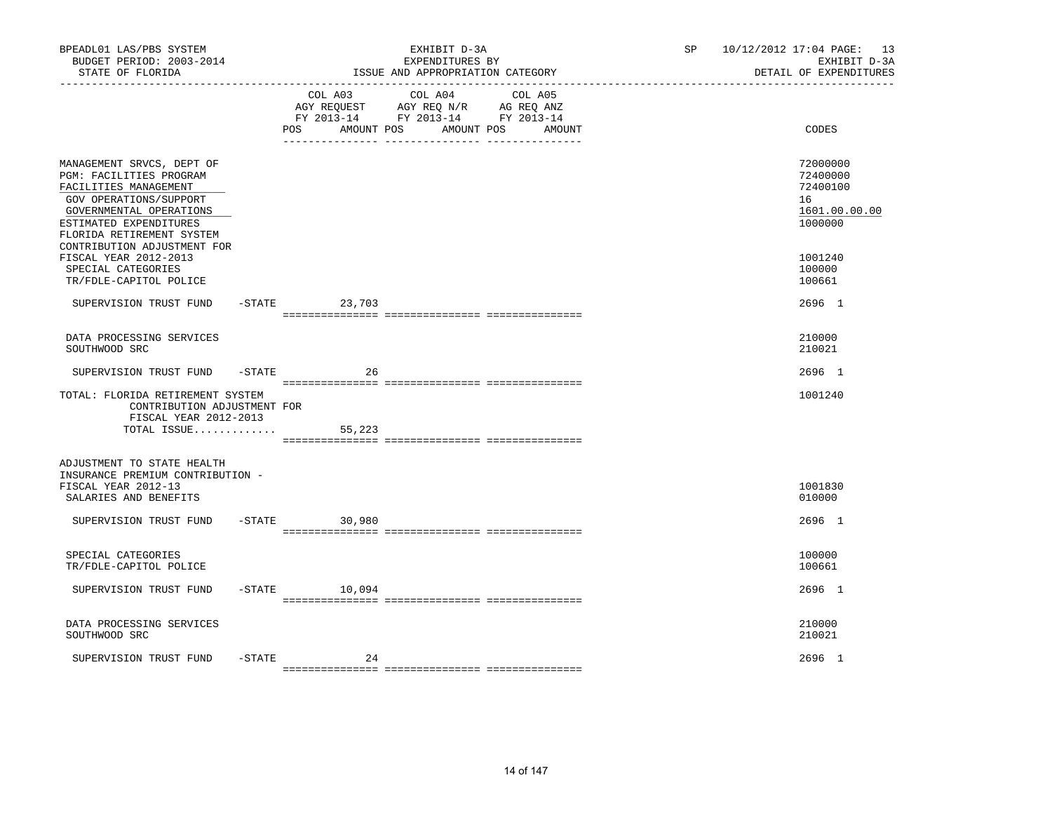| BPEADL01 LAS/PBS SYSTEM<br>BUDGET PERIOD: 2003-2014<br>STATE OF FLORIDA                                                                                                                   | EXHIBIT D-3A<br>EXPENDITURES BY<br>ISSUE AND APPROPRIATION CATEGORY                                                                                  | 10/12/2012 17:04 PAGE: 13<br>SP <sub>2</sub><br>EXHIBIT D-3A<br>DETAIL OF EXPENDITURES |
|-------------------------------------------------------------------------------------------------------------------------------------------------------------------------------------------|------------------------------------------------------------------------------------------------------------------------------------------------------|----------------------------------------------------------------------------------------|
|                                                                                                                                                                                           | COL A03<br>COL A04<br>COL A05<br>AGY REQUEST AGY REQ N/R AG REQ ANZ<br>FY 2013-14 FY 2013-14 FY 2013-14<br>AMOUNT POS<br>POS<br>AMOUNT POS<br>AMOUNT | CODES                                                                                  |
| MANAGEMENT SRVCS, DEPT OF<br>PGM: FACILITIES PROGRAM<br>FACILITIES MANAGEMENT<br>GOV OPERATIONS/SUPPORT<br>GOVERNMENTAL OPERATIONS<br>ESTIMATED EXPENDITURES<br>FLORIDA RETIREMENT SYSTEM |                                                                                                                                                      | 72000000<br>72400000<br>72400100<br>16<br>1601.00.00.00<br>1000000                     |
| CONTRIBUTION ADJUSTMENT FOR<br>FISCAL YEAR 2012-2013<br>SPECIAL CATEGORIES<br>TR/FDLE-CAPITOL POLICE                                                                                      |                                                                                                                                                      | 1001240<br>100000<br>100661                                                            |
| SUPERVISION TRUST FUND                                                                                                                                                                    | $-$ STATE<br>23,703                                                                                                                                  | 2696 1                                                                                 |
| DATA PROCESSING SERVICES<br>SOUTHWOOD SRC                                                                                                                                                 |                                                                                                                                                      | 210000<br>210021                                                                       |
| SUPERVISION TRUST FUND -STATE                                                                                                                                                             | 26                                                                                                                                                   | 2696 1                                                                                 |
| TOTAL: FLORIDA RETIREMENT SYSTEM<br>CONTRIBUTION ADJUSTMENT FOR<br>FISCAL YEAR 2012-2013<br>TOTAL ISSUE                                                                                   | 55,223                                                                                                                                               | 1001240                                                                                |
|                                                                                                                                                                                           |                                                                                                                                                      |                                                                                        |
| ADJUSTMENT TO STATE HEALTH<br>INSURANCE PREMIUM CONTRIBUTION -<br>FISCAL YEAR 2012-13<br>SALARIES AND BENEFITS                                                                            |                                                                                                                                                      | 1001830<br>010000                                                                      |
| SUPERVISION TRUST FUND -STATE 30,980                                                                                                                                                      |                                                                                                                                                      | 2696 1                                                                                 |
| SPECIAL CATEGORIES<br>TR/FDLE-CAPITOL POLICE                                                                                                                                              |                                                                                                                                                      | 100000<br>100661                                                                       |
| SUPERVISION TRUST FUND                                                                                                                                                                    | $-STATE$ 10,094                                                                                                                                      | 2696 1                                                                                 |
| DATA PROCESSING SERVICES<br>SOUTHWOOD SRC                                                                                                                                                 |                                                                                                                                                      | 210000<br>210021                                                                       |
| -STATE<br>SUPERVISION TRUST FUND                                                                                                                                                          | 24                                                                                                                                                   | 2696 1                                                                                 |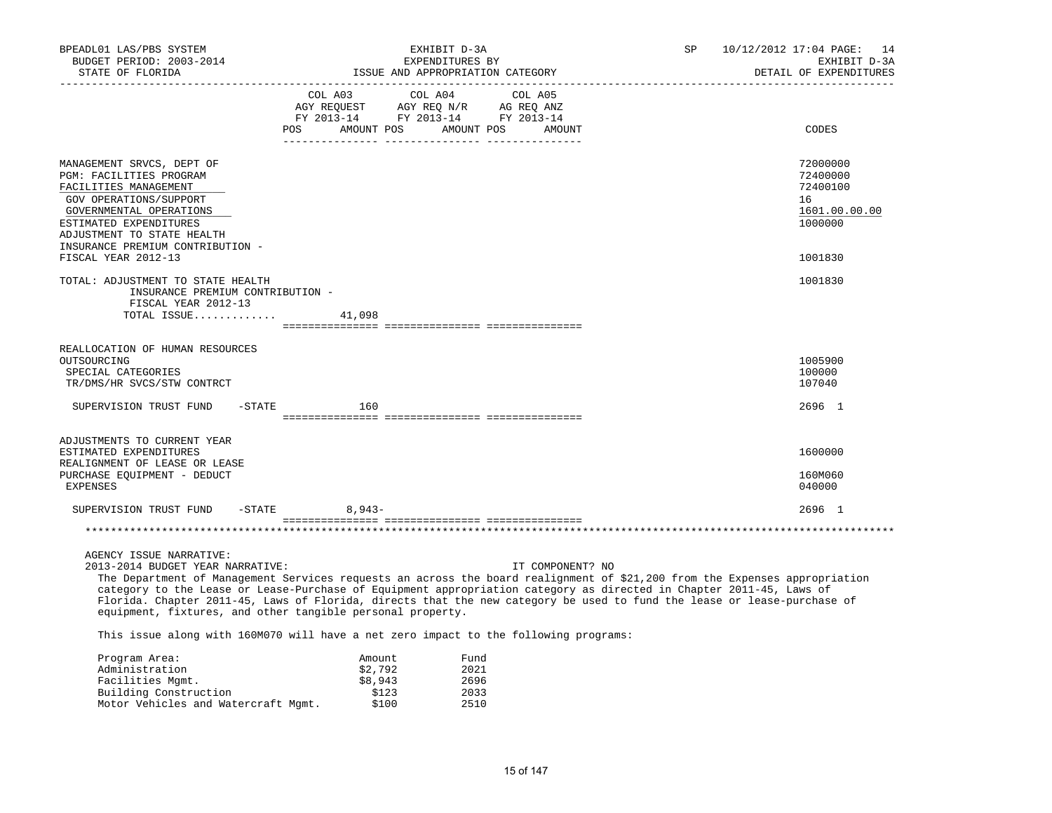| BPEADL01 LAS/PBS SYSTEM<br>BUDGET PERIOD: 2003-2014<br>STATE OF FLORIDA                                                                                                                                                                                                                                                                                                                                                                                                                                   |                  | EXHIBIT D-3A<br>EXPENDITURES BY<br>ISSUE AND APPROPRIATION CATEGORY |                                                                                                                                      |  |                  | SP | 10/12/2012 17:04 PAGE: 14<br>EXHIBIT D-3A<br>DETAIL OF EXPENDITURES           |
|-----------------------------------------------------------------------------------------------------------------------------------------------------------------------------------------------------------------------------------------------------------------------------------------------------------------------------------------------------------------------------------------------------------------------------------------------------------------------------------------------------------|------------------|---------------------------------------------------------------------|--------------------------------------------------------------------------------------------------------------------------------------|--|------------------|----|-------------------------------------------------------------------------------|
|                                                                                                                                                                                                                                                                                                                                                                                                                                                                                                           |                  |                                                                     | COL A03 COL A04 COL A05<br>NG REQUEST AGY REQ N/R AG REQ ANZ<br>FY 2013-14 FY 2013-14 FY 2013-14<br>POS AMOUNT POS AMOUNT POS AMOUNT |  |                  |    | CODES                                                                         |
|                                                                                                                                                                                                                                                                                                                                                                                                                                                                                                           |                  |                                                                     |                                                                                                                                      |  |                  |    |                                                                               |
| MANAGEMENT SRVCS, DEPT OF<br>PGM: FACILITIES PROGRAM<br>FACILITIES MANAGEMENT<br>GOV OPERATIONS/SUPPORT<br>GOVERNMENTAL OPERATIONS<br>ESTIMATED EXPENDITURES<br>ADJUSTMENT TO STATE HEALTH<br>INSURANCE PREMIUM CONTRIBUTION -<br>FISCAL YEAR 2012-13                                                                                                                                                                                                                                                     |                  |                                                                     |                                                                                                                                      |  |                  |    | 72000000<br>72400000<br>72400100<br>16<br>1601.00.00.00<br>1000000<br>1001830 |
|                                                                                                                                                                                                                                                                                                                                                                                                                                                                                                           |                  |                                                                     |                                                                                                                                      |  |                  |    |                                                                               |
| TOTAL: ADJUSTMENT TO STATE HEALTH<br>INSURANCE PREMIUM CONTRIBUTION -<br>FISCAL YEAR 2012-13<br>TOTAL ISSUE $41,098$                                                                                                                                                                                                                                                                                                                                                                                      |                  |                                                                     |                                                                                                                                      |  |                  |    | 1001830                                                                       |
| REALLOCATION OF HUMAN RESOURCES<br>OUTSOURCING<br>SPECIAL CATEGORIES<br>TR/DMS/HR SVCS/STW CONTRCT                                                                                                                                                                                                                                                                                                                                                                                                        |                  |                                                                     |                                                                                                                                      |  |                  |    | 1005900<br>100000<br>107040                                                   |
| SUPERVISION TRUST FUND<br>$-$ STATE                                                                                                                                                                                                                                                                                                                                                                                                                                                                       |                  | 160                                                                 |                                                                                                                                      |  |                  |    | 2696 1                                                                        |
| ADJUSTMENTS TO CURRENT YEAR<br>ESTIMATED EXPENDITURES<br>REALIGNMENT OF LEASE OR LEASE<br>PURCHASE EQUIPMENT - DEDUCT<br>EXPENSES                                                                                                                                                                                                                                                                                                                                                                         |                  |                                                                     |                                                                                                                                      |  |                  |    | 1600000<br>160M060<br>040000                                                  |
| SUPERVISION TRUST FUND                                                                                                                                                                                                                                                                                                                                                                                                                                                                                    | $-$ STATE 8,943- |                                                                     |                                                                                                                                      |  |                  |    | 2696 1                                                                        |
|                                                                                                                                                                                                                                                                                                                                                                                                                                                                                                           |                  |                                                                     |                                                                                                                                      |  |                  |    |                                                                               |
| AGENCY ISSUE NARRATIVE:<br>2013-2014 BUDGET YEAR NARRATIVE:<br>The Department of Management Services requests an across the board realignment of \$21,200 from the Expenses appropriation<br>category to the Lease or Lease-Purchase of Equipment appropriation category as directed in Chapter 2011-45, Laws of<br>Florida. Chapter 2011-45, Laws of Florida, directs that the new category be used to fund the lease or lease-purchase of<br>equipment, fixtures, and other tangible personal property. |                  |                                                                     |                                                                                                                                      |  | IT COMPONENT? NO |    |                                                                               |
| This issue along with 160M070 will have a net zero impact to the following programs:                                                                                                                                                                                                                                                                                                                                                                                                                      |                  |                                                                     |                                                                                                                                      |  |                  |    |                                                                               |
| Program Area:<br>Administration<br>Facilities Momt.                                                                                                                                                                                                                                                                                                                                                                                                                                                       |                  | Amount<br>\$2,792<br>\$8,943                                        | Fund<br>2021<br>2696                                                                                                                 |  |                  |    |                                                                               |

15 of 147

Building Construction 5123 5123 2033 Motor Vehicles and Watercraft Mgmt. \$100 2510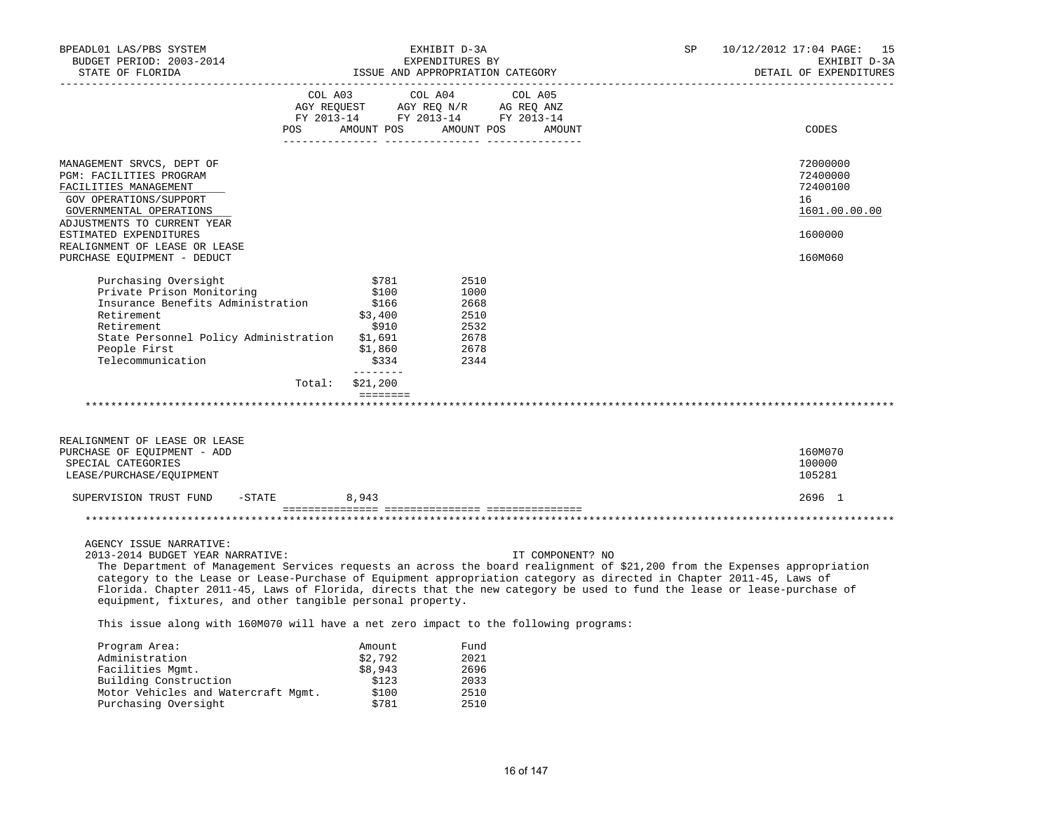| BPEADL01 LAS/PBS SYSTEM<br>BUDGET PERIOD: 2003-2014<br>STATE OF FLORIDA                                                                                                                                                                                                                                                                                                                                                                                                                                   |                    |                                                                            | EXHIBIT D-3A<br>EXPENDITURES BY                              | ISSUE AND APPROPRIATION CATEGORY            | SP | 10/12/2012 17:04 PAGE: 15<br>EXHIBIT D-3A<br>DETAIL OF EXPENDITURES |
|-----------------------------------------------------------------------------------------------------------------------------------------------------------------------------------------------------------------------------------------------------------------------------------------------------------------------------------------------------------------------------------------------------------------------------------------------------------------------------------------------------------|--------------------|----------------------------------------------------------------------------|--------------------------------------------------------------|---------------------------------------------|----|---------------------------------------------------------------------|
|                                                                                                                                                                                                                                                                                                                                                                                                                                                                                                           | AGY REOUEST<br>POS | COL A03<br>FY 2013-14 FY 2013-14 FY 2013-14<br>AMOUNT POS AMOUNT POS       | COL A04                                                      | COL A05<br>AGY REQ N/R AG REQ ANZ<br>AMOUNT |    | CODES                                                               |
|                                                                                                                                                                                                                                                                                                                                                                                                                                                                                                           |                    |                                                                            |                                                              |                                             |    |                                                                     |
| MANAGEMENT SRVCS, DEPT OF<br>PGM: FACILITIES PROGRAM<br>FACILITIES MANAGEMENT<br>GOV OPERATIONS/SUPPORT<br>GOVERNMENTAL OPERATIONS                                                                                                                                                                                                                                                                                                                                                                        |                    |                                                                            |                                                              |                                             |    | 72000000<br>72400000<br>72400100<br>16<br>1601.00.00.00             |
| ADJUSTMENTS TO CURRENT YEAR<br>ESTIMATED EXPENDITURES<br>REALIGNMENT OF LEASE OR LEASE                                                                                                                                                                                                                                                                                                                                                                                                                    |                    |                                                                            |                                                              |                                             |    | 1600000                                                             |
| PURCHASE EQUIPMENT - DEDUCT                                                                                                                                                                                                                                                                                                                                                                                                                                                                               |                    |                                                                            |                                                              |                                             |    | 160M060                                                             |
| Purchasing Oversight<br>Private Prison Monitoring<br>Insurance Benefits Administration<br>Retirement<br>Retirement<br>State Personnel Policy Administration<br>People First<br>Telecommunication                                                                                                                                                                                                                                                                                                          |                    | \$781<br>\$100<br>\$166<br>\$3,400<br>\$910<br>\$1,691<br>\$1,860<br>\$334 | 2510<br>1000<br>2668<br>2510<br>2532<br>2678<br>2678<br>2344 |                                             |    |                                                                     |
|                                                                                                                                                                                                                                                                                                                                                                                                                                                                                                           | Total:             | --------<br>\$21,200                                                       |                                                              |                                             |    |                                                                     |
|                                                                                                                                                                                                                                                                                                                                                                                                                                                                                                           |                    | $=$ = = = = = = =                                                          |                                                              |                                             |    |                                                                     |
| REALIGNMENT OF LEASE OR LEASE<br>PURCHASE OF EQUIPMENT - ADD<br>SPECIAL CATEGORIES<br>LEASE/PURCHASE/EQUIPMENT                                                                                                                                                                                                                                                                                                                                                                                            |                    |                                                                            |                                                              |                                             |    | 160M070<br>100000<br>105281                                         |
| SUPERVISION TRUST FUND<br>$-$ STATE                                                                                                                                                                                                                                                                                                                                                                                                                                                                       |                    | 8,943                                                                      |                                                              |                                             |    | 2696 1                                                              |
|                                                                                                                                                                                                                                                                                                                                                                                                                                                                                                           |                    |                                                                            |                                                              |                                             |    |                                                                     |
| AGENCY ISSUE NARRATIVE:<br>2013-2014 BUDGET YEAR NARRATIVE:<br>The Department of Management Services requests an across the board realignment of \$21,200 from the Expenses appropriation<br>category to the Lease or Lease-Purchase of Equipment appropriation category as directed in Chapter 2011-45, Laws of<br>Florida. Chapter 2011-45, Laws of Florida, directs that the new category be used to fund the lease or lease-purchase of<br>equipment, fixtures, and other tangible personal property. |                    |                                                                            |                                                              | IT COMPONENT? NO                            |    |                                                                     |
| This issue along with 160M070 will have a net zero impact to the following programs:                                                                                                                                                                                                                                                                                                                                                                                                                      |                    |                                                                            |                                                              |                                             |    |                                                                     |
| Program Area:<br>Administration<br>Facilities Mgmt.<br>- - - - -                                                                                                                                                                                                                                                                                                                                                                                                                                          |                    | Amount<br>\$2,792<br>\$8,943<br>$+100$                                     | Fund<br>2021<br>2696<br>0.022                                |                                             |    |                                                                     |

Building Construction 5123 2033<br>Motor Vehicles and Watercraft Mgmt. \$100 2510 Motor Vehicles and Watercraft Mgmt.  $\frac{$100}{$781}$  2510<br>Purchasing Oversight \$781 2510

Purchasing Oversight

16 of 147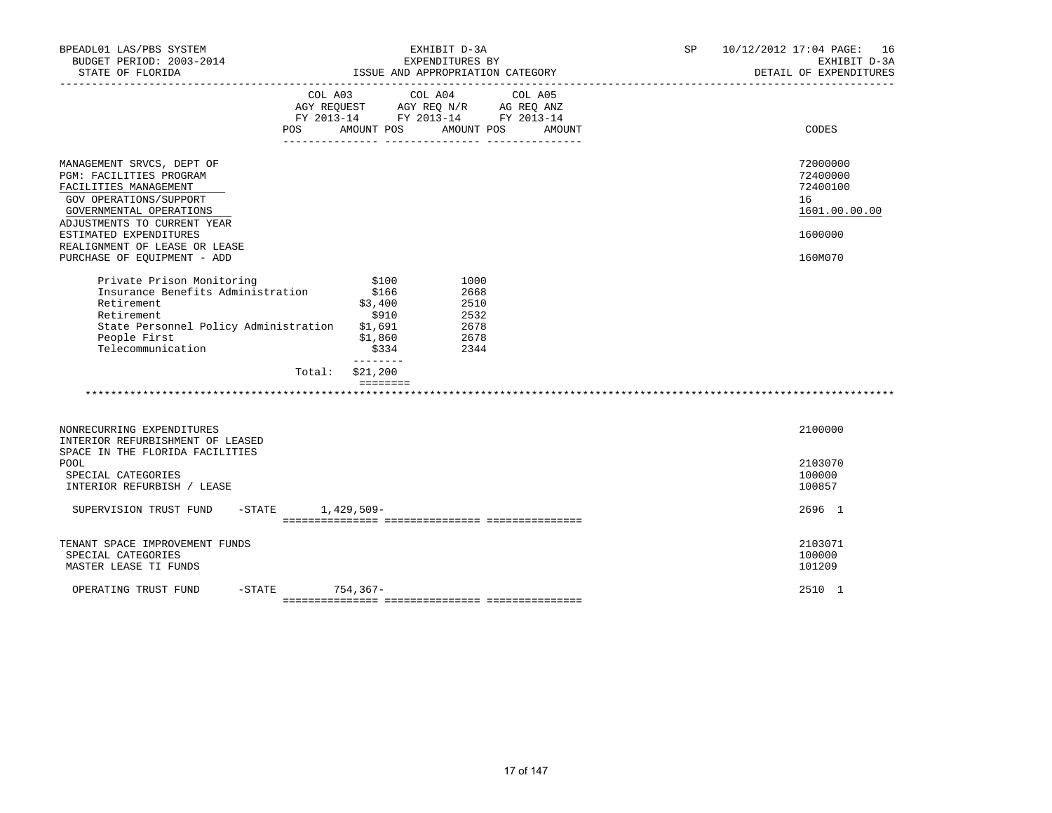| BPEADL01 LAS/PBS SYSTEM<br>BUDGET PERIOD: 2003-2014<br>STATE OF FLORIDA<br>______________________                                                                                                                                                           |                                                                               | EXHIBIT D-3A<br>EXPENDITURES BY<br>ISSUE AND APPROPRIATION CATEGORY                                                  | SP | 10/12/2012 17:04 PAGE: 16<br>EXHIBIT D-3A<br>DETAIL OF EXPENDITURES           |
|-------------------------------------------------------------------------------------------------------------------------------------------------------------------------------------------------------------------------------------------------------------|-------------------------------------------------------------------------------|----------------------------------------------------------------------------------------------------------------------|----|-------------------------------------------------------------------------------|
|                                                                                                                                                                                                                                                             | COL A03<br>POS<br>AMOUNT POS                                                  | COL A04<br>COL A05<br>AGY REQUEST AGY REQ N/R AG REQ ANZ<br>FY 2013-14 FY 2013-14 FY 2013-14<br>AMOUNT POS<br>AMOUNT |    | CODES                                                                         |
| MANAGEMENT SRVCS, DEPT OF<br>PGM: FACILITIES PROGRAM<br>FACILITIES MANAGEMENT<br>GOV OPERATIONS/SUPPORT<br>GOVERNMENTAL OPERATIONS<br>ADJUSTMENTS TO CURRENT YEAR<br>ESTIMATED EXPENDITURES<br>REALIGNMENT OF LEASE OR LEASE<br>PURCHASE OF EQUIPMENT - ADD |                                                                               |                                                                                                                      |    | 72000000<br>72400000<br>72400100<br>16<br>1601.00.00.00<br>1600000<br>160M070 |
| Private Prison Monitoring<br>Insurance Benefits Administration<br>Retirement<br>Retirement<br>State Personnel Policy Administration<br>People First<br>Telecommunication                                                                                    | \$100<br>\$166<br>\$3,400<br>\$910<br>\$1,691<br>\$1,860<br>\$334<br>________ | 1000<br>2668<br>2510<br>2532<br>2678<br>2678<br>2344                                                                 |    |                                                                               |
|                                                                                                                                                                                                                                                             | \$21,200<br>Total:<br>$=$ = = = = = = =                                       |                                                                                                                      |    |                                                                               |
| NONRECURRING EXPENDITURES<br>INTERIOR REFURBISHMENT OF LEASED<br>SPACE IN THE FLORIDA FACILITIES                                                                                                                                                            |                                                                               |                                                                                                                      |    | 2100000                                                                       |
| POOL<br>SPECIAL CATEGORIES<br>INTERIOR REFURBISH / LEASE                                                                                                                                                                                                    |                                                                               |                                                                                                                      |    | 2103070<br>100000<br>100857                                                   |
| SUPERVISION TRUST FUND                                                                                                                                                                                                                                      | $-STATE$ 1,429,509-                                                           |                                                                                                                      |    | 2696 1                                                                        |
| TENANT SPACE IMPROVEMENT FUNDS<br>SPECIAL CATEGORIES<br>MASTER LEASE TI FUNDS                                                                                                                                                                               |                                                                               |                                                                                                                      |    | 2103071<br>100000<br>101209                                                   |
| OPERATING TRUST FUND                                                                                                                                                                                                                                        | -STATE 754,367-                                                               |                                                                                                                      |    | 2510 1                                                                        |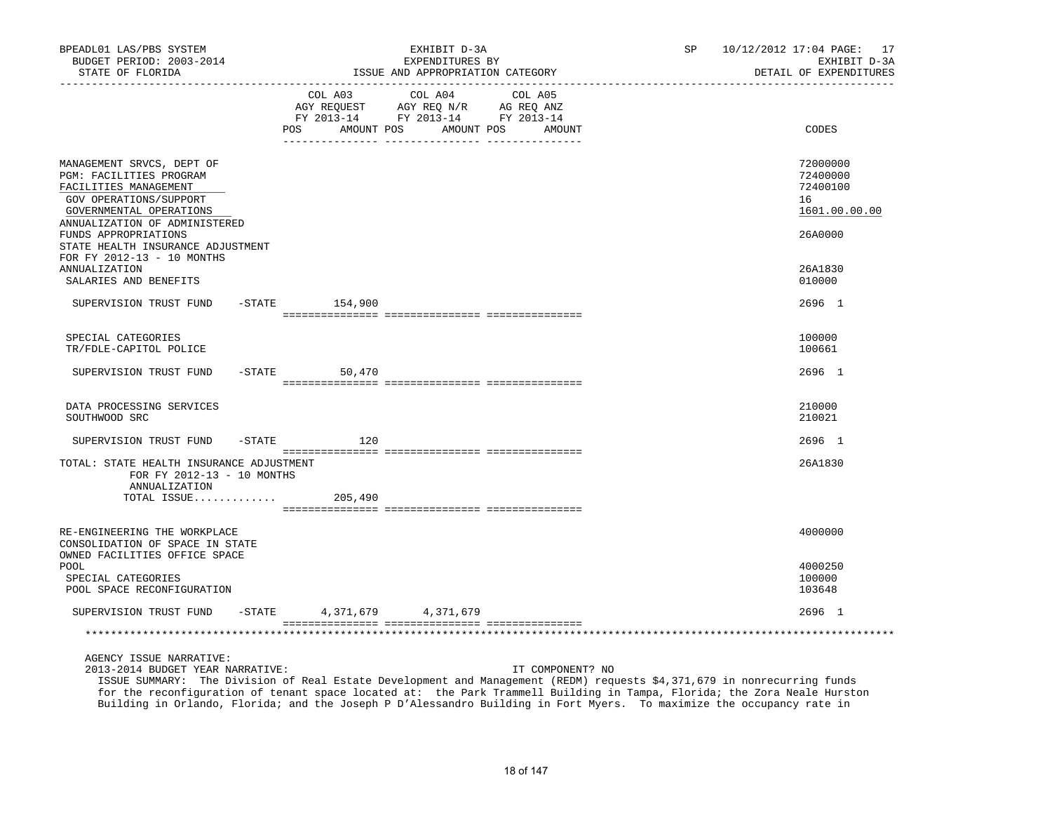| BPEADL01 LAS/PBS SYSTEM<br>BUDGET PERIOD: 2003-2014<br>STATE OF FLORIDA                                                                                             |                                                                                                        | EXHIBIT D-3A<br>EXPENDITURES BY<br>ISSUE AND APPROPRIATION CATEGORY | SP and the set of the set of the set of the set of the set of the set of the set of the set of the set of the set of the set of the set of the set of the set of the set of the set of the set of the set of the set of the se | 10/12/2012 17:04 PAGE: 17<br>EXHIBIT D-3A<br>DETAIL OF EXPENDITURES |                                                         |
|---------------------------------------------------------------------------------------------------------------------------------------------------------------------|--------------------------------------------------------------------------------------------------------|---------------------------------------------------------------------|--------------------------------------------------------------------------------------------------------------------------------------------------------------------------------------------------------------------------------|---------------------------------------------------------------------|---------------------------------------------------------|
|                                                                                                                                                                     | COL A03<br>AGY REQUEST AGY REQ N/R AG REQ ANZ<br>FY 2013-14 FY 2013-14 FY 2013-14<br>POS<br>AMOUNT POS | COL A04                                                             | COL A05<br>AMOUNT POS<br>AMOUNT                                                                                                                                                                                                |                                                                     | CODES                                                   |
| MANAGEMENT SRVCS, DEPT OF<br>PGM: FACILITIES PROGRAM<br>FACILITIES MANAGEMENT<br>GOV OPERATIONS/SUPPORT<br>GOVERNMENTAL OPERATIONS<br>ANNUALIZATION OF ADMINISTERED |                                                                                                        |                                                                     |                                                                                                                                                                                                                                |                                                                     | 72000000<br>72400000<br>72400100<br>16<br>1601.00.00.00 |
| FUNDS APPROPRIATIONS<br>STATE HEALTH INSURANCE ADJUSTMENT<br>FOR FY 2012-13 - 10 MONTHS                                                                             |                                                                                                        |                                                                     |                                                                                                                                                                                                                                |                                                                     | 26A0000                                                 |
| <b>ANNUALIZATION</b><br>SALARIES AND BENEFITS                                                                                                                       |                                                                                                        |                                                                     |                                                                                                                                                                                                                                |                                                                     | 26A1830<br>010000                                       |
| SUPERVISION TRUST FUND - STATE 154,900                                                                                                                              |                                                                                                        |                                                                     |                                                                                                                                                                                                                                |                                                                     | 2696 1                                                  |
| SPECIAL CATEGORIES<br>TR/FDLE-CAPITOL POLICE                                                                                                                        |                                                                                                        |                                                                     |                                                                                                                                                                                                                                |                                                                     | 100000<br>100661                                        |
| SUPERVISION TRUST FUND                                                                                                                                              | $-$ STATE<br>50,470                                                                                    |                                                                     |                                                                                                                                                                                                                                |                                                                     | 2696 1                                                  |
| DATA PROCESSING SERVICES<br>SOUTHWOOD SRC                                                                                                                           |                                                                                                        |                                                                     |                                                                                                                                                                                                                                |                                                                     | 210000<br>210021                                        |
| SUPERVISION TRUST FUND                                                                                                                                              | $-STATE$<br>120                                                                                        |                                                                     |                                                                                                                                                                                                                                |                                                                     | $2696$ 1                                                |
| TOTAL: STATE HEALTH INSURANCE ADJUSTMENT<br>FOR FY 2012-13 - 10 MONTHS<br>ANNUALIZATION                                                                             |                                                                                                        |                                                                     |                                                                                                                                                                                                                                |                                                                     | 26A1830                                                 |
| TOTAL ISSUE                                                                                                                                                         | 205,490                                                                                                |                                                                     |                                                                                                                                                                                                                                |                                                                     |                                                         |
| RE-ENGINEERING THE WORKPLACE<br>CONSOLIDATION OF SPACE IN STATE                                                                                                     |                                                                                                        |                                                                     |                                                                                                                                                                                                                                |                                                                     | 4000000                                                 |
| OWNED FACILITIES OFFICE SPACE<br><b>POOL</b><br>SPECIAL CATEGORIES<br>POOL SPACE RECONFIGURATION                                                                    |                                                                                                        |                                                                     |                                                                                                                                                                                                                                |                                                                     | 4000250<br>100000<br>103648                             |
| SUPERVISION TRUST FUND                                                                                                                                              | $-$ STATE                                                                                              | 4, 371, 679 4, 371, 679                                             |                                                                                                                                                                                                                                |                                                                     | 2696 1                                                  |
|                                                                                                                                                                     |                                                                                                        |                                                                     |                                                                                                                                                                                                                                |                                                                     |                                                         |
| AGENCY ISSUE NARRATIVE:                                                                                                                                             |                                                                                                        |                                                                     |                                                                                                                                                                                                                                |                                                                     |                                                         |

2013-2014 BUDGET YEAR NARRATIVE: IT COMPONENT? NO

 ISSUE SUMMARY: The Division of Real Estate Development and Management (REDM) requests \$4,371,679 in nonrecurring funds for the reconfiguration of tenant space located at: the Park Trammell Building in Tampa, Florida; the Zora Neale Hurston Building in Orlando, Florida; and the Joseph P D'Alessandro Building in Fort Myers. To maximize the occupancy rate in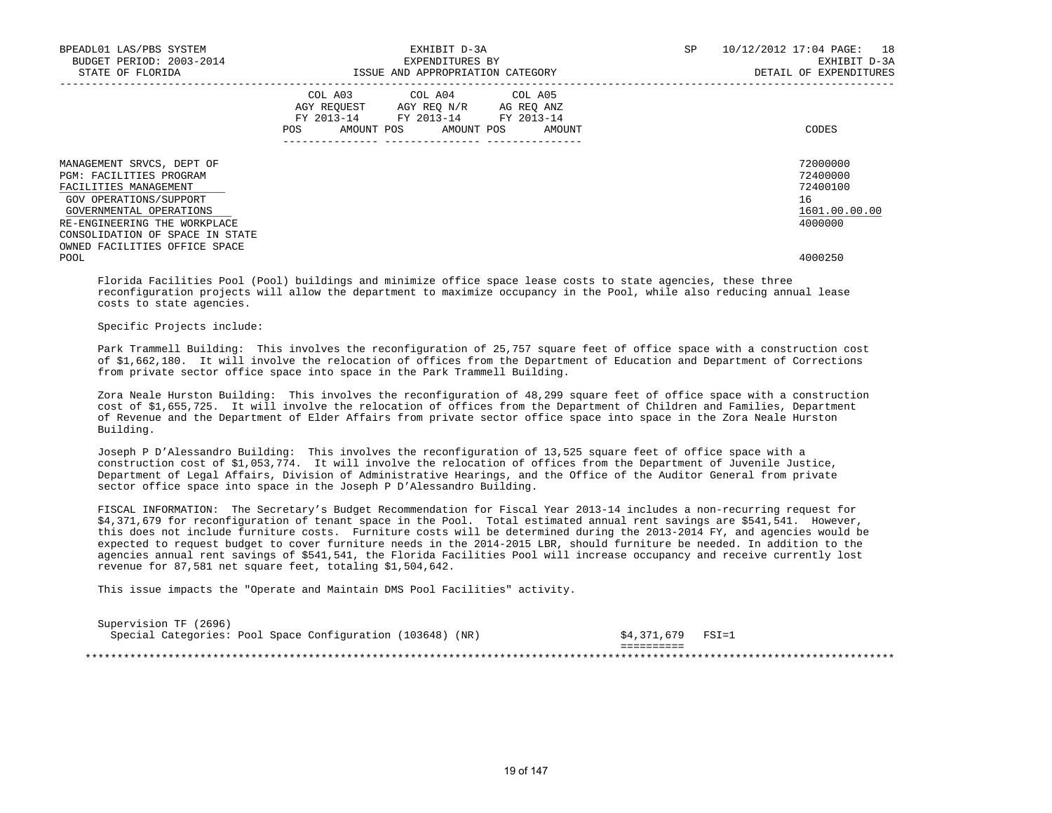| BPEADL01 LAS/PBS SYSTEM<br>BUDGET PERIOD: 2003-2014<br>STATE OF FLORIDA                                                                                            |     | EXHIBIT D-3A<br>EXPENDITURES BY<br>ISSUE AND APPROPRIATION CATEGORY                                                                  | SP | 10/12/2012 17:04 PAGE:<br>18<br>EXHIBIT D-3A<br>DETAIL OF EXPENDITURES |
|--------------------------------------------------------------------------------------------------------------------------------------------------------------------|-----|--------------------------------------------------------------------------------------------------------------------------------------|----|------------------------------------------------------------------------|
|                                                                                                                                                                    | POS | COL A03 COL A04 COL A05<br>AGY REQUEST AGY REO N/R AG REO ANZ<br>FY 2013-14 FY 2013-14 FY 2013-14<br>AMOUNT POS AMOUNT POS<br>AMOUNT |    | CODES                                                                  |
| MANAGEMENT SRVCS, DEPT OF<br>PGM: FACILITIES PROGRAM<br>FACILITIES MANAGEMENT<br>GOV OPERATIONS/SUPPORT<br>GOVERNMENTAL OPERATIONS<br>RE-ENGINEERING THE WORKPLACE |     |                                                                                                                                      |    | 72000000<br>72400000<br>72400100<br>16<br>1601.00.00.00<br>4000000     |
| CONSOLIDATION OF SPACE IN STATE<br>OWNED FACILITIES OFFICE SPACE<br>POOL                                                                                           |     |                                                                                                                                      |    | 4000250                                                                |

 Florida Facilities Pool (Pool) buildings and minimize office space lease costs to state agencies, these three reconfiguration projects will allow the department to maximize occupancy in the Pool, while also reducing annual lease costs to state agencies.

Specific Projects include:

 Park Trammell Building: This involves the reconfiguration of 25,757 square feet of office space with a construction cost of \$1,662,180. It will involve the relocation of offices from the Department of Education and Department of Corrections from private sector office space into space in the Park Trammell Building.

 Zora Neale Hurston Building: This involves the reconfiguration of 48,299 square feet of office space with a construction cost of \$1,655,725. It will involve the relocation of offices from the Department of Children and Families, Department of Revenue and the Department of Elder Affairs from private sector office space into space in the Zora Neale Hurston Building.

 Joseph P D'Alessandro Building: This involves the reconfiguration of 13,525 square feet of office space with a construction cost of \$1,053,774. It will involve the relocation of offices from the Department of Juvenile Justice, Department of Legal Affairs, Division of Administrative Hearings, and the Office of the Auditor General from private sector office space into space in the Joseph P D'Alessandro Building.

 FISCAL INFORMATION: The Secretary's Budget Recommendation for Fiscal Year 2013-14 includes a non-recurring request for \$4,371,679 for reconfiguration of tenant space in the Pool. Total estimated annual rent savings are \$541,541. However, this does not include furniture costs. Furniture costs will be determined during the 2013-2014 FY, and agencies would be expected to request budget to cover furniture needs in the 2014-2015 LBR, should furniture be needed. In addition to the agencies annual rent savings of \$541,541, the Florida Facilities Pool will increase occupancy and receive currently lost revenue for 87,581 net square feet, totaling \$1,504,642.

This issue impacts the "Operate and Maintain DMS Pool Facilities" activity.

| Supervision TF (2696)<br>Special Categories: Pool Space Configuration (103648) (NR) | \$4,371,679 FSI=1 |  |
|-------------------------------------------------------------------------------------|-------------------|--|
|                                                                                     |                   |  |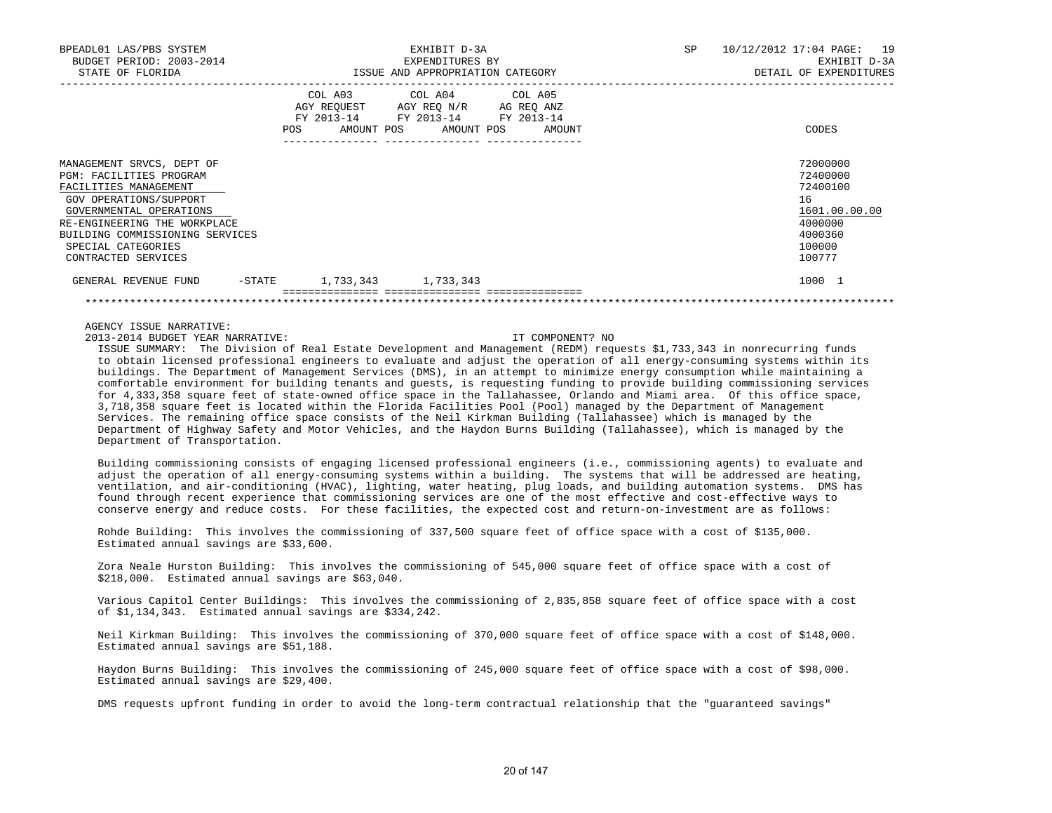| BPEADL01 LAS/PBS SYSTEM<br>BUDGET PERIOD: 2003-2014<br>STATE OF FLORIDA                                                                                                                                                                                   |                                                         | EXHIBIT D-3A<br>EXPENDITURES BY<br>ISSUE AND APPROPRIATION CATEGORY                       | SP | 10/12/2012 17:04 PAGE: 19<br>EXHIBIT D-3A<br>DETAIL OF EXPENDITURES                               |
|-----------------------------------------------------------------------------------------------------------------------------------------------------------------------------------------------------------------------------------------------------------|---------------------------------------------------------|-------------------------------------------------------------------------------------------|----|---------------------------------------------------------------------------------------------------|
|                                                                                                                                                                                                                                                           | COL A03<br>AGY REQUEST AGY REQ N/R<br>POS<br>AMOUNT POS | COL A04 COL A05<br>AG REO ANZ<br>FY 2013-14 FY 2013-14 FY 2013-14<br>AMOUNT POS<br>AMOUNT |    | CODES                                                                                             |
| MANAGEMENT SRVCS, DEPT OF<br><b>PGM: FACILITIES PROGRAM</b><br>FACILITIES MANAGEMENT<br>GOV OPERATIONS/SUPPORT<br>GOVERNMENTAL OPERATIONS<br>RE-ENGINEERING THE WORKPLACE<br>BUILDING COMMISSIONING SERVICES<br>SPECIAL CATEGORIES<br>CONTRACTED SERVICES |                                                         |                                                                                           |    | 72000000<br>72400000<br>72400100<br>16<br>1601.00.00.00<br>4000000<br>4000360<br>100000<br>100777 |
| $-$ STATE<br>GENERAL REVENUE FUND                                                                                                                                                                                                                         | 1,733,343 1,733,343                                     |                                                                                           |    | 1000 1                                                                                            |
|                                                                                                                                                                                                                                                           |                                                         |                                                                                           |    |                                                                                                   |

AGENCY ISSUE NARRATIVE:

2013-2014 BUDGET YEAR NARRATIVE: IT COMPONENT? NO

 ISSUE SUMMARY: The Division of Real Estate Development and Management (REDM) requests \$1,733,343 in nonrecurring funds to obtain licensed professional engineers to evaluate and adjust the operation of all energy-consuming systems within its buildings. The Department of Management Services (DMS), in an attempt to minimize energy consumption while maintaining a comfortable environment for building tenants and guests, is requesting funding to provide building commissioning services for 4,333,358 square feet of state-owned office space in the Tallahassee, Orlando and Miami area. Of this office space, 3,718,358 square feet is located within the Florida Facilities Pool (Pool) managed by the Department of Management Services. The remaining office space consists of the Neil Kirkman Building (Tallahassee) which is managed by the Department of Highway Safety and Motor Vehicles, and the Haydon Burns Building (Tallahassee), which is managed by the Department of Transportation.

 Building commissioning consists of engaging licensed professional engineers (i.e., commissioning agents) to evaluate and adjust the operation of all energy-consuming systems within a building. The systems that will be addressed are heating, ventilation, and air-conditioning (HVAC), lighting, water heating, plug loads, and building automation systems. DMS has found through recent experience that commissioning services are one of the most effective and cost-effective ways to conserve energy and reduce costs. For these facilities, the expected cost and return-on-investment are as follows:

 Rohde Building: This involves the commissioning of 337,500 square feet of office space with a cost of \$135,000. Estimated annual savings are \$33,600.

 Zora Neale Hurston Building: This involves the commissioning of 545,000 square feet of office space with a cost of \$218,000. Estimated annual savings are \$63,040.

 Various Capitol Center Buildings: This involves the commissioning of 2,835,858 square feet of office space with a cost of \$1,134,343. Estimated annual savings are \$334,242.

 Neil Kirkman Building: This involves the commissioning of 370,000 square feet of office space with a cost of \$148,000. Estimated annual savings are \$51,188.

 Haydon Burns Building: This involves the commissioning of 245,000 square feet of office space with a cost of \$98,000. Estimated annual savings are \$29,400.

DMS requests upfront funding in order to avoid the long-term contractual relationship that the "guaranteed savings"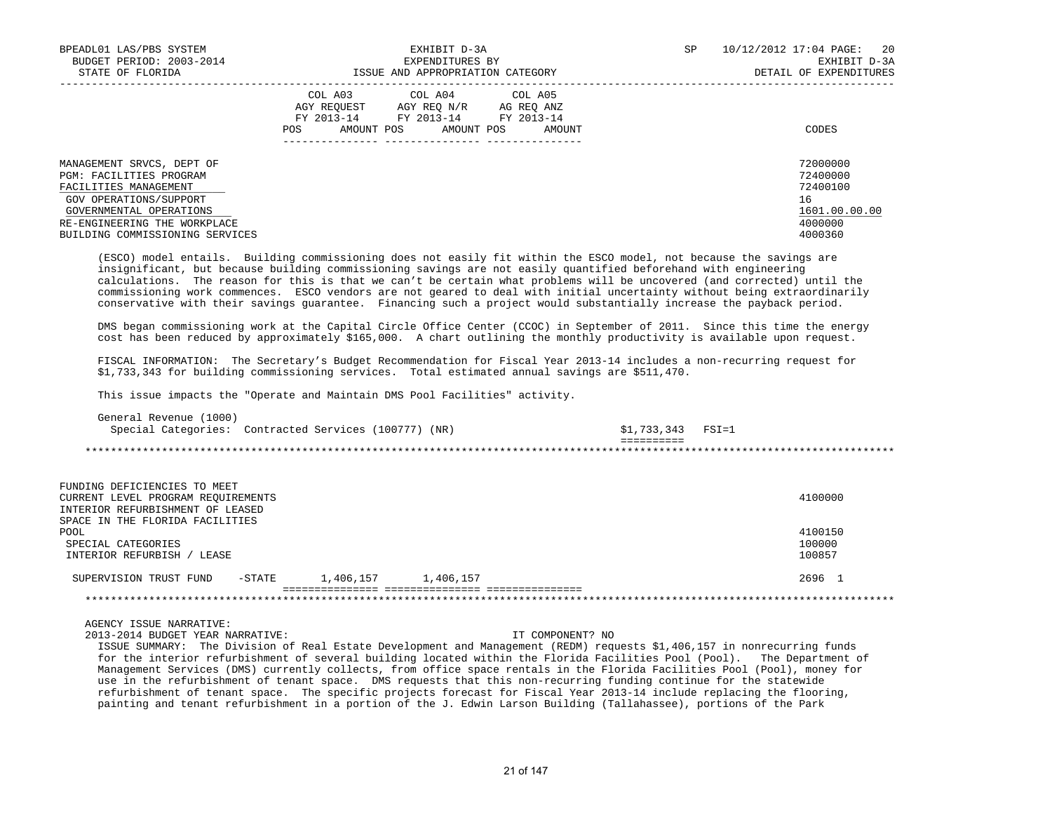| BPEADL01 LAS/PBS SYSTEM<br>BUDGET PERIOD: 2003-2014<br>STATE OF FLORIDA                                                                                                                                      | EXHIBIT D-3A<br>EXPENDITURES BY<br>ISSUE AND APPROPRIATION CATEGORY                                                                               | 20<br>SP<br>10/12/2012 17:04 PAGE:<br>EXHIBIT D-3A<br>DETAIL OF EXPENDITURES  |
|--------------------------------------------------------------------------------------------------------------------------------------------------------------------------------------------------------------|---------------------------------------------------------------------------------------------------------------------------------------------------|-------------------------------------------------------------------------------|
|                                                                                                                                                                                                              | COL A03 COL A04 COL A05<br>AGY REOUEST<br>AGY REO N/R AG REO ANZ<br>FY 2013-14 FY 2013-14 FY 2013-14<br>AMOUNT POS<br>AMOUNT POS<br>POS<br>AMOUNT | CODES                                                                         |
| MANAGEMENT SRVCS, DEPT OF<br><b>PGM: FACILITIES PROGRAM</b><br>FACILITIES MANAGEMENT<br>GOV OPERATIONS/SUPPORT<br>GOVERNMENTAL OPERATIONS<br>RE-ENGINEERING THE WORKPLACE<br>BUILDING COMMISSIONING SERVICES |                                                                                                                                                   | 72000000<br>72400000<br>72400100<br>16<br>1601.00.00.00<br>4000000<br>4000360 |

 (ESCO) model entails. Building commissioning does not easily fit within the ESCO model, not because the savings are insignificant, but because building commissioning savings are not easily quantified beforehand with engineering calculations. The reason for this is that we can't be certain what problems will be uncovered (and corrected) until the commissioning work commences. ESCO vendors are not geared to deal with initial uncertainty without being extraordinarily conservative with their savings guarantee. Financing such a project would substantially increase the payback period.

 DMS began commissioning work at the Capital Circle Office Center (CCOC) in September of 2011. Since this time the energy cost has been reduced by approximately \$165,000. A chart outlining the monthly productivity is available upon request.

 FISCAL INFORMATION: The Secretary's Budget Recommendation for Fiscal Year 2013-14 includes a non-recurring request for \$1,733,343 for building commissioning services. Total estimated annual savings are \$511,470.

This issue impacts the "Operate and Maintain DMS Pool Facilities" activity.

| General Revenue (1000) |                                                       |                      |  |
|------------------------|-------------------------------------------------------|----------------------|--|
|                        | Special Categories: Contracted Services (100777) (NR) | $$1,733,343$ $FSI=1$ |  |
|                        |                                                       |                      |  |
|                        |                                                       |                      |  |

| FUNDING DEFICIENCIES TO MEET                               |         |  |  |  |  |
|------------------------------------------------------------|---------|--|--|--|--|
| CURRENT LEVEL PROGRAM REQUIREMENTS                         | 4100000 |  |  |  |  |
| INTERIOR REFURBISHMENT OF LEASED                           |         |  |  |  |  |
| SPACE IN THE FLORIDA FACILITIES                            |         |  |  |  |  |
| POOL                                                       | 4100150 |  |  |  |  |
| SPECIAL CATEGORIES                                         | 100000  |  |  |  |  |
| INTERIOR REFURBISH /<br>LEASE                              | 100857  |  |  |  |  |
| 1,406,157<br>1,406,157<br>-STATE<br>SUPERVISION TRUST FUND | 2696 1  |  |  |  |  |
|                                                            |         |  |  |  |  |

AGENCY ISSUE NARRATIVE:

2013-2014 BUDGET YEAR NARRATIVE: IT COMPONENT? NO

 ISSUE SUMMARY: The Division of Real Estate Development and Management (REDM) requests \$1,406,157 in nonrecurring funds for the interior refurbishment of several building located within the Florida Facilities Pool (Pool). The Department of Management Services (DMS) currently collects, from office space rentals in the Florida Facilities Pool (Pool), money for use in the refurbishment of tenant space. DMS requests that this non-recurring funding continue for the statewide refurbishment of tenant space. The specific projects forecast for Fiscal Year 2013-14 include replacing the flooring, painting and tenant refurbishment in a portion of the J. Edwin Larson Building (Tallahassee), portions of the Park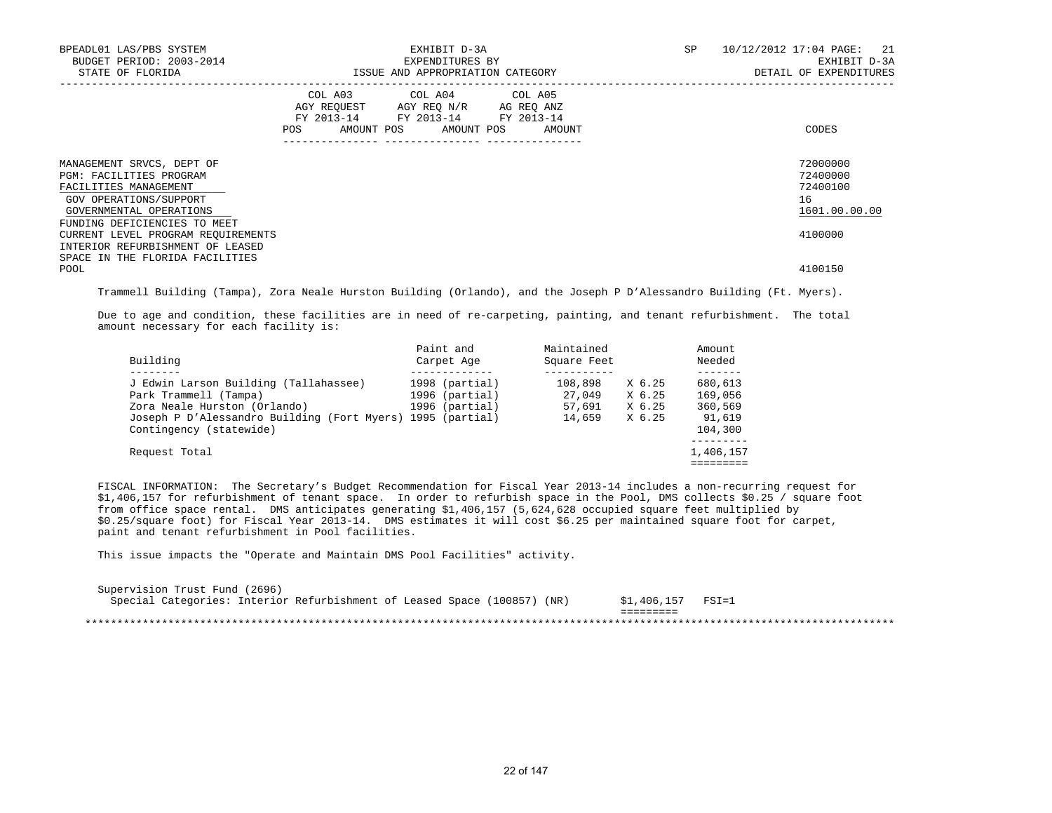| BPEADL01 LAS/PBS SYSTEM<br>BUDGET PERIOD: 2003-2014<br>STATE OF FLORIDA                                                                           | EXHIBIT D-3A<br>EXPENDITURES BY<br>ISSUE AND APPROPRIATION CATEGORY |                                                                                                                            |        | SP | 10/12/2012 17:04 PAGE:<br>21<br>EXHIBIT D-3A<br>DETAIL OF EXPENDITURES |
|---------------------------------------------------------------------------------------------------------------------------------------------------|---------------------------------------------------------------------|----------------------------------------------------------------------------------------------------------------------------|--------|----|------------------------------------------------------------------------|
|                                                                                                                                                   | POS                                                                 | COL A03 COL A04 COL A05<br>AGY REQUEST AGY REQ N/R AG REQ ANZ<br>FY 2013-14 FY 2013-14 FY 2013-14<br>AMOUNT POS AMOUNT POS | AMOUNT |    | CODES                                                                  |
| MANAGEMENT SRVCS, DEPT OF<br><b>PGM: FACILITIES PROGRAM</b><br>FACILITIES MANAGEMENT<br>GOV OPERATIONS/SUPPORT<br>GOVERNMENTAL OPERATIONS         |                                                                     |                                                                                                                            |        |    | 72000000<br>72400000<br>72400100<br>16<br>1601.00.00.00                |
| FUNDING DEFICIENCIES TO MEET<br>CURRENT LEVEL PROGRAM REOUIREMENTS<br>INTERIOR REFURBISHMENT OF LEASED<br>SPACE IN THE FLORIDA FACILITIES<br>POOL |                                                                     |                                                                                                                            |        |    | 4100000<br>4100150                                                     |

Trammell Building (Tampa), Zora Neale Hurston Building (Orlando), and the Joseph P D'Alessandro Building (Ft. Myers).

 Due to age and condition, these facilities are in need of re-carpeting, painting, and tenant refurbishment. The total amount necessary for each facility is:

| Building                                                                                                                                                                                | Paint and<br>Carpet Age                            | Maintained<br>Square Feet             |                                      | Amount<br>Needed                                   |
|-----------------------------------------------------------------------------------------------------------------------------------------------------------------------------------------|----------------------------------------------------|---------------------------------------|--------------------------------------|----------------------------------------------------|
| J Edwin Larson Building (Tallahassee)<br>Park Trammell (Tampa)<br>Zora Neale Hurston (Orlando)<br>Joseph P D'Alessandro Building (Fort Myers) 1995 (partial)<br>Contingency (statewide) | 1998 (partial)<br>1996 (partial)<br>1996 (partial) | 108,898<br>27,049<br>57,691<br>14,659 | X 6.25<br>X 6.25<br>X 6.25<br>X 6.25 | 680,613<br>169,056<br>360,569<br>91,619<br>104,300 |
| Request Total                                                                                                                                                                           |                                                    |                                       |                                      | 1,406,157                                          |

 FISCAL INFORMATION: The Secretary's Budget Recommendation for Fiscal Year 2013-14 includes a non-recurring request for \$1,406,157 for refurbishment of tenant space. In order to refurbish space in the Pool, DMS collects \$0.25 / square foot from office space rental. DMS anticipates generating \$1,406,157 (5,624,628 occupied square feet multiplied by \$0.25/square foot) for Fiscal Year 2013-14. DMS estimates it will cost \$6.25 per maintained square foot for carpet, paint and tenant refurbishment in Pool facilities.

This issue impacts the "Operate and Maintain DMS Pool Facilities" activity.

| Supervision Trust Fund (2696)                                            |  |  |  |                   |  |
|--------------------------------------------------------------------------|--|--|--|-------------------|--|
| Special Categories: Interior Refurbishment of Leased Space (100857) (NR) |  |  |  | \$1,406,157 FSI=1 |  |
|                                                                          |  |  |  |                   |  |
|                                                                          |  |  |  |                   |  |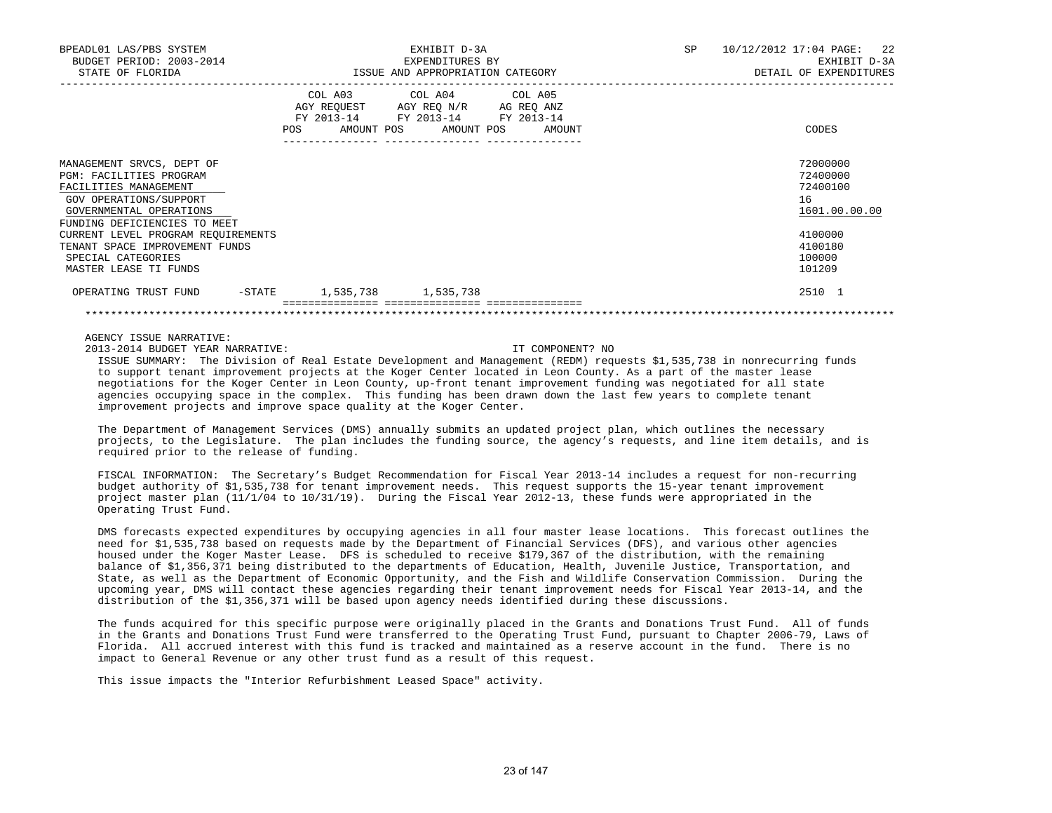| BPEADL01 LAS/PBS SYSTEM<br>BUDGET PERIOD: 2003-2014                                                                                                 |                     | EXHIBIT D-3A<br>EXPENDITURES BY                                                                                           | <b>SP</b> | 10/12/2012 17:04 PAGE: 22<br>EXHIBIT D-3A               |
|-----------------------------------------------------------------------------------------------------------------------------------------------------|---------------------|---------------------------------------------------------------------------------------------------------------------------|-----------|---------------------------------------------------------|
| STATE OF FLORIDA                                                                                                                                    |                     | ISSUE AND APPROPRIATION CATEGORY                                                                                          |           | DETAIL OF EXPENDITURES                                  |
|                                                                                                                                                     | FY 2013-14<br>POS   | COL A03 COL A04 COL A05<br>AGY REQUEST AGY REQ N/R AG REQ ANZ<br>FY 2013-14 FY 2013-14<br>AMOUNT POS AMOUNT POS<br>AMOUNT |           | CODES                                                   |
| MANAGEMENT SRVCS, DEPT OF<br><b>PGM: FACILITIES PROGRAM</b><br>FACILITIES MANAGEMENT<br>GOV OPERATIONS/SUPPORT<br>GOVERNMENTAL OPERATIONS           |                     |                                                                                                                           |           | 72000000<br>72400000<br>72400100<br>16<br>1601.00.00.00 |
| FUNDING DEFICIENCIES TO MEET<br>CURRENT LEVEL PROGRAM REQUIREMENTS<br>TENANT SPACE IMPROVEMENT FUNDS<br>SPECIAL CATEGORIES<br>MASTER LEASE TI FUNDS |                     |                                                                                                                           |           | 4100000<br>4100180<br>100000<br>101209                  |
| -STATE<br>OPERATING TRUST FUND                                                                                                                      | 1,535,738 1,535,738 |                                                                                                                           |           | 2510 1                                                  |
|                                                                                                                                                     |                     |                                                                                                                           |           |                                                         |

## AGENCY ISSUE NARRATIVE:

2013-2014 BUDGET YEAR NARRATIVE: IT COMPONENT? NO

 ISSUE SUMMARY: The Division of Real Estate Development and Management (REDM) requests \$1,535,738 in nonrecurring funds to support tenant improvement projects at the Koger Center located in Leon County. As a part of the master lease negotiations for the Koger Center in Leon County, up-front tenant improvement funding was negotiated for all state agencies occupying space in the complex. This funding has been drawn down the last few years to complete tenant improvement projects and improve space quality at the Koger Center.

 The Department of Management Services (DMS) annually submits an updated project plan, which outlines the necessary projects, to the Legislature. The plan includes the funding source, the agency's requests, and line item details, and is required prior to the release of funding.

 FISCAL INFORMATION: The Secretary's Budget Recommendation for Fiscal Year 2013-14 includes a request for non-recurring budget authority of \$1,535,738 for tenant improvement needs. This request supports the 15-year tenant improvement project master plan (11/1/04 to 10/31/19). During the Fiscal Year 2012-13, these funds were appropriated in the Operating Trust Fund.

 DMS forecasts expected expenditures by occupying agencies in all four master lease locations. This forecast outlines the need for \$1,535,738 based on requests made by the Department of Financial Services (DFS), and various other agencies housed under the Koger Master Lease. DFS is scheduled to receive \$179,367 of the distribution, with the remaining balance of \$1,356,371 being distributed to the departments of Education, Health, Juvenile Justice, Transportation, and State, as well as the Department of Economic Opportunity, and the Fish and Wildlife Conservation Commission. During the upcoming year, DMS will contact these agencies regarding their tenant improvement needs for Fiscal Year 2013-14, and the distribution of the \$1,356,371 will be based upon agency needs identified during these discussions.

 The funds acquired for this specific purpose were originally placed in the Grants and Donations Trust Fund. All of funds in the Grants and Donations Trust Fund were transferred to the Operating Trust Fund, pursuant to Chapter 2006-79, Laws of Florida. All accrued interest with this fund is tracked and maintained as a reserve account in the fund. There is no impact to General Revenue or any other trust fund as a result of this request.

This issue impacts the "Interior Refurbishment Leased Space" activity.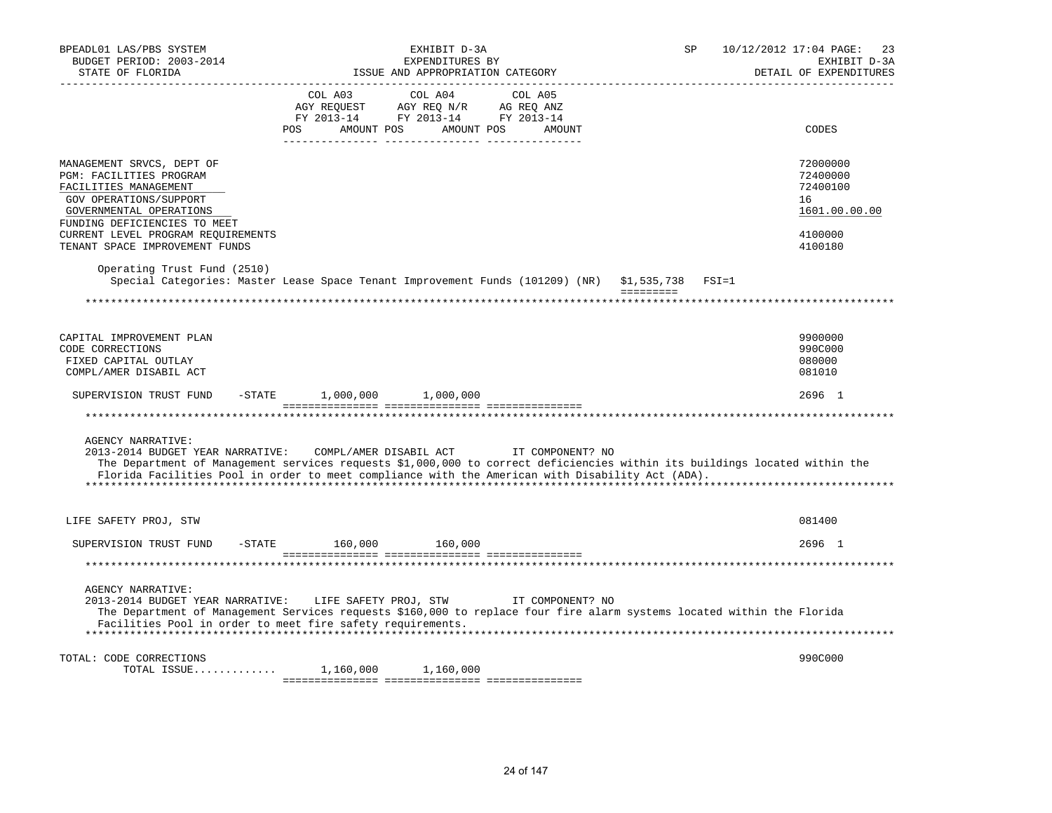| BPEADL01 LAS/PBS SYSTEM<br>BUDGET PERIOD: 2003-2014<br>STATE OF FLORIDA                                                                                                                                  | EXHIBIT D-3A<br>EXPENDITURES BY<br>ISSUE AND APPROPRIATION CATEGORY                                                                                                                                                                                             | <b>SP</b><br>10/12/2012 17:04 PAGE:<br>23<br>EXHIBIT D-3A<br>DETAIL OF EXPENDITURES                                        |
|----------------------------------------------------------------------------------------------------------------------------------------------------------------------------------------------------------|-----------------------------------------------------------------------------------------------------------------------------------------------------------------------------------------------------------------------------------------------------------------|----------------------------------------------------------------------------------------------------------------------------|
|                                                                                                                                                                                                          | COL A03<br>COL A04 COL A05<br>AGY REQUEST AGY REQ N/R AG REQ ANZ<br>FY 2013-14 FY 2013-14 FY 2013-14<br><b>POS</b><br>AMOUNT POS AMOUNT POS AMOUNT                                                                                                              | CODES                                                                                                                      |
| MANAGEMENT SRVCS, DEPT OF<br>PGM: FACILITIES PROGRAM<br>FACILITIES MANAGEMENT<br>GOV OPERATIONS/SUPPORT<br>GOVERNMENTAL OPERATIONS<br>FUNDING DEFICIENCIES TO MEET<br>CURRENT LEVEL PROGRAM REQUIREMENTS |                                                                                                                                                                                                                                                                 | 72000000<br>72400000<br>72400100<br>16<br>1601.00.00.00<br>4100000                                                         |
| TENANT SPACE IMPROVEMENT FUNDS<br>Operating Trust Fund (2510)                                                                                                                                            | Special Categories: Master Lease Space Tenant Improvement Funds (101209) (NR) \$1,535,738                                                                                                                                                                       | 4100180<br>$FSI = 1$                                                                                                       |
|                                                                                                                                                                                                          |                                                                                                                                                                                                                                                                 |                                                                                                                            |
| CAPITAL IMPROVEMENT PLAN<br>CODE CORRECTIONS<br>FIXED CAPITAL OUTLAY<br>COMPL/AMER DISABIL ACT                                                                                                           |                                                                                                                                                                                                                                                                 | 9900000<br>990C000<br>080000<br>081010                                                                                     |
| SUPERVISION TRUST FUND                                                                                                                                                                                   | $-$ STATE $1,000,000$ $1,000,000$                                                                                                                                                                                                                               | 2696 1                                                                                                                     |
|                                                                                                                                                                                                          |                                                                                                                                                                                                                                                                 |                                                                                                                            |
| <b>AGENCY NARRATIVE:</b><br>2013-2014 BUDGET YEAR NARRATIVE:                                                                                                                                             | COMPL/AMER DISABIL ACT TT COMPONENT? NO<br>Florida Facilities Pool in order to meet compliance with the American with Disability Act (ADA).                                                                                                                     | The Department of Management services requests \$1,000,000 to correct deficiencies within its buildings located within the |
| LIFE SAFETY PROJ, STW                                                                                                                                                                                    |                                                                                                                                                                                                                                                                 | 081400                                                                                                                     |
| SUPERVISION TRUST FUND                                                                                                                                                                                   | $-STATE$ 160,000 160,000                                                                                                                                                                                                                                        | 2696 1                                                                                                                     |
|                                                                                                                                                                                                          |                                                                                                                                                                                                                                                                 |                                                                                                                            |
| <b>AGENCY NARRATIVE:</b>                                                                                                                                                                                 | 2013-2014 BUDGET YEAR NARRATIVE: LIFE SAFETY PROJ, STW TI COMPONENT? NO<br>The Department of Management Services requests \$160,000 to replace four fire alarm systems located within the Florida<br>Facilities Pool in order to meet fire safety requirements. |                                                                                                                            |
| TOTAL: CODE CORRECTIONS<br>TOTAL ISSUE                                                                                                                                                                   | 1,160,000 1,160,000                                                                                                                                                                                                                                             | 990C000                                                                                                                    |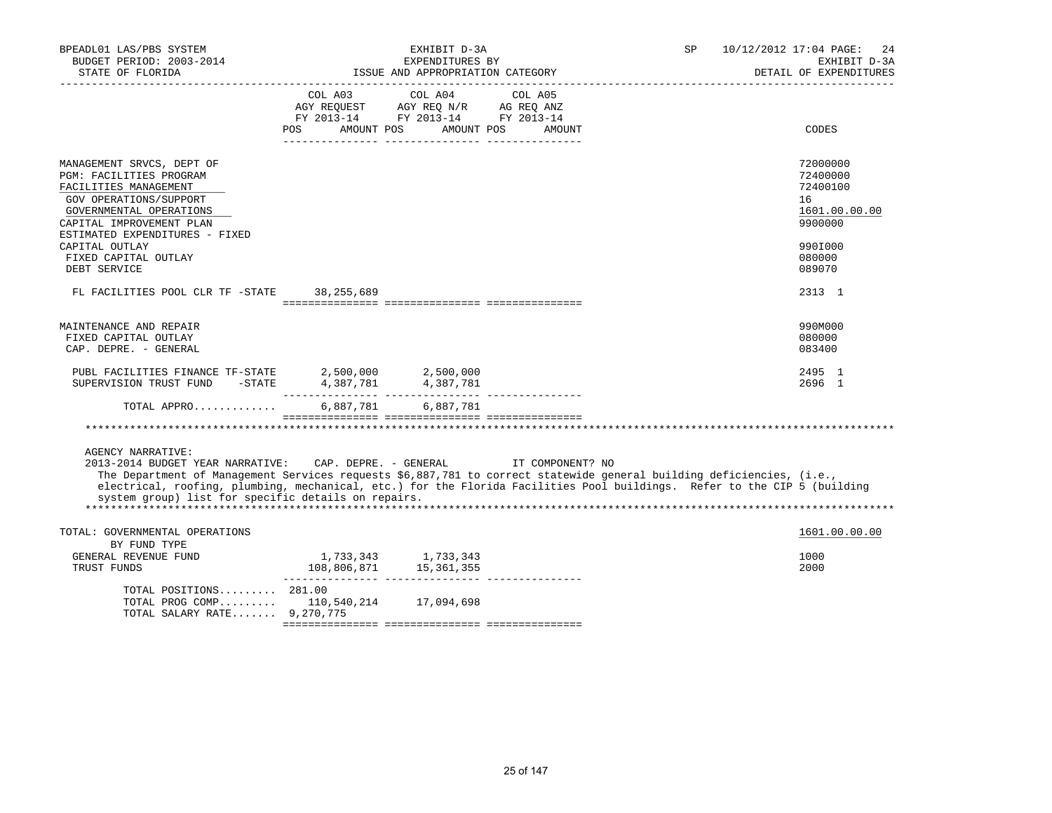| BPEADL01 LAS/PBS SYSTEM<br>BUDGET PERIOD: 2003-2014<br>STATE OF FLORIDA                                                                                                                                                                                                                                                                                                                                         | EXHIBIT D-3A<br>EXPENDITURES BY<br>ISSUE AND APPROPRIATION CATEGORY<br>------------------------------------- |                                                                                           |                   | 10/12/2012 17:04 PAGE:<br>SP<br>24<br>EXHIBIT D-3A<br>DETAIL OF EXPENDITURES |                                                                                                   |  |
|-----------------------------------------------------------------------------------------------------------------------------------------------------------------------------------------------------------------------------------------------------------------------------------------------------------------------------------------------------------------------------------------------------------------|--------------------------------------------------------------------------------------------------------------|-------------------------------------------------------------------------------------------|-------------------|------------------------------------------------------------------------------|---------------------------------------------------------------------------------------------------|--|
|                                                                                                                                                                                                                                                                                                                                                                                                                 | POS AMOUNT POS AMOUNT POS                                                                                    | COL A03 COL A04<br>AGY REQUEST AGY REQ N/R AG REQ ANZ<br>FY 2013-14 FY 2013-14 FY 2013-14 | COL A05<br>AMOUNT |                                                                              | CODES                                                                                             |  |
| MANAGEMENT SRVCS, DEPT OF<br>PGM: FACILITIES PROGRAM<br>FACILITIES MANAGEMENT<br>GOV OPERATIONS/SUPPORT<br>GOVERNMENTAL OPERATIONS<br>CAPITAL IMPROVEMENT PLAN<br>ESTIMATED EXPENDITURES - FIXED<br>CAPITAL OUTLAY<br>FIXED CAPITAL OUTLAY<br>DEBT SERVICE                                                                                                                                                      |                                                                                                              |                                                                                           |                   |                                                                              | 72000000<br>72400000<br>72400100<br>16<br>1601.00.00.00<br>9900000<br>990I000<br>080000<br>089070 |  |
| FL FACILITIES POOL CLR TF -STATE 38,255,689                                                                                                                                                                                                                                                                                                                                                                     |                                                                                                              |                                                                                           |                   |                                                                              | 2313 1                                                                                            |  |
| MAINTENANCE AND REPAIR<br>FIXED CAPITAL OUTLAY<br>CAP. DEPRE. - GENERAL                                                                                                                                                                                                                                                                                                                                         |                                                                                                              |                                                                                           |                   |                                                                              | 990M000<br>080000<br>083400                                                                       |  |
| PUBL FACILITIES FINANCE TF-STATE                                                                                                                                                                                                                                                                                                                                                                                |                                                                                                              | 2,500,000 2,500,000                                                                       |                   |                                                                              | 2495 1<br>2696 1                                                                                  |  |
| TOTAL APPRO 6,887,781 6,887,781                                                                                                                                                                                                                                                                                                                                                                                 |                                                                                                              |                                                                                           |                   |                                                                              |                                                                                                   |  |
| <b>AGENCY NARRATIVE:</b><br>2013-2014 BUDGET YEAR NARRATIVE: CAP. DEPRE. - GENERAL IT COMPONENT? NO<br>The Department of Management Services requests \$6,887,781 to correct statewide general building deficiencies, (i.e.,<br>electrical, roofing, plumbing, mechanical, etc.) for the Florida Facilities Pool buildings. Refer to the CIP 5 (building<br>system group) list for specific details on repairs. |                                                                                                              |                                                                                           |                   |                                                                              |                                                                                                   |  |
| TOTAL: GOVERNMENTAL OPERATIONS<br>BY FUND TYPE<br>GENERAL REVENUE FUND<br>TRUST FUNDS                                                                                                                                                                                                                                                                                                                           |                                                                                                              | 1,733,343<br>108,806,871<br>15,361,355                                                    |                   |                                                                              | 1601.00.00.00<br>1000<br>2000                                                                     |  |
| TOTAL POSITIONS 281.00<br>TOTAL PROG COMP 110,540,214 17,094,698<br>TOTAL SALARY RATE 9,270,775                                                                                                                                                                                                                                                                                                                 |                                                                                                              |                                                                                           |                   |                                                                              |                                                                                                   |  |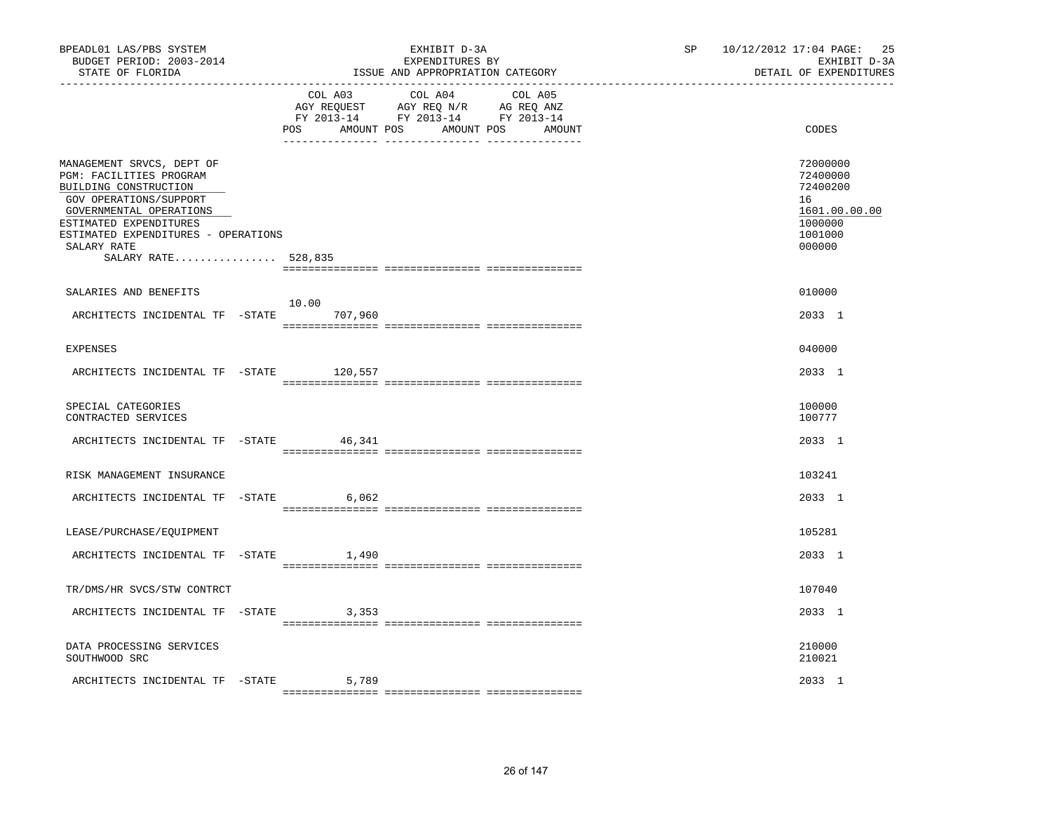| BPEADL01 LAS/PBS SYSTEM<br>BUDGET PERIOD: 2003-2014<br>STATE OF FLORIDA                                                                                                                                                                   | EXHIBIT D-3A<br>EXPENDITURES BY<br>ISSUE AND APPROPRIATION CATEGORY                                                                      | 10/12/2012 17:04 PAGE: 25<br>SP and the set of the set of the set of the set of the set of the set of the set of the set of the set of the set of the set of the set of the set of the set of the set of the set of the set of the set of the set of the se<br>EXHIBIT D-3A<br>DETAIL OF EXPENDITURES |
|-------------------------------------------------------------------------------------------------------------------------------------------------------------------------------------------------------------------------------------------|------------------------------------------------------------------------------------------------------------------------------------------|-------------------------------------------------------------------------------------------------------------------------------------------------------------------------------------------------------------------------------------------------------------------------------------------------------|
|                                                                                                                                                                                                                                           | COL A03 COL A04 COL A05<br>AGY REQUEST AGY REQ N/R AG REQ ANZ<br>FY 2013-14 FY 2013-14 FY 2013-14<br>POS<br>AMOUNT POS AMOUNT POS AMOUNT | CODES                                                                                                                                                                                                                                                                                                 |
| MANAGEMENT SRVCS, DEPT OF<br>PGM: FACILITIES PROGRAM<br>BUILDING CONSTRUCTION<br>GOV OPERATIONS/SUPPORT<br>GOVERNMENTAL OPERATIONS<br>ESTIMATED EXPENDITURES<br>ESTIMATED EXPENDITURES - OPERATIONS<br>SALARY RATE<br>SALARY RATE 528,835 |                                                                                                                                          | 72000000<br>72400000<br>72400200<br>16<br>1601.00.00.00<br>1000000<br>1001000<br>000000                                                                                                                                                                                                               |
| SALARIES AND BENEFITS                                                                                                                                                                                                                     |                                                                                                                                          | 010000                                                                                                                                                                                                                                                                                                |
| ARCHITECTS INCIDENTAL TF -STATE 707,960                                                                                                                                                                                                   | 10.00                                                                                                                                    | 2033 1                                                                                                                                                                                                                                                                                                |
| <b>EXPENSES</b>                                                                                                                                                                                                                           |                                                                                                                                          | 040000                                                                                                                                                                                                                                                                                                |
| ARCHITECTS INCIDENTAL TF -STATE 120,557                                                                                                                                                                                                   |                                                                                                                                          | 2033 1                                                                                                                                                                                                                                                                                                |
| SPECIAL CATEGORIES<br>CONTRACTED SERVICES                                                                                                                                                                                                 |                                                                                                                                          | 100000<br>100777                                                                                                                                                                                                                                                                                      |
| ARCHITECTS INCIDENTAL TF -STATE 46,341                                                                                                                                                                                                    |                                                                                                                                          | 2033 1                                                                                                                                                                                                                                                                                                |
| RISK MANAGEMENT INSURANCE                                                                                                                                                                                                                 |                                                                                                                                          | 103241                                                                                                                                                                                                                                                                                                |
| ARCHITECTS INCIDENTAL TF -STATE 6,062                                                                                                                                                                                                     |                                                                                                                                          | 2033 1                                                                                                                                                                                                                                                                                                |
| LEASE/PURCHASE/EQUIPMENT                                                                                                                                                                                                                  |                                                                                                                                          | 105281                                                                                                                                                                                                                                                                                                |
| ARCHITECTS INCIDENTAL TF -STATE                                                                                                                                                                                                           | 1,490                                                                                                                                    | 2033 1                                                                                                                                                                                                                                                                                                |
| TR/DMS/HR SVCS/STW CONTRCT                                                                                                                                                                                                                |                                                                                                                                          | 107040                                                                                                                                                                                                                                                                                                |
| ARCHITECTS INCIDENTAL TF -STATE                                                                                                                                                                                                           | 3,353                                                                                                                                    | 2033 1                                                                                                                                                                                                                                                                                                |
| DATA PROCESSING SERVICES<br>SOUTHWOOD SRC                                                                                                                                                                                                 |                                                                                                                                          | 210000<br>210021                                                                                                                                                                                                                                                                                      |
| ARCHITECTS INCIDENTAL TF -STATE                                                                                                                                                                                                           | 5,789                                                                                                                                    | 2033 1                                                                                                                                                                                                                                                                                                |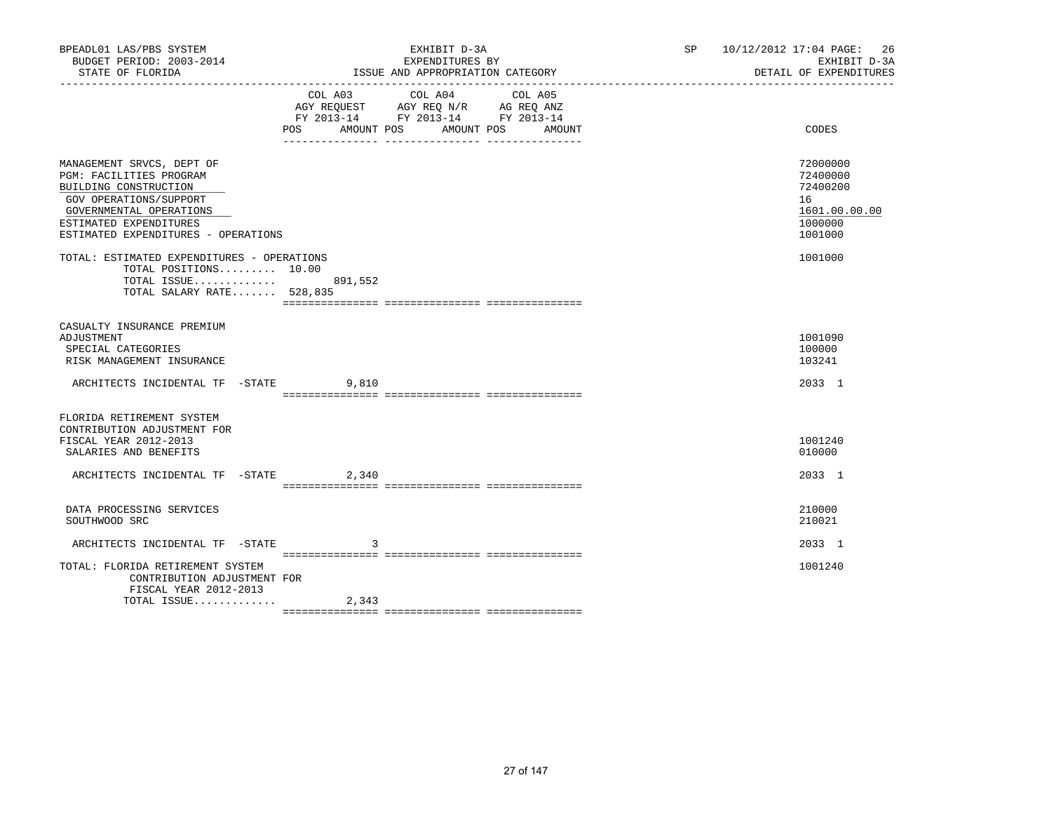| BPEADL01 LAS/PBS SYSTEM<br>BUDGET PERIOD: 2003-2014<br>STATE OF FLORIDA                                                                                                                             |       | EXHIBIT D-3A<br>EXPENDITURES BY<br>ISSUE AND APPROPRIATION CATEGORY                                                                                                                                                                                                                                    | 10/12/2012 17:04 PAGE:<br>SP <sub>2</sub><br>EXHIBIT D-3A<br>DETAIL OF EXPENDITURES | -26 |
|-----------------------------------------------------------------------------------------------------------------------------------------------------------------------------------------------------|-------|--------------------------------------------------------------------------------------------------------------------------------------------------------------------------------------------------------------------------------------------------------------------------------------------------------|-------------------------------------------------------------------------------------|-----|
|                                                                                                                                                                                                     | POS   | COL A03 COL A04<br>COL A05<br>$\begin{tabular}{lllllll} AGY & \texttt{REQUEST} & \texttt{AGY} & \texttt{REG} & \texttt{N/R} & \texttt{AG} & \texttt{REQ} & \texttt{ANZ} \end{tabular}$<br>FY 2013-14 FY 2013-14 FY 2013-14<br>AMOUNT POS AMOUNT POS<br>AMOUNT<br>_____ ________________ ______________ | CODES                                                                               |     |
| MANAGEMENT SRVCS, DEPT OF<br>PGM: FACILITIES PROGRAM<br>BUILDING CONSTRUCTION<br>GOV OPERATIONS/SUPPORT<br>GOVERNMENTAL OPERATIONS<br>ESTIMATED EXPENDITURES<br>ESTIMATED EXPENDITURES - OPERATIONS |       |                                                                                                                                                                                                                                                                                                        | 72000000<br>72400000<br>72400200<br>16<br>1601.00.00.00<br>1000000<br>1001000       |     |
| TOTAL: ESTIMATED EXPENDITURES - OPERATIONS<br>TOTAL POSITIONS 10.00<br>TOTAL ISSUE 891,552<br>TOTAL SALARY RATE 528,835                                                                             |       |                                                                                                                                                                                                                                                                                                        | 1001000                                                                             |     |
| CASUALTY INSURANCE PREMIUM<br>ADJUSTMENT<br>SPECIAL CATEGORIES<br>RISK MANAGEMENT INSURANCE<br>ARCHITECTS INCIDENTAL TF -STATE 9,810                                                                |       |                                                                                                                                                                                                                                                                                                        | 1001090<br>100000<br>103241<br>2033 1                                               |     |
|                                                                                                                                                                                                     |       |                                                                                                                                                                                                                                                                                                        |                                                                                     |     |
| FLORIDA RETIREMENT SYSTEM<br>CONTRIBUTION ADJUSTMENT FOR<br>FISCAL YEAR 2012-2013<br>SALARIES AND BENEFITS                                                                                          |       |                                                                                                                                                                                                                                                                                                        | 1001240<br>010000                                                                   |     |
| ARCHITECTS INCIDENTAL TF -STATE 2,340                                                                                                                                                               |       |                                                                                                                                                                                                                                                                                                        | 2033 1                                                                              |     |
| DATA PROCESSING SERVICES<br>SOUTHWOOD SRC                                                                                                                                                           |       |                                                                                                                                                                                                                                                                                                        | 210000<br>210021                                                                    |     |
| ARCHITECTS INCIDENTAL TF -STATE                                                                                                                                                                     | 3     |                                                                                                                                                                                                                                                                                                        | 2033 1                                                                              |     |
| TOTAL: FLORIDA RETIREMENT SYSTEM<br>CONTRIBUTION ADJUSTMENT FOR<br>FISCAL YEAR 2012-2013                                                                                                            |       |                                                                                                                                                                                                                                                                                                        | 1001240                                                                             |     |
| TOTAL ISSUE                                                                                                                                                                                         | 2,343 |                                                                                                                                                                                                                                                                                                        |                                                                                     |     |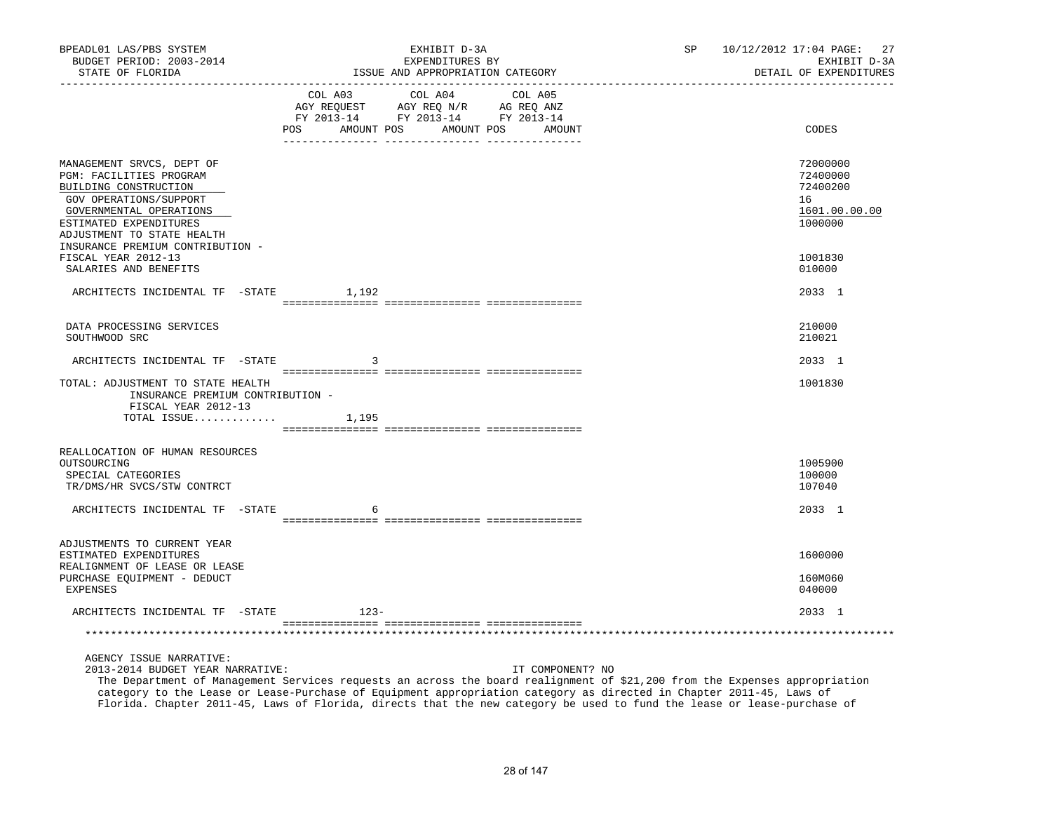| BPEADL01 LAS/PBS SYSTEM<br>BUDGET PERIOD: 2003-2014<br>STATE OF FLORIDA                                                                                                                    |        | EXHIBIT D-3A<br>EXPENDITURES BY<br>ISSUE AND APPROPRIATION CATEGORY                                                                   | SP | 10/12/2012 17:04 PAGE: 27<br>EXHIBIT D-3A<br>DETAIL OF EXPENDITURES |
|--------------------------------------------------------------------------------------------------------------------------------------------------------------------------------------------|--------|---------------------------------------------------------------------------------------------------------------------------------------|----|---------------------------------------------------------------------|
|                                                                                                                                                                                            |        | COL A03 COL A04 COL A05<br>AGY REQUEST AGY REQ N/R AG REQ ANZ<br>FY 2013-14 FY 2013-14 FY 2013-14<br>POS AMOUNT POS AMOUNT POS AMOUNT |    | CODES                                                               |
|                                                                                                                                                                                            |        |                                                                                                                                       |    |                                                                     |
| MANAGEMENT SRVCS, DEPT OF<br>PGM: FACILITIES PROGRAM<br>BUILDING CONSTRUCTION<br>GOV OPERATIONS/SUPPORT<br>GOVERNMENTAL OPERATIONS<br>ESTIMATED EXPENDITURES<br>ADJUSTMENT TO STATE HEALTH |        |                                                                                                                                       |    | 72000000<br>72400000<br>72400200<br>16<br>1601.00.00.00<br>1000000  |
| INSURANCE PREMIUM CONTRIBUTION -<br>FISCAL YEAR 2012-13<br>SALARIES AND BENEFITS                                                                                                           |        |                                                                                                                                       |    | 1001830<br>010000                                                   |
| ARCHITECTS INCIDENTAL TF -STATE 1,192                                                                                                                                                      |        |                                                                                                                                       |    | 2033 1                                                              |
| DATA PROCESSING SERVICES<br>SOUTHWOOD SRC                                                                                                                                                  |        |                                                                                                                                       |    | 210000<br>210021                                                    |
| ARCHITECTS INCIDENTAL TF -STATE                                                                                                                                                            | 3      |                                                                                                                                       |    | 2033 1                                                              |
| TOTAL: ADJUSTMENT TO STATE HEALTH<br>INSURANCE PREMIUM CONTRIBUTION -<br>FISCAL YEAR 2012-13<br>TOTAL ISSUE $1,195$                                                                        |        |                                                                                                                                       |    | 1001830                                                             |
|                                                                                                                                                                                            |        |                                                                                                                                       |    |                                                                     |
| REALLOCATION OF HUMAN RESOURCES<br>OUTSOURCING<br>SPECIAL CATEGORIES<br>TR/DMS/HR SVCS/STW CONTRCT                                                                                         |        |                                                                                                                                       |    | 1005900<br>100000<br>107040                                         |
| ARCHITECTS INCIDENTAL TF -STATE                                                                                                                                                            | 6      |                                                                                                                                       |    | 2033 1                                                              |
| ADJUSTMENTS TO CURRENT YEAR                                                                                                                                                                |        |                                                                                                                                       |    |                                                                     |
| ESTIMATED EXPENDITURES<br>REALIGNMENT OF LEASE OR LEASE                                                                                                                                    |        |                                                                                                                                       |    | 1600000                                                             |
| PURCHASE EQUIPMENT - DEDUCT<br>EXPENSES                                                                                                                                                    |        |                                                                                                                                       |    | 160M060<br>040000                                                   |
| ARCHITECTS INCIDENTAL TF -STATE                                                                                                                                                            | $123-$ |                                                                                                                                       |    | 2033 1                                                              |
|                                                                                                                                                                                            |        |                                                                                                                                       |    |                                                                     |
| AGENCY ISSUE NARRATIVE:<br>2013-2014 BUDGET YEAR NARRATIVE:                                                                                                                                |        | IT COMPONENT? NO                                                                                                                      |    |                                                                     |

 The Department of Management Services requests an across the board realignment of \$21,200 from the Expenses appropriation category to the Lease or Lease-Purchase of Equipment appropriation category as directed in Chapter 2011-45, Laws of Florida. Chapter 2011-45, Laws of Florida, directs that the new category be used to fund the lease or lease-purchase of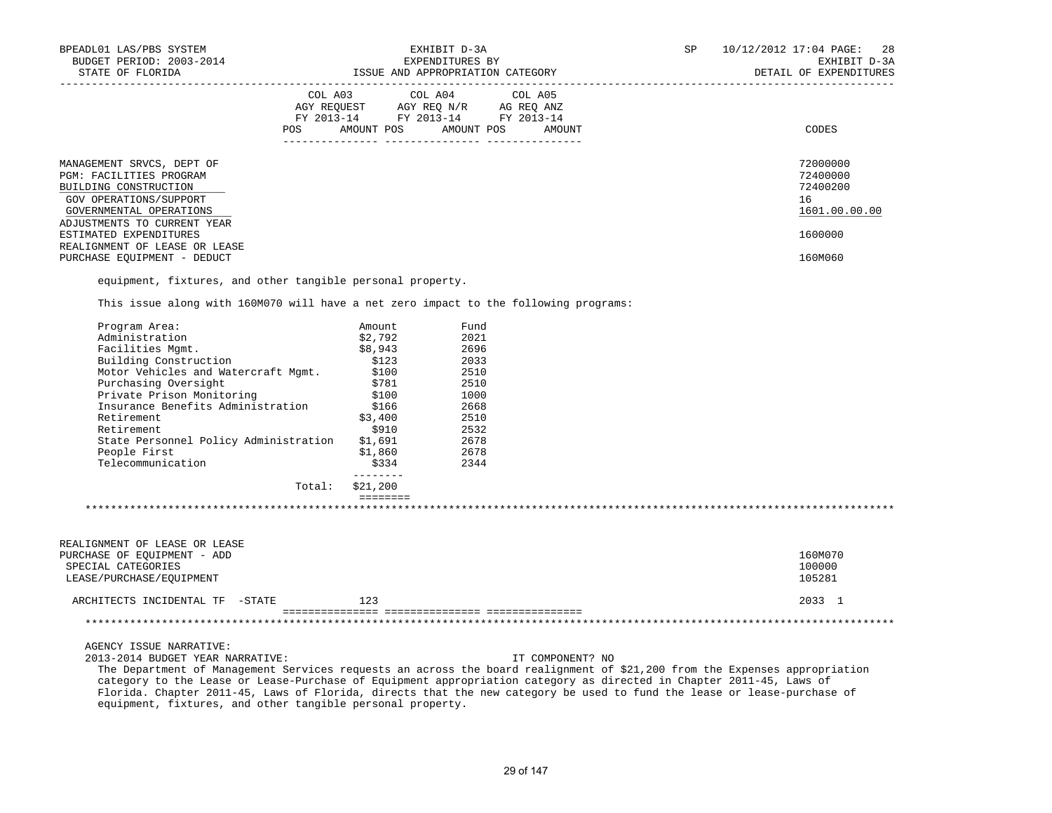| BPEADL01 LAS/PBS SYSTEM<br>BUDGET PERIOD: 2003-2014<br>STATE OF FLORIDA                                                                                                                                                                           | EXHIBIT D-3A<br>EXPENDITURES BY                                                                                                                                                                                                                      |                                                                             |                  |  | 10/12/2012 17:04 PAGE:<br>28<br>EXHIBIT D-3A<br>DETAIL OF EXPENDITURES |
|---------------------------------------------------------------------------------------------------------------------------------------------------------------------------------------------------------------------------------------------------|------------------------------------------------------------------------------------------------------------------------------------------------------------------------------------------------------------------------------------------------------|-----------------------------------------------------------------------------|------------------|--|------------------------------------------------------------------------|
|                                                                                                                                                                                                                                                   |                                                                                                                                                                                                                                                      |                                                                             |                  |  |                                                                        |
|                                                                                                                                                                                                                                                   | COL A03 COL A04                                                                                                                                                                                                                                      |                                                                             | COL A05          |  |                                                                        |
|                                                                                                                                                                                                                                                   | $\begin{tabular}{lllllll} \bf AGY \,\, &\bf REQUEST \,\, &\bf AGY \,\, &\bf REQ \,\, &\bf N/R \,\, &\bf AG \,\, &\bf REQ \,\, &\bf ANZ \,\, \\ \bf FY \,\, &\bf 2013-14 \,\, &\bf FY \,\, &\bf 2013-14 \,\, &\bf FY \,\, &\bf 2013-14 \end{tabular}$ |                                                                             |                  |  |                                                                        |
|                                                                                                                                                                                                                                                   | POS AMOUNT POS AMOUNT POS AMOUNT                                                                                                                                                                                                                     |                                                                             |                  |  | CODES                                                                  |
|                                                                                                                                                                                                                                                   |                                                                                                                                                                                                                                                      |                                                                             |                  |  |                                                                        |
| MANAGEMENT SRVCS, DEPT OF<br>PGM: FACILITIES PROGRAM                                                                                                                                                                                              |                                                                                                                                                                                                                                                      |                                                                             |                  |  | 72000000<br>72400000                                                   |
| BUILDING CONSTRUCTION                                                                                                                                                                                                                             |                                                                                                                                                                                                                                                      |                                                                             |                  |  | 72400200                                                               |
| GOV OPERATIONS/SUPPORT                                                                                                                                                                                                                            |                                                                                                                                                                                                                                                      |                                                                             |                  |  | 16                                                                     |
| GOVERNMENTAL OPERATIONS                                                                                                                                                                                                                           |                                                                                                                                                                                                                                                      |                                                                             |                  |  | 1601.00.00.00                                                          |
| ADJUSTMENTS TO CURRENT YEAR                                                                                                                                                                                                                       |                                                                                                                                                                                                                                                      |                                                                             |                  |  |                                                                        |
| ESTIMATED EXPENDITURES                                                                                                                                                                                                                            |                                                                                                                                                                                                                                                      |                                                                             |                  |  | 1600000                                                                |
| REALIGNMENT OF LEASE OR LEASE                                                                                                                                                                                                                     |                                                                                                                                                                                                                                                      |                                                                             |                  |  |                                                                        |
| PURCHASE EQUIPMENT - DEDUCT                                                                                                                                                                                                                       |                                                                                                                                                                                                                                                      |                                                                             |                  |  | 160M060                                                                |
| equipment, fixtures, and other tangible personal property.                                                                                                                                                                                        |                                                                                                                                                                                                                                                      |                                                                             |                  |  |                                                                        |
| This issue along with 160M070 will have a net zero impact to the following programs:                                                                                                                                                              |                                                                                                                                                                                                                                                      |                                                                             |                  |  |                                                                        |
| Program Area:                                                                                                                                                                                                                                     | Amount                                                                                                                                                                                                                                               | Fund                                                                        |                  |  |                                                                        |
| Administration                                                                                                                                                                                                                                    | \$2,792                                                                                                                                                                                                                                              | 2021                                                                        |                  |  |                                                                        |
| Facilities Mgmt.                                                                                                                                                                                                                                  | \$8,943                                                                                                                                                                                                                                              | 2696                                                                        |                  |  |                                                                        |
| Building Construction                                                                                                                                                                                                                             | \$123<br>\$100                                                                                                                                                                                                                                       | 2033                                                                        |                  |  |                                                                        |
| Motor Vehicles and Watercraft Mgmt.<br>Purchasing Oversight                                                                                                                                                                                       | \$781                                                                                                                                                                                                                                                | 2510<br>2510                                                                |                  |  |                                                                        |
| Private Prison Monitoring                                                                                                                                                                                                                         | \$100                                                                                                                                                                                                                                                | 1000                                                                        |                  |  |                                                                        |
| Insurance Benefits Administration                                                                                                                                                                                                                 | \$166                                                                                                                                                                                                                                                | $\begin{array}{r} 1000 \\ 2668 \\ 2510 \\ 2532 \\ 2678 \\ 2678 \end{array}$ |                  |  |                                                                        |
| Retirement                                                                                                                                                                                                                                        | \$3,400                                                                                                                                                                                                                                              |                                                                             |                  |  |                                                                        |
| Retirement                                                                                                                                                                                                                                        | \$910                                                                                                                                                                                                                                                |                                                                             |                  |  |                                                                        |
| State Personnel Policy Administration                                                                                                                                                                                                             | \$1,691                                                                                                                                                                                                                                              |                                                                             |                  |  |                                                                        |
| People First                                                                                                                                                                                                                                      | \$1,860                                                                                                                                                                                                                                              |                                                                             |                  |  |                                                                        |
| Telecommunication                                                                                                                                                                                                                                 | \$334                                                                                                                                                                                                                                                | 2344                                                                        |                  |  |                                                                        |
|                                                                                                                                                                                                                                                   | Total: \$21,200                                                                                                                                                                                                                                      |                                                                             |                  |  |                                                                        |
|                                                                                                                                                                                                                                                   | <b>EEEEEEEE</b>                                                                                                                                                                                                                                      |                                                                             |                  |  |                                                                        |
|                                                                                                                                                                                                                                                   |                                                                                                                                                                                                                                                      |                                                                             |                  |  |                                                                        |
| REALIGNMENT OF LEASE OR LEASE                                                                                                                                                                                                                     |                                                                                                                                                                                                                                                      |                                                                             |                  |  |                                                                        |
| PURCHASE OF EQUIPMENT - ADD                                                                                                                                                                                                                       |                                                                                                                                                                                                                                                      |                                                                             |                  |  | 160M070                                                                |
| SPECIAL CATEGORIES                                                                                                                                                                                                                                |                                                                                                                                                                                                                                                      |                                                                             |                  |  | 100000                                                                 |
| LEASE/PURCHASE/EQUIPMENT                                                                                                                                                                                                                          |                                                                                                                                                                                                                                                      |                                                                             |                  |  | 105281                                                                 |
| ARCHITECTS INCIDENTAL TF -STATE                                                                                                                                                                                                                   | 123                                                                                                                                                                                                                                                  |                                                                             |                  |  | 2033 1                                                                 |
|                                                                                                                                                                                                                                                   |                                                                                                                                                                                                                                                      |                                                                             |                  |  |                                                                        |
| AGENCY ISSUE NARRATIVE:                                                                                                                                                                                                                           |                                                                                                                                                                                                                                                      |                                                                             |                  |  |                                                                        |
| 2013-2014 BUDGET YEAR NARRATIVE:                                                                                                                                                                                                                  |                                                                                                                                                                                                                                                      |                                                                             | IT COMPONENT? NO |  |                                                                        |
| The Department of Management Services requests an across the board realignment of \$21,200 from the Expenses appropriation<br>category to the Lease or Lease-Purchase of Equipment appropriation category as directed in Chapter 2011-45, Laws of |                                                                                                                                                                                                                                                      |                                                                             |                  |  |                                                                        |
| Florida. Chapter 2011-45, Laws of Florida, directs that the new category be used to fund the lease or lease-purchase of                                                                                                                           |                                                                                                                                                                                                                                                      |                                                                             |                  |  |                                                                        |

equipment, fixtures, and other tangible personal property.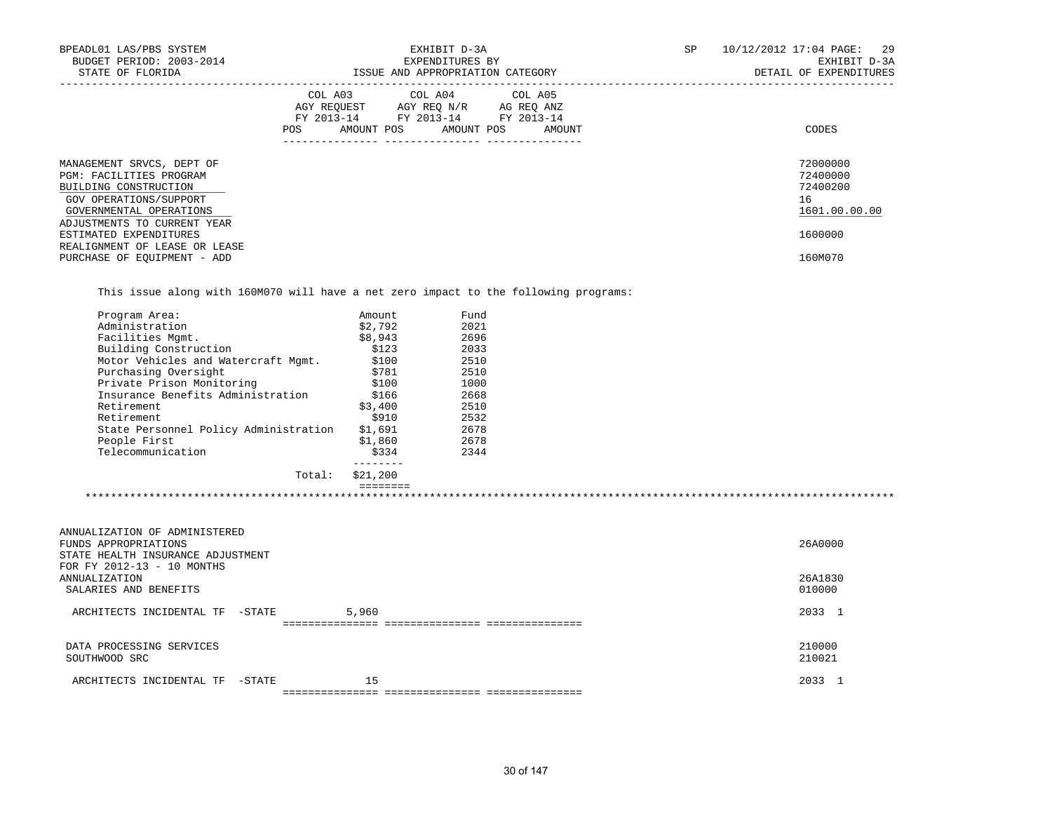| BPEADL01 LAS/PBS SYSTEM<br>BUDGET PERIOD: 2003-2014<br>STATE OF FLORIDA                                                                   | EXHIBIT D-3A<br>EXPENDITURES BY<br>ISSUE AND APPROPRIATION CATEGORY                                                                         | SP<br>10/12/2012 17:04 PAGE:<br>29<br>EXHIBIT D-3A<br>DETAIL OF EXPENDITURES |
|-------------------------------------------------------------------------------------------------------------------------------------------|---------------------------------------------------------------------------------------------------------------------------------------------|------------------------------------------------------------------------------|
|                                                                                                                                           | COL A03 COL A04 COL A05<br>AGY REOUEST AGY REO N/R AG REO ANZ<br>FY 2013-14 FY 2013-14 FY 2013-14<br>AMOUNT POS AMOUNT POS<br>POS<br>AMOUNT | CODES                                                                        |
| MANAGEMENT SRVCS, DEPT OF<br><b>PGM: FACILITIES PROGRAM</b><br>BUILDING CONSTRUCTION<br>GOV OPERATIONS/SUPPORT<br>GOVERNMENTAL OPERATIONS |                                                                                                                                             | 72000000<br>72400000<br>72400200<br>16<br>1601.00.00.00                      |
| ADJUSTMENTS TO CURRENT YEAR<br>ESTIMATED EXPENDITURES<br>REALIGNMENT OF LEASE OR LEASE<br>PURCHASE OF EOUIPMENT - ADD                     |                                                                                                                                             | 1600000<br>160M070                                                           |

This issue along with 160M070 will have a net zero impact to the following programs:

| Program Area:                         | Amount   | Fund |  |
|---------------------------------------|----------|------|--|
| Administration                        | \$2.792  | 2021 |  |
| Facilities Mqmt.                      | \$8,943  | 2696 |  |
| Building Construction                 | \$123    | 2033 |  |
| Motor Vehicles and Watercraft Mqmt.   | \$100    | 2510 |  |
| Purchasing Oversight                  | \$781    | 2510 |  |
| Private Prison Monitoring             | \$100    | 1000 |  |
| Insurance Benefits Administration     | \$166    | 2668 |  |
| Retirement                            | \$3,400  | 2510 |  |
| Retirement                            | \$910    | 2532 |  |
| State Personnel Policy Administration | \$1,691  | 2678 |  |
| People First                          | \$1,860  | 2678 |  |
| Telecommunication                     | \$334    | 2344 |  |
| Total:                                | \$21,200 |      |  |
|                                       |          |      |  |

| ANNUALIZATION OF ADMINISTERED                                   |        |       |         |
|-----------------------------------------------------------------|--------|-------|---------|
| FUNDS APPROPRIATIONS                                            |        |       | 26A0000 |
| STATE HEALTH INSURANCE ADJUSTMENT<br>FOR FY 2012-13 - 10 MONTHS |        |       |         |
| ANNUALIZATION                                                   |        |       | 26A1830 |
| SALARIES AND BENEFITS                                           |        |       | 010000  |
| ARCHITECTS INCIDENTAL TF                                        | -STATE | 5,960 | 2033 1  |
|                                                                 |        |       |         |
| DATA PROCESSING SERVICES                                        |        |       | 210000  |
| SOUTHWOOD SRC                                                   |        |       | 210021  |
| ARCHITECTS INCIDENTAL TF                                        | -STATE | 15    | 2033 1  |
|                                                                 |        |       |         |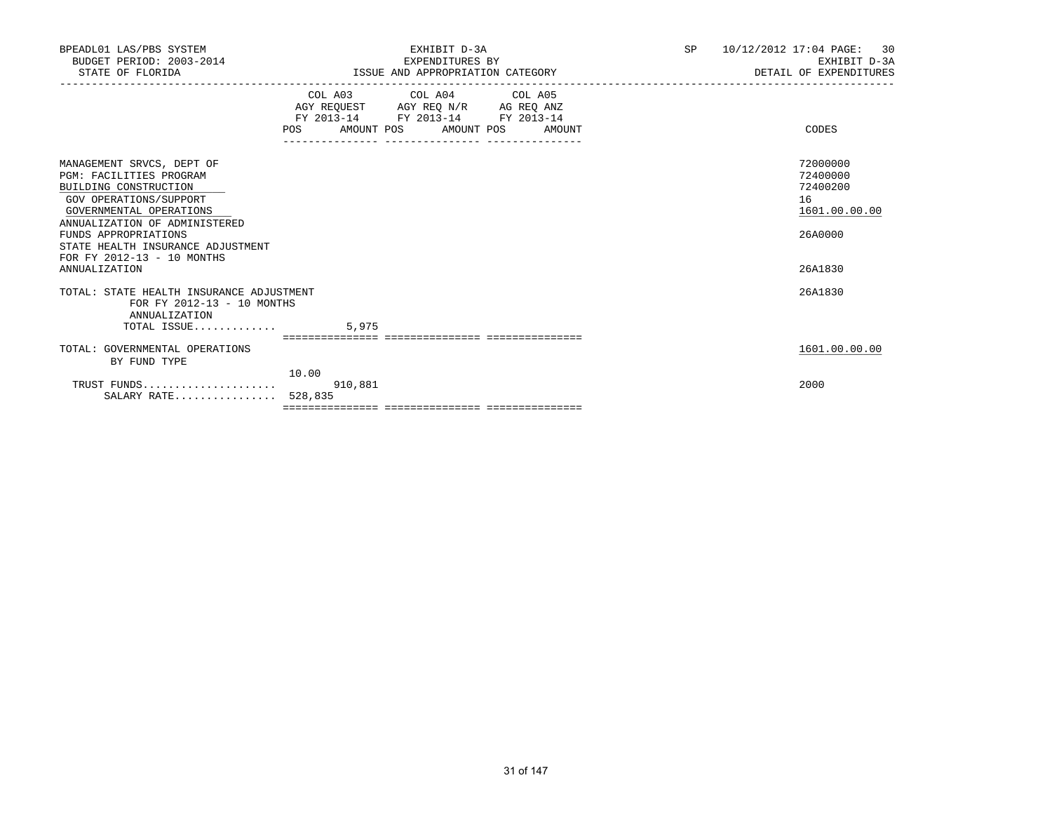| BPEADL01 LAS/PBS SYSTEM<br>BUDGET PERIOD: 2003-2014<br>STATE OF FLORIDA                                                                                                                                                                                                                       |                                                                        | EXHIBIT D-3A<br>EXPENDITURES BY<br>ISSUE AND APPROPRIATION CATEGORY | SP | 10/12/2012 17:04 PAGE: 30<br>EXHIBIT D-3A<br>DETAIL OF EXPENDITURES           |
|-----------------------------------------------------------------------------------------------------------------------------------------------------------------------------------------------------------------------------------------------------------------------------------------------|------------------------------------------------------------------------|---------------------------------------------------------------------|----|-------------------------------------------------------------------------------|
|                                                                                                                                                                                                                                                                                               | AGY REQUEST AGY REQ N/R AG REQ ANZ<br>FY 2013-14 FY 2013-14 FY 2013-14 | COL A03 COL A04 COL A05<br>POS AMOUNT POS AMOUNT POS AMOUNT         |    | CODES                                                                         |
| MANAGEMENT SRVCS, DEPT OF<br><b>PGM: FACILITIES PROGRAM</b><br>BUILDING CONSTRUCTION<br>GOV OPERATIONS/SUPPORT<br>GOVERNMENTAL OPERATIONS<br>ANNUALIZATION OF ADMINISTERED<br>FUNDS APPROPRIATIONS<br>STATE HEALTH INSURANCE ADJUSTMENT<br>FOR FY 2012-13 - 10 MONTHS<br><b>ANNUALIZATION</b> |                                                                        |                                                                     |    | 72000000<br>72400000<br>72400200<br>16<br>1601.00.00.00<br>26A0000<br>26A1830 |
| TOTAL: STATE HEALTH INSURANCE ADJUSTMENT<br>FOR FY 2012-13 - 10 MONTHS<br>ANNUALIZATION<br>TOTAL ISSUE                                                                                                                                                                                        | 5,975                                                                  |                                                                     |    | 26A1830                                                                       |
| TOTAL: GOVERNMENTAL OPERATIONS<br>BY FUND TYPE                                                                                                                                                                                                                                                | 10.00                                                                  |                                                                     |    | 1601.00.00.00                                                                 |
| TRUST FUNDS<br>SALARY RATE 528,835                                                                                                                                                                                                                                                            | 910,881                                                                |                                                                     |    | 2000                                                                          |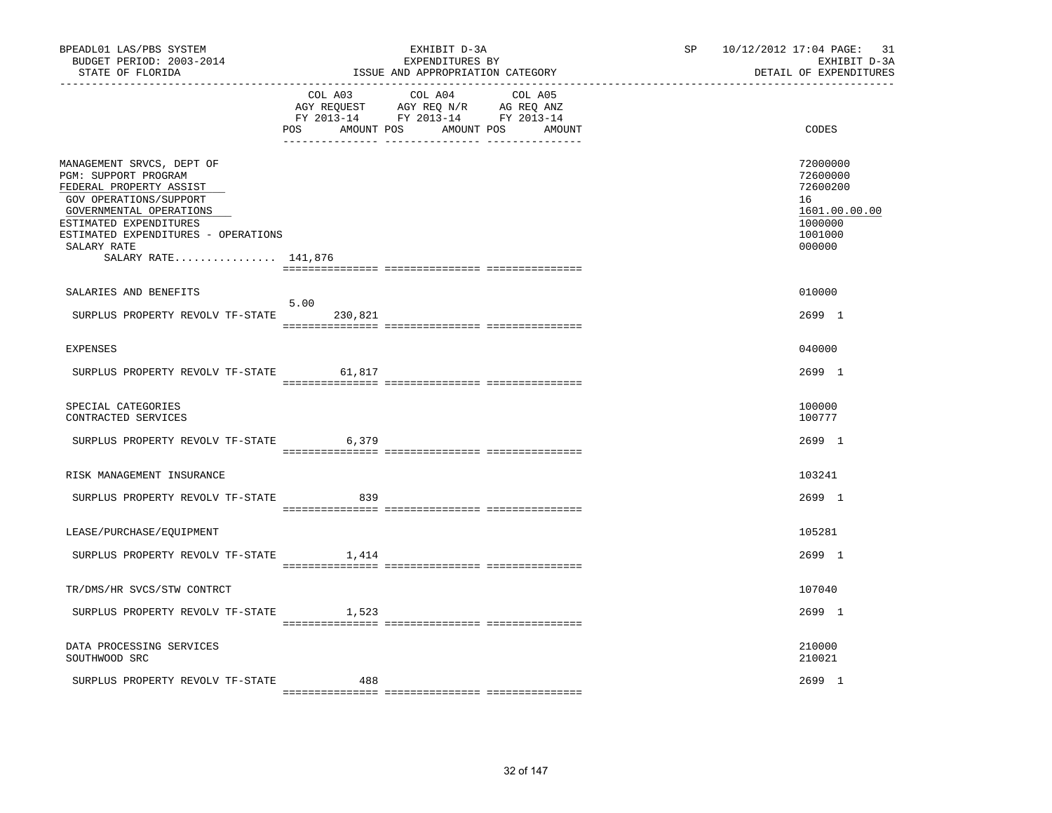| BPEADL01 LAS/PBS SYSTEM<br>BUDGET PERIOD: 2003-2014<br>STATE OF FLORIDA                                                                                                                                                                  |                 | EXHIBIT D-3A<br>EXPENDITURES BY<br>ISSUE AND APPROPRIATION CATEGORY                                                               | SP <sub>2</sub> | 10/12/2012 17:04 PAGE: 31<br>EXHIBIT D-3A<br>DETAIL OF EXPENDITURES                     |
|------------------------------------------------------------------------------------------------------------------------------------------------------------------------------------------------------------------------------------------|-----------------|-----------------------------------------------------------------------------------------------------------------------------------|-----------------|-----------------------------------------------------------------------------------------|
|                                                                                                                                                                                                                                          | POS             | COL A03 COL A04 COL A05<br>AGY REQUEST AGY REQ N/R AG REQ ANZ<br>FY 2013-14 FY 2013-14 FY 2013-14<br>AMOUNT POS AMOUNT POS AMOUNT |                 | CODES                                                                                   |
| MANAGEMENT SRVCS, DEPT OF<br>PGM: SUPPORT PROGRAM<br>FEDERAL PROPERTY ASSIST<br>GOV OPERATIONS/SUPPORT<br>GOVERNMENTAL OPERATIONS<br>ESTIMATED EXPENDITURES<br>ESTIMATED EXPENDITURES - OPERATIONS<br>SALARY RATE<br>SALARY RATE 141,876 |                 |                                                                                                                                   |                 | 72000000<br>72600000<br>72600200<br>16<br>1601.00.00.00<br>1000000<br>1001000<br>000000 |
| SALARIES AND BENEFITS                                                                                                                                                                                                                    |                 |                                                                                                                                   |                 | 010000                                                                                  |
| SURPLUS PROPERTY REVOLV TF-STATE                                                                                                                                                                                                         | 5.00<br>230,821 |                                                                                                                                   |                 | 2699 1                                                                                  |
| EXPENSES                                                                                                                                                                                                                                 |                 |                                                                                                                                   |                 | 040000                                                                                  |
| SURPLUS PROPERTY REVOLV TF-STATE                                                                                                                                                                                                         | 61,817          |                                                                                                                                   |                 | 2699 1                                                                                  |
| SPECIAL CATEGORIES<br>CONTRACTED SERVICES                                                                                                                                                                                                |                 |                                                                                                                                   |                 | 100000<br>100777                                                                        |
| SURPLUS PROPERTY REVOLV TF-STATE                                                                                                                                                                                                         | 6,379           |                                                                                                                                   |                 | 2699 1                                                                                  |
| RISK MANAGEMENT INSURANCE                                                                                                                                                                                                                |                 |                                                                                                                                   |                 | 103241                                                                                  |
| SURPLUS PROPERTY REVOLV TF-STATE                                                                                                                                                                                                         | 839             |                                                                                                                                   |                 | 2699 1                                                                                  |
| LEASE/PURCHASE/EQUIPMENT                                                                                                                                                                                                                 |                 |                                                                                                                                   |                 | 105281                                                                                  |
| SURPLUS PROPERTY REVOLV TF-STATE                                                                                                                                                                                                         | 1,414           |                                                                                                                                   |                 | 2699 1                                                                                  |
| TR/DMS/HR SVCS/STW CONTRCT                                                                                                                                                                                                               |                 |                                                                                                                                   |                 | 107040                                                                                  |
| SURPLUS PROPERTY REVOLV TF-STATE                                                                                                                                                                                                         | 1,523           |                                                                                                                                   |                 | 2699 1                                                                                  |
| DATA PROCESSING SERVICES<br>SOUTHWOOD SRC                                                                                                                                                                                                |                 |                                                                                                                                   |                 | 210000<br>210021                                                                        |
| SURPLUS PROPERTY REVOLV TF-STATE                                                                                                                                                                                                         | 488             |                                                                                                                                   |                 | 2699 1                                                                                  |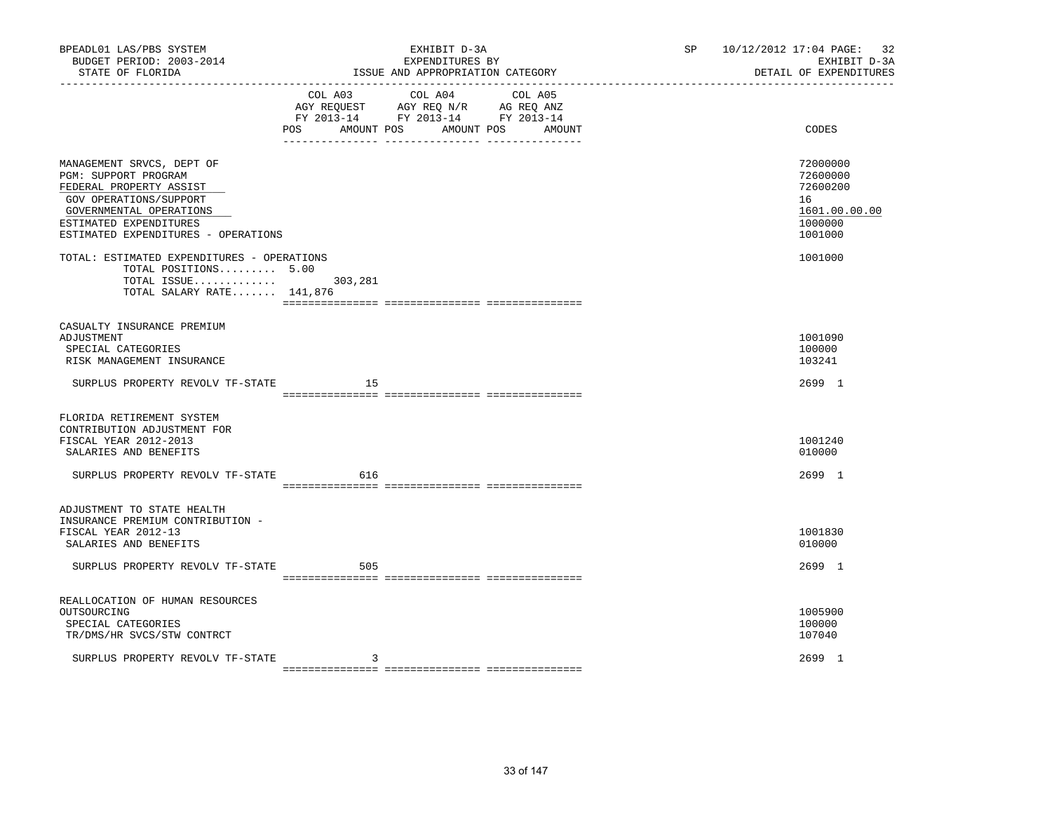| BPEADL01 LAS/PBS SYSTEM<br>BUDGET PERIOD: 2003-2014<br>STATE OF FLORIDA                                                                                                                            |         | EXHIBIT D-3A<br>EXPENDITURES BY<br>ISSUE AND APPROPRIATION CATEGORY                                                                  | SP | 10/12/2012 17:04 PAGE: 32<br>EXHIBIT D-3A<br>DETAIL OF EXPENDITURES           |
|----------------------------------------------------------------------------------------------------------------------------------------------------------------------------------------------------|---------|--------------------------------------------------------------------------------------------------------------------------------------|----|-------------------------------------------------------------------------------|
|                                                                                                                                                                                                    | POS     | COL A03 COL A04 COL A05<br>AGY REQUEST AGY REQ N/R AG REQ ANZ<br>FY 2013-14 FY 2013-14 FY 2013-14<br>AMOUNT POS AMOUNT POS<br>AMOUNT |    | CODES                                                                         |
| MANAGEMENT SRVCS, DEPT OF<br>PGM: SUPPORT PROGRAM<br>FEDERAL PROPERTY ASSIST<br>GOV OPERATIONS/SUPPORT<br>GOVERNMENTAL OPERATIONS<br>ESTIMATED EXPENDITURES<br>ESTIMATED EXPENDITURES - OPERATIONS |         |                                                                                                                                      |    | 72000000<br>72600000<br>72600200<br>16<br>1601.00.00.00<br>1000000<br>1001000 |
| TOTAL: ESTIMATED EXPENDITURES - OPERATIONS<br>TOTAL POSITIONS 5.00<br>TOTAL ISSUE<br>TOTAL SALARY RATE 141,876                                                                                     | 303,281 |                                                                                                                                      |    | 1001000                                                                       |
| CASUALTY INSURANCE PREMIUM<br>ADJUSTMENT<br>SPECIAL CATEGORIES<br>RISK MANAGEMENT INSURANCE                                                                                                        |         |                                                                                                                                      |    | 1001090<br>100000<br>103241                                                   |
| SURPLUS PROPERTY REVOLV TF-STATE                                                                                                                                                                   | 15      |                                                                                                                                      |    | 2699 1                                                                        |
| FLORIDA RETIREMENT SYSTEM<br>CONTRIBUTION ADJUSTMENT FOR<br>FISCAL YEAR 2012-2013<br>SALARIES AND BENEFITS<br>SURPLUS PROPERTY REVOLV TF-STATE                                                     | 616     |                                                                                                                                      |    | 1001240<br>010000<br>2699 1                                                   |
| ADJUSTMENT TO STATE HEALTH<br>INSURANCE PREMIUM CONTRIBUTION -<br>FISCAL YEAR 2012-13<br>SALARIES AND BENEFITS<br>SURPLUS PROPERTY REVOLV TF-STATE                                                 | 505     |                                                                                                                                      |    | 1001830<br>010000<br>2699 1                                                   |
|                                                                                                                                                                                                    |         |                                                                                                                                      |    |                                                                               |
| REALLOCATION OF HUMAN RESOURCES<br>OUTSOURCING<br>SPECIAL CATEGORIES<br>TR/DMS/HR SVCS/STW CONTRCT                                                                                                 |         |                                                                                                                                      |    | 1005900<br>100000<br>107040                                                   |
| SURPLUS PROPERTY REVOLV TF-STATE                                                                                                                                                                   | 3       |                                                                                                                                      |    | 2699 1                                                                        |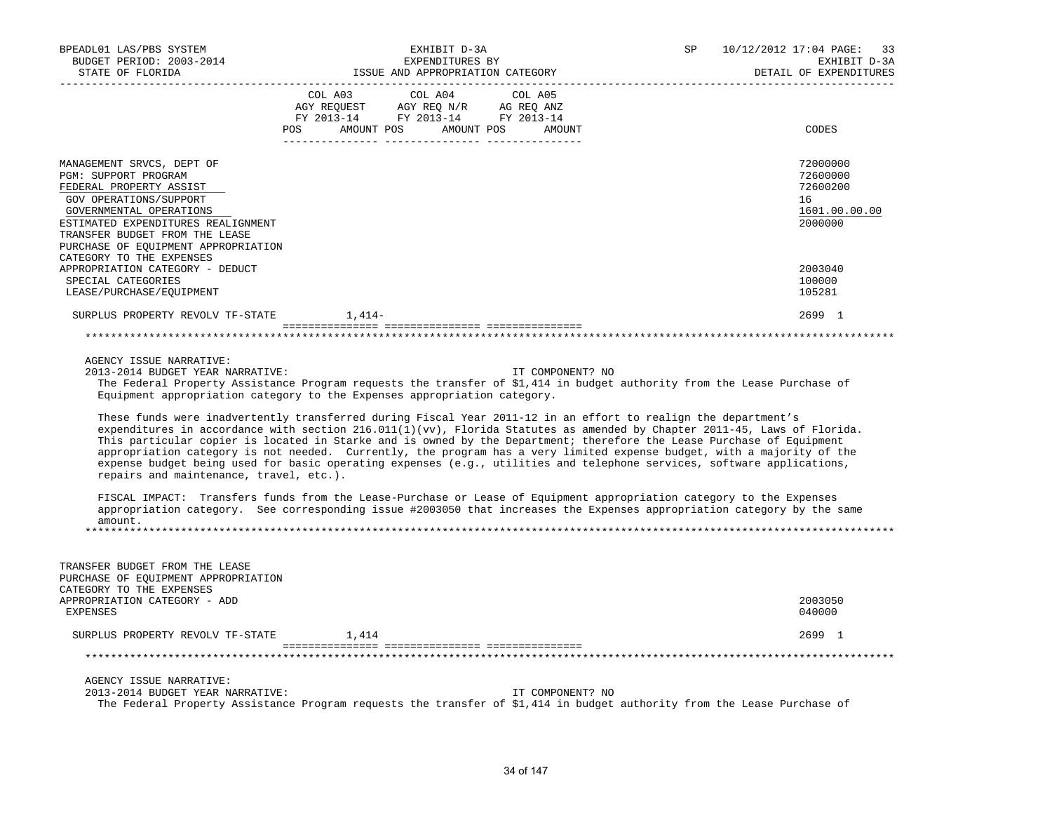| BPEADL01 LAS/PBS SYSTEM<br>BUDGET PERIOD: 2003-2014<br>STATE OF FLORIDA                                                                                                                                                                                                      | EXHIBIT D-3A<br>EXPENDITURES BY<br>ISSUE AND APPROPRIATION CATEGORY                                                                                                                                                                                                                                                                                                                                                                                                                                                                                                                                                                                                                                                                                                                                                                                                                                                                                                                                                                                                                                     | 10/12/2012 17:04 PAGE: 33<br>SP<br>EXHIBIT D-3A<br>DETAIL OF EXPENDITURES<br>______________________________ |
|------------------------------------------------------------------------------------------------------------------------------------------------------------------------------------------------------------------------------------------------------------------------------|---------------------------------------------------------------------------------------------------------------------------------------------------------------------------------------------------------------------------------------------------------------------------------------------------------------------------------------------------------------------------------------------------------------------------------------------------------------------------------------------------------------------------------------------------------------------------------------------------------------------------------------------------------------------------------------------------------------------------------------------------------------------------------------------------------------------------------------------------------------------------------------------------------------------------------------------------------------------------------------------------------------------------------------------------------------------------------------------------------|-------------------------------------------------------------------------------------------------------------|
|                                                                                                                                                                                                                                                                              | COL A03<br>COL A04<br>COL A05<br>AGY REQUEST AGY REQ N/R AG REQ ANZ<br>FY 2013-14 FY 2013-14 FY 2013-14<br>POS AMOUNT POS AMOUNT POS AMOUNT                                                                                                                                                                                                                                                                                                                                                                                                                                                                                                                                                                                                                                                                                                                                                                                                                                                                                                                                                             | CODES                                                                                                       |
| MANAGEMENT SRVCS, DEPT OF<br>PGM: SUPPORT PROGRAM<br>FEDERAL PROPERTY ASSIST<br>GOV OPERATIONS/SUPPORT<br>GOVERNMENTAL OPERATIONS<br>ESTIMATED EXPENDITURES REALIGNMENT<br>TRANSFER BUDGET FROM THE LEASE<br>PURCHASE OF EQUIPMENT APPROPRIATION<br>CATEGORY TO THE EXPENSES |                                                                                                                                                                                                                                                                                                                                                                                                                                                                                                                                                                                                                                                                                                                                                                                                                                                                                                                                                                                                                                                                                                         | 72000000<br>72600000<br>72600200<br>16<br>1601.00.00.00<br>2000000                                          |
| APPROPRIATION CATEGORY - DEDUCT                                                                                                                                                                                                                                              |                                                                                                                                                                                                                                                                                                                                                                                                                                                                                                                                                                                                                                                                                                                                                                                                                                                                                                                                                                                                                                                                                                         | 2003040                                                                                                     |
| SPECIAL CATEGORIES<br>LEASE/PURCHASE/EQUIPMENT                                                                                                                                                                                                                               |                                                                                                                                                                                                                                                                                                                                                                                                                                                                                                                                                                                                                                                                                                                                                                                                                                                                                                                                                                                                                                                                                                         | 100000<br>105281                                                                                            |
| SURPLUS PROPERTY REVOLV TF-STATE 1,414-                                                                                                                                                                                                                                      |                                                                                                                                                                                                                                                                                                                                                                                                                                                                                                                                                                                                                                                                                                                                                                                                                                                                                                                                                                                                                                                                                                         | 2699 1                                                                                                      |
|                                                                                                                                                                                                                                                                              |                                                                                                                                                                                                                                                                                                                                                                                                                                                                                                                                                                                                                                                                                                                                                                                                                                                                                                                                                                                                                                                                                                         |                                                                                                             |
|                                                                                                                                                                                                                                                                              |                                                                                                                                                                                                                                                                                                                                                                                                                                                                                                                                                                                                                                                                                                                                                                                                                                                                                                                                                                                                                                                                                                         |                                                                                                             |
| AGENCY ISSUE NARRATIVE:<br>2013-2014 BUDGET YEAR NARRATIVE:<br>repairs and maintenance, travel, etc.).<br>amount.                                                                                                                                                            | IT COMPONENT? NO<br>The Federal Property Assistance Program requests the transfer of \$1,414 in budget authority from the Lease Purchase of<br>Equipment appropriation category to the Expenses appropriation category.<br>These funds were inadvertently transferred during Fiscal Year 2011-12 in an effort to realign the department's<br>expenditures in accordance with section $216.011(1)(vv)$ , Florida Statutes as amended by Chapter 2011-45, Laws of Florida.<br>This particular copier is located in Starke and is owned by the Department; therefore the Lease Purchase of Equipment<br>appropriation category is not needed. Currently, the program has a very limited expense budget, with a majority of the<br>expense budget being used for basic operating expenses (e.g., utilities and telephone services, software applications,<br>FISCAL IMPACT: Transfers funds from the Lease-Purchase or Lease of Equipment appropriation category to the Expenses<br>appropriation category. See corresponding issue #2003050 that increases the Expenses appropriation category by the same |                                                                                                             |
| TRANSFER BUDGET FROM THE LEASE<br>PURCHASE OF EQUIPMENT APPROPRIATION<br>CATEGORY TO THE EXPENSES<br>APPROPRIATION CATEGORY - ADD<br>EXPENSES                                                                                                                                |                                                                                                                                                                                                                                                                                                                                                                                                                                                                                                                                                                                                                                                                                                                                                                                                                                                                                                                                                                                                                                                                                                         | 2003050<br>040000                                                                                           |
|                                                                                                                                                                                                                                                                              |                                                                                                                                                                                                                                                                                                                                                                                                                                                                                                                                                                                                                                                                                                                                                                                                                                                                                                                                                                                                                                                                                                         |                                                                                                             |
| SURPLUS PROPERTY REVOLV TF-STATE 1,414                                                                                                                                                                                                                                       |                                                                                                                                                                                                                                                                                                                                                                                                                                                                                                                                                                                                                                                                                                                                                                                                                                                                                                                                                                                                                                                                                                         | 2699 1                                                                                                      |
|                                                                                                                                                                                                                                                                              |                                                                                                                                                                                                                                                                                                                                                                                                                                                                                                                                                                                                                                                                                                                                                                                                                                                                                                                                                                                                                                                                                                         |                                                                                                             |
| AGENCY ISSUE NARRATIVE:<br>2013-2014 BUDGET YEAR NARRATIVE:                                                                                                                                                                                                                  | IT COMPONENT? NO<br>The Federal Property Assistance Program requests the transfer of \$1,414 in budget authority from the Lease Purchase of                                                                                                                                                                                                                                                                                                                                                                                                                                                                                                                                                                                                                                                                                                                                                                                                                                                                                                                                                             |                                                                                                             |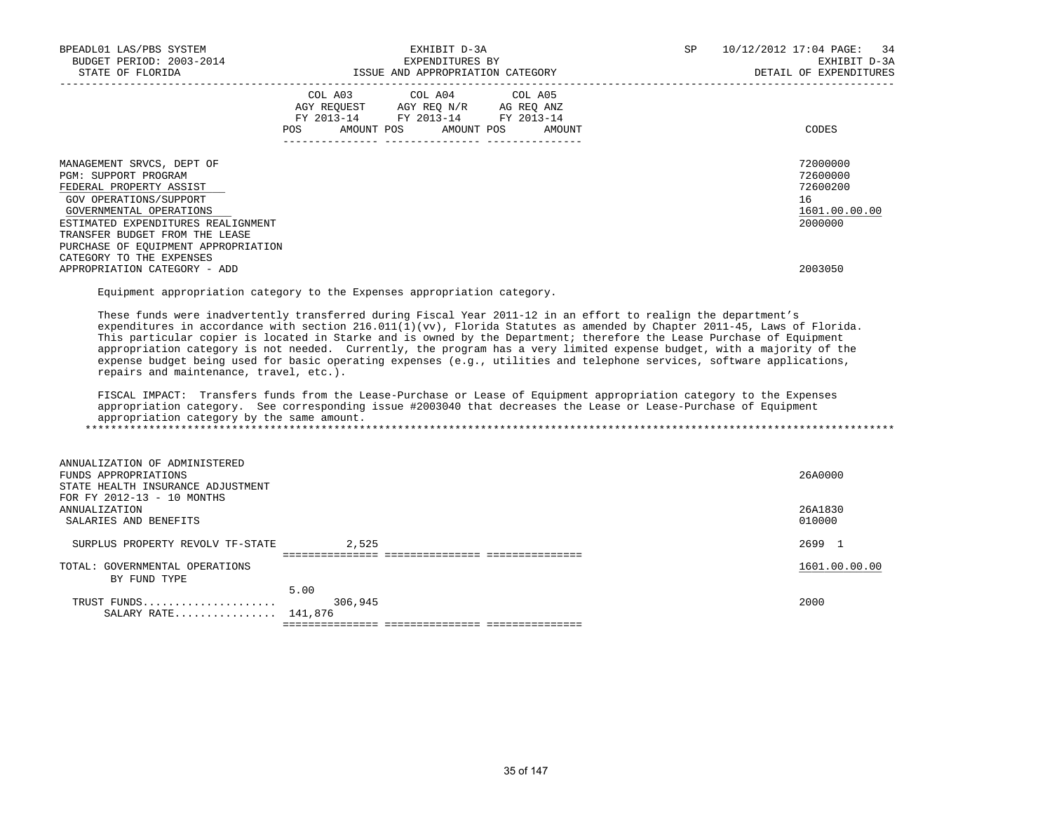| BPEADL01 LAS/PBS SYSTEM<br>BUDGET PERIOD: 2003-2014<br>STATE OF FLORIDA                                                                                                                                                                                                      | EXHIBIT D-3A<br>EXPENDITURES BY<br>ISSUE AND APPROPRIATION CATEGORY                                                                   | SP. | 10/12/2012 17:04 PAGE: 34<br>EXHIBIT D-3A<br>DETAIL OF EXPENDITURES |  |  |
|------------------------------------------------------------------------------------------------------------------------------------------------------------------------------------------------------------------------------------------------------------------------------|---------------------------------------------------------------------------------------------------------------------------------------|-----|---------------------------------------------------------------------|--|--|
|                                                                                                                                                                                                                                                                              | COL A03 COL A04 COL A05<br>AGY REOUEST AGY REO N/R AG REO ANZ<br>FY 2013-14 FY 2013-14 FY 2013-14<br>POS AMOUNT POS AMOUNT POS AMOUNT |     | CODES                                                               |  |  |
| MANAGEMENT SRVCS, DEPT OF<br>PGM: SUPPORT PROGRAM<br>FEDERAL PROPERTY ASSIST<br>GOV OPERATIONS/SUPPORT<br>GOVERNMENTAL OPERATIONS<br>ESTIMATED EXPENDITURES REALIGNMENT<br>TRANSFER BUDGET FROM THE LEASE<br>PURCHASE OF EOUIPMENT APPROPRIATION<br>CATEGORY TO THE EXPENSES |                                                                                                                                       |     | 72000000<br>72600000<br>72600200<br>16<br>1601.00.00.00<br>2000000  |  |  |
| APPROPRIATION CATEGORY - ADD                                                                                                                                                                                                                                                 |                                                                                                                                       |     | 2003050                                                             |  |  |

Equipment appropriation category to the Expenses appropriation category.

 These funds were inadvertently transferred during Fiscal Year 2011-12 in an effort to realign the department's expenditures in accordance with section  $216.011(1)(vv)$ , Florida Statutes as amended by Chapter 2011-45, Laws of Florida. This particular copier is located in Starke and is owned by the Department; therefore the Lease Purchase of Equipment appropriation category is not needed. Currently, the program has a very limited expense budget, with a majority of the expense budget being used for basic operating expenses (e.g., utilities and telephone services, software applications, repairs and maintenance, travel, etc.).

 FISCAL IMPACT: Transfers funds from the Lease-Purchase or Lease of Equipment appropriation category to the Expenses appropriation category. See corresponding issue #2003040 that decreases the Lease or Lease-Purchase of Equipment appropriation category by the same amount. \*\*\*\*\*\*\*\*\*\*\*\*\*\*\*\*\*\*\*\*\*\*\*\*\*\*\*\*\*\*\*\*\*\*\*\*\*\*\*\*\*\*\*\*\*\*\*\*\*\*\*\*\*\*\*\*\*\*\*\*\*\*\*\*\*\*\*\*\*\*\*\*\*\*\*\*\*\*\*\*\*\*\*\*\*\*\*\*\*\*\*\*\*\*\*\*\*\*\*\*\*\*\*\*\*\*\*\*\*\*\*\*\*\*\*\*\*\*\*\*\*\*\*\*\*\*\*

| ANNUALIZATION OF ADMINISTERED<br>FUNDS APPROPRIATIONS<br>STATE HEALTH INSURANCE ADJUSTMENT |         | 26A0000       |
|--------------------------------------------------------------------------------------------|---------|---------------|
| FOR FY 2012-13 - 10 MONTHS                                                                 |         |               |
| ANNUALIZATION                                                                              |         | 26A1830       |
| SALARIES AND BENEFITS                                                                      |         | 010000        |
|                                                                                            |         |               |
| SURPLUS PROPERTY REVOLV TF-STATE                                                           | 2,525   | 2699 1        |
|                                                                                            |         |               |
| TOTAL: GOVERNMENTAL OPERATIONS                                                             |         | 1601.00.00.00 |
| BY FUND TYPE                                                                               |         |               |
|                                                                                            | 5.00    |               |
| TRUST FUNDS                                                                                | 306,945 | 2000          |
|                                                                                            |         |               |
| SALARY RATE 141,876                                                                        |         |               |

=============== =============== ===============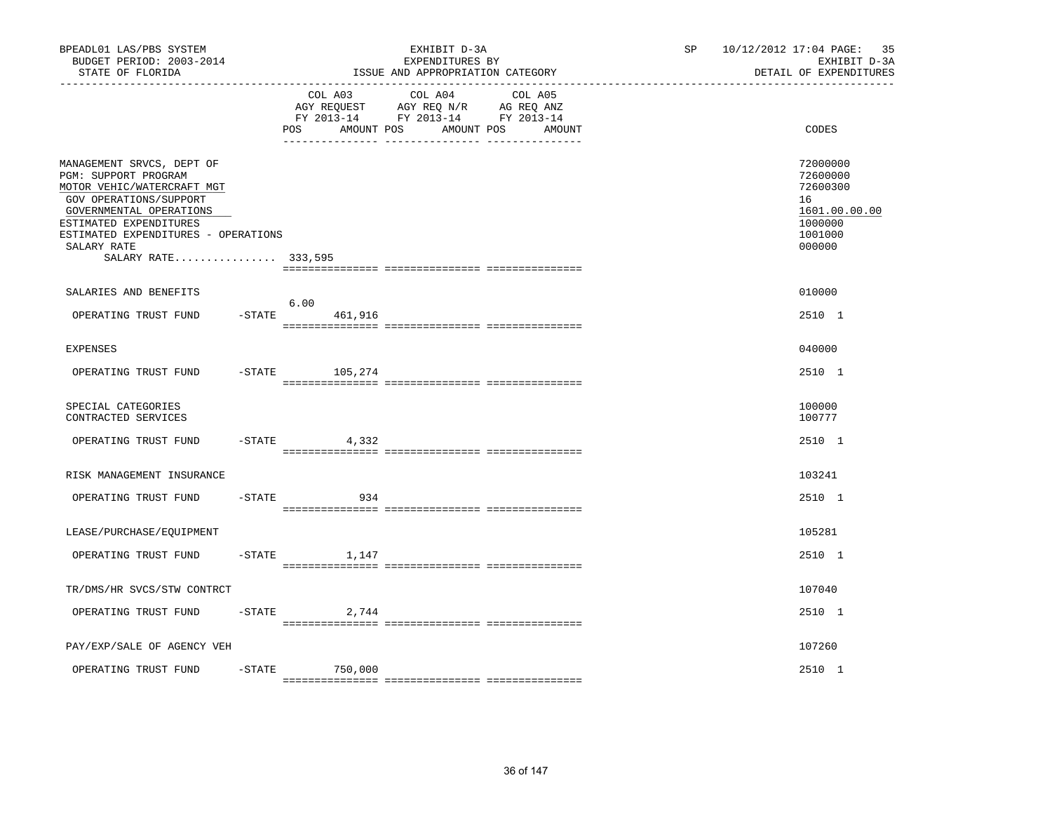| BPEADL01 LAS/PBS SYSTEM<br>BUDGET PERIOD: 2003-2014<br>STATE OF FLORIDA                                                                                                                                                                     |                              |                                                                                                                   | EXHIBIT D-3A<br>EXPENDITURES BY<br>ISSUE AND APPROPRIATION CATEGORY | 10/12/2012 17:04 PAGE:<br>35<br>SP<br>EXHIBIT D-3A<br>DETAIL OF EXPENDITURES |                                                                                         |
|---------------------------------------------------------------------------------------------------------------------------------------------------------------------------------------------------------------------------------------------|------------------------------|-------------------------------------------------------------------------------------------------------------------|---------------------------------------------------------------------|------------------------------------------------------------------------------|-----------------------------------------------------------------------------------------|
|                                                                                                                                                                                                                                             | COL A03<br>POS<br>AMOUNT POS | COL A04 COL A05<br>AGY REQUEST AGY REQ N/R AG REQ ANZ<br>FY 2013-14 FY 2013-14 FY 2013-14<br>AMOUNT POS<br>AMOUNT |                                                                     | CODES                                                                        |                                                                                         |
| MANAGEMENT SRVCS, DEPT OF<br>PGM: SUPPORT PROGRAM<br>MOTOR VEHIC/WATERCRAFT MGT<br>GOV OPERATIONS/SUPPORT<br>GOVERNMENTAL OPERATIONS<br>ESTIMATED EXPENDITURES<br>ESTIMATED EXPENDITURES - OPERATIONS<br>SALARY RATE<br>SALARY RATE 333,595 |                              |                                                                                                                   |                                                                     |                                                                              | 72000000<br>72600000<br>72600300<br>16<br>1601.00.00.00<br>1000000<br>1001000<br>000000 |
| SALARIES AND BENEFITS                                                                                                                                                                                                                       |                              |                                                                                                                   |                                                                     |                                                                              | 010000                                                                                  |
| OPERATING TRUST FUND                                                                                                                                                                                                                        | $-$ STATE                    | 6.00<br>461,916                                                                                                   |                                                                     |                                                                              | 2510 1                                                                                  |
| <b>EXPENSES</b>                                                                                                                                                                                                                             |                              |                                                                                                                   |                                                                     |                                                                              | 040000                                                                                  |
| OPERATING TRUST FUND                                                                                                                                                                                                                        |                              | $-$ STATE 105, 274                                                                                                |                                                                     |                                                                              | 2510 1                                                                                  |
| SPECIAL CATEGORIES<br>CONTRACTED SERVICES                                                                                                                                                                                                   |                              |                                                                                                                   |                                                                     |                                                                              | 100000<br>100777                                                                        |
| OPERATING TRUST FUND                                                                                                                                                                                                                        |                              | $-STATE$ 4,332                                                                                                    |                                                                     |                                                                              | 2510 1                                                                                  |
| RISK MANAGEMENT INSURANCE                                                                                                                                                                                                                   |                              |                                                                                                                   |                                                                     |                                                                              | 103241                                                                                  |
| OPERATING TRUST FUND                                                                                                                                                                                                                        | $-$ STATE                    | 934                                                                                                               |                                                                     |                                                                              | 2510 1                                                                                  |
| LEASE/PURCHASE/EQUIPMENT                                                                                                                                                                                                                    |                              |                                                                                                                   |                                                                     |                                                                              | 105281                                                                                  |
| OPERATING TRUST FUND                                                                                                                                                                                                                        |                              | $-$ STATE<br>1,147                                                                                                |                                                                     |                                                                              | 2510 1                                                                                  |
| TR/DMS/HR SVCS/STW CONTRCT                                                                                                                                                                                                                  |                              |                                                                                                                   |                                                                     |                                                                              | 107040                                                                                  |
| OPERATING TRUST FUND                                                                                                                                                                                                                        | $-$ STATE                    | 2,744                                                                                                             |                                                                     |                                                                              | 2510 1                                                                                  |
| PAY/EXP/SALE OF AGENCY VEH                                                                                                                                                                                                                  |                              |                                                                                                                   |                                                                     |                                                                              | 107260                                                                                  |
| OPERATING TRUST FUND                                                                                                                                                                                                                        | $-$ STATE                    | 750,000                                                                                                           |                                                                     |                                                                              | 2510 1                                                                                  |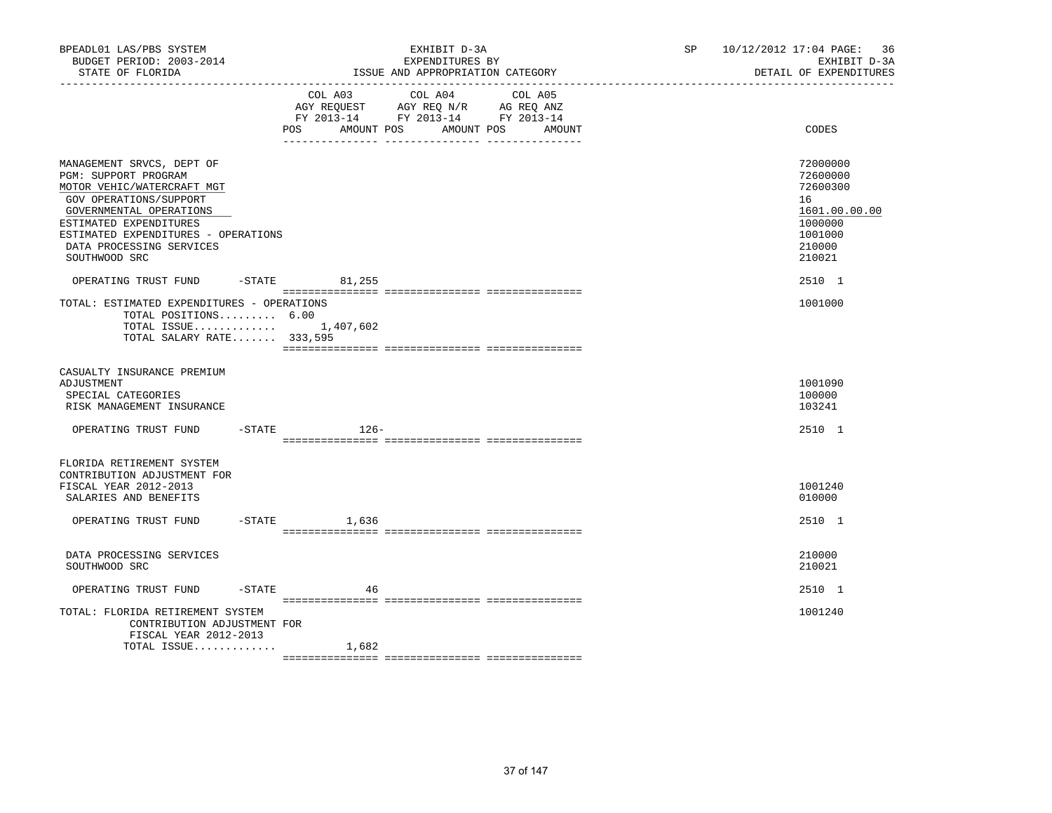| BPEADL01 LAS/PBS SYSTEM<br>BUDGET PERIOD: 2003-2014<br>STATE OF FLORIDA                                                                                                                                                                            |                         | EXHIBIT D-3A<br>EXPENDITURES BY<br>ISSUE AND APPROPRIATION CATEGORY                                                          | SP | 10/12/2012 17:04 PAGE: 36<br>EXHIBIT D-3A<br>DETAIL OF EXPENDITURES                               |
|----------------------------------------------------------------------------------------------------------------------------------------------------------------------------------------------------------------------------------------------------|-------------------------|------------------------------------------------------------------------------------------------------------------------------|----|---------------------------------------------------------------------------------------------------|
|                                                                                                                                                                                                                                                    | POS AMOUNT POS          | COL A03 COL A04<br>COL A05<br>AGY REQUEST AGY REQ N/R AG REQ ANZ<br>FY 2013-14 FY 2013-14 FY 2013-14<br>AMOUNT POS<br>AMOUNT |    | CODES                                                                                             |
| MANAGEMENT SRVCS, DEPT OF<br>PGM: SUPPORT PROGRAM<br>MOTOR VEHIC/WATERCRAFT MGT<br>GOV OPERATIONS/SUPPORT<br>GOVERNMENTAL OPERATIONS<br>ESTIMATED EXPENDITURES<br>ESTIMATED EXPENDITURES - OPERATIONS<br>DATA PROCESSING SERVICES<br>SOUTHWOOD SRC |                         |                                                                                                                              |    | 72000000<br>72600000<br>72600300<br>16<br>1601.00.00.00<br>1000000<br>1001000<br>210000<br>210021 |
| OPERATING TRUST FUND -STATE 81,255<br>TOTAL: ESTIMATED EXPENDITURES - OPERATIONS<br>TOTAL POSITIONS 6.00<br>TOTAL SALARY RATE $333,595$                                                                                                            | TOTAL ISSUE $1,407,602$ |                                                                                                                              |    | 2510 1<br>1001000                                                                                 |
| CASUALTY INSURANCE PREMIUM<br>ADJUSTMENT<br>SPECIAL CATEGORIES<br>RISK MANAGEMENT INSURANCE                                                                                                                                                        |                         |                                                                                                                              |    | 1001090<br>100000<br>103241                                                                       |
| OPERATING TRUST FUND -STATE                                                                                                                                                                                                                        | $126-$                  |                                                                                                                              |    | 2510 1                                                                                            |
| FLORIDA RETIREMENT SYSTEM<br>CONTRIBUTION ADJUSTMENT FOR<br>FISCAL YEAR 2012-2013<br>SALARIES AND BENEFITS<br>OPERATING TRUST FUND -STATE 1,636                                                                                                    |                         |                                                                                                                              |    | 1001240<br>010000<br>2510 1                                                                       |
| DATA PROCESSING SERVICES<br>SOUTHWOOD SRC                                                                                                                                                                                                          |                         |                                                                                                                              |    | 210000<br>210021                                                                                  |
| OPERATING TRUST FUND                                                                                                                                                                                                                               | $-$ STATE<br>46         |                                                                                                                              |    | 2510 1                                                                                            |
| TOTAL: FLORIDA RETIREMENT SYSTEM<br>CONTRIBUTION ADJUSTMENT FOR<br>FISCAL YEAR 2012-2013                                                                                                                                                           |                         |                                                                                                                              |    | 1001240                                                                                           |
| TOTAL ISSUE                                                                                                                                                                                                                                        | 1,682                   |                                                                                                                              |    |                                                                                                   |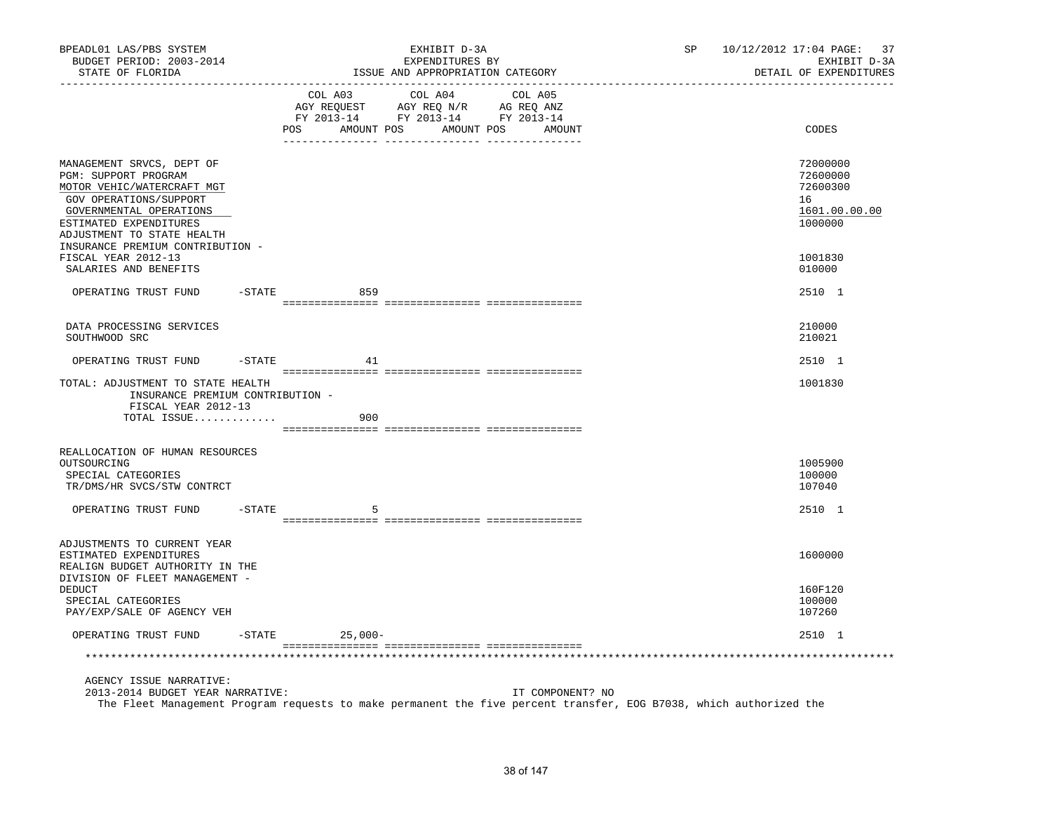| BPEADL01 LAS/PBS SYSTEM<br>BUDGET PERIOD: 2003-2014<br>STATE OF FLORIDA                                                                                                                                                          |        |                     | EXHIBIT D-3A<br>EXPENDITURES BY<br>ISSUE AND APPROPRIATION CATEGORY                | SP                | 10/12/2012 17:04 PAGE: 37<br>DETAIL OF EXPENDITURES | EXHIBIT D-3A                                      |               |
|----------------------------------------------------------------------------------------------------------------------------------------------------------------------------------------------------------------------------------|--------|---------------------|------------------------------------------------------------------------------------|-------------------|-----------------------------------------------------|---------------------------------------------------|---------------|
|                                                                                                                                                                                                                                  |        | COL A03<br>POS      | COL A04<br>NG ARQUEST<br>FY 2013-14 FY 2013-14 FY 2013-14<br>AMOUNT POS AMOUNT POS | COL A05<br>AMOUNT |                                                     | CODES                                             |               |
|                                                                                                                                                                                                                                  |        |                     |                                                                                    |                   |                                                     |                                                   |               |
| MANAGEMENT SRVCS, DEPT OF<br>PGM: SUPPORT PROGRAM<br>MOTOR VEHIC/WATERCRAFT MGT<br>GOV OPERATIONS/SUPPORT<br>GOVERNMENTAL OPERATIONS<br>ESTIMATED EXPENDITURES<br>ADJUSTMENT TO STATE HEALTH<br>INSURANCE PREMIUM CONTRIBUTION - |        |                     |                                                                                    |                   |                                                     | 72000000<br>72600000<br>72600300<br>16<br>1000000 | 1601.00.00.00 |
| FISCAL YEAR 2012-13<br>SALARIES AND BENEFITS                                                                                                                                                                                     |        |                     |                                                                                    |                   |                                                     | 1001830<br>010000                                 |               |
| OPERATING TRUST FUND                                                                                                                                                                                                             |        | $-STATE$<br>859     |                                                                                    |                   |                                                     | 2510 1                                            |               |
|                                                                                                                                                                                                                                  |        |                     |                                                                                    |                   |                                                     |                                                   |               |
| DATA PROCESSING SERVICES<br>SOUTHWOOD SRC                                                                                                                                                                                        |        |                     |                                                                                    |                   |                                                     | 210000<br>210021                                  |               |
| OPERATING TRUST FUND                                                                                                                                                                                                             |        | $-STATE$<br>41      |                                                                                    |                   |                                                     | 2510 1                                            |               |
| TOTAL: ADJUSTMENT TO STATE HEALTH<br>INSURANCE PREMIUM CONTRIBUTION -<br>FISCAL YEAR 2012-13                                                                                                                                     |        |                     |                                                                                    |                   |                                                     | 1001830                                           |               |
| TOTAL ISSUE                                                                                                                                                                                                                      |        | 900                 |                                                                                    |                   |                                                     |                                                   |               |
| REALLOCATION OF HUMAN RESOURCES                                                                                                                                                                                                  |        |                     |                                                                                    |                   |                                                     |                                                   |               |
| OUTSOURCING<br>SPECIAL CATEGORIES<br>TR/DMS/HR SVCS/STW CONTRCT                                                                                                                                                                  |        |                     |                                                                                    |                   |                                                     | 1005900<br>100000<br>107040                       |               |
| OPERATING TRUST FUND                                                                                                                                                                                                             | -STATE | 5                   |                                                                                    |                   |                                                     | 2510 1                                            |               |
|                                                                                                                                                                                                                                  |        |                     |                                                                                    |                   |                                                     |                                                   |               |
| ADJUSTMENTS TO CURRENT YEAR<br>ESTIMATED EXPENDITURES<br>REALIGN BUDGET AUTHORITY IN THE<br>DIVISION OF FLEET MANAGEMENT -                                                                                                       |        |                     |                                                                                    |                   |                                                     | 1600000                                           |               |
| DEDUCT<br>SPECIAL CATEGORIES<br>PAY/EXP/SALE OF AGENCY VEH                                                                                                                                                                       |        |                     |                                                                                    |                   |                                                     | 160F120<br>100000<br>107260                       |               |
| OPERATING TRUST FUND                                                                                                                                                                                                             |        | $-STATE$<br>25,000- |                                                                                    |                   |                                                     | 2510 1                                            |               |
|                                                                                                                                                                                                                                  |        |                     |                                                                                    |                   |                                                     |                                                   |               |
| AGENCY ISSUE NARRATIVE:<br>2013-2014 BUDGET YEAR NARRATIVE:                                                                                                                                                                      |        |                     |                                                                                    | IT COMPONENT? NO  |                                                     |                                                   |               |

The Fleet Management Program requests to make permanent the five percent transfer, EOG B7038, which authorized the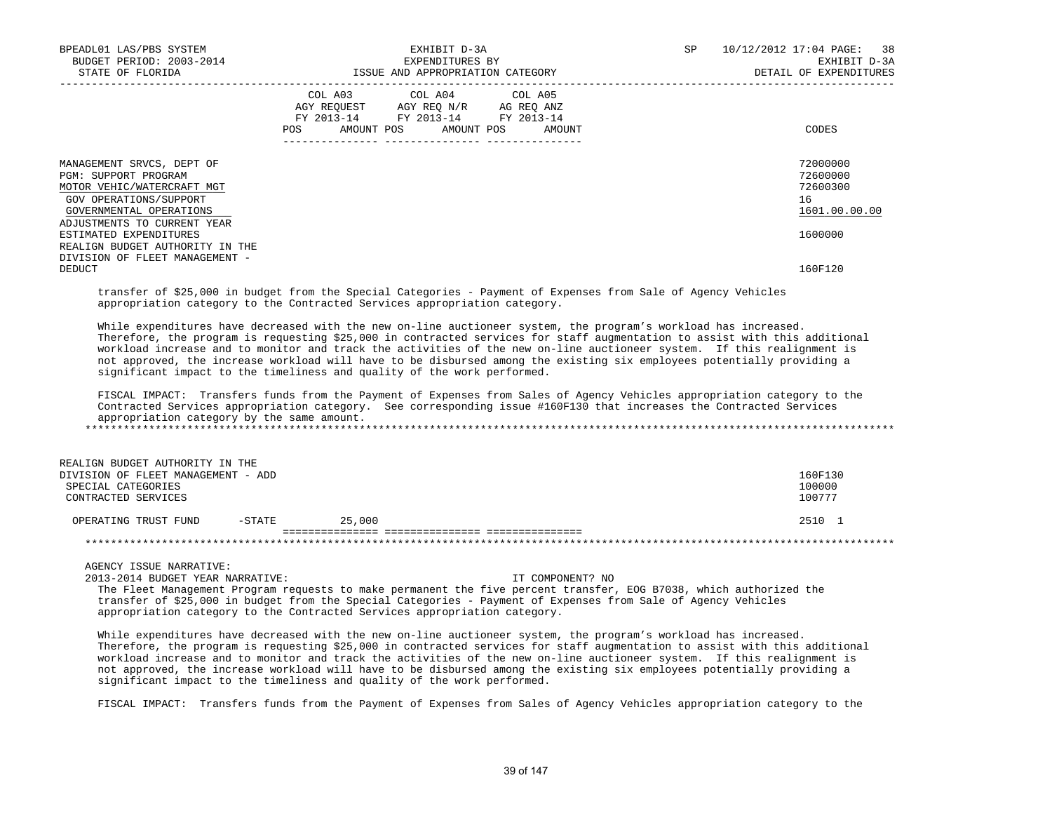|                                                                                                                                                                                                                                                                                                                                                                                                                                                                                                                                                                                                                                                                                                                                                                                                                                                                                                                                                           |                                                                                                   | ISSUE AND APPROPRIATION CATEGORY                                                                                                                                                                                                                        |  | EXHIBIT D-3A<br>DETAIL OF EXPENDITURES                  |
|-----------------------------------------------------------------------------------------------------------------------------------------------------------------------------------------------------------------------------------------------------------------------------------------------------------------------------------------------------------------------------------------------------------------------------------------------------------------------------------------------------------------------------------------------------------------------------------------------------------------------------------------------------------------------------------------------------------------------------------------------------------------------------------------------------------------------------------------------------------------------------------------------------------------------------------------------------------|---------------------------------------------------------------------------------------------------|---------------------------------------------------------------------------------------------------------------------------------------------------------------------------------------------------------------------------------------------------------|--|---------------------------------------------------------|
|                                                                                                                                                                                                                                                                                                                                                                                                                                                                                                                                                                                                                                                                                                                                                                                                                                                                                                                                                           | COL A03 COL A04 COL A05<br>AGY REQUEST AGY REQ N/R AG REQ ANZ<br>FY 2013-14 FY 2013-14 FY 2013-14 |                                                                                                                                                                                                                                                         |  |                                                         |
|                                                                                                                                                                                                                                                                                                                                                                                                                                                                                                                                                                                                                                                                                                                                                                                                                                                                                                                                                           | POS AMOUNT POS AMOUNT POS AMOUNT                                                                  |                                                                                                                                                                                                                                                         |  | CODES                                                   |
| MANAGEMENT SRVCS, DEPT OF<br>PGM: SUPPORT PROGRAM<br>MOTOR VEHIC/WATERCRAFT MGT<br>GOV OPERATIONS/SUPPORT<br>GOVERNMENTAL OPERATIONS                                                                                                                                                                                                                                                                                                                                                                                                                                                                                                                                                                                                                                                                                                                                                                                                                      |                                                                                                   |                                                                                                                                                                                                                                                         |  | 72000000<br>72600000<br>72600300<br>16<br>1601.00.00.00 |
| ADJUSTMENTS TO CURRENT YEAR<br>ESTIMATED EXPENDITURES<br>REALIGN BUDGET AUTHORITY IN THE<br>DIVISION OF FLEET MANAGEMENT -                                                                                                                                                                                                                                                                                                                                                                                                                                                                                                                                                                                                                                                                                                                                                                                                                                |                                                                                                   |                                                                                                                                                                                                                                                         |  | 1600000                                                 |
| <b>DEDUCT</b>                                                                                                                                                                                                                                                                                                                                                                                                                                                                                                                                                                                                                                                                                                                                                                                                                                                                                                                                             |                                                                                                   |                                                                                                                                                                                                                                                         |  | 160F120                                                 |
| appropriation category to the Contracted Services appropriation category.<br>While expenditures have decreased with the new on-line auctioneer system, the program's workload has increased.<br>Therefore, the program is requesting \$25,000 in contracted services for staff augmentation to assist with this additional<br>workload increase and to monitor and track the activities of the new on-line auctioneer system. If this realignment is<br>not approved, the increase workload will have to be disbursed among the existing six employees potentially providing a<br>significant impact to the timeliness and quality of the work performed.<br>FISCAL IMPACT: Transfers funds from the Payment of Expenses from Sales of Agency Vehicles appropriation category to the<br>Contracted Services appropriation category. See corresponding issue #160F130 that increases the Contracted Services<br>appropriation category by the same amount. |                                                                                                   |                                                                                                                                                                                                                                                         |  |                                                         |
| REALIGN BUDGET AUTHORITY IN THE<br>DIVISION OF FLEET MANAGEMENT - ADD                                                                                                                                                                                                                                                                                                                                                                                                                                                                                                                                                                                                                                                                                                                                                                                                                                                                                     |                                                                                                   |                                                                                                                                                                                                                                                         |  | 160F130                                                 |
| SPECIAL CATEGORIES<br>CONTRACTED SERVICES                                                                                                                                                                                                                                                                                                                                                                                                                                                                                                                                                                                                                                                                                                                                                                                                                                                                                                                 |                                                                                                   |                                                                                                                                                                                                                                                         |  | 100000<br>100777                                        |
| OPERATING TRUST FUND -STATE 25,000                                                                                                                                                                                                                                                                                                                                                                                                                                                                                                                                                                                                                                                                                                                                                                                                                                                                                                                        |                                                                                                   |                                                                                                                                                                                                                                                         |  | 2510 1                                                  |
|                                                                                                                                                                                                                                                                                                                                                                                                                                                                                                                                                                                                                                                                                                                                                                                                                                                                                                                                                           |                                                                                                   |                                                                                                                                                                                                                                                         |  |                                                         |
| AGENCY ISSUE NARRATIVE:<br>2013-2014 BUDGET YEAR NARRATIVE:                                                                                                                                                                                                                                                                                                                                                                                                                                                                                                                                                                                                                                                                                                                                                                                                                                                                                               |                                                                                                   | IT COMPONENT? NO<br>The Fleet Management Program requests to make permanent the five percent transfer, EOG B7038, which authorized the<br>transfer of \$25,000 in budget from the Special Categories - Payment of Expenses from Sale of Agency Vehicles |  |                                                         |

FISCAL IMPACT: Transfers funds from the Payment of Expenses from Sales of Agency Vehicles appropriation category to the

significant impact to the timeliness and quality of the work performed.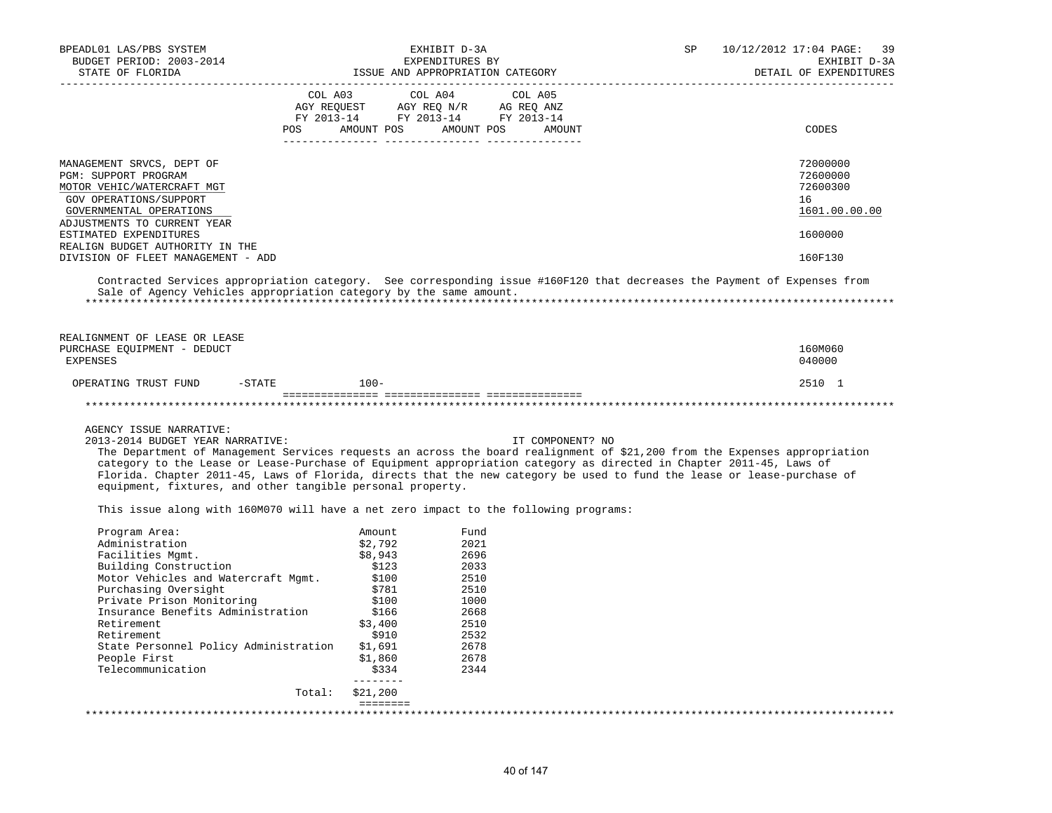| BPEADL01 LAS/PBS SYSTEM<br>BUDGET PERIOD: 2003-2014<br>STATE OF FLORIDA                                                                                                                                                                                                                                                                                                                                                                     |                                                                                                                                                                                                                      | EXHIBIT D-3A<br>EXPENDITURES BY<br>ISSUE AND APPROPRIATION CATEGORY                                  | SP | 10/12/2012 17:04 PAGE:<br>39<br>EXHIBIT D-3A<br>DETAIL OF EXPENDITURES |
|---------------------------------------------------------------------------------------------------------------------------------------------------------------------------------------------------------------------------------------------------------------------------------------------------------------------------------------------------------------------------------------------------------------------------------------------|----------------------------------------------------------------------------------------------------------------------------------------------------------------------------------------------------------------------|------------------------------------------------------------------------------------------------------|----|------------------------------------------------------------------------|
|                                                                                                                                                                                                                                                                                                                                                                                                                                             | COL A03<br>$\begin{tabular}{lllllllll} \bf AGY \,\, REQUEST \,\, &\bf AGY \,\, REQ \,\, N/R \,\, &\bf AG \,\, REQ \,\, ANZ \\ \bf FY \,\, 2013-14 \,\, &\bf FY \,\, 2013-14 \,\, &\bf FY \,\, 2013-14 \end{tabular}$ | COL A04<br>COL A05<br>POS AMOUNT POS AMOUNT POS AMOUNT                                               |    | CODES                                                                  |
| MANAGEMENT SRVCS, DEPT OF<br>PGM: SUPPORT PROGRAM<br>MOTOR VEHIC/WATERCRAFT MGT<br>GOV OPERATIONS/SUPPORT<br>GOVERNMENTAL OPERATIONS<br>ADJUSTMENTS TO CURRENT YEAR                                                                                                                                                                                                                                                                         |                                                                                                                                                                                                                      |                                                                                                      |    | 72000000<br>72600000<br>72600300<br>16<br>1601.00.00.00                |
| ESTIMATED EXPENDITURES                                                                                                                                                                                                                                                                                                                                                                                                                      |                                                                                                                                                                                                                      |                                                                                                      |    | 1600000                                                                |
| REALIGN BUDGET AUTHORITY IN THE<br>DIVISION OF FLEET MANAGEMENT - ADD                                                                                                                                                                                                                                                                                                                                                                       |                                                                                                                                                                                                                      |                                                                                                      |    | 160F130                                                                |
| Contracted Services appropriation category. See corresponding issue #160F120 that decreases the Payment of Expenses from<br>Sale of Agency Vehicles appropriation category by the same amount.                                                                                                                                                                                                                                              |                                                                                                                                                                                                                      |                                                                                                      |    |                                                                        |
| REALIGNMENT OF LEASE OR LEASE<br>PURCHASE EQUIPMENT - DEDUCT<br><b>EXPENSES</b>                                                                                                                                                                                                                                                                                                                                                             |                                                                                                                                                                                                                      |                                                                                                      |    | 160M060<br>040000                                                      |
| OPERATING TRUST FUND<br>$-$ STATE                                                                                                                                                                                                                                                                                                                                                                                                           | $100 -$                                                                                                                                                                                                              |                                                                                                      |    | 2510 1                                                                 |
|                                                                                                                                                                                                                                                                                                                                                                                                                                             |                                                                                                                                                                                                                      |                                                                                                      |    |                                                                        |
| AGENCY ISSUE NARRATIVE:<br>2013-2014 BUDGET YEAR NARRATIVE:<br>The Department of Management Services requests an across the board realignment of \$21,200 from the Expenses appropriation<br>category to the Lease or Lease-Purchase of Equipment appropriation category as directed in Chapter 2011-45, Laws of<br>Florida. Chapter 2011-45, Laws of Florida, directs that the new category be used to fund the lease or lease-purchase of |                                                                                                                                                                                                                      | IT COMPONENT? NO                                                                                     |    |                                                                        |
| equipment, fixtures, and other tangible personal property.                                                                                                                                                                                                                                                                                                                                                                                  |                                                                                                                                                                                                                      |                                                                                                      |    |                                                                        |
| This issue along with 160M070 will have a net zero impact to the following programs:                                                                                                                                                                                                                                                                                                                                                        |                                                                                                                                                                                                                      |                                                                                                      |    |                                                                        |
| Program Area:<br>Administration<br>Facilities Mgmt.<br>Building Construction<br>Motor Vehicles and Watercraft Mgmt.<br>Purchasing Oversight<br>Private Prison Monitoring<br>Insurance Benefits Administration<br>Retirement<br>Retirement<br>State Personnel Policy Administration<br>People First<br>Telecommunication                                                                                                                     | Amount<br>\$2,792<br>\$8,943<br>\$123<br>\$100<br>\$781<br>\$100<br>\$166<br>\$3,400<br>\$910<br>\$1,691<br>\$1,860<br>\$334<br>--------                                                                             | Fund<br>2021<br>2696<br>2033<br>2510<br>2510<br>1000<br>2668<br>2510<br>2532<br>2678<br>2678<br>2344 |    |                                                                        |
|                                                                                                                                                                                                                                                                                                                                                                                                                                             | \$21,200<br>Total:                                                                                                                                                                                                   |                                                                                                      |    |                                                                        |
|                                                                                                                                                                                                                                                                                                                                                                                                                                             | eeeeeee                                                                                                                                                                                                              |                                                                                                      |    |                                                                        |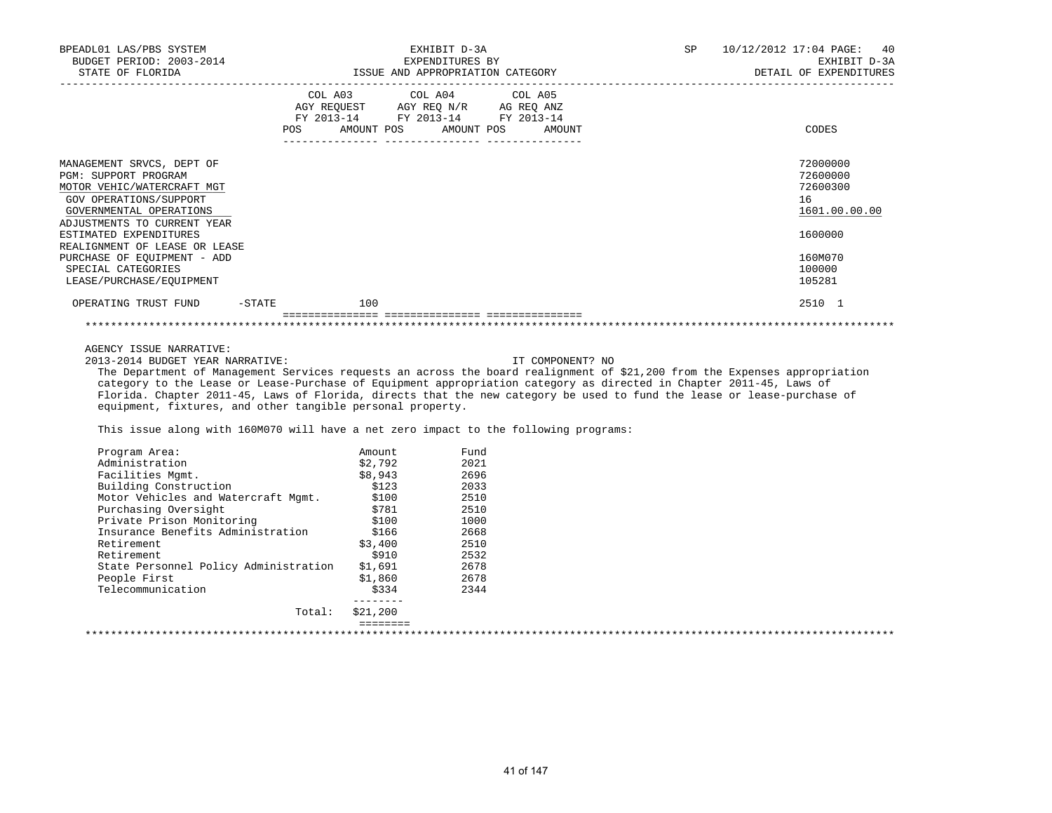| BPEADL01 LAS/PBS SYSTEM<br>BUDGET PERIOD: 2003-2014<br>STATE OF FLORIDA |     | EXHIBIT D-3A<br>EXPENDITURES BY<br>ISSUE AND APPROPRIATION CATEGORY |                  | SP | 10/12/2012 17:04 PAGE: 40<br>EXHIBIT D-3A<br>DETAIL OF EXPENDITURES |
|-------------------------------------------------------------------------|-----|---------------------------------------------------------------------|------------------|----|---------------------------------------------------------------------|
|                                                                         |     | COL A03 COL A04 COL A05<br>AGY REQUEST AGY REO N/R AG REO ANZ       |                  |    |                                                                     |
|                                                                         | POS | FY 2013-14 FY 2013-14 FY 2013-14<br>AMOUNT POS AMOUNT POS           | AMOUNT           |    | CODES                                                               |
| MANAGEMENT SRVCS, DEPT OF                                               |     |                                                                     |                  |    | 72000000                                                            |
| <b>PGM: SUPPORT PROGRAM</b>                                             |     |                                                                     |                  |    | 72600000                                                            |
| MOTOR VEHIC/WATERCRAFT MGT                                              |     |                                                                     |                  |    | 72600300                                                            |
| GOV OPERATIONS/SUPPORT                                                  |     |                                                                     |                  |    | 16                                                                  |
| GOVERNMENTAL OPERATIONS                                                 |     |                                                                     |                  |    | 1601.00.00.00                                                       |
| ADJUSTMENTS TO CURRENT YEAR                                             |     |                                                                     |                  |    |                                                                     |
| ESTIMATED EXPENDITURES                                                  |     |                                                                     |                  |    | 1600000                                                             |
| REALIGNMENT OF LEASE OR LEASE                                           |     |                                                                     |                  |    |                                                                     |
| PURCHASE OF EOUIPMENT - ADD                                             |     |                                                                     |                  |    | 160M070                                                             |
| SPECIAL CATEGORIES                                                      |     |                                                                     |                  |    | 100000                                                              |
| LEASE/PURCHASE/EOUIPMENT                                                |     |                                                                     |                  |    | 105281                                                              |
| OPERATING TRUST FUND<br>$-$ STATE                                       | 100 |                                                                     |                  |    | 2510 1                                                              |
|                                                                         |     |                                                                     |                  |    |                                                                     |
| AGENCY ISSUE NARRATIVE:                                                 |     |                                                                     |                  |    |                                                                     |
| 2013-2014 BUDGET YEAR NARRATIVE:                                        |     |                                                                     | IT COMPONENT? NO |    |                                                                     |

 The Department of Management Services requests an across the board realignment of \$21,200 from the Expenses appropriation category to the Lease or Lease-Purchase of Equipment appropriation category as directed in Chapter 2011-45, Laws of Florida. Chapter 2011-45, Laws of Florida, directs that the new category be used to fund the lease or lease-purchase of equipment, fixtures, and other tangible personal property.

This issue along with 160M070 will have a net zero impact to the following programs:

| Program Area:                         | Amount   | Fund |  |
|---------------------------------------|----------|------|--|
| Administration                        | \$2,792  | 2021 |  |
| Facilities Mqmt.                      | \$8,943  | 2696 |  |
| Building Construction                 | \$123    | 2033 |  |
| Motor Vehicles and Watercraft Mqmt.   | \$100    | 2510 |  |
| Purchasing Oversight                  | \$781    | 2510 |  |
| Private Prison Monitoring             | \$100    | 1000 |  |
| Insurance Benefits Administration     | \$166    | 2668 |  |
| Retirement                            | \$3,400  | 2510 |  |
| Retirement                            | \$910    | 2532 |  |
| State Personnel Policy Administration | \$1,691  | 2678 |  |
| People First                          | \$1,860  | 2678 |  |
| Telecommunication                     | \$334    | 2344 |  |
| Total:                                | \$21,200 |      |  |
|                                       |          |      |  |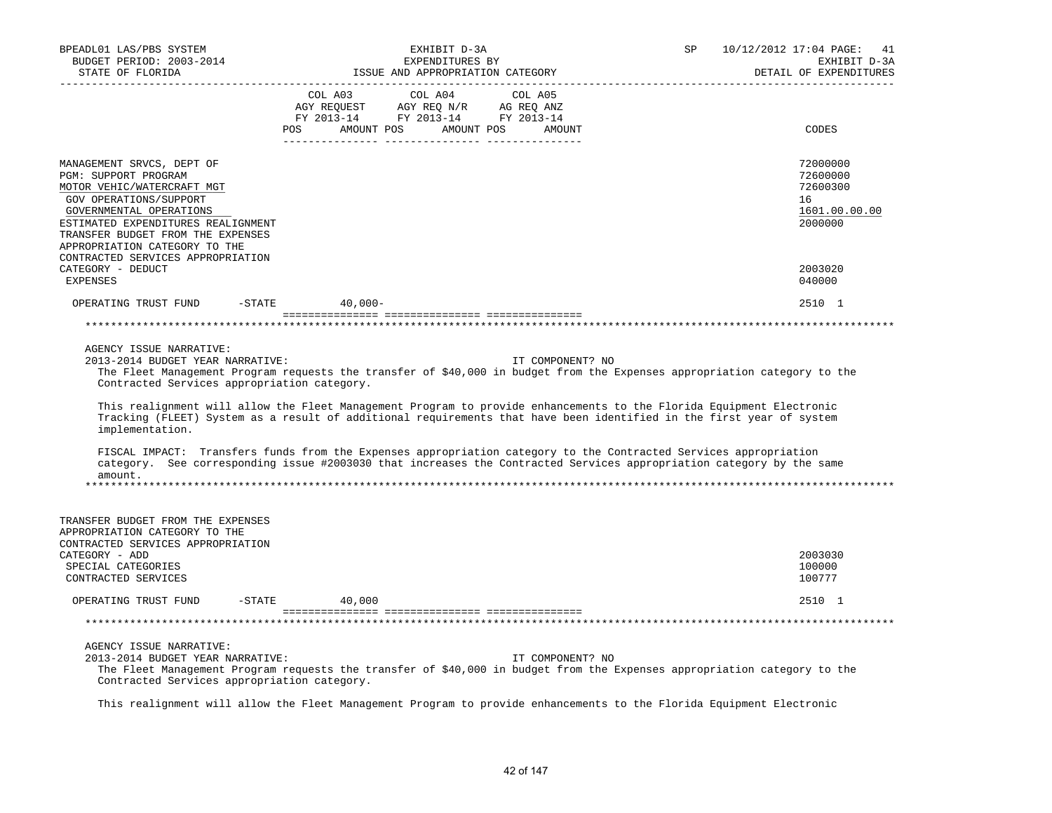| BPEADL01 LAS/PBS SYSTEM<br>BUDGET PERIOD: 2003-2014<br>STATE OF FLORIDA                                                                                                                                                                                                               | EXHIBIT D-3A<br>EXPENDITURES BY<br>ISSUE AND APPROPRIATION CATEGORY                                                                                                                                                                                                                                                                                                                                                                                                                                              | 10/12/2012 17:04 PAGE: 41<br>SP<br>EXHIBIT D-3A<br>DETAIL OF EXPENDITURES |
|---------------------------------------------------------------------------------------------------------------------------------------------------------------------------------------------------------------------------------------------------------------------------------------|------------------------------------------------------------------------------------------------------------------------------------------------------------------------------------------------------------------------------------------------------------------------------------------------------------------------------------------------------------------------------------------------------------------------------------------------------------------------------------------------------------------|---------------------------------------------------------------------------|
| ------------------                                                                                                                                                                                                                                                                    |                                                                                                                                                                                                                                                                                                                                                                                                                                                                                                                  |                                                                           |
|                                                                                                                                                                                                                                                                                       | POS AMOUNT POS AMOUNT POS AMOUNT                                                                                                                                                                                                                                                                                                                                                                                                                                                                                 | CODES                                                                     |
| MANAGEMENT SRVCS, DEPT OF<br>PGM: SUPPORT PROGRAM<br>MOTOR VEHIC/WATERCRAFT MGT<br>GOV OPERATIONS/SUPPORT<br>GOVERNMENTAL OPERATIONS<br>ESTIMATED EXPENDITURES REALIGNMENT<br>TRANSFER BUDGET FROM THE EXPENSES<br>APPROPRIATION CATEGORY TO THE<br>CONTRACTED SERVICES APPROPRIATION |                                                                                                                                                                                                                                                                                                                                                                                                                                                                                                                  | 72000000<br>72600000<br>72600300<br>16<br>1601.00.00.00<br>2000000        |
| CATEGORY - DEDUCT<br>EXPENSES                                                                                                                                                                                                                                                         |                                                                                                                                                                                                                                                                                                                                                                                                                                                                                                                  | 2003020<br>040000                                                         |
| OPERATING TRUST FUND -STATE 40,000-                                                                                                                                                                                                                                                   |                                                                                                                                                                                                                                                                                                                                                                                                                                                                                                                  | 2510 1                                                                    |
|                                                                                                                                                                                                                                                                                       |                                                                                                                                                                                                                                                                                                                                                                                                                                                                                                                  |                                                                           |
| AGENCY ISSUE NARRATIVE:<br>2013-2014 BUDGET YEAR NARRATIVE:<br>Contracted Services appropriation category.<br>implementation.                                                                                                                                                         | IT COMPONENT? NO<br>The Fleet Management Program requests the transfer of \$40,000 in budget from the Expenses appropriation category to the<br>This realignment will allow the Fleet Management Program to provide enhancements to the Florida Equipment Electronic<br>Tracking (FLEET) System as a result of additional requirements that have been identified in the first year of system<br>FISCAL IMPACT: Transfers funds from the Expenses appropriation category to the Contracted Services appropriation |                                                                           |
| amount.                                                                                                                                                                                                                                                                               | category. See corresponding issue #2003030 that increases the Contracted Services appropriation category by the same                                                                                                                                                                                                                                                                                                                                                                                             |                                                                           |
| TRANSFER BUDGET FROM THE EXPENSES<br>APPROPRIATION CATEGORY TO THE<br>CONTRACTED SERVICES APPROPRIATION<br>CATEGORY - ADD<br>SPECIAL CATEGORIES<br>CONTRACTED SERVICES                                                                                                                |                                                                                                                                                                                                                                                                                                                                                                                                                                                                                                                  | 2003030<br>100000<br>100777                                               |
| OPERATING TRUST FUND -STATE 40,000                                                                                                                                                                                                                                                    |                                                                                                                                                                                                                                                                                                                                                                                                                                                                                                                  | 2510 1                                                                    |
|                                                                                                                                                                                                                                                                                       |                                                                                                                                                                                                                                                                                                                                                                                                                                                                                                                  |                                                                           |
| AGENCY ISSUE NARRATIVE:<br>2013-2014 BUDGET YEAR NARRATIVE:<br>Contracted Services appropriation category.                                                                                                                                                                            | IT COMPONENT? NO<br>The Fleet Management Program requests the transfer of \$40,000 in budget from the Expenses appropriation category to the                                                                                                                                                                                                                                                                                                                                                                     |                                                                           |
|                                                                                                                                                                                                                                                                                       | This realignment will allow the Fleet Management Program to provide enhancements to the Florida Equipment Electronic                                                                                                                                                                                                                                                                                                                                                                                             |                                                                           |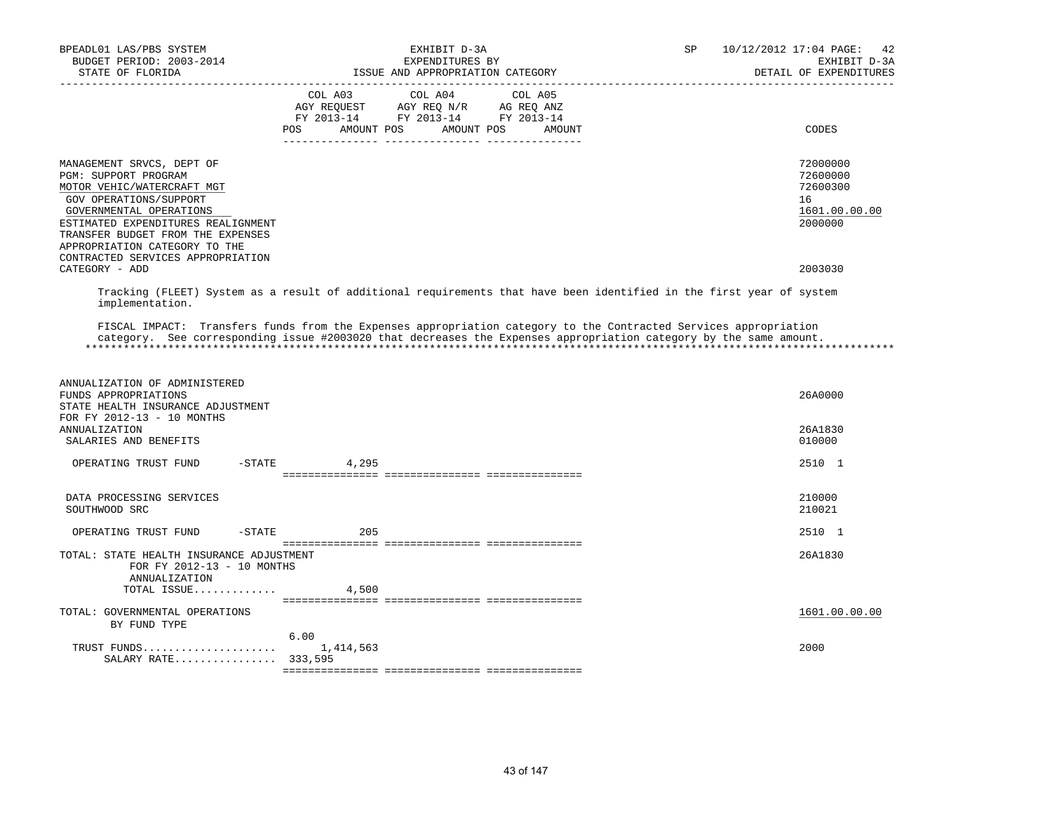| BPEADL01 LAS/PBS SYSTEM<br>BUDGET PERIOD: 2003-2014<br>STATE OF FLORIDA                                                                                                                                                                                                               | EXHIBIT D-3A<br>EXPENDITURES BY<br>ISSUE AND APPROPRIATION CATEGORY                                                                                                                                                                   | SP | 10/12/2012 17:04 PAGE:<br>42<br>EXHIBIT D-3A<br>DETAIL OF EXPENDITURES |
|---------------------------------------------------------------------------------------------------------------------------------------------------------------------------------------------------------------------------------------------------------------------------------------|---------------------------------------------------------------------------------------------------------------------------------------------------------------------------------------------------------------------------------------|----|------------------------------------------------------------------------|
|                                                                                                                                                                                                                                                                                       | COL A03 COL A04 COL A05<br>AGY REQUEST AGY REQ N/R AG REQ ANZ<br>FY 2013-14 FY 2013-14 FY 2013-14<br><b>POS</b><br>AMOUNT POS AMOUNT POS AMOUNT                                                                                       |    | CODES                                                                  |
| MANAGEMENT SRVCS, DEPT OF<br>PGM: SUPPORT PROGRAM<br>MOTOR VEHIC/WATERCRAFT MGT<br>GOV OPERATIONS/SUPPORT<br>GOVERNMENTAL OPERATIONS<br>ESTIMATED EXPENDITURES REALIGNMENT<br>TRANSFER BUDGET FROM THE EXPENSES<br>APPROPRIATION CATEGORY TO THE<br>CONTRACTED SERVICES APPROPRIATION |                                                                                                                                                                                                                                       |    | 72000000<br>72600000<br>72600300<br>16<br>1601.00.00.00<br>2000000     |
| CATEGORY - ADD                                                                                                                                                                                                                                                                        |                                                                                                                                                                                                                                       |    | 2003030                                                                |
| implementation.                                                                                                                                                                                                                                                                       | Tracking (FLEET) System as a result of additional requirements that have been identified in the first year of system                                                                                                                  |    |                                                                        |
|                                                                                                                                                                                                                                                                                       | FISCAL IMPACT: Transfers funds from the Expenses appropriation category to the Contracted Services appropriation<br>category. See corresponding issue #2003020 that decreases the Expenses appropriation category by the same amount. |    |                                                                        |
| ANNUALIZATION OF ADMINISTERED<br>FUNDS APPROPRIATIONS<br>STATE HEALTH INSURANCE ADJUSTMENT<br>FOR FY 2012-13 - 10 MONTHS                                                                                                                                                              |                                                                                                                                                                                                                                       |    | 26A0000                                                                |
| <b>ANNUALIZATION</b><br>SALARIES AND BENEFITS                                                                                                                                                                                                                                         |                                                                                                                                                                                                                                       |    | 26A1830<br>010000                                                      |
| $-$ STATE<br>OPERATING TRUST FUND                                                                                                                                                                                                                                                     | 4,295                                                                                                                                                                                                                                 |    | 2510 1                                                                 |
| DATA PROCESSING SERVICES<br>SOUTHWOOD SRC                                                                                                                                                                                                                                             |                                                                                                                                                                                                                                       |    | 210000<br>210021                                                       |
| OPERATING TRUST FUND<br>$-$ STATE                                                                                                                                                                                                                                                     | 205                                                                                                                                                                                                                                   |    | 2510 1                                                                 |
| TOTAL: STATE HEALTH INSURANCE ADJUSTMENT<br>FOR FY 2012-13 - 10 MONTHS<br>ANNUALIZATION                                                                                                                                                                                               |                                                                                                                                                                                                                                       |    | 26A1830                                                                |
| TOTAL ISSUE                                                                                                                                                                                                                                                                           | 4,500                                                                                                                                                                                                                                 |    |                                                                        |
| TOTAL: GOVERNMENTAL OPERATIONS<br>BY FUND TYPE                                                                                                                                                                                                                                        |                                                                                                                                                                                                                                       |    | 1601.00.00.00                                                          |
| TRUST FUNDS<br>SALARY RATE 333,595                                                                                                                                                                                                                                                    | 6.00<br>1,414,563                                                                                                                                                                                                                     |    | 2000                                                                   |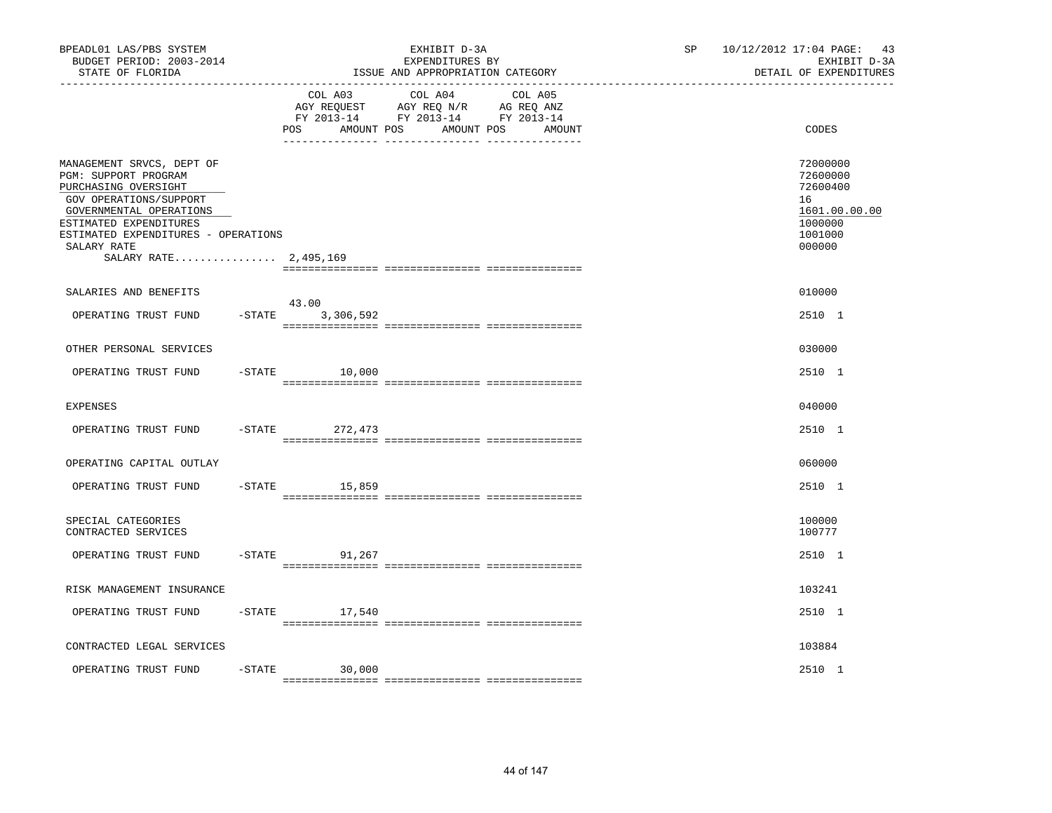| BPEADL01 LAS/PBS SYSTEM<br>BUDGET PERIOD: 2003-2014<br>STATE OF FLORIDA<br>. _ _ _ _ _ _ _ _ _ _ _ _ _ _ _ _ _ _                                                                                                                        |           |                              | EXHIBIT D-3A<br>EXPENDITURES BY<br>ISSUE AND APPROPRIATION CATEGORY                                     |        | SP | 10/12/2012 17:04 PAGE: 43<br>EXHIBIT D-3A<br>DETAIL OF EXPENDITURES                     |  |
|-----------------------------------------------------------------------------------------------------------------------------------------------------------------------------------------------------------------------------------------|-----------|------------------------------|---------------------------------------------------------------------------------------------------------|--------|----|-----------------------------------------------------------------------------------------|--|
|                                                                                                                                                                                                                                         |           | COL A03<br>POS<br>AMOUNT POS | COL A04 COL A05<br>AGY REQUEST AGY REQ N/R AG REQ ANZ<br>FY 2013-14 FY 2013-14 FY 2013-14<br>AMOUNT POS | AMOUNT |    | CODES                                                                                   |  |
| MANAGEMENT SRVCS, DEPT OF<br>PGM: SUPPORT PROGRAM<br>PURCHASING OVERSIGHT<br>GOV OPERATIONS/SUPPORT<br>GOVERNMENTAL OPERATIONS<br>ESTIMATED EXPENDITURES<br>ESTIMATED EXPENDITURES - OPERATIONS<br>SALARY RATE<br>SALARY RATE 2,495,169 |           |                              |                                                                                                         |        |    | 72000000<br>72600000<br>72600400<br>16<br>1601.00.00.00<br>1000000<br>1001000<br>000000 |  |
| SALARIES AND BENEFITS                                                                                                                                                                                                                   |           | 43.00                        |                                                                                                         |        |    | 010000                                                                                  |  |
| OPERATING TRUST FUND                                                                                                                                                                                                                    | $-$ STATE | 3,306,592                    |                                                                                                         |        |    | 2510 1                                                                                  |  |
| OTHER PERSONAL SERVICES                                                                                                                                                                                                                 |           |                              |                                                                                                         |        |    | 030000                                                                                  |  |
| OPERATING TRUST FUND                                                                                                                                                                                                                    |           | $-STATE$<br>10,000           |                                                                                                         |        |    | 2510 1                                                                                  |  |
| <b>EXPENSES</b>                                                                                                                                                                                                                         |           |                              |                                                                                                         |        |    | 040000                                                                                  |  |
| OPERATING TRUST FUND                                                                                                                                                                                                                    | $-$ STATE | 272,473                      |                                                                                                         |        |    | 2510 1                                                                                  |  |
| OPERATING CAPITAL OUTLAY                                                                                                                                                                                                                |           |                              |                                                                                                         |        |    | 060000                                                                                  |  |
| OPERATING TRUST FUND                                                                                                                                                                                                                    | $-STATE$  | 15,859                       |                                                                                                         |        |    | 2510 1                                                                                  |  |
| SPECIAL CATEGORIES<br>CONTRACTED SERVICES                                                                                                                                                                                               |           |                              |                                                                                                         |        |    | 100000<br>100777                                                                        |  |
| OPERATING TRUST FUND                                                                                                                                                                                                                    | $-$ STATE | 91,267                       |                                                                                                         |        |    | 2510 1                                                                                  |  |
| RISK MANAGEMENT INSURANCE                                                                                                                                                                                                               |           |                              |                                                                                                         |        |    | 103241                                                                                  |  |
| OPERATING TRUST FUND                                                                                                                                                                                                                    |           | $-$ STATE 17,540             |                                                                                                         |        |    | 2510 1                                                                                  |  |
| CONTRACTED LEGAL SERVICES                                                                                                                                                                                                               |           |                              |                                                                                                         |        |    | 103884                                                                                  |  |
| OPERATING TRUST FUND                                                                                                                                                                                                                    | $-STATE$  | 30,000                       |                                                                                                         |        |    | 2510 1                                                                                  |  |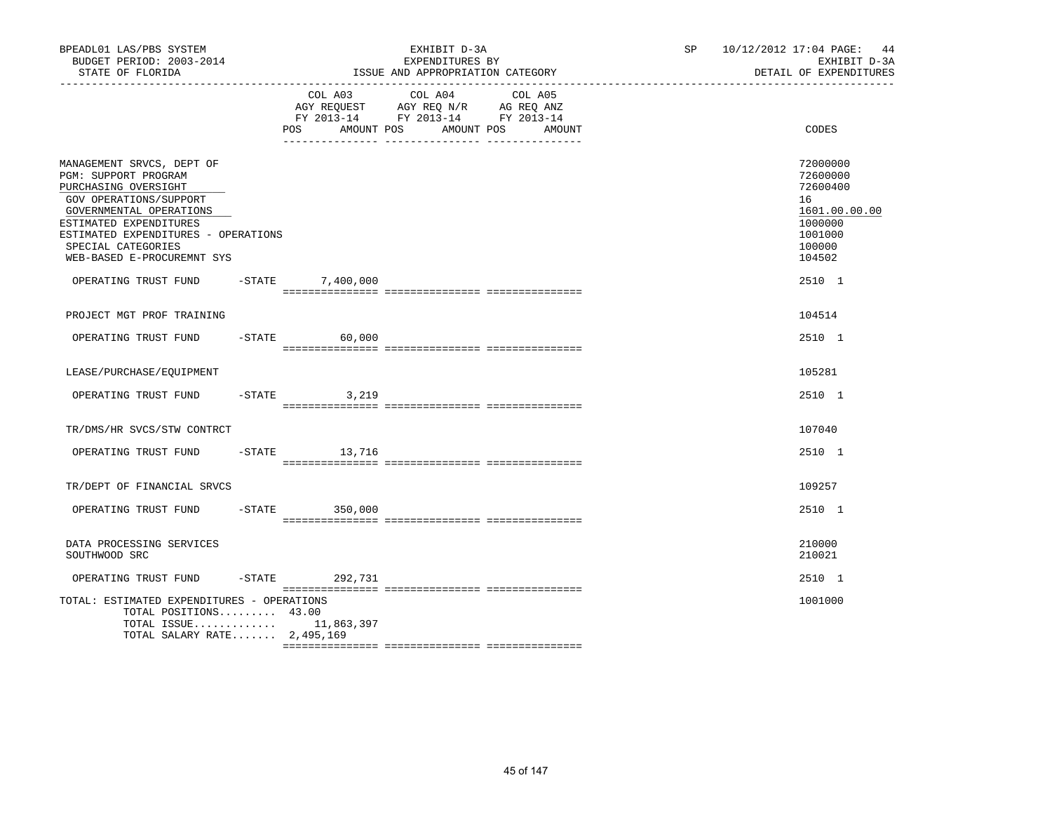| BPEADL01 LAS/PBS SYSTEM<br>BUDGET PERIOD: 2003-2014<br>STATE OF FLORIDA                                                                                                                                                                                                            |          |                       | EXHIBIT D-3A<br>EXPENDITURES BY<br>ISSUE AND APPROPRIATION CATEGORY                                                  | SP and the set of the set of the set of the set of the set of the set of the set of the set of the set of the set of the set of the set of the set of the set of the set of the set of the set of the set of the set of the se | 10/12/2012 17:04 PAGE: 44<br>EXHIBIT D-3A<br>DETAIL OF EXPENDITURES                                         |
|------------------------------------------------------------------------------------------------------------------------------------------------------------------------------------------------------------------------------------------------------------------------------------|----------|-----------------------|----------------------------------------------------------------------------------------------------------------------|--------------------------------------------------------------------------------------------------------------------------------------------------------------------------------------------------------------------------------|-------------------------------------------------------------------------------------------------------------|
|                                                                                                                                                                                                                                                                                    | POS      | COL A03<br>AMOUNT POS | COL A04<br>COL A05<br>AGY REQUEST AGY REQ N/R AG REQ ANZ<br>FY 2013-14 FY 2013-14 FY 2013-14<br>AMOUNT POS<br>AMOUNT |                                                                                                                                                                                                                                | CODES                                                                                                       |
| MANAGEMENT SRVCS, DEPT OF<br>PGM: SUPPORT PROGRAM<br>PURCHASING OVERSIGHT<br>GOV OPERATIONS/SUPPORT<br>GOVERNMENTAL OPERATIONS<br>ESTIMATED EXPENDITURES<br>ESTIMATED EXPENDITURES - OPERATIONS<br>SPECIAL CATEGORIES<br>WEB-BASED E-PROCUREMNT SYS<br>OPERATING TRUST FUND -STATE |          | 7,400,000             |                                                                                                                      |                                                                                                                                                                                                                                | 72000000<br>72600000<br>72600400<br>16<br>1601.00.00.00<br>1000000<br>1001000<br>100000<br>104502<br>2510 1 |
| PROJECT MGT PROF TRAINING                                                                                                                                                                                                                                                          |          |                       |                                                                                                                      |                                                                                                                                                                                                                                | 104514                                                                                                      |
| OPERATING TRUST FUND                                                                                                                                                                                                                                                               | $-STATE$ | 60,000                |                                                                                                                      |                                                                                                                                                                                                                                | 2510 1                                                                                                      |
| LEASE/PURCHASE/EOUIPMENT                                                                                                                                                                                                                                                           |          |                       |                                                                                                                      |                                                                                                                                                                                                                                | 105281                                                                                                      |
| OPERATING TRUST FUND                                                                                                                                                                                                                                                               | $-STATE$ | 3,219                 |                                                                                                                      |                                                                                                                                                                                                                                | 2510 1                                                                                                      |
| TR/DMS/HR SVCS/STW CONTRCT                                                                                                                                                                                                                                                         |          |                       |                                                                                                                      |                                                                                                                                                                                                                                | 107040                                                                                                      |
| OPERATING TRUST FUND                                                                                                                                                                                                                                                               |          | $-STATE$ 13,716       |                                                                                                                      |                                                                                                                                                                                                                                | 2510 1                                                                                                      |
| TR/DEPT OF FINANCIAL SRVCS                                                                                                                                                                                                                                                         |          |                       |                                                                                                                      |                                                                                                                                                                                                                                | 109257                                                                                                      |
| OPERATING TRUST FUND                                                                                                                                                                                                                                                               | $-STATE$ | 350,000               |                                                                                                                      |                                                                                                                                                                                                                                | 2510 1                                                                                                      |
| DATA PROCESSING SERVICES<br>SOUTHWOOD SRC                                                                                                                                                                                                                                          |          |                       |                                                                                                                      |                                                                                                                                                                                                                                | 210000<br>210021                                                                                            |
| OPERATING TRUST FUND                                                                                                                                                                                                                                                               |          | -STATE 292,731        |                                                                                                                      |                                                                                                                                                                                                                                | 2510 1                                                                                                      |
| TOTAL: ESTIMATED EXPENDITURES - OPERATIONS<br>TOTAL POSITIONS 43.00<br>TOTAL ISSUE $11,863,397$<br>TOTAL SALARY RATE $2,495,169$                                                                                                                                                   |          |                       |                                                                                                                      |                                                                                                                                                                                                                                | 1001000                                                                                                     |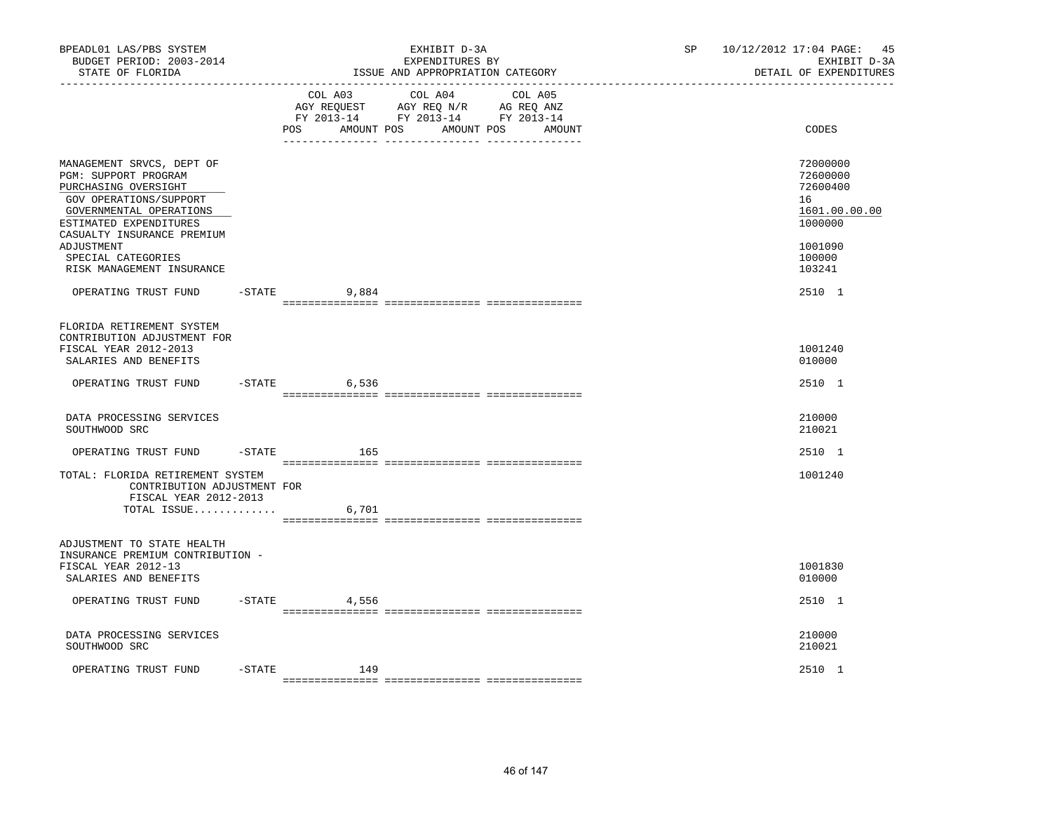| BPEADL01 LAS/PBS SYSTEM<br>BUDGET PERIOD: 2003-2014<br>STATE OF FLORIDA                                                                                                                                                                                 |           |                   | EXHIBIT D-3A<br>EXPENDITURES BY<br>ISSUE AND APPROPRIATION CATEGORY                                                       | SP and the set of the set of the set of the set of the set of the set of the set of the set of the set of the set of the set of the set of the set of the set of the set of the set of the set of the set of the set of the se | 10/12/2012 17:04 PAGE: 45<br>EXHIBIT D-3A<br>DETAIL OF EXPENDITURES                               |
|---------------------------------------------------------------------------------------------------------------------------------------------------------------------------------------------------------------------------------------------------------|-----------|-------------------|---------------------------------------------------------------------------------------------------------------------------|--------------------------------------------------------------------------------------------------------------------------------------------------------------------------------------------------------------------------------|---------------------------------------------------------------------------------------------------|
|                                                                                                                                                                                                                                                         |           | AMOUNT POS<br>POS | COL A03 COL A04 COL A05<br>AGY REQUEST AGY REQ N/R AG REQ ANZ<br>FY 2013-14 FY 2013-14 FY 2013-14<br>AMOUNT POS<br>AMOUNT |                                                                                                                                                                                                                                | CODES                                                                                             |
| MANAGEMENT SRVCS, DEPT OF<br>PGM: SUPPORT PROGRAM<br>PURCHASING OVERSIGHT<br>GOV OPERATIONS/SUPPORT<br>GOVERNMENTAL OPERATIONS<br>ESTIMATED EXPENDITURES<br>CASUALTY INSURANCE PREMIUM<br>ADJUSTMENT<br>SPECIAL CATEGORIES<br>RISK MANAGEMENT INSURANCE |           |                   |                                                                                                                           |                                                                                                                                                                                                                                | 72000000<br>72600000<br>72600400<br>16<br>1601.00.00.00<br>1000000<br>1001090<br>100000<br>103241 |
| OPERATING TRUST FUND                                                                                                                                                                                                                                    |           | $-STATE$ 9,884    |                                                                                                                           |                                                                                                                                                                                                                                | 2510 1                                                                                            |
| FLORIDA RETIREMENT SYSTEM<br>CONTRIBUTION ADJUSTMENT FOR<br>FISCAL YEAR 2012-2013<br>SALARIES AND BENEFITS<br>OPERATING TRUST FUND                                                                                                                      |           | $-STATE$<br>6,536 |                                                                                                                           |                                                                                                                                                                                                                                | 1001240<br>010000<br>2510 1                                                                       |
| DATA PROCESSING SERVICES                                                                                                                                                                                                                                |           |                   |                                                                                                                           |                                                                                                                                                                                                                                | 210000                                                                                            |
| SOUTHWOOD SRC<br>OPERATING TRUST FUND                                                                                                                                                                                                                   |           | $-STATE$<br>165   |                                                                                                                           |                                                                                                                                                                                                                                | 210021<br>2510 1                                                                                  |
| TOTAL: FLORIDA RETIREMENT SYSTEM<br>CONTRIBUTION ADJUSTMENT FOR<br>FISCAL YEAR 2012-2013<br>TOTAL ISSUE $6,701$                                                                                                                                         |           |                   |                                                                                                                           |                                                                                                                                                                                                                                | 1001240                                                                                           |
| ADJUSTMENT TO STATE HEALTH<br>INSURANCE PREMIUM CONTRIBUTION -<br>FISCAL YEAR 2012-13<br>SALARIES AND BENEFITS                                                                                                                                          |           |                   |                                                                                                                           |                                                                                                                                                                                                                                | 1001830<br>010000                                                                                 |
| OPERATING TRUST FUND                                                                                                                                                                                                                                    | $-$ STATE | 4,556             |                                                                                                                           |                                                                                                                                                                                                                                | 2510 1                                                                                            |
| DATA PROCESSING SERVICES<br>SOUTHWOOD SRC                                                                                                                                                                                                               |           |                   |                                                                                                                           |                                                                                                                                                                                                                                | 210000<br>210021                                                                                  |
| OPERATING TRUST FUND                                                                                                                                                                                                                                    | $-$ STATE | 149               |                                                                                                                           |                                                                                                                                                                                                                                | 2510 1                                                                                            |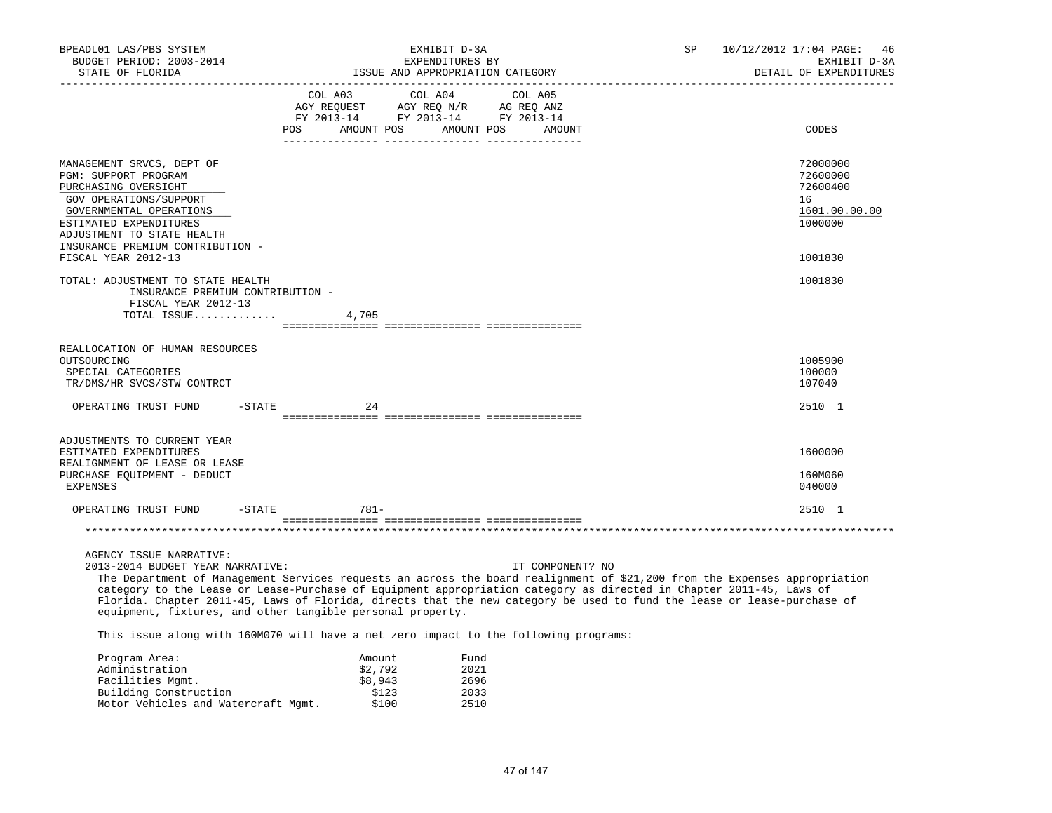| BPEADL01 LAS/PBS SYSTEM<br>BUDGET PERIOD: 2003-2014<br>STATE OF FLORIDA                                                                                                                                                                                                                                                                                                                                                                                                                                                                                                                                            | EXHIBIT D-3A<br>EXPENDITURES BY<br>ISSUE AND APPROPRIATION CATEGORY |                             |                                                                                                                                                                                                |                      |                  | SP | 10/12/2012 17:04 PAGE:<br>46<br>EXHIBIT D-3A<br>DETAIL OF EXPENDITURES |  |
|--------------------------------------------------------------------------------------------------------------------------------------------------------------------------------------------------------------------------------------------------------------------------------------------------------------------------------------------------------------------------------------------------------------------------------------------------------------------------------------------------------------------------------------------------------------------------------------------------------------------|---------------------------------------------------------------------|-----------------------------|------------------------------------------------------------------------------------------------------------------------------------------------------------------------------------------------|----------------------|------------------|----|------------------------------------------------------------------------|--|
| ___________________________________                                                                                                                                                                                                                                                                                                                                                                                                                                                                                                                                                                                |                                                                     |                             | $\begin{tabular}{lcccc} COL A03 & COL A04 & COL A05 \\ AGY REQUEST & AGY REQ N/R & AG REQ ANZ \\ FY & 2013-14 & FY & 2013-14 & FY & 2013-14 \end{tabular}$<br>POS AMOUNT POS AMOUNT POS AMOUNT |                      |                  |    | CODES                                                                  |  |
| MANAGEMENT SRVCS, DEPT OF<br>PGM: SUPPORT PROGRAM<br>PURCHASING OVERSIGHT<br>GOV OPERATIONS/SUPPORT<br>GOVERNMENTAL OPERATIONS<br>ESTIMATED EXPENDITURES<br>ADJUSTMENT TO STATE HEALTH<br>INSURANCE PREMIUM CONTRIBUTION -                                                                                                                                                                                                                                                                                                                                                                                         |                                                                     |                             |                                                                                                                                                                                                |                      |                  |    | 72000000<br>72600000<br>72600400<br>16<br>1601.00.00.00<br>1000000     |  |
| FISCAL YEAR 2012-13<br>TOTAL: ADJUSTMENT TO STATE HEALTH<br>INSURANCE PREMIUM CONTRIBUTION -<br>FISCAL YEAR 2012-13<br>TOTAL ISSUE                                                                                                                                                                                                                                                                                                                                                                                                                                                                                 |                                                                     | 4,705                       |                                                                                                                                                                                                |                      |                  |    | 1001830<br>1001830                                                     |  |
|                                                                                                                                                                                                                                                                                                                                                                                                                                                                                                                                                                                                                    |                                                                     |                             |                                                                                                                                                                                                |                      |                  |    |                                                                        |  |
| REALLOCATION OF HUMAN RESOURCES<br>OUTSOURCING<br>SPECIAL CATEGORIES<br>TR/DMS/HR SVCS/STW CONTRCT                                                                                                                                                                                                                                                                                                                                                                                                                                                                                                                 |                                                                     |                             |                                                                                                                                                                                                |                      |                  |    | 1005900<br>100000<br>107040                                            |  |
| $-$ STATE<br>OPERATING TRUST FUND                                                                                                                                                                                                                                                                                                                                                                                                                                                                                                                                                                                  |                                                                     | 24                          |                                                                                                                                                                                                |                      |                  |    | 2510 1                                                                 |  |
|                                                                                                                                                                                                                                                                                                                                                                                                                                                                                                                                                                                                                    |                                                                     |                             |                                                                                                                                                                                                |                      |                  |    |                                                                        |  |
| ADJUSTMENTS TO CURRENT YEAR<br>ESTIMATED EXPENDITURES<br>REALIGNMENT OF LEASE OR LEASE<br>PURCHASE EQUIPMENT - DEDUCT<br><b>EXPENSES</b>                                                                                                                                                                                                                                                                                                                                                                                                                                                                           |                                                                     |                             |                                                                                                                                                                                                |                      |                  |    | 1600000<br>160M060<br>040000                                           |  |
| OPERATING TRUST FUND<br>$-$ STATE                                                                                                                                                                                                                                                                                                                                                                                                                                                                                                                                                                                  |                                                                     | $781-$                      |                                                                                                                                                                                                |                      |                  |    | 2510 1                                                                 |  |
|                                                                                                                                                                                                                                                                                                                                                                                                                                                                                                                                                                                                                    |                                                                     |                             |                                                                                                                                                                                                |                      |                  |    |                                                                        |  |
| AGENCY ISSUE NARRATIVE:<br>2013-2014 BUDGET YEAR NARRATIVE:<br>The Department of Management Services requests an across the board realignment of \$21,200 from the Expenses appropriation<br>category to the Lease or Lease-Purchase of Equipment appropriation category as directed in Chapter 2011-45, Laws of<br>Florida. Chapter 2011-45, Laws of Florida, directs that the new category be used to fund the lease or lease-purchase of<br>equipment, fixtures, and other tangible personal property.<br>This issue along with 160M070 will have a net zero impact to the following programs:<br>Program Area: |                                                                     | Amount                      |                                                                                                                                                                                                | Fund                 | IT COMPONENT? NO |    |                                                                        |  |
| Administration<br>Facilities Mgmt.<br>Building Construction                                                                                                                                                                                                                                                                                                                                                                                                                                                                                                                                                        |                                                                     | \$2,792<br>\$8,943<br>\$123 |                                                                                                                                                                                                | 2021<br>2696<br>2033 |                  |    |                                                                        |  |

Motor Vehicles and Watercraft Mgmt. \$100 2510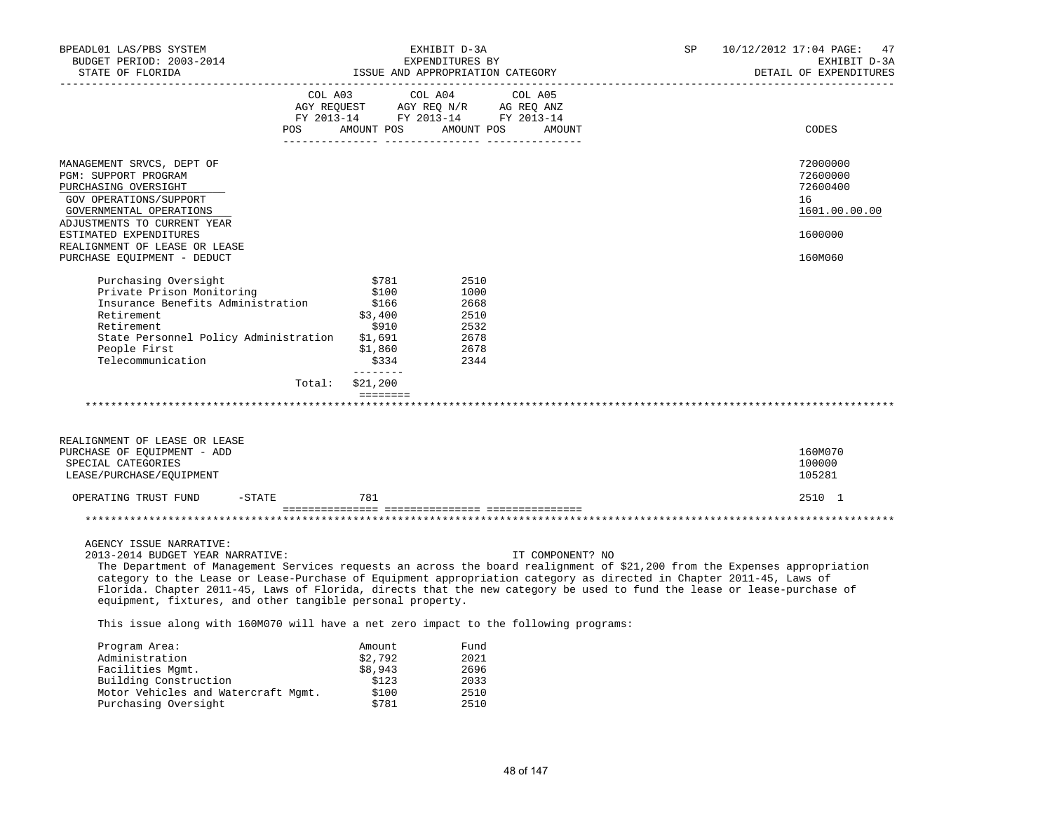| BPEADL01 LAS/PBS SYSTEM<br>BUDGET PERIOD: 2003-2014                                                                        |          | EXHIBIT D-3A<br>EXPENDITURES BY |         |                                  | SP | 10/12/2012 17:04 PAGE:<br>47<br>EXHIBIT D-3A |
|----------------------------------------------------------------------------------------------------------------------------|----------|---------------------------------|---------|----------------------------------|----|----------------------------------------------|
| STATE OF FLORIDA                                                                                                           |          |                                 |         | ISSUE AND APPROPRIATION CATEGORY |    | DETAIL OF EXPENDITURES                       |
|                                                                                                                            |          | COL A03                         | COL A04 | COL A05                          |    |                                              |
|                                                                                                                            |          |                                 |         |                                  |    |                                              |
|                                                                                                                            | POS      | AMOUNT POS AMOUNT POS           |         | AMOUNT                           |    | CODES                                        |
|                                                                                                                            |          |                                 |         |                                  |    |                                              |
| MANAGEMENT SRVCS, DEPT OF<br>PGM: SUPPORT PROGRAM                                                                          |          |                                 |         |                                  |    | 72000000<br>72600000                         |
| PURCHASING OVERSIGHT                                                                                                       |          |                                 |         |                                  |    | 72600400                                     |
| GOV OPERATIONS/SUPPORT                                                                                                     |          |                                 |         |                                  |    | 16                                           |
| GOVERNMENTAL OPERATIONS                                                                                                    |          |                                 |         |                                  |    | 1601.00.00.00                                |
| ADJUSTMENTS TO CURRENT YEAR                                                                                                |          |                                 |         |                                  |    |                                              |
| ESTIMATED EXPENDITURES                                                                                                     |          |                                 |         |                                  |    | 1600000                                      |
| REALIGNMENT OF LEASE OR LEASE                                                                                              |          |                                 |         |                                  |    |                                              |
| PURCHASE EQUIPMENT - DEDUCT                                                                                                |          |                                 |         |                                  |    | 160M060                                      |
| Purchasing Oversight                                                                                                       |          | \$781                           | 2510    |                                  |    |                                              |
| Private Prison Monitoring                                                                                                  |          | \$100                           | 1000    |                                  |    |                                              |
| Insurance Benefits Administration                                                                                          |          | \$166                           | 2668    |                                  |    |                                              |
| Retirement                                                                                                                 |          | \$3,400                         | 2510    |                                  |    |                                              |
| Retirement                                                                                                                 |          | \$910                           | 2532    |                                  |    |                                              |
| State Personnel Policy Administration                                                                                      |          | \$1,691                         | 2678    |                                  |    |                                              |
| People First                                                                                                               |          | \$1,860                         | 2678    |                                  |    |                                              |
| Telecommunication                                                                                                          |          | \$334<br>________               | 2344    |                                  |    |                                              |
|                                                                                                                            | Total:   | \$21,200                        |         |                                  |    |                                              |
|                                                                                                                            |          | ========                        |         |                                  |    |                                              |
|                                                                                                                            |          |                                 |         |                                  |    |                                              |
| REALIGNMENT OF LEASE OR LEASE                                                                                              |          |                                 |         |                                  |    |                                              |
| PURCHASE OF EQUIPMENT - ADD                                                                                                |          |                                 |         |                                  |    | 160M070                                      |
| SPECIAL CATEGORIES                                                                                                         |          |                                 |         |                                  |    | 100000                                       |
| LEASE/PURCHASE/EQUIPMENT                                                                                                   |          |                                 |         |                                  |    | 105281                                       |
| OPERATING TRUST FUND                                                                                                       | $-STATE$ | 781                             |         |                                  |    | 2510 1                                       |
|                                                                                                                            |          |                                 |         |                                  |    |                                              |
|                                                                                                                            |          |                                 |         |                                  |    |                                              |
|                                                                                                                            |          |                                 |         |                                  |    |                                              |
| AGENCY ISSUE NARRATIVE:<br>2013-2014 BUDGET YEAR NARRATIVE:                                                                |          |                                 |         | IT COMPONENT? NO                 |    |                                              |
| The Department of Management Services requests an across the board realignment of \$21,200 from the Expenses appropriation |          |                                 |         |                                  |    |                                              |
| category to the Lease or Lease-Purchase of Equipment appropriation category as directed in Chapter 2011-45, Laws of        |          |                                 |         |                                  |    |                                              |
| Florida. Chapter 2011-45, Laws of Florida, directs that the new category be used to fund the lease or lease-purchase of    |          |                                 |         |                                  |    |                                              |
| equipment, fixtures, and other tangible personal property.                                                                 |          |                                 |         |                                  |    |                                              |
| This issue along with 160M070 will have a net zero impact to the following programs:                                       |          |                                 |         |                                  |    |                                              |
| Program Area:                                                                                                              |          | Amount                          | Fund    |                                  |    |                                              |
| Administration                                                                                                             |          | \$2,792                         | 2021    |                                  |    |                                              |
| Facilities Mgmt.                                                                                                           |          | \$8,943                         | 2696    |                                  |    |                                              |
| Building Construction                                                                                                      |          | \$123                           | 2033    |                                  |    |                                              |

 Motor Vehicles and Watercraft Mgmt. \$100 2510 Purchasing Oversight **\$781** 2510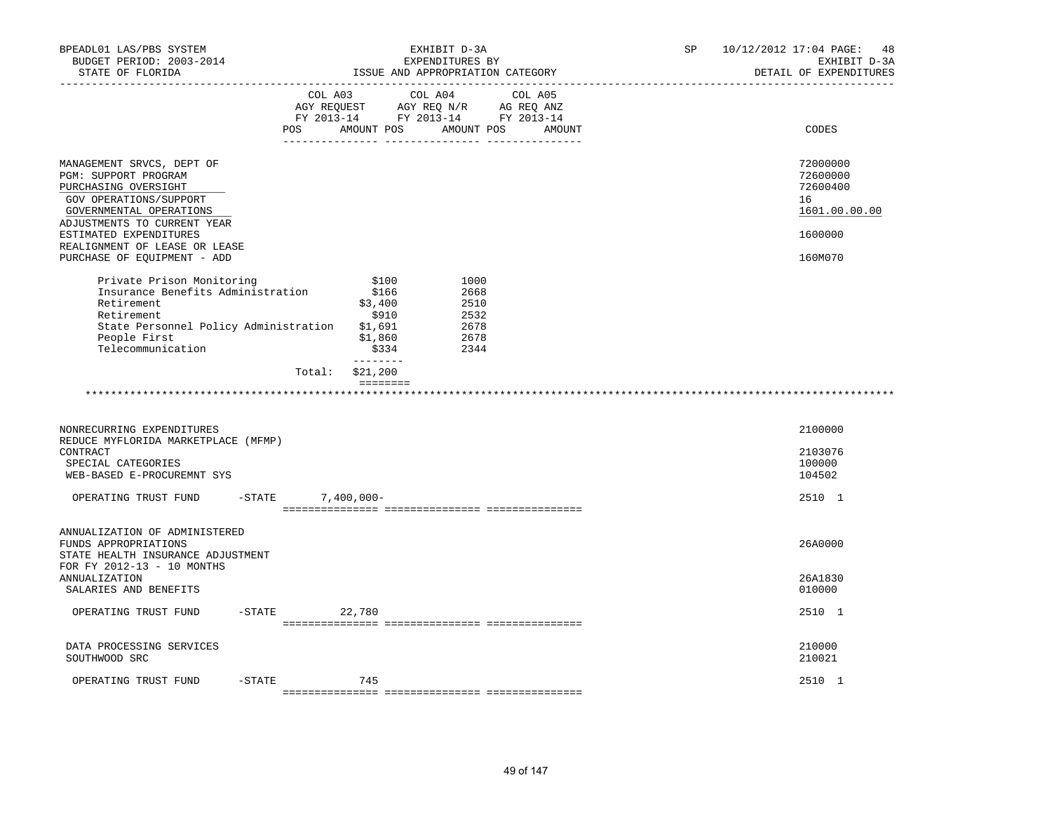| BPEADL01 LAS/PBS SYSTEM<br>BUDGET PERIOD: 2003-2014<br>STATE OF FLORIDA<br>----------------                                                                                                                                                             | EXHIBIT D-3A<br>EXPENDITURES BY<br>ISSUE AND APPROPRIATION CATEGORY |                                                                                                                                   |                                                      |  |  | SP | 10/12/2012 17:04 PAGE: 48<br>EXHIBIT D-3A<br>DETAIL OF EXPENDITURES           |
|---------------------------------------------------------------------------------------------------------------------------------------------------------------------------------------------------------------------------------------------------------|---------------------------------------------------------------------|-----------------------------------------------------------------------------------------------------------------------------------|------------------------------------------------------|--|--|----|-------------------------------------------------------------------------------|
|                                                                                                                                                                                                                                                         | POS                                                                 | COL A03 COL A04 COL A05<br>AGY REQUEST AGY REQ N/R AG REQ ANZ<br>FY 2013-14 FY 2013-14 FY 2013-14<br>AMOUNT POS AMOUNT POS AMOUNT |                                                      |  |  |    | CODES                                                                         |
| MANAGEMENT SRVCS, DEPT OF<br>PGM: SUPPORT PROGRAM<br>PURCHASING OVERSIGHT<br>GOV OPERATIONS/SUPPORT<br>GOVERNMENTAL OPERATIONS<br>ADJUSTMENTS TO CURRENT YEAR<br>ESTIMATED EXPENDITURES<br>REALIGNMENT OF LEASE OR LEASE<br>PURCHASE OF EQUIPMENT - ADD |                                                                     |                                                                                                                                   |                                                      |  |  |    | 72000000<br>72600000<br>72600400<br>16<br>1601.00.00.00<br>1600000<br>160M070 |
| Private Prison Monitoring<br>Insurance Benefits Administration<br>Retirement<br>Retirement<br>State Personnel Policy Administration<br>People First<br>Telecommunication                                                                                |                                                                     | \$100<br>\$166<br>\$3,400<br>\$910<br>\$1,691<br>\$1,860<br>\$334<br>---------                                                    | 1000<br>2668<br>2510<br>2532<br>2678<br>2678<br>2344 |  |  |    |                                                                               |
|                                                                                                                                                                                                                                                         | Total:<br>*******************                                       | \$21,200<br><b>EEEEEEEE</b>                                                                                                       |                                                      |  |  |    |                                                                               |
| NONRECURRING EXPENDITURES<br>REDUCE MYFLORIDA MARKETPLACE (MFMP)<br>CONTRACT<br>SPECIAL CATEGORIES<br>WEB-BASED E-PROCUREMNT SYS                                                                                                                        |                                                                     |                                                                                                                                   |                                                      |  |  |    | 2100000<br>2103076<br>100000<br>104502                                        |
| OPERATING TRUST FUND                                                                                                                                                                                                                                    | $-$ STATE                                                           | $7,400,000 -$                                                                                                                     |                                                      |  |  |    | 2510 1                                                                        |
| ANNUALIZATION OF ADMINISTERED<br>FUNDS APPROPRIATIONS<br>STATE HEALTH INSURANCE ADJUSTMENT<br>FOR FY 2012-13 - 10 MONTHS<br>ANNUALIZATION                                                                                                               |                                                                     |                                                                                                                                   |                                                      |  |  |    | 26A0000<br>26A1830                                                            |
| SALARIES AND BENEFITS<br>OPERATING TRUST FUND                                                                                                                                                                                                           | $-STATE$                                                            | 22,780                                                                                                                            |                                                      |  |  |    | 010000<br>2510 1                                                              |
| DATA PROCESSING SERVICES<br>SOUTHWOOD SRC                                                                                                                                                                                                               |                                                                     |                                                                                                                                   |                                                      |  |  |    | 210000<br>210021                                                              |
| $-$ STATE<br>OPERATING TRUST FUND                                                                                                                                                                                                                       |                                                                     | 745                                                                                                                               |                                                      |  |  |    | 2510 1                                                                        |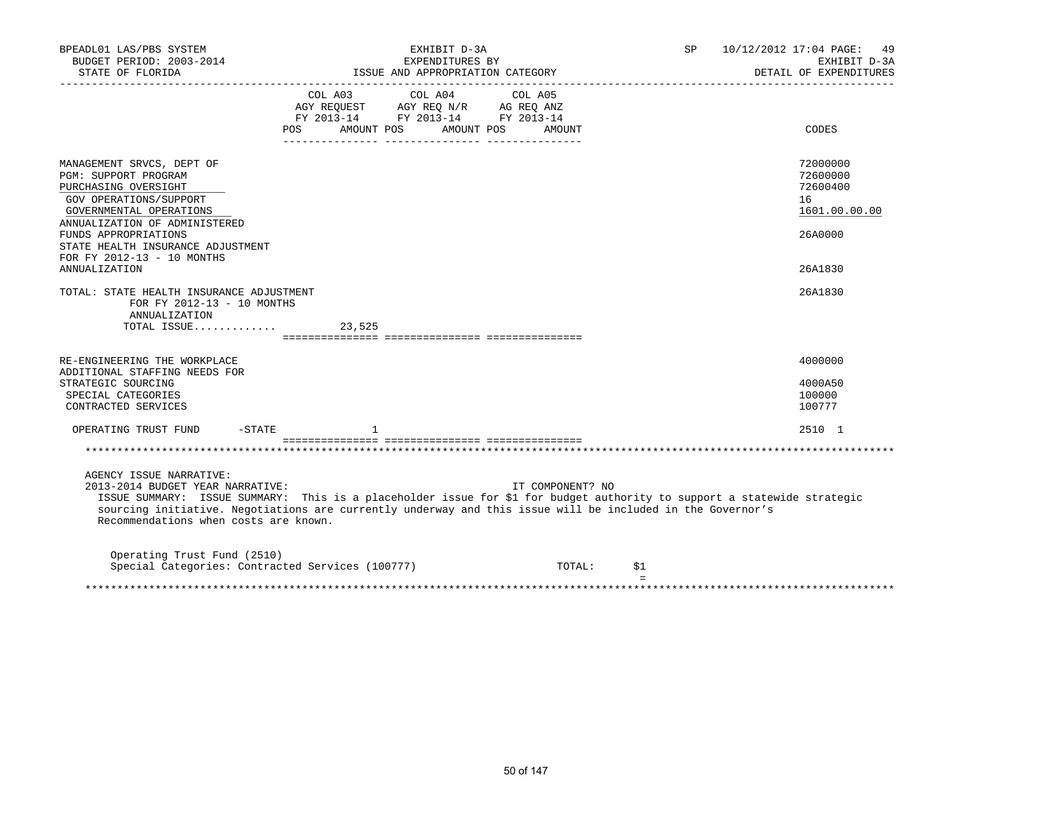| BPEADL01 LAS/PBS SYSTEM<br>BUDGET PERIOD: 2003-2014<br>STATE OF FLORIDA                                                                                                                                                                                                            | EXHIBIT D-3A<br>EXPENDITURES BY                                                                                                                                                                                                                                                                                                                    |                  | SP  | 10/12/2012 17:04 PAGE: 49<br>EXHIBIT D-3A<br>DETAIL OF EXPENDITURES           |
|------------------------------------------------------------------------------------------------------------------------------------------------------------------------------------------------------------------------------------------------------------------------------------|----------------------------------------------------------------------------------------------------------------------------------------------------------------------------------------------------------------------------------------------------------------------------------------------------------------------------------------------------|------------------|-----|-------------------------------------------------------------------------------|
|                                                                                                                                                                                                                                                                                    | $\begin{tabular}{lllllllllll} &\multicolumn{4}{c}{\text{COL A03}} &\multicolumn{4}{c}{\text{COL A04}} &\multicolumn{4}{c}{\text{COL A05}} \\ \multicolumn{4}{c}{\text{AGY REQUEST}} &\multicolumn{4}{c}{\text{AGY REQ N/R}} &\multicolumn{4}{c}{\text{AG REQ ANZ}} \end{tabular}$<br>FY 2013-14 FY 2013-14 FY 2013-14<br>POS AMOUNT POS AMOUNT POS | AMOUNT           |     | CODES                                                                         |
| MANAGEMENT SRVCS, DEPT OF<br>PGM: SUPPORT PROGRAM<br>PURCHASING OVERSIGHT<br>GOV OPERATIONS/SUPPORT<br>GOVERNMENTAL OPERATIONS<br>ANNUALIZATION OF ADMINISTERED<br>FUNDS APPROPRIATIONS<br>STATE HEALTH INSURANCE ADJUSTMENT<br>FOR FY 2012-13 - 10 MONTHS<br><b>ANNUALIZATION</b> |                                                                                                                                                                                                                                                                                                                                                    |                  |     | 72000000<br>72600000<br>72600400<br>16<br>1601.00.00.00<br>26A0000<br>26A1830 |
| TOTAL: STATE HEALTH INSURANCE ADJUSTMENT<br>FOR FY 2012-13 - 10 MONTHS<br>ANNUALIZATION<br>TOTAL ISSUE                                                                                                                                                                             | 23,525                                                                                                                                                                                                                                                                                                                                             |                  |     | 26A1830                                                                       |
| RE-ENGINEERING THE WORKPLACE<br>ADDITIONAL STAFFING NEEDS FOR<br>STRATEGIC SOURCING<br>SPECIAL CATEGORIES<br>CONTRACTED SERVICES<br>OPERATING TRUST FUND -STATE                                                                                                                    |                                                                                                                                                                                                                                                                                                                                                    |                  |     | 4000000<br>4000A50<br>100000<br>100777<br>2510 1                              |
| AGENCY ISSUE NARRATIVE:<br>2013-2014 BUDGET YEAR NARRATIVE:<br>Recommendations when costs are known.                                                                                                                                                                               | ISSUE SUMMARY: ISSUE SUMMARY: This is a placeholder issue for \$1 for budget authority to support a statewide strategic<br>sourcing initiative. Negotiations are currently underway and this issue will be included in the Governor's                                                                                                              | IT COMPONENT? NO |     |                                                                               |
| Operating Trust Fund (2510)<br>Special Categories: Contracted Services (100777)                                                                                                                                                                                                    |                                                                                                                                                                                                                                                                                                                                                    | TOTAL:           | \$1 |                                                                               |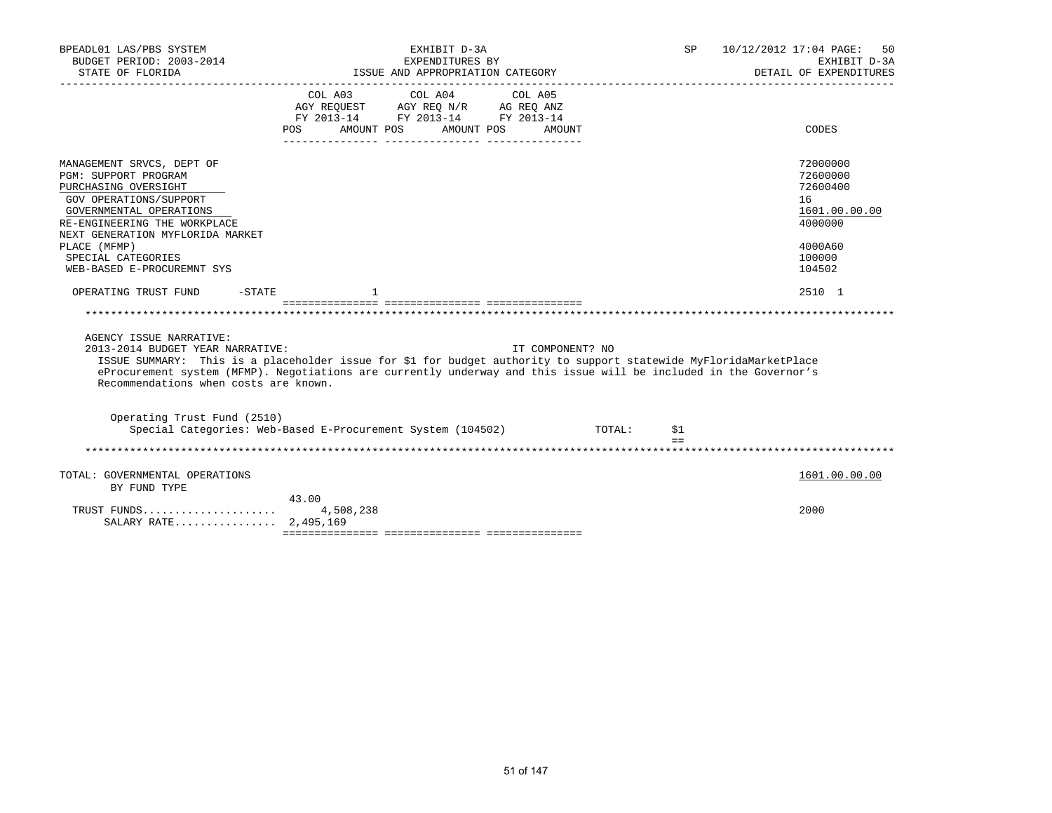| BPEADL01 LAS/PBS SYSTEM<br>BUDGET PERIOD: 2003-2014                                                                                                                                                | EXHIBIT D-3A<br>SP<br>EXPENDITURES BY                                                                                                                                                                                                                      | 10/12/2012 17:04 PAGE:<br>50<br>EXHIBIT D-3A                       |
|----------------------------------------------------------------------------------------------------------------------------------------------------------------------------------------------------|------------------------------------------------------------------------------------------------------------------------------------------------------------------------------------------------------------------------------------------------------------|--------------------------------------------------------------------|
| STATE OF FLORIDA                                                                                                                                                                                   | ISSUE AND APPROPRIATION CATEGORY                                                                                                                                                                                                                           | DETAIL OF EXPENDITURES                                             |
|                                                                                                                                                                                                    | COL A03<br>COL A04<br>COL A05<br>AGY REQUEST AGY REQ N/R AG REQ ANZ<br>FY 2013-14 FY 2013-14 FY 2013-14<br>POS<br>AMOUNT POS<br>AMOUNT POS<br>AMOUNT                                                                                                       | CODES                                                              |
| MANAGEMENT SRVCS, DEPT OF<br>PGM: SUPPORT PROGRAM<br>PURCHASING OVERSIGHT<br>GOV OPERATIONS/SUPPORT<br>GOVERNMENTAL OPERATIONS<br>RE-ENGINEERING THE WORKPLACE<br>NEXT GENERATION MYFLORIDA MARKET |                                                                                                                                                                                                                                                            | 72000000<br>72600000<br>72600400<br>16<br>1601.00.00.00<br>4000000 |
| PLACE (MFMP)<br>SPECIAL CATEGORIES<br>WEB-BASED E-PROCUREMNT SYS                                                                                                                                   |                                                                                                                                                                                                                                                            | 4000A60<br>100000<br>104502                                        |
| OPERATING TRUST FUND<br>-STATE                                                                                                                                                                     |                                                                                                                                                                                                                                                            | 2510 1                                                             |
|                                                                                                                                                                                                    |                                                                                                                                                                                                                                                            |                                                                    |
|                                                                                                                                                                                                    |                                                                                                                                                                                                                                                            |                                                                    |
| AGENCY ISSUE NARRATIVE:<br>2013-2014 BUDGET YEAR NARRATIVE:<br>Recommendations when costs are known.                                                                                               | IT COMPONENT? NO<br>ISSUE SUMMARY: This is a placeholder issue for \$1 for budget authority to support statewide MyFloridaMarketPlace<br>eProcurement system (MFMP). Negotiations are currently underway and this issue will be included in the Governor's |                                                                    |
| Operating Trust Fund (2510)                                                                                                                                                                        | Special Categories: Web-Based E-Procurement System (104502) TOTAL:<br>\$1<br>$=$ $=$                                                                                                                                                                       |                                                                    |
|                                                                                                                                                                                                    |                                                                                                                                                                                                                                                            |                                                                    |
| TOTAL: GOVERNMENTAL OPERATIONS<br>BY FUND TYPE                                                                                                                                                     |                                                                                                                                                                                                                                                            | 1601.00.00.00                                                      |
| TRUST FUNDS<br>SALARY RATE 2,495,169                                                                                                                                                               | 43.00<br>4,508,238                                                                                                                                                                                                                                         | 2000                                                               |
|                                                                                                                                                                                                    |                                                                                                                                                                                                                                                            |                                                                    |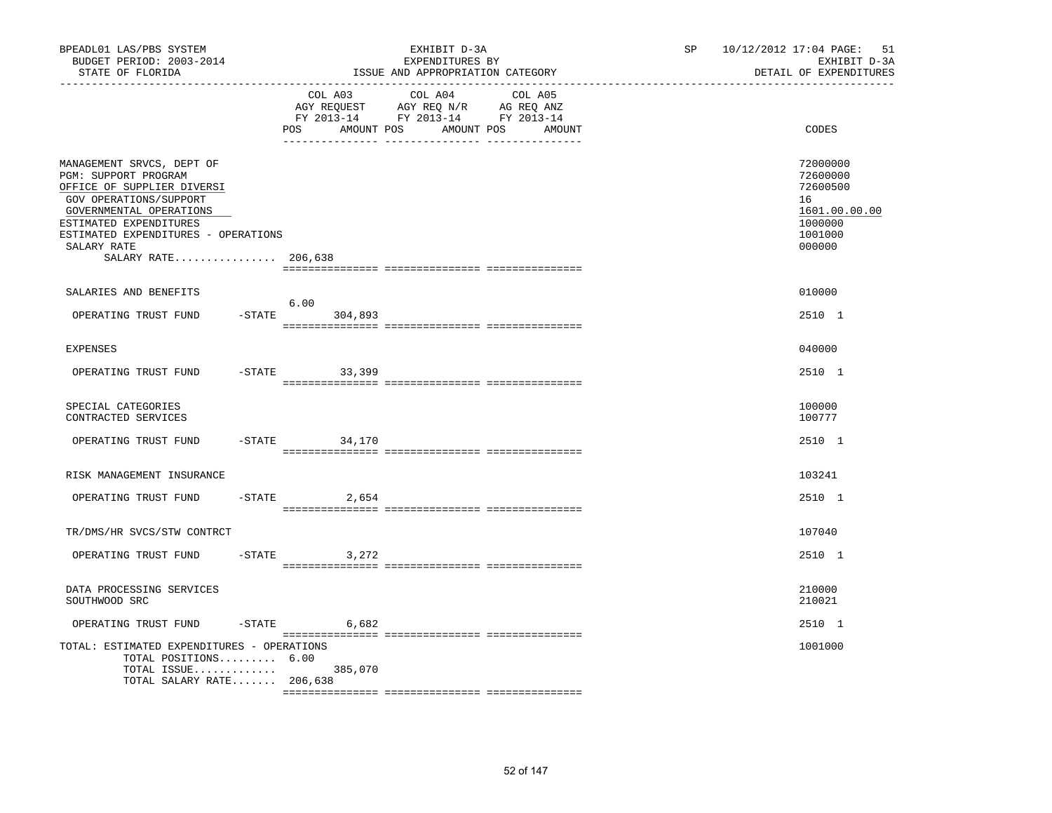| BPEADL01 LAS/PBS SYSTEM<br>BUDGET PERIOD: 2003-2014<br>STATE OF FLORIDA                                                                                                                                                                     |     |                                                                                                                                   | EXHIBIT D-3A<br>EXPENDITURES BY<br>ISSUE AND APPROPRIATION CATEGORY | SP and the set of the set of the set of the set of the set of the set of the set of the set of the set of the set of the set of the set of the set of the set of the set of the set of the set of the set of the set of the se | 10/12/2012 17:04 PAGE: 51<br>EXHIBIT D-3A<br>DETAIL OF EXPENDITURES                     |
|---------------------------------------------------------------------------------------------------------------------------------------------------------------------------------------------------------------------------------------------|-----|-----------------------------------------------------------------------------------------------------------------------------------|---------------------------------------------------------------------|--------------------------------------------------------------------------------------------------------------------------------------------------------------------------------------------------------------------------------|-----------------------------------------------------------------------------------------|
|                                                                                                                                                                                                                                             | POS | COL A03 COL A04 COL A05<br>AGY REQUEST AGY REQ N/R AG REQ ANZ<br>FY 2013-14 FY 2013-14 FY 2013-14<br>AMOUNT POS AMOUNT POS AMOUNT |                                                                     | CODES                                                                                                                                                                                                                          |                                                                                         |
| MANAGEMENT SRVCS, DEPT OF<br>PGM: SUPPORT PROGRAM<br>OFFICE OF SUPPLIER DIVERSI<br>GOV OPERATIONS/SUPPORT<br>GOVERNMENTAL OPERATIONS<br>ESTIMATED EXPENDITURES<br>ESTIMATED EXPENDITURES - OPERATIONS<br>SALARY RATE<br>SALARY RATE 206,638 |     |                                                                                                                                   |                                                                     |                                                                                                                                                                                                                                | 72000000<br>72600000<br>72600500<br>16<br>1601.00.00.00<br>1000000<br>1001000<br>000000 |
| SALARIES AND BENEFITS                                                                                                                                                                                                                       |     |                                                                                                                                   |                                                                     |                                                                                                                                                                                                                                | 010000                                                                                  |
| OPERATING TRUST FUND                                                                                                                                                                                                                        |     | 6.00<br>$-STATE$ 304,893                                                                                                          |                                                                     |                                                                                                                                                                                                                                | 2510 1                                                                                  |
| <b>EXPENSES</b>                                                                                                                                                                                                                             |     |                                                                                                                                   |                                                                     |                                                                                                                                                                                                                                | 040000                                                                                  |
| OPERATING TRUST FUND                                                                                                                                                                                                                        |     | $-STATE$<br>33,399                                                                                                                |                                                                     |                                                                                                                                                                                                                                | 2510 1                                                                                  |
| SPECIAL CATEGORIES<br>CONTRACTED SERVICES                                                                                                                                                                                                   |     |                                                                                                                                   |                                                                     |                                                                                                                                                                                                                                | 100000<br>100777                                                                        |
| OPERATING TRUST FUND                                                                                                                                                                                                                        |     | $-STATE$ 34, 170                                                                                                                  |                                                                     |                                                                                                                                                                                                                                | 2510 1                                                                                  |
| RISK MANAGEMENT INSURANCE                                                                                                                                                                                                                   |     |                                                                                                                                   |                                                                     |                                                                                                                                                                                                                                | 103241                                                                                  |
| OPERATING TRUST FUND                                                                                                                                                                                                                        |     | $-$ STATE 2,654                                                                                                                   |                                                                     |                                                                                                                                                                                                                                | 2510 1                                                                                  |
| TR/DMS/HR SVCS/STW CONTRCT                                                                                                                                                                                                                  |     |                                                                                                                                   |                                                                     |                                                                                                                                                                                                                                | 107040                                                                                  |
| OPERATING TRUST FUND                                                                                                                                                                                                                        |     | $-STATE$<br>3,272                                                                                                                 |                                                                     |                                                                                                                                                                                                                                | 2510 1                                                                                  |
| DATA PROCESSING SERVICES<br>SOUTHWOOD SRC                                                                                                                                                                                                   |     |                                                                                                                                   |                                                                     |                                                                                                                                                                                                                                | 210000<br>210021                                                                        |
| OPERATING TRUST FUND                                                                                                                                                                                                                        |     | $-$ STATE 6,682                                                                                                                   |                                                                     |                                                                                                                                                                                                                                | 2510 1                                                                                  |
| TOTAL: ESTIMATED EXPENDITURES - OPERATIONS<br>TOTAL POSITIONS 6.00<br>TOTAL ISSUE 385,070<br>TOTAL SALARY RATE 206,638                                                                                                                      |     |                                                                                                                                   |                                                                     |                                                                                                                                                                                                                                | 1001000                                                                                 |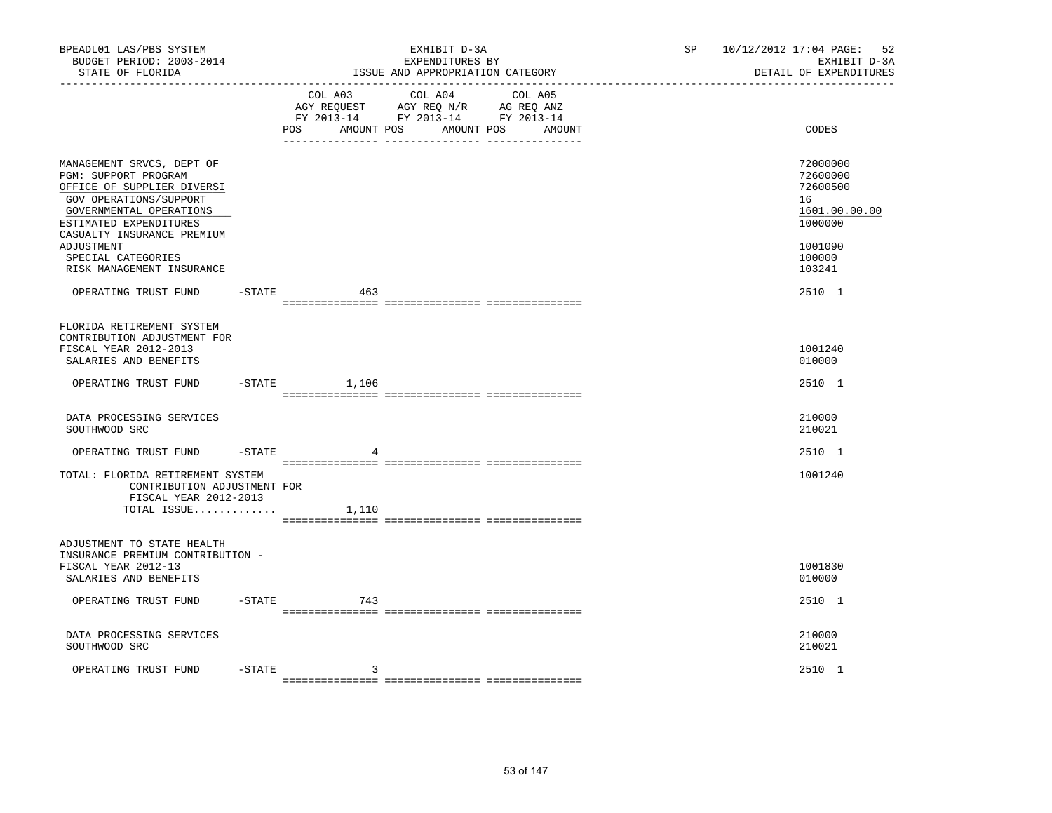| BUDGET PERIOD: 2003-2014<br>EXPENDITURES BY<br>ISSUE AND APPROPRIATION CATEGORY<br>STATE OF FLORIDA<br>_____________________________________                                                                                                                  | 10/12/2012 17:04 PAGE:<br>52<br>EXHIBIT D-3A<br>DETAIL OF EXPENDITURES                            |
|---------------------------------------------------------------------------------------------------------------------------------------------------------------------------------------------------------------------------------------------------------------|---------------------------------------------------------------------------------------------------|
| COL A03<br>COL A04 COL A05<br>AGY REQUEST AGY REQ N/R AG REQ ANZ<br>FY 2013-14 FY 2013-14 FY 2013-14<br>AMOUNT POS<br>POS<br>AMOUNT POS<br>AMOUNT                                                                                                             | CODES                                                                                             |
| MANAGEMENT SRVCS, DEPT OF<br>PGM: SUPPORT PROGRAM<br>OFFICE OF SUPPLIER DIVERSI<br>GOV OPERATIONS/SUPPORT<br>GOVERNMENTAL OPERATIONS<br>ESTIMATED EXPENDITURES<br>CASUALTY INSURANCE PREMIUM<br>ADJUSTMENT<br>SPECIAL CATEGORIES<br>RISK MANAGEMENT INSURANCE | 72000000<br>72600000<br>72600500<br>16<br>1601.00.00.00<br>1000000<br>1001090<br>100000<br>103241 |
| OPERATING TRUST FUND<br>$-$ STATE<br>463                                                                                                                                                                                                                      | 2510 1                                                                                            |
| FLORIDA RETIREMENT SYSTEM<br>CONTRIBUTION ADJUSTMENT FOR<br>FISCAL YEAR 2012-2013<br>SALARIES AND BENEFITS                                                                                                                                                    | 1001240<br>010000                                                                                 |
| OPERATING TRUST FUND<br>$ STATE$<br>1,106                                                                                                                                                                                                                     | 2510 1                                                                                            |
| DATA PROCESSING SERVICES<br>SOUTHWOOD SRC                                                                                                                                                                                                                     | 210000<br>210021                                                                                  |
| OPERATING TRUST FUND<br>$-$ STATE<br>$\overline{4}$                                                                                                                                                                                                           | 2510 1                                                                                            |
| TOTAL: FLORIDA RETIREMENT SYSTEM<br>CONTRIBUTION ADJUSTMENT FOR<br>FISCAL YEAR 2012-2013<br>TOTAL ISSUE $1,110$                                                                                                                                               | 1001240                                                                                           |
| ADJUSTMENT TO STATE HEALTH<br>INSURANCE PREMIUM CONTRIBUTION -<br>FISCAL YEAR 2012-13<br>SALARIES AND BENEFITS                                                                                                                                                | 1001830<br>010000                                                                                 |
| $-$ STATE<br>OPERATING TRUST FUND<br>743                                                                                                                                                                                                                      | 2510 1                                                                                            |
| DATA PROCESSING SERVICES<br>SOUTHWOOD SRC                                                                                                                                                                                                                     | 210000<br>210021                                                                                  |
| OPERATING TRUST FUND<br>$-$ STATE<br>3                                                                                                                                                                                                                        | 2510 1                                                                                            |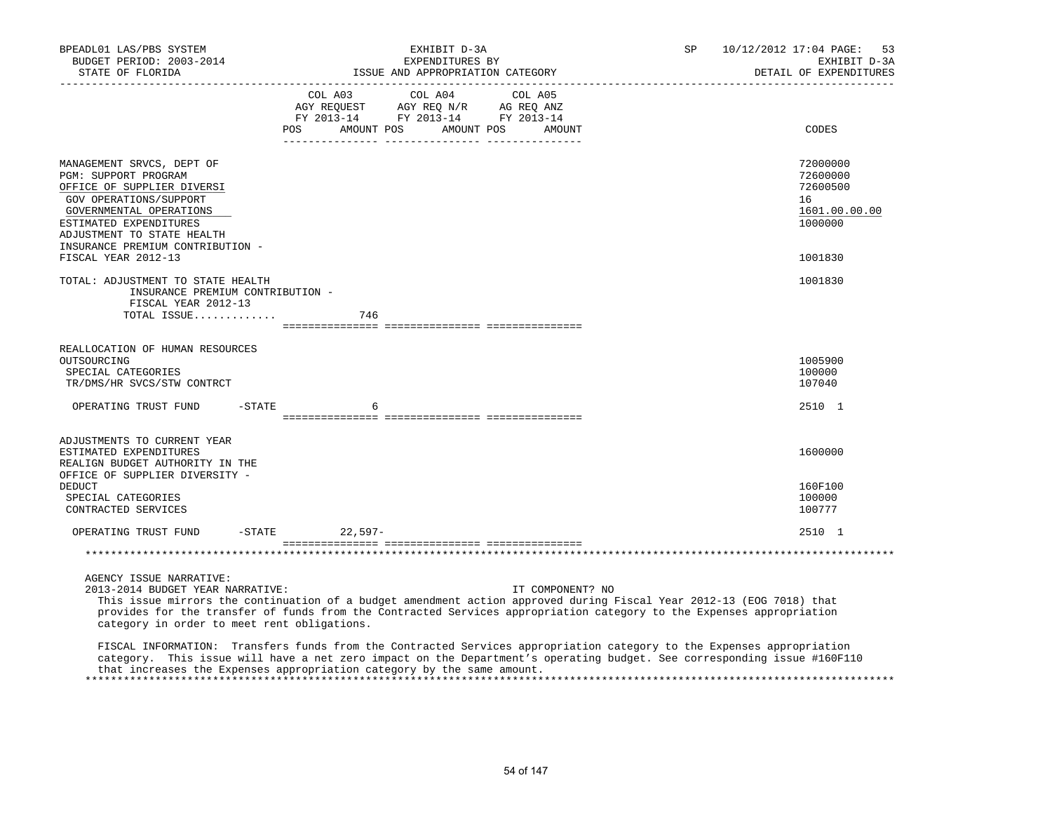| BPEADL01 LAS/PBS SYSTEM<br>BUDGET PERIOD: 2003-2014<br>STATE OF FLORIDA<br>__________________                                                                                                                                                                                                                                                              | EXHIBIT D-3A<br>EXPENDITURES BY<br>ISSUE AND APPROPRIATION CATEGORY |                                                                                                   |                      | SP | 10/12/2012 17:04 PAGE:<br>53<br>EXHIBIT D-3A<br>DETAIL OF EXPENDITURES |
|------------------------------------------------------------------------------------------------------------------------------------------------------------------------------------------------------------------------------------------------------------------------------------------------------------------------------------------------------------|---------------------------------------------------------------------|---------------------------------------------------------------------------------------------------|----------------------|----|------------------------------------------------------------------------|
|                                                                                                                                                                                                                                                                                                                                                            | AMOUNT POS<br>POS                                                   | COL A03 COL A04 COL A05<br>AGY REQUEST AGY REQ N/R AG REQ ANZ<br>FY 2013-14 FY 2013-14 FY 2013-14 | AMOUNT POS<br>AMOUNT |    | CODES                                                                  |
| MANAGEMENT SRVCS, DEPT OF<br>PGM: SUPPORT PROGRAM<br>OFFICE OF SUPPLIER DIVERSI<br>GOV OPERATIONS/SUPPORT<br>GOVERNMENTAL OPERATIONS<br>ESTIMATED EXPENDITURES<br>ADJUSTMENT TO STATE HEALTH<br>INSURANCE PREMIUM CONTRIBUTION -                                                                                                                           |                                                                     |                                                                                                   |                      |    | 72000000<br>72600000<br>72600500<br>16<br>1601.00.00.00<br>1000000     |
| FISCAL YEAR 2012-13<br>TOTAL: ADJUSTMENT TO STATE HEALTH                                                                                                                                                                                                                                                                                                   |                                                                     |                                                                                                   |                      |    | 1001830<br>1001830                                                     |
| INSURANCE PREMIUM CONTRIBUTION -<br>FISCAL YEAR 2012-13<br>TOTAL ISSUE                                                                                                                                                                                                                                                                                     | 746                                                                 |                                                                                                   |                      |    |                                                                        |
| REALLOCATION OF HUMAN RESOURCES<br>OUTSOURCING<br>SPECIAL CATEGORIES<br>TR/DMS/HR SVCS/STW CONTRCT                                                                                                                                                                                                                                                         |                                                                     |                                                                                                   |                      |    | 1005900<br>100000<br>107040                                            |
| OPERATING TRUST FUND -STATE                                                                                                                                                                                                                                                                                                                                | 6                                                                   |                                                                                                   |                      |    | 2510 1                                                                 |
|                                                                                                                                                                                                                                                                                                                                                            |                                                                     |                                                                                                   |                      |    |                                                                        |
| ADJUSTMENTS TO CURRENT YEAR<br>ESTIMATED EXPENDITURES<br>REALIGN BUDGET AUTHORITY IN THE<br>OFFICE OF SUPPLIER DIVERSITY -<br>DEDUCT<br>SPECIAL CATEGORIES                                                                                                                                                                                                 |                                                                     |                                                                                                   |                      |    | 1600000<br>160F100<br>100000                                           |
| CONTRACTED SERVICES                                                                                                                                                                                                                                                                                                                                        |                                                                     |                                                                                                   |                      |    | 100777                                                                 |
| OPERATING TRUST FUND                                                                                                                                                                                                                                                                                                                                       | -STATE 22,597-                                                      |                                                                                                   |                      |    | 2510 1                                                                 |
|                                                                                                                                                                                                                                                                                                                                                            |                                                                     |                                                                                                   |                      |    |                                                                        |
| AGENCY ISSUE NARRATIVE:<br>2013-2014 BUDGET YEAR NARRATIVE:<br>This issue mirrors the continuation of a budget amendment action approved during Fiscal Year 2012-13 (EOG 7018) that<br>provides for the transfer of funds from the Contracted Services appropriation category to the Expenses appropriation<br>category in order to meet rent obligations. |                                                                     |                                                                                                   | IT COMPONENT? NO     |    |                                                                        |
| FISCAL INFORMATION: Transfers funds from the Contracted Services appropriation category to the Expenses appropriation                                                                                                                                                                                                                                      |                                                                     |                                                                                                   |                      |    |                                                                        |

 category. This issue will have a net zero impact on the Department's operating budget. See corresponding issue #160F110 that increases the Expenses appropriation category by the same amount. \*\*\*\*\*\*\*\*\*\*\*\*\*\*\*\*\*\*\*\*\*\*\*\*\*\*\*\*\*\*\*\*\*\*\*\*\*\*\*\*\*\*\*\*\*\*\*\*\*\*\*\*\*\*\*\*\*\*\*\*\*\*\*\*\*\*\*\*\*\*\*\*\*\*\*\*\*\*\*\*\*\*\*\*\*\*\*\*\*\*\*\*\*\*\*\*\*\*\*\*\*\*\*\*\*\*\*\*\*\*\*\*\*\*\*\*\*\*\*\*\*\*\*\*\*\*\*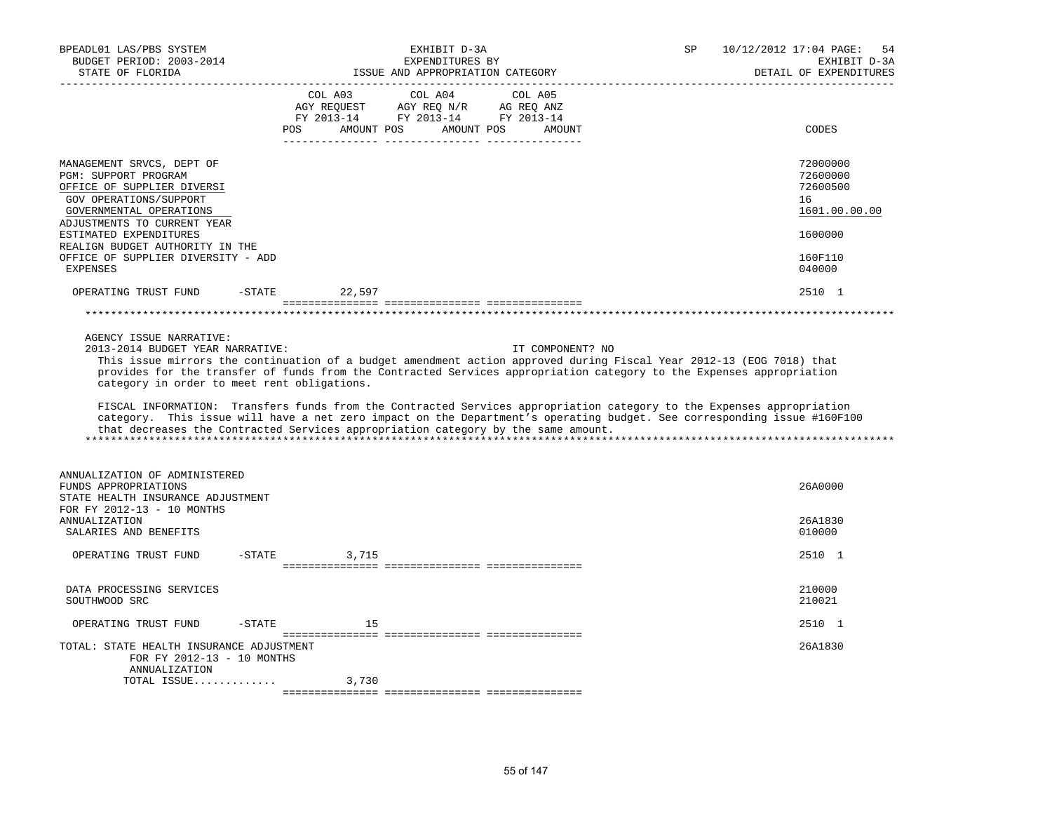| BPEADL01 LAS/PBS SYSTEM<br>BUDGET PERIOD: 2003-2014<br>STATE OF FLORIDA                                                                                                                                                                                                                   | EXHIBIT D-3A<br>EXPENDITURES BY<br>ISSUE AND APPROPRIATION CATEGORY                                                                                                                                                                                                                                                                                                                                                                                                                                                                                                                                       | 10/12/2012 17:04 PAGE:<br>SP<br>54<br>EXHIBIT D-3A<br>DETAIL OF EXPENDITURES            |
|-------------------------------------------------------------------------------------------------------------------------------------------------------------------------------------------------------------------------------------------------------------------------------------------|-----------------------------------------------------------------------------------------------------------------------------------------------------------------------------------------------------------------------------------------------------------------------------------------------------------------------------------------------------------------------------------------------------------------------------------------------------------------------------------------------------------------------------------------------------------------------------------------------------------|-----------------------------------------------------------------------------------------|
|                                                                                                                                                                                                                                                                                           | COL A03<br>COL A04<br>COL A05<br>AGY REQUEST AGY REQ N/R AG REQ ANZ<br>FY 2013-14 FY 2013-14 FY 2013-14<br>POS<br>AMOUNT POS AMOUNT POS<br>AMOUNT                                                                                                                                                                                                                                                                                                                                                                                                                                                         | CODES                                                                                   |
| MANAGEMENT SRVCS, DEPT OF<br>PGM: SUPPORT PROGRAM<br>OFFICE OF SUPPLIER DIVERSI<br>GOV OPERATIONS/SUPPORT<br>GOVERNMENTAL OPERATIONS<br>ADJUSTMENTS TO CURRENT YEAR<br>ESTIMATED EXPENDITURES<br>REALIGN BUDGET AUTHORITY IN THE<br>OFFICE OF SUPPLIER DIVERSITY - ADD<br><b>EXPENSES</b> |                                                                                                                                                                                                                                                                                                                                                                                                                                                                                                                                                                                                           | 72000000<br>72600000<br>72600500<br>16<br>1601.00.00.00<br>1600000<br>160F110<br>040000 |
| OPERATING TRUST FUND<br>$-STATE$                                                                                                                                                                                                                                                          | 22,597                                                                                                                                                                                                                                                                                                                                                                                                                                                                                                                                                                                                    | 2510 1                                                                                  |
|                                                                                                                                                                                                                                                                                           |                                                                                                                                                                                                                                                                                                                                                                                                                                                                                                                                                                                                           |                                                                                         |
| AGENCY ISSUE NARRATIVE:<br>2013-2014 BUDGET YEAR NARRATIVE:<br>category in order to meet rent obligations.                                                                                                                                                                                | IT COMPONENT? NO<br>This issue mirrors the continuation of a budget amendment action approved during Fiscal Year 2012-13 (EOG 7018) that<br>provides for the transfer of funds from the Contracted Services appropriation category to the Expenses appropriation<br>FISCAL INFORMATION: Transfers funds from the Contracted Services appropriation category to the Expenses appropriation<br>category. This issue will have a net zero impact on the Department's operating budget. See corresponding issue #160F100<br>that decreases the Contracted Services appropriation category by the same amount. |                                                                                         |
| ANNUALIZATION OF ADMINISTERED<br>FUNDS APPROPRIATIONS<br>STATE HEALTH INSURANCE ADJUSTMENT<br>FOR FY 2012-13 - 10 MONTHS<br><b>ANNUALIZATION</b><br>SALARIES AND BENEFITS                                                                                                                 |                                                                                                                                                                                                                                                                                                                                                                                                                                                                                                                                                                                                           | 26A0000<br>26A1830<br>010000                                                            |
| -STATE<br>OPERATING TRUST FUND                                                                                                                                                                                                                                                            | 3,715                                                                                                                                                                                                                                                                                                                                                                                                                                                                                                                                                                                                     | 2510 1                                                                                  |
|                                                                                                                                                                                                                                                                                           |                                                                                                                                                                                                                                                                                                                                                                                                                                                                                                                                                                                                           |                                                                                         |
| DATA PROCESSING SERVICES<br>SOUTHWOOD SRC                                                                                                                                                                                                                                                 |                                                                                                                                                                                                                                                                                                                                                                                                                                                                                                                                                                                                           | 210000<br>210021                                                                        |
| OPERATING TRUST FUND<br>$-$ STATE                                                                                                                                                                                                                                                         | 15                                                                                                                                                                                                                                                                                                                                                                                                                                                                                                                                                                                                        | 2510 1                                                                                  |
| TOTAL: STATE HEALTH INSURANCE ADJUSTMENT<br>FOR FY 2012-13 - 10 MONTHS<br>ANNUALIZATION                                                                                                                                                                                                   |                                                                                                                                                                                                                                                                                                                                                                                                                                                                                                                                                                                                           | 26A1830                                                                                 |
| TOTAL ISSUE                                                                                                                                                                                                                                                                               | 3,730                                                                                                                                                                                                                                                                                                                                                                                                                                                                                                                                                                                                     |                                                                                         |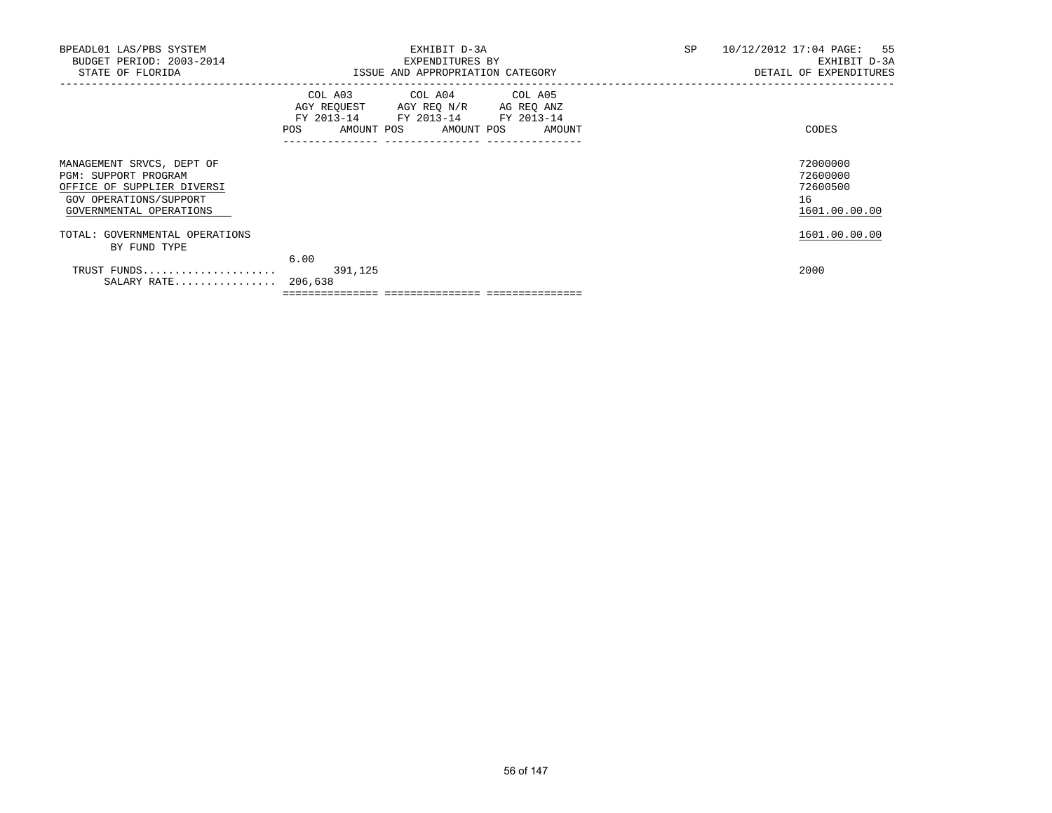| BPEADL01 LAS/PBS SYSTEM<br>BUDGET PERIOD: 2003-2014<br>STATE OF FLORIDA                                                              | EXHIBIT D-3A<br>EXPENDITURES BY<br>ISSUE AND APPROPRIATION CATEGORY                                                                                                             | SP<br>10/12/2012 17:04 PAGE: 55<br>EXHIBIT D-3A<br>DETAIL OF EXPENDITURES |
|--------------------------------------------------------------------------------------------------------------------------------------|---------------------------------------------------------------------------------------------------------------------------------------------------------------------------------|---------------------------------------------------------------------------|
|                                                                                                                                      | COL A03 COL A04 COL A05<br>AGY REQUEST AGY REQ N/R AG REQ ANZ<br>FY 2013-14 FY 2013-14<br>FY 2013-14<br>POS<br>AMOUNT POS AMOUNT POS AMOUNT<br>________________________________ | CODES                                                                     |
| MANAGEMENT SRVCS, DEPT OF<br>PGM: SUPPORT PROGRAM<br>OFFICE OF SUPPLIER DIVERSI<br>GOV OPERATIONS/SUPPORT<br>GOVERNMENTAL OPERATIONS |                                                                                                                                                                                 | 72000000<br>72600000<br>72600500<br>16<br>1601.00.00.00                   |
| TOTAL: GOVERNMENTAL OPERATIONS<br>BY FUND TYPE                                                                                       |                                                                                                                                                                                 | 1601.00.00.00                                                             |
| TRUST FUNDS<br>SALARY RATE                                                                                                           | 6.00<br>391,125<br>206,638                                                                                                                                                      | 2000                                                                      |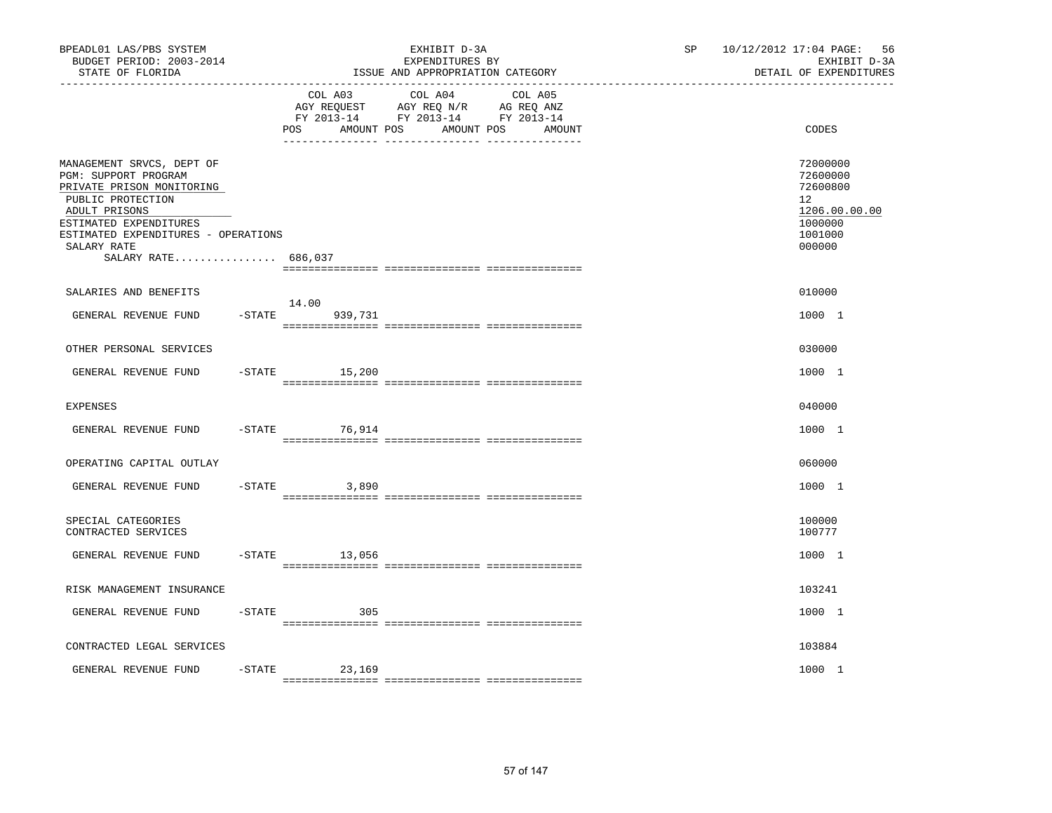| BPEADL01 LAS/PBS SYSTEM<br>BUDGET PERIOD: 2003-2014<br>STATE OF FLORIDA<br>-----------------                                                                                                                                | EXHIBIT D-3A<br>EXPENDITURES BY<br>ISSUE AND APPROPRIATION CATEGORY                                                                                         | 10/12/2012 17:04 PAGE:<br>56<br>SP<br>EXHIBIT D-3A<br>DETAIL OF EXPENDITURES            |
|-----------------------------------------------------------------------------------------------------------------------------------------------------------------------------------------------------------------------------|-------------------------------------------------------------------------------------------------------------------------------------------------------------|-----------------------------------------------------------------------------------------|
|                                                                                                                                                                                                                             | COL A03<br>COL A04<br>COL A05<br>AGY REQUEST AGY REQ N/R AG REQ ANZ<br>FY 2013-14 FY 2013-14 FY 2013-14<br><b>POS</b><br>AMOUNT POS<br>AMOUNT POS<br>AMOUNT | CODES                                                                                   |
| MANAGEMENT SRVCS, DEPT OF<br>PGM: SUPPORT PROGRAM<br>PRIVATE PRISON MONITORING<br>PUBLIC PROTECTION<br>ADULT PRISONS<br>ESTIMATED EXPENDITURES<br>ESTIMATED EXPENDITURES - OPERATIONS<br>SALARY RATE<br>SALARY RATE 686,037 |                                                                                                                                                             | 72000000<br>72600000<br>72600800<br>12<br>1206.00.00.00<br>1000000<br>1001000<br>000000 |
| SALARIES AND BENEFITS                                                                                                                                                                                                       |                                                                                                                                                             | 010000                                                                                  |
| GENERAL REVENUE FUND                                                                                                                                                                                                        | 14.00<br>$-$ STATE<br>939,731                                                                                                                               | 1000 1                                                                                  |
| OTHER PERSONAL SERVICES                                                                                                                                                                                                     |                                                                                                                                                             | 030000                                                                                  |
| GENERAL REVENUE FUND                                                                                                                                                                                                        | $-STATE$<br>15,200                                                                                                                                          | 1000 1                                                                                  |
| EXPENSES                                                                                                                                                                                                                    |                                                                                                                                                             | 040000                                                                                  |
| GENERAL REVENUE FUND                                                                                                                                                                                                        | $-STATE$<br>76,914                                                                                                                                          | 1000 1                                                                                  |
| OPERATING CAPITAL OUTLAY                                                                                                                                                                                                    |                                                                                                                                                             | 060000                                                                                  |
| GENERAL REVENUE FUND                                                                                                                                                                                                        | $-$ STATE<br>3,890                                                                                                                                          | 1000 1                                                                                  |
| SPECIAL CATEGORIES<br>CONTRACTED SERVICES                                                                                                                                                                                   |                                                                                                                                                             | 100000<br>100777                                                                        |
| GENERAL REVENUE FUND                                                                                                                                                                                                        | $-STATE$<br>13,056                                                                                                                                          | 1000 1                                                                                  |
| RISK MANAGEMENT INSURANCE                                                                                                                                                                                                   |                                                                                                                                                             | 103241                                                                                  |
| GENERAL REVENUE FUND<br>$-$ STATE                                                                                                                                                                                           | 305                                                                                                                                                         | 1000 1                                                                                  |
| CONTRACTED LEGAL SERVICES                                                                                                                                                                                                   |                                                                                                                                                             | 103884                                                                                  |
| $-$ STATE<br>GENERAL REVENUE FUND                                                                                                                                                                                           | 23,169                                                                                                                                                      | 1000 1                                                                                  |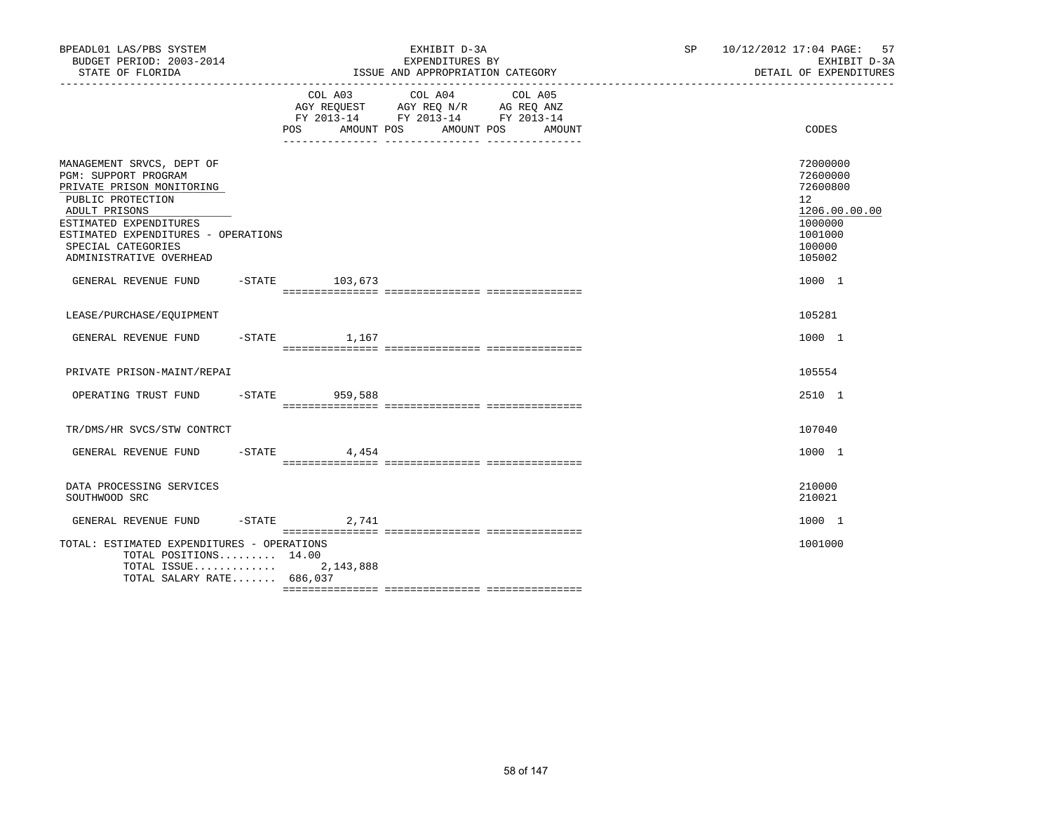| BPEADL01 LAS/PBS SYSTEM<br>BUDGET PERIOD: 2003-2014<br>STATE OF FLORIDA                                                                                                                                                                |                    | EXHIBIT D-3A<br>EXPENDITURES BY<br>ISSUE AND APPROPRIATION CATEGORY                                                                   | SP 10/12/2012 17:04 PAGE: 57<br>EXHIBIT D-3A<br>DETAIL OF EXPENDITURES                                         |
|----------------------------------------------------------------------------------------------------------------------------------------------------------------------------------------------------------------------------------------|--------------------|---------------------------------------------------------------------------------------------------------------------------------------|----------------------------------------------------------------------------------------------------------------|
|                                                                                                                                                                                                                                        |                    | COL A03 COL A04 COL A05<br>AGY REQUEST AGY REQ N/R AG REQ ANZ<br>FY 2013-14 FY 2013-14 FY 2013-14<br>POS AMOUNT POS AMOUNT POS AMOUNT | CODES                                                                                                          |
| MANAGEMENT SRVCS, DEPT OF<br>PGM: SUPPORT PROGRAM<br>PRIVATE PRISON MONITORING<br>PUBLIC PROTECTION<br>ADULT PRISONS<br>ESTIMATED EXPENDITURES<br>ESTIMATED EXPENDITURES - OPERATIONS<br>SPECIAL CATEGORIES<br>ADMINISTRATIVE OVERHEAD |                    |                                                                                                                                       | 72000000<br>72600000<br>72600800<br>12 <sup>°</sup><br>1206.00.00.00<br>1000000<br>1001000<br>100000<br>105002 |
| GENERAL REVENUE FUND -STATE 103,673                                                                                                                                                                                                    |                    |                                                                                                                                       | 1000 1                                                                                                         |
| LEASE/PURCHASE/EOUIPMENT                                                                                                                                                                                                               |                    |                                                                                                                                       | 105281                                                                                                         |
| GENERAL REVENUE FUND                                                                                                                                                                                                                   | $-$ STATE $1, 167$ |                                                                                                                                       | 1000 1                                                                                                         |
| PRIVATE PRISON-MAINT/REPAI                                                                                                                                                                                                             |                    |                                                                                                                                       | 105554                                                                                                         |
| OPERATING TRUST FUND -STATE 959,588                                                                                                                                                                                                    |                    |                                                                                                                                       | 2510 1                                                                                                         |
| TR/DMS/HR SVCS/STW CONTRCT                                                                                                                                                                                                             |                    |                                                                                                                                       | 107040                                                                                                         |
| GENERAL REVENUE FUND -STATE 4,454                                                                                                                                                                                                      |                    |                                                                                                                                       | 1000 1                                                                                                         |
| DATA PROCESSING SERVICES<br>SOUTHWOOD SRC                                                                                                                                                                                              |                    |                                                                                                                                       | 210000<br>210021                                                                                               |
| GENERAL REVENUE FUND -STATE 2,741                                                                                                                                                                                                      |                    |                                                                                                                                       | 1000 1                                                                                                         |
| TOTAL: ESTIMATED EXPENDITURES - OPERATIONS<br>TOTAL POSITIONS $14.00$<br>TOTAL SALARY RATE 686,037                                                                                                                                     |                    |                                                                                                                                       | 1001000                                                                                                        |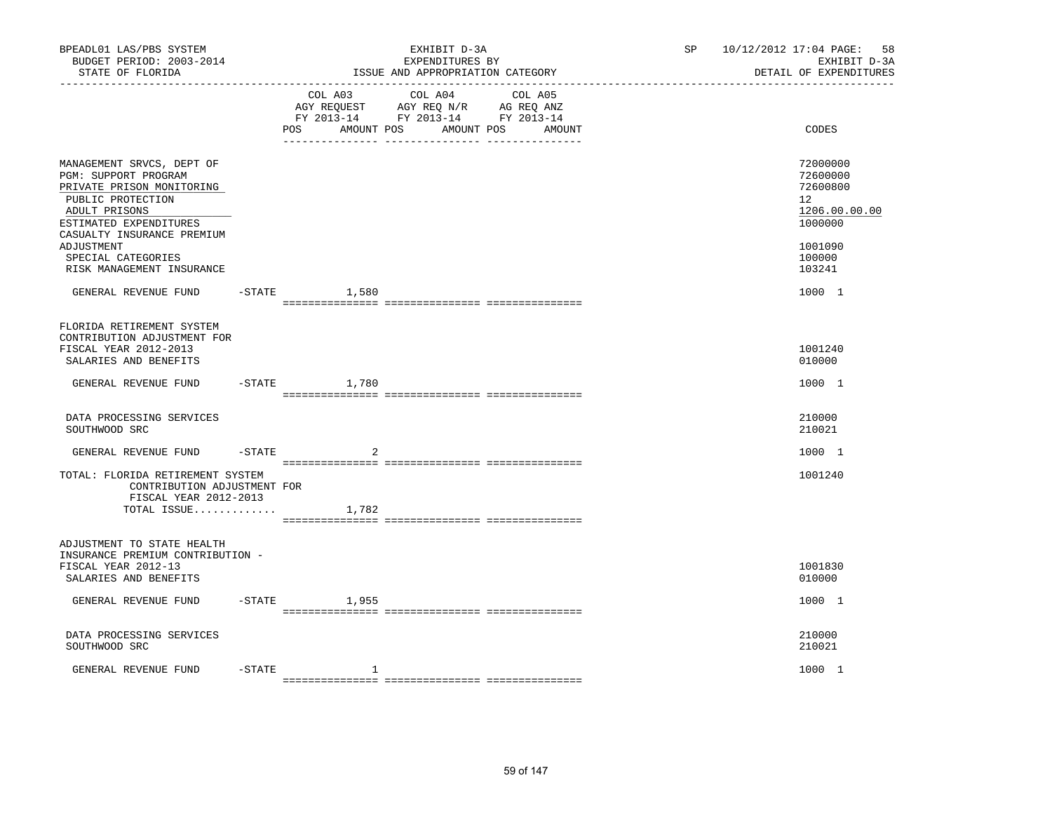| BPEADL01 LAS/PBS SYSTEM<br>BUDGET PERIOD: 2003-2014<br>STATE OF FLORIDA<br>-------------------                                                                                                                                                |           |                    | EXHIBIT D-3A<br>EXPENDITURES BY<br>ISSUE AND APPROPRIATION CATEGORY                                                       | SP | 10/12/2012 17:04 PAGE:<br>58<br>EXHIBIT D-3A<br>DETAIL OF EXPENDITURES                            |
|-----------------------------------------------------------------------------------------------------------------------------------------------------------------------------------------------------------------------------------------------|-----------|--------------------|---------------------------------------------------------------------------------------------------------------------------|----|---------------------------------------------------------------------------------------------------|
|                                                                                                                                                                                                                                               |           | AMOUNT POS<br>POS  | COL A03 COL A04 COL A05<br>AGY REQUEST AGY REQ N/R AG REQ ANZ<br>FY 2013-14 FY 2013-14 FY 2013-14<br>AMOUNT POS<br>AMOUNT |    | CODES                                                                                             |
| MANAGEMENT SRVCS, DEPT OF<br>PGM: SUPPORT PROGRAM<br>PRIVATE PRISON MONITORING<br>PUBLIC PROTECTION<br>ADULT PRISONS<br>ESTIMATED EXPENDITURES<br>CASUALTY INSURANCE PREMIUM<br>ADJUSTMENT<br>SPECIAL CATEGORIES<br>RISK MANAGEMENT INSURANCE |           |                    |                                                                                                                           |    | 72000000<br>72600000<br>72600800<br>12<br>1206.00.00.00<br>1000000<br>1001090<br>100000<br>103241 |
| GENERAL REVENUE FUND                                                                                                                                                                                                                          |           | $-STATE$ 1,580     |                                                                                                                           |    | 1000 1                                                                                            |
| FLORIDA RETIREMENT SYSTEM<br>CONTRIBUTION ADJUSTMENT FOR<br>FISCAL YEAR 2012-2013<br>SALARIES AND BENEFITS                                                                                                                                    |           |                    |                                                                                                                           |    | 1001240<br>010000                                                                                 |
| GENERAL REVENUE FUND                                                                                                                                                                                                                          |           | $-$ STATE<br>1,780 |                                                                                                                           |    | 1000 1                                                                                            |
| DATA PROCESSING SERVICES<br>SOUTHWOOD SRC                                                                                                                                                                                                     |           |                    |                                                                                                                           |    | 210000<br>210021                                                                                  |
| GENERAL REVENUE FUND                                                                                                                                                                                                                          | $-$ STATE | 2                  |                                                                                                                           |    | 1000 1                                                                                            |
| TOTAL: FLORIDA RETIREMENT SYSTEM<br>CONTRIBUTION ADJUSTMENT FOR<br>FISCAL YEAR 2012-2013<br>TOTAL ISSUE $1,782$                                                                                                                               |           |                    |                                                                                                                           |    | 1001240                                                                                           |
| ADJUSTMENT TO STATE HEALTH<br>INSURANCE PREMIUM CONTRIBUTION -<br>FISCAL YEAR 2012-13<br>SALARIES AND BENEFITS                                                                                                                                |           |                    |                                                                                                                           |    | 1001830<br>010000                                                                                 |
| GENERAL REVENUE FUND                                                                                                                                                                                                                          | $-$ STATE | 1,955              |                                                                                                                           |    | 1000 1                                                                                            |
| DATA PROCESSING SERVICES<br>SOUTHWOOD SRC                                                                                                                                                                                                     |           |                    |                                                                                                                           |    | 210000<br>210021                                                                                  |
| GENERAL REVENUE FUND                                                                                                                                                                                                                          | $-$ STATE | 1                  |                                                                                                                           |    | 1000 1                                                                                            |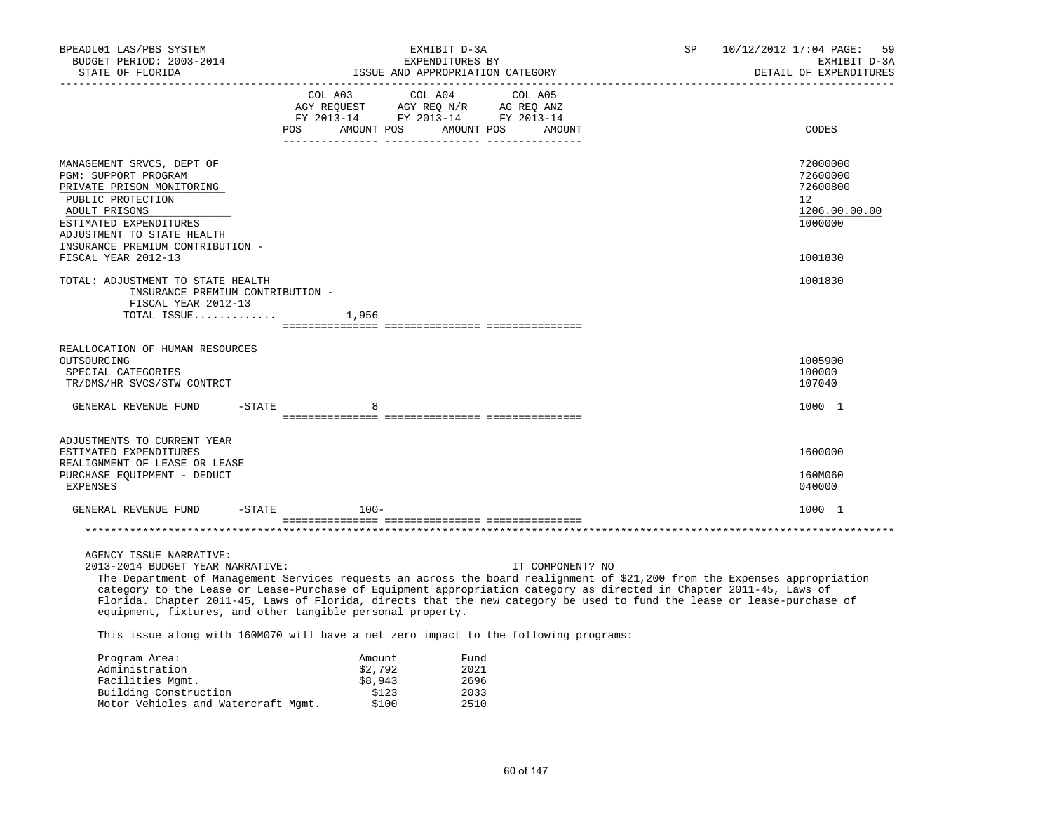| BPEADL01 LAS/PBS SYSTEM<br>BUDGET PERIOD: 2003-2014<br>STATE OF FLORIDA                                                                                                                                                                                                                                                                                                                                                                                                                                                                                                                           | EXHIBIT D-3A<br>EXPENDITURES BY<br>ISSUE AND APPROPRIATION CATEGORY |                                       |                              |                                                                                                                                                                                                                                                                    | SP | 10/12/2012 17:04 PAGE: 59<br>EXHIBIT D-3A<br>DETAIL OF EXPENDITURES          |
|---------------------------------------------------------------------------------------------------------------------------------------------------------------------------------------------------------------------------------------------------------------------------------------------------------------------------------------------------------------------------------------------------------------------------------------------------------------------------------------------------------------------------------------------------------------------------------------------------|---------------------------------------------------------------------|---------------------------------------|------------------------------|--------------------------------------------------------------------------------------------------------------------------------------------------------------------------------------------------------------------------------------------------------------------|----|------------------------------------------------------------------------------|
|                                                                                                                                                                                                                                                                                                                                                                                                                                                                                                                                                                                                   |                                                                     | COL A03                               | COL A04 COL A05              | $\begin{tabular}{lllllll} \bf AGY \;\; RegUEST \hspace{1cm} AGY \;\; REG \;\; N/R \hspace{1cm} \bf AG \;\; REG \;\; ANZ \\ \hline \tt FY \;\; 2013-14 \hspace{1cm} FY \;\; 2013-14 \hspace{1cm} FY \;\; 2013-14 \end{tabular}$<br>POS AMOUNT POS AMOUNT POS AMOUNT |    | CODES                                                                        |
| MANAGEMENT SRVCS, DEPT OF<br>PGM: SUPPORT PROGRAM<br>PRIVATE PRISON MONITORING<br>PUBLIC PROTECTION<br>ADULT PRISONS<br>ESTIMATED EXPENDITURES<br>ADJUSTMENT TO STATE HEALTH<br>INSURANCE PREMIUM CONTRIBUTION -                                                                                                                                                                                                                                                                                                                                                                                  |                                                                     |                                       |                              |                                                                                                                                                                                                                                                                    |    | 72000000<br>72600000<br>72600800<br>$12^{\circ}$<br>1206.00.00.00<br>1000000 |
| FISCAL YEAR 2012-13                                                                                                                                                                                                                                                                                                                                                                                                                                                                                                                                                                               |                                                                     |                                       |                              |                                                                                                                                                                                                                                                                    |    | 1001830                                                                      |
| TOTAL: ADJUSTMENT TO STATE HEALTH<br>INSURANCE PREMIUM CONTRIBUTION -<br>FISCAL YEAR 2012-13<br>TOTAL ISSUE                                                                                                                                                                                                                                                                                                                                                                                                                                                                                       |                                                                     | 1,956                                 |                              |                                                                                                                                                                                                                                                                    |    | 1001830                                                                      |
| REALLOCATION OF HUMAN RESOURCES<br>OUTSOURCING<br>SPECIAL CATEGORIES<br>TR/DMS/HR SVCS/STW CONTRCT                                                                                                                                                                                                                                                                                                                                                                                                                                                                                                |                                                                     |                                       |                              |                                                                                                                                                                                                                                                                    |    | 1005900<br>100000<br>107040                                                  |
| GENERAL REVENUE FUND<br>$-$ STATE                                                                                                                                                                                                                                                                                                                                                                                                                                                                                                                                                                 |                                                                     | 8                                     |                              |                                                                                                                                                                                                                                                                    |    | 1000 1                                                                       |
|                                                                                                                                                                                                                                                                                                                                                                                                                                                                                                                                                                                                   |                                                                     |                                       |                              |                                                                                                                                                                                                                                                                    |    |                                                                              |
| ADJUSTMENTS TO CURRENT YEAR<br>ESTIMATED EXPENDITURES<br>REALIGNMENT OF LEASE OR LEASE<br>PURCHASE EQUIPMENT - DEDUCT<br><b>EXPENSES</b>                                                                                                                                                                                                                                                                                                                                                                                                                                                          |                                                                     |                                       |                              |                                                                                                                                                                                                                                                                    |    | 1600000<br>160M060<br>040000                                                 |
| GENERAL REVENUE FUND<br>$-$ STATE                                                                                                                                                                                                                                                                                                                                                                                                                                                                                                                                                                 |                                                                     | $100 -$                               |                              |                                                                                                                                                                                                                                                                    |    | 1000 1                                                                       |
|                                                                                                                                                                                                                                                                                                                                                                                                                                                                                                                                                                                                   |                                                                     |                                       |                              |                                                                                                                                                                                                                                                                    |    |                                                                              |
| AGENCY ISSUE NARRATIVE:<br>2013-2014 BUDGET YEAR NARRATIVE:<br>The Department of Management Services requests an across the board realignment of \$21,200 from the Expenses appropriation<br>category to the Lease or Lease-Purchase of Equipment appropriation category as directed in Chapter 2011-45, Laws of<br>Florida. Chapter 2011-45, Laws of Florida, directs that the new category be used to fund the lease or lease-purchase of<br>equipment, fixtures, and other tangible personal property.<br>This issue along with 160M070 will have a net zero impact to the following programs: |                                                                     |                                       |                              | IT COMPONENT? NO                                                                                                                                                                                                                                                   |    |                                                                              |
| Program Area:<br>Administration<br>Facilities Mgmt.<br>Building Construction                                                                                                                                                                                                                                                                                                                                                                                                                                                                                                                      |                                                                     | Amount<br>\$2,792<br>\$8,943<br>\$123 | Fund<br>2021<br>2696<br>2033 |                                                                                                                                                                                                                                                                    |    |                                                                              |

60 of 147

Motor Vehicles and Watercraft Mgmt. \$100 2510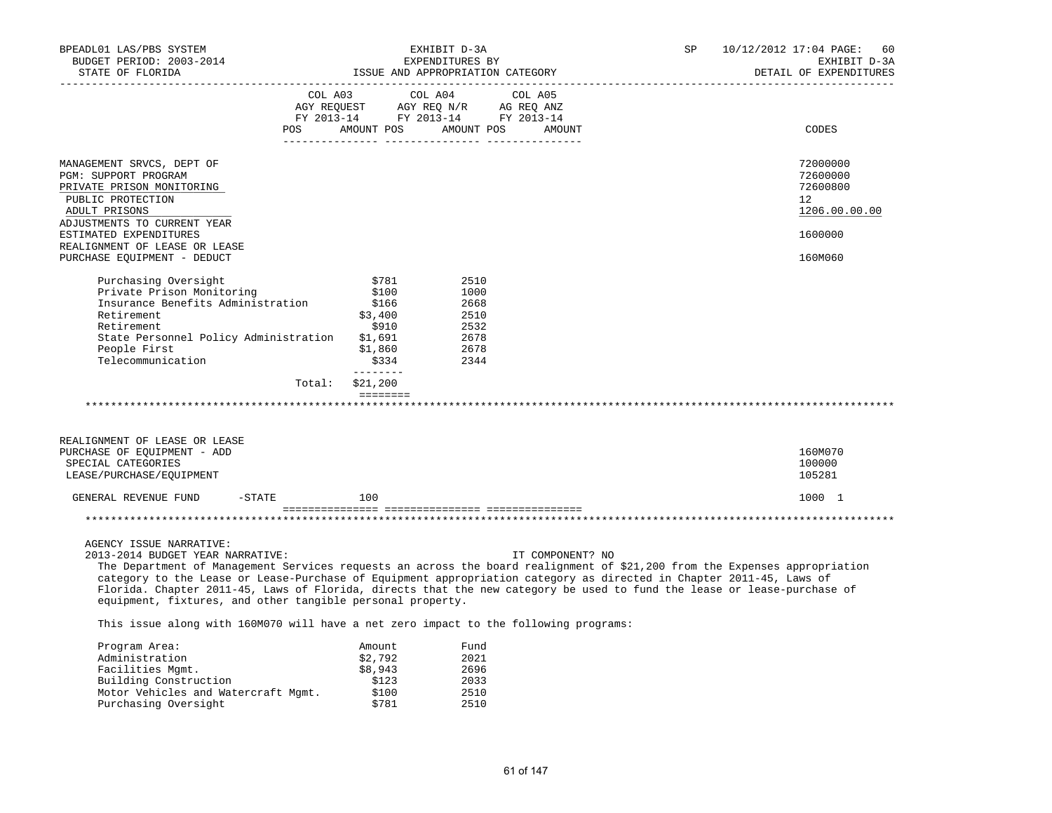| BPEADL01 LAS/PBS SYSTEM<br>BUDGET PERIOD: 2003-2014                                                                                                                                                                                                                                                                                                                                                                                                                                                       | EXHIBIT D-3A<br>EXPENDITURES BY<br>ISSUE AND APPROPRIATION CATEGORY |                                                                                                                                                                                                                 |                                                              |                  | SP | 10/12/2012 17:04 PAGE:<br>60<br>EXHIBIT D-3A                         |
|-----------------------------------------------------------------------------------------------------------------------------------------------------------------------------------------------------------------------------------------------------------------------------------------------------------------------------------------------------------------------------------------------------------------------------------------------------------------------------------------------------------|---------------------------------------------------------------------|-----------------------------------------------------------------------------------------------------------------------------------------------------------------------------------------------------------------|--------------------------------------------------------------|------------------|----|----------------------------------------------------------------------|
| STATE OF FLORIDA                                                                                                                                                                                                                                                                                                                                                                                                                                                                                          |                                                                     |                                                                                                                                                                                                                 |                                                              |                  |    | DETAIL OF EXPENDITURES                                               |
|                                                                                                                                                                                                                                                                                                                                                                                                                                                                                                           |                                                                     | COL A03<br>$\begin{tabular}{lllllllll} \bf AGY & \bf REQUEST & \bf AGY & \bf REQ & \tt M/R & \tt AG & \tt REQ & \tt ANZ \\ \bf FY & \tt 2013-14 & \tt FY & \tt 2013-14 & \tt FY & \tt 2013-14 \\ \end{tabular}$ | COL A04                                                      | COL A05          |    |                                                                      |
|                                                                                                                                                                                                                                                                                                                                                                                                                                                                                                           | <b>POS</b>                                                          | AMOUNT POS AMOUNT POS                                                                                                                                                                                           |                                                              | AMOUNT           |    | CODES                                                                |
| MANAGEMENT SRVCS, DEPT OF<br>PGM: SUPPORT PROGRAM<br>PRIVATE PRISON MONITORING<br>PUBLIC PROTECTION<br>ADULT PRISONS                                                                                                                                                                                                                                                                                                                                                                                      |                                                                     |                                                                                                                                                                                                                 |                                                              |                  |    | 72000000<br>72600000<br>72600800<br>12 <sup>°</sup><br>1206.00.00.00 |
| ADJUSTMENTS TO CURRENT YEAR<br>ESTIMATED EXPENDITURES<br>REALIGNMENT OF LEASE OR LEASE                                                                                                                                                                                                                                                                                                                                                                                                                    |                                                                     |                                                                                                                                                                                                                 |                                                              |                  |    | 1600000                                                              |
| PURCHASE EQUIPMENT - DEDUCT                                                                                                                                                                                                                                                                                                                                                                                                                                                                               |                                                                     |                                                                                                                                                                                                                 |                                                              |                  |    | 160M060                                                              |
| Purchasing Oversight<br>Private Prison Monitoring<br>Insurance Benefits Administration<br>Retirement<br>Retirement<br>State Personnel Policy Administration<br>People First<br>Telecommunication                                                                                                                                                                                                                                                                                                          |                                                                     | \$781<br>\$100<br>\$166<br>\$3,400<br>\$910<br>\$1,691<br>\$1,860<br>\$334<br>________                                                                                                                          | 2510<br>1000<br>2668<br>2510<br>2532<br>2678<br>2678<br>2344 |                  |    |                                                                      |
|                                                                                                                                                                                                                                                                                                                                                                                                                                                                                                           | Total:                                                              | \$21,200                                                                                                                                                                                                        |                                                              |                  |    |                                                                      |
|                                                                                                                                                                                                                                                                                                                                                                                                                                                                                                           |                                                                     | ========                                                                                                                                                                                                        |                                                              |                  |    |                                                                      |
| REALIGNMENT OF LEASE OR LEASE<br>PURCHASE OF EQUIPMENT - ADD<br>SPECIAL CATEGORIES<br>LEASE/PURCHASE/EQUIPMENT                                                                                                                                                                                                                                                                                                                                                                                            |                                                                     |                                                                                                                                                                                                                 |                                                              |                  |    | 160M070<br>100000<br>105281                                          |
| GENERAL REVENUE FUND                                                                                                                                                                                                                                                                                                                                                                                                                                                                                      | $-$ STATE                                                           | 100                                                                                                                                                                                                             |                                                              |                  |    | 1000 1                                                               |
|                                                                                                                                                                                                                                                                                                                                                                                                                                                                                                           |                                                                     |                                                                                                                                                                                                                 |                                                              |                  |    |                                                                      |
| AGENCY ISSUE NARRATIVE:<br>2013-2014 BUDGET YEAR NARRATIVE:<br>The Department of Management Services requests an across the board realignment of \$21,200 from the Expenses appropriation<br>category to the Lease or Lease-Purchase of Equipment appropriation category as directed in Chapter 2011-45, Laws of<br>Florida. Chapter 2011-45, Laws of Florida, directs that the new category be used to fund the lease or lease-purchase of<br>equipment, fixtures, and other tangible personal property. |                                                                     |                                                                                                                                                                                                                 |                                                              | IT COMPONENT? NO |    |                                                                      |
| This issue along with 160M070 will have a net zero impact to the following programs:                                                                                                                                                                                                                                                                                                                                                                                                                      |                                                                     |                                                                                                                                                                                                                 |                                                              |                  |    |                                                                      |
| Program Area:<br>Administration<br>Facilities Mgmt.<br>Building Construction                                                                                                                                                                                                                                                                                                                                                                                                                              |                                                                     | Amount<br>\$2,792<br>\$8,943<br>\$123                                                                                                                                                                           | Fund<br>2021<br>2696<br>2033                                 |                  |    |                                                                      |

 Motor Vehicles and Watercraft Mgmt. \$100 2510 Purchasing Oversight **\$781** 2510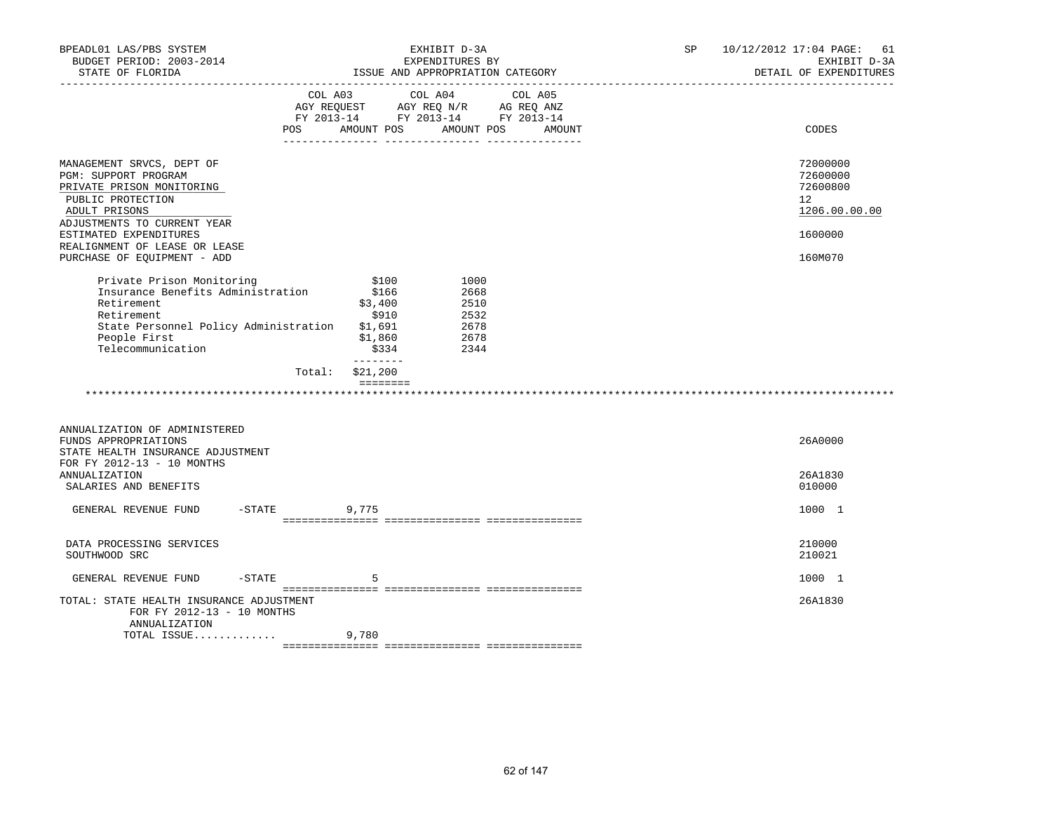| BPEADL01 LAS/PBS SYSTEM<br>BUDGET PERIOD: 2003-2014<br>STATE OF FLORIDA                                                                                                                                                                       |                                                                                                                                                                                | EXHIBIT D-3A<br>EXPENDITURES BY<br>ISSUE AND APPROPRIATION CATEGORY                                      | SP | 10/12/2012 17:04 PAGE: 61<br>EXHIBIT D-3A<br>DETAIL OF EXPENDITURES           |
|-----------------------------------------------------------------------------------------------------------------------------------------------------------------------------------------------------------------------------------------------|--------------------------------------------------------------------------------------------------------------------------------------------------------------------------------|----------------------------------------------------------------------------------------------------------|----|-------------------------------------------------------------------------------|
|                                                                                                                                                                                                                                               | COL A03<br>AGY REQUEST<br>POS.<br>AMOUNT POS                                                                                                                                   | COL A04<br>COL A05<br>AGY REQ N/R AG REQ ANZ<br>FY 2013-14 FY 2013-14 FY 2013-14<br>AMOUNT POS<br>AMOUNT |    | CODES                                                                         |
| MANAGEMENT SRVCS, DEPT OF<br>PGM: SUPPORT PROGRAM<br>PRIVATE PRISON MONITORING<br>PUBLIC PROTECTION<br>ADULT PRISONS<br>ADJUSTMENTS TO CURRENT YEAR<br>ESTIMATED EXPENDITURES<br>REALIGNMENT OF LEASE OR LEASE<br>PURCHASE OF EQUIPMENT - ADD |                                                                                                                                                                                |                                                                                                          |    | 72000000<br>72600000<br>72600800<br>12<br>1206.00.00.00<br>1600000<br>160M070 |
| Private Prison Monitoring<br>Insurance Benefits Administration<br>Retirement<br>Retirement<br>State Personnel Policy Administration<br>People First<br>Telecommunication                                                                      | \$100<br>\$166<br>\$3,400<br>\$910<br>\$1,691<br>\$1,860<br>\$334<br>--------<br>\$21,200<br>Total:<br>$\qquad \qquad \equiv \equiv \equiv \equiv \equiv \equiv \equiv \equiv$ | 1000<br>2668<br>2510<br>2532<br>2678<br>2678<br>2344                                                     |    |                                                                               |
| ANNUALIZATION OF ADMINISTERED<br>FUNDS APPROPRIATIONS<br>STATE HEALTH INSURANCE ADJUSTMENT                                                                                                                                                    |                                                                                                                                                                                |                                                                                                          |    | 26A0000                                                                       |
| FOR FY 2012-13 - 10 MONTHS<br><b>ANNUALIZATION</b><br>SALARIES AND BENEFITS                                                                                                                                                                   |                                                                                                                                                                                |                                                                                                          |    | 26A1830<br>010000                                                             |
| GENERAL REVENUE FUND                                                                                                                                                                                                                          | $-$ STATE<br>9,775                                                                                                                                                             |                                                                                                          |    | 1000 1                                                                        |
| DATA PROCESSING SERVICES<br>SOUTHWOOD SRC                                                                                                                                                                                                     |                                                                                                                                                                                |                                                                                                          |    | 210000<br>210021                                                              |
| $-$ STATE<br>GENERAL REVENUE FUND                                                                                                                                                                                                             | 5                                                                                                                                                                              |                                                                                                          |    | 1000 1                                                                        |
| TOTAL: STATE HEALTH INSURANCE ADJUSTMENT<br>FOR FY 2012-13 - 10 MONTHS<br>ANNUALIZATION<br>TOTAL ISSUE                                                                                                                                        | 9,780                                                                                                                                                                          |                                                                                                          |    | 26A1830                                                                       |
|                                                                                                                                                                                                                                               |                                                                                                                                                                                |                                                                                                          |    |                                                                               |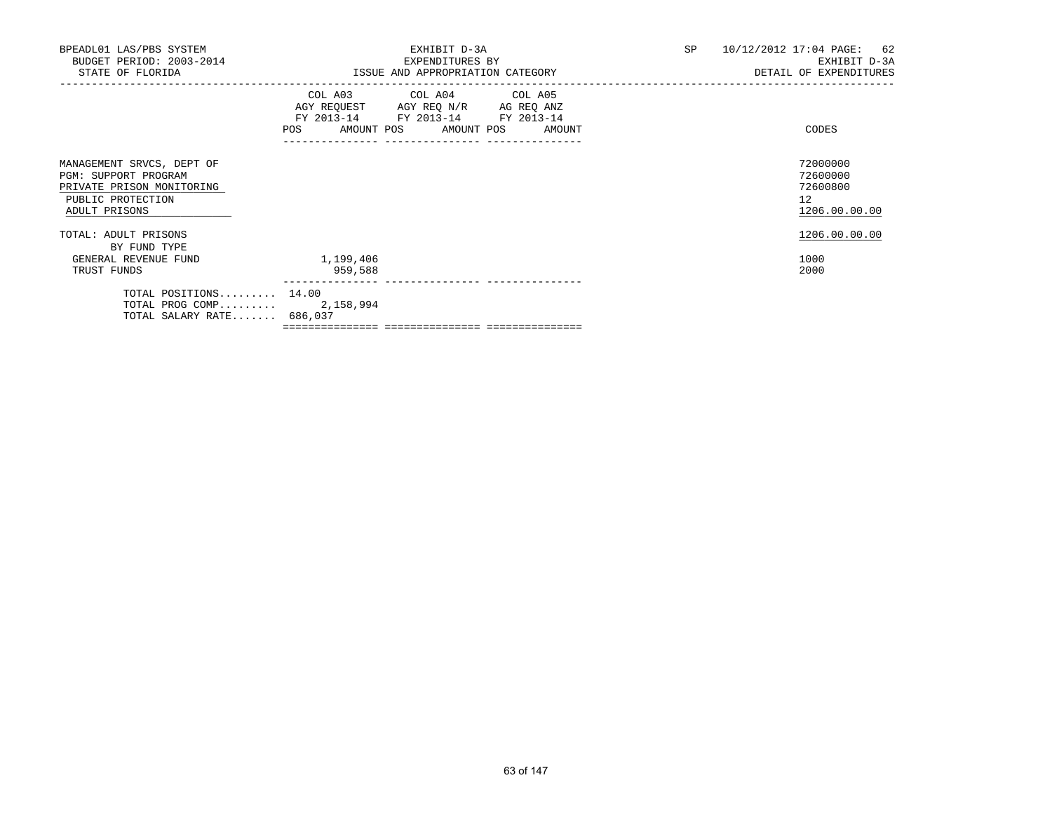| BPEADL01 LAS/PBS SYSTEM<br>BUDGET PERIOD: 2003-2014<br>STATE OF FLORIDA                                                     |                      | EXHIBIT D-3A<br>EXPENDITURES BY<br>ISSUE AND APPROPRIATION CATEGORY                                                                   | SP | 10/12/2012 17:04 PAGE: 62<br>EXHIBIT D-3A<br>DETAIL OF EXPENDITURES  |
|-----------------------------------------------------------------------------------------------------------------------------|----------------------|---------------------------------------------------------------------------------------------------------------------------------------|----|----------------------------------------------------------------------|
|                                                                                                                             |                      | COL A03 COL A04 COL A05<br>AGY REQUEST AGY REQ N/R AG REQ ANZ<br>FY 2013-14 FY 2013-14 FY 2013-14<br>POS AMOUNT POS AMOUNT POS AMOUNT |    | CODES                                                                |
| MANAGEMENT SRVCS, DEPT OF<br><b>PGM: SUPPORT PROGRAM</b><br>PRIVATE PRISON MONITORING<br>PUBLIC PROTECTION<br>ADULT PRISONS |                      |                                                                                                                                       |    | 72000000<br>72600000<br>72600800<br>12 <sup>°</sup><br>1206.00.00.00 |
| TOTAL: ADULT PRISONS<br>BY FUND TYPE                                                                                        |                      |                                                                                                                                       |    | 1206.00.00.00                                                        |
| GENERAL REVENUE FUND<br>TRUST FUNDS                                                                                         | 1,199,406<br>959,588 |                                                                                                                                       |    | 1000<br>2000                                                         |
| TOTAL POSITIONS 14.00<br>TOTAL PROG COMP 2,158,994<br>TOTAL SALARY RATE 686,037                                             |                      |                                                                                                                                       |    |                                                                      |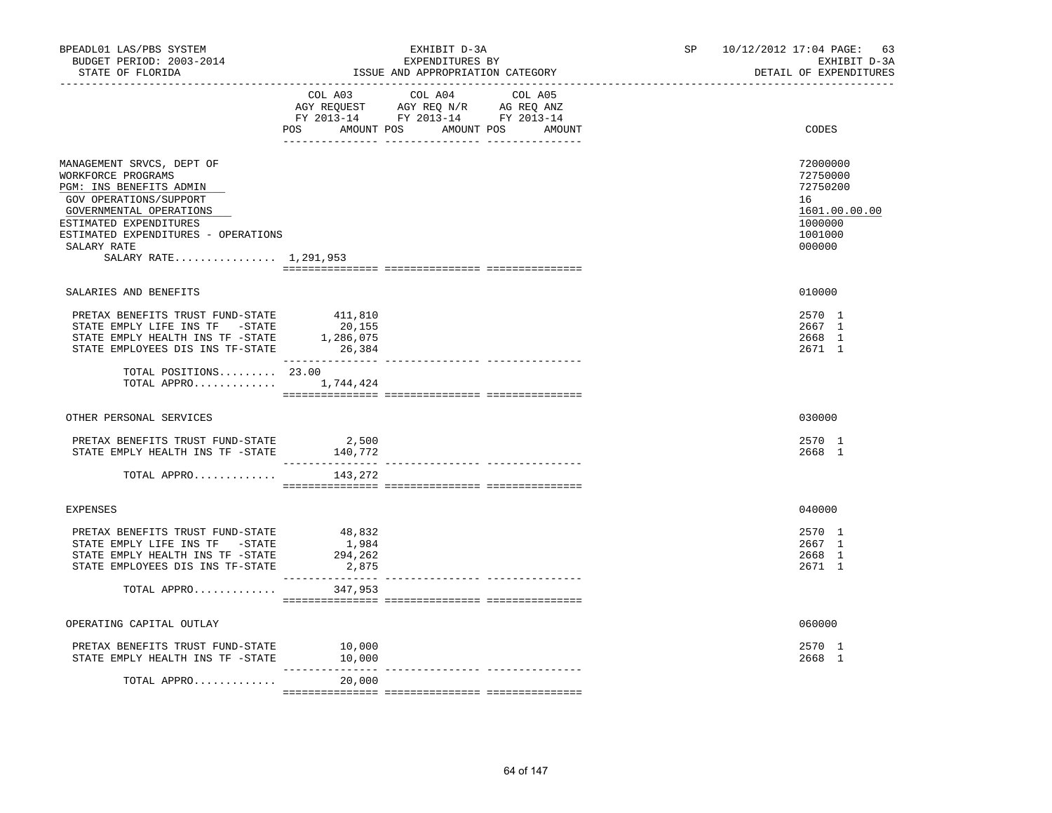| BPEADL01 LAS/PBS SYSTEM<br>BUDGET PERIOD: 2003-2014<br>STATE OF FLORIDA                                                                                                                                                                  |                                          | EXHIBIT D-3A<br>EXPENDITURES BY<br>ISSUE AND APPROPRIATION CATEGORY                                                                   | SP 10/12/2012 17:04 PAGE: 63<br>EXHIBIT D-3A<br>DETAIL OF EXPENDITURES                  |
|------------------------------------------------------------------------------------------------------------------------------------------------------------------------------------------------------------------------------------------|------------------------------------------|---------------------------------------------------------------------------------------------------------------------------------------|-----------------------------------------------------------------------------------------|
|                                                                                                                                                                                                                                          |                                          | COL A03 COL A04 COL A05<br>AGY REQUEST AGY REQ N/R AG REQ ANZ<br>FY 2013-14 FY 2013-14 FY 2013-14<br>POS AMOUNT POS AMOUNT POS AMOUNT | CODES                                                                                   |
| MANAGEMENT SRVCS, DEPT OF<br>WORKFORCE PROGRAMS<br>PGM: INS BENEFITS ADMIN<br>GOV OPERATIONS/SUPPORT<br>GOVERNMENTAL OPERATIONS<br>ESTIMATED EXPENDITURES<br>ESTIMATED EXPENDITURES - OPERATIONS<br>SALARY RATE<br>SALARY RATE 1,291,953 |                                          |                                                                                                                                       | 72000000<br>72750000<br>72750200<br>16<br>1601.00.00.00<br>1000000<br>1001000<br>000000 |
| SALARIES AND BENEFITS                                                                                                                                                                                                                    |                                          |                                                                                                                                       | 010000                                                                                  |
| PRETAX BENEFITS TRUST FUND-STATE<br>STATE EMPLY LIFE INS TF -STATE<br>STATE EMPLY HEALTH INS TF -STATE<br>STATE EMPLOYEES DIS INS TF-STATE                                                                                               | 411,810<br>20,155<br>1,286,075<br>26,384 |                                                                                                                                       | 2570 1<br>2667 1<br>2668 1<br>2671 1                                                    |
| TOTAL POSITIONS 23.00<br>TOTAL APPRO                                                                                                                                                                                                     | 1,744,424                                |                                                                                                                                       |                                                                                         |
| OTHER PERSONAL SERVICES                                                                                                                                                                                                                  |                                          |                                                                                                                                       | 030000                                                                                  |
| PRETAX BENEFITS TRUST FUND-STATE<br>STATE EMPLY HEALTH INS TF -STATE                                                                                                                                                                     | 2,500<br>140,772                         |                                                                                                                                       | 2570 1<br>2668 1                                                                        |
| TOTAL APPRO                                                                                                                                                                                                                              | 143,272                                  |                                                                                                                                       |                                                                                         |
| <b>EXPENSES</b>                                                                                                                                                                                                                          |                                          |                                                                                                                                       | 040000                                                                                  |
| PRETAX BENEFITS TRUST FUND-STATE<br>STATE EMPLY LIFE INS TF -STATE<br>STATE EMPLY HEALTH INS TF -STATE<br>STATE EMPLOYEES DIS INS TF-STATE                                                                                               | 48,832<br>1,984<br>294,262<br>2,875      |                                                                                                                                       | 2570 1<br>2667 1<br>2668 1<br>2671 1                                                    |
| TOTAL APPRO                                                                                                                                                                                                                              | 347,953                                  | -------------- ----------                                                                                                             |                                                                                         |
| OPERATING CAPITAL OUTLAY                                                                                                                                                                                                                 |                                          |                                                                                                                                       | 060000                                                                                  |
| PRETAX BENEFITS TRUST FUND-STATE<br>STATE EMPLY HEALTH INS TF -STATE                                                                                                                                                                     | 10,000<br>10,000                         |                                                                                                                                       | 2570 1<br>2668 1                                                                        |
| TOTAL APPRO                                                                                                                                                                                                                              | 20,000                                   |                                                                                                                                       |                                                                                         |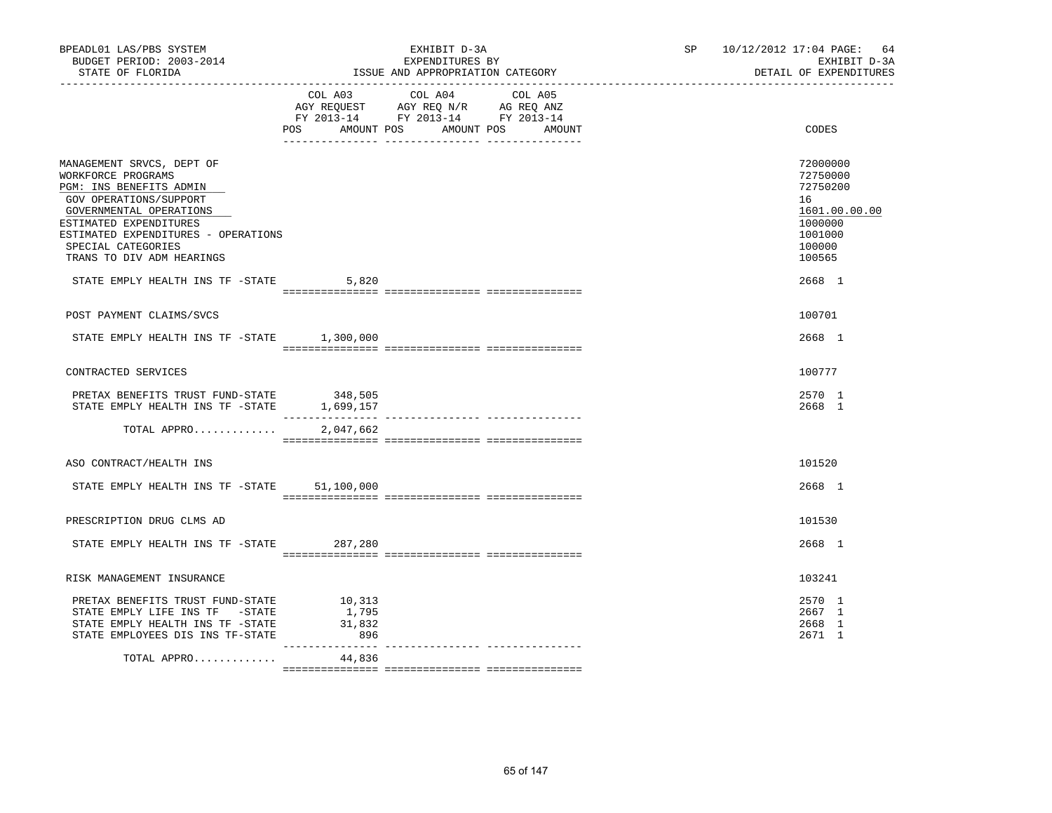| BPEADL01 LAS/PBS SYSTEM<br>BUDGET PERIOD: 2003-2014<br>STATE OF FLORIDA                                                                                                                                                                             |                                  | EXHIBIT D-3A<br>EXPENDITURES BY<br>ISSUE AND APPROPRIATION CATEGORY                                                       | SP 10/12/2012 17:04 PAGE: 64<br>EXHIBIT D-3A<br>DETAIL OF EXPENDITURES                            |
|-----------------------------------------------------------------------------------------------------------------------------------------------------------------------------------------------------------------------------------------------------|----------------------------------|---------------------------------------------------------------------------------------------------------------------------|---------------------------------------------------------------------------------------------------|
|                                                                                                                                                                                                                                                     | POS AMOUNT POS                   | COL A03 COL A04 COL A05<br>AGY REQUEST AGY REQ N/R AG REQ ANZ<br>FY 2013-14 FY 2013-14 FY 2013-14<br>AMOUNT POS<br>AMOUNT | CODES                                                                                             |
| MANAGEMENT SRVCS, DEPT OF<br>WORKFORCE PROGRAMS<br>PGM: INS BENEFITS ADMIN<br>GOV OPERATIONS/SUPPORT<br>GOVERNMENTAL OPERATIONS<br>ESTIMATED EXPENDITURES<br>ESTIMATED EXPENDITURES - OPERATIONS<br>SPECIAL CATEGORIES<br>TRANS TO DIV ADM HEARINGS |                                  |                                                                                                                           | 72000000<br>72750000<br>72750200<br>16<br>1601.00.00.00<br>1000000<br>1001000<br>100000<br>100565 |
| STATE EMPLY HEALTH INS TF -STATE                                                                                                                                                                                                                    | 5,820                            |                                                                                                                           | 2668 1                                                                                            |
| POST PAYMENT CLAIMS/SVCS                                                                                                                                                                                                                            |                                  |                                                                                                                           | 100701                                                                                            |
| STATE EMPLY HEALTH INS TF -STATE 1,300,000                                                                                                                                                                                                          |                                  |                                                                                                                           | 2668 1                                                                                            |
| CONTRACTED SERVICES                                                                                                                                                                                                                                 |                                  |                                                                                                                           | 100777                                                                                            |
| PRETAX BENEFITS TRUST FUND-STATE 348,505<br>STATE EMPLY HEALTH INS TF -STATE 1.699.157<br>STATE EMPLY HEALTH INS TF -STATE                                                                                                                          | 1,699,157                        |                                                                                                                           | 2570 1<br>2668 1                                                                                  |
| TOTAL APPRO                                                                                                                                                                                                                                         | 2,047,662                        |                                                                                                                           |                                                                                                   |
| ASO CONTRACT/HEALTH INS                                                                                                                                                                                                                             |                                  |                                                                                                                           | 101520                                                                                            |
| STATE EMPLY HEALTH INS TF -STATE 51,100,000                                                                                                                                                                                                         |                                  |                                                                                                                           | 2668 1                                                                                            |
| PRESCRIPTION DRUG CLMS AD                                                                                                                                                                                                                           |                                  |                                                                                                                           | 101530                                                                                            |
| STATE EMPLY HEALTH INS TF -STATE 287,280                                                                                                                                                                                                            |                                  |                                                                                                                           | 2668 1                                                                                            |
| RISK MANAGEMENT INSURANCE                                                                                                                                                                                                                           |                                  |                                                                                                                           | 103241                                                                                            |
| PRETAX BENEFITS TRUST FUND-STATE<br>STATE EMPLY LIFE INS TF -STATE<br>STATE EMPLY HEALTH INS TF -STATE<br>STATE EMPLOYEES DIS INS TF-STATE                                                                                                          | 10,313<br>1,795<br>31,832<br>896 |                                                                                                                           | 2570 1<br>2667 1<br>2668 1<br>2671 1                                                              |
| TOTAL APPRO                                                                                                                                                                                                                                         | 44,836                           |                                                                                                                           |                                                                                                   |

 ${\tt 2} = {\tt 2} = {\tt 2} = {\tt 2} = {\tt 2} = {\tt 2} = {\tt 2} = {\tt 2} = {\tt 2} = {\tt 2} = {\tt 2} = {\tt 2} = {\tt 2} = {\tt 2} = {\tt 2} = {\tt 2} = {\tt 2} = {\tt 2} = {\tt 2} = {\tt 2} = {\tt 2} = {\tt 2} = {\tt 2} = {\tt 2} = {\tt 2} = {\tt 2} = {\tt 2} = {\tt 2} = {\tt 2} = {\tt 2} = {\tt 2} = {\tt 2} = {\tt 2} = {\tt 2} = {\tt 2} = {\tt 2} = {\tt 2$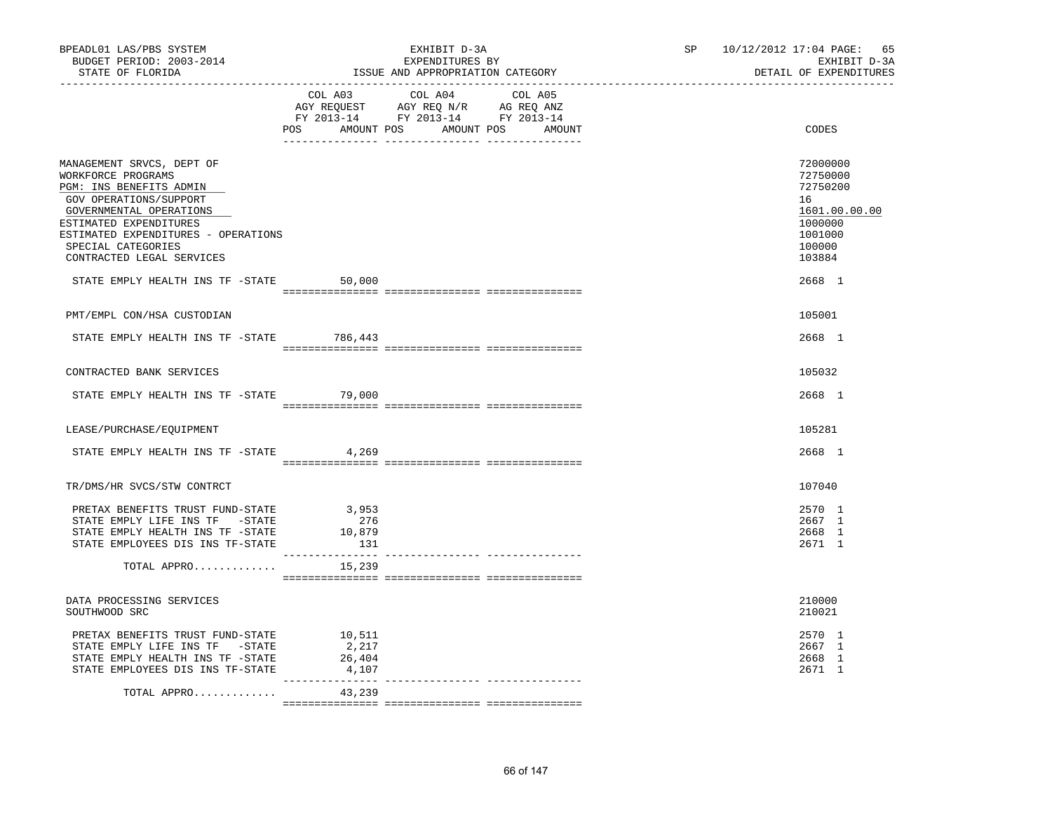| BPEADL01 LAS/PBS SYSTEM<br>BUDGET PERIOD: 2003-2014<br>STATE OF FLORIDA                                                                                                                                                                             |                                    | EXHIBIT D-3A<br>EXPENDITURES BY<br>ISSUE AND APPROPRIATION CATEGORY                                                                                                                            | SP 10/12/2012 17:04 PAGE: 65<br>EXHIBIT D-3A<br>DETAIL OF EXPENDITURES                            |
|-----------------------------------------------------------------------------------------------------------------------------------------------------------------------------------------------------------------------------------------------------|------------------------------------|------------------------------------------------------------------------------------------------------------------------------------------------------------------------------------------------|---------------------------------------------------------------------------------------------------|
|                                                                                                                                                                                                                                                     |                                    | $\begin{tabular}{lcccc} COL A03 & COL A04 & COL A05 \\ AGY REQUEST & AGY REQ N/R & AG REQ ANZ \\ FY & 2013-14 & FY & 2013-14 & FY & 2013-14 \end{tabular}$<br>POS AMOUNT POS AMOUNT POS AMOUNT | CODES                                                                                             |
| MANAGEMENT SRVCS, DEPT OF<br>WORKFORCE PROGRAMS<br>PGM: INS BENEFITS ADMIN<br>GOV OPERATIONS/SUPPORT<br>GOVERNMENTAL OPERATIONS<br>ESTIMATED EXPENDITURES<br>ESTIMATED EXPENDITURES - OPERATIONS<br>SPECIAL CATEGORIES<br>CONTRACTED LEGAL SERVICES |                                    |                                                                                                                                                                                                | 72000000<br>72750000<br>72750200<br>16<br>1601.00.00.00<br>1000000<br>1001000<br>100000<br>103884 |
| STATE EMPLY HEALTH INS TF -STATE 50,000                                                                                                                                                                                                             |                                    |                                                                                                                                                                                                | 2668 1                                                                                            |
| PMT/EMPL CON/HSA CUSTODIAN                                                                                                                                                                                                                          |                                    |                                                                                                                                                                                                | 105001                                                                                            |
| STATE EMPLY HEALTH INS TF -STATE 786,443                                                                                                                                                                                                            |                                    |                                                                                                                                                                                                | 2668 1                                                                                            |
| CONTRACTED BANK SERVICES                                                                                                                                                                                                                            |                                    |                                                                                                                                                                                                | 105032                                                                                            |
| STATE EMPLY HEALTH INS TF -STATE 79,000                                                                                                                                                                                                             |                                    |                                                                                                                                                                                                | 2668 1                                                                                            |
| LEASE/PURCHASE/EQUIPMENT                                                                                                                                                                                                                            |                                    |                                                                                                                                                                                                | 105281                                                                                            |
| STATE EMPLY HEALTH INS TF -STATE                                                                                                                                                                                                                    | 4,269                              |                                                                                                                                                                                                | 2668 1                                                                                            |
| TR/DMS/HR SVCS/STW CONTRCT                                                                                                                                                                                                                          |                                    |                                                                                                                                                                                                | 107040                                                                                            |
| PRETAX BENEFITS TRUST FUND-STATE 3,953<br>STATE EMPLY LIFE INS TF -STATE<br>STATE EMPLY HEALTH INS TF -STATE<br>STATE EMPLOYEES DIS INS TF-STATE<br>TOTAL APPRO                                                                                     | 276<br>10,879<br>131<br>15,239     |                                                                                                                                                                                                | 2570 1<br>2667 1<br>2668 1<br>2671 1                                                              |
|                                                                                                                                                                                                                                                     |                                    |                                                                                                                                                                                                |                                                                                                   |
| DATA PROCESSING SERVICES<br>SOUTHWOOD SRC                                                                                                                                                                                                           |                                    |                                                                                                                                                                                                | 210000<br>210021                                                                                  |
| PRETAX BENEFITS TRUST FUND-STATE<br>STATE EMPLY LIFE INS TF -STATE<br>STATE EMPLY HEALTH INS TF -STATE<br>STATE EMPLOYEES DIS INS TF-STATE                                                                                                          | 10,511<br>2,217<br>26,404<br>4,107 |                                                                                                                                                                                                | 2570 1<br>2667 1<br>2668 1<br>2671 1                                                              |
| TOTAL APPRO                                                                                                                                                                                                                                         | 43,239                             |                                                                                                                                                                                                |                                                                                                   |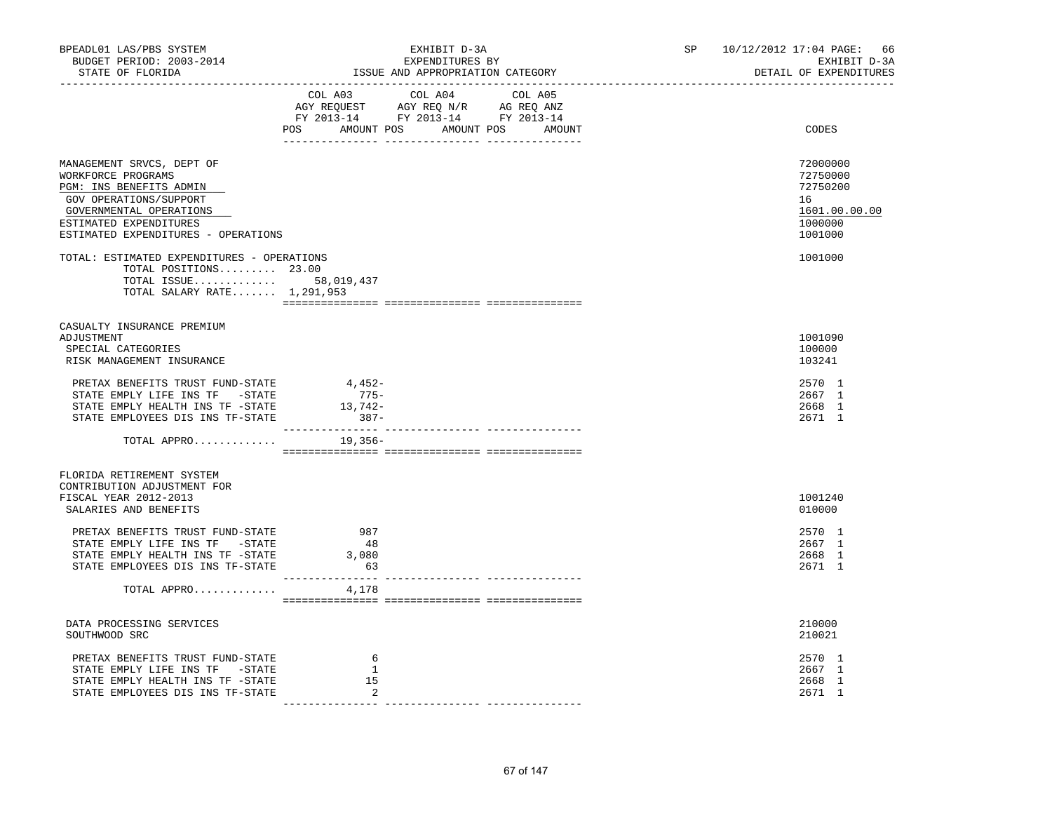| BPEADL01 LAS/PBS SYSTEM<br>BUDGET PERIOD: 2003-2014<br>STATE OF FLORIDA                                                                                                                          |                               | EXHIBIT D-3A<br>EXPENDITURES BY<br>EXPENDITURES BY<br>ISSUE AND APPROPRIATION CATEGORY                                                                                                         | SP 10/12/2012 17:04 PAGE: 66<br>EXHIBIT D-3A<br>DETAIL OF EXPENDITURES        |
|--------------------------------------------------------------------------------------------------------------------------------------------------------------------------------------------------|-------------------------------|------------------------------------------------------------------------------------------------------------------------------------------------------------------------------------------------|-------------------------------------------------------------------------------|
|                                                                                                                                                                                                  |                               | $\begin{tabular}{lcccc} COL A03 & COL A04 & COL A05 \\ AGY REQUEST & AGY REQ N/R & AG REQ ANZ \\ FY & 2013-14 & FY & 2013-14 & FY & 2013-14 \end{tabular}$<br>POS AMOUNT POS AMOUNT POS AMOUNT | CODES                                                                         |
| MANAGEMENT SRVCS, DEPT OF<br>WORKFORCE PROGRAMS<br>PGM: INS BENEFITS ADMIN<br>GOV OPERATIONS/SUPPORT<br>GOVERNMENTAL OPERATIONS<br>ESTIMATED EXPENDITURES<br>ESTIMATED EXPENDITURES - OPERATIONS |                               |                                                                                                                                                                                                | 72000000<br>72750000<br>72750200<br>16<br>1601.00.00.00<br>1000000<br>1001000 |
| TOTAL: ESTIMATED EXPENDITURES - OPERATIONS<br>TOTAL POSITIONS 23.00<br>TOTAL ISSUE 58,019,437<br>TOTAL SALARY RATE 1,291,953                                                                     |                               |                                                                                                                                                                                                | 1001000                                                                       |
| CASUALTY INSURANCE PREMIUM<br>ADJUSTMENT<br>SPECIAL CATEGORIES<br>RISK MANAGEMENT INSURANCE                                                                                                      |                               |                                                                                                                                                                                                | 1001090<br>100000<br>103241                                                   |
| PRETAX BENEFITS TRUST FUND-STATE 4,452-<br>STATE EMPLY LIFE INS TF -STATE<br>STATE EMPLY HEALTH INS TF -STATE<br>STATE EMPLOYEES DIS INS TF-STATE                                                | $775-$<br>$13,742-$<br>$387-$ |                                                                                                                                                                                                | 2570 1<br>2667 1<br>2668 1<br>2671 1                                          |
| TOTAL APPRO                                                                                                                                                                                      | 19,356-                       |                                                                                                                                                                                                |                                                                               |
| FLORIDA RETIREMENT SYSTEM<br>CONTRIBUTION ADJUSTMENT FOR<br>FISCAL YEAR 2012-2013<br>SALARIES AND BENEFITS                                                                                       |                               |                                                                                                                                                                                                | 1001240<br>010000                                                             |
| PRETAX BENEFITS TRUST FUND-STATE<br>STATE EMPLY LIFE INS TF -STATE<br>STATE EMPLY HEALTH INS TF -STATE<br>STATE EMPLOYEES DIS INS TF-STATE                                                       | 987<br>48<br>3,080<br>63      |                                                                                                                                                                                                | 2570 1<br>2667 1<br>2668 1<br>2671 1                                          |
| TOTAL APPRO                                                                                                                                                                                      | 4,178                         |                                                                                                                                                                                                |                                                                               |
| DATA PROCESSING SERVICES<br>SOUTHWOOD SRC                                                                                                                                                        |                               |                                                                                                                                                                                                | 210000<br>210021                                                              |
| PRETAX BENEFITS TRUST FUND-STATE<br>STATE EMPLY LIFE INS TF -STATE<br>STATE EMPLY HEALTH INS TF -STATE<br>STATE EMPLOYEES DIS INS TF-STATE                                                       | 6<br>1<br>15<br>2             |                                                                                                                                                                                                | 2570 1<br>2667 1<br>2668 1<br>2671 1                                          |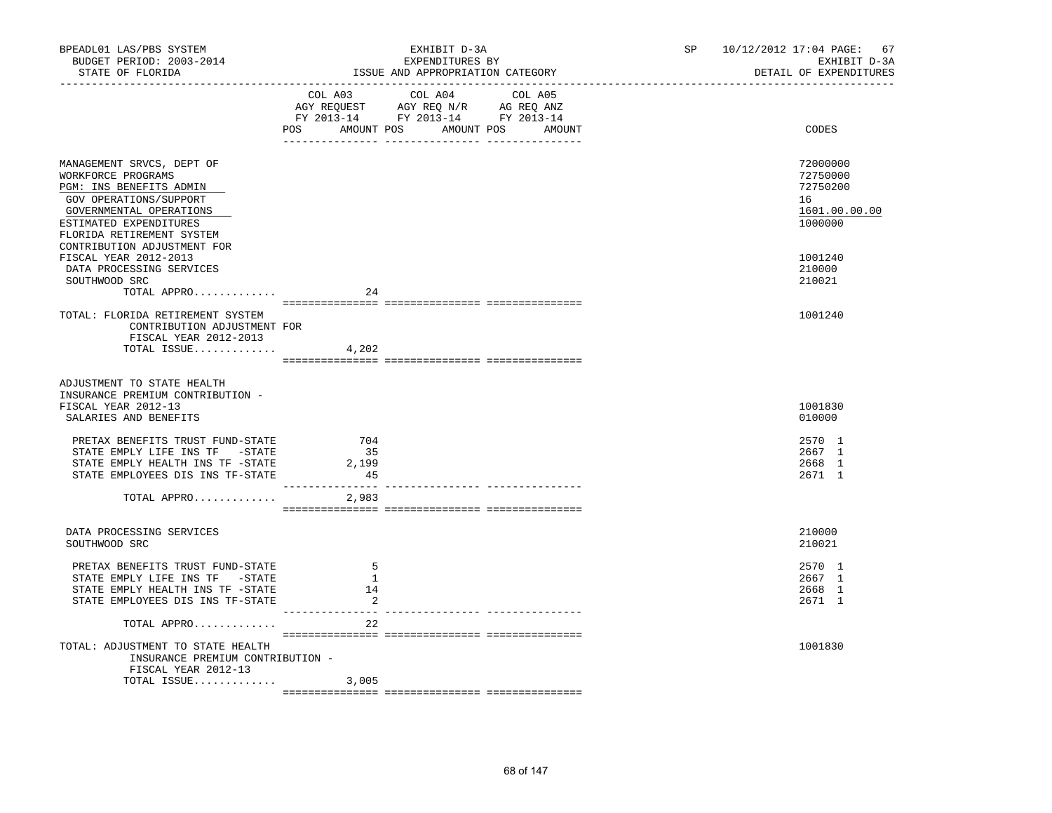| BPEADL01 LAS/PBS SYSTEM<br>BUDGET PERIOD: 2003-2014<br>STATE OF FLORIDA                                                                                                                |                              | EXHIBIT D-3A<br>EXPENDITURES BY<br>ISSUE AND APPROPRIATION CATEGORY                                                                   | SP 10/12/2012 17:04 PAGE: 67<br>EXHIBIT D-3A<br>DETAIL OF EXPENDITURES |
|----------------------------------------------------------------------------------------------------------------------------------------------------------------------------------------|------------------------------|---------------------------------------------------------------------------------------------------------------------------------------|------------------------------------------------------------------------|
|                                                                                                                                                                                        |                              | COL A03 COL A04 COL A05<br>AGY REQUEST AGY REQ N/R AG REQ ANZ<br>FY 2013-14 FY 2013-14 FY 2013-14<br>POS AMOUNT POS AMOUNT POS AMOUNT | CODES                                                                  |
|                                                                                                                                                                                        |                              |                                                                                                                                       |                                                                        |
| MANAGEMENT SRVCS, DEPT OF<br>WORKFORCE PROGRAMS<br>PGM: INS BENEFITS ADMIN<br>GOV OPERATIONS/SUPPORT<br>GOVERNMENTAL OPERATIONS<br>ESTIMATED EXPENDITURES<br>FLORIDA RETIREMENT SYSTEM |                              |                                                                                                                                       | 72000000<br>72750000<br>72750200<br>16<br>1601.00.00.00<br>1000000     |
| CONTRIBUTION ADJUSTMENT FOR<br>FISCAL YEAR 2012-2013<br>DATA PROCESSING SERVICES<br>SOUTHWOOD SRC                                                                                      |                              |                                                                                                                                       | 1001240<br>210000<br>210021                                            |
| TOTAL APPRO                                                                                                                                                                            | 24                           |                                                                                                                                       |                                                                        |
| TOTAL: FLORIDA RETIREMENT SYSTEM<br>CONTRIBUTION ADJUSTMENT FOR<br>FISCAL YEAR 2012-2013<br>TOTAL ISSUE                                                                                | 4,202                        |                                                                                                                                       | 1001240                                                                |
|                                                                                                                                                                                        |                              |                                                                                                                                       |                                                                        |
| ADJUSTMENT TO STATE HEALTH<br>INSURANCE PREMIUM CONTRIBUTION -<br>FISCAL YEAR 2012-13<br>SALARIES AND BENEFITS                                                                         |                              |                                                                                                                                       | 1001830<br>010000                                                      |
| PRETAX BENEFITS TRUST FUND-STATE<br>STATE EMPLY LIFE INS TF -STATE<br>STATE EMPLY HEALTH INS TF -STATE<br>STATE EMPLOYEES DIS INS TF-STATE                                             | 704<br>35<br>2,199<br>45     |                                                                                                                                       | 2570 1<br>2667 1<br>2668 1<br>2671 1                                   |
| TOTAL APPRO                                                                                                                                                                            | 2,983                        |                                                                                                                                       |                                                                        |
|                                                                                                                                                                                        |                              |                                                                                                                                       |                                                                        |
| DATA PROCESSING SERVICES<br>SOUTHWOOD SRC                                                                                                                                              |                              |                                                                                                                                       | 210000<br>210021                                                       |
| PRETAX BENEFITS TRUST FUND-STATE<br>STATE EMPLY LIFE INS TF -STATE<br>STATE EMPLY HEALTH INS TF -STATE<br>STATE EMPLOYEES DIS INS TF-STATE                                             | 5<br>$\mathbf{1}$<br>14<br>2 |                                                                                                                                       | 2570 1<br>2667 1<br>2668 1<br>2671 1                                   |
| TOTAL APPRO                                                                                                                                                                            | ----------- --<br>22         |                                                                                                                                       |                                                                        |
| TOTAL: ADJUSTMENT TO STATE HEALTH<br>INSURANCE PREMIUM CONTRIBUTION -<br>FISCAL YEAR 2012-13                                                                                           |                              |                                                                                                                                       | 1001830                                                                |
| TOTAL ISSUE $3,005$                                                                                                                                                                    |                              |                                                                                                                                       |                                                                        |
|                                                                                                                                                                                        |                              |                                                                                                                                       |                                                                        |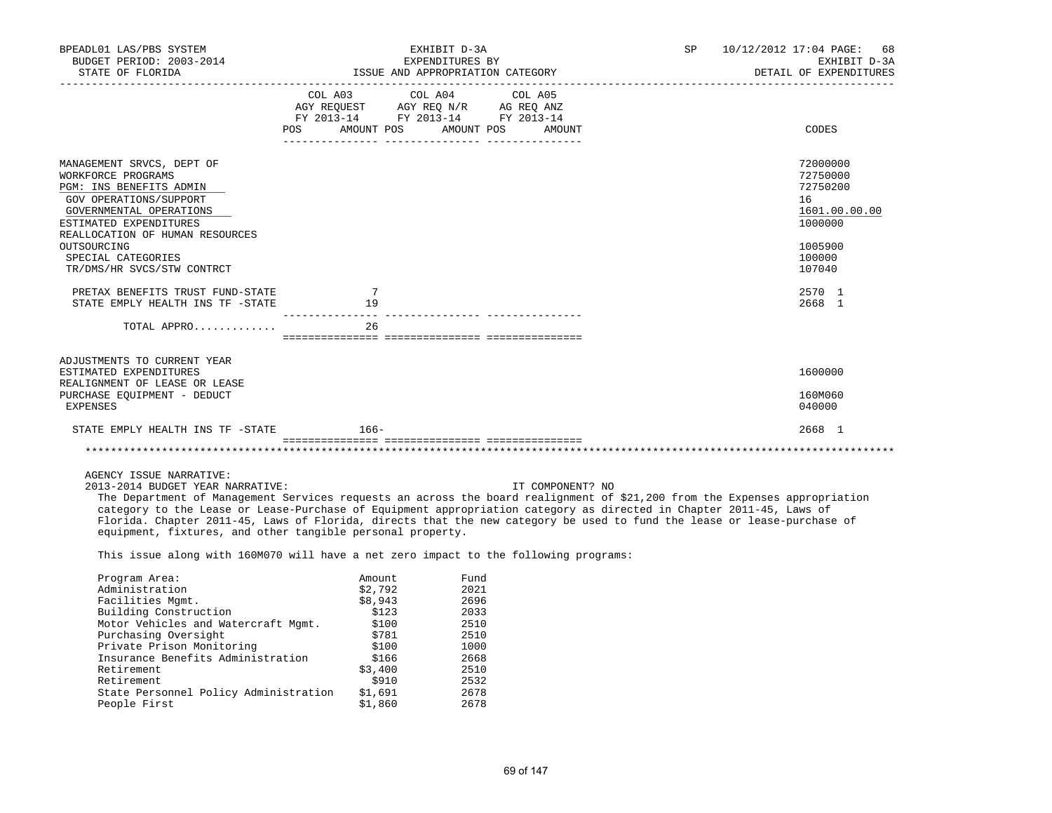| BPEADL01 LAS/PBS SYSTEM<br>BUDGET PERIOD: 2003-2014<br>STATE OF FLORIDA                                                                                                                                                                                                                                                                                                                                                                                                                                   |                                  | EXHIBIT D-3A<br>EXPENDITURES BY<br>ISSUE AND APPROPRIATION CATEGORY                                                                                                                                                                                                                                                   |                  | SP | 10/12/2012 17:04 PAGE:<br>68<br>EXHIBIT D-3A<br>DETAIL OF EXPENDITURES        |
|-----------------------------------------------------------------------------------------------------------------------------------------------------------------------------------------------------------------------------------------------------------------------------------------------------------------------------------------------------------------------------------------------------------------------------------------------------------------------------------------------------------|----------------------------------|-----------------------------------------------------------------------------------------------------------------------------------------------------------------------------------------------------------------------------------------------------------------------------------------------------------------------|------------------|----|-------------------------------------------------------------------------------|
|                                                                                                                                                                                                                                                                                                                                                                                                                                                                                                           | POS AMOUNT POS AMOUNT POS AMOUNT | $\begin{tabular}{lllllllllll} &\multicolumn{4}{c}{\text{COL A03}} &\multicolumn{4}{c}{\text{COL A04}} &\multicolumn{4}{c}{\text{COL A05}} \\ \multicolumn{4}{c}{\text{AGY REQUEST}} &\multicolumn{4}{c}{\text{AGY REQ N/R}} &\multicolumn{4}{c}{\text{AG REQ ANZ}} \end{tabular}$<br>FY 2013-14 FY 2013-14 FY 2013-14 |                  |    | CODES                                                                         |
| MANAGEMENT SRVCS, DEPT OF<br>WORKFORCE PROGRAMS<br>PGM: INS BENEFITS ADMIN<br>GOV OPERATIONS/SUPPORT<br>GOVERNMENTAL OPERATIONS<br>ESTIMATED EXPENDITURES<br>REALLOCATION OF HUMAN RESOURCES<br>OUTSOURCING                                                                                                                                                                                                                                                                                               |                                  |                                                                                                                                                                                                                                                                                                                       |                  |    | 72000000<br>72750000<br>72750200<br>16<br>1601.00.00.00<br>1000000<br>1005900 |
| SPECIAL CATEGORIES<br>TR/DMS/HR SVCS/STW CONTRCT                                                                                                                                                                                                                                                                                                                                                                                                                                                          |                                  |                                                                                                                                                                                                                                                                                                                       |                  |    | 100000<br>107040                                                              |
| PRETAX BENEFITS TRUST FUND-STATE<br>STATE EMPLY HEALTH INS TF -STATE                                                                                                                                                                                                                                                                                                                                                                                                                                      | 7<br>19                          |                                                                                                                                                                                                                                                                                                                       |                  |    | 2570 1<br>2668 1                                                              |
| TOTAL APPRO                                                                                                                                                                                                                                                                                                                                                                                                                                                                                               | 26                               |                                                                                                                                                                                                                                                                                                                       |                  |    |                                                                               |
| ADJUSTMENTS TO CURRENT YEAR<br>ESTIMATED EXPENDITURES<br>REALIGNMENT OF LEASE OR LEASE<br>PURCHASE EQUIPMENT - DEDUCT<br>EXPENSES                                                                                                                                                                                                                                                                                                                                                                         |                                  |                                                                                                                                                                                                                                                                                                                       |                  |    | 1600000<br>160M060<br>040000                                                  |
| STATE EMPLY HEALTH INS TF -STATE 66-                                                                                                                                                                                                                                                                                                                                                                                                                                                                      |                                  |                                                                                                                                                                                                                                                                                                                       |                  |    | 2668 1                                                                        |
|                                                                                                                                                                                                                                                                                                                                                                                                                                                                                                           |                                  |                                                                                                                                                                                                                                                                                                                       |                  |    |                                                                               |
| AGENCY ISSUE NARRATIVE:<br>2013-2014 BUDGET YEAR NARRATIVE:<br>The Department of Management Services requests an across the board realignment of \$21,200 from the Expenses appropriation<br>category to the Lease or Lease-Purchase of Equipment appropriation category as directed in Chapter 2011-45, Laws of<br>Florida. Chapter 2011-45, Laws of Florida, directs that the new category be used to fund the lease or lease-purchase of<br>equipment, fixtures, and other tangible personal property. |                                  |                                                                                                                                                                                                                                                                                                                       | IT COMPONENT? NO |    |                                                                               |

This issue along with 160M070 will have a net zero impact to the following programs:

| Fund |
|------|
| 2021 |
| 2696 |
| 2033 |
| 2510 |
| 2510 |
| 1000 |
| 2668 |
| 2510 |
| 2532 |
| 2678 |
| 2678 |
|      |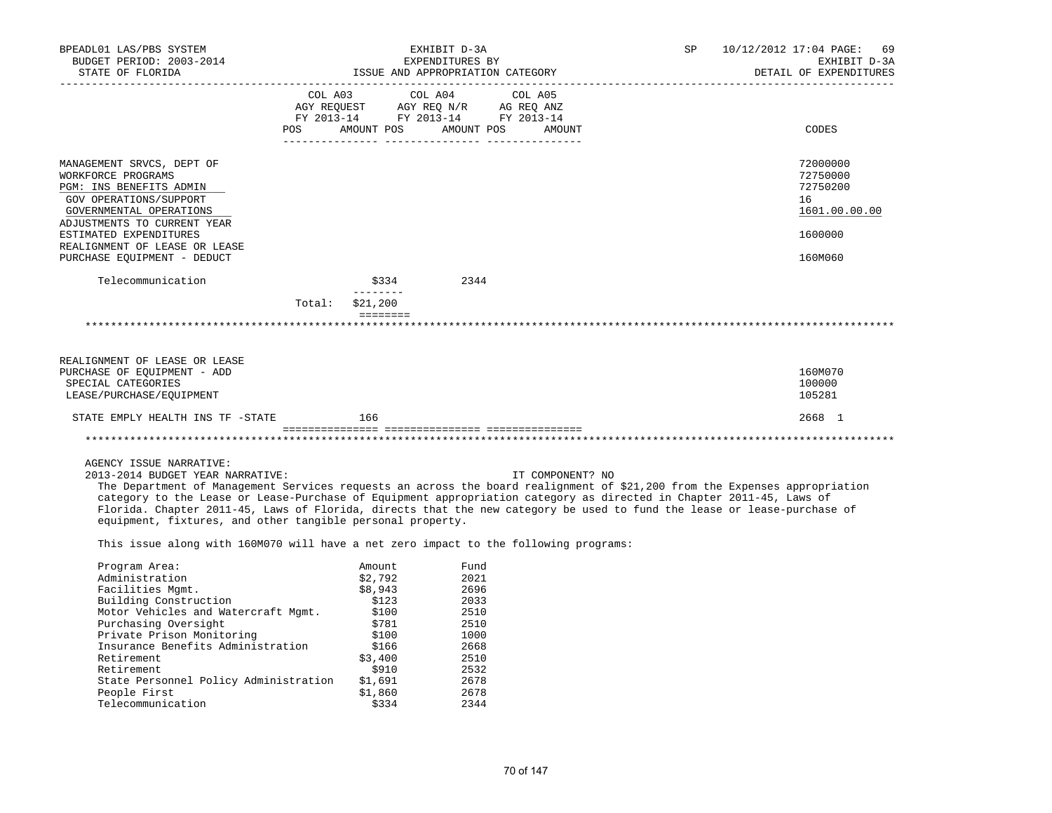| BPEADL01 LAS/PBS SYSTEM                                                                                                                                                                                                                                                                                                                                                                                                                                                                                   | EXHIBIT D-3A                                                                                                                                                                                       |                                                                                                            |                                                                                              | SP<br>10/12/2012 17:04 PAGE: |                  |  | 69           |  |                                                         |
|-----------------------------------------------------------------------------------------------------------------------------------------------------------------------------------------------------------------------------------------------------------------------------------------------------------------------------------------------------------------------------------------------------------------------------------------------------------------------------------------------------------|----------------------------------------------------------------------------------------------------------------------------------------------------------------------------------------------------|------------------------------------------------------------------------------------------------------------|----------------------------------------------------------------------------------------------|------------------------------|------------------|--|--------------|--|---------------------------------------------------------|
| BUDGET PERIOD: 2003-2014                                                                                                                                                                                                                                                                                                                                                                                                                                                                                  | EXPENDITURES BY                                                                                                                                                                                    |                                                                                                            |                                                                                              |                              |                  |  | EXHIBIT D-3A |  |                                                         |
| STATE OF FLORIDA                                                                                                                                                                                                                                                                                                                                                                                                                                                                                          |                                                                                                                                                                                                    | ISSUE AND APPROPRIATION CATEGORY                                                                           |                                                                                              |                              |                  |  |              |  | DETAIL OF EXPENDITURES                                  |
|                                                                                                                                                                                                                                                                                                                                                                                                                                                                                                           |                                                                                                                                                                                                    | COL A03 COL A04                                                                                            |                                                                                              |                              |                  |  |              |  |                                                         |
|                                                                                                                                                                                                                                                                                                                                                                                                                                                                                                           |                                                                                                                                                                                                    |                                                                                                            |                                                                                              | COL A05                      |                  |  |              |  |                                                         |
|                                                                                                                                                                                                                                                                                                                                                                                                                                                                                                           | $\begin{tabular}{lllllll} \bf AGY & \bf REQUEST & \bf AGY & \bf REQ & \tt N/R & \bf AG & \tt REQ & \tt ANZ \\ \bf FY & \tt 2013-14 & \tt FY & \tt 2013-14 & \tt FY & \tt 2013-14 \\ \end{tabular}$ |                                                                                                            |                                                                                              |                              |                  |  |              |  |                                                         |
|                                                                                                                                                                                                                                                                                                                                                                                                                                                                                                           | POS AMOUNT POS AMOUNT POS AMOUNT                                                                                                                                                                   |                                                                                                            |                                                                                              |                              |                  |  |              |  | CODES                                                   |
|                                                                                                                                                                                                                                                                                                                                                                                                                                                                                                           |                                                                                                                                                                                                    |                                                                                                            |                                                                                              |                              |                  |  |              |  |                                                         |
| MANAGEMENT SRVCS, DEPT OF<br>WORKFORCE PROGRAMS<br>PGM: INS BENEFITS ADMIN<br>GOV OPERATIONS/SUPPORT<br>GOVERNMENTAL OPERATIONS<br>ADJUSTMENTS TO CURRENT YEAR                                                                                                                                                                                                                                                                                                                                            |                                                                                                                                                                                                    |                                                                                                            |                                                                                              |                              |                  |  |              |  | 72000000<br>72750000<br>72750200<br>16<br>1601.00.00.00 |
| ESTIMATED EXPENDITURES                                                                                                                                                                                                                                                                                                                                                                                                                                                                                    |                                                                                                                                                                                                    |                                                                                                            |                                                                                              |                              |                  |  |              |  | 1600000                                                 |
| REALIGNMENT OF LEASE OR LEASE<br>PURCHASE EQUIPMENT - DEDUCT                                                                                                                                                                                                                                                                                                                                                                                                                                              |                                                                                                                                                                                                    |                                                                                                            |                                                                                              |                              |                  |  |              |  | 160M060                                                 |
|                                                                                                                                                                                                                                                                                                                                                                                                                                                                                                           |                                                                                                                                                                                                    |                                                                                                            |                                                                                              |                              |                  |  |              |  |                                                         |
| Telecommunication                                                                                                                                                                                                                                                                                                                                                                                                                                                                                         |                                                                                                                                                                                                    | \$334 2344                                                                                                 |                                                                                              |                              |                  |  |              |  |                                                         |
|                                                                                                                                                                                                                                                                                                                                                                                                                                                                                                           | Total: \$21,200                                                                                                                                                                                    |                                                                                                            |                                                                                              |                              |                  |  |              |  |                                                         |
|                                                                                                                                                                                                                                                                                                                                                                                                                                                                                                           |                                                                                                                                                                                                    | <b>ESSESSES</b>                                                                                            |                                                                                              |                              |                  |  |              |  |                                                         |
|                                                                                                                                                                                                                                                                                                                                                                                                                                                                                                           |                                                                                                                                                                                                    |                                                                                                            |                                                                                              |                              |                  |  |              |  |                                                         |
|                                                                                                                                                                                                                                                                                                                                                                                                                                                                                                           |                                                                                                                                                                                                    |                                                                                                            |                                                                                              |                              |                  |  |              |  |                                                         |
| REALIGNMENT OF LEASE OR LEASE<br>PURCHASE OF EQUIPMENT - ADD<br>SPECIAL CATEGORIES<br>LEASE/PURCHASE/EQUIPMENT                                                                                                                                                                                                                                                                                                                                                                                            |                                                                                                                                                                                                    |                                                                                                            |                                                                                              |                              |                  |  |              |  | 160M070<br>100000<br>105281                             |
| STATE EMPLY HEALTH INS TF -STATE                                                                                                                                                                                                                                                                                                                                                                                                                                                                          |                                                                                                                                                                                                    | 166                                                                                                        |                                                                                              |                              |                  |  |              |  | 2668 1                                                  |
|                                                                                                                                                                                                                                                                                                                                                                                                                                                                                                           |                                                                                                                                                                                                    |                                                                                                            |                                                                                              |                              |                  |  |              |  |                                                         |
|                                                                                                                                                                                                                                                                                                                                                                                                                                                                                                           |                                                                                                                                                                                                    |                                                                                                            |                                                                                              |                              |                  |  |              |  |                                                         |
| AGENCY ISSUE NARRATIVE:<br>2013-2014 BUDGET YEAR NARRATIVE:<br>The Department of Management Services requests an across the board realignment of \$21,200 from the Expenses appropriation<br>category to the Lease or Lease-Purchase of Equipment appropriation category as directed in Chapter 2011-45, Laws of<br>Florida. Chapter 2011-45, Laws of Florida, directs that the new category be used to fund the lease or lease-purchase of<br>equipment, fixtures, and other tangible personal property. |                                                                                                                                                                                                    |                                                                                                            |                                                                                              |                              | IT COMPONENT? NO |  |              |  |                                                         |
| This issue along with 160M070 will have a net zero impact to the following programs:                                                                                                                                                                                                                                                                                                                                                                                                                      |                                                                                                                                                                                                    |                                                                                                            |                                                                                              |                              |                  |  |              |  |                                                         |
| Program Area:<br>Administration<br>Facilities Mgmt.<br>Building Construction<br>Motor Vehicles and Watercraft Mgmt.<br>Purchasing Oversight<br>Private Prison Monitoring<br>Insurance Benefits Administration \$166<br>Retirement<br>Retirement<br>State Personnel Policy Administration<br>People First                                                                                                                                                                                                  |                                                                                                                                                                                                    | Amount<br>\$2,792<br>\$8,943<br>\$123<br>\$100<br>\$781<br>\$100<br>\$3,400<br>\$910<br>\$1,691<br>\$1,860 | Fund<br>2021<br>2696<br>2033<br>2510<br>2510<br>1000<br>2668<br>2510<br>2532<br>2678<br>2678 |                              |                  |  |              |  |                                                         |
|                                                                                                                                                                                                                                                                                                                                                                                                                                                                                                           |                                                                                                                                                                                                    |                                                                                                            |                                                                                              |                              |                  |  |              |  |                                                         |
| Telecommunication                                                                                                                                                                                                                                                                                                                                                                                                                                                                                         |                                                                                                                                                                                                    | \$334                                                                                                      | 2344                                                                                         |                              |                  |  |              |  |                                                         |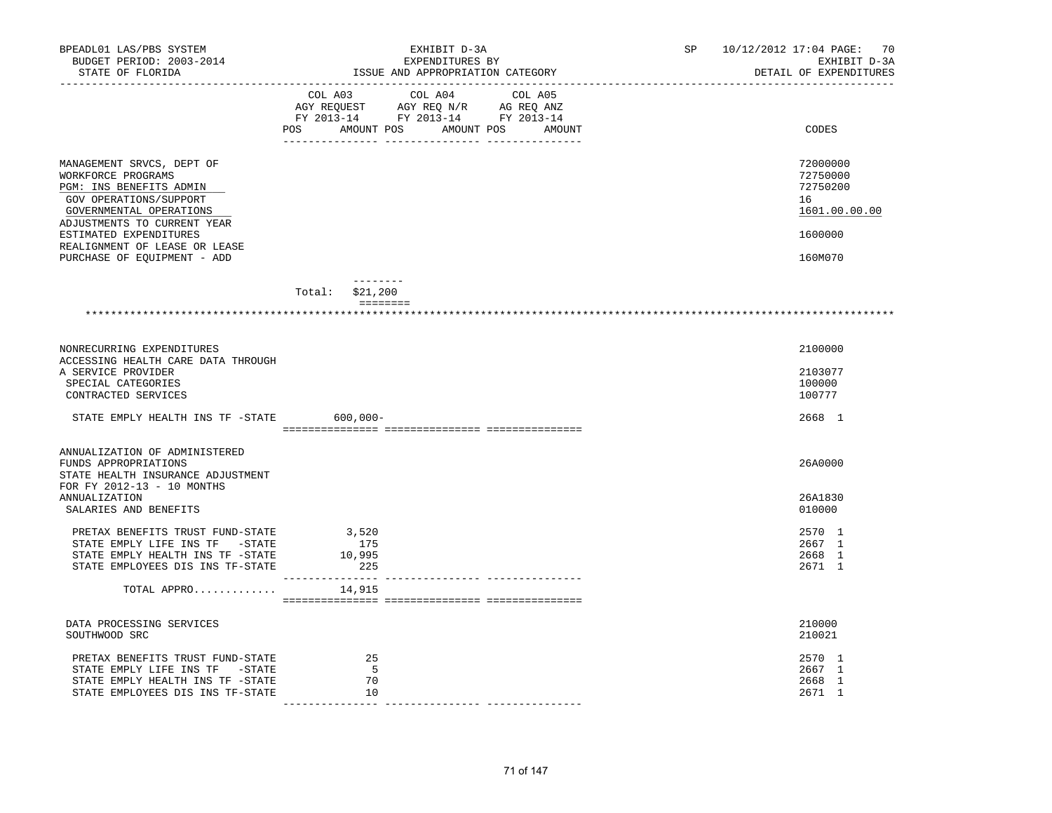| BPEADL01 LAS/PBS SYSTEM<br>BUDGET PERIOD: 2003-2014<br>STATE OF FLORIDA                                                                                                                                                                                  | EXHIBIT D-3A<br>EXPENDITURES BY<br>ISSUE AND APPROPRIATION CATEGORY                                                                                                                            | SP<br>10/12/2012 17:04 PAGE: 70<br>EXHIBIT D-3A<br>DETAIL OF EXPENDITURES     |  |
|----------------------------------------------------------------------------------------------------------------------------------------------------------------------------------------------------------------------------------------------------------|------------------------------------------------------------------------------------------------------------------------------------------------------------------------------------------------|-------------------------------------------------------------------------------|--|
|                                                                                                                                                                                                                                                          | $\begin{tabular}{lcccc} CDL A03 & CDL A04 & CDL A05 \\ AGY REQUEST & AGY REQ N/R & AG REQ ANZ \\ FY & 2013-14 & FY & 2013-14 & FY & 2013-14 \end{tabular}$<br>POS AMOUNT POS AMOUNT POS AMOUNT | CODES                                                                         |  |
| MANAGEMENT SRVCS, DEPT OF<br>WORKFORCE PROGRAMS<br>PGM: INS BENEFITS ADMIN<br>GOV OPERATIONS/SUPPORT<br>GOVERNMENTAL OPERATIONS<br>ADJUSTMENTS TO CURRENT YEAR<br>ESTIMATED EXPENDITURES<br>REALIGNMENT OF LEASE OR LEASE<br>PURCHASE OF EQUIPMENT - ADD |                                                                                                                                                                                                | 72000000<br>72750000<br>72750200<br>16<br>1601.00.00.00<br>1600000<br>160M070 |  |
|                                                                                                                                                                                                                                                          | $- - - - - - - -$<br>$Total:$ \$21,200<br>---------                                                                                                                                            |                                                                               |  |
|                                                                                                                                                                                                                                                          |                                                                                                                                                                                                |                                                                               |  |
| NONRECURRING EXPENDITURES                                                                                                                                                                                                                                |                                                                                                                                                                                                | 2100000                                                                       |  |
| ACCESSING HEALTH CARE DATA THROUGH<br>A SERVICE PROVIDER<br>SPECIAL CATEGORIES<br>CONTRACTED SERVICES                                                                                                                                                    |                                                                                                                                                                                                | 2103077<br>100000<br>100777                                                   |  |
| STATE EMPLY HEALTH INS TF -STATE 600,000-                                                                                                                                                                                                                |                                                                                                                                                                                                | 2668 1                                                                        |  |
| ANNUALIZATION OF ADMINISTERED<br>FUNDS APPROPRIATIONS<br>STATE HEALTH INSURANCE ADJUSTMENT<br>FOR FY 2012-13 - 10 MONTHS                                                                                                                                 |                                                                                                                                                                                                | 26A0000                                                                       |  |
| <b>ANNUALIZATION</b><br>SALARIES AND BENEFITS                                                                                                                                                                                                            |                                                                                                                                                                                                | 26A1830<br>010000                                                             |  |
| PRETAX BENEFITS TRUST FUND-STATE<br>STATE EMPLY LIFE INS TF -STATE<br>STATE EMPLY HEALTH INS TF -STATE<br>STATE EMPLOYEES DIS INS TF-STATE                                                                                                               | 3,520<br>175<br>10,995<br>225                                                                                                                                                                  | 2570 1<br>2667 1<br>2668 1<br>2671 1                                          |  |
| TOTAL APPRO                                                                                                                                                                                                                                              | 14,915                                                                                                                                                                                         |                                                                               |  |
|                                                                                                                                                                                                                                                          |                                                                                                                                                                                                |                                                                               |  |
| DATA PROCESSING SERVICES<br>SOUTHWOOD SRC                                                                                                                                                                                                                |                                                                                                                                                                                                | 210000<br>210021                                                              |  |
| PRETAX BENEFITS TRUST FUND-STATE<br>STATE EMPLY LIFE INS TF -STATE<br>STATE EMPLY HEALTH INS TF -STATE<br>STATE EMPLOYEES DIS INS TF-STATE                                                                                                               | 25<br>- 5<br>70<br>10<br>______________ ________________<br>__________________                                                                                                                 | 2570 1<br>2667 1<br>2668 1<br>2671 1                                          |  |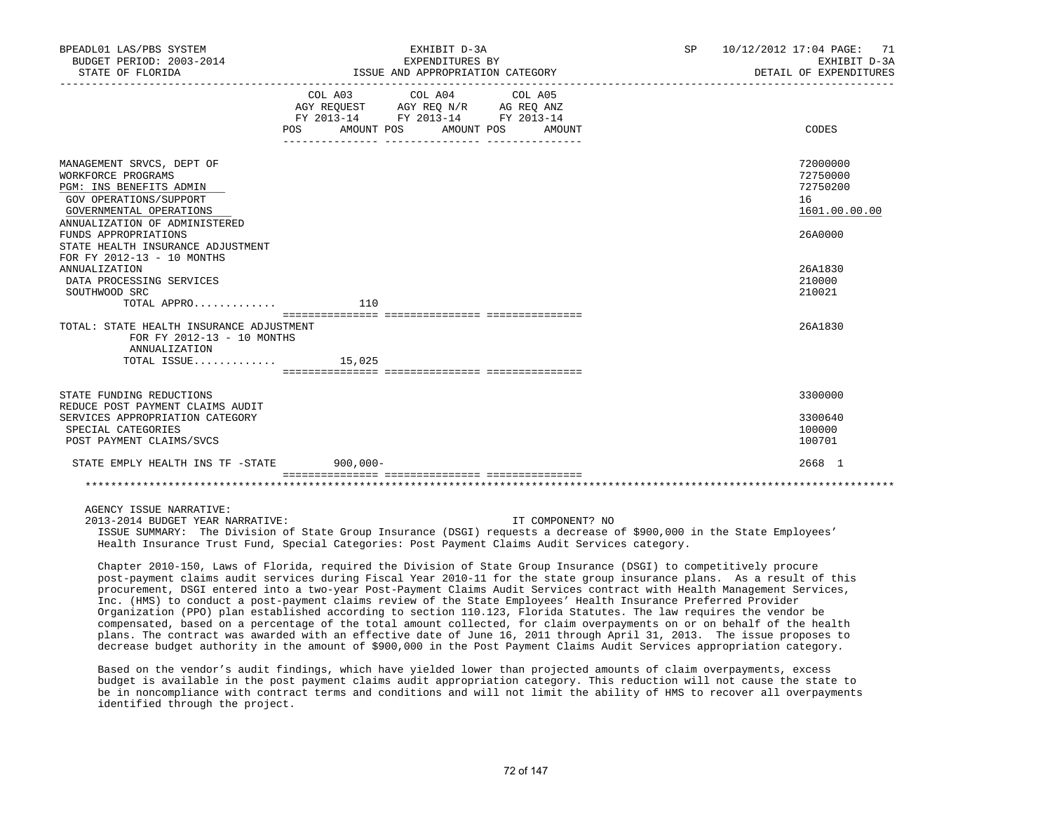| BPEADL01 LAS/PBS SYSTEM<br>BUDGET PERIOD: 2003-2014<br>STATE OF FLORIDA                                                                                                                                                                                     | EXHIBIT D-3A<br>EXPENDITURES BY<br>ISSUE AND APPROPRIATION CATEGORY |                                                                                                                                          | SP 10/12/2012 17:04 PAGE: 71<br>EXHIBIT D-3A<br>DETAIL OF EXPENDITURES |  |
|-------------------------------------------------------------------------------------------------------------------------------------------------------------------------------------------------------------------------------------------------------------|---------------------------------------------------------------------|------------------------------------------------------------------------------------------------------------------------------------------|------------------------------------------------------------------------|--|
|                                                                                                                                                                                                                                                             | POS FOR                                                             | COL A03 COL A04 COL A05<br>AGY REQUEST AGY REQ N/R AG REQ ANZ<br>FY 2013-14 FY 2013-14 FY 2013-14<br>AMOUNT POS AMOUNT POS<br>AMOUNT     | CODES                                                                  |  |
| MANAGEMENT SRVCS, DEPT OF<br>WORKFORCE PROGRAMS<br>PGM: INS BENEFITS ADMIN<br>GOV OPERATIONS/SUPPORT<br>GOVERNMENTAL OPERATIONS<br>ANNUALIZATION OF ADMINISTERED<br>FUNDS APPROPRIATIONS<br>STATE HEALTH INSURANCE ADJUSTMENT<br>FOR FY 2012-13 - 10 MONTHS |                                                                     |                                                                                                                                          | 72000000<br>72750000<br>72750200<br>16<br>1601.00.00.00<br>26A0000     |  |
| ANNUALIZATION<br>DATA PROCESSING SERVICES<br>SOUTHWOOD SRC<br>TOTAL APPRO                                                                                                                                                                                   | 110                                                                 |                                                                                                                                          | 26A1830<br>210000<br>210021                                            |  |
| TOTAL: STATE HEALTH INSURANCE ADJUSTMENT<br>FOR FY 2012-13 - 10 MONTHS<br>ANNUALIZATION<br>TOTAL ISSUE $15,025$                                                                                                                                             |                                                                     |                                                                                                                                          | 26A1830                                                                |  |
| STATE FUNDING REDUCTIONS<br>REDUCE POST PAYMENT CLAIMS AUDIT<br>SERVICES APPROPRIATION CATEGORY<br>SPECIAL CATEGORIES<br>POST PAYMENT CLAIMS/SVCS                                                                                                           |                                                                     |                                                                                                                                          | 3300000<br>3300640<br>100000<br>100701                                 |  |
| STATE EMPLY HEALTH INS TF -STATE 900,000-                                                                                                                                                                                                                   |                                                                     |                                                                                                                                          | 2668 1                                                                 |  |
|                                                                                                                                                                                                                                                             |                                                                     |                                                                                                                                          |                                                                        |  |
| AGENCY ISSUE NARRATIVE:<br>2013-2014 BUDGET YEAR NARRATIVE:                                                                                                                                                                                                 |                                                                     | IT COMPONENT? NO<br>ISSUE SUMMARY: The Division of State Group Insurance (DSGI) requests a decrease of \$900,000 in the State Employees' |                                                                        |  |

Health Insurance Trust Fund, Special Categories: Post Payment Claims Audit Services category.

 Chapter 2010-150, Laws of Florida, required the Division of State Group Insurance (DSGI) to competitively procure post-payment claims audit services during Fiscal Year 2010-11 for the state group insurance plans. As a result of this procurement, DSGI entered into a two-year Post-Payment Claims Audit Services contract with Health Management Services, Inc. (HMS) to conduct a post-payment claims review of the State Employees' Health Insurance Preferred Provider Organization (PPO) plan established according to section 110.123, Florida Statutes. The law requires the vendor be compensated, based on a percentage of the total amount collected, for claim overpayments on or on behalf of the health plans. The contract was awarded with an effective date of June 16, 2011 through April 31, 2013. The issue proposes to decrease budget authority in the amount of \$900,000 in the Post Payment Claims Audit Services appropriation category.

 Based on the vendor's audit findings, which have yielded lower than projected amounts of claim overpayments, excess budget is available in the post payment claims audit appropriation category. This reduction will not cause the state to be in noncompliance with contract terms and conditions and will not limit the ability of HMS to recover all overpayments identified through the project.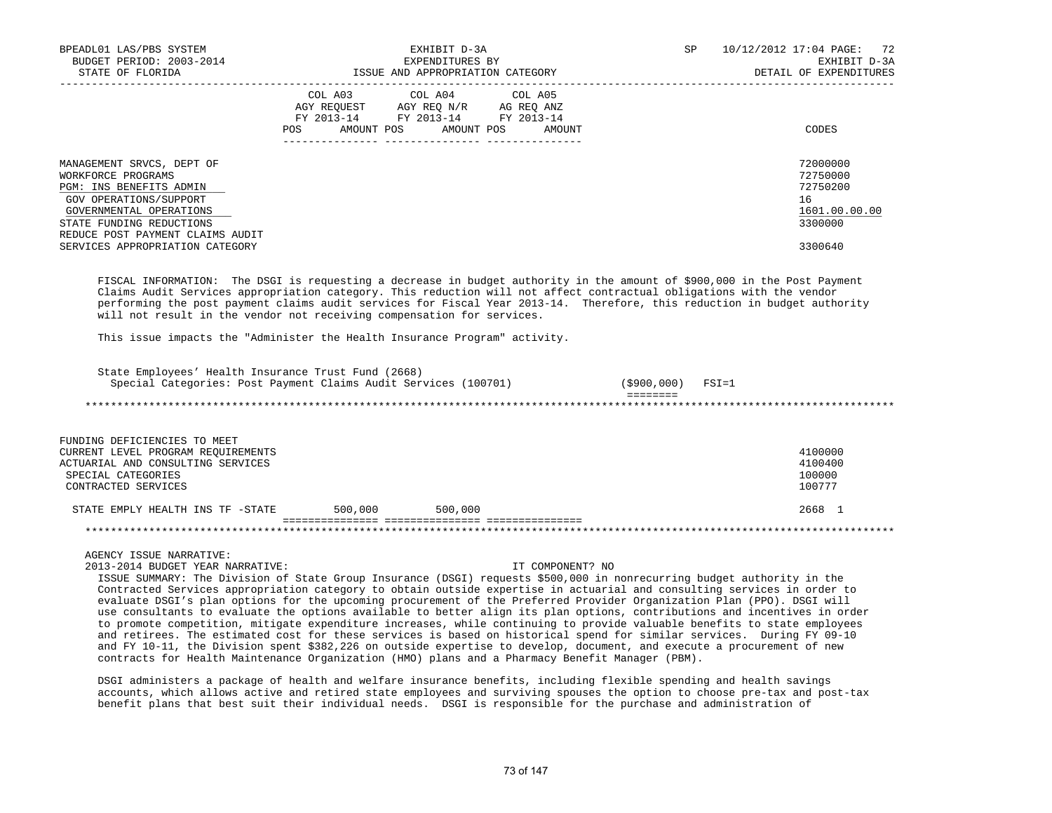| BPEADL01 LAS/PBS SYSTEM<br>BUDGET PERIOD: 2003-2014<br>STATE OF FLORIDA                                                                                                                         | EXHIBIT D-3A<br>EXPENDITURES BY<br>ISSUE AND APPROPRIATION CATEGORY                                                                         | 10/12/2012 17:04 PAGE: 72<br>SP<br>EXHIBIT D-3A<br>DETAIL OF EXPENDITURES |
|-------------------------------------------------------------------------------------------------------------------------------------------------------------------------------------------------|---------------------------------------------------------------------------------------------------------------------------------------------|---------------------------------------------------------------------------|
|                                                                                                                                                                                                 | COL A03 COL A04 COL A05<br>AGY REOUEST AGY REO N/R AG REO ANZ<br>FY 2013-14 FY 2013-14 FY 2013-14<br>AMOUNT POS AMOUNT POS<br>POS<br>AMOUNT | CODES                                                                     |
| MANAGEMENT SRVCS, DEPT OF<br>WORKFORCE PROGRAMS<br>PGM: INS BENEFITS ADMIN<br>GOV OPERATIONS/SUPPORT<br>GOVERNMENTAL OPERATIONS<br>STATE FUNDING REDUCTIONS<br>REDUCE POST PAYMENT CLAIMS AUDIT |                                                                                                                                             | 72000000<br>72750000<br>72750200<br>16<br>1601.00.00.00<br>3300000        |
| SERVICES APPROPRIATION CATEGORY                                                                                                                                                                 |                                                                                                                                             | 3300640                                                                   |

 FISCAL INFORMATION: The DSGI is requesting a decrease in budget authority in the amount of \$900,000 in the Post Payment Claims Audit Services appropriation category. This reduction will not affect contractual obligations with the vendor performing the post payment claims audit services for Fiscal Year 2013-14. Therefore, this reduction in budget authority will not result in the vendor not receiving compensation for services.

This issue impacts the "Administer the Health Insurance Program" activity.

| State Employees' Health Insurance Trust Fund (2668)<br>Special Categories: Post Payment Claims Audit Services (100701) | (\$900,000) | $FSI = 1$ |
|------------------------------------------------------------------------------------------------------------------------|-------------|-----------|
|                                                                                                                        |             |           |
|                                                                                                                        |             |           |
| FUNDING DEFICIENCIES TO MEET                                                                                           |             |           |
| CURRENT LEVEL PROGRAM REQUIREMENTS                                                                                     |             | 4100000   |
| ACTUARIAL AND CONSULTING SERVICES                                                                                      |             | 4100400   |
| SPECIAL CATEGORIES                                                                                                     |             | 100000    |
| CONTRACTED SERVICES                                                                                                    |             | 100777    |

STATE EMPLY HEALTH INS TF -STATE 500,000 500,000 500,000 500,000 2668 1 =============== =============== ===============

### \*\*\*\*\*\*\*\*\*\*\*\*\*\*\*\*\*\*\*\*\*\*\*\*\*\*\*\*\*\*\*\*\*\*\*\*\*\*\*\*\*\*\*\*\*\*\*\*\*\*\*\*\*\*\*\*\*\*\*\*\*\*\*\*\*\*\*\*\*\*\*\*\*\*\*\*\*\*\*\*\*\*\*\*\*\*\*\*\*\*\*\*\*\*\*\*\*\*\*\*\*\*\*\*\*\*\*\*\*\*\*\*\*\*\*\*\*\*\*\*\*\*\*\*\*\*\*

AGENCY ISSUE NARRATIVE:

2013-2014 BUDGET YEAR NARRATIVE: IT COMPONENT? NO

 ISSUE SUMMARY: The Division of State Group Insurance (DSGI) requests \$500,000 in nonrecurring budget authority in the Contracted Services appropriation category to obtain outside expertise in actuarial and consulting services in order to evaluate DSGI's plan options for the upcoming procurement of the Preferred Provider Organization Plan (PPO). DSGI will use consultants to evaluate the options available to better align its plan options, contributions and incentives in order to promote competition, mitigate expenditure increases, while continuing to provide valuable benefits to state employees and retirees. The estimated cost for these services is based on historical spend for similar services. During FY 09-10 and FY 10-11, the Division spent \$382,226 on outside expertise to develop, document, and execute a procurement of new contracts for Health Maintenance Organization (HMO) plans and a Pharmacy Benefit Manager (PBM).

 DSGI administers a package of health and welfare insurance benefits, including flexible spending and health savings accounts, which allows active and retired state employees and surviving spouses the option to choose pre-tax and post-tax benefit plans that best suit their individual needs. DSGI is responsible for the purchase and administration of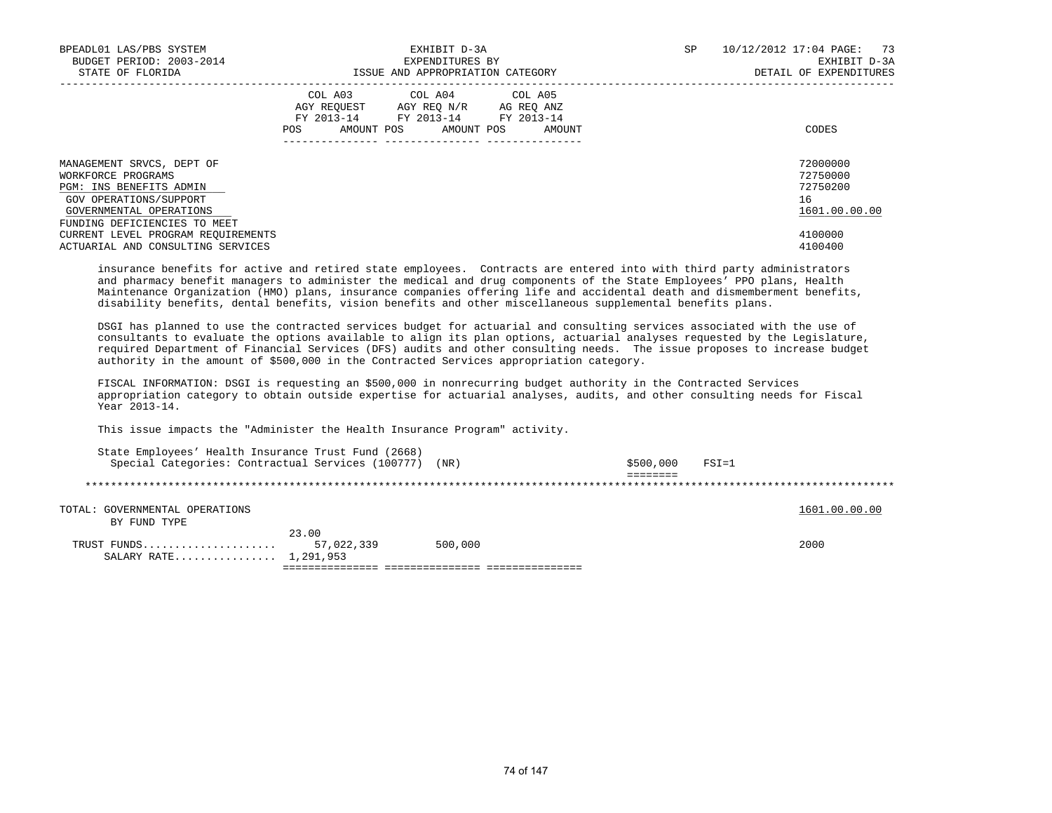| BPEADL01 LAS/PBS SYSTEM<br>BUDGET PERIOD: 2003-2014<br>STATE OF FLORIDA                                                                                         | EXHIBIT D-3A<br>EXPENDITURES BY<br>ISSUE AND APPROPRIATION CATEGORY                                                                             | SP<br>10/12/2012 17:04 PAGE: 73<br>EXHIBIT D-3A<br>DETAIL OF EXPENDITURES |
|-----------------------------------------------------------------------------------------------------------------------------------------------------------------|-------------------------------------------------------------------------------------------------------------------------------------------------|---------------------------------------------------------------------------|
|                                                                                                                                                                 | COL A03 COL A04 COL A05<br>AGY REQUEST AGY REO N/R AG REO ANZ<br>FY 2013-14 FY 2013-14 FY 2013-14<br>AMOUNT POS AMOUNT POS AMOUNT<br><b>POS</b> | CODES                                                                     |
| MANAGEMENT SRVCS, DEPT OF<br>WORKFORCE PROGRAMS<br>PGM: INS BENEFITS ADMIN<br>GOV OPERATIONS/SUPPORT<br>GOVERNMENTAL OPERATIONS<br>FUNDING DEFICIENCIES TO MEET |                                                                                                                                                 | 72000000<br>72750000<br>72750200<br>16<br>1601.00.00.00                   |
| CURRENT LEVEL PROGRAM REOUIREMENTS<br>ACTUARIAL AND CONSULTING SERVICES                                                                                         |                                                                                                                                                 | 4100000<br>4100400                                                        |

 insurance benefits for active and retired state employees. Contracts are entered into with third party administrators and pharmacy benefit managers to administer the medical and drug components of the State Employees' PPO plans, Health Maintenance Organization (HMO) plans, insurance companies offering life and accidental death and dismemberment benefits, disability benefits, dental benefits, vision benefits and other miscellaneous supplemental benefits plans.

 DSGI has planned to use the contracted services budget for actuarial and consulting services associated with the use of consultants to evaluate the options available to align its plan options, actuarial analyses requested by the Legislature, required Department of Financial Services (DFS) audits and other consulting needs. The issue proposes to increase budget authority in the amount of \$500,000 in the Contracted Services appropriation category.

 FISCAL INFORMATION: DSGI is requesting an \$500,000 in nonrecurring budget authority in the Contracted Services appropriation category to obtain outside expertise for actuarial analyses, audits, and other consulting needs for Fiscal Year 2013-14.

This issue impacts the "Administer the Health Insurance Program" activity.

| State Employees' Health Insurance Trust Fund (2668)    |            |         |           |           |               |  |
|--------------------------------------------------------|------------|---------|-----------|-----------|---------------|--|
| Special Categories: Contractual Services (100777) (NR) |            |         | \$500,000 | $FSI = 1$ |               |  |
|                                                        |            |         |           |           |               |  |
|                                                        |            |         |           |           |               |  |
|                                                        |            |         |           |           |               |  |
| TOTAL: GOVERNMENTAL OPERATIONS                         |            |         |           |           | 1601.00.00.00 |  |
| BY FUND TYPE                                           |            |         |           |           |               |  |
|                                                        | 23.00      |         |           |           |               |  |
| TRUST FUNDS                                            | 57,022,339 | 500,000 |           |           | 2000          |  |
| SALARY RATE 1,291,953                                  |            |         |           |           |               |  |
|                                                        |            |         |           |           |               |  |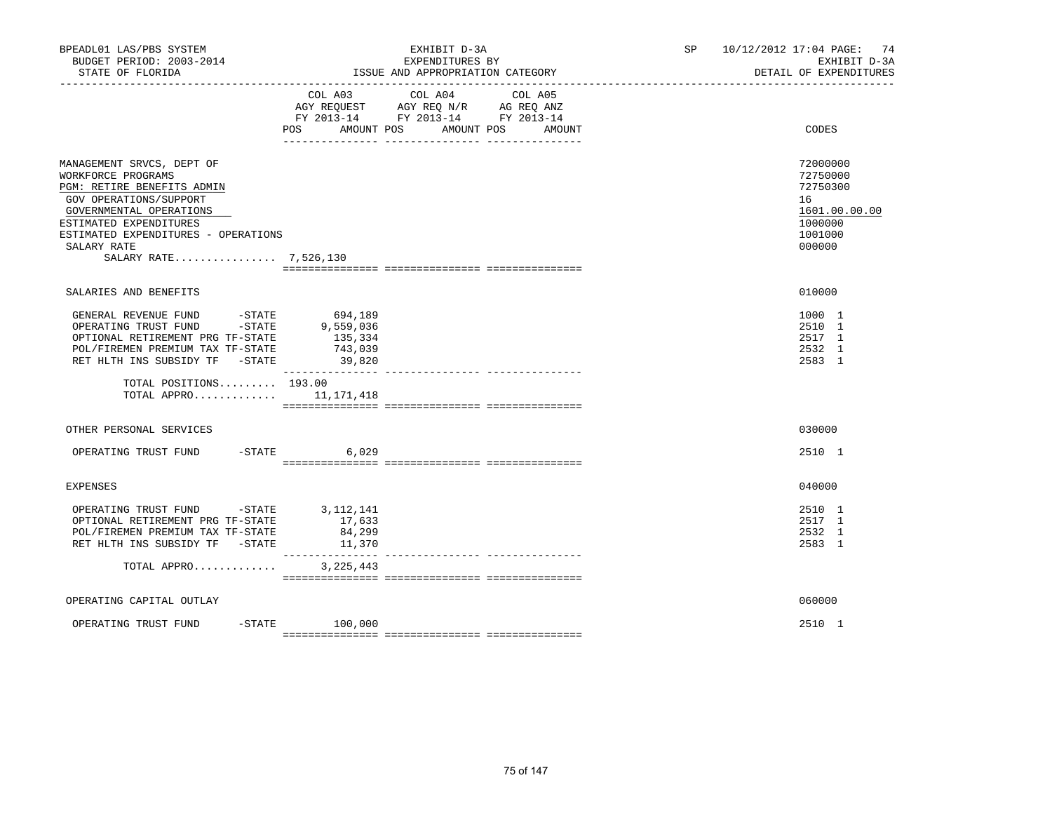| BPEADL01 LAS/PBS SYSTEM<br>BUDGET PERIOD: 2003-2014<br>STATE OF FLORIDA                                                                                                                                                                     | EXHIBIT D-3A<br>EXPENDITURES BY<br>ISSUE AND APPROPRIATION CATEGORY                                                       |                                 | SP 10/12/2012 17:04 PAGE: 74<br>EXHIBIT D-3A<br>DETAIL OF EXPENDITURES                  |
|---------------------------------------------------------------------------------------------------------------------------------------------------------------------------------------------------------------------------------------------|---------------------------------------------------------------------------------------------------------------------------|---------------------------------|-----------------------------------------------------------------------------------------|
|                                                                                                                                                                                                                                             | COL A03 COL A04<br>AGY REQUEST AGY REQ N/R AG REQ ANZ<br>FY 2013-14 FY 2013-14 FY 2013-14<br>AMOUNT POS AMOUNT POS<br>POS | COL A05<br>AMOUNT               | CODES                                                                                   |
| MANAGEMENT SRVCS, DEPT OF<br>WORKFORCE PROGRAMS<br>PGM: RETIRE BENEFITS ADMIN<br>GOV OPERATIONS/SUPPORT<br>GOVERNMENTAL OPERATIONS<br>ESTIMATED EXPENDITURES<br>ESTIMATED EXPENDITURES - OPERATIONS<br>SALARY RATE<br>SALARY RATE 7,526,130 |                                                                                                                           |                                 | 72000000<br>72750000<br>72750300<br>16<br>1601.00.00.00<br>1000000<br>1001000<br>000000 |
| SALARIES AND BENEFITS                                                                                                                                                                                                                       |                                                                                                                           |                                 | 010000                                                                                  |
| GENERAL REVENUE FUND<br>-STATE<br>-STATE<br>OPERATING TRUST FUND<br>OPTIONAL RETIREMENT PRG TF-STATE<br>POL/FIREMEN PREMIUM TAX TF-STATE<br>RET HLTH INS SUBSIDY TF -STATE                                                                  | 694,189<br>9,559,036<br>135,334<br>743,039<br>39,820                                                                      |                                 | 1000 1<br>2510 1<br>2517 1<br>2532 1<br>2583 1                                          |
| TOTAL POSITIONS 193.00<br>TOTAL APPRO $11,171,418$                                                                                                                                                                                          |                                                                                                                           |                                 |                                                                                         |
| OTHER PERSONAL SERVICES                                                                                                                                                                                                                     |                                                                                                                           |                                 | 030000                                                                                  |
| OPERATING TRUST FUND -STATE                                                                                                                                                                                                                 | 6,029                                                                                                                     |                                 | 2510 1                                                                                  |
| <b>EXPENSES</b>                                                                                                                                                                                                                             |                                                                                                                           |                                 | 040000                                                                                  |
| OPERATING TRUST FUND -STATE 3, 112, 141<br>OPTIONAL RETIREMENT PRG TF-STATE<br>POL/FIREMEN PREMIUM TAX TF-STATE<br>RET HLTH INS SUBSIDY TF -STATE                                                                                           | 17,633<br>84,299<br>11,370                                                                                                |                                 | 2510 1<br>2517 1<br>2532 1<br>2583 1                                                    |
| TOTAL APPRO                                                                                                                                                                                                                                 | ________________<br>3, 225, 443                                                                                           | --------------- --------------- |                                                                                         |
| OPERATING CAPITAL OUTLAY                                                                                                                                                                                                                    |                                                                                                                           |                                 | 060000                                                                                  |
| OPERATING TRUST FUND                                                                                                                                                                                                                        | $-$ STATE 100,000                                                                                                         |                                 | 2510 1                                                                                  |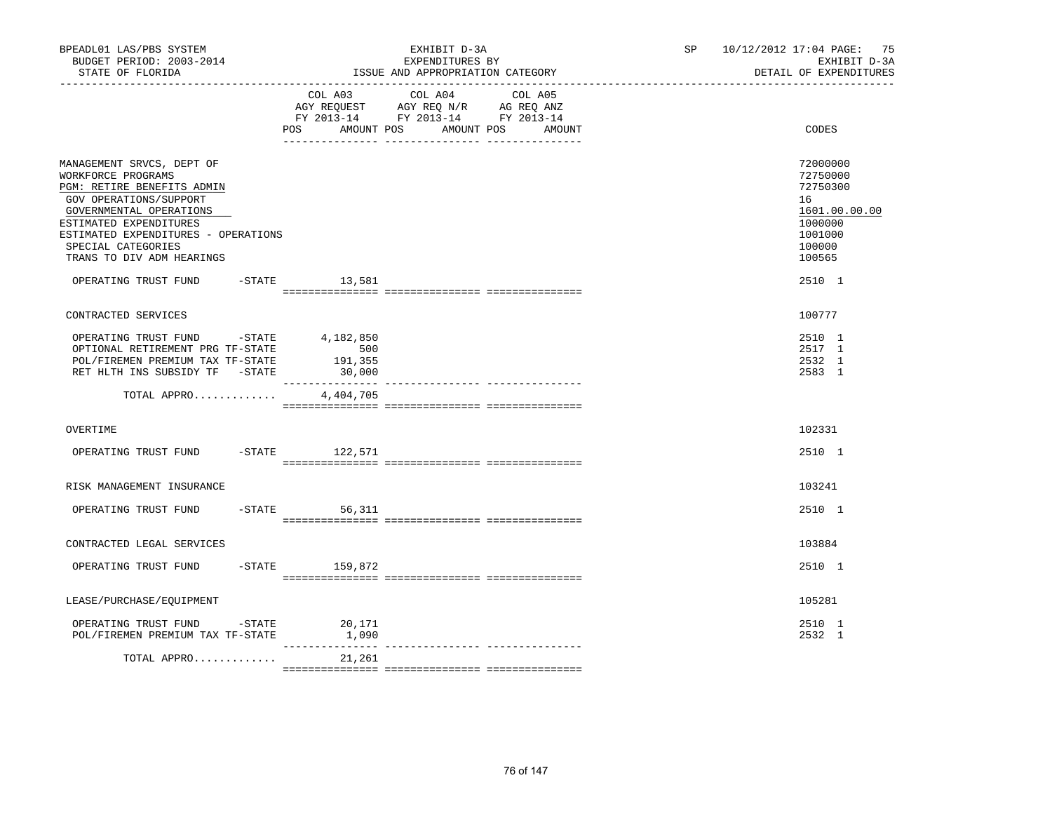| BPEADL01 LAS/PBS SYSTEM<br>BUDGET PERIOD: 2003-2014<br>STATE OF FLORIDA                                                                                                                                                                                |                          | EXHIBIT D-3A<br>EXPENDITURES BY<br>ISSUE AND APPROPRIATION CATEGORY                                                                                                                                                                                    | SP 10/12/2012 17:04 PAGE: 75<br>EXHIBIT D-3A<br>DETAIL OF EXPENDITURES |                                                                                                   |  |
|--------------------------------------------------------------------------------------------------------------------------------------------------------------------------------------------------------------------------------------------------------|--------------------------|--------------------------------------------------------------------------------------------------------------------------------------------------------------------------------------------------------------------------------------------------------|------------------------------------------------------------------------|---------------------------------------------------------------------------------------------------|--|
|                                                                                                                                                                                                                                                        | POS<br>AMOUNT POS        | COL A03 COL A04 COL A05<br>$\begin{tabular}{lllllll} AGY & \texttt{REQUEST} & \texttt{AGY} & \texttt{REG} & \texttt{N/R} & \texttt{AG} & \texttt{REQ} & \texttt{ANZ} \end{tabular}$<br>FY 2013-14 FY 2013-14 FY 2013-14<br>AMOUNT POS<br><b>AMOUNT</b> |                                                                        | CODES                                                                                             |  |
| MANAGEMENT SRVCS, DEPT OF<br>WORKFORCE PROGRAMS<br>PGM: RETIRE BENEFITS ADMIN<br>GOV OPERATIONS/SUPPORT<br>GOVERNMENTAL OPERATIONS<br>ESTIMATED EXPENDITURES<br>ESTIMATED EXPENDITURES - OPERATIONS<br>SPECIAL CATEGORIES<br>TRANS TO DIV ADM HEARINGS |                          |                                                                                                                                                                                                                                                        |                                                                        | 72000000<br>72750000<br>72750300<br>16<br>1601.00.00.00<br>1000000<br>1001000<br>100000<br>100565 |  |
| OPERATING TRUST FUND                                                                                                                                                                                                                                   | $-STATE$ 13,581          |                                                                                                                                                                                                                                                        |                                                                        | 2510 1                                                                                            |  |
| CONTRACTED SERVICES                                                                                                                                                                                                                                    |                          |                                                                                                                                                                                                                                                        |                                                                        | 100777                                                                                            |  |
| OPERATING TRUST FUND -STATE 4,182,850<br>OPTIONAL RETIREMENT PRG TF-STATE<br>POL/FIREMEN PREMIUM TAX TF-STATE<br>RET HLTH INS SUBSIDY TF -STATE                                                                                                        | 500<br>191,355<br>30,000 |                                                                                                                                                                                                                                                        |                                                                        | 2510 1<br>2517 1<br>2532 1<br>2583 1                                                              |  |
| TOTAL APPRO                                                                                                                                                                                                                                            | 4,404,705                |                                                                                                                                                                                                                                                        |                                                                        |                                                                                                   |  |
| OVERTIME                                                                                                                                                                                                                                               |                          |                                                                                                                                                                                                                                                        |                                                                        | 102331                                                                                            |  |
| OPERATING TRUST FUND -STATE 122,571                                                                                                                                                                                                                    |                          |                                                                                                                                                                                                                                                        |                                                                        | 2510 1                                                                                            |  |
| RISK MANAGEMENT INSURANCE                                                                                                                                                                                                                              |                          |                                                                                                                                                                                                                                                        |                                                                        | 103241                                                                                            |  |
| OPERATING TRUST FUND                                                                                                                                                                                                                                   | $-STATE$ 56,311          |                                                                                                                                                                                                                                                        |                                                                        | 2510 1                                                                                            |  |
| CONTRACTED LEGAL SERVICES                                                                                                                                                                                                                              |                          |                                                                                                                                                                                                                                                        |                                                                        | 103884                                                                                            |  |
| OPERATING TRUST FUND                                                                                                                                                                                                                                   | $-$ STATE 159,872        |                                                                                                                                                                                                                                                        |                                                                        | 2510 1                                                                                            |  |
| LEASE/PURCHASE/EQUIPMENT                                                                                                                                                                                                                               |                          |                                                                                                                                                                                                                                                        |                                                                        | 105281                                                                                            |  |
| OPERATING TRUST FUND -STATE<br>POL/FIREMEN PREMIUM TAX TF-STATE                                                                                                                                                                                        | 20,171<br>1,090          |                                                                                                                                                                                                                                                        |                                                                        | 2510 1<br>2532 1                                                                                  |  |
| TOTAL APPRO                                                                                                                                                                                                                                            | _____________<br>21,261  | --- ---------------- ----------------                                                                                                                                                                                                                  |                                                                        |                                                                                                   |  |
|                                                                                                                                                                                                                                                        |                          |                                                                                                                                                                                                                                                        |                                                                        |                                                                                                   |  |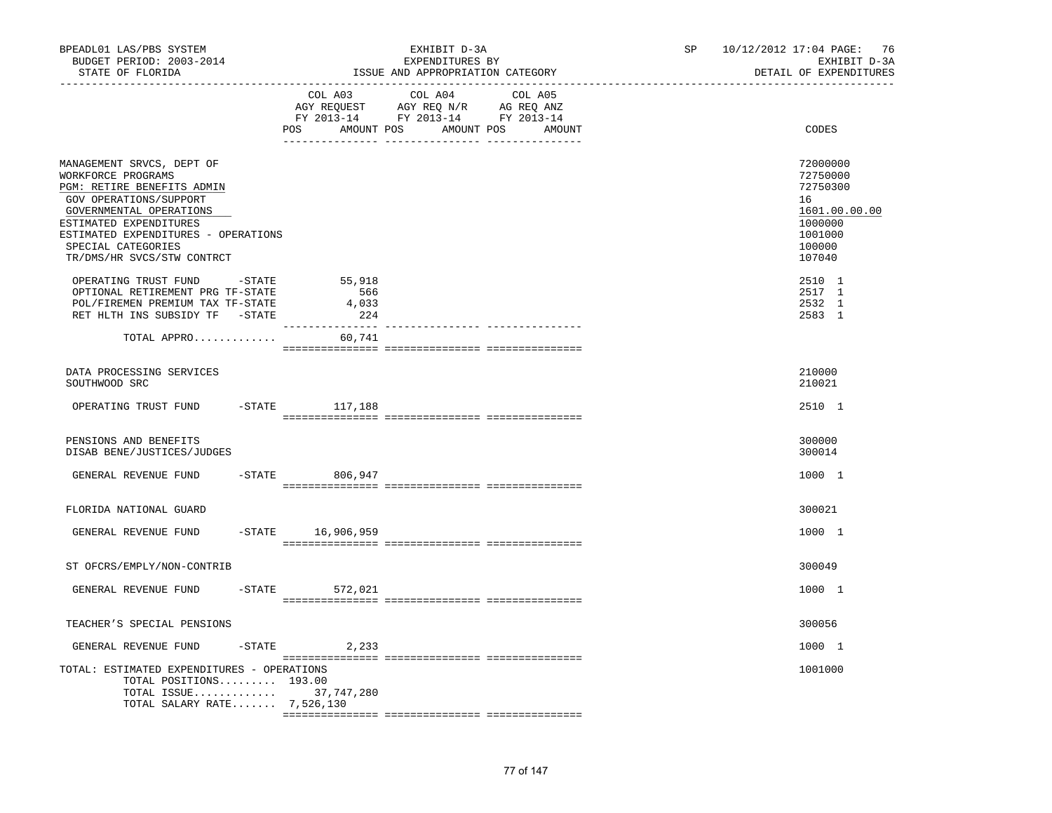| BPEADL01 LAS/PBS SYSTEM<br>BUDGET PERIOD: 2003-2014<br>STATE OF FLORIDA                                                                                                                                                                                 |                     | EXHIBIT D-3A<br>EXPENDITURES BY<br>ISSUE AND APPROPRIATION CATEGORY                                                                   | SP | 76<br>10/12/2012 17:04 PAGE:<br>EXHIBIT D-3A<br>DETAIL OF EXPENDITURES                            |
|---------------------------------------------------------------------------------------------------------------------------------------------------------------------------------------------------------------------------------------------------------|---------------------|---------------------------------------------------------------------------------------------------------------------------------------|----|---------------------------------------------------------------------------------------------------|
|                                                                                                                                                                                                                                                         |                     | COL A03 COL A04 COL A05<br>AGY REQUEST AGY REQ N/R AG REQ ANZ<br>FY 2013-14 FY 2013-14 FY 2013-14<br>POS AMOUNT POS AMOUNT POS AMOUNT |    | CODES                                                                                             |
| MANAGEMENT SRVCS, DEPT OF<br>WORKFORCE PROGRAMS<br>PGM: RETIRE BENEFITS ADMIN<br>GOV OPERATIONS/SUPPORT<br>GOVERNMENTAL OPERATIONS<br>ESTIMATED EXPENDITURES<br>ESTIMATED EXPENDITURES - OPERATIONS<br>SPECIAL CATEGORIES<br>TR/DMS/HR SVCS/STW CONTRCT |                     |                                                                                                                                       |    | 72000000<br>72750000<br>72750300<br>16<br>1601.00.00.00<br>1000000<br>1001000<br>100000<br>107040 |
| OPERATING TRUST FUND -STATE 55,918<br>OPTIONAL RETIREMENT PRG TF-STATE<br>POL/FIREMEN PREMIUM TAX TF-STATE<br>RET HLTH INS SUBSIDY TF -STATE                                                                                                            | 566<br>4,033<br>224 |                                                                                                                                       |    | 2510 1<br>2517 1<br>2532 1<br>2583 1                                                              |
| TOTAL APPRO                                                                                                                                                                                                                                             | 60.741              |                                                                                                                                       |    |                                                                                                   |
| DATA PROCESSING SERVICES<br>SOUTHWOOD SRC                                                                                                                                                                                                               |                     |                                                                                                                                       |    | 210000<br>210021                                                                                  |
| OPERATING TRUST FUND                                                                                                                                                                                                                                    | -STATE 117,188      |                                                                                                                                       |    | 2510 1                                                                                            |
| PENSIONS AND BENEFITS<br>DISAB BENE/JUSTICES/JUDGES                                                                                                                                                                                                     |                     |                                                                                                                                       |    | 300000<br>300014                                                                                  |
| GENERAL REVENUE FUND                                                                                                                                                                                                                                    | $-STATE$ 806,947    |                                                                                                                                       |    | 1000 1                                                                                            |
| FLORIDA NATIONAL GUARD                                                                                                                                                                                                                                  |                     |                                                                                                                                       |    | 300021                                                                                            |
| GENERAL REVENUE FUND                                                                                                                                                                                                                                    | -STATE 16,906,959   |                                                                                                                                       |    | 1000 1                                                                                            |
| ST OFCRS/EMPLY/NON-CONTRIB                                                                                                                                                                                                                              |                     |                                                                                                                                       |    | 300049                                                                                            |
| GENERAL REVENUE FUND                                                                                                                                                                                                                                    | -STATE 572,021      |                                                                                                                                       |    | 1000 1                                                                                            |
| TEACHER'S SPECIAL PENSIONS                                                                                                                                                                                                                              |                     |                                                                                                                                       |    | 300056                                                                                            |
| GENERAL REVENUE FUND                                                                                                                                                                                                                                    | $-STATE$ 2, 233     |                                                                                                                                       |    | 1000 1                                                                                            |
| TOTAL: ESTIMATED EXPENDITURES - OPERATIONS<br>TOTAL POSITIONS 193.00<br>TOTAL ISSUE 37,747,280<br>TOTAL SALARY RATE 7,526,130                                                                                                                           |                     |                                                                                                                                       |    | 1001000                                                                                           |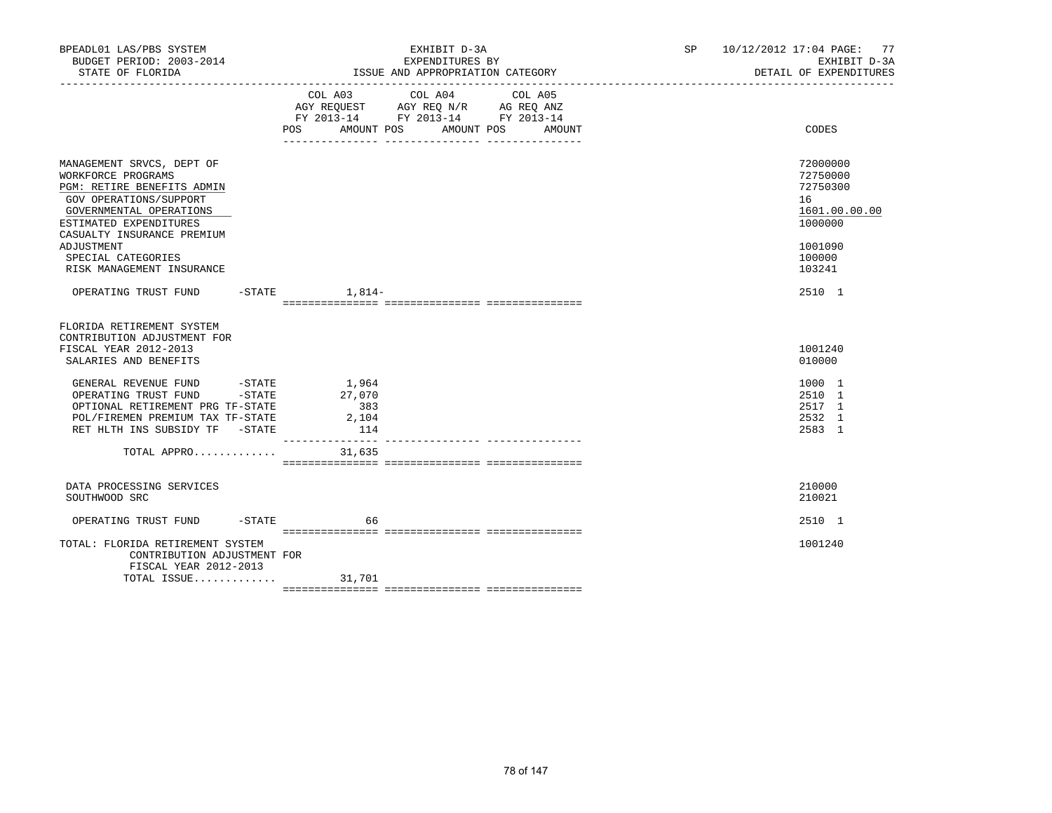| BPEADL01 LAS/PBS SYSTEM<br>BUDGET PERIOD: 2003-2014                                                                                                                  | EXHIBIT D-3A<br>EXPENDITURES BY                                                                                                          | SP 10/12/2012 17:04 PAGE: 77<br>EXHIBIT D-3A<br>DETAIL OF EXPENDITURES |
|----------------------------------------------------------------------------------------------------------------------------------------------------------------------|------------------------------------------------------------------------------------------------------------------------------------------|------------------------------------------------------------------------|
|                                                                                                                                                                      | COL A03 COL A04 COL A05<br>AGY REQUEST AGY REQ N/R AG REQ ANZ<br>FY 2013-14 FY 2013-14 FY 2013-14<br>POS AMOUNT POS AMOUNT POS<br>AMOUNT | CODES                                                                  |
|                                                                                                                                                                      |                                                                                                                                          |                                                                        |
| MANAGEMENT SRVCS, DEPT OF<br>WORKFORCE PROGRAMS<br>PGM: RETIRE BENEFITS ADMIN<br>GOV OPERATIONS/SUPPORT<br>GOVERNMENTAL OPERATIONS<br>ESTIMATED EXPENDITURES         |                                                                                                                                          | 72000000<br>72750000<br>72750300<br>16<br>1601.00.00.00<br>1000000     |
| CASUALTY INSURANCE PREMIUM<br>ADJUSTMENT<br>SPECIAL CATEGORIES<br>RISK MANAGEMENT INSURANCE                                                                          |                                                                                                                                          | 1001090<br>100000<br>103241                                            |
| OPERATING TRUST FUND -STATE 1,814-                                                                                                                                   |                                                                                                                                          | 2510 1                                                                 |
| FLORIDA RETIREMENT SYSTEM<br>CONTRIBUTION ADJUSTMENT FOR<br>FISCAL YEAR 2012-2013<br>SALARIES AND BENEFITS                                                           |                                                                                                                                          | 1001240<br>010000                                                      |
| GENERAL REVENUE FUND -STATE<br>OPERATING TRUST FUND -STATE<br>OPTIONAL RETIREMENT PRG TF-STATE<br>POL/FIREMEN PREMIUM TAX TF-STATE<br>RET HLTH INS SUBSIDY TF -STATE | $\frac{1,964}{27}$<br>383<br>2,104<br>114                                                                                                | 1000 1<br>2510 1<br>2517 1<br>2532 1<br>2583 1                         |
| TOTAL APPRO                                                                                                                                                          | 31,635                                                                                                                                   |                                                                        |
| DATA PROCESSING SERVICES<br>SOUTHWOOD SRC                                                                                                                            |                                                                                                                                          | 210000<br>210021                                                       |
| OPERATING TRUST FUND -STATE                                                                                                                                          | 66                                                                                                                                       | 2510 1                                                                 |
| TOTAL: FLORIDA RETIREMENT SYSTEM<br>CONTRIBUTION ADJUSTMENT FOR<br>FISCAL YEAR 2012-2013                                                                             |                                                                                                                                          | 1001240                                                                |
| TOTAL ISSUE $31,701$                                                                                                                                                 |                                                                                                                                          |                                                                        |
|                                                                                                                                                                      |                                                                                                                                          |                                                                        |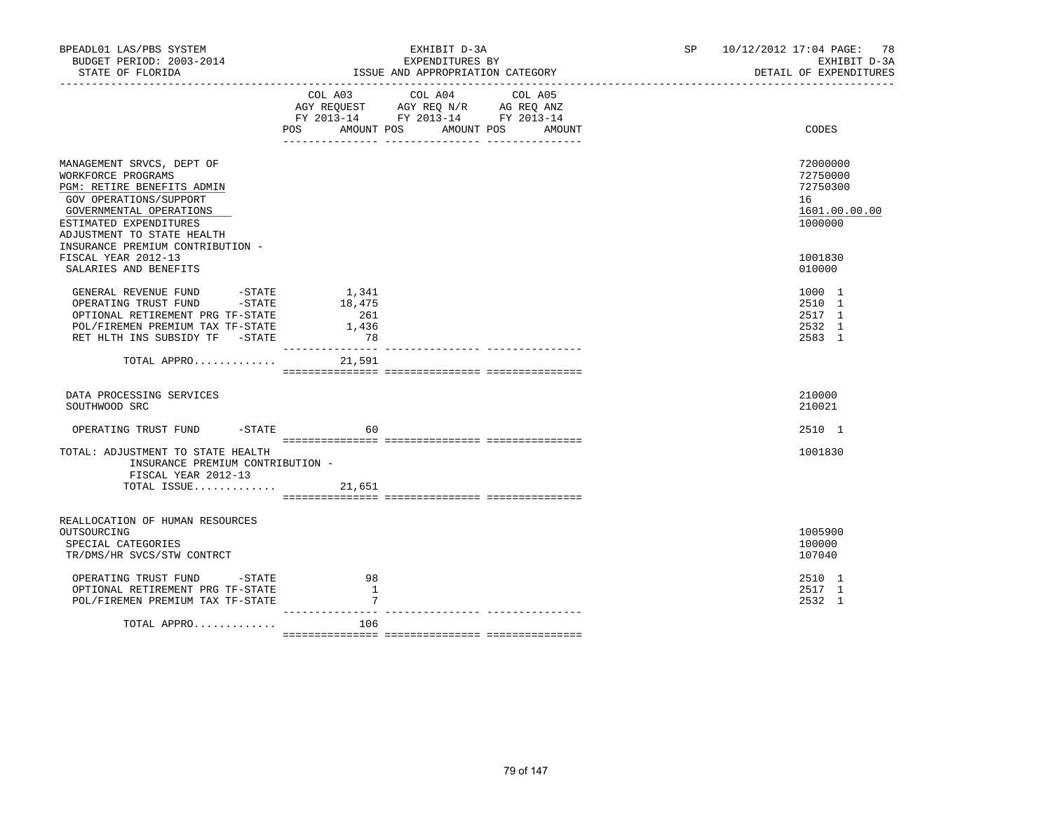| BPEADL01 LAS/PBS SYSTEM<br>BUDGET PERIOD: 2003-2014<br>STATE OF FLORIDA                                                                                                                                                        |                                       | EXHIBIT D-3A<br>EXPENDITURES BY<br>ISSUE AND APPROPRIATION CATEGORY                                                                      | SP 10/12/2012 17:04 PAGE: 78<br>EXHIBIT D-3A<br>DETAIL OF EXPENDITURES |
|--------------------------------------------------------------------------------------------------------------------------------------------------------------------------------------------------------------------------------|---------------------------------------|------------------------------------------------------------------------------------------------------------------------------------------|------------------------------------------------------------------------|
|                                                                                                                                                                                                                                |                                       | COL A03 COL A04 COL A05<br>AGY REQUEST AGY REQ N/R AG REQ ANZ<br>FY 2013-14 FY 2013-14 FY 2013-14<br>POS AMOUNT POS AMOUNT POS<br>AMOUNT | CODES                                                                  |
| MANAGEMENT SRVCS, DEPT OF<br>WORKFORCE PROGRAMS<br>PGM: RETIRE BENEFITS ADMIN<br>GOV OPERATIONS/SUPPORT<br>GOVERNMENTAL OPERATIONS<br>ESTIMATED EXPENDITURES<br>ADJUSTMENT TO STATE HEALTH<br>INSURANCE PREMIUM CONTRIBUTION - |                                       |                                                                                                                                          | 72000000<br>72750000<br>72750300<br>16<br>1601.00.00.00<br>1000000     |
| FISCAL YEAR 2012-13<br>SALARIES AND BENEFITS                                                                                                                                                                                   |                                       |                                                                                                                                          | 1001830<br>010000                                                      |
| GENERAL REVENUE FUND<br>-STATE<br>-STATE<br>OPERATING TRUST FUND<br>OPTIONAL RETIREMENT PRG TF-STATE<br>POL/FIREMEN PREMIUM TAX TF-STATE<br>RET HLTH INS SUBSIDY TF -STATE                                                     | 1,341<br>18,475<br>261<br>1,436<br>78 |                                                                                                                                          | 1000 1<br>2510 1<br>2517 1<br>2532 1<br>2583 1                         |
| TOTAL APPRO                                                                                                                                                                                                                    | 21,591                                |                                                                                                                                          |                                                                        |
| DATA PROCESSING SERVICES<br>SOUTHWOOD SRC                                                                                                                                                                                      |                                       |                                                                                                                                          | 210000<br>210021                                                       |
| OPERATING TRUST FUND -STATE                                                                                                                                                                                                    | 60                                    |                                                                                                                                          | 2510 1                                                                 |
| TOTAL: ADJUSTMENT TO STATE HEALTH<br>INSURANCE PREMIUM CONTRIBUTION -<br>FISCAL YEAR 2012-13                                                                                                                                   |                                       |                                                                                                                                          | 1001830                                                                |
| TOTAL ISSUE                                                                                                                                                                                                                    | 21,651                                |                                                                                                                                          |                                                                        |
| REALLOCATION OF HUMAN RESOURCES<br>OUTSOURCING<br>SPECIAL CATEGORIES<br>TR/DMS/HR SVCS/STW CONTRCT                                                                                                                             |                                       |                                                                                                                                          | 1005900<br>100000<br>107040                                            |
| OPERATING TRUST FUND -STATE<br>OPTIONAL RETIREMENT PRG TF-STATE<br>POL/FIREMEN PREMIUM TAX TF-STATE                                                                                                                            | 98<br>-1<br>7                         |                                                                                                                                          | 2510 1<br>2517 1<br>2532 1                                             |
| TOTAL APPRO                                                                                                                                                                                                                    | $----$<br>106                         |                                                                                                                                          |                                                                        |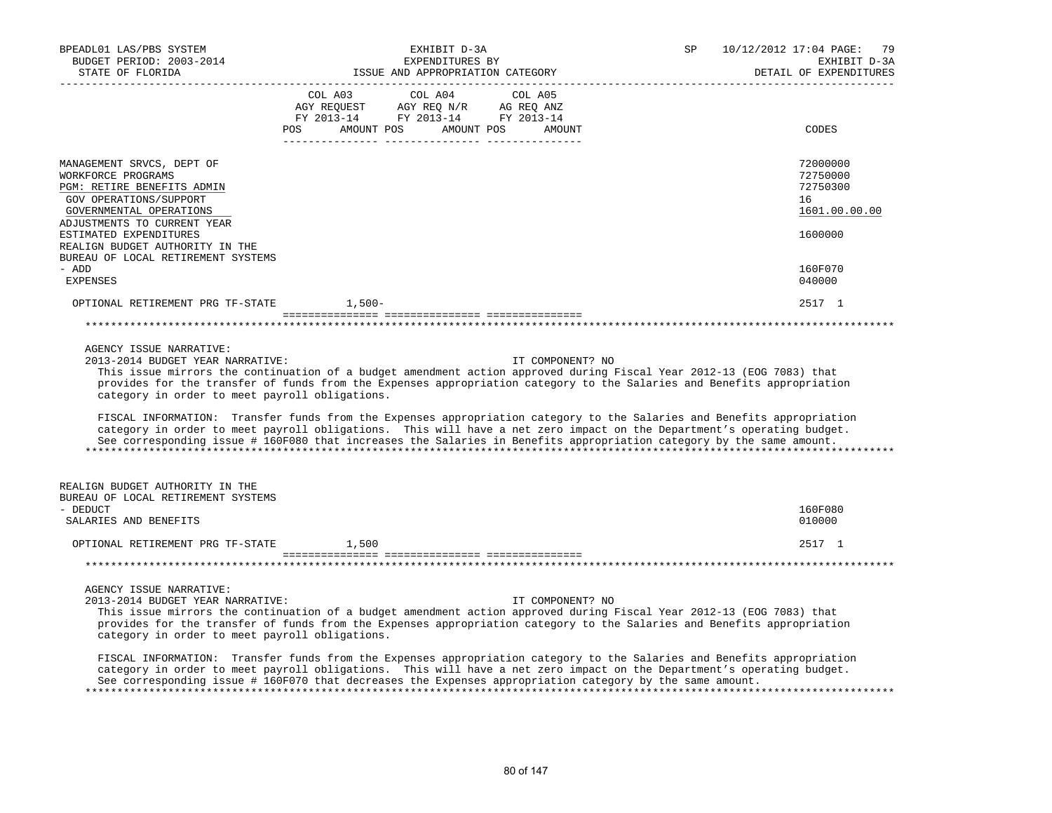| BPEADL01 LAS/PBS SYSTEM<br>BUDGET PERIOD: 2003-2014<br>STATE OF FLORIDA                                                                                                                                                        | EXHIBIT D-3A<br>EXPENDITURES BY<br>ISSUE AND APPROPRIATION CATEGORY                                                                                                                                                                                                                                                                                                                          | SP<br>10/12/2012 17:04 PAGE: 79<br>EXHIBIT D-3A<br>DETAIL OF EXPENDITURES |
|--------------------------------------------------------------------------------------------------------------------------------------------------------------------------------------------------------------------------------|----------------------------------------------------------------------------------------------------------------------------------------------------------------------------------------------------------------------------------------------------------------------------------------------------------------------------------------------------------------------------------------------|---------------------------------------------------------------------------|
|                                                                                                                                                                                                                                | COL A03<br>COL A04<br>COL A05<br>AGY REQUEST AGY REQ N/R AG REQ ANZ<br>FY 2013-14 FY 2013-14 FY 2013-14                                                                                                                                                                                                                                                                                      |                                                                           |
|                                                                                                                                                                                                                                | AMOUNT POS AMOUNT POS<br>POS DO<br>AMOUNT                                                                                                                                                                                                                                                                                                                                                    | CODES                                                                     |
| MANAGEMENT SRVCS, DEPT OF<br>WORKFORCE PROGRAMS<br>PGM: RETIRE BENEFITS ADMIN<br>GOV OPERATIONS/SUPPORT<br>GOVERNMENTAL OPERATIONS<br>ADJUSTMENTS TO CURRENT YEAR<br>ESTIMATED EXPENDITURES<br>REALIGN BUDGET AUTHORITY IN THE |                                                                                                                                                                                                                                                                                                                                                                                              | 72000000<br>72750000<br>72750300<br>16<br>1601.00.00.00<br>1600000        |
| BUREAU OF LOCAL RETIREMENT SYSTEMS<br>- ADD                                                                                                                                                                                    |                                                                                                                                                                                                                                                                                                                                                                                              | 160F070                                                                   |
| <b>EXPENSES</b><br>OPTIONAL RETIREMENT PRG TF-STATE                                                                                                                                                                            | $1,500-$                                                                                                                                                                                                                                                                                                                                                                                     | 040000<br>2517 1                                                          |
|                                                                                                                                                                                                                                |                                                                                                                                                                                                                                                                                                                                                                                              |                                                                           |
|                                                                                                                                                                                                                                |                                                                                                                                                                                                                                                                                                                                                                                              |                                                                           |
| AGENCY ISSUE NARRATIVE:<br>2013-2014 BUDGET YEAR NARRATIVE:<br>category in order to meet payroll obligations.                                                                                                                  | IT COMPONENT? NO<br>This issue mirrors the continuation of a budget amendment action approved during Fiscal Year 2012-13 (EOG 7083) that<br>provides for the transfer of funds from the Expenses appropriation category to the Salaries and Benefits appropriation<br>FISCAL INFORMATION: Transfer funds from the Expenses appropriation category to the Salaries and Benefits appropriation |                                                                           |
|                                                                                                                                                                                                                                | category in order to meet payroll obligations. This will have a net zero impact on the Department's operating budget.<br>See corresponding issue # 160F080 that increases the Salaries in Benefits appropriation category by the same amount.                                                                                                                                                |                                                                           |
| REALIGN BUDGET AUTHORITY IN THE<br>BUREAU OF LOCAL RETIREMENT SYSTEMS                                                                                                                                                          |                                                                                                                                                                                                                                                                                                                                                                                              |                                                                           |
| - DEDUCT<br>SALARIES AND BENEFITS                                                                                                                                                                                              |                                                                                                                                                                                                                                                                                                                                                                                              | 160F080<br>010000                                                         |
| OPTIONAL RETIREMENT PRG TF-STATE                                                                                                                                                                                               | 1,500                                                                                                                                                                                                                                                                                                                                                                                        | 2517 1                                                                    |
|                                                                                                                                                                                                                                |                                                                                                                                                                                                                                                                                                                                                                                              |                                                                           |
| AGENCY ISSUE NARRATIVE:<br>2013-2014 BUDGET YEAR NARRATIVE:<br>category in order to meet payroll obligations.                                                                                                                  | IT COMPONENT? NO<br>This issue mirrors the continuation of a budget amendment action approved during Fiscal Year 2012-13 (EOG 7083) that<br>provides for the transfer of funds from the Expenses appropriation category to the Salaries and Benefits appropriation<br>FISCAL INFORMATION: Transfer funds from the Expenses appropriation category to the Salaries and Benefits appropriation |                                                                           |
|                                                                                                                                                                                                                                | category in order to meet payroll obligations. This will have a net zero impact on the Department's operating budget.<br>See corresponding issue # 160F070 that decreases the Expenses appropriation category by the same amount.                                                                                                                                                            |                                                                           |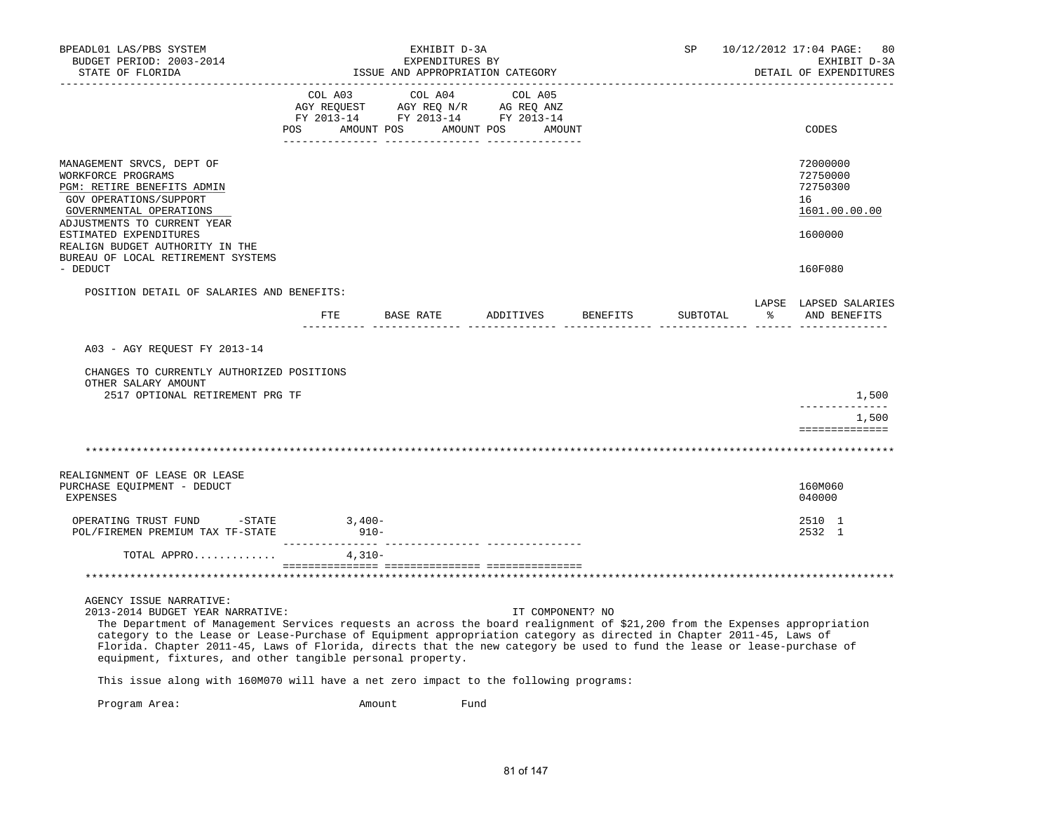| BPEADL01 LAS/PBS SYSTEM<br>BUDGET PERIOD: 2003-2014                                                                                                                                                                                                                                                                                                                                                                                                                                                       |         |           | EXHIBIT D-3A<br>EXPENDITURES BY                                                                                                                                                                                                                                    |                                       |                  | 10/12/2012 17:04 PAGE:<br>SP<br>80<br>EXHIBIT D-3A |    |                                                                    |  |
|-----------------------------------------------------------------------------------------------------------------------------------------------------------------------------------------------------------------------------------------------------------------------------------------------------------------------------------------------------------------------------------------------------------------------------------------------------------------------------------------------------------|---------|-----------|--------------------------------------------------------------------------------------------------------------------------------------------------------------------------------------------------------------------------------------------------------------------|---------------------------------------|------------------|----------------------------------------------------|----|--------------------------------------------------------------------|--|
| STATE OF FLORIDA                                                                                                                                                                                                                                                                                                                                                                                                                                                                                          |         |           | ISSUE AND APPROPRIATION CATEGORY                                                                                                                                                                                                                                   |                                       |                  | DETAIL OF EXPENDITURES                             |    |                                                                    |  |
|                                                                                                                                                                                                                                                                                                                                                                                                                                                                                                           | COL A03 |           | COL A04<br>$\begin{tabular}{lllllllll} \bf{AGY} & \bf{REOUEST} & \bf{AGY} & \bf{REOU} & \bf{N/R} & \bf{AG} & \bf{REQ} & \bf{ANZ} \\ \bf{FY} & \bf{2013-14} & \bf{FY} & \bf{2013-14} & \bf{FY} & \bf{2013-14} \\ \end{tabular}$<br>POS AMOUNT POS AMOUNT POS AMOUNT | COL A05<br>_________ ________________ |                  |                                                    |    | CODES                                                              |  |
| MANAGEMENT SRVCS, DEPT OF<br>WORKFORCE PROGRAMS<br>PGM: RETIRE BENEFITS ADMIN<br>GOV OPERATIONS/SUPPORT<br>GOVERNMENTAL OPERATIONS<br>ADJUSTMENTS TO CURRENT YEAR<br>ESTIMATED EXPENDITURES                                                                                                                                                                                                                                                                                                               |         |           |                                                                                                                                                                                                                                                                    |                                       |                  |                                                    |    | 72000000<br>72750000<br>72750300<br>16<br>1601.00.00.00<br>1600000 |  |
| REALIGN BUDGET AUTHORITY IN THE<br>BUREAU OF LOCAL RETIREMENT SYSTEMS<br>- DEDUCT                                                                                                                                                                                                                                                                                                                                                                                                                         |         |           |                                                                                                                                                                                                                                                                    |                                       |                  |                                                    |    | 160F080                                                            |  |
| POSITION DETAIL OF SALARIES AND BENEFITS:                                                                                                                                                                                                                                                                                                                                                                                                                                                                 |         |           |                                                                                                                                                                                                                                                                    |                                       |                  |                                                    |    | LAPSE LAPSED SALARIES                                              |  |
|                                                                                                                                                                                                                                                                                                                                                                                                                                                                                                           | ETE     | BASE RATE |                                                                                                                                                                                                                                                                    | ADDITIVES                             | BENEFITS         | SUBTOTAL                                           | ႜၟ | AND BENEFITS                                                       |  |
| A03 - AGY REQUEST FY 2013-14                                                                                                                                                                                                                                                                                                                                                                                                                                                                              |         |           |                                                                                                                                                                                                                                                                    |                                       |                  |                                                    |    |                                                                    |  |
| CHANGES TO CURRENTLY AUTHORIZED POSITIONS<br>OTHER SALARY AMOUNT<br>2517 OPTIONAL RETIREMENT PRG TF                                                                                                                                                                                                                                                                                                                                                                                                       |         |           |                                                                                                                                                                                                                                                                    |                                       |                  |                                                    |    | 1,500                                                              |  |
|                                                                                                                                                                                                                                                                                                                                                                                                                                                                                                           |         |           |                                                                                                                                                                                                                                                                    |                                       |                  |                                                    |    | -------------<br>1,500                                             |  |
|                                                                                                                                                                                                                                                                                                                                                                                                                                                                                                           |         |           |                                                                                                                                                                                                                                                                    |                                       |                  |                                                    |    | ==============                                                     |  |
|                                                                                                                                                                                                                                                                                                                                                                                                                                                                                                           |         |           |                                                                                                                                                                                                                                                                    |                                       |                  |                                                    |    |                                                                    |  |
| REALIGNMENT OF LEASE OR LEASE<br>PURCHASE EQUIPMENT - DEDUCT<br><b>EXPENSES</b>                                                                                                                                                                                                                                                                                                                                                                                                                           |         |           |                                                                                                                                                                                                                                                                    |                                       |                  |                                                    |    | 160M060<br>040000                                                  |  |
| OPERATING TRUST FUND -STATE 3,400-<br>POL/FIREMEN PREMIUM TAX TF-STATE                                                                                                                                                                                                                                                                                                                                                                                                                                    | $910-$  |           |                                                                                                                                                                                                                                                                    |                                       |                  |                                                    |    | 2510 1<br>2532 1                                                   |  |
| TOTAL APPRO $4,310-$                                                                                                                                                                                                                                                                                                                                                                                                                                                                                      |         |           |                                                                                                                                                                                                                                                                    |                                       |                  |                                                    |    |                                                                    |  |
|                                                                                                                                                                                                                                                                                                                                                                                                                                                                                                           |         |           |                                                                                                                                                                                                                                                                    |                                       |                  |                                                    |    |                                                                    |  |
| AGENCY ISSUE NARRATIVE:<br>2013-2014 BUDGET YEAR NARRATIVE:<br>The Department of Management Services requests an across the board realignment of \$21,200 from the Expenses appropriation<br>category to the Lease or Lease-Purchase of Equipment appropriation category as directed in Chapter 2011-45, Laws of<br>Florida. Chapter 2011-45, Laws of Florida, directs that the new category be used to fund the lease or lease-purchase of<br>equipment, fixtures, and other tangible personal property. |         |           |                                                                                                                                                                                                                                                                    |                                       | IT COMPONENT? NO |                                                    |    |                                                                    |  |
| This issue along with 160M070 will have a net zero impact to the following programs:                                                                                                                                                                                                                                                                                                                                                                                                                      |         |           |                                                                                                                                                                                                                                                                    |                                       |                  |                                                    |    |                                                                    |  |
|                                                                                                                                                                                                                                                                                                                                                                                                                                                                                                           |         |           |                                                                                                                                                                                                                                                                    |                                       |                  |                                                    |    |                                                                    |  |

Program Area:  $\blacksquare$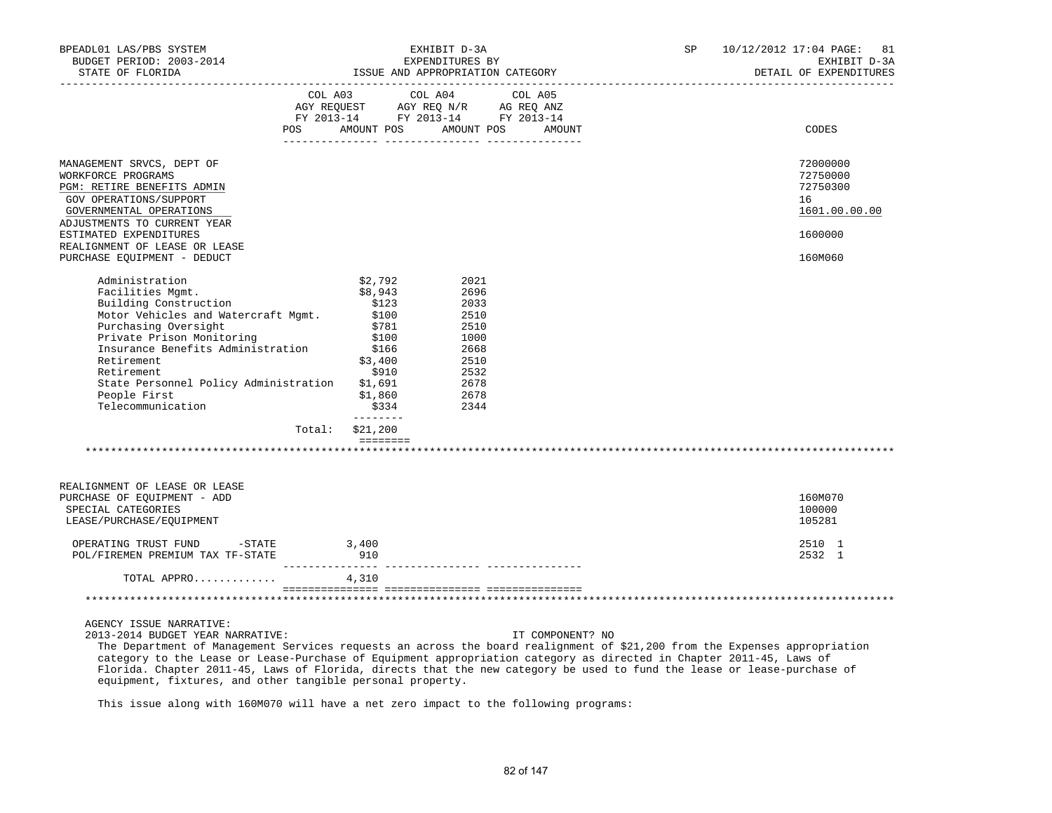| BPEADL01 LAS/PBS SYSTEM<br>EXHIBIT D-3A<br>BUDGET PERIOD: 2003-2014<br>EXPENDITURES BY                                                                                                                                                                                                                         |                                                                                                                                                             |                                                                                              |                  | SP                     | 10/12/2012 17:04 PAGE: 81<br>EXHIBIT D-3A               |
|----------------------------------------------------------------------------------------------------------------------------------------------------------------------------------------------------------------------------------------------------------------------------------------------------------------|-------------------------------------------------------------------------------------------------------------------------------------------------------------|----------------------------------------------------------------------------------------------|------------------|------------------------|---------------------------------------------------------|
| STATE OF FLORIDA                                                                                                                                                                                                                                                                                               |                                                                                                                                                             | ISSUE AND APPROPRIATION CATEGORY                                                             |                  | DETAIL OF EXPENDITURES |                                                         |
| <b>POS</b>                                                                                                                                                                                                                                                                                                     | COL A03 COL A04 COL A05<br>AGY REQUEST AGY REQ N/R AG REQ ANZ<br>FY 2013-14 FY 2013-14 FY 2013-14<br>AMOUNT POS AMOUNT POS                                  |                                                                                              | AMOUNT           |                        | CODES                                                   |
|                                                                                                                                                                                                                                                                                                                |                                                                                                                                                             |                                                                                              |                  |                        |                                                         |
| MANAGEMENT SRVCS, DEPT OF<br>WORKFORCE PROGRAMS<br>PGM: RETIRE BENEFITS ADMIN<br>GOV OPERATIONS/SUPPORT<br>GOVERNMENTAL OPERATIONS<br>ADJUSTMENTS TO CURRENT YEAR                                                                                                                                              |                                                                                                                                                             |                                                                                              |                  |                        | 72000000<br>72750000<br>72750300<br>16<br>1601.00.00.00 |
| ESTIMATED EXPENDITURES<br>REALIGNMENT OF LEASE OR LEASE                                                                                                                                                                                                                                                        |                                                                                                                                                             |                                                                                              |                  |                        | 1600000                                                 |
| PURCHASE EQUIPMENT - DEDUCT                                                                                                                                                                                                                                                                                    |                                                                                                                                                             |                                                                                              |                  |                        | 160M060                                                 |
| Administration<br>Facilities Mgmt.<br>Building Construction<br>Motor Vehicles and Watercraft Mgmt.<br>Purchasing Oversight<br>Private Prison Monitoring<br>Insurance Benefits Administration<br>Retirement<br>Retirement<br>State Personnel Policy Administration \$1,691<br>People First<br>Telecommunication | \$2,792<br>\$8,943<br>\$123<br>\$100<br>\$781<br>\$100<br>\$166<br>\$3,400<br>\$910<br>\$1,860<br>\$334<br>--------<br>Total: \$21,200<br>$=$ = = = = = = = | 2021<br>2696<br>2033<br>2510<br>2510<br>1000<br>2668<br>2510<br>2532<br>2678<br>2678<br>2344 |                  |                        |                                                         |
| REALIGNMENT OF LEASE OR LEASE<br>PURCHASE OF EOUIPMENT - ADD<br>SPECIAL CATEGORIES<br>LEASE/PURCHASE/EQUIPMENT                                                                                                                                                                                                 |                                                                                                                                                             |                                                                                              |                  |                        | 160M070<br>100000<br>105281                             |
| OPERATING TRUST FUND -STATE<br>POL/FIREMEN PREMIUM TAX TF-STATE                                                                                                                                                                                                                                                | 3,400<br>910                                                                                                                                                |                                                                                              |                  |                        | 2510 1<br>2532 1                                        |
| TOTAL APPRO                                                                                                                                                                                                                                                                                                    | 4,310                                                                                                                                                       |                                                                                              |                  |                        |                                                         |
|                                                                                                                                                                                                                                                                                                                |                                                                                                                                                             |                                                                                              |                  |                        |                                                         |
| AGENCY ISSUE NARRATIVE:<br>2013-2014 BUDGET YEAR NARRATIVE:<br>The Department of Management Services requests an agross the board realignment of \$21,200 from the Expenses appropriation                                                                                                                      |                                                                                                                                                             |                                                                                              | IT COMPONENT? NO |                        |                                                         |

 The Department of Management Services requests an across the board realignment of \$21,200 from the Expenses appropriation category to the Lease or Lease-Purchase of Equipment appropriation category as directed in Chapter 2011-45, Laws of Florida. Chapter 2011-45, Laws of Florida, directs that the new category be used to fund the lease or lease-purchase of equipment, fixtures, and other tangible personal property.

This issue along with 160M070 will have a net zero impact to the following programs: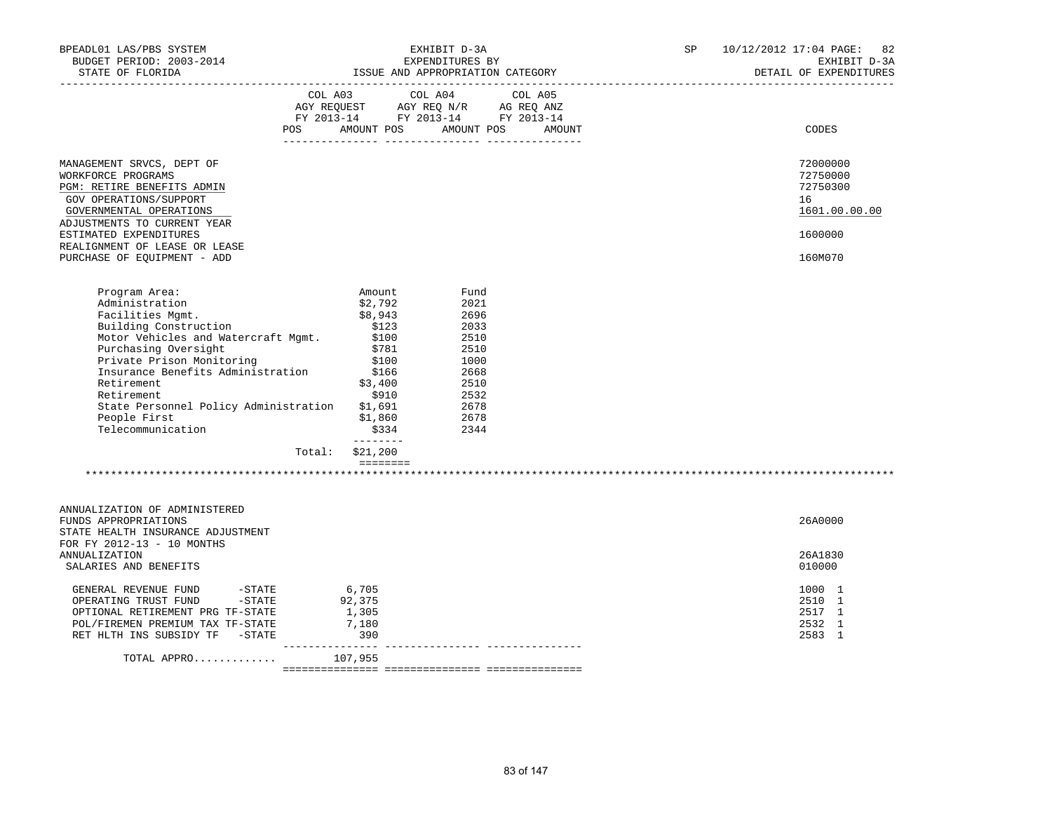| BPEADL01 LAS/PBS SYSTEM<br>BUDGET PERIOD: 2003-2014<br>STATE OF FLORIDA                                                                                                                                                                                                                                                         |                                                                                                                                                                                                                            | EXHIBIT D-3A<br>EXPENDITURES BY<br>ISSUE AND APPROPRIATION CATEGORY                                  | SP | 10/12/2012 17:04 PAGE: 82<br>EXHIBIT D-3A<br>DETAIL OF EXPENDITURES |
|---------------------------------------------------------------------------------------------------------------------------------------------------------------------------------------------------------------------------------------------------------------------------------------------------------------------------------|----------------------------------------------------------------------------------------------------------------------------------------------------------------------------------------------------------------------------|------------------------------------------------------------------------------------------------------|----|---------------------------------------------------------------------|
|                                                                                                                                                                                                                                                                                                                                 | COL A03 COL A04 COL A05<br>AGY REQUEST AGY REQ N/R AG REQ ANZ<br>FY 2013-14 FY 2013-14 FY 2013-14<br>AMOUNT POS<br><b>POS</b>                                                                                              | AMOUNT POS<br>AMOUNT                                                                                 |    | CODES                                                               |
| MANAGEMENT SRVCS, DEPT OF<br>WORKFORCE PROGRAMS<br>PGM: RETIRE BENEFITS ADMIN<br>GOV OPERATIONS/SUPPORT<br>GOVERNMENTAL OPERATIONS<br>ADJUSTMENTS TO CURRENT YEAR<br>ESTIMATED EXPENDITURES                                                                                                                                     |                                                                                                                                                                                                                            |                                                                                                      |    | 72000000<br>72750000<br>72750300<br>16<br>1601.00.00.00<br>1600000  |
| REALIGNMENT OF LEASE OR LEASE<br>PURCHASE OF EQUIPMENT - ADD                                                                                                                                                                                                                                                                    |                                                                                                                                                                                                                            |                                                                                                      |    | 160M070                                                             |
| Program Area:<br>Administration<br>Facilities Mgmt.<br>Building Construction<br>Motor Vehicles and Watercraft Mgmt.<br>rurchasing Oversight<br>Private Prison Monitoring<br>Truc<br>Insurance Benefits Administration<br>Retirement<br>Retirement<br>State Personnel Policy Administration<br>People First<br>Telecommunication | Amount<br>\$2,792<br>\$8,943<br>\$123<br>\$100<br>\$781<br>\$100<br>\$166<br>\$3,400<br>\$910<br>\$1,691<br>\$1,860<br>\$334<br>Total: \$21,200<br>$\begin{array}{cccccccccc} = & = & = & = & = & = & = & = & \end{array}$ | Fund<br>2021<br>2696<br>2033<br>2510<br>2510<br>1000<br>2668<br>2510<br>2532<br>2678<br>2678<br>2344 |    |                                                                     |
| ANNUALIZATION OF ADMINISTERED<br>FUNDS APPROPRIATIONS<br>STATE HEALTH INSURANCE ADJUSTMENT<br>FOR FY 2012-13 - 10 MONTHS<br>ANNUALIZATION                                                                                                                                                                                       |                                                                                                                                                                                                                            |                                                                                                      |    | 26A0000<br>26A1830                                                  |
| SALARIES AND BENEFITS<br>-STATE<br>-STATE<br>GENERAL REVENUE FUND<br>OPERATING TRUST FUND<br>OPTIONAL RETIREMENT PRG TF-STATE<br>POL/FIREMEN PREMIUM TAX TF-STATE<br>RET HLTH INS SUBSIDY TF -STATE<br>TOTAL APPRO                                                                                                              | 6,705<br>92,375<br>1,305<br>7,180<br>390<br>107,955                                                                                                                                                                        |                                                                                                      |    | 010000<br>1000 1<br>2510 1<br>2517 1<br>2532 1<br>2583 1            |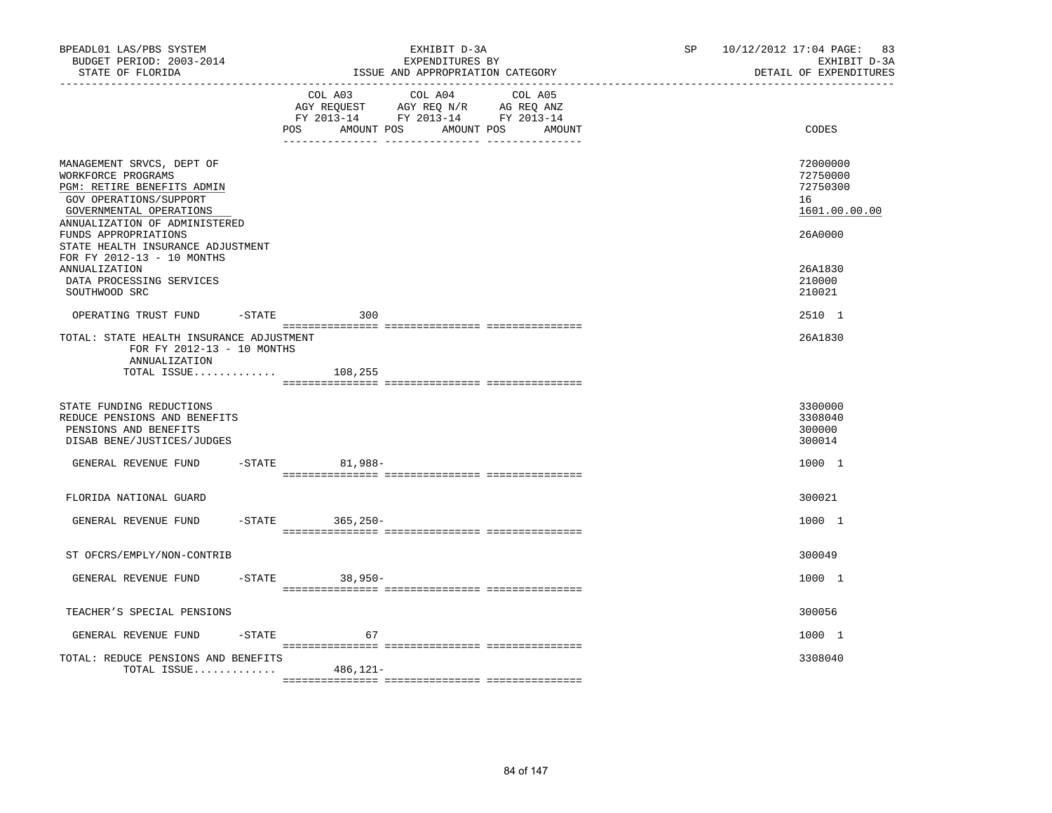| BPEADL01 LAS/PBS SYSTEM<br>BUDGET PERIOD: 2003-2014<br>STATE OF FLORIDA                                                                                             |                          | EXHIBIT D-3A<br>EXPENDITURES BY<br>ISSUE AND APPROPRIATION CATEGORY                                                               | 10/12/2012 17:04 PAGE: 83<br>SP and the set of the set of the set of the set of the set of the set of the set of the set of the set of the set of the set of the set of the set of the set of the set of the set of the set of the set of the set of the se<br>EXHIBIT D-3A<br>DETAIL OF EXPENDITURES |                                                         |
|---------------------------------------------------------------------------------------------------------------------------------------------------------------------|--------------------------|-----------------------------------------------------------------------------------------------------------------------------------|-------------------------------------------------------------------------------------------------------------------------------------------------------------------------------------------------------------------------------------------------------------------------------------------------------|---------------------------------------------------------|
|                                                                                                                                                                     | POS                      | COL A03 COL A04 COL A05<br>AGY REQUEST AGY REQ N/R AG REQ ANZ<br>FY 2013-14 FY 2013-14 FY 2013-14<br>AMOUNT POS AMOUNT POS AMOUNT |                                                                                                                                                                                                                                                                                                       | CODES                                                   |
| MANAGEMENT SRVCS, DEPT OF<br>WORKFORCE PROGRAMS<br>PGM: RETIRE BENEFITS ADMIN<br>GOV OPERATIONS/SUPPORT<br>GOVERNMENTAL OPERATIONS<br>ANNUALIZATION OF ADMINISTERED |                          |                                                                                                                                   |                                                                                                                                                                                                                                                                                                       | 72000000<br>72750000<br>72750300<br>16<br>1601.00.00.00 |
| FUNDS APPROPRIATIONS<br>STATE HEALTH INSURANCE ADJUSTMENT<br>FOR FY 2012-13 - 10 MONTHS<br><b>ANNUALIZATION</b><br>DATA PROCESSING SERVICES<br>SOUTHWOOD SRC        |                          |                                                                                                                                   |                                                                                                                                                                                                                                                                                                       | 26A0000<br>26A1830<br>210000<br>210021                  |
| OPERATING TRUST FUND                                                                                                                                                | $-$ STATE<br>300         |                                                                                                                                   |                                                                                                                                                                                                                                                                                                       | 2510 1                                                  |
| TOTAL: STATE HEALTH INSURANCE ADJUSTMENT<br>FOR FY 2012-13 - 10 MONTHS<br>ANNUALIZATION<br>TOTAL ISSUE $108,255$                                                    |                          |                                                                                                                                   |                                                                                                                                                                                                                                                                                                       | 26A1830                                                 |
| STATE FUNDING REDUCTIONS<br>REDUCE PENSIONS AND BENEFITS<br>PENSIONS AND BENEFITS<br>DISAB BENE/JUSTICES/JUDGES                                                     |                          |                                                                                                                                   |                                                                                                                                                                                                                                                                                                       | 3300000<br>3308040<br>300000<br>300014                  |
| GENERAL REVENUE FUND                                                                                                                                                | $-STATE$<br>81,988-      |                                                                                                                                   |                                                                                                                                                                                                                                                                                                       | 1000 1                                                  |
| FLORIDA NATIONAL GUARD                                                                                                                                              |                          |                                                                                                                                   |                                                                                                                                                                                                                                                                                                       | 300021                                                  |
| GENERAL REVENUE FUND                                                                                                                                                | $-STATE$<br>$365, 250 -$ |                                                                                                                                   |                                                                                                                                                                                                                                                                                                       | 1000 1                                                  |
| ST OFCRS/EMPLY/NON-CONTRIB                                                                                                                                          |                          |                                                                                                                                   |                                                                                                                                                                                                                                                                                                       | 300049                                                  |
| GENERAL REVENUE FUND                                                                                                                                                | 38,950-<br>$-STATE$      |                                                                                                                                   |                                                                                                                                                                                                                                                                                                       | 1000 1                                                  |
| TEACHER'S SPECIAL PENSIONS                                                                                                                                          |                          |                                                                                                                                   |                                                                                                                                                                                                                                                                                                       | 300056                                                  |
| GENERAL REVENUE FUND<br>-STATE                                                                                                                                      | 67                       |                                                                                                                                   |                                                                                                                                                                                                                                                                                                       | 1000 1                                                  |
| TOTAL: REDUCE PENSIONS AND BENEFITS<br>TOTAL ISSUE                                                                                                                  | 486,121-                 |                                                                                                                                   |                                                                                                                                                                                                                                                                                                       | 3308040                                                 |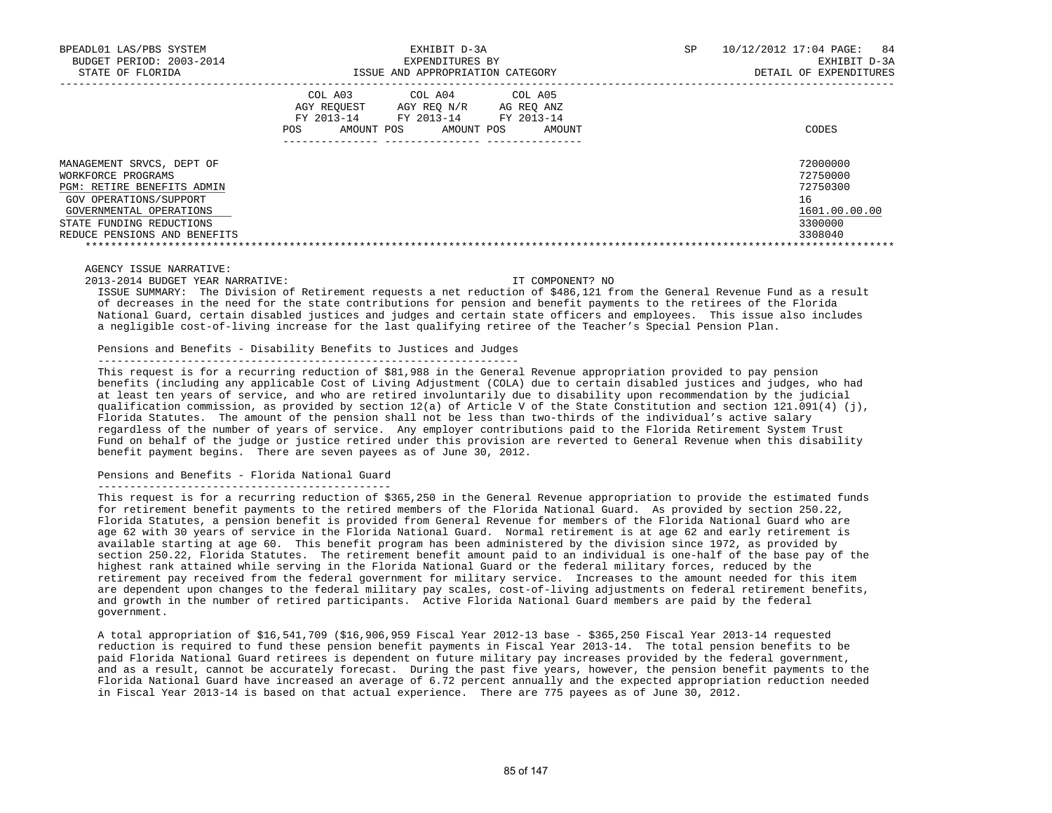| BPEADL01 LAS/PBS SYSTEM<br>BUDGET PERIOD: 2003-2014<br>STATE OF FLORIDA | EXHIBIT D-3A<br>EXPENDITURES BY<br>ISSUE AND APPROPRIATION CATEGORY                                                                                  | 10/12/2012 17:04 PAGE: 84<br>SP.<br>EXHIBIT D-3A<br>DETAIL OF EXPENDITURES |
|-------------------------------------------------------------------------|------------------------------------------------------------------------------------------------------------------------------------------------------|----------------------------------------------------------------------------|
|                                                                         | COL A03<br>COL A04 COL A05<br>AGY REOUEST AGY REO N/R<br>AG REQ ANZ<br>FY 2013-14 FY 2013-14 FY 2013-14<br>AMOUNT POS<br>AMOUNT POS<br>AMOUNT<br>POS | CODES                                                                      |
| MANAGEMENT SRVCS, DEPT OF                                               |                                                                                                                                                      | 72000000                                                                   |
| WORKFORCE PROGRAMS<br>PGM: RETIRE BENEFITS ADMIN                        |                                                                                                                                                      | 72750000<br>72750300                                                       |
| GOV OPERATIONS/SUPPORT                                                  |                                                                                                                                                      | 16                                                                         |
| GOVERNMENTAL OPERATIONS                                                 |                                                                                                                                                      | 1601.00.00.00                                                              |
| STATE FUNDING REDUCTIONS                                                |                                                                                                                                                      | 3300000                                                                    |
| REDUCE PENSIONS AND BENEFITS                                            |                                                                                                                                                      | 3308040                                                                    |
|                                                                         |                                                                                                                                                      |                                                                            |

### AGENCY ISSUE NARRATIVE:

2013-2014 BUDGET YEAR NARRATIVE: IT COMPONENT? NO

 ISSUE SUMMARY: The Division of Retirement requests a net reduction of \$486,121 from the General Revenue Fund as a result of decreases in the need for the state contributions for pension and benefit payments to the retirees of the Florida National Guard, certain disabled justices and judges and certain state officers and employees. This issue also includes a negligible cost-of-living increase for the last qualifying retiree of the Teacher's Special Pension Plan.

### Pensions and Benefits - Disability Benefits to Justices and Judges

------------------------------------------------------------------

 This request is for a recurring reduction of \$81,988 in the General Revenue appropriation provided to pay pension benefits (including any applicable Cost of Living Adjustment (COLA) due to certain disabled justices and judges, who had at least ten years of service, and who are retired involuntarily due to disability upon recommendation by the judicial qualification commission, as provided by section 12(a) of Article V of the State Constitution and section 121.091(4) (j), Florida Statutes. The amount of the pension shall not be less than two-thirds of the individual's active salary regardless of the number of years of service. Any employer contributions paid to the Florida Retirement System Trust Fund on behalf of the judge or justice retired under this provision are reverted to General Revenue when this disability benefit payment begins. There are seven payees as of June 30, 2012.

# Pensions and Benefits - Florida National Guard

----------------------------------------------

This request is for a recurring reduction of \$365,250 in the General Revenue appropriation to provide the estimated funds for retirement benefit payments to the retired members of the Florida National Guard. As provided by section 250.22, Florida Statutes, a pension benefit is provided from General Revenue for members of the Florida National Guard who are age 62 with 30 years of service in the Florida National Guard. Normal retirement is at age 62 and early retirement is available starting at age 60. This benefit program has been administered by the division since 1972, as provided by section 250.22, Florida Statutes. The retirement benefit amount paid to an individual is one-half of the base pay of the highest rank attained while serving in the Florida National Guard or the federal military forces, reduced by the retirement pay received from the federal government for military service. Increases to the amount needed for this item are dependent upon changes to the federal military pay scales, cost-of-living adjustments on federal retirement benefits, and growth in the number of retired participants. Active Florida National Guard members are paid by the federal government.

 A total appropriation of \$16,541,709 (\$16,906,959 Fiscal Year 2012-13 base - \$365,250 Fiscal Year 2013-14 requested reduction is required to fund these pension benefit payments in Fiscal Year 2013-14. The total pension benefits to be paid Florida National Guard retirees is dependent on future military pay increases provided by the federal government, and as a result, cannot be accurately forecast. During the past five years, however, the pension benefit payments to the Florida National Guard have increased an average of 6.72 percent annually and the expected appropriation reduction needed in Fiscal Year 2013-14 is based on that actual experience. There are 775 payees as of June 30, 2012.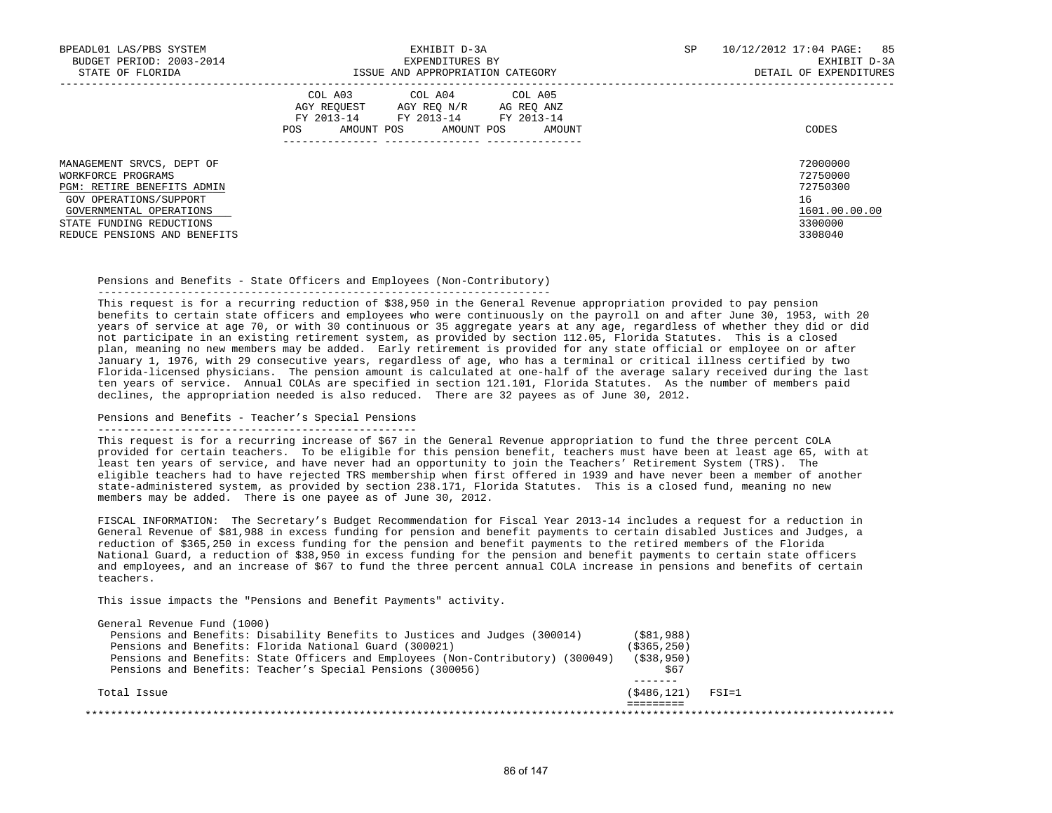| BPEADL01 LAS/PBS SYSTEM<br>BUDGET PERIOD: 2003-2014<br>STATE OF FLORIDA                                                                                                                        | EXHIBIT D-3A<br>EXPENDITURES BY<br>ISSUE AND APPROPRIATION CATEGORY                                                                               | 10/12/2012 17:04 PAGE: 85<br>SP<br>EXHIBIT D-3A<br>DETAIL OF EXPENDITURES     |
|------------------------------------------------------------------------------------------------------------------------------------------------------------------------------------------------|---------------------------------------------------------------------------------------------------------------------------------------------------|-------------------------------------------------------------------------------|
|                                                                                                                                                                                                | COL A03 COL A04 COL A05<br>AGY REOUEST AGY REO N/R AG REO ANZ<br>FY 2013-14<br>FY 2013-14 FY 2013-14<br>AMOUNT POS<br>AMOUNT POS<br>POS<br>AMOUNT | CODES                                                                         |
| MANAGEMENT SRVCS, DEPT OF<br>WORKFORCE PROGRAMS<br>PGM: RETIRE BENEFITS ADMIN<br>GOV OPERATIONS/SUPPORT<br>GOVERNMENTAL OPERATIONS<br>STATE FUNDING REDUCTIONS<br>REDUCE PENSIONS AND BENEFITS |                                                                                                                                                   | 72000000<br>72750000<br>72750300<br>16<br>1601.00.00.00<br>3300000<br>3308040 |

Pensions and Benefits - State Officers and Employees (Non-Contributory)

-----------------------------------------------------------------------

 This request is for a recurring reduction of \$38,950 in the General Revenue appropriation provided to pay pension benefits to certain state officers and employees who were continuously on the payroll on and after June 30, 1953, with 20 years of service at age 70, or with 30 continuous or 35 aggregate years at any age, regardless of whether they did or did not participate in an existing retirement system, as provided by section 112.05, Florida Statutes. This is a closed plan, meaning no new members may be added. Early retirement is provided for any state official or employee on or after January 1, 1976, with 29 consecutive years, regardless of age, who has a terminal or critical illness certified by two Florida-licensed physicians. The pension amount is calculated at one-half of the average salary received during the last ten years of service. Annual COLAs are specified in section 121.101, Florida Statutes. As the number of members paid declines, the appropriation needed is also reduced. There are 32 payees as of June 30, 2012.

# Pensions and Benefits - Teacher's Special Pensions

--------------------------------------------------

 This request is for a recurring increase of \$67 in the General Revenue appropriation to fund the three percent COLA provided for certain teachers. To be eligible for this pension benefit, teachers must have been at least age 65, with at least ten years of service, and have never had an opportunity to join the Teachers' Retirement System (TRS). The eligible teachers had to have rejected TRS membership when first offered in 1939 and have never been a member of another state-administered system, as provided by section 238.171, Florida Statutes. This is a closed fund, meaning no new members may be added. There is one payee as of June 30, 2012.

 FISCAL INFORMATION: The Secretary's Budget Recommendation for Fiscal Year 2013-14 includes a request for a reduction in General Revenue of \$81,988 in excess funding for pension and benefit payments to certain disabled Justices and Judges, a reduction of \$365,250 in excess funding for the pension and benefit payments to the retired members of the Florida National Guard, a reduction of \$38,950 in excess funding for the pension and benefit payments to certain state officers and employees, and an increase of \$67 to fund the three percent annual COLA increase in pensions and benefits of certain teachers.

This issue impacts the "Pensions and Benefit Payments" activity.

| Total Issue                                                                     | (\$486,121)   | $FSI = 1$ |  |
|---------------------------------------------------------------------------------|---------------|-----------|--|
|                                                                                 |               |           |  |
| Pensions and Benefits: Teacher's Special Pensions (300056)                      | \$67          |           |  |
| Pensions and Benefits: State Officers and Employees (Non-Contributory) (300049) | ( \$38, 950)  |           |  |
| Pensions and Benefits: Florida National Guard (300021)                          | ( \$365, 250) |           |  |
| Pensions and Benefits: Disability Benefits to Justices and Judges (300014)      | (S81, 988)    |           |  |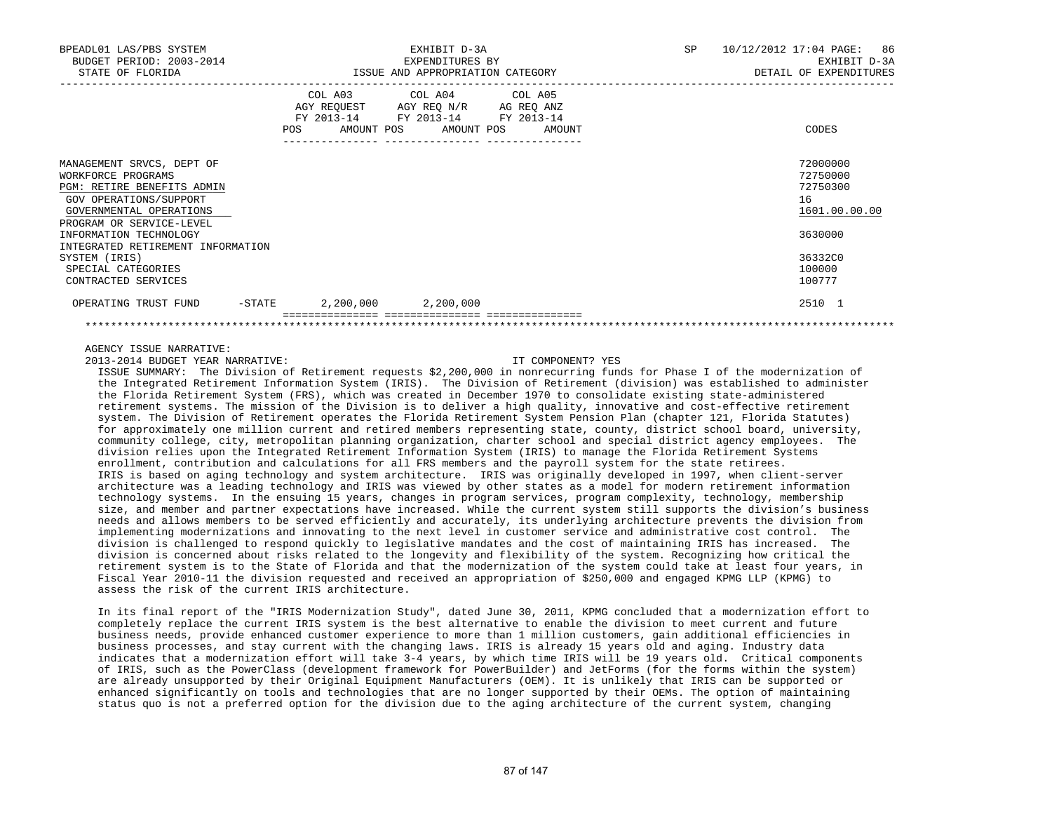| BPEADL01 LAS/PBS SYSTEM<br>BUDGET PERIOD: 2003-2014<br>STATE OF FLORIDA                                                                               |                                                | EXHIBIT D-3A<br>EXPENDITURES BY<br>ISSUE AND APPROPRIATION CATEGORY                                                               | SP | 10/12/2012 17:04 PAGE: 86<br>EXHIBIT D-3A<br>DETAIL OF EXPENDITURES |
|-------------------------------------------------------------------------------------------------------------------------------------------------------|------------------------------------------------|-----------------------------------------------------------------------------------------------------------------------------------|----|---------------------------------------------------------------------|
|                                                                                                                                                       | <b>POS</b><br>--------------- ---------------- | COL A03 COL A04 COL A05<br>AGY REQUEST AGY REO N/R AG REO ANZ<br>FY 2013-14 FY 2013-14 FY 2013-14<br>AMOUNT POS AMOUNT POS AMOUNT |    | CODES                                                               |
| MANAGEMENT SRVCS, DEPT OF<br>WORKFORCE PROGRAMS<br>PGM: RETIRE BENEFITS ADMIN<br>GOV OPERATIONS/SUPPORT<br>GOVERNMENTAL OPERATIONS                    |                                                |                                                                                                                                   |    | 72000000<br>72750000<br>72750300<br>16<br>1601.00.00.00             |
| PROGRAM OR SERVICE-LEVEL<br>INFORMATION TECHNOLOGY<br>INTEGRATED RETIREMENT INFORMATION<br>SYSTEM (IRIS)<br>SPECIAL CATEGORIES<br>CONTRACTED SERVICES |                                                |                                                                                                                                   |    | 3630000<br>36332C0<br>100000<br>100777                              |
| OPERATING TRUST FUND                                                                                                                                  | $-$ STATE 2,200,000 2,200,000                  |                                                                                                                                   |    | 2510 1                                                              |

### AGENCY ISSUE NARRATIVE:

2013-2014 BUDGET YEAR NARRATIVE: IT COMPONENT? YES

 ISSUE SUMMARY: The Division of Retirement requests \$2,200,000 in nonrecurring funds for Phase I of the modernization of the Integrated Retirement Information System (IRIS). The Division of Retirement (division) was established to administer the Florida Retirement System (FRS), which was created in December 1970 to consolidate existing state-administered retirement systems. The mission of the Division is to deliver a high quality, innovative and cost-effective retirement system. The Division of Retirement operates the Florida Retirement System Pension Plan (chapter 121, Florida Statutes) for approximately one million current and retired members representing state, county, district school board, university, community college, city, metropolitan planning organization, charter school and special district agency employees. The division relies upon the Integrated Retirement Information System (IRIS) to manage the Florida Retirement Systems enrollment, contribution and calculations for all FRS members and the payroll system for the state retirees. IRIS is based on aging technology and system architecture. IRIS was originally developed in 1997, when client-server architecture was a leading technology and IRIS was viewed by other states as a model for modern retirement information technology systems. In the ensuing 15 years, changes in program services, program complexity, technology, membership size, and member and partner expectations have increased. While the current system still supports the division's business needs and allows members to be served efficiently and accurately, its underlying architecture prevents the division from implementing modernizations and innovating to the next level in customer service and administrative cost control. The division is challenged to respond quickly to legislative mandates and the cost of maintaining IRIS has increased. The division is concerned about risks related to the longevity and flexibility of the system. Recognizing how critical the retirement system is to the State of Florida and that the modernization of the system could take at least four years, in Fiscal Year 2010-11 the division requested and received an appropriation of \$250,000 and engaged KPMG LLP (KPMG) to assess the risk of the current IRIS architecture.

 In its final report of the "IRIS Modernization Study", dated June 30, 2011, KPMG concluded that a modernization effort to completely replace the current IRIS system is the best alternative to enable the division to meet current and future business needs, provide enhanced customer experience to more than 1 million customers, gain additional efficiencies in business processes, and stay current with the changing laws. IRIS is already 15 years old and aging. Industry data indicates that a modernization effort will take 3-4 years, by which time IRIS will be 19 years old. Critical components of IRIS, such as the PowerClass (development framework for PowerBuilder) and JetForms (for the forms within the system) are already unsupported by their Original Equipment Manufacturers (OEM). It is unlikely that IRIS can be supported or enhanced significantly on tools and technologies that are no longer supported by their OEMs. The option of maintaining status quo is not a preferred option for the division due to the aging architecture of the current system, changing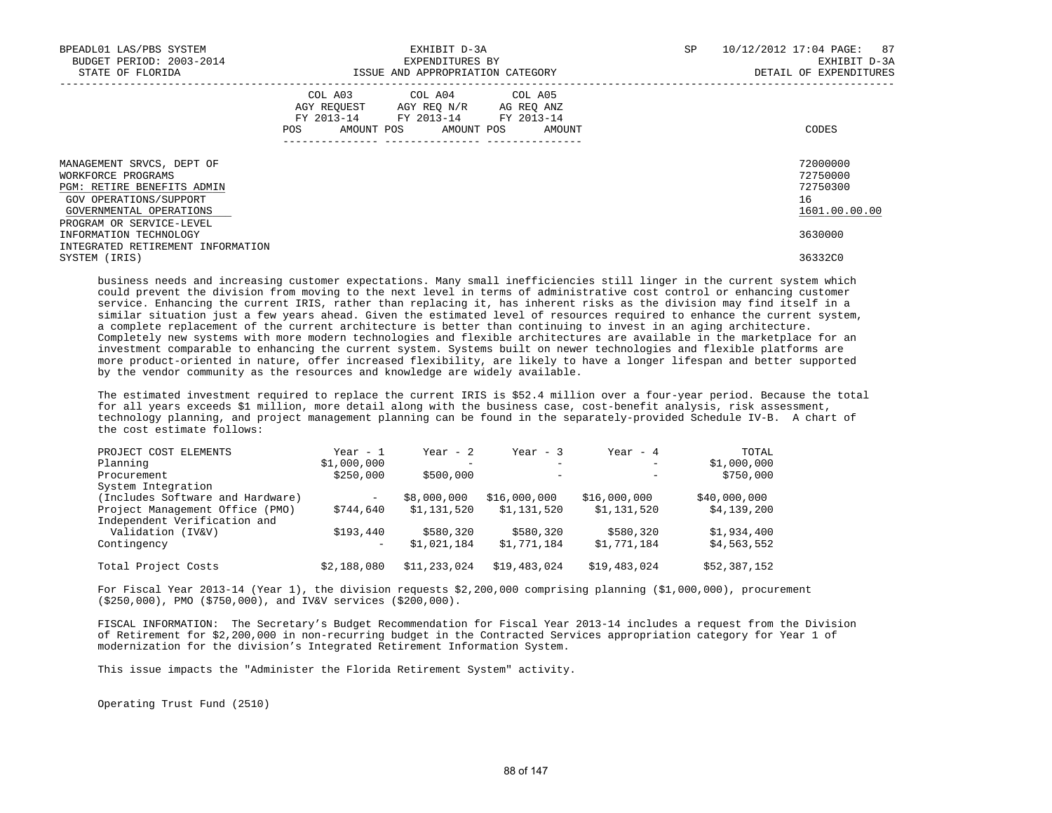| BPEADL01 LAS/PBS SYSTEM<br>BUDGET PERIOD: 2003-2014<br>STATE OF FLORIDA                                                            |                                                                                                                | EXHIBIT D-3A<br>EXPENDITURES BY<br>ISSUE AND APPROPRIATION CATEGORY                                                               | SP | 87<br>10/12/2012 17:04 PAGE:<br>EXHIBIT D-3A<br>DETAIL OF EXPENDITURES |
|------------------------------------------------------------------------------------------------------------------------------------|----------------------------------------------------------------------------------------------------------------|-----------------------------------------------------------------------------------------------------------------------------------|----|------------------------------------------------------------------------|
|                                                                                                                                    | POS FOR THE POST OF THE POST OF THE POST OF THE POST OF THE POST OF THE POST OF THE POST OF THE POST OF THE PO | COL A03 COL A04 COL A05<br>AGY REQUEST AGY REO N/R AG REO ANZ<br>FY 2013-14 FY 2013-14 FY 2013-14<br>AMOUNT POS AMOUNT POS AMOUNT |    | CODES                                                                  |
| MANAGEMENT SRVCS, DEPT OF<br>WORKFORCE PROGRAMS<br>PGM: RETIRE BENEFITS ADMIN<br>GOV OPERATIONS/SUPPORT<br>GOVERNMENTAL OPERATIONS |                                                                                                                |                                                                                                                                   |    | 72000000<br>72750000<br>72750300<br>16<br>1601.00.00.00                |
| PROGRAM OR SERVICE-LEVEL<br>INFORMATION TECHNOLOGY                                                                                 |                                                                                                                |                                                                                                                                   |    | 3630000                                                                |
| INTEGRATED RETIREMENT INFORMATION<br>SYSTEM (IRIS)                                                                                 |                                                                                                                |                                                                                                                                   |    | 36332C0                                                                |

 business needs and increasing customer expectations. Many small inefficiencies still linger in the current system which could prevent the division from moving to the next level in terms of administrative cost control or enhancing customer service. Enhancing the current IRIS, rather than replacing it, has inherent risks as the division may find itself in a similar situation just a few years ahead. Given the estimated level of resources required to enhance the current system, a complete replacement of the current architecture is better than continuing to invest in an aging architecture. Completely new systems with more modern technologies and flexible architectures are available in the marketplace for an investment comparable to enhancing the current system. Systems built on newer technologies and flexible platforms are more product-oriented in nature, offer increased flexibility, are likely to have a longer lifespan and better supported by the vendor community as the resources and knowledge are widely available.

 The estimated investment required to replace the current IRIS is \$52.4 million over a four-year period. Because the total for all years exceeds \$1 million, more detail along with the business case, cost-benefit analysis, risk assessment, technology planning, and project management planning can be found in the separately-provided Schedule IV-B. A chart of the cost estimate follows:

| PROJECT COST ELEMENTS            | Year - 1          | Year - $2$   | Year - $3$               | Year - $4$        | TOTAL        |
|----------------------------------|-------------------|--------------|--------------------------|-------------------|--------------|
| Planning                         | \$1,000,000       | -            | $\overline{\phantom{0}}$ | $\qquad \qquad -$ | \$1,000,000  |
| Procurement                      | \$250,000         | \$500,000    | $\qquad \qquad -$        | $\qquad \qquad -$ | \$750,000    |
| System Integration               |                   |              |                          |                   |              |
| (Includes Software and Hardware) | $\qquad \qquad -$ | \$8,000,000  | \$16,000,000             | \$16,000,000      | \$40,000,000 |
| Project Management Office (PMO)  | \$744,640         | \$1,131,520  | \$1,131,520              | \$1,131,520       | \$4,139,200  |
| Independent Verification and     |                   |              |                          |                   |              |
| Validation (IV&V)                | \$193,440         | \$580,320    | \$580,320                | \$580,320         | \$1,934,400  |
| Contingency                      | $\qquad \qquad -$ | \$1,021,184  | \$1,771,184              | \$1,771,184       | \$4,563,552  |
| Total Project Costs              | \$2,188,080       | \$11,233,024 | \$19,483,024             | \$19,483,024      | \$52,387,152 |

 For Fiscal Year 2013-14 (Year 1), the division requests \$2,200,000 comprising planning (\$1,000,000), procurement (\$250,000), PMO (\$750,000), and IV&V services (\$200,000).

 FISCAL INFORMATION: The Secretary's Budget Recommendation for Fiscal Year 2013-14 includes a request from the Division of Retirement for \$2,200,000 in non-recurring budget in the Contracted Services appropriation category for Year 1 of modernization for the division's Integrated Retirement Information System.

This issue impacts the "Administer the Florida Retirement System" activity.

Operating Trust Fund (2510)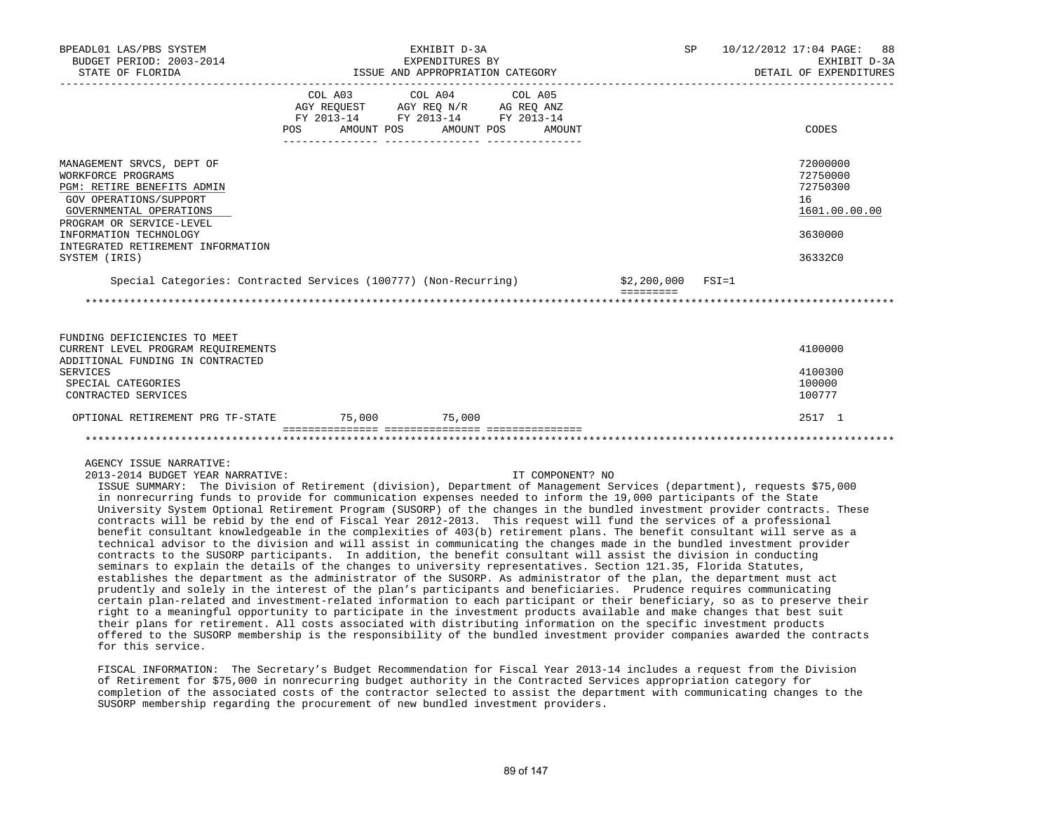| BPEADL01 LAS/PBS SYSTEM<br>BUDGET PERIOD: 2003-2014                                                                                                                                                                                                                                                                                                                                                                                |                                                                                                                                                                              | EXHIBIT D-3A<br>EXPENDITURES BY |                  |                                       | SP 10/12/2012 17:04 PAGE: 88<br>EXHIBIT D-3A                                  |
|------------------------------------------------------------------------------------------------------------------------------------------------------------------------------------------------------------------------------------------------------------------------------------------------------------------------------------------------------------------------------------------------------------------------------------|------------------------------------------------------------------------------------------------------------------------------------------------------------------------------|---------------------------------|------------------|---------------------------------------|-------------------------------------------------------------------------------|
| STATE OF FLORIDA                                                                                                                                                                                                                                                                                                                                                                                                                   | ISSUE AND APPROPRIATION CATEGORY                                                                                                                                             |                                 |                  |                                       | DETAIL OF EXPENDITURES                                                        |
|                                                                                                                                                                                                                                                                                                                                                                                                                                    | $\begin{tabular}{lcccc} COL A03 & COL A04 & COL A05 \\ AGY REQUEST & AGY REQ N/R & AG REQ ANZ \\ FY & 2013-14 & FY & 2013-14 & FY & 2013-14 \end{tabular}$<br>POS AMOUNT POS | AMOUNT POS                      | AMOUNT           |                                       | CODES                                                                         |
| MANAGEMENT SRVCS, DEPT OF<br>WORKFORCE PROGRAMS<br>PGM: RETIRE BENEFITS ADMIN<br>GOV OPERATIONS/SUPPORT<br>GOVERNMENTAL OPERATIONS<br>PROGRAM OR SERVICE-LEVEL<br>INFORMATION TECHNOLOGY<br>INTEGRATED RETIREMENT INFORMATION<br>SYSTEM (IRIS)                                                                                                                                                                                     |                                                                                                                                                                              |                                 |                  |                                       | 72000000<br>72750000<br>72750300<br>16<br>1601.00.00.00<br>3630000<br>36332C0 |
| Special Categories: Contracted Services (100777) (Non-Recurring)                                                                                                                                                                                                                                                                                                                                                                   |                                                                                                                                                                              |                                 |                  | \$2,200,000 FSI=1<br><b>EEEEEEEEE</b> |                                                                               |
|                                                                                                                                                                                                                                                                                                                                                                                                                                    |                                                                                                                                                                              |                                 |                  |                                       |                                                                               |
| FUNDING DEFICIENCIES TO MEET<br>CURRENT LEVEL PROGRAM REQUIREMENTS<br>ADDITIONAL FUNDING IN CONTRACTED<br><b>SERVICES</b><br>SPECIAL CATEGORIES<br>CONTRACTED SERVICES                                                                                                                                                                                                                                                             |                                                                                                                                                                              |                                 |                  |                                       | 4100000<br>4100300<br>100000<br>100777                                        |
| OPTIONAL RETIREMENT PRG TF-STATE 75,000 75,000                                                                                                                                                                                                                                                                                                                                                                                     |                                                                                                                                                                              |                                 |                  |                                       | 2517 1                                                                        |
|                                                                                                                                                                                                                                                                                                                                                                                                                                    |                                                                                                                                                                              |                                 |                  |                                       |                                                                               |
| AGENCY ISSUE NARRATIVE:<br>2013-2014 BUDGET YEAR NARRATIVE:<br>ISSUE SUMMARY: The Division of Retirement (division), Department of Management Services (department), requests \$75,000<br>in nonrecurring funds to provide for communication expenses needed to inform the 19,000 participants of the State<br>the consider and activities are an annual attack of the shores in the holding incentive consider the control of the |                                                                                                                                                                              |                                 | IT COMPONENT? NO |                                       |                                                                               |

 University System Optional Retirement Program (SUSORP) of the changes in the bundled investment provider contracts. These contracts will be rebid by the end of Fiscal Year 2012-2013. This request will fund the services of a professional benefit consultant knowledgeable in the complexities of 403(b) retirement plans. The benefit consultant will serve as a technical advisor to the division and will assist in communicating the changes made in the bundled investment provider contracts to the SUSORP participants. In addition, the benefit consultant will assist the division in conducting seminars to explain the details of the changes to university representatives. Section 121.35, Florida Statutes, establishes the department as the administrator of the SUSORP. As administrator of the plan, the department must act prudently and solely in the interest of the plan's participants and beneficiaries. Prudence requires communicating certain plan-related and investment-related information to each participant or their beneficiary, so as to preserve their right to a meaningful opportunity to participate in the investment products available and make changes that best suit their plans for retirement. All costs associated with distributing information on the specific investment products offered to the SUSORP membership is the responsibility of the bundled investment provider companies awarded the contracts for this service.

 FISCAL INFORMATION: The Secretary's Budget Recommendation for Fiscal Year 2013-14 includes a request from the Division of Retirement for \$75,000 in nonrecurring budget authority in the Contracted Services appropriation category for completion of the associated costs of the contractor selected to assist the department with communicating changes to the SUSORP membership regarding the procurement of new bundled investment providers.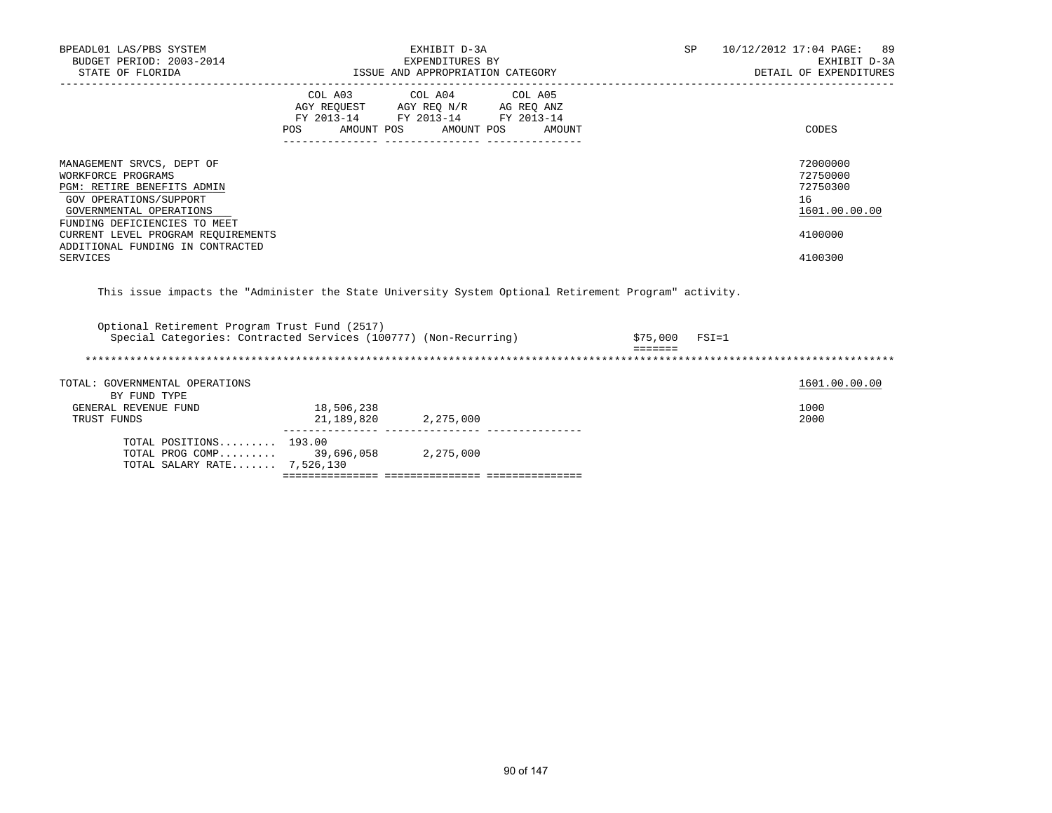| BPEADL01 LAS/PBS SYSTEM<br>BUDGET PERIOD: 2003-2014<br>STATE OF FLORIDA                                                                                                                                                                                         |                          | EXHIBIT D-3A<br>EXPENDITURES BY<br>ISSUE AND APPROPRIATION CATEGORY                                                                                                                                                                                                                                                                                                                                                                                                           | SP | 10/12/2012 17:04 PAGE: 89<br>EXHIBIT D-3A<br>DETAIL OF EXPENDITURES           |
|-----------------------------------------------------------------------------------------------------------------------------------------------------------------------------------------------------------------------------------------------------------------|--------------------------|-------------------------------------------------------------------------------------------------------------------------------------------------------------------------------------------------------------------------------------------------------------------------------------------------------------------------------------------------------------------------------------------------------------------------------------------------------------------------------|----|-------------------------------------------------------------------------------|
|                                                                                                                                                                                                                                                                 | POS                      | COL A03 COL A04 COL A05<br>$\begin{tabular}{lllllll} \multicolumn{2}{l}{{\small\mbox{\texttt{AGY}}}} & $\mathrm{REQUM} & $\mathrm{CC} & $\mathrm{N}\cap\mathrm{N}$ & $\mathrm{AG} \to \mathrm{EC} \\ \multicolumn{2}{l}{\small\mbox{\texttt{AGY}}}} & $\mathrm{REQUM} & $\mathrm{RC} \to \mathrm{NC} \\ \multicolumn{2}{l}{\small\mbox{\texttt{FY}}} & 2013-14 & $\mathrm{FY} \text{ } 2013-14 & $\mathrm{FY} \text{ } 2013-14 \end{tabular}$<br>AMOUNT POS AMOUNT POS AMOUNT |    | CODES                                                                         |
| MANAGEMENT SRVCS, DEPT OF<br>WORKFORCE PROGRAMS<br>PGM: RETIRE BENEFITS ADMIN<br>GOV OPERATIONS/SUPPORT<br>GOVERNMENTAL OPERATIONS<br>FUNDING DEFICIENCIES TO MEET<br>CURRENT LEVEL PROGRAM REQUIREMENTS<br>ADDITIONAL FUNDING IN CONTRACTED<br><b>SERVICES</b> |                          |                                                                                                                                                                                                                                                                                                                                                                                                                                                                               |    | 72000000<br>72750000<br>72750300<br>16<br>1601.00.00.00<br>4100000<br>4100300 |
| This issue impacts the "Administer the State University System Optional Retirement Program" activity.                                                                                                                                                           |                          |                                                                                                                                                                                                                                                                                                                                                                                                                                                                               |    |                                                                               |
| Optional Retirement Program Trust Fund (2517)                                                                                                                                                                                                                   |                          | Special Categories: Contracted Services (100777) (Non-Recurring) 575,000                                                                                                                                                                                                                                                                                                                                                                                                      |    | $FSI=1$                                                                       |
| TOTAL: GOVERNMENTAL OPERATIONS<br>BY FUND TYPE                                                                                                                                                                                                                  |                          |                                                                                                                                                                                                                                                                                                                                                                                                                                                                               |    | 1601.00.00.00                                                                 |
| GENERAL REVENUE FUND<br>TRUST FUNDS                                                                                                                                                                                                                             | 18,506,238<br>21,189,820 | 2,275,000                                                                                                                                                                                                                                                                                                                                                                                                                                                                     |    | 1000<br>2000                                                                  |
| TOTAL POSITIONS $193.00$<br>TOTAL PROG COMP 39,696,058 2,275,000<br>TOTAL SALARY RATE 7,526,130                                                                                                                                                                 |                          |                                                                                                                                                                                                                                                                                                                                                                                                                                                                               |    |                                                                               |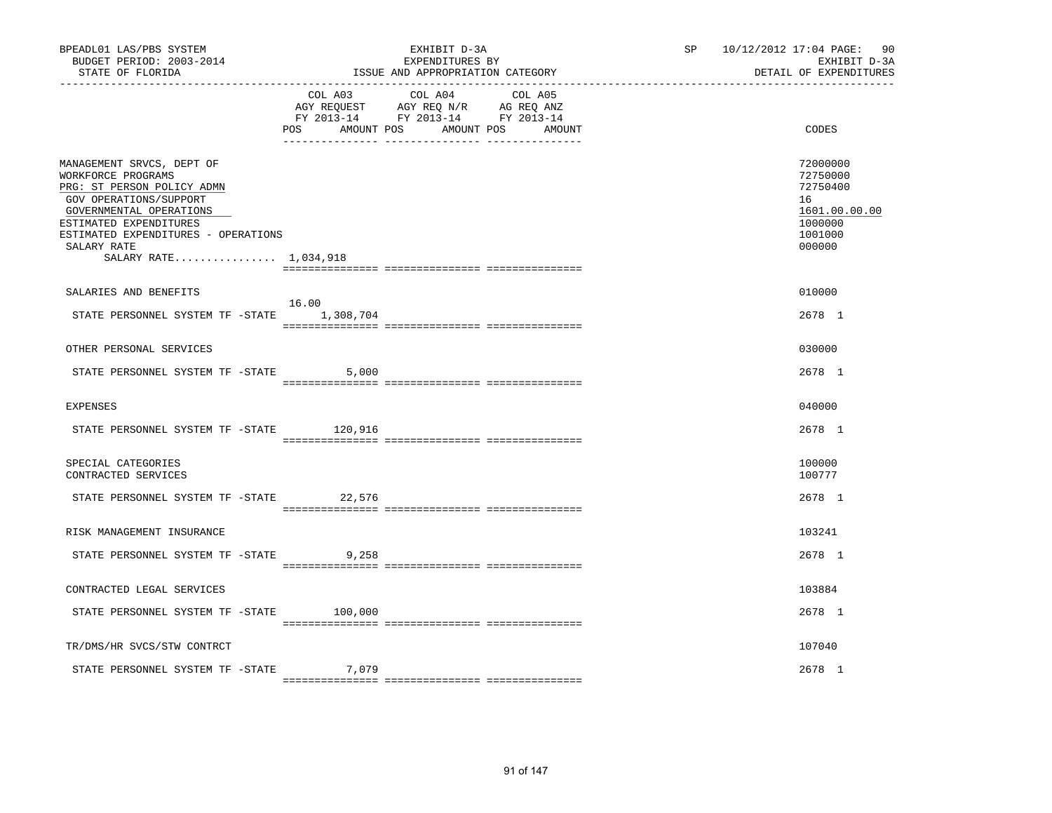| BPEADL01 LAS/PBS SYSTEM<br>BUDGET PERIOD: 2003-2014<br>STATE OF FLORIDA                                                                                                                                                                     |                   | EXHIBIT D-3A<br>EXPENDITURES BY<br>ISSUE AND APPROPRIATION CATEGORY                                                    | SP 10/12/2012 17:04 PAGE: 90<br>EXHIBIT D-3A<br>DETAIL OF EXPENDITURES |                                                                                         |
|---------------------------------------------------------------------------------------------------------------------------------------------------------------------------------------------------------------------------------------------|-------------------|------------------------------------------------------------------------------------------------------------------------|------------------------------------------------------------------------|-----------------------------------------------------------------------------------------|
|                                                                                                                                                                                                                                             | POS<br>AMOUNT POS | COL A03 COL A04 COL A05<br>AGY REQUEST AGY REQ N/R AG REQ ANZ<br>FY 2013-14 FY 2013-14 FY 2013-14<br>AMOUNT POS AMOUNT |                                                                        | CODES                                                                                   |
| MANAGEMENT SRVCS, DEPT OF<br>WORKFORCE PROGRAMS<br>PRG: ST PERSON POLICY ADMN<br>GOV OPERATIONS/SUPPORT<br>GOVERNMENTAL OPERATIONS<br>ESTIMATED EXPENDITURES<br>ESTIMATED EXPENDITURES - OPERATIONS<br>SALARY RATE<br>SALARY RATE 1,034,918 |                   |                                                                                                                        |                                                                        | 72000000<br>72750000<br>72750400<br>16<br>1601.00.00.00<br>1000000<br>1001000<br>000000 |
| SALARIES AND BENEFITS                                                                                                                                                                                                                       |                   |                                                                                                                        |                                                                        | 010000                                                                                  |
| STATE PERSONNEL SYSTEM TF -STATE 1,308,704                                                                                                                                                                                                  | 16.00             |                                                                                                                        |                                                                        | 2678 1                                                                                  |
| OTHER PERSONAL SERVICES                                                                                                                                                                                                                     |                   |                                                                                                                        |                                                                        | 030000                                                                                  |
| STATE PERSONNEL SYSTEM TF -STATE                                                                                                                                                                                                            | 5,000             |                                                                                                                        |                                                                        | 2678 1                                                                                  |
| <b>EXPENSES</b>                                                                                                                                                                                                                             |                   |                                                                                                                        |                                                                        | 040000                                                                                  |
| STATE PERSONNEL SYSTEM TF -STATE                                                                                                                                                                                                            | 120,916           |                                                                                                                        |                                                                        | 2678 1                                                                                  |
| SPECIAL CATEGORIES<br>CONTRACTED SERVICES                                                                                                                                                                                                   |                   |                                                                                                                        |                                                                        | 100000<br>100777                                                                        |
| STATE PERSONNEL SYSTEM TF -STATE                                                                                                                                                                                                            | 22,576            |                                                                                                                        |                                                                        | 2678 1                                                                                  |
| RISK MANAGEMENT INSURANCE                                                                                                                                                                                                                   |                   |                                                                                                                        |                                                                        | 103241                                                                                  |
| STATE PERSONNEL SYSTEM TF -STATE                                                                                                                                                                                                            | 9,258             |                                                                                                                        |                                                                        | 2678 1                                                                                  |
| CONTRACTED LEGAL SERVICES                                                                                                                                                                                                                   |                   |                                                                                                                        |                                                                        | 103884                                                                                  |
| STATE PERSONNEL SYSTEM TF -STATE 100,000                                                                                                                                                                                                    |                   |                                                                                                                        |                                                                        | 2678 1                                                                                  |
| TR/DMS/HR SVCS/STW CONTRCT                                                                                                                                                                                                                  |                   |                                                                                                                        |                                                                        | 107040                                                                                  |
| STATE PERSONNEL SYSTEM TF -STATE                                                                                                                                                                                                            | 7,079             |                                                                                                                        |                                                                        | 2678 1                                                                                  |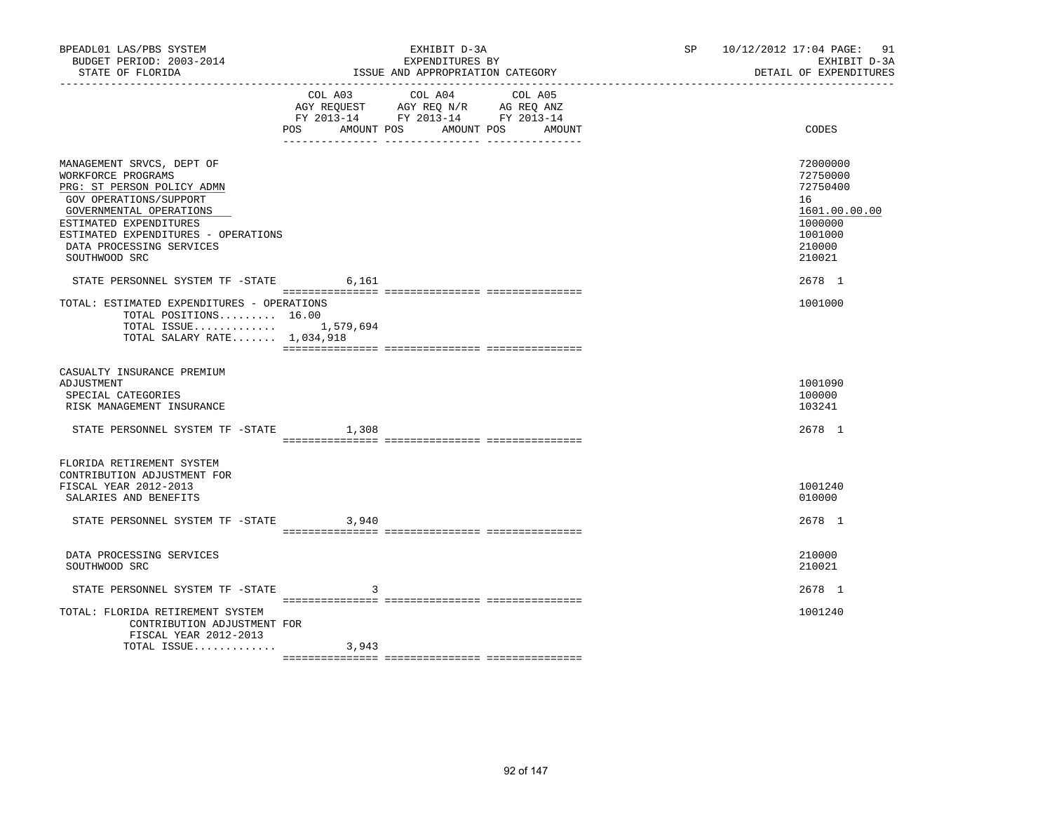| BPEADL01 LAS/PBS SYSTEM<br>BUDGET PERIOD: 2003-2014<br>STATE OF FLORIDA                                                                                                                                                                                                              |       | EXHIBIT D-3A<br>EXPENDITURES BY<br>ISSUE AND APPROPRIATION CATEGORY<br>----------------------------------                                | SP <sub>2</sub><br>10/12/2012 17:04 PAGE: 91<br>EXHIBIT D-3A<br>DETAIL OF EXPENDITURES |                                                                                                             |  |
|--------------------------------------------------------------------------------------------------------------------------------------------------------------------------------------------------------------------------------------------------------------------------------------|-------|------------------------------------------------------------------------------------------------------------------------------------------|----------------------------------------------------------------------------------------|-------------------------------------------------------------------------------------------------------------|--|
|                                                                                                                                                                                                                                                                                      |       | COL A03 COL A04<br>COL A05<br>AGY REQUEST AGY REQ N/R AG REQ ANZ<br>FY 2013-14 FY 2013-14 FY 2013-14<br>POS AMOUNT POS AMOUNT POS AMOUNT |                                                                                        | CODES                                                                                                       |  |
| MANAGEMENT SRVCS, DEPT OF<br>WORKFORCE PROGRAMS<br>PRG: ST PERSON POLICY ADMN<br>GOV OPERATIONS/SUPPORT<br>GOVERNMENTAL OPERATIONS<br>ESTIMATED EXPENDITURES<br>ESTIMATED EXPENDITURES - OPERATIONS<br>DATA PROCESSING SERVICES<br>SOUTHWOOD SRC<br>STATE PERSONNEL SYSTEM TF -STATE | 6,161 |                                                                                                                                          |                                                                                        | 72000000<br>72750000<br>72750400<br>16<br>1601.00.00.00<br>1000000<br>1001000<br>210000<br>210021<br>2678 1 |  |
| TOTAL: ESTIMATED EXPENDITURES - OPERATIONS<br>TOTAL POSITIONS 16.00<br>TOTAL ISSUE 1,579,694<br>TOTAL SALARY RATE $1,034,918$                                                                                                                                                        |       |                                                                                                                                          |                                                                                        | 1001000                                                                                                     |  |
| CASUALTY INSURANCE PREMIUM<br>ADJUSTMENT<br>SPECIAL CATEGORIES<br>RISK MANAGEMENT INSURANCE                                                                                                                                                                                          |       |                                                                                                                                          |                                                                                        | 1001090<br>100000<br>103241                                                                                 |  |
| STATE PERSONNEL SYSTEM TF -STATE                                                                                                                                                                                                                                                     | 1,308 |                                                                                                                                          |                                                                                        | 2678 1                                                                                                      |  |
| FLORIDA RETIREMENT SYSTEM<br>CONTRIBUTION ADJUSTMENT FOR<br>FISCAL YEAR 2012-2013<br>SALARIES AND BENEFITS<br>STATE PERSONNEL SYSTEM TF -STATE 3,940                                                                                                                                 |       |                                                                                                                                          |                                                                                        | 1001240<br>010000<br>2678 1                                                                                 |  |
| DATA PROCESSING SERVICES<br>SOUTHWOOD SRC                                                                                                                                                                                                                                            |       |                                                                                                                                          |                                                                                        | 210000<br>210021                                                                                            |  |
| STATE PERSONNEL SYSTEM TF -STATE                                                                                                                                                                                                                                                     | 3     |                                                                                                                                          |                                                                                        | 2678 1                                                                                                      |  |
| TOTAL: FLORIDA RETIREMENT SYSTEM<br>CONTRIBUTION ADJUSTMENT FOR<br>FISCAL YEAR 2012-2013                                                                                                                                                                                             |       |                                                                                                                                          |                                                                                        | 1001240                                                                                                     |  |
| TOTAL ISSUE                                                                                                                                                                                                                                                                          | 3,943 |                                                                                                                                          |                                                                                        |                                                                                                             |  |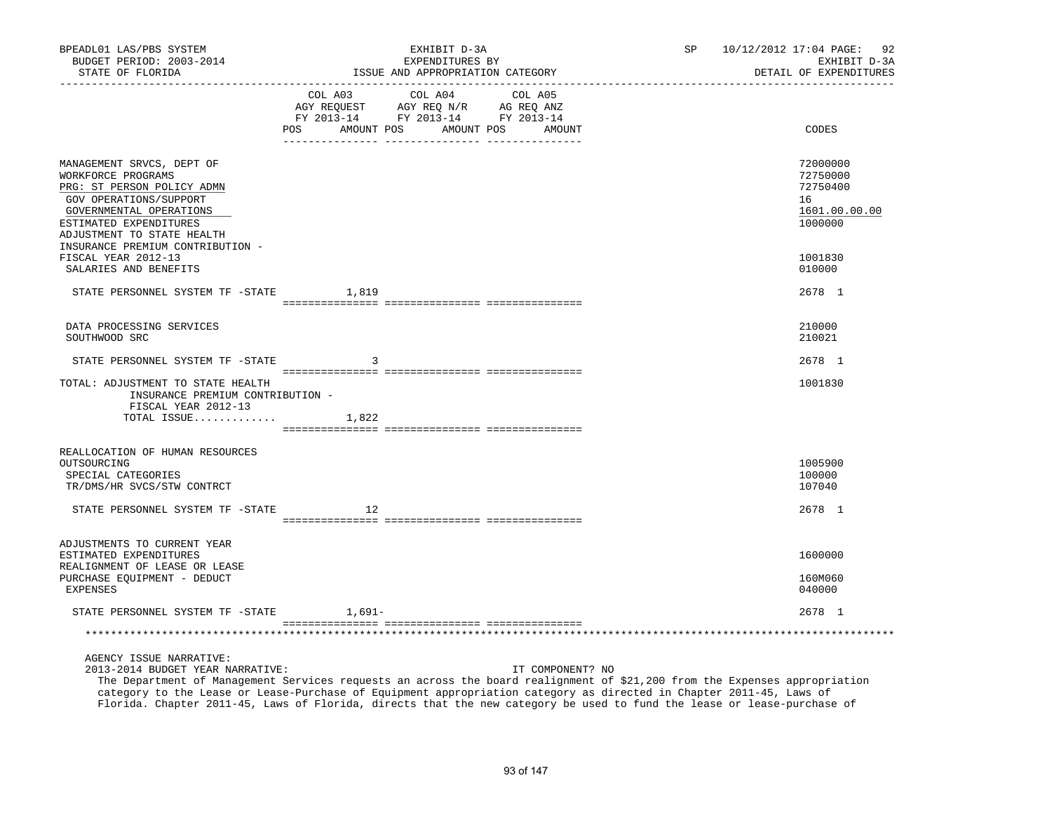| BPEADL01 LAS/PBS SYSTEM<br>BUDGET PERIOD: 2003-2014<br>STATE OF FLORIDA                                                                                                                    |        | EXHIBIT D-3A<br>EXPENDITURES BY<br>ISSUE AND APPROPRIATION CATEGORY                                                                   | SP | 10/12/2012 17:04 PAGE: 92<br>EXHIBIT D-3A<br>DETAIL OF EXPENDITURES |
|--------------------------------------------------------------------------------------------------------------------------------------------------------------------------------------------|--------|---------------------------------------------------------------------------------------------------------------------------------------|----|---------------------------------------------------------------------|
| . _ _ _ _ _ _ _ _ _ _ _ _ _ _ _                                                                                                                                                            |        | COL A03 COL A04 COL A05<br>AGY REQUEST AGY REQ N/R AG REQ ANZ<br>FY 2013-14 FY 2013-14 FY 2013-14<br>POS AMOUNT POS AMOUNT POS AMOUNT |    | CODES                                                               |
|                                                                                                                                                                                            |        |                                                                                                                                       |    |                                                                     |
| MANAGEMENT SRVCS, DEPT OF<br>WORKFORCE PROGRAMS<br>PRG: ST PERSON POLICY ADMN<br>GOV OPERATIONS/SUPPORT<br>GOVERNMENTAL OPERATIONS<br>ESTIMATED EXPENDITURES<br>ADJUSTMENT TO STATE HEALTH |        |                                                                                                                                       |    | 72000000<br>72750000<br>72750400<br>16<br>1601.00.00.00<br>1000000  |
| INSURANCE PREMIUM CONTRIBUTION -<br>FISCAL YEAR 2012-13<br>SALARIES AND BENEFITS                                                                                                           |        |                                                                                                                                       |    | 1001830<br>010000                                                   |
| STATE PERSONNEL SYSTEM TF -STATE 1,819                                                                                                                                                     |        |                                                                                                                                       |    | 2678 1                                                              |
| DATA PROCESSING SERVICES<br>SOUTHWOOD SRC                                                                                                                                                  |        |                                                                                                                                       |    | 210000<br>210021                                                    |
| STATE PERSONNEL SYSTEM TF -STATE                                                                                                                                                           | 3      |                                                                                                                                       |    | 2678 1                                                              |
| TOTAL: ADJUSTMENT TO STATE HEALTH<br>INSURANCE PREMIUM CONTRIBUTION -<br>FISCAL YEAR 2012-13                                                                                               |        |                                                                                                                                       |    | 1001830                                                             |
| TOTAL ISSUE $1,822$                                                                                                                                                                        |        |                                                                                                                                       |    |                                                                     |
| REALLOCATION OF HUMAN RESOURCES<br>OUTSOURCING<br>SPECIAL CATEGORIES<br>TR/DMS/HR SVCS/STW CONTRCT                                                                                         |        |                                                                                                                                       |    | 1005900<br>100000<br>107040                                         |
| STATE PERSONNEL SYSTEM TF -STATE                                                                                                                                                           | 12     |                                                                                                                                       |    | 2678 1                                                              |
| ADJUSTMENTS TO CURRENT YEAR                                                                                                                                                                |        |                                                                                                                                       |    |                                                                     |
| ESTIMATED EXPENDITURES<br>REALIGNMENT OF LEASE OR LEASE                                                                                                                                    |        |                                                                                                                                       |    | 1600000                                                             |
| PURCHASE EQUIPMENT - DEDUCT<br>EXPENSES                                                                                                                                                    |        |                                                                                                                                       |    | 160M060<br>040000                                                   |
| STATE PERSONNEL SYSTEM TF -STATE                                                                                                                                                           | 1,691– |                                                                                                                                       |    | 2678 1                                                              |
|                                                                                                                                                                                            |        |                                                                                                                                       |    |                                                                     |
| AGENCY ISSUE NARRATIVE:<br>2013-2014 BUDGET YEAR NARRATIVE:                                                                                                                                |        | IT COMPONENT? NO                                                                                                                      |    |                                                                     |

 The Department of Management Services requests an across the board realignment of \$21,200 from the Expenses appropriation category to the Lease or Lease-Purchase of Equipment appropriation category as directed in Chapter 2011-45, Laws of Florida. Chapter 2011-45, Laws of Florida, directs that the new category be used to fund the lease or lease-purchase of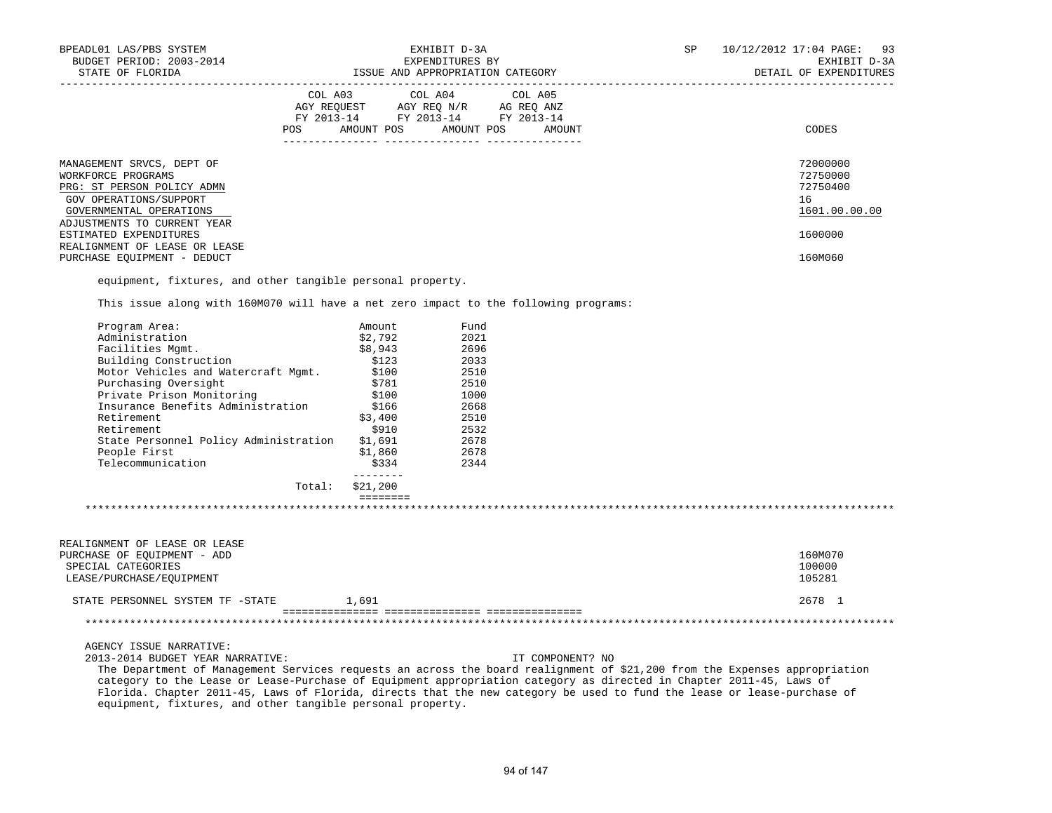| BPEADL01 LAS/PBS SYSTEM<br>BUDGET PERIOD: 2003-2014<br>STATE OF FLORIDA                                                                                                                                                                        |                                                                        | ISSUE AND APPROPRIATION CATEGORY | EXHIBIT D-3A<br>EXPENDITURES BY |                  | SP |                              | 10/12/2012 17:04 PAGE: 93<br>EXHIBIT D-3A<br>DETAIL OF EXPENDITURES |
|------------------------------------------------------------------------------------------------------------------------------------------------------------------------------------------------------------------------------------------------|------------------------------------------------------------------------|----------------------------------|---------------------------------|------------------|----|------------------------------|---------------------------------------------------------------------|
|                                                                                                                                                                                                                                                | COL A03 COL A04 COL A05                                                |                                  |                                 |                  |    | ____________________________ |                                                                     |
|                                                                                                                                                                                                                                                | AGY REQUEST AGY REQ N/R AG REQ ANZ<br>FY 2013-14 FY 2013-14 FY 2013-14 |                                  |                                 |                  |    |                              |                                                                     |
|                                                                                                                                                                                                                                                | POS AMOUNT POS AMOUNT POS AMOUNT                                       |                                  |                                 |                  |    |                              | CODES                                                               |
| MANAGEMENT SRVCS, DEPT OF                                                                                                                                                                                                                      |                                                                        |                                  |                                 |                  |    |                              | 72000000                                                            |
| WORKFORCE PROGRAMS                                                                                                                                                                                                                             |                                                                        |                                  |                                 |                  |    |                              | 72750000                                                            |
| PRG: ST PERSON POLICY ADMN                                                                                                                                                                                                                     |                                                                        |                                  |                                 |                  |    |                              | 72750400                                                            |
| GOV OPERATIONS/SUPPORT                                                                                                                                                                                                                         |                                                                        |                                  |                                 |                  |    |                              | 16                                                                  |
| GOVERNMENTAL OPERATIONS                                                                                                                                                                                                                        |                                                                        |                                  |                                 |                  |    |                              | 1601.00.00.00                                                       |
| ADJUSTMENTS TO CURRENT YEAR                                                                                                                                                                                                                    |                                                                        |                                  |                                 |                  |    |                              |                                                                     |
| ESTIMATED EXPENDITURES                                                                                                                                                                                                                         |                                                                        |                                  |                                 |                  |    |                              | 1600000                                                             |
| REALIGNMENT OF LEASE OR LEASE                                                                                                                                                                                                                  |                                                                        |                                  |                                 |                  |    |                              |                                                                     |
| PURCHASE EQUIPMENT - DEDUCT                                                                                                                                                                                                                    |                                                                        |                                  |                                 |                  |    |                              | 160M060                                                             |
| equipment, fixtures, and other tangible personal property.                                                                                                                                                                                     |                                                                        |                                  |                                 |                  |    |                              |                                                                     |
| This issue along with 160M070 will have a net zero impact to the following programs:                                                                                                                                                           |                                                                        |                                  |                                 |                  |    |                              |                                                                     |
| Program Area:                                                                                                                                                                                                                                  | Amount                                                                 |                                  | Fund                            |                  |    |                              |                                                                     |
| Administration                                                                                                                                                                                                                                 | \$2,792                                                                |                                  | 2021                            |                  |    |                              |                                                                     |
| Facilities Mgmt.                                                                                                                                                                                                                               | \$8,943                                                                |                                  | 2696                            |                  |    |                              |                                                                     |
| Building Construction                                                                                                                                                                                                                          | \$123                                                                  |                                  | 2033                            |                  |    |                              |                                                                     |
| Motor Vehicles and Watercraft Mgmt.                                                                                                                                                                                                            | \$100                                                                  |                                  | 2510                            |                  |    |                              |                                                                     |
| Purchasing Oversight                                                                                                                                                                                                                           | \$781                                                                  |                                  | 2510                            |                  |    |                              |                                                                     |
| Private Prison Monitoring                                                                                                                                                                                                                      | \$100<br>\$166                                                         |                                  | 1000                            |                  |    |                              |                                                                     |
| Insurance Benefits Administration                                                                                                                                                                                                              |                                                                        |                                  | 2668                            |                  |    |                              |                                                                     |
| Retirement                                                                                                                                                                                                                                     | \$3,400                                                                |                                  | 2510                            |                  |    |                              |                                                                     |
| Retirement                                                                                                                                                                                                                                     | \$910                                                                  |                                  | 2532<br>2678                    |                  |    |                              |                                                                     |
| State Personnel Policy Administration \$1,691                                                                                                                                                                                                  | \$1,860                                                                |                                  | 2678                            |                  |    |                              |                                                                     |
| People First<br>Telecommunication                                                                                                                                                                                                              | \$334                                                                  |                                  | 2344                            |                  |    |                              |                                                                     |
|                                                                                                                                                                                                                                                | $- - - - - - - -$                                                      |                                  |                                 |                  |    |                              |                                                                     |
|                                                                                                                                                                                                                                                | Total: \$21,200<br>eeeeeee                                             |                                  |                                 |                  |    |                              |                                                                     |
|                                                                                                                                                                                                                                                |                                                                        |                                  |                                 |                  |    |                              |                                                                     |
|                                                                                                                                                                                                                                                |                                                                        |                                  |                                 |                  |    |                              |                                                                     |
| REALIGNMENT OF LEASE OR LEASE                                                                                                                                                                                                                  |                                                                        |                                  |                                 |                  |    |                              |                                                                     |
| PURCHASE OF EQUIPMENT - ADD                                                                                                                                                                                                                    |                                                                        |                                  |                                 |                  |    |                              | 160M070                                                             |
| SPECIAL CATEGORIES<br>LEASE/PURCHASE/EQUIPMENT                                                                                                                                                                                                 |                                                                        |                                  |                                 |                  |    |                              | 100000<br>105281                                                    |
|                                                                                                                                                                                                                                                |                                                                        |                                  |                                 |                  |    |                              |                                                                     |
| STATE PERSONNEL SYSTEM TF -STATE                                                                                                                                                                                                               | 1,691                                                                  |                                  |                                 |                  |    |                              | 2678 1                                                              |
|                                                                                                                                                                                                                                                |                                                                        |                                  |                                 |                  |    |                              |                                                                     |
| AGENCY ISSUE NARRATIVE:                                                                                                                                                                                                                        |                                                                        |                                  |                                 |                  |    |                              |                                                                     |
| 2013-2014 BUDGET YEAR NARRATIVE:                                                                                                                                                                                                               |                                                                        |                                  |                                 | IT COMPONENT? NO |    |                              |                                                                     |
| The Department of Management Services requests an across the board realignment of \$21,200 from the Expenses appropriation                                                                                                                     |                                                                        |                                  |                                 |                  |    |                              |                                                                     |
| category to the Lease or Lease-Purchase of Equipment appropriation category as directed in Chapter 2011-45, Laws of<br>Florida. Chapter 2011-45, Laws of Florida, directs that the new category be used to fund the lease or lease-purchase of |                                                                        |                                  |                                 |                  |    |                              |                                                                     |

94 of 147

equipment, fixtures, and other tangible personal property.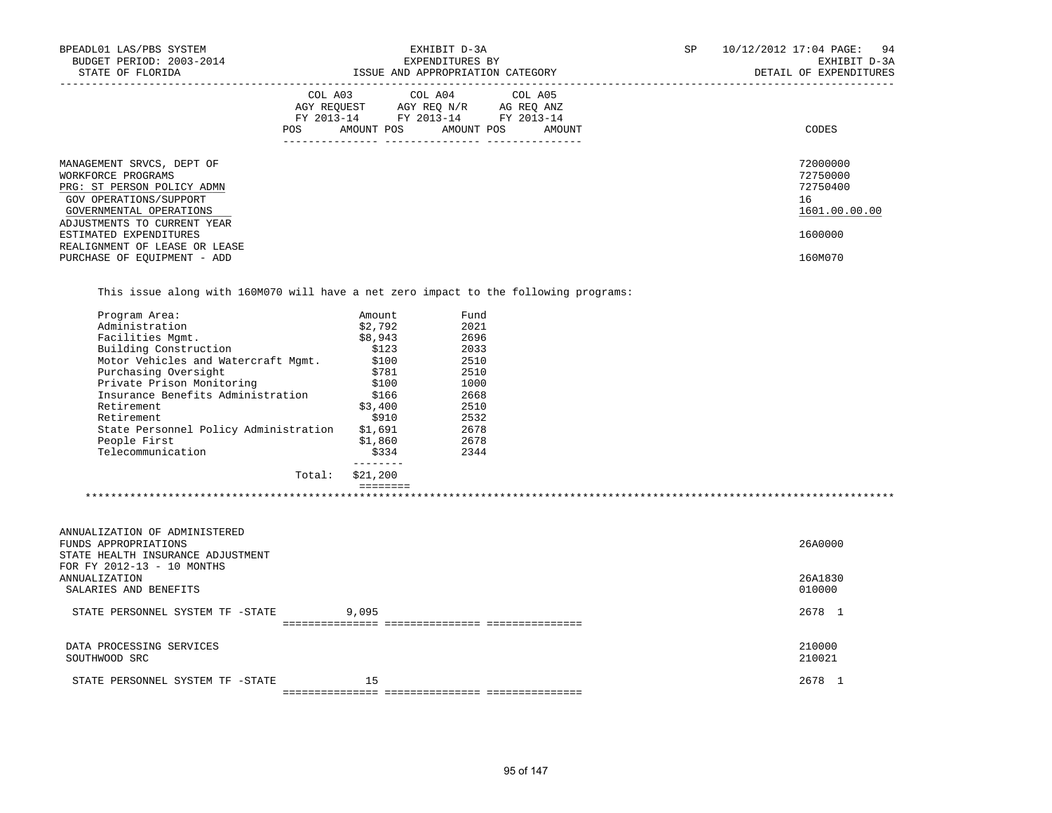| BPEADL01 LAS/PBS SYSTEM<br>BUDGET PERIOD: 2003-2014<br>STATE OF FLORIDA                                                            | EXHIBIT D-3A<br>EXPENDITURES BY<br>ISSUE AND APPROPRIATION CATEGORY                                                                         | SP<br>10/12/2012 17:04 PAGE:<br>94<br>EXHIBIT D-3A<br>DETAIL OF EXPENDITURES |
|------------------------------------------------------------------------------------------------------------------------------------|---------------------------------------------------------------------------------------------------------------------------------------------|------------------------------------------------------------------------------|
|                                                                                                                                    | COL A03 COL A04 COL A05<br>AGY REOUEST AGY REO N/R AG REO ANZ<br>FY 2013-14 FY 2013-14 FY 2013-14<br>AMOUNT POS AMOUNT POS<br>POS<br>AMOUNT | CODES                                                                        |
| MANAGEMENT SRVCS, DEPT OF<br>WORKFORCE PROGRAMS<br>PRG: ST PERSON POLICY ADMN<br>GOV OPERATIONS/SUPPORT<br>GOVERNMENTAL OPERATIONS |                                                                                                                                             | 72000000<br>72750000<br>72750400<br>16<br>1601.00.00.00                      |
| ADJUSTMENTS TO CURRENT YEAR<br>ESTIMATED EXPENDITURES<br>REALIGNMENT OF LEASE OR LEASE<br>PURCHASE OF EOUIPMENT - ADD              |                                                                                                                                             | 1600000<br>160M070                                                           |

This issue along with 160M070 will have a net zero impact to the following programs:

| Amount   | Fund |  |
|----------|------|--|
| \$2.792  | 2021 |  |
| \$8,943  | 2696 |  |
| \$123    | 2033 |  |
| \$100    | 2510 |  |
| \$781    | 2510 |  |
| \$100    | 1000 |  |
| \$166    | 2668 |  |
| \$3,400  | 2510 |  |
| \$910    | 2532 |  |
| \$1,691  | 2678 |  |
| \$1,860  | 2678 |  |
| \$334    | 2344 |  |
| \$21,200 |      |  |
|          |      |  |

| ANNUALIZATION OF ADMINISTERED<br>FUNDS APPROPRIATIONS                |       | 26A0000           |  |
|----------------------------------------------------------------------|-------|-------------------|--|
| STATE HEALTH INSURANCE ADJUSTMENT                                    |       |                   |  |
| FOR FY 2012-13 - 10 MONTHS<br>ANNUALIZATION<br>SALARIES AND BENEFITS |       | 26A1830<br>010000 |  |
| STATE PERSONNEL SYSTEM TF -STATE                                     | 9,095 | 2678 1            |  |
| DATA PROCESSING SERVICES<br>SOUTHWOOD SRC                            |       | 210000<br>210021  |  |
| STATE PERSONNEL SYSTEM TF -STATE                                     | 15    | 2678 1            |  |
|                                                                      |       |                   |  |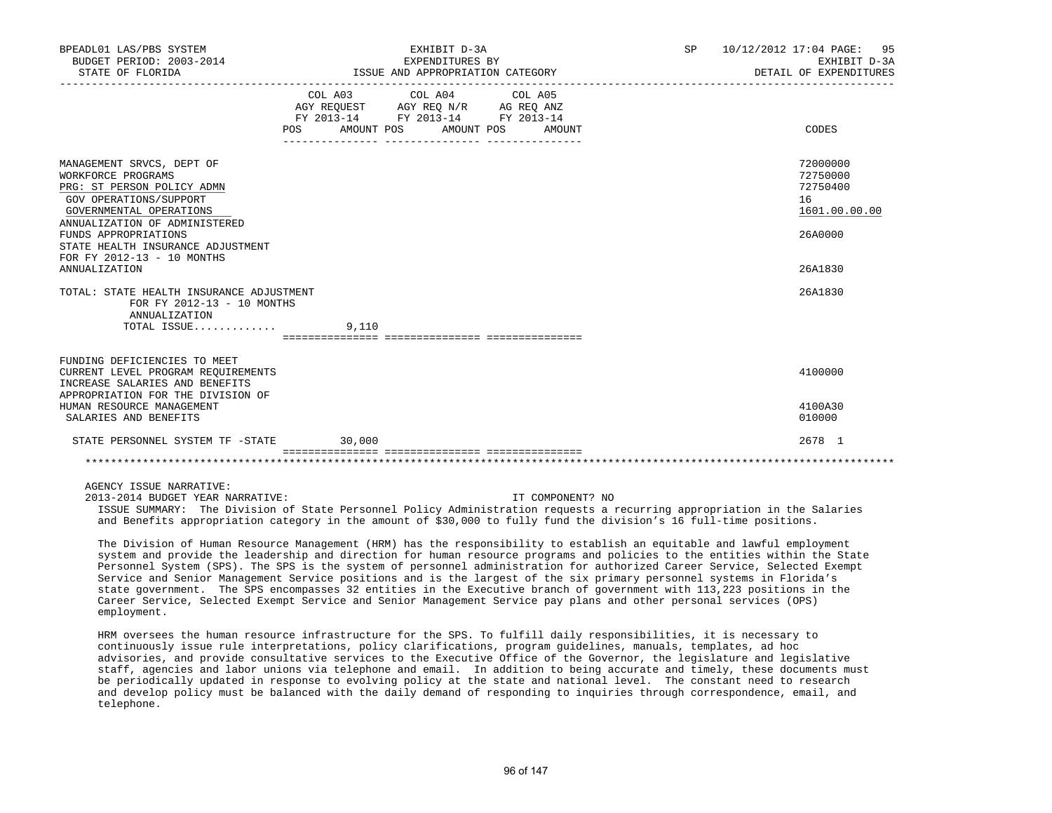| BPEADL01 LAS/PBS SYSTEM<br>BUDGET PERIOD: 2003-2014                                                                                                                                                                                                                                    |                           | EXHIBIT D-3A<br>EXPENDITURES BY                                                                                                                                                                                         |                  | SP 10/12/2012 17:04 PAGE: 95<br>EXHIBIT D-3A                                  |
|----------------------------------------------------------------------------------------------------------------------------------------------------------------------------------------------------------------------------------------------------------------------------------------|---------------------------|-------------------------------------------------------------------------------------------------------------------------------------------------------------------------------------------------------------------------|------------------|-------------------------------------------------------------------------------|
| STATE OF FLORIDA                                                                                                                                                                                                                                                                       |                           | ISSUE AND APPROPRIATION CATEGORY                                                                                                                                                                                        |                  | DETAIL OF EXPENDITURES                                                        |
|                                                                                                                                                                                                                                                                                        | POS AMOUNT POS AMOUNT POS | COL A03 COL A04 COL A05<br>$\begin{tabular}{lllllll} AGY & \texttt{REQUEST} & \texttt{AGY} & \texttt{REG} & \texttt{N/R} & \texttt{AG} & \texttt{REG} & \texttt{ANZ} \end{tabular}$<br>FY 2013-14 FY 2013-14 FY 2013-14 | AMOUNT           | CODES                                                                         |
| MANAGEMENT SRVCS, DEPT OF<br>WORKFORCE PROGRAMS<br>PRG: ST PERSON POLICY ADMN<br>GOV OPERATIONS/SUPPORT<br>GOVERNMENTAL OPERATIONS<br>ANNUALIZATION OF ADMINISTERED<br>FUNDS APPROPRIATIONS<br>STATE HEALTH INSURANCE ADJUSTMENT<br>FOR FY 2012-13 - 10 MONTHS<br><b>ANNUALIZATION</b> |                           |                                                                                                                                                                                                                         |                  | 72000000<br>72750000<br>72750400<br>16<br>1601.00.00.00<br>26A0000<br>26A1830 |
| TOTAL: STATE HEALTH INSURANCE ADJUSTMENT<br>FOR FY 2012-13 - 10 MONTHS<br>ANNUALIZATION                                                                                                                                                                                                |                           |                                                                                                                                                                                                                         |                  | 26A1830                                                                       |
| TOTAL ISSUE                                                                                                                                                                                                                                                                            | 9.110                     |                                                                                                                                                                                                                         |                  |                                                                               |
| FUNDING DEFICIENCIES TO MEET<br>CURRENT LEVEL PROGRAM REQUIREMENTS<br>INCREASE SALARIES AND BENEFITS<br>APPROPRIATION FOR THE DIVISION OF<br>HUMAN RESOURCE MANAGEMENT                                                                                                                 |                           |                                                                                                                                                                                                                         |                  | 4100000<br>4100A30                                                            |
| SALARIES AND BENEFITS                                                                                                                                                                                                                                                                  |                           |                                                                                                                                                                                                                         |                  | 010000                                                                        |
| STATE PERSONNEL SYSTEM TF -STATE                                                                                                                                                                                                                                                       | 30,000                    |                                                                                                                                                                                                                         |                  | 2678 1                                                                        |
|                                                                                                                                                                                                                                                                                        |                           |                                                                                                                                                                                                                         |                  |                                                                               |
| AGENCY ISSUE NARRATIVE:<br>2013-2014 BUDGET YEAR NARRATIVE:                                                                                                                                                                                                                            |                           |                                                                                                                                                                                                                         | IT COMPONENT? NO |                                                                               |

 ISSUE SUMMARY: The Division of State Personnel Policy Administration requests a recurring appropriation in the Salaries and Benefits appropriation category in the amount of \$30,000 to fully fund the division's 16 full-time positions.

 The Division of Human Resource Management (HRM) has the responsibility to establish an equitable and lawful employment system and provide the leadership and direction for human resource programs and policies to the entities within the State Personnel System (SPS). The SPS is the system of personnel administration for authorized Career Service, Selected Exempt Service and Senior Management Service positions and is the largest of the six primary personnel systems in Florida's state government. The SPS encompasses 32 entities in the Executive branch of government with 113,223 positions in the Career Service, Selected Exempt Service and Senior Management Service pay plans and other personal services (OPS) employment.

 HRM oversees the human resource infrastructure for the SPS. To fulfill daily responsibilities, it is necessary to continuously issue rule interpretations, policy clarifications, program guidelines, manuals, templates, ad hoc advisories, and provide consultative services to the Executive Office of the Governor, the legislature and legislative staff, agencies and labor unions via telephone and email. In addition to being accurate and timely, these documents must be periodically updated in response to evolving policy at the state and national level. The constant need to research and develop policy must be balanced with the daily demand of responding to inquiries through correspondence, email, and telephone.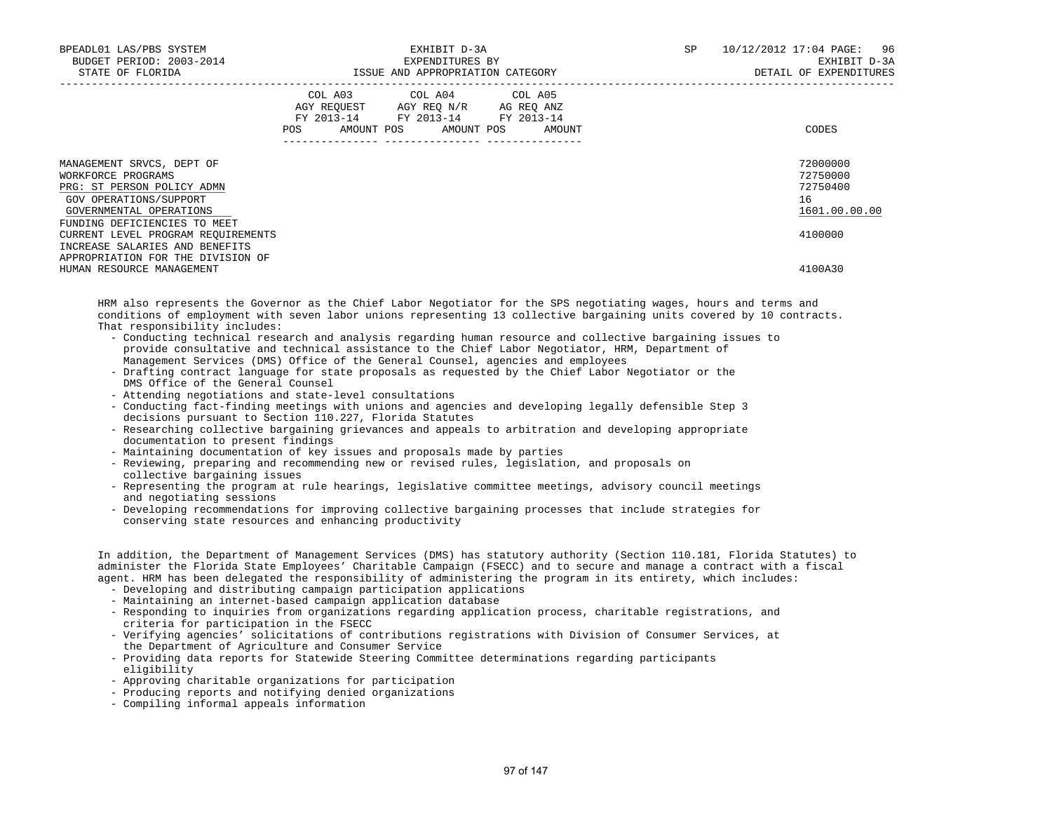| BPEADL01 LAS/PBS SYSTEM<br>BUDGET PERIOD: 2003-2014<br>STATE OF FLORIDA                                                                                            | EXHIBIT D-3A<br>EXPENDITURES BY<br>ISSUE AND APPROPRIATION CATEGORY                                                                      |        |  | 10/12/2012 17:04 PAGE: 96<br>EXHIBIT D-3A<br>DETAIL OF EXPENDITURES |
|--------------------------------------------------------------------------------------------------------------------------------------------------------------------|------------------------------------------------------------------------------------------------------------------------------------------|--------|--|---------------------------------------------------------------------|
|                                                                                                                                                                    | COL A03 COL A04 COL A05<br>AGY REQUEST AGY REQ N/R AG REQ ANZ<br>FY 2013-14 FY 2013-14 FY 2013-14<br>AMOUNT POS AMOUNT POS<br><b>POS</b> | AMOUNT |  | CODES                                                               |
| MANAGEMENT SRVCS, DEPT OF<br>WORKFORCE PROGRAMS<br>PRG: ST PERSON POLICY ADMN<br>GOV OPERATIONS/SUPPORT<br>GOVERNMENTAL OPERATIONS<br>FUNDING DEFICIENCIES TO MEET |                                                                                                                                          |        |  | 72000000<br>72750000<br>72750400<br>16<br>1601.00.00.00             |
| CURRENT LEVEL PROGRAM REOUIREMENTS<br>INCREASE SALARIES AND BENEFITS<br>APPROPRIATION FOR THE DIVISION OF                                                          |                                                                                                                                          |        |  | 4100000                                                             |
| HUMAN RESOURCE MANAGEMENT                                                                                                                                          |                                                                                                                                          |        |  | 4100A30                                                             |

 HRM also represents the Governor as the Chief Labor Negotiator for the SPS negotiating wages, hours and terms and conditions of employment with seven labor unions representing 13 collective bargaining units covered by 10 contracts. That responsibility includes:

- Conducting technical research and analysis regarding human resource and collective bargaining issues to provide consultative and technical assistance to the Chief Labor Negotiator, HRM, Department of Management Services (DMS) Office of the General Counsel, agencies and employees
- Drafting contract language for state proposals as requested by the Chief Labor Negotiator or the DMS Office of the General Counsel
- Attending negotiations and state-level consultations
- Conducting fact-finding meetings with unions and agencies and developing legally defensible Step 3 decisions pursuant to Section 110.227, Florida Statutes
- Researching collective bargaining grievances and appeals to arbitration and developing appropriate documentation to present findings
- Maintaining documentation of key issues and proposals made by parties
- Reviewing, preparing and recommending new or revised rules, legislation, and proposals on collective bargaining issues
- Representing the program at rule hearings, legislative committee meetings, advisory council meetings and negotiating sessions
- Developing recommendations for improving collective bargaining processes that include strategies for conserving state resources and enhancing productivity

 In addition, the Department of Management Services (DMS) has statutory authority (Section 110.181, Florida Statutes) to administer the Florida State Employees' Charitable Campaign (FSECC) and to secure and manage a contract with a fiscal agent. HRM has been delegated the responsibility of administering the program in its entirety, which includes:

- Developing and distributing campaign participation applications
- Maintaining an internet-based campaign application database
- Responding to inquiries from organizations regarding application process, charitable registrations, and criteria for participation in the FSECC
- Verifying agencies' solicitations of contributions registrations with Division of Consumer Services, at the Department of Agriculture and Consumer Service
- Providing data reports for Statewide Steering Committee determinations regarding participants eligibility
- Approving charitable organizations for participation
- Producing reports and notifying denied organizations
- Compiling informal appeals information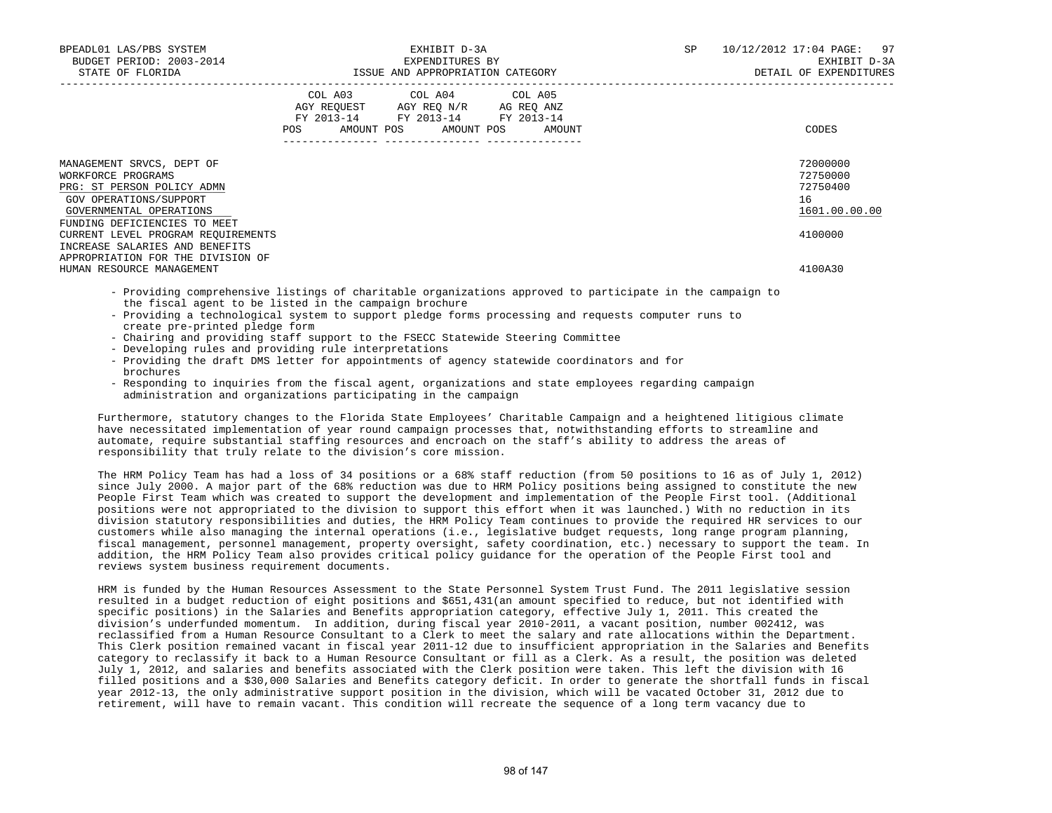| BPEADL01 LAS/PBS SYSTEM<br>BUDGET PERIOD: 2003-2014<br>STATE OF FLORIDA                                                                                                                                                                                                         | EXHIBIT D-3A<br>EXPENDITURES BY<br>ISSUE AND APPROPRIATION CATEGORY                                                                   | SP | 10/12/2012 17:04 PAGE: 97<br>EXHIBIT D-3A<br>DETAIL OF EXPENDITURES |
|---------------------------------------------------------------------------------------------------------------------------------------------------------------------------------------------------------------------------------------------------------------------------------|---------------------------------------------------------------------------------------------------------------------------------------|----|---------------------------------------------------------------------|
|                                                                                                                                                                                                                                                                                 | COL A03 COL A04 COL A05<br>AGY REQUEST AGY REO N/R AG REO ANZ<br>FY 2013-14 FY 2013-14 FY 2013-14<br>POS AMOUNT POS AMOUNT POS AMOUNT |    | CODES                                                               |
| MANAGEMENT SRVCS, DEPT OF<br>WORKFORCE PROGRAMS<br>PRG: ST PERSON POLICY ADMN<br>GOV OPERATIONS/SUPPORT<br>GOVERNMENTAL OPERATIONS<br>FUNDING DEFICIENCIES TO MEET<br>CURRENT LEVEL PROGRAM REOUIREMENTS<br>INCREASE SALARIES AND BENEFITS<br>APPROPRIATION FOR THE DIVISION OF |                                                                                                                                       |    | 72000000<br>72750000<br>72750400<br>16<br>1601.00.00.00<br>4100000  |
| HUMAN RESOURCE MANAGEMENT                                                                                                                                                                                                                                                       |                                                                                                                                       |    | 4100A30                                                             |

- Providing comprehensive listings of charitable organizations approved to participate in the campaign to the fiscal agent to be listed in the campaign brochure
- Providing a technological system to support pledge forms processing and requests computer runs to create pre-printed pledge form
- Chairing and providing staff support to the FSECC Statewide Steering Committee
- Developing rules and providing rule interpretations
- Providing the draft DMS letter for appointments of agency statewide coordinators and for brochures
- Responding to inquiries from the fiscal agent, organizations and state employees regarding campaign administration and organizations participating in the campaign

 Furthermore, statutory changes to the Florida State Employees' Charitable Campaign and a heightened litigious climate have necessitated implementation of year round campaign processes that, notwithstanding efforts to streamline and automate, require substantial staffing resources and encroach on the staff's ability to address the areas of responsibility that truly relate to the division's core mission.

 The HRM Policy Team has had a loss of 34 positions or a 68% staff reduction (from 50 positions to 16 as of July 1, 2012) since July 2000. A major part of the 68% reduction was due to HRM Policy positions being assigned to constitute the new People First Team which was created to support the development and implementation of the People First tool. (Additional positions were not appropriated to the division to support this effort when it was launched.) With no reduction in its division statutory responsibilities and duties, the HRM Policy Team continues to provide the required HR services to our customers while also managing the internal operations (i.e., legislative budget requests, long range program planning, fiscal management, personnel management, property oversight, safety coordination, etc.) necessary to support the team. In addition, the HRM Policy Team also provides critical policy guidance for the operation of the People First tool and reviews system business requirement documents.

 HRM is funded by the Human Resources Assessment to the State Personnel System Trust Fund. The 2011 legislative session resulted in a budget reduction of eight positions and \$651,431(an amount specified to reduce, but not identified with specific positions) in the Salaries and Benefits appropriation category, effective July 1, 2011. This created the division's underfunded momentum. In addition, during fiscal year 2010-2011, a vacant position, number 002412, was reclassified from a Human Resource Consultant to a Clerk to meet the salary and rate allocations within the Department. This Clerk position remained vacant in fiscal year 2011-12 due to insufficient appropriation in the Salaries and Benefits category to reclassify it back to a Human Resource Consultant or fill as a Clerk. As a result, the position was deleted July 1, 2012, and salaries and benefits associated with the Clerk position were taken. This left the division with 16 filled positions and a \$30,000 Salaries and Benefits category deficit. In order to generate the shortfall funds in fiscal year 2012-13, the only administrative support position in the division, which will be vacated October 31, 2012 due to retirement, will have to remain vacant. This condition will recreate the sequence of a long term vacancy due to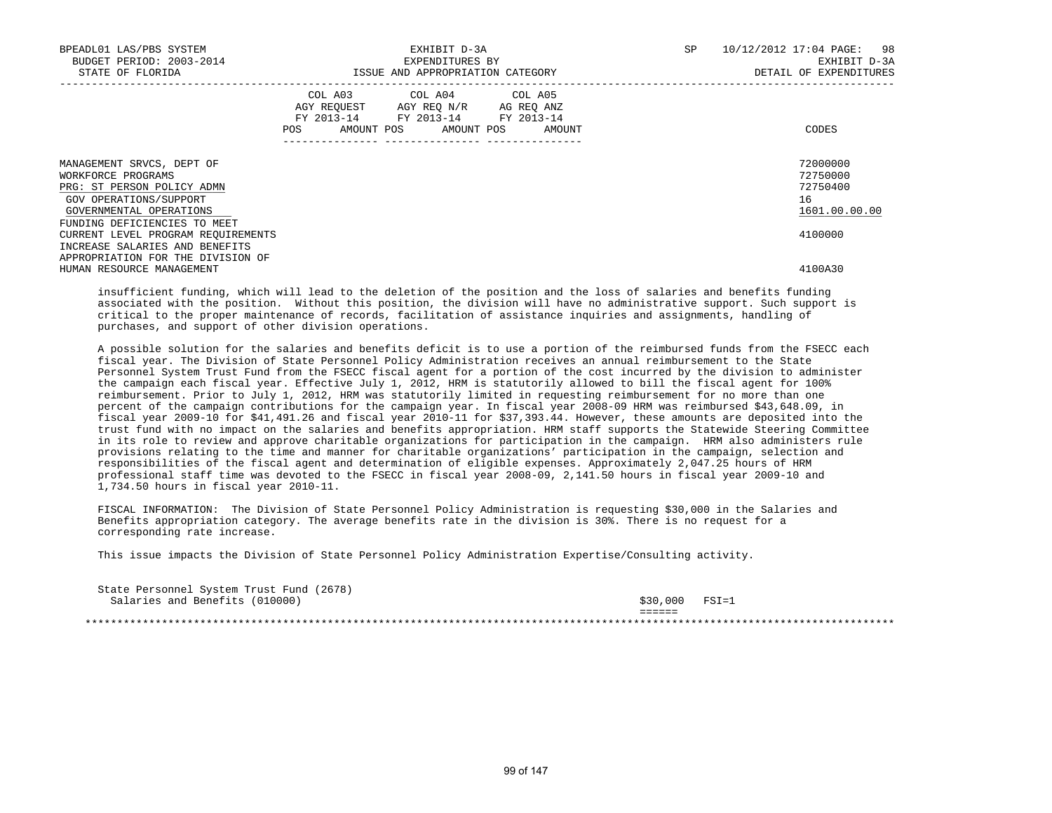| BPEADL01 LAS/PBS SYSTEM<br>BUDGET PERIOD: 2003-2014<br>STATE OF FLORIDA                                                                                            | EXHIBIT D-3A<br>EXPENDITURES BY<br>ISSUE AND APPROPRIATION CATEGORY                                            |                                                                                                                                   |  | SP | 10/12/2012 17:04 PAGE: 98<br>EXHIBIT D-3A<br>DETAIL OF EXPENDITURES |
|--------------------------------------------------------------------------------------------------------------------------------------------------------------------|----------------------------------------------------------------------------------------------------------------|-----------------------------------------------------------------------------------------------------------------------------------|--|----|---------------------------------------------------------------------|
|                                                                                                                                                                    | POS FOR THE POST OF THE STATE STATE STATE STATE STATE STATE STATE STATE STATE STATE STATE STATE STATE STATE ST | COL A03 COL A04 COL A05<br>AGY REQUEST AGY REQ N/R AG REQ ANZ<br>FY 2013-14 FY 2013-14 FY 2013-14<br>AMOUNT POS AMOUNT POS AMOUNT |  |    | CODES                                                               |
| MANAGEMENT SRVCS, DEPT OF<br>WORKFORCE PROGRAMS<br>PRG: ST PERSON POLICY ADMN<br>GOV OPERATIONS/SUPPORT<br>GOVERNMENTAL OPERATIONS<br>FUNDING DEFICIENCIES TO MEET |                                                                                                                |                                                                                                                                   |  |    | 72000000<br>72750000<br>72750400<br>16<br>1601.00.00.00             |
| CURRENT LEVEL PROGRAM REQUIREMENTS<br>INCREASE SALARIES AND BENEFITS<br>APPROPRIATION FOR THE DIVISION OF<br>HUMAN RESOURCE MANAGEMENT                             |                                                                                                                |                                                                                                                                   |  |    | 4100000<br>4100A30                                                  |

 insufficient funding, which will lead to the deletion of the position and the loss of salaries and benefits funding associated with the position. Without this position, the division will have no administrative support. Such support is critical to the proper maintenance of records, facilitation of assistance inquiries and assignments, handling of purchases, and support of other division operations.

 A possible solution for the salaries and benefits deficit is to use a portion of the reimbursed funds from the FSECC each fiscal year. The Division of State Personnel Policy Administration receives an annual reimbursement to the State Personnel System Trust Fund from the FSECC fiscal agent for a portion of the cost incurred by the division to administer the campaign each fiscal year. Effective July 1, 2012, HRM is statutorily allowed to bill the fiscal agent for 100% reimbursement. Prior to July 1, 2012, HRM was statutorily limited in requesting reimbursement for no more than one percent of the campaign contributions for the campaign year. In fiscal year 2008-09 HRM was reimbursed \$43,648.09, in fiscal year 2009-10 for \$41,491.26 and fiscal year 2010-11 for \$37,393.44. However, these amounts are deposited into the trust fund with no impact on the salaries and benefits appropriation. HRM staff supports the Statewide Steering Committee in its role to review and approve charitable organizations for participation in the campaign. HRM also administers rule provisions relating to the time and manner for charitable organizations' participation in the campaign, selection and responsibilities of the fiscal agent and determination of eligible expenses. Approximately 2,047.25 hours of HRM professional staff time was devoted to the FSECC in fiscal year 2008-09, 2,141.50 hours in fiscal year 2009-10 and 1,734.50 hours in fiscal year 2010-11.

 FISCAL INFORMATION: The Division of State Personnel Policy Administration is requesting \$30,000 in the Salaries and Benefits appropriation category. The average benefits rate in the division is 30%. There is no request for a corresponding rate increase.

This issue impacts the Division of State Personnel Policy Administration Expertise/Consulting activity.

| State Personnel System Trust Fund (2678) |                       |           |
|------------------------------------------|-----------------------|-----------|
| Salaries and Benefits (010000)           | \$30,000              | $FSI = 1$ |
|                                          | ______<br>_ _ _ _ _ _ |           |
|                                          |                       |           |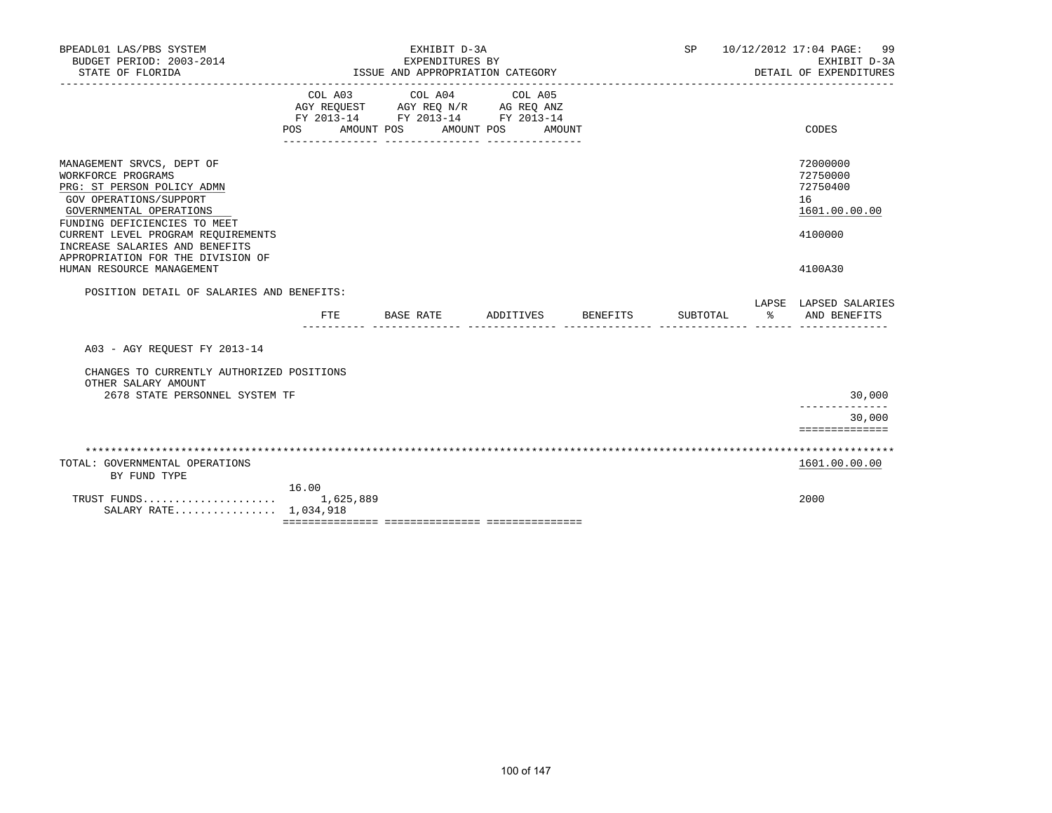| BPEADL01 LAS/PBS SYSTEM<br>BUDGET PERIOD: 2003-2014<br>STATE OF FLORIDA                                                                                                                                  | EXHIBIT D-3A<br>EXPENDITURES BY<br>ISSUE AND APPROPRIATION CATEGORY |                                                                                   |                              | SP              | 10/12/2012 17:04 PAGE: 99<br>EXHIBIT D-3A<br>DETAIL OF EXPENDITURES |                                                                    |
|----------------------------------------------------------------------------------------------------------------------------------------------------------------------------------------------------------|---------------------------------------------------------------------|-----------------------------------------------------------------------------------|------------------------------|-----------------|---------------------------------------------------------------------|--------------------------------------------------------------------|
|                                                                                                                                                                                                          | COL A03<br>POS AMOUNT POS                                           | COL A04<br>AGY REQUEST AGY REQ N/R AG REQ ANZ<br>FY 2013-14 FY 2013-14 FY 2013-14 | COL A05<br>AMOUNT POS AMOUNT |                 |                                                                     | CODES                                                              |
| MANAGEMENT SRVCS, DEPT OF<br>WORKFORCE PROGRAMS<br>PRG: ST PERSON POLICY ADMN<br>GOV OPERATIONS/SUPPORT<br>GOVERNMENTAL OPERATIONS<br>FUNDING DEFICIENCIES TO MEET<br>CURRENT LEVEL PROGRAM REQUIREMENTS |                                                                     |                                                                                   |                              |                 |                                                                     | 72000000<br>72750000<br>72750400<br>16<br>1601.00.00.00<br>4100000 |
| INCREASE SALARIES AND BENEFITS<br>APPROPRIATION FOR THE DIVISION OF<br>HUMAN RESOURCE MANAGEMENT                                                                                                         |                                                                     |                                                                                   |                              |                 |                                                                     | 4100A30                                                            |
| POSITION DETAIL OF SALARIES AND BENEFITS:                                                                                                                                                                | <b>FTE</b>                                                          | BASE RATE                                                                         | ADDITIVES                    | <b>BENEFITS</b> | SUBTOTAL                                                            | LAPSE LAPSED SALARIES<br>% AND BENEFITS                            |
| A03 - AGY REOUEST FY 2013-14                                                                                                                                                                             |                                                                     |                                                                                   |                              |                 |                                                                     |                                                                    |
| CHANGES TO CURRENTLY AUTHORIZED POSITIONS<br>OTHER SALARY AMOUNT                                                                                                                                         |                                                                     |                                                                                   |                              |                 |                                                                     |                                                                    |
| 2678 STATE PERSONNEL SYSTEM TF                                                                                                                                                                           |                                                                     |                                                                                   |                              |                 |                                                                     | 30,000                                                             |
|                                                                                                                                                                                                          |                                                                     |                                                                                   |                              |                 |                                                                     | 30,000                                                             |
|                                                                                                                                                                                                          |                                                                     |                                                                                   |                              |                 |                                                                     | ==============                                                     |
|                                                                                                                                                                                                          |                                                                     |                                                                                   |                              |                 |                                                                     |                                                                    |
| TOTAL: GOVERNMENTAL OPERATIONS<br>BY FUND TYPE                                                                                                                                                           |                                                                     |                                                                                   |                              |                 |                                                                     | 1601.00.00.00                                                      |
| SALARY RATE 1,034,918                                                                                                                                                                                    | 16.00                                                               |                                                                                   |                              |                 |                                                                     | 2000                                                               |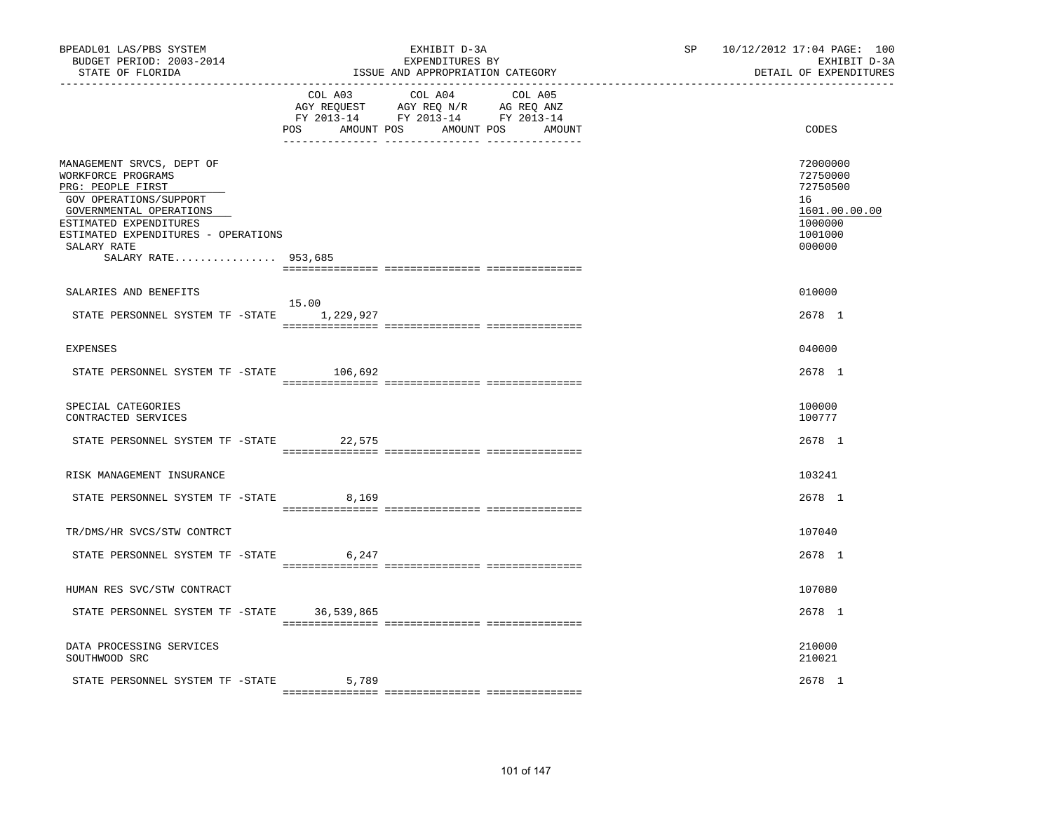| BPEADL01 LAS/PBS SYSTEM<br>BUDGET PERIOD: 2003-2014<br>STATE OF FLORIDA                                                                                                                                                          |            | EXHIBIT D-3A<br>EXPENDITURES BY<br>ISSUE AND APPROPRIATION CATEGORY                                                                   | SP and the set of the set of the set of the set of the set of the set of the set of the set of the set of the set of the set of the set of the set of the set of the set of the set of the set of the set of the set of the se | 10/12/2012 17:04 PAGE: 100<br>EXHIBIT D-3A<br>DETAIL OF EXPENDITURES                    |
|----------------------------------------------------------------------------------------------------------------------------------------------------------------------------------------------------------------------------------|------------|---------------------------------------------------------------------------------------------------------------------------------------|--------------------------------------------------------------------------------------------------------------------------------------------------------------------------------------------------------------------------------|-----------------------------------------------------------------------------------------|
|                                                                                                                                                                                                                                  |            | COL A03 COL A04 COL A05<br>AGY REQUEST AGY REQ N/R AG REQ ANZ<br>FY 2013-14 FY 2013-14 FY 2013-14<br>POS AMOUNT POS AMOUNT POS AMOUNT |                                                                                                                                                                                                                                | CODES                                                                                   |
| MANAGEMENT SRVCS, DEPT OF<br>WORKFORCE PROGRAMS<br>PRG: PEOPLE FIRST<br>GOV OPERATIONS/SUPPORT<br>GOVERNMENTAL OPERATIONS<br>ESTIMATED EXPENDITURES<br>ESTIMATED EXPENDITURES - OPERATIONS<br>SALARY RATE<br>SALARY RATE 953,685 |            |                                                                                                                                       |                                                                                                                                                                                                                                | 72000000<br>72750000<br>72750500<br>16<br>1601.00.00.00<br>1000000<br>1001000<br>000000 |
| SALARIES AND BENEFITS                                                                                                                                                                                                            |            |                                                                                                                                       |                                                                                                                                                                                                                                | 010000                                                                                  |
| STATE PERSONNEL SYSTEM TF -STATE 1,229,927                                                                                                                                                                                       | 15.00      |                                                                                                                                       |                                                                                                                                                                                                                                | 2678 1                                                                                  |
| <b>EXPENSES</b>                                                                                                                                                                                                                  |            |                                                                                                                                       |                                                                                                                                                                                                                                | 040000                                                                                  |
| STATE PERSONNEL SYSTEM TF -STATE                                                                                                                                                                                                 | 106,692    |                                                                                                                                       |                                                                                                                                                                                                                                | 2678 1                                                                                  |
| SPECIAL CATEGORIES<br>CONTRACTED SERVICES                                                                                                                                                                                        |            |                                                                                                                                       |                                                                                                                                                                                                                                | 100000<br>100777                                                                        |
| STATE PERSONNEL SYSTEM TF -STATE 22,575                                                                                                                                                                                          |            |                                                                                                                                       |                                                                                                                                                                                                                                | 2678 1                                                                                  |
| RISK MANAGEMENT INSURANCE                                                                                                                                                                                                        |            |                                                                                                                                       |                                                                                                                                                                                                                                | 103241                                                                                  |
| STATE PERSONNEL SYSTEM TF -STATE                                                                                                                                                                                                 | 8,169      |                                                                                                                                       |                                                                                                                                                                                                                                | 2678 1                                                                                  |
| TR/DMS/HR SVCS/STW CONTRCT                                                                                                                                                                                                       |            |                                                                                                                                       |                                                                                                                                                                                                                                | 107040                                                                                  |
| STATE PERSONNEL SYSTEM TF -STATE                                                                                                                                                                                                 | 6,247      |                                                                                                                                       |                                                                                                                                                                                                                                | 2678 1                                                                                  |
| HUMAN RES SVC/STW CONTRACT                                                                                                                                                                                                       |            |                                                                                                                                       |                                                                                                                                                                                                                                | 107080                                                                                  |
| STATE PERSONNEL SYSTEM TF -STATE                                                                                                                                                                                                 | 36,539,865 |                                                                                                                                       |                                                                                                                                                                                                                                | 2678 1                                                                                  |
| DATA PROCESSING SERVICES<br>SOUTHWOOD SRC                                                                                                                                                                                        |            |                                                                                                                                       |                                                                                                                                                                                                                                | 210000<br>210021                                                                        |
| STATE PERSONNEL SYSTEM TF -STATE                                                                                                                                                                                                 | 5,789      |                                                                                                                                       |                                                                                                                                                                                                                                | 2678 1                                                                                  |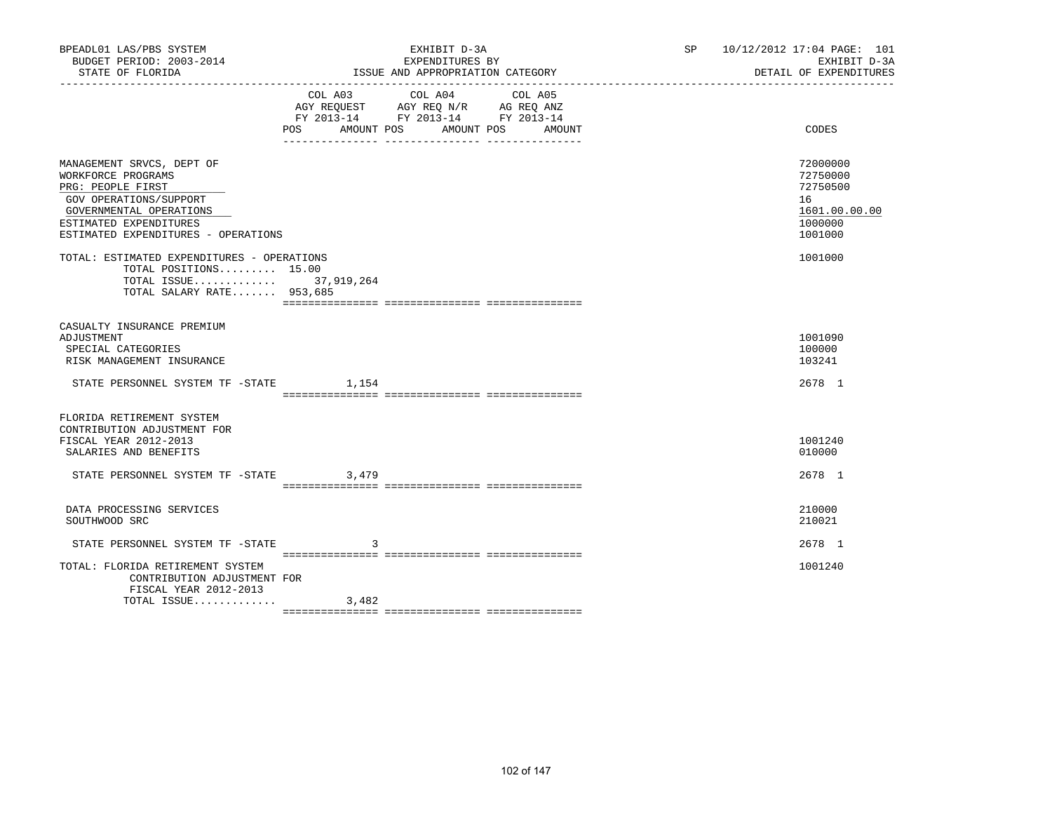| BPEADL01 LAS/PBS SYSTEM<br>BUDGET PERIOD: 2003-2014<br>STATE OF FLORIDA                                                                                                                    |     | EXHIBIT D-3A<br>EXPENDITURES BY<br>ISSUE AND APPROPRIATION CATEGORY                                                                                                                                                                                              | SP 10/12/2012 17:04 PAGE: 101<br>EXHIBIT D-3A<br>DETAIL OF EXPENDITURES       |
|--------------------------------------------------------------------------------------------------------------------------------------------------------------------------------------------|-----|------------------------------------------------------------------------------------------------------------------------------------------------------------------------------------------------------------------------------------------------------------------|-------------------------------------------------------------------------------|
|                                                                                                                                                                                            | POS | COL A03 COL A04<br>COL A05<br>$\begin{tabular}{lllllll} \bf AGY & \bf REQUEST & \bf AGY & \bf REQ & \bf N/R & \bf AG & \bf REQ & \bf ANZ \\ \bf FY & \tt 2013-14 & \bf FY & \tt 2013-14 & \bf FY & \tt 2013-14 \\ \end{tabular}$<br>AMOUNT POS AMOUNT POS AMOUNT | CODES                                                                         |
| MANAGEMENT SRVCS, DEPT OF<br>WORKFORCE PROGRAMS<br>PRG: PEOPLE FIRST<br>GOV OPERATIONS/SUPPORT<br>GOVERNMENTAL OPERATIONS<br>ESTIMATED EXPENDITURES<br>ESTIMATED EXPENDITURES - OPERATIONS |     |                                                                                                                                                                                                                                                                  | 72000000<br>72750000<br>72750500<br>16<br>1601.00.00.00<br>1000000<br>1001000 |
| TOTAL: ESTIMATED EXPENDITURES - OPERATIONS<br>TOTAL POSITIONS 15.00<br>TOTAL ISSUE 37,919,264<br>TOTAL SALARY RATE 953,685                                                                 |     |                                                                                                                                                                                                                                                                  | 1001000                                                                       |
| CASUALTY INSURANCE PREMIUM<br>ADJUSTMENT<br>SPECIAL CATEGORIES<br>RISK MANAGEMENT INSURANCE<br>STATE PERSONNEL SYSTEM TF -STATE 1,154                                                      |     |                                                                                                                                                                                                                                                                  | 1001090<br>100000<br>103241<br>2678 1                                         |
| FLORIDA RETIREMENT SYSTEM<br>CONTRIBUTION ADJUSTMENT FOR<br>FISCAL YEAR 2012-2013<br>SALARIES AND BENEFITS<br>STATE PERSONNEL SYSTEM TF -STATE 3,479                                       |     |                                                                                                                                                                                                                                                                  | 1001240<br>010000<br>2678 1                                                   |
| DATA PROCESSING SERVICES<br>SOUTHWOOD SRC                                                                                                                                                  |     |                                                                                                                                                                                                                                                                  | 210000<br>210021                                                              |
| STATE PERSONNEL SYSTEM TF -STATE<br>TOTAL: FLORIDA RETIREMENT SYSTEM<br>CONTRIBUTION ADJUSTMENT FOR<br>FISCAL YEAR 2012-2013                                                               | 3   |                                                                                                                                                                                                                                                                  | 2678 1<br>1001240                                                             |
| TOTAL ISSUE $3,482$                                                                                                                                                                        |     |                                                                                                                                                                                                                                                                  |                                                                               |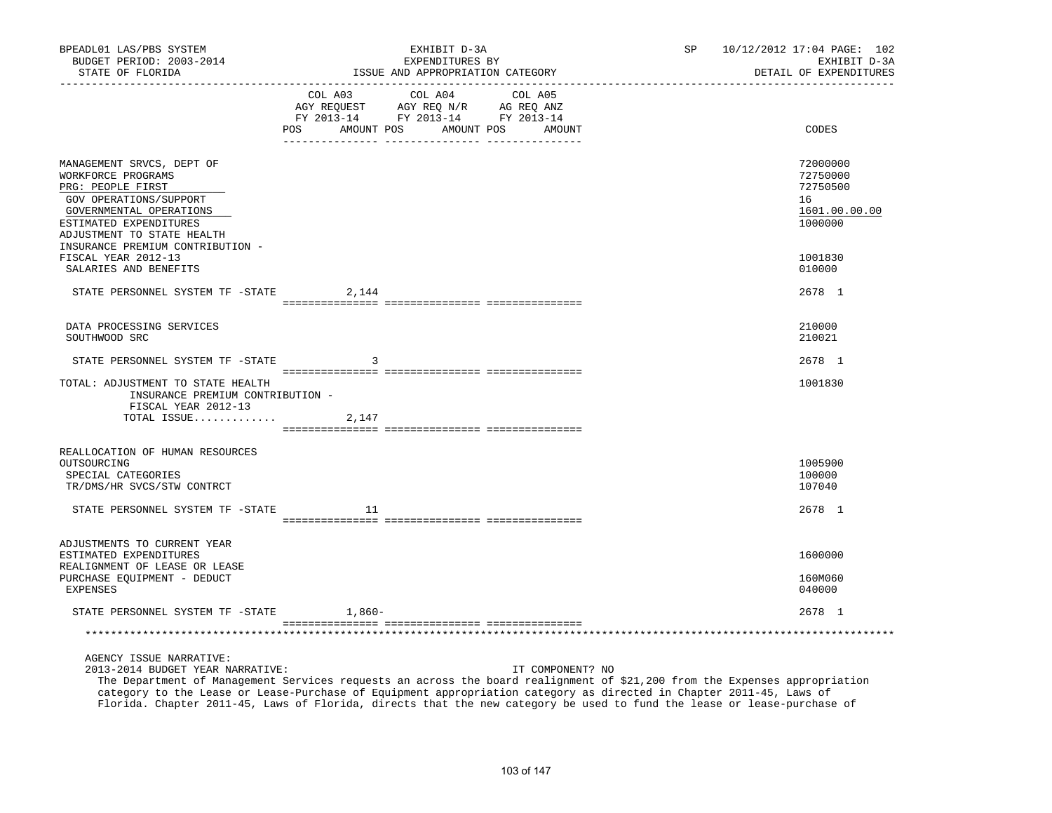| BPEADL01 LAS/PBS SYSTEM<br>BUDGET PERIOD: 2003-2014<br>STATE OF FLORIDA                                                                                                           |        | EXHIBIT D-3A<br>EXPENDITURES BY<br>ISSUE AND APPROPRIATION CATEGORY                                                                   | SP | 10/12/2012 17:04 PAGE: 102<br>EXHIBIT D-3A<br>DETAIL OF EXPENDITURES |
|-----------------------------------------------------------------------------------------------------------------------------------------------------------------------------------|--------|---------------------------------------------------------------------------------------------------------------------------------------|----|----------------------------------------------------------------------|
|                                                                                                                                                                                   |        | COL A03 COL A04 COL A05<br>AGY REQUEST AGY REQ N/R AG REQ ANZ<br>FY 2013-14 FY 2013-14 FY 2013-14<br>POS AMOUNT POS AMOUNT POS AMOUNT |    | CODES                                                                |
| MANAGEMENT SRVCS, DEPT OF<br>WORKFORCE PROGRAMS<br>PRG: PEOPLE FIRST<br>GOV OPERATIONS/SUPPORT<br>GOVERNMENTAL OPERATIONS<br>ESTIMATED EXPENDITURES<br>ADJUSTMENT TO STATE HEALTH |        |                                                                                                                                       |    | 72000000<br>72750000<br>72750500<br>16<br>1601.00.00.00<br>1000000   |
| INSURANCE PREMIUM CONTRIBUTION -<br>FISCAL YEAR 2012-13<br>SALARIES AND BENEFITS                                                                                                  |        |                                                                                                                                       |    | 1001830<br>010000                                                    |
| STATE PERSONNEL SYSTEM TF -STATE                                                                                                                                                  | 2,144  |                                                                                                                                       |    | 2678 1                                                               |
| DATA PROCESSING SERVICES<br>SOUTHWOOD SRC                                                                                                                                         |        |                                                                                                                                       |    | 210000<br>210021                                                     |
| STATE PERSONNEL SYSTEM TF -STATE                                                                                                                                                  | 3      |                                                                                                                                       |    | 2678 1                                                               |
| TOTAL: ADJUSTMENT TO STATE HEALTH<br>INSURANCE PREMIUM CONTRIBUTION -<br>FISCAL YEAR 2012-13<br>TOTAL ISSUE $2,147$                                                               |        |                                                                                                                                       |    | 1001830                                                              |
| REALLOCATION OF HUMAN RESOURCES<br>OUTSOURCING<br>SPECIAL CATEGORIES<br>TR/DMS/HR SVCS/STW CONTRCT                                                                                |        |                                                                                                                                       |    | 1005900<br>100000<br>107040                                          |
| STATE PERSONNEL SYSTEM TF -STATE                                                                                                                                                  | 11     |                                                                                                                                       |    | 2678 1                                                               |
| ADJUSTMENTS TO CURRENT YEAR<br>ESTIMATED EXPENDITURES                                                                                                                             |        |                                                                                                                                       |    | 1600000                                                              |
| REALIGNMENT OF LEASE OR LEASE<br>PURCHASE EQUIPMENT - DEDUCT<br>EXPENSES                                                                                                          |        |                                                                                                                                       |    | 160M060<br>040000                                                    |
| STATE PERSONNEL SYSTEM TF -STATE                                                                                                                                                  | 1,860- |                                                                                                                                       |    | 2678 1                                                               |
|                                                                                                                                                                                   |        |                                                                                                                                       |    |                                                                      |
| AGENCY ISSUE NARRATIVE:<br>2013-2014 BUDGET YEAR NARRATIVE:                                                                                                                       |        | IT COMPONENT? NO                                                                                                                      |    |                                                                      |

 The Department of Management Services requests an across the board realignment of \$21,200 from the Expenses appropriation category to the Lease or Lease-Purchase of Equipment appropriation category as directed in Chapter 2011-45, Laws of Florida. Chapter 2011-45, Laws of Florida, directs that the new category be used to fund the lease or lease-purchase of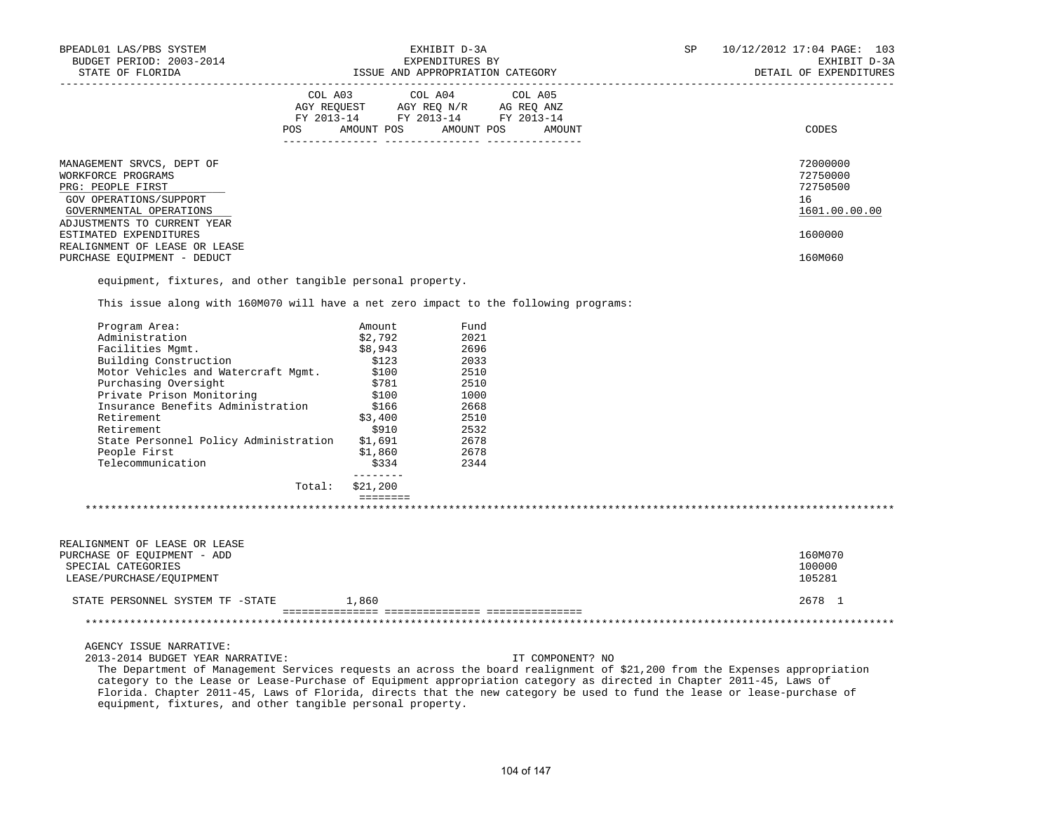| BPEADL01 LAS/PBS SYSTEM<br>BUDGET PERIOD: 2003-2014                                                                                                      |                                                             | EXHIBIT D-3A<br>EXPENDITURES BY                                   |                  | SP | 10/12/2012 17:04 PAGE: 103<br>EXHIBIT D-3A              |
|----------------------------------------------------------------------------------------------------------------------------------------------------------|-------------------------------------------------------------|-------------------------------------------------------------------|------------------|----|---------------------------------------------------------|
| STATE OF FLORIDA                                                                                                                                         |                                                             |                                                                   |                  |    | DETAIL OF EXPENDITURES                                  |
|                                                                                                                                                          | COL A03 COL A04 COL A05<br>POS AMOUNT POS AMOUNT POS AMOUNT |                                                                   |                  |    | CODES                                                   |
| MANAGEMENT SRVCS, DEPT OF<br>WORKFORCE PROGRAMS<br>PRG: PEOPLE FIRST<br>GOV OPERATIONS/SUPPORT<br>GOVERNMENTAL OPERATIONS<br>ADJUSTMENTS TO CURRENT YEAR |                                                             |                                                                   |                  |    | 72000000<br>72750000<br>72750500<br>16<br>1601.00.00.00 |
| ESTIMATED EXPENDITURES<br>REALIGNMENT OF LEASE OR LEASE                                                                                                  |                                                             |                                                                   |                  |    | 1600000                                                 |
| PURCHASE EQUIPMENT - DEDUCT                                                                                                                              |                                                             |                                                                   |                  |    | 160M060                                                 |
| equipment, fixtures, and other tangible personal property.<br>This issue along with 160M070 will have a net zero impact to the following programs:       |                                                             |                                                                   |                  |    |                                                         |
|                                                                                                                                                          |                                                             |                                                                   |                  |    |                                                         |
| Program Area:                                                                                                                                            | Amount                                                      | Fund                                                              |                  |    |                                                         |
| Administration                                                                                                                                           | \$2,792                                                     | 2021                                                              |                  |    |                                                         |
| Facilities Mgmt.                                                                                                                                         | \$8,943                                                     | 2696                                                              |                  |    |                                                         |
| Survey Construction (123)<br>Motor Vehicles and Watercraft Mgmt. (100)<br>Purchasing Oversicht                                                           |                                                             | 2033<br>2033<br>2510                                              |                  |    |                                                         |
|                                                                                                                                                          |                                                             |                                                                   |                  |    |                                                         |
| Purchasing Oversight                                                                                                                                     | \$781                                                       | 2510                                                              |                  |    |                                                         |
| Private Prison Monitoring                                                                                                                                | \$100<br>\$166                                              |                                                                   |                  |    |                                                         |
| Insurance Benefits Administration                                                                                                                        |                                                             |                                                                   |                  |    |                                                         |
| Retirement                                                                                                                                               | \$3,400                                                     |                                                                   |                  |    |                                                         |
| Retirement                                                                                                                                               | \$910                                                       |                                                                   |                  |    |                                                         |
| State Personnel Policy Administration \$1,691                                                                                                            |                                                             |                                                                   |                  |    |                                                         |
| People First                                                                                                                                             | \$1,860                                                     | $\frac{2510}{2668}$<br>$\frac{2510}{2532}$<br>$\frac{2678}{2678}$ |                  |    |                                                         |
| Telecommunication                                                                                                                                        | \$334<br>$- - - - - - - -$                                  | 2344                                                              |                  |    |                                                         |
|                                                                                                                                                          | Total: \$21,200                                             |                                                                   |                  |    |                                                         |
|                                                                                                                                                          | $=$ = = = = = = =                                           |                                                                   |                  |    |                                                         |
| REALIGNMENT OF LEASE OR LEASE                                                                                                                            |                                                             |                                                                   |                  |    |                                                         |
| PURCHASE OF EQUIPMENT - ADD                                                                                                                              |                                                             |                                                                   |                  |    | 160M070                                                 |
| SPECIAL CATEGORIES                                                                                                                                       |                                                             |                                                                   |                  |    | 100000                                                  |
| LEASE/PURCHASE/EQUIPMENT                                                                                                                                 |                                                             |                                                                   |                  |    | 105281                                                  |
| STATE PERSONNEL SYSTEM TF -STATE 1,860                                                                                                                   |                                                             |                                                                   |                  |    | 2678 1                                                  |
|                                                                                                                                                          |                                                             |                                                                   |                  |    |                                                         |
| AGENCY ISSUE NARRATIVE:                                                                                                                                  |                                                             |                                                                   |                  |    |                                                         |
| 2013-2014 BUDGET YEAR NARRATIVE:                                                                                                                         |                                                             |                                                                   | IT COMPONENT? NO |    |                                                         |
| The Department of Management Services requests an across the board realignment of \$21,200 from the Expenses appropriation                               |                                                             |                                                                   |                  |    |                                                         |
| category to the Lease or Lease-Purchase of Equipment appropriation category as directed in Chapter 2011-45, Laws of                                      |                                                             |                                                                   |                  |    |                                                         |
| Florida. Chapter 2011-45, Laws of Florida, directs that the new category be used to fund the lease or lease-purchase of                                  |                                                             |                                                                   |                  |    |                                                         |

equipment, fixtures, and other tangible personal property.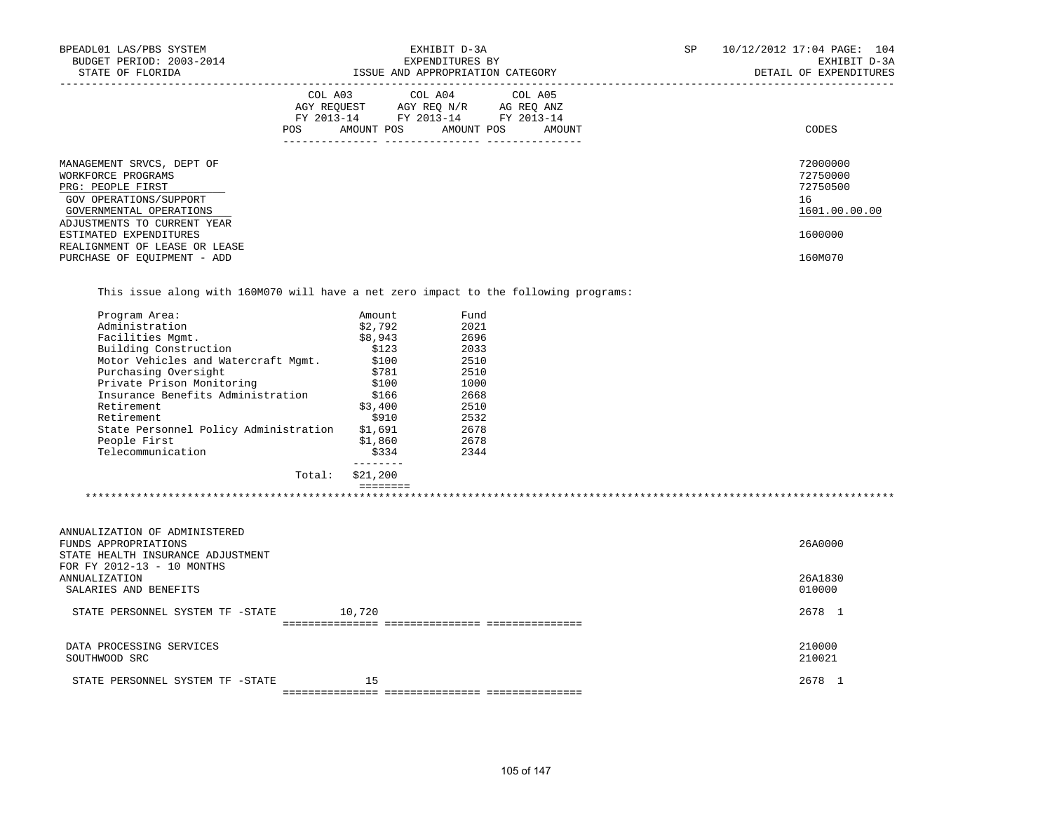| BPEADL01 LAS/PBS SYSTEM<br>BUDGET PERIOD: 2003-2014<br>STATE OF FLORIDA                                                   | EXHIBIT D-3A<br>EXPENDITURES BY<br>ISSUE AND APPROPRIATION CATEGORY                                                                         | SP<br>10/12/2012 17:04 PAGE: 104<br>EXHIBIT D-3A<br>DETAIL OF EXPENDITURES |
|---------------------------------------------------------------------------------------------------------------------------|---------------------------------------------------------------------------------------------------------------------------------------------|----------------------------------------------------------------------------|
|                                                                                                                           | COL A03 COL A04 COL A05<br>AGY REQUEST AGY REO N/R AG REO ANZ<br>FY 2013-14 FY 2013-14 FY 2013-14<br>AMOUNT POS AMOUNT POS<br>POS<br>AMOUNT | CODES                                                                      |
| MANAGEMENT SRVCS, DEPT OF<br>WORKFORCE PROGRAMS<br>PRG: PEOPLE FIRST<br>GOV OPERATIONS/SUPPORT<br>GOVERNMENTAL OPERATIONS |                                                                                                                                             | 72000000<br>72750000<br>72750500<br>16<br>1601.00.00.00                    |
| ADJUSTMENTS TO CURRENT YEAR<br>ESTIMATED EXPENDITURES<br>REALIGNMENT OF LEASE OR LEASE<br>PURCHASE OF EOUIPMENT - ADD     |                                                                                                                                             | 1600000<br>160M070                                                         |

This issue along with 160M070 will have a net zero impact to the following programs:

| Total:                                | \$21,200 |      |  |
|---------------------------------------|----------|------|--|
| Telecommunication                     | \$334    | 2344 |  |
| People First                          | \$1,860  | 2678 |  |
| State Personnel Policy Administration | \$1,691  | 2678 |  |
| Retirement                            | \$910    | 2532 |  |
| Retirement                            | \$3,400  | 2510 |  |
| Insurance Benefits Administration     | \$166    | 2668 |  |
| Private Prison Monitoring             | \$100    | 1000 |  |
| Purchasing Oversight                  | \$781    | 2510 |  |
| Motor Vehicles and Watercraft Mqmt.   | \$100    | 2510 |  |
| Building Construction                 | \$123    | 2033 |  |
| Facilities Mqmt.                      | \$8,943  | 2696 |  |
| Administration                        | \$2.792  | 2021 |  |
| Program Area:                         | Amount   | Fund |  |

| ANNUALIZATION OF ADMINISTERED<br>FUNDS APPROPRIATIONS<br>STATE HEALTH INSURANCE ADJUSTMENT | 26A0000          |
|--------------------------------------------------------------------------------------------|------------------|
| FOR FY 2012-13 - 10 MONTHS<br>ANNUALIZATION                                                | 26A1830          |
| SALARIES AND BENEFITS                                                                      | 010000           |
| 10,720<br>STATE PERSONNEL SYSTEM TF -STATE                                                 | 2678 1           |
|                                                                                            |                  |
| DATA PROCESSING SERVICES<br>SOUTHWOOD SRC                                                  | 210000<br>210021 |
| 15<br>STATE PERSONNEL SYSTEM TF -STATE                                                     | 2678             |
|                                                                                            |                  |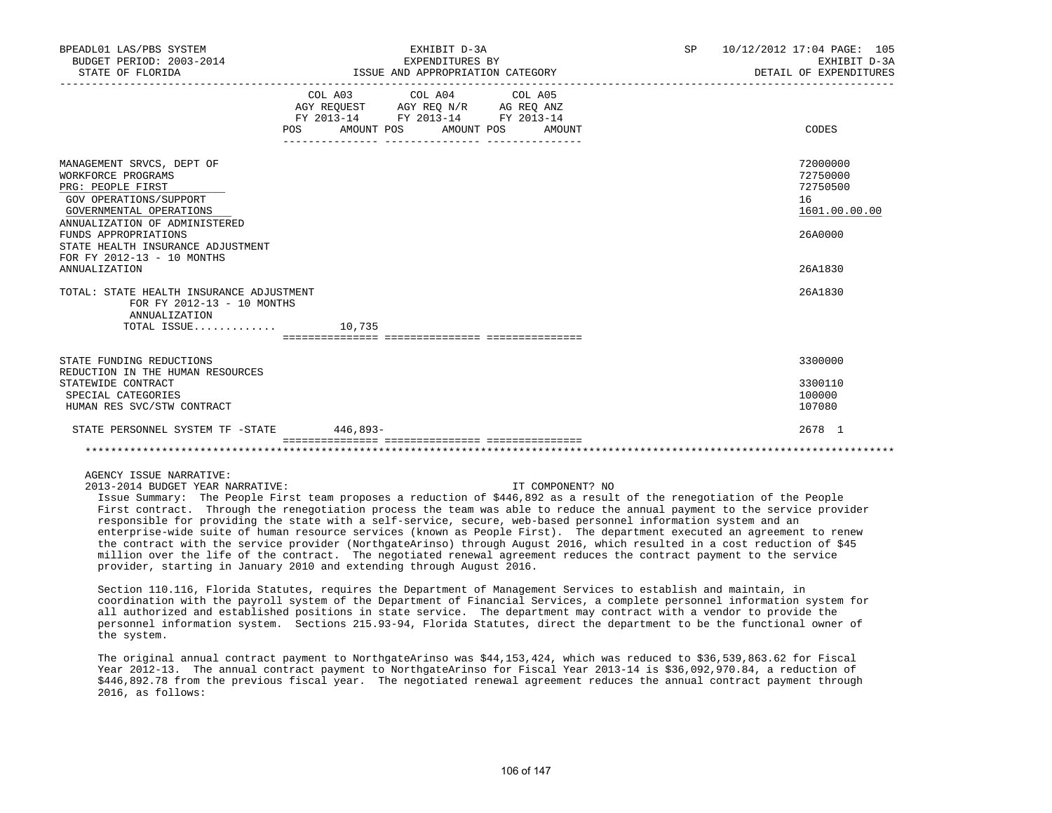| BPEADL01 LAS/PBS SYSTEM<br>BUDGET PERIOD: 2003-2014<br>STATE OF FLORIDA                                                                                                                                                                                                | EXHIBIT D-3A<br>EXPENDITURES BY<br>ISSUE AND APPROPRIATION CATEGORY                                                                   | SP<br>10/12/2012 17:04 PAGE: 105<br>EXHIBIT D-3A<br>DETAIL OF EXPENDITURES    |
|------------------------------------------------------------------------------------------------------------------------------------------------------------------------------------------------------------------------------------------------------------------------|---------------------------------------------------------------------------------------------------------------------------------------|-------------------------------------------------------------------------------|
|                                                                                                                                                                                                                                                                        | COL A03 COL A04 COL A05<br>AGY REQUEST AGY REQ N/R AG REQ ANZ<br>FY 2013-14 FY 2013-14 FY 2013-14<br>POS AMOUNT POS AMOUNT POS AMOUNT | CODES                                                                         |
| MANAGEMENT SRVCS, DEPT OF<br>WORKFORCE PROGRAMS<br>PRG: PEOPLE FIRST<br>GOV OPERATIONS/SUPPORT<br>GOVERNMENTAL OPERATIONS<br>ANNUALIZATION OF ADMINISTERED<br>FUNDS APPROPRIATIONS<br>STATE HEALTH INSURANCE ADJUSTMENT<br>FOR FY 2012-13 - 10 MONTHS<br>ANNUALIZATION |                                                                                                                                       | 72000000<br>72750000<br>72750500<br>16<br>1601.00.00.00<br>26A0000<br>26A1830 |
| TOTAL: STATE HEALTH INSURANCE ADJUSTMENT<br>FOR FY 2012-13 - 10 MONTHS<br>ANNUALIZATION<br>TOTAL ISSUE                                                                                                                                                                 | 10,735                                                                                                                                | 26A1830                                                                       |
|                                                                                                                                                                                                                                                                        |                                                                                                                                       |                                                                               |
| STATE FUNDING REDUCTIONS<br>REDUCTION IN THE HUMAN RESOURCES                                                                                                                                                                                                           |                                                                                                                                       | 3300000                                                                       |
| STATEWIDE CONTRACT<br>SPECIAL CATEGORIES<br>HUMAN RES SVC/STW CONTRACT                                                                                                                                                                                                 |                                                                                                                                       | 3300110<br>100000<br>107080                                                   |
| STATE PERSONNEL SYSTEM TF -STATE 446,893-                                                                                                                                                                                                                              |                                                                                                                                       | 2678 1                                                                        |
|                                                                                                                                                                                                                                                                        |                                                                                                                                       |                                                                               |

# AGENCY ISSUE NARRATIVE:

2013-2014 BUDGET YEAR NARRATIVE: IT COMPONENT? NO

 Issue Summary: The People First team proposes a reduction of \$446,892 as a result of the renegotiation of the People First contract. Through the renegotiation process the team was able to reduce the annual payment to the service provider responsible for providing the state with a self-service, secure, web-based personnel information system and an enterprise-wide suite of human resource services (known as People First). The department executed an agreement to renew the contract with the service provider (NorthgateArinso) through August 2016, which resulted in a cost reduction of \$45 million over the life of the contract. The negotiated renewal agreement reduces the contract payment to the service provider, starting in January 2010 and extending through August 2016.

 Section 110.116, Florida Statutes, requires the Department of Management Services to establish and maintain, in coordination with the payroll system of the Department of Financial Services, a complete personnel information system for all authorized and established positions in state service. The department may contract with a vendor to provide the personnel information system. Sections 215.93-94, Florida Statutes, direct the department to be the functional owner of the system.

 The original annual contract payment to NorthgateArinso was \$44,153,424, which was reduced to \$36,539,863.62 for Fiscal Year 2012-13. The annual contract payment to NorthgateArinso for Fiscal Year 2013-14 is \$36,092,970.84, a reduction of \$446,892.78 from the previous fiscal year. The negotiated renewal agreement reduces the annual contract payment through 2016, as follows: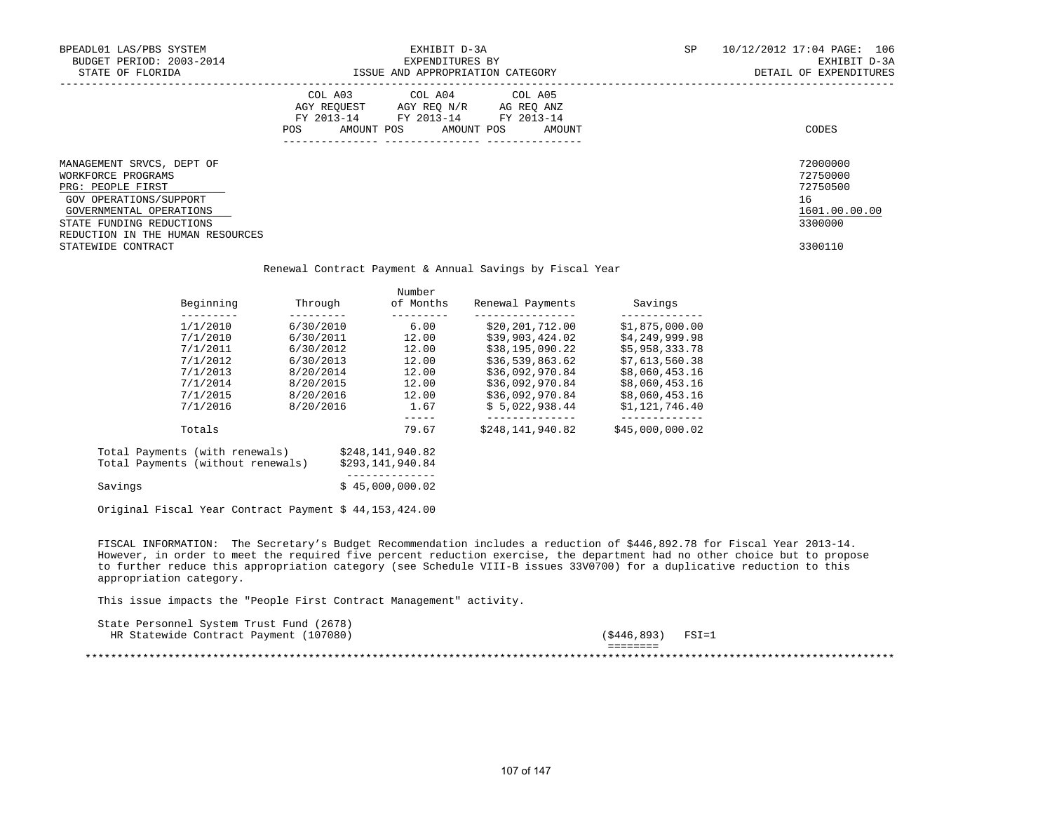| BPEADL01 LAS/PBS SYSTEM<br>BUDGET PERIOD: 2003-2014<br>STATE OF FLORIDA                                                                                                                                         |            | EXHIBIT D-3A                                                                                                                                                                                                                                                                                                                          |                                                                                                                                                                                                                                                                                           | SP             | 10/12/2012 17:04 PAGE: 106<br>EXHIBIT D-3A<br>DETAIL OF EXPENDITURES          |
|-----------------------------------------------------------------------------------------------------------------------------------------------------------------------------------------------------------------|------------|---------------------------------------------------------------------------------------------------------------------------------------------------------------------------------------------------------------------------------------------------------------------------------------------------------------------------------------|-------------------------------------------------------------------------------------------------------------------------------------------------------------------------------------------------------------------------------------------------------------------------------------------|----------------|-------------------------------------------------------------------------------|
|                                                                                                                                                                                                                 | <b>POS</b> | AMOUNT POS AMOUNT POS                                                                                                                                                                                                                                                                                                                 | COL A03 COL A04 COL A05<br>$\begin{tabular}{lllllll} \bf AGY \,\, &\bf REQUEST \,\, &\bf AGY \,\, &\bf REQ \,\, &\bf N/R \,\, &\bf AG \,\, &\bf REQ \,\, &\bf ANZ \,\, \\ \bf FY \,\, &\bf 2013-14 \,\, &\bf FY \,\, &\bf 2013-14 \,\, &\bf FY \,\, &\bf 2013-14 \end{tabular}$<br>AMOUNT |                | CODES                                                                         |
| MANAGEMENT SRVCS, DEPT OF<br>WORKFORCE PROGRAMS<br>PRG: PEOPLE FIRST<br>GOV OPERATIONS/SUPPORT<br>GOVERNMENTAL OPERATIONS<br>STATE FUNDING REDUCTIONS<br>REDUCTION IN THE HUMAN RESOURCES<br>STATEWIDE CONTRACT |            |                                                                                                                                                                                                                                                                                                                                       | Renewal Contract Payment & Annual Savings by Fiscal Year                                                                                                                                                                                                                                  |                | 72000000<br>72750000<br>72750500<br>16<br>1601.00.00.00<br>3300000<br>3300110 |
|                                                                                                                                                                                                                 |            | Number                                                                                                                                                                                                                                                                                                                                |                                                                                                                                                                                                                                                                                           |                |                                                                               |
| Beginning                                                                                                                                                                                                       |            |                                                                                                                                                                                                                                                                                                                                       | Renewal Payments Savings                                                                                                                                                                                                                                                                  | _____________  |                                                                               |
|                                                                                                                                                                                                                 |            |                                                                                                                                                                                                                                                                                                                                       | $1/1/2010$ 6/30/2010 6.00 \$20,201,712.00 \$1,875,000.00                                                                                                                                                                                                                                  |                |                                                                               |
|                                                                                                                                                                                                                 |            |                                                                                                                                                                                                                                                                                                                                       |                                                                                                                                                                                                                                                                                           |                |                                                                               |
|                                                                                                                                                                                                                 |            |                                                                                                                                                                                                                                                                                                                                       |                                                                                                                                                                                                                                                                                           |                |                                                                               |
|                                                                                                                                                                                                                 |            |                                                                                                                                                                                                                                                                                                                                       |                                                                                                                                                                                                                                                                                           |                |                                                                               |
|                                                                                                                                                                                                                 |            |                                                                                                                                                                                                                                                                                                                                       | $7/1/2013 \hspace{1.5cm} 8/20/2014 \hspace{1.5cm} 12.00 \hspace{1.5cm} 536,092,970.84 \hspace{1.5cm} 58,060,453.16$                                                                                                                                                                       |                |                                                                               |
|                                                                                                                                                                                                                 |            |                                                                                                                                                                                                                                                                                                                                       |                                                                                                                                                                                                                                                                                           |                |                                                                               |
|                                                                                                                                                                                                                 |            |                                                                                                                                                                                                                                                                                                                                       | $\begin{array}{cccccc} 7/1/2014 & & & & & 8/20/2015 & & & 12.00 & & & 536,092,970.84 & & & 58,060,453.16 \\ 7/1/2015 & & & & & 8/20/2016 & & & 12.00 & & 536,092,970.84 & & 58,060,453.16 \\ 7/1/2016 & & & & & 8/20/2016 & & & 1.67 & & 55,022,938.44 & & 51,121,746.40 \end{array}$     |                |                                                                               |
| Totals                                                                                                                                                                                                          |            | $\begin{tabular}{lllllll} \multicolumn{2}{c}{\multicolumn{2}{c}{\multicolumn{2}{c}{\multicolumn{2}{c}{\multicolumn{2}{c}{\multicolumn{2}{c}{\multicolumn{2}{c}{\multicolumn{2}{c}{\multicolumn{2}{c}{\multicolumn{2}{c}{\multicolumn{2}{c}{\textbf{1}}}}}}}} \multicolumn{2}{c}{\multicolumn{2}{c}{\textbf{2}}\end{tabular}$<br>79.67 | \$248,141,940.82 \$45,000,000.02                                                                                                                                                                                                                                                          | ______________ |                                                                               |
| Total Payments (with renewals) \$248,141,940.82<br>Total Payments (without renewals)                                                                                                                            |            | \$293,141,940.84                                                                                                                                                                                                                                                                                                                      |                                                                                                                                                                                                                                                                                           |                |                                                                               |
| Savings                                                                                                                                                                                                         |            | ______________<br>\$45,000,000.02                                                                                                                                                                                                                                                                                                     |                                                                                                                                                                                                                                                                                           |                |                                                                               |
| Original Fiscal Year Contract Payment \$ 44,153,424.00                                                                                                                                                          |            |                                                                                                                                                                                                                                                                                                                                       |                                                                                                                                                                                                                                                                                           |                |                                                                               |

 FISCAL INFORMATION: The Secretary's Budget Recommendation includes a reduction of \$446,892.78 for Fiscal Year 2013-14. However, in order to meet the required five percent reduction exercise, the department had no other choice but to propose to further reduce this appropriation category (see Schedule VIII-B issues 33V0700) for a duplicative reduction to this appropriation category.

This issue impacts the "People First Contract Management" activity.

| State Personnel System Trust Fund (2678) |                      |                      |
|------------------------------------------|----------------------|----------------------|
| HR Statewide Contract Payment (107080)   | (\$446,893)          | $\texttt{FSI}\!=\!1$ |
|                                          | ________<br>-------- |                      |
|                                          |                      |                      |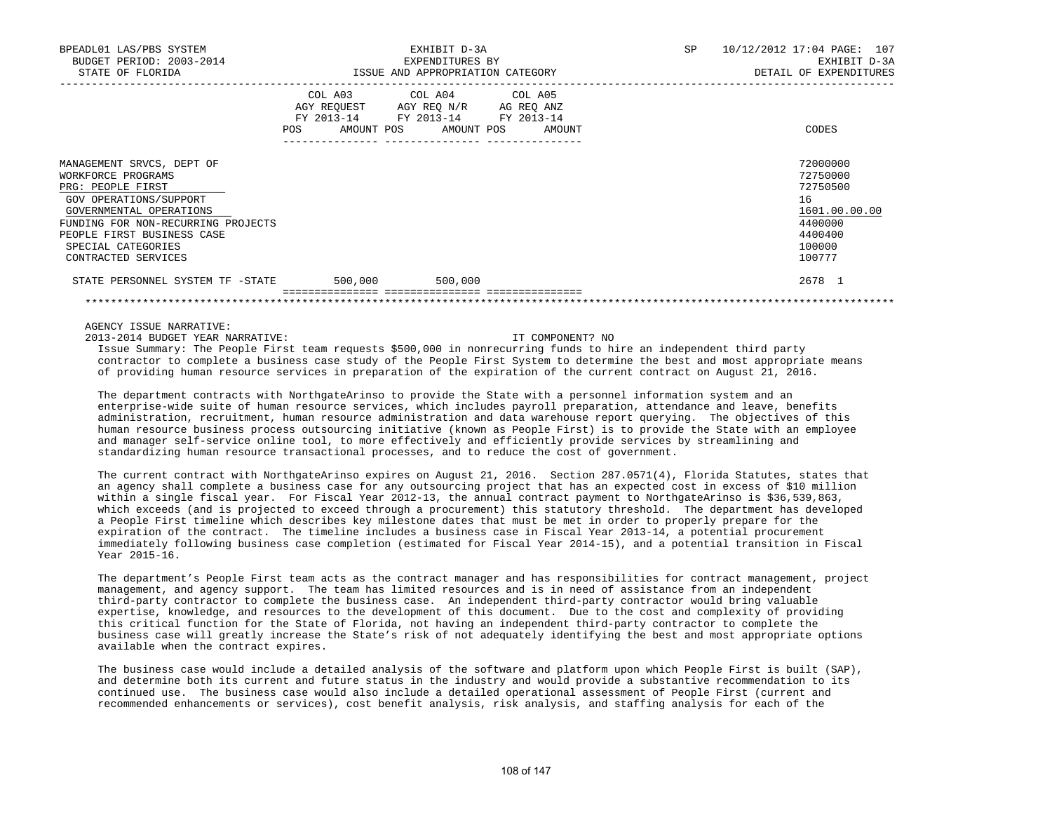| BPEADL01 LAS/PBS SYSTEM<br>BUDGET PERIOD: 2003-2014<br>STATE OF FLORIDA                                                                                                                                                                    | ISSUE AND APPROPRIATION CATEGORY | EXHIBIT D-3A<br>EXPENDITURES BY                                                                                                   | SP | 10/12/2012 17:04 PAGE: 107<br>EXHIBIT D-3A<br>DETAIL OF EXPENDITURES                              |
|--------------------------------------------------------------------------------------------------------------------------------------------------------------------------------------------------------------------------------------------|----------------------------------|-----------------------------------------------------------------------------------------------------------------------------------|----|---------------------------------------------------------------------------------------------------|
|                                                                                                                                                                                                                                            | POS                              | COL A03 COL A04 COL A05<br>AGY REQUEST AGY REQ N/R AG REQ ANZ<br>FY 2013-14 FY 2013-14 FY 2013-14<br>AMOUNT POS AMOUNT POS AMOUNT |    | CODES                                                                                             |
| MANAGEMENT SRVCS, DEPT OF<br>WORKFORCE PROGRAMS<br>PRG: PEOPLE FIRST<br>GOV OPERATIONS/SUPPORT<br>GOVERNMENTAL OPERATIONS<br>FUNDING FOR NON-RECURRING PROJECTS<br>PEOPLE FIRST BUSINESS CASE<br>SPECIAL CATEGORIES<br>CONTRACTED SERVICES |                                  |                                                                                                                                   |    | 72000000<br>72750000<br>72750500<br>16<br>1601.00.00.00<br>4400000<br>4400400<br>100000<br>100777 |
| STATE PERSONNEL SYSTEM TF -STATE                                                                                                                                                                                                           | 500,000                          | 500,000                                                                                                                           |    | 2678 1                                                                                            |

AGENCY ISSUE NARRATIVE:

2013-2014 BUDGET YEAR NARRATIVE: IT COMPONENT? NO

 Issue Summary: The People First team requests \$500,000 in nonrecurring funds to hire an independent third party contractor to complete a business case study of the People First System to determine the best and most appropriate means of providing human resource services in preparation of the expiration of the current contract on August 21, 2016.

\*\*\*\*\*\*\*\*\*\*\*\*\*\*\*\*\*\*\*\*\*\*\*\*\*\*\*\*\*\*\*\*\*\*\*\*\*\*\*\*\*\*\*\*\*\*\*\*\*\*\*\*\*\*\*\*\*\*\*\*\*\*\*\*\*\*\*\*\*\*\*\*\*\*\*\*\*\*\*\*\*\*\*\*\*\*\*\*\*\*\*\*\*\*\*\*\*\*\*\*\*\*\*\*\*\*\*\*\*\*\*\*\*\*\*\*\*\*\*\*\*\*\*\*\*\*\*

 The department contracts with NorthgateArinso to provide the State with a personnel information system and an enterprise-wide suite of human resource services, which includes payroll preparation, attendance and leave, benefits administration, recruitment, human resource administration and data warehouse report querying. The objectives of this human resource business process outsourcing initiative (known as People First) is to provide the State with an employee and manager self-service online tool, to more effectively and efficiently provide services by streamlining and standardizing human resource transactional processes, and to reduce the cost of government.

 The current contract with NorthgateArinso expires on August 21, 2016. Section 287.0571(4), Florida Statutes, states that an agency shall complete a business case for any outsourcing project that has an expected cost in excess of \$10 million within a single fiscal year. For Fiscal Year 2012-13, the annual contract payment to NorthgateArinso is \$36,539,863, which exceeds (and is projected to exceed through a procurement) this statutory threshold. The department has developed a People First timeline which describes key milestone dates that must be met in order to properly prepare for the expiration of the contract. The timeline includes a business case in Fiscal Year 2013-14, a potential procurement immediately following business case completion (estimated for Fiscal Year 2014-15), and a potential transition in Fiscal Year 2015-16.

 The department's People First team acts as the contract manager and has responsibilities for contract management, project management, and agency support. The team has limited resources and is in need of assistance from an independent third-party contractor to complete the business case. An independent third-party contractor would bring valuable expertise, knowledge, and resources to the development of this document. Due to the cost and complexity of providing this critical function for the State of Florida, not having an independent third-party contractor to complete the business case will greatly increase the State's risk of not adequately identifying the best and most appropriate options available when the contract expires.

 The business case would include a detailed analysis of the software and platform upon which People First is built (SAP), and determine both its current and future status in the industry and would provide a substantive recommendation to its continued use. The business case would also include a detailed operational assessment of People First (current and recommended enhancements or services), cost benefit analysis, risk analysis, and staffing analysis for each of the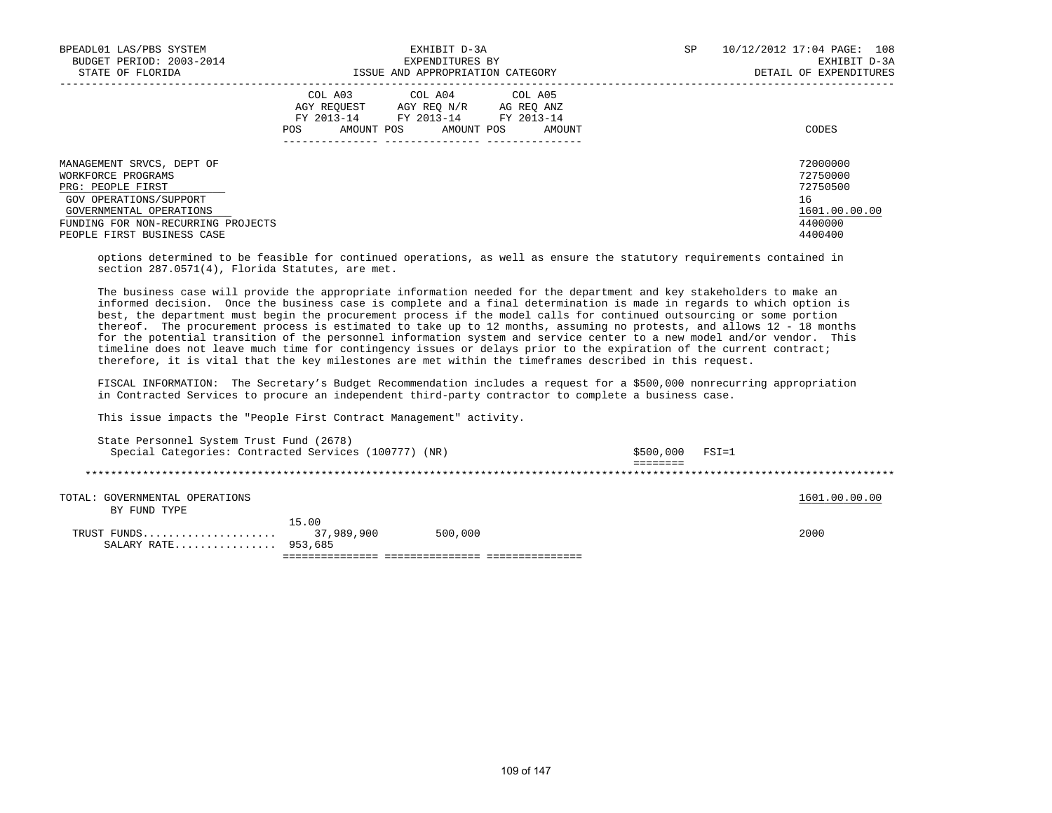| BPEADL01 LAS/PBS SYSTEM<br>BUDGET PERIOD: 2003-2014                  | EXHIBIT D-3A<br>EXPENDITURES BY                                                                                                                               | 10/12/2012 17:04 PAGE: 108<br>SP<br>EXHIBIT D-3A |
|----------------------------------------------------------------------|---------------------------------------------------------------------------------------------------------------------------------------------------------------|--------------------------------------------------|
| STATE OF FLORIDA                                                     | ISSUE AND APPROPRIATION CATEGORY                                                                                                                              | DETAIL OF EXPENDITURES                           |
|                                                                      | COL A03<br>COL A04 COL A05<br>AGY REOUEST<br>AGY REO N/R<br>AG REO ANZ<br>FY 2013-14<br>FY 2013-14<br>FY 2013-14<br>AMOUNT POS<br>AMOUNT POS<br>POS<br>AMOUNT | CODES                                            |
| MANAGEMENT SRVCS, DEPT OF<br>WORKFORCE PROGRAMS<br>PRG: PEOPLE FIRST |                                                                                                                                                               | 72000000<br>72750000<br>72750500                 |
| GOV OPERATIONS/SUPPORT                                               |                                                                                                                                                               | 16                                               |
| GOVERNMENTAL OPERATIONS                                              |                                                                                                                                                               | 1601.00.00.00                                    |
| FUNDING FOR NON-RECURRING PROJECTS                                   |                                                                                                                                                               | 4400000                                          |
| PEOPLE FIRST BUSINESS CASE                                           |                                                                                                                                                               | 4400400                                          |

 options determined to be feasible for continued operations, as well as ensure the statutory requirements contained in section 287.0571(4), Florida Statutes, are met.

 The business case will provide the appropriate information needed for the department and key stakeholders to make an informed decision. Once the business case is complete and a final determination is made in regards to which option is best, the department must begin the procurement process if the model calls for continued outsourcing or some portion thereof. The procurement process is estimated to take up to 12 months, assuming no protests, and allows 12 - 18 months for the potential transition of the personnel information system and service center to a new model and/or vendor. This timeline does not leave much time for contingency issues or delays prior to the expiration of the current contract; therefore, it is vital that the key milestones are met within the timeframes described in this request.

 FISCAL INFORMATION: The Secretary's Budget Recommendation includes a request for a \$500,000 nonrecurring appropriation in Contracted Services to procure an independent third-party contractor to complete a business case.

This issue impacts the "People First Contract Management" activity.

| State Personnel System Trust Fund (2678)              |            |         |           |           |               |
|-------------------------------------------------------|------------|---------|-----------|-----------|---------------|
| Special Categories: Contracted Services (100777) (NR) |            |         | \$500,000 | $FSI = 1$ |               |
|                                                       |            |         |           |           |               |
|                                                       |            |         |           |           |               |
| TOTAL: GOVERNMENTAL OPERATIONS<br>BY FUND TYPE        |            |         |           |           | 1601.00.00.00 |
|                                                       | 15.00      |         |           |           |               |
| TRUST FUNDS<br>SALARY RATE 953,685                    | 37,989,900 | 500,000 |           |           | 2000          |
|                                                       |            |         |           |           |               |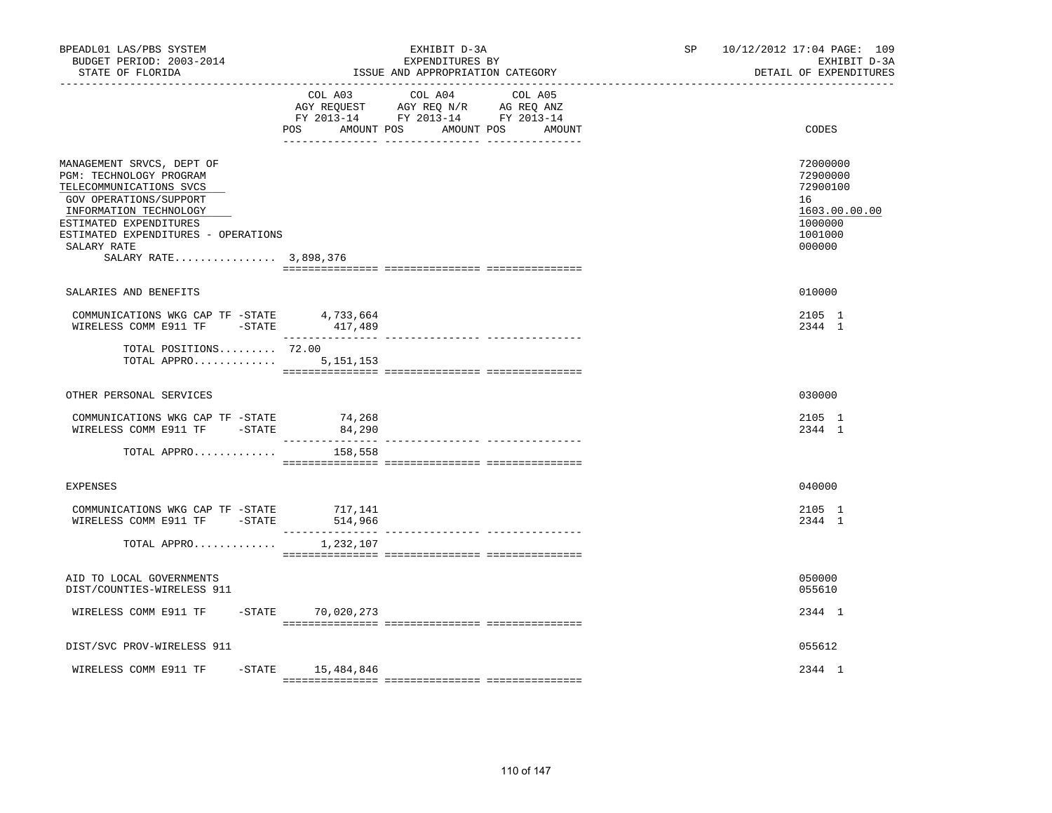| BPEADL01 LAS/PBS SYSTEM<br>BUDGET PERIOD: 2003-2014<br>STATE OF FLORIDA<br>. _ _ _ _ _ _ _ _ _ _ _ _ _ _ _ _ _ _                                                                                                                             |                     | EXHIBIT D-3A<br>EXPENDITURES BY<br>ISSUE AND APPROPRIATION CATEGORY                                                               | SP <sub>2</sub> | 10/12/2012 17:04 PAGE: 109<br>EXHIBIT D-3A<br>DETAIL OF EXPENDITURES                    |
|----------------------------------------------------------------------------------------------------------------------------------------------------------------------------------------------------------------------------------------------|---------------------|-----------------------------------------------------------------------------------------------------------------------------------|-----------------|-----------------------------------------------------------------------------------------|
|                                                                                                                                                                                                                                              | POS                 | COL A03 COL A04 COL A05<br>AGY REQUEST AGY REQ N/R AG REQ ANZ<br>FY 2013-14 FY 2013-14 FY 2013-14<br>AMOUNT POS AMOUNT POS AMOUNT |                 | CODES                                                                                   |
| MANAGEMENT SRVCS, DEPT OF<br>PGM: TECHNOLOGY PROGRAM<br>TELECOMMUNICATIONS SVCS<br>GOV OPERATIONS/SUPPORT<br>INFORMATION TECHNOLOGY<br>ESTIMATED EXPENDITURES<br>ESTIMATED EXPENDITURES - OPERATIONS<br>SALARY RATE<br>SALARY RATE 3,898,376 |                     |                                                                                                                                   |                 | 72000000<br>72900000<br>72900100<br>16<br>1603.00.00.00<br>1000000<br>1001000<br>000000 |
| SALARIES AND BENEFITS                                                                                                                                                                                                                        |                     |                                                                                                                                   |                 | 010000                                                                                  |
| COMMUNICATIONS WKG CAP TF - STATE 4,733,664<br>WIRELESS COMM E911 TF -STATE 417,489                                                                                                                                                          |                     |                                                                                                                                   |                 | 2105 1<br>2344 1                                                                        |
| TOTAL POSITIONS 72.00<br>TOTAL APPRO                                                                                                                                                                                                         | 5, 151, 153         |                                                                                                                                   |                 |                                                                                         |
| OTHER PERSONAL SERVICES                                                                                                                                                                                                                      |                     |                                                                                                                                   |                 | 030000                                                                                  |
| COMMUNICATIONS WKG CAP TF -STATE<br>WIRELESS COMM E911 TF -STATE                                                                                                                                                                             | 74,268<br>84,290    |                                                                                                                                   |                 | 2105 1<br>2344 1                                                                        |
| TOTAL APPRO                                                                                                                                                                                                                                  | 158,558             |                                                                                                                                   |                 |                                                                                         |
| <b>EXPENSES</b>                                                                                                                                                                                                                              |                     |                                                                                                                                   |                 | 040000                                                                                  |
| COMMUNICATIONS WKG CAP TF -STATE 717,141<br>WIRELESS COMM E911 TF - STATE                                                                                                                                                                    | 514,966             |                                                                                                                                   |                 | 2105 1<br>2344 1                                                                        |
| TOTAL APPRO                                                                                                                                                                                                                                  | 1,232,107           |                                                                                                                                   |                 |                                                                                         |
| AID TO LOCAL GOVERNMENTS<br>DIST/COUNTIES-WIRELESS 911                                                                                                                                                                                       |                     |                                                                                                                                   |                 | 050000<br>055610                                                                        |
| WIRELESS COMM E911 TF                                                                                                                                                                                                                        | $-STATE$ 70,020,273 |                                                                                                                                   |                 | 2344 1                                                                                  |
| DIST/SVC PROV-WIRELESS 911                                                                                                                                                                                                                   |                     |                                                                                                                                   |                 | 055612                                                                                  |
| WIRELESS COMM E911 TF<br>$-$ STATE                                                                                                                                                                                                           | 15,484,846          |                                                                                                                                   |                 | 2344 1                                                                                  |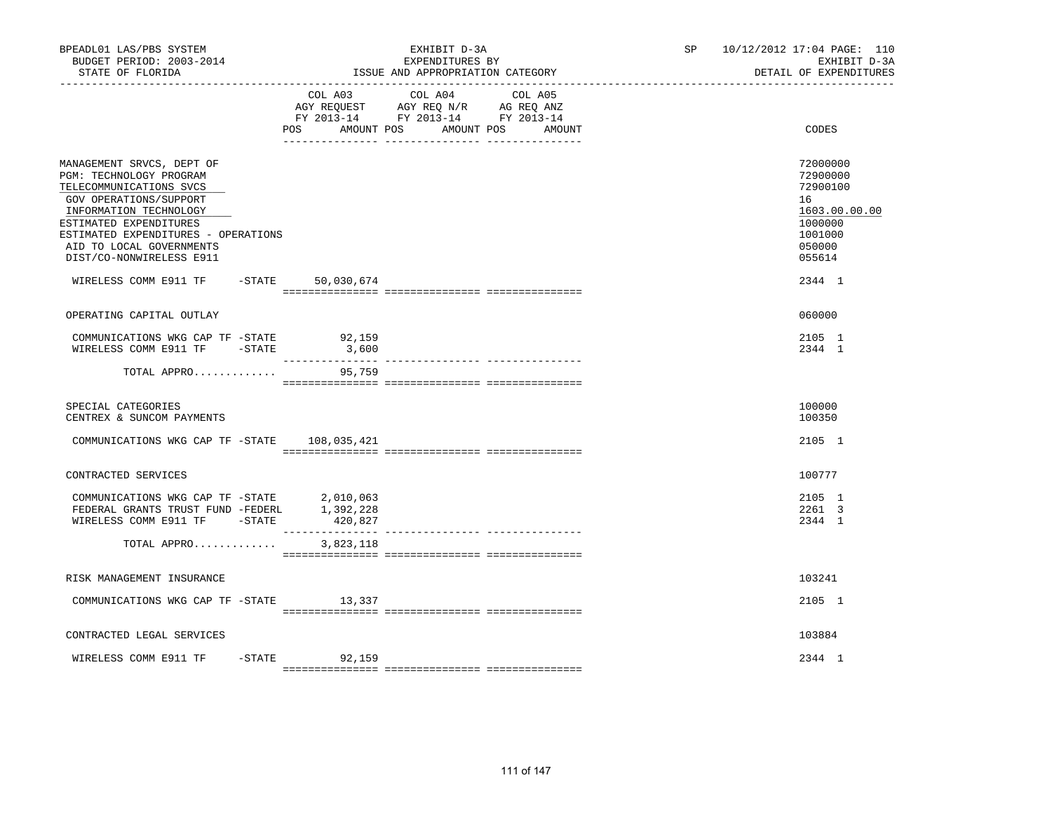| BPEADL01 LAS/PBS SYSTEM<br>BUDGET PERIOD: 2003-2014<br>STATE OF FLORIDA                                                                                                                                                                                      |                   |                                                                                                                                                                                                                                       | EXHIBIT D-3A<br>EXPENDITURES BY<br>ISSUE AND APPROPRIATION CATEGORY |       | SP 10/12/2012 17:04 PAGE: 110<br>EXHIBIT D-3A<br>DETAIL OF EXPENDITURES                           |
|--------------------------------------------------------------------------------------------------------------------------------------------------------------------------------------------------------------------------------------------------------------|-------------------|---------------------------------------------------------------------------------------------------------------------------------------------------------------------------------------------------------------------------------------|---------------------------------------------------------------------|-------|---------------------------------------------------------------------------------------------------|
|                                                                                                                                                                                                                                                              | POS<br>AMOUNT POS | COL A03 COL A04 COL A05<br>$\begin{tabular}{lllllll} AGY & \texttt{REQUEST} & \texttt{AGY} & \texttt{REG} & \texttt{N/R} & \texttt{AG} & \texttt{REG} & \texttt{ANZ} \end{tabular}$<br>FY 2013-14 FY 2013-14 FY 2013-14<br>AMOUNT POS | AMOUNT                                                              | CODES |                                                                                                   |
| MANAGEMENT SRVCS, DEPT OF<br>PGM: TECHNOLOGY PROGRAM<br>TELECOMMUNICATIONS SVCS<br>GOV OPERATIONS/SUPPORT<br>INFORMATION TECHNOLOGY<br>ESTIMATED EXPENDITURES<br>ESTIMATED EXPENDITURES - OPERATIONS<br>AID TO LOCAL GOVERNMENTS<br>DIST/CO-NONWIRELESS E911 |                   |                                                                                                                                                                                                                                       |                                                                     |       | 72000000<br>72900000<br>72900100<br>16<br>1603.00.00.00<br>1000000<br>1001000<br>050000<br>055614 |
| WIRELESS COMM E911 TF                                                                                                                                                                                                                                        |                   | $-STATE$ 50,030,674                                                                                                                                                                                                                   |                                                                     |       | 2344 1                                                                                            |
| OPERATING CAPITAL OUTLAY                                                                                                                                                                                                                                     |                   |                                                                                                                                                                                                                                       |                                                                     |       | 060000                                                                                            |
| COMMUNICATIONS WKG CAP TF -STATE<br>WIRELESS COMM E911 TF - STATE                                                                                                                                                                                            |                   | 92,159<br>3,600                                                                                                                                                                                                                       |                                                                     |       | 2105 1<br>2344 1                                                                                  |
| TOTAL APPRO                                                                                                                                                                                                                                                  |                   | 95,759                                                                                                                                                                                                                                |                                                                     |       |                                                                                                   |
| SPECIAL CATEGORIES<br>CENTREX & SUNCOM PAYMENTS                                                                                                                                                                                                              |                   |                                                                                                                                                                                                                                       |                                                                     |       | 100000<br>100350                                                                                  |
| COMMUNICATIONS WKG CAP TF -STATE 108,035,421                                                                                                                                                                                                                 |                   |                                                                                                                                                                                                                                       |                                                                     |       | 2105 1                                                                                            |
| CONTRACTED SERVICES                                                                                                                                                                                                                                          |                   |                                                                                                                                                                                                                                       |                                                                     |       | 100777                                                                                            |
| COMMUNICATIONS WKG CAP TF -STATE 2,010,063<br>FEDERAL GRANTS TRUST FUND -FEDERL 1,392,228<br>WIRELESS COMM E911 TF - STATE                                                                                                                                   |                   | 420,827                                                                                                                                                                                                                               |                                                                     |       | 2105 1<br>2261 3<br>2344 1                                                                        |
| TOTAL APPRO                                                                                                                                                                                                                                                  |                   | 3,823,118                                                                                                                                                                                                                             |                                                                     |       |                                                                                                   |
| RISK MANAGEMENT INSURANCE                                                                                                                                                                                                                                    |                   |                                                                                                                                                                                                                                       |                                                                     |       | 103241                                                                                            |
| COMMUNICATIONS WKG CAP TF -STATE 13,337                                                                                                                                                                                                                      |                   |                                                                                                                                                                                                                                       |                                                                     |       | 2105 1                                                                                            |
| CONTRACTED LEGAL SERVICES                                                                                                                                                                                                                                    |                   |                                                                                                                                                                                                                                       |                                                                     |       | 103884                                                                                            |
| WIRELESS COMM E911 TF                                                                                                                                                                                                                                        | $-STATE$          | 92,159                                                                                                                                                                                                                                |                                                                     |       | 2344 1                                                                                            |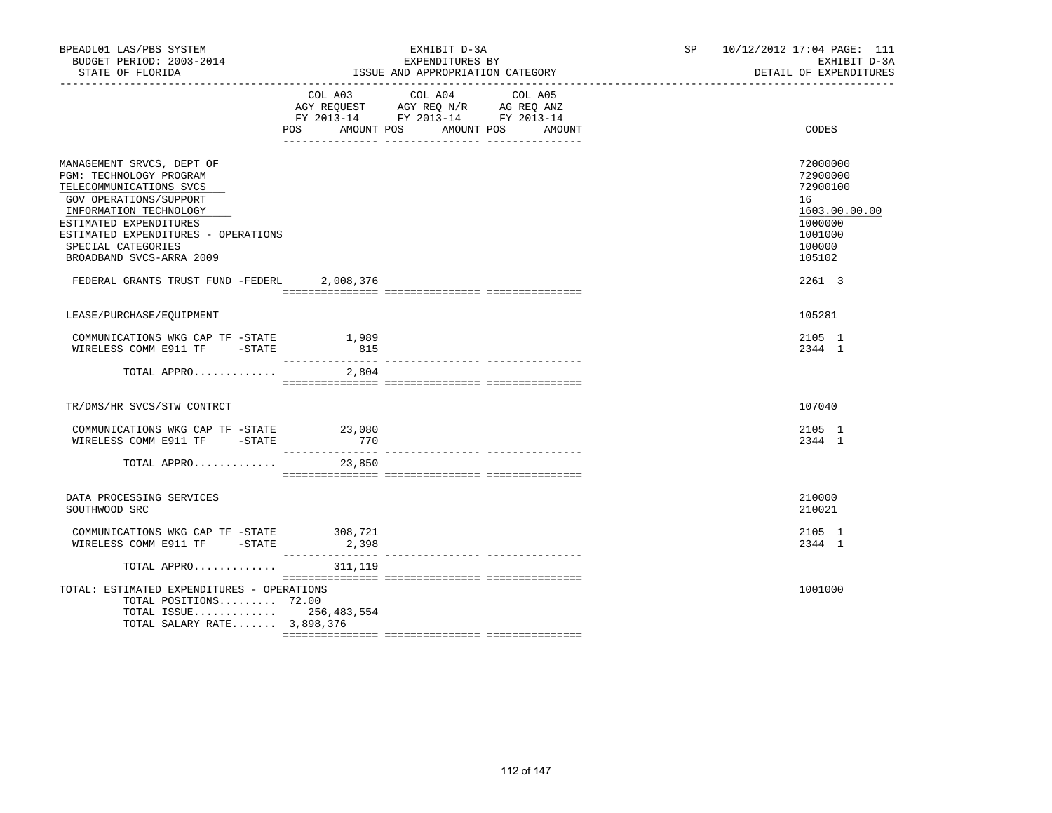| BPEADL01 LAS/PBS SYSTEM<br>BUDGET PERIOD: 2003-2014<br>STATE OF FLORIDA                                                                                                                                                                                |                           | EXHIBIT D-3A<br>EXPENDITURES BY<br>ISSUE AND APPROPRIATION CATEGORY                                                                     | SP and the set of the set of the set of the set of the set of the set of the set of the set of the set of the set of the set of the set of the set of the set of the set of the set of the set of the set of the set of the se | 10/12/2012 17:04 PAGE: 111<br>EXHIBIT D-3A<br>DETAIL OF EXPENDITURES                              |
|--------------------------------------------------------------------------------------------------------------------------------------------------------------------------------------------------------------------------------------------------------|---------------------------|-----------------------------------------------------------------------------------------------------------------------------------------|--------------------------------------------------------------------------------------------------------------------------------------------------------------------------------------------------------------------------------|---------------------------------------------------------------------------------------------------|
|                                                                                                                                                                                                                                                        | POS                       | COL A03 COL A04<br>COL A05<br>AGY REQUEST AGY REQ N/R AG REQ ANZ<br>FY 2013-14 FY 2013-14 FY 2013-14<br>AMOUNT POS AMOUNT POS<br>AMOUNT |                                                                                                                                                                                                                                | CODES                                                                                             |
| MANAGEMENT SRVCS, DEPT OF<br>PGM: TECHNOLOGY PROGRAM<br>TELECOMMUNICATIONS SVCS<br>GOV OPERATIONS/SUPPORT<br>INFORMATION TECHNOLOGY<br>ESTIMATED EXPENDITURES<br>ESTIMATED EXPENDITURES - OPERATIONS<br>SPECIAL CATEGORIES<br>BROADBAND SVCS-ARRA 2009 |                           |                                                                                                                                         |                                                                                                                                                                                                                                | 72000000<br>72900000<br>72900100<br>16<br>1603.00.00.00<br>1000000<br>1001000<br>100000<br>105102 |
| FEDERAL GRANTS TRUST FUND -FEDERL                                                                                                                                                                                                                      | 2,008,376                 |                                                                                                                                         |                                                                                                                                                                                                                                | 2261 3                                                                                            |
| LEASE/PURCHASE/EQUIPMENT                                                                                                                                                                                                                               |                           |                                                                                                                                         |                                                                                                                                                                                                                                | 105281                                                                                            |
| COMMUNICATIONS WKG CAP TF -STATE<br>WIRELESS COMM E911 TF -STATE                                                                                                                                                                                       | 1,989<br>815              |                                                                                                                                         |                                                                                                                                                                                                                                | 2105 1<br>2344 1                                                                                  |
| TOTAL APPRO $2,804$                                                                                                                                                                                                                                    |                           |                                                                                                                                         |                                                                                                                                                                                                                                |                                                                                                   |
| TR/DMS/HR SVCS/STW CONTRCT                                                                                                                                                                                                                             |                           |                                                                                                                                         |                                                                                                                                                                                                                                | 107040                                                                                            |
| COMMUNICATIONS WKG CAP TF -STATE 23,080<br>WIRELESS COMM E911 TF -STATE                                                                                                                                                                                | 770<br>__________________ |                                                                                                                                         |                                                                                                                                                                                                                                | 2105 1<br>2344 1                                                                                  |
| TOTAL APPRO                                                                                                                                                                                                                                            | 23,850                    |                                                                                                                                         |                                                                                                                                                                                                                                |                                                                                                   |
| DATA PROCESSING SERVICES<br>SOUTHWOOD SRC                                                                                                                                                                                                              |                           |                                                                                                                                         |                                                                                                                                                                                                                                | 210000<br>210021                                                                                  |
| COMMUNICATIONS WKG CAP TF -STATE 308,721<br>WIRELESS COMM E911 TF -STATE                                                                                                                                                                               | 2,398                     |                                                                                                                                         |                                                                                                                                                                                                                                | 2105 1<br>2344 1                                                                                  |
| TOTAL APPRO                                                                                                                                                                                                                                            | 311,119                   |                                                                                                                                         |                                                                                                                                                                                                                                |                                                                                                   |
| TOTAL: ESTIMATED EXPENDITURES - OPERATIONS<br>TOTAL POSITIONS 72.00<br>TOTAL ISSUE 256,483,554<br>TOTAL SALARY RATE 3,898,376                                                                                                                          |                           |                                                                                                                                         |                                                                                                                                                                                                                                | 1001000                                                                                           |
|                                                                                                                                                                                                                                                        |                           |                                                                                                                                         |                                                                                                                                                                                                                                |                                                                                                   |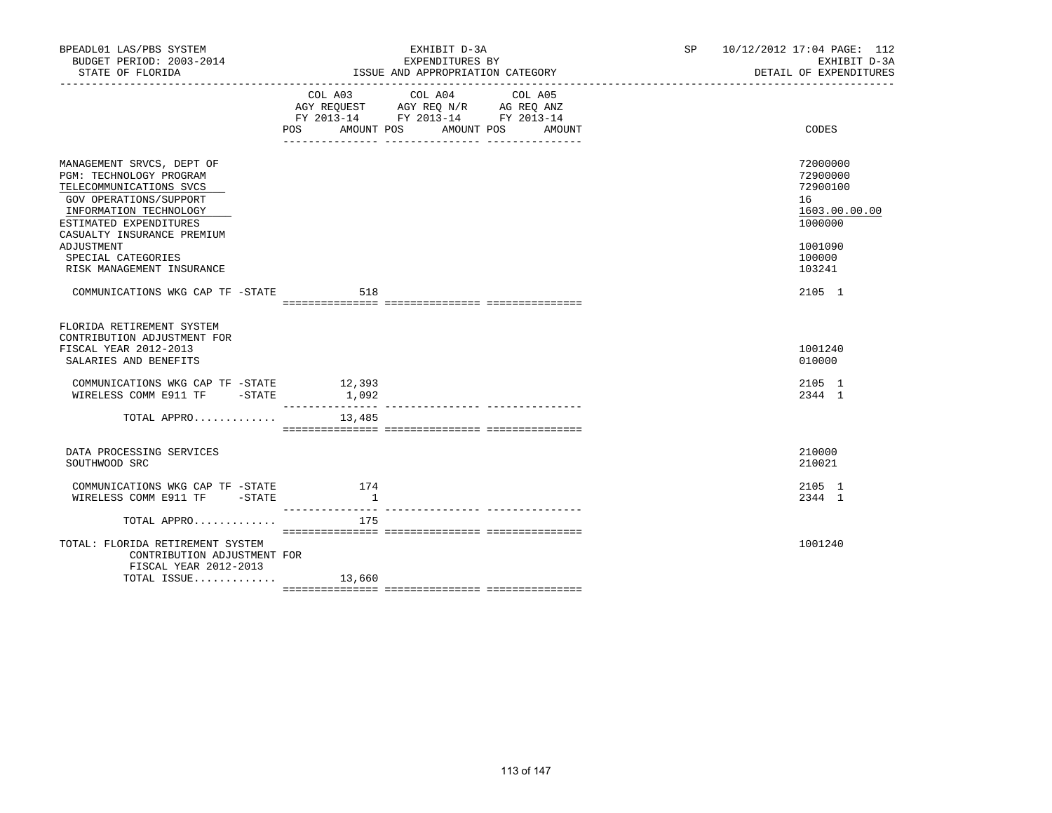| BPEADL01 LAS/PBS SYSTEM<br>BUDGET PERIOD: 2003-2014<br>STATE OF FLORIDA                                                                                                                                                                                      |                | EXHIBIT D-3A<br>EXPENDITURES BY<br>ISSUE AND APPROPRIATION CATEGORY  | SP | 10/12/2012 17:04 PAGE: 112<br>EXHIBIT D-3A<br>DETAIL OF EXPENDITURES                              |
|--------------------------------------------------------------------------------------------------------------------------------------------------------------------------------------------------------------------------------------------------------------|----------------|----------------------------------------------------------------------|----|---------------------------------------------------------------------------------------------------|
|                                                                                                                                                                                                                                                              |                | FY 2013-14 FY 2013-14 FY 2013-14<br>POS AMOUNT POS AMOUNT POS AMOUNT |    | CODES                                                                                             |
| MANAGEMENT SRVCS, DEPT OF<br>PGM: TECHNOLOGY PROGRAM<br>TELECOMMUNICATIONS SVCS<br>GOV OPERATIONS/SUPPORT<br>INFORMATION TECHNOLOGY<br>ESTIMATED EXPENDITURES<br>CASUALTY INSURANCE PREMIUM<br>ADJUSTMENT<br>SPECIAL CATEGORIES<br>RISK MANAGEMENT INSURANCE |                |                                                                      |    | 72000000<br>72900000<br>72900100<br>16<br>1603.00.00.00<br>1000000<br>1001090<br>100000<br>103241 |
| COMMUNICATIONS WKG CAP TF -STATE 518                                                                                                                                                                                                                         |                |                                                                      |    | 2105 1                                                                                            |
| FLORIDA RETIREMENT SYSTEM<br>CONTRIBUTION ADJUSTMENT FOR<br>FISCAL YEAR 2012-2013<br>SALARIES AND BENEFITS<br>COMMUNICATIONS WKG CAP TF -STATE 12,393<br>WIRELESS COMM E911 TF - STATE                                                                       | 1,092          |                                                                      |    | 1001240<br>010000<br>2105 1<br>2344 1                                                             |
| TOTAL APPRO                                                                                                                                                                                                                                                  | 13,485         |                                                                      |    |                                                                                                   |
| DATA PROCESSING SERVICES<br>SOUTHWOOD SRC                                                                                                                                                                                                                    |                |                                                                      |    | 210000<br>210021                                                                                  |
| COMMUNICATIONS WKG CAP TF -STATE 174<br>WIRELESS COMM E911 TF -STATE                                                                                                                                                                                         | $\overline{1}$ |                                                                      |    | 2105 1<br>2344 1                                                                                  |
| TOTAL APPRO                                                                                                                                                                                                                                                  | 175            |                                                                      |    |                                                                                                   |
| TOTAL: FLORIDA RETIREMENT SYSTEM<br>CONTRIBUTION ADJUSTMENT FOR<br>FISCAL YEAR 2012-2013<br>TOTAL ISSUE $13,660$                                                                                                                                             |                |                                                                      |    | 1001240                                                                                           |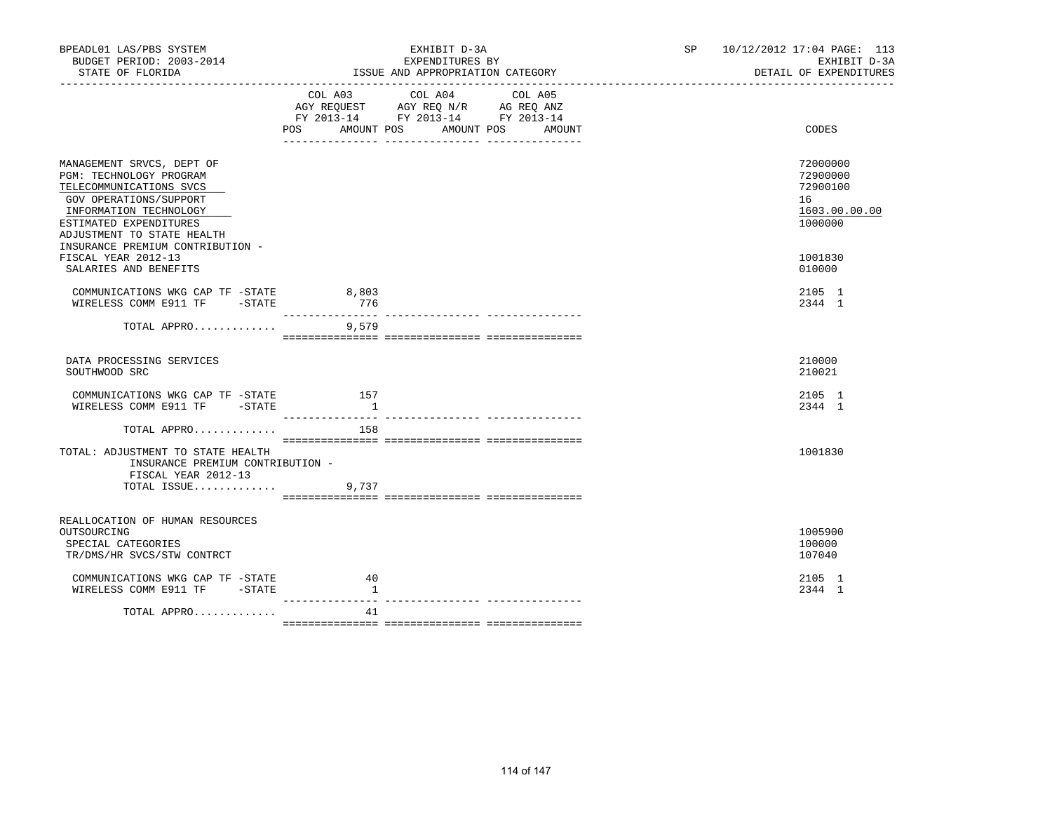| BPEADL01 LAS/PBS SYSTEM<br>BUDGET PERIOD: 2003-2014<br>STATE OF FLORIDA                                                                                                                     |                                 | EXHIBIT D-3A<br>EXPENDITURES BY<br>ISSUE AND APPROPRIATION CATEGORY                                                                      | 10/12/2012 17:04 PAGE: 113<br>SP <sub>2</sub><br>EXHIBIT D-3A<br>DETAIL OF EXPENDITURES |
|---------------------------------------------------------------------------------------------------------------------------------------------------------------------------------------------|---------------------------------|------------------------------------------------------------------------------------------------------------------------------------------|-----------------------------------------------------------------------------------------|
|                                                                                                                                                                                             |                                 | COL A03 COL A04<br>COL A05<br>AGY REQUEST AGY REQ N/R AG REQ ANZ<br>FY 2013-14 FY 2013-14 FY 2013-14<br>POS AMOUNT POS AMOUNT POS AMOUNT | CODES                                                                                   |
|                                                                                                                                                                                             |                                 |                                                                                                                                          |                                                                                         |
| MANAGEMENT SRVCS, DEPT OF<br>PGM: TECHNOLOGY PROGRAM<br>TELECOMMUNICATIONS SVCS<br>GOV OPERATIONS/SUPPORT<br>INFORMATION TECHNOLOGY<br>ESTIMATED EXPENDITURES<br>ADJUSTMENT TO STATE HEALTH |                                 |                                                                                                                                          | 72000000<br>72900000<br>72900100<br>16<br>1603.00.00.00<br>1000000                      |
| INSURANCE PREMIUM CONTRIBUTION -<br>FISCAL YEAR 2012-13                                                                                                                                     |                                 |                                                                                                                                          | 1001830                                                                                 |
| SALARIES AND BENEFITS                                                                                                                                                                       |                                 |                                                                                                                                          | 010000                                                                                  |
| COMMUNICATIONS WKG CAP TF -STATE 8,803<br>WIRELESS COMM E911 TF -STATE                                                                                                                      | 776                             |                                                                                                                                          | 2105 1<br>2344 1                                                                        |
| TOTAL APPRO 9,579                                                                                                                                                                           |                                 |                                                                                                                                          |                                                                                         |
| DATA PROCESSING SERVICES<br>SOUTHWOOD SRC                                                                                                                                                   |                                 |                                                                                                                                          | 210000<br>210021                                                                        |
| COMMUNICATIONS WKG CAP TF -STATE<br>WIRELESS COMM E911 TF -STATE                                                                                                                            | 157<br>$\overline{\phantom{a}}$ |                                                                                                                                          | 2105 1<br>2344 1                                                                        |
| TOTAL APPRO                                                                                                                                                                                 | 158                             |                                                                                                                                          |                                                                                         |
| TOTAL: ADJUSTMENT TO STATE HEALTH<br>INSURANCE PREMIUM CONTRIBUTION -<br>FISCAL YEAR 2012-13<br>TOTAL ISSUE                                                                                 | 9,737                           |                                                                                                                                          | 1001830                                                                                 |
| REALLOCATION OF HUMAN RESOURCES<br>OUTSOURCING<br>SPECIAL CATEGORIES<br>TR/DMS/HR SVCS/STW CONTRCT                                                                                          |                                 |                                                                                                                                          | 1005900<br>100000<br>107040                                                             |
| COMMUNICATIONS WKG CAP TF -STATE<br>WIRELESS COMM E911 TF -STATE                                                                                                                            | 40<br><sup>1</sup>              |                                                                                                                                          | 2105 1<br>2344 1                                                                        |
| TOTAL APPRO                                                                                                                                                                                 | 41                              |                                                                                                                                          |                                                                                         |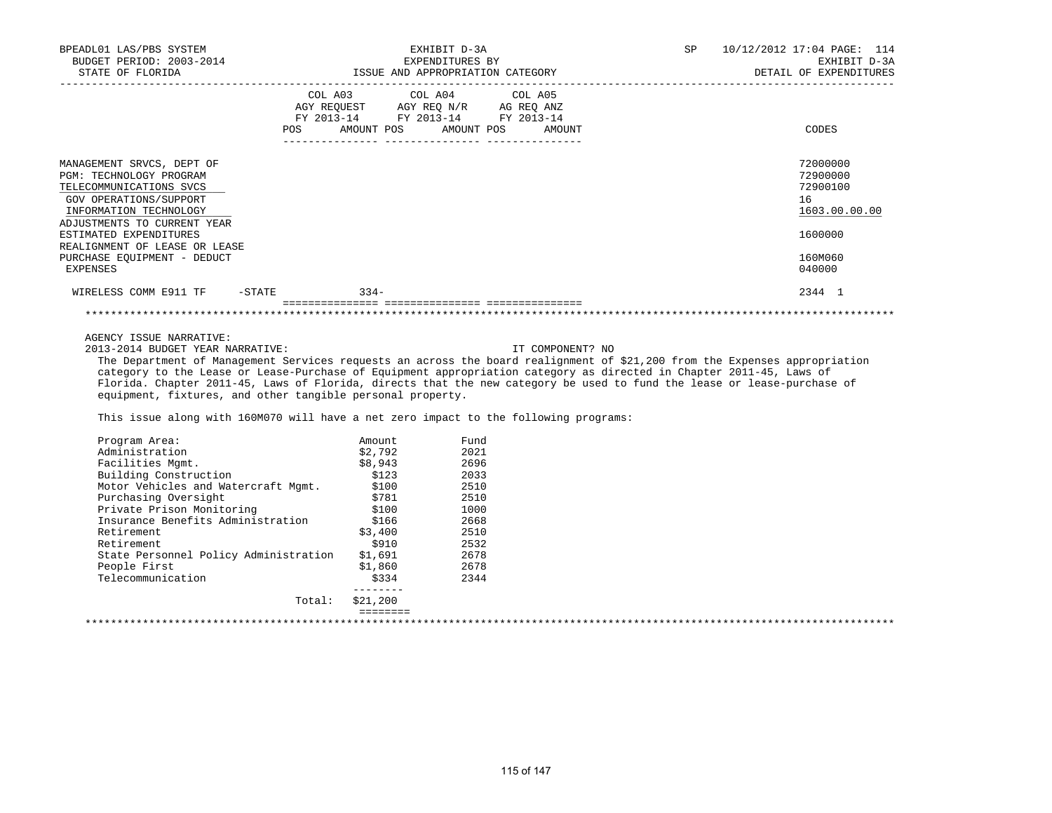|                      |                                                                                                                           | DETAIL OF EXPENDITURES          |
|----------------------|---------------------------------------------------------------------------------------------------------------------------|---------------------------------|
| AMOUNT POS<br>AMOUNT |                                                                                                                           | CODES                           |
|                      |                                                                                                                           | 72000000<br>72900000            |
|                      |                                                                                                                           | 72900100<br>16<br>1603.00.00.00 |
|                      |                                                                                                                           | 1600000                         |
|                      |                                                                                                                           | 160M060<br>040000               |
|                      |                                                                                                                           | 2344 1                          |
|                      | COL A03 COL A04 COL A05<br>AGY REQUEST AGY REQ N/R AG REQ ANZ<br>FY 2013-14 FY 2013-14 FY 2013-14<br>AMOUNT POS<br>$334-$ |                                 |

AGENCY ISSUE NARRATIVE:

2013-2014 BUDGET YEAR NARRATIVE: IT COMPONENT? NO

 The Department of Management Services requests an across the board realignment of \$21,200 from the Expenses appropriation category to the Lease or Lease-Purchase of Equipment appropriation category as directed in Chapter 2011-45, Laws of Florida. Chapter 2011-45, Laws of Florida, directs that the new category be used to fund the lease or lease-purchase of equipment, fixtures, and other tangible personal property.

This issue along with 160M070 will have a net zero impact to the following programs:

| Program Area:                         | Amount.             | Fund |  |
|---------------------------------------|---------------------|------|--|
| Administration                        | \$2,792             | 2021 |  |
| Facilities Mqmt.                      | \$8,943             | 2696 |  |
| Building Construction                 | \$123               | 2033 |  |
| Motor Vehicles and Watercraft Mgmt.   | \$100               | 2510 |  |
| Purchasing Oversight                  | \$781               | 2510 |  |
| Private Prison Monitoring             | \$100               | 1000 |  |
| Insurance Benefits Administration     | \$166               | 2668 |  |
| Retirement                            | \$3,400             | 2510 |  |
| Retirement                            | \$910               | 2532 |  |
| State Personnel Policy Administration | \$1,691             | 2678 |  |
| People First                          | \$1,860             | 2678 |  |
| Telecommunication                     | \$334               | 2344 |  |
| Total:                                | -------<br>\$21,200 |      |  |
|                                       |                     |      |  |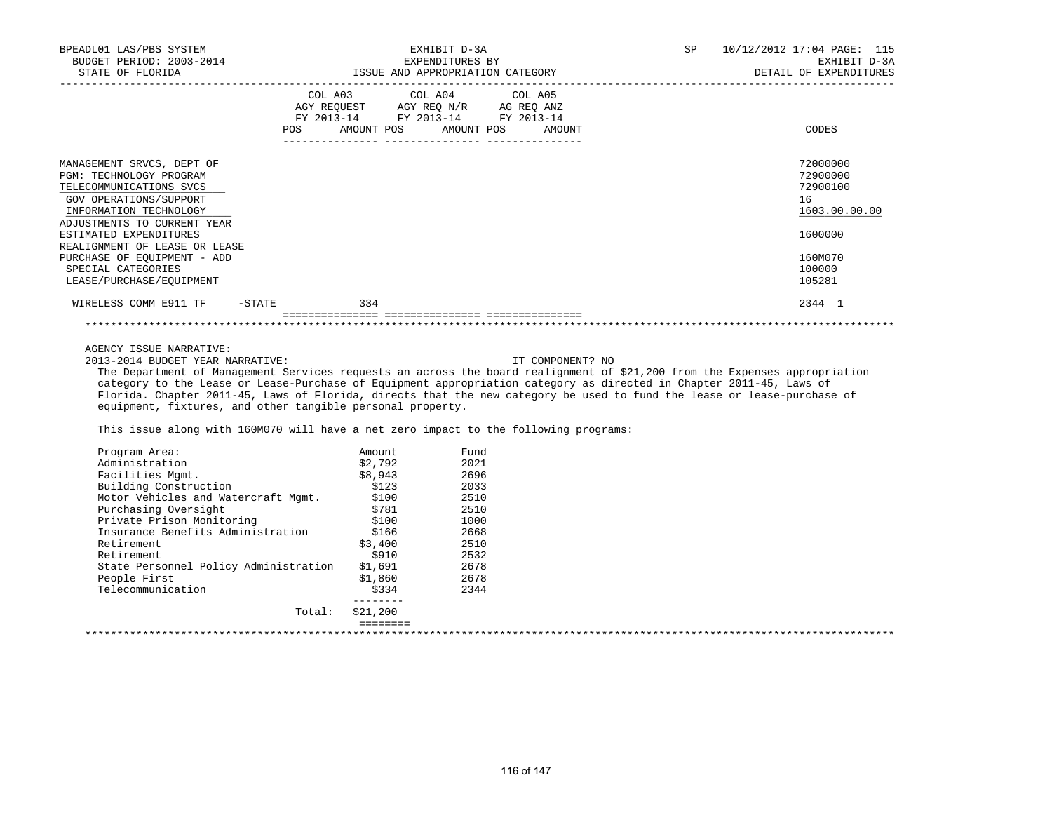| BPEADL01 LAS/PBS SYSTEM<br>BUDGET PERIOD: 2003-2014<br>STATE OF FLORIDA |     | EXHIBIT D-3A<br>EXPENDITURES BY<br>ISSUE AND APPROPRIATION CATEGORY |                      | SP | 10/12/2012 17:04 PAGE: 115<br>EXHIBIT D-3A<br>DETAIL OF EXPENDITURES |
|-------------------------------------------------------------------------|-----|---------------------------------------------------------------------|----------------------|----|----------------------------------------------------------------------|
|                                                                         |     | COL A03 COL A04 COL A05<br>AGY REQUEST AGY REQ N/R AG REQ ANZ       |                      |    |                                                                      |
|                                                                         |     | FY 2013-14 FY 2013-14 FY 2013-14                                    |                      |    |                                                                      |
|                                                                         | POS | AMOUNT POS                                                          | AMOUNT POS<br>AMOUNT |    | CODES                                                                |
| MANAGEMENT SRVCS, DEPT OF                                               |     |                                                                     |                      |    | 72000000                                                             |
| <b>PGM: TECHNOLOGY PROGRAM</b>                                          |     |                                                                     |                      |    | 72900000                                                             |
| TELECOMMUNICATIONS SVCS                                                 |     |                                                                     |                      |    | 72900100                                                             |
| GOV OPERATIONS/SUPPORT                                                  |     |                                                                     |                      |    | 16                                                                   |
| INFORMATION TECHNOLOGY                                                  |     |                                                                     |                      |    | 1603.00.00.00                                                        |
| ADJUSTMENTS TO CURRENT YEAR                                             |     |                                                                     |                      |    |                                                                      |
| ESTIMATED EXPENDITURES                                                  |     |                                                                     |                      |    | 1600000                                                              |
| REALIGNMENT OF LEASE OR LEASE                                           |     |                                                                     |                      |    |                                                                      |
| PURCHASE OF EOUIPMENT - ADD                                             |     |                                                                     |                      |    | 160M070                                                              |
| SPECIAL CATEGORIES                                                      |     |                                                                     |                      |    | 100000                                                               |
| LEASE/PURCHASE/EOUIPMENT                                                |     |                                                                     |                      |    | 105281                                                               |
| WIRELESS COMM E911 TF -STATE                                            | 334 |                                                                     |                      |    | 2344 1                                                               |
|                                                                         |     |                                                                     |                      |    |                                                                      |
| AGENCY ISSUE NARRATIVE:                                                 |     |                                                                     |                      |    |                                                                      |
| 2013-2014 BUDGET YEAR NARRATIVE:                                        |     |                                                                     | IT COMPONENT? NO     |    |                                                                      |

 The Department of Management Services requests an across the board realignment of \$21,200 from the Expenses appropriation category to the Lease or Lease-Purchase of Equipment appropriation category as directed in Chapter 2011-45, Laws of Florida. Chapter 2011-45, Laws of Florida, directs that the new category be used to fund the lease or lease-purchase of equipment, fixtures, and other tangible personal property.

This issue along with 160M070 will have a net zero impact to the following programs:

| Program Area:                         | Amount   | Fund |  |
|---------------------------------------|----------|------|--|
| Administration                        | \$2.792  | 2021 |  |
| Facilities Mqmt.                      | \$8,943  | 2696 |  |
| Building Construction                 | \$123    | 2033 |  |
| Motor Vehicles and Watercraft Mqmt.   | \$100    | 2510 |  |
| Purchasing Oversight                  | \$781    | 2510 |  |
| Private Prison Monitoring             | \$100    | 1000 |  |
| Insurance Benefits Administration     | \$166    | 2668 |  |
| Retirement                            | \$3,400  | 2510 |  |
| Retirement                            | \$910    | 2532 |  |
| State Personnel Policy Administration | \$1,691  | 2678 |  |
| People First                          | \$1,860  | 2678 |  |
| Telecommunication                     | \$334    | 2344 |  |
| Total:                                | \$21,200 |      |  |
|                                       | ________ |      |  |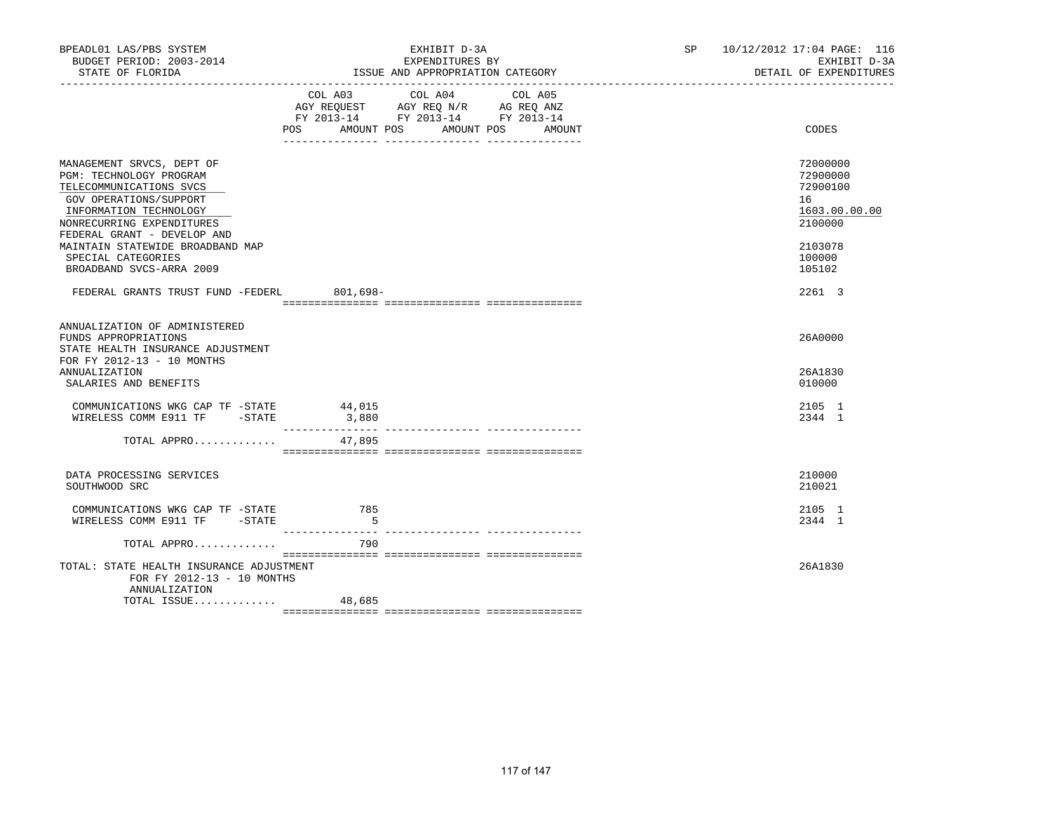| BPEADL01 LAS/PBS SYSTEM<br>BUDGET PERIOD: 2003-2014<br>STATE OF FLORIDA                                                                                                                                                                                                               |                 | EXHIBIT D-3A<br>EXPENDITURES BY<br>ISSUE AND APPROPRIATION CATEGORY                                                                         | SP 10/12/2012 17:04 PAGE: 116<br>EXHIBIT D-3A<br>DETAIL OF EXPENDITURES                           |
|---------------------------------------------------------------------------------------------------------------------------------------------------------------------------------------------------------------------------------------------------------------------------------------|-----------------|---------------------------------------------------------------------------------------------------------------------------------------------|---------------------------------------------------------------------------------------------------|
|                                                                                                                                                                                                                                                                                       |                 | COL A03 COL A04<br>COL A05<br>AGY REQUEST AGY REQ N/R AG REQ ANZ<br>FY 2013-14 FY 2013-14 FY 2013-14<br>POS AMOUNT POS AMOUNT POS<br>AMOUNT | CODES                                                                                             |
| MANAGEMENT SRVCS, DEPT OF<br>PGM: TECHNOLOGY PROGRAM<br>TELECOMMUNICATIONS SVCS<br>GOV OPERATIONS/SUPPORT<br>INFORMATION TECHNOLOGY<br>NONRECURRING EXPENDITURES<br>FEDERAL GRANT - DEVELOP AND<br>MAINTAIN STATEWIDE BROADBAND MAP<br>SPECIAL CATEGORIES<br>BROADBAND SVCS-ARRA 2009 |                 |                                                                                                                                             | 72000000<br>72900000<br>72900100<br>16<br>1603.00.00.00<br>2100000<br>2103078<br>100000<br>105102 |
| FEDERAL GRANTS TRUST FUND -FEDERL 801,698-                                                                                                                                                                                                                                            |                 |                                                                                                                                             | 2261 3                                                                                            |
| ANNUALIZATION OF ADMINISTERED<br>FUNDS APPROPRIATIONS<br>STATE HEALTH INSURANCE ADJUSTMENT<br>FOR FY 2012-13 - 10 MONTHS<br>ANNUALIZATION<br>SALARIES AND BENEFITS                                                                                                                    |                 |                                                                                                                                             | 26A0000<br>26A1830<br>010000                                                                      |
| COMMUNICATIONS WKG CAP TF -STATE<br>WIRELESS COMM E911 TF -STATE                                                                                                                                                                                                                      | 44,015<br>3,880 |                                                                                                                                             | 2105 1<br>2344 1                                                                                  |
| TOTAL APPRO                                                                                                                                                                                                                                                                           | 47,895          |                                                                                                                                             |                                                                                                   |
| DATA PROCESSING SERVICES<br>SOUTHWOOD SRC                                                                                                                                                                                                                                             |                 |                                                                                                                                             | 210000<br>210021                                                                                  |
| COMMUNICATIONS WKG CAP TF -STATE 785<br>WIRELESS COMM E911 TF -STATE                                                                                                                                                                                                                  | $-5$            |                                                                                                                                             | 2105 1<br>2344 1                                                                                  |
| TOTAL APPRO                                                                                                                                                                                                                                                                           | 790             |                                                                                                                                             |                                                                                                   |
| TOTAL: STATE HEALTH INSURANCE ADJUSTMENT<br>FOR FY 2012-13 - 10 MONTHS<br>ANNUALIZATION<br>TOTAL ISSUE                                                                                                                                                                                |                 |                                                                                                                                             | 26A1830                                                                                           |
|                                                                                                                                                                                                                                                                                       | 48,685          |                                                                                                                                             |                                                                                                   |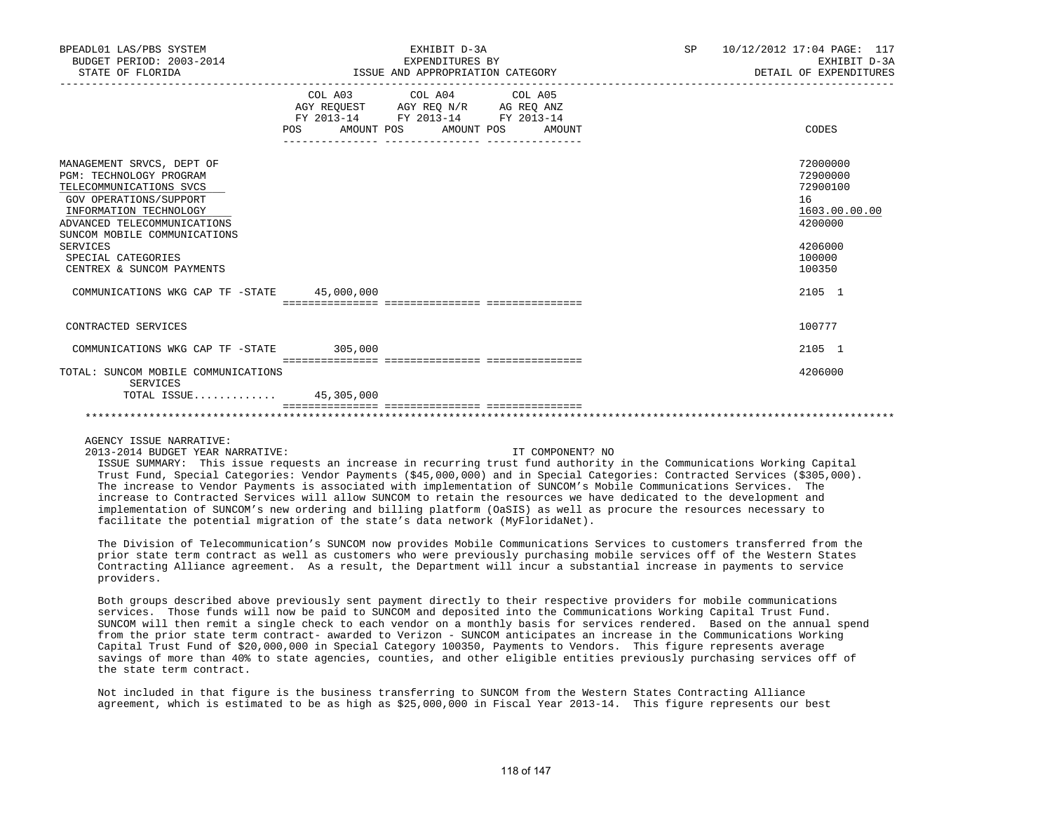| BPEADL01 LAS/PBS SYSTEM<br>BUDGET PERIOD: 2003-2014<br>STATE OF FLORIDA                                                                                                                                                                                           | EXHIBIT D-3A<br>EXPENDITURES BY<br>ISSUE AND APPROPRIATION CATEGORY                                                                   | <b>SP</b> | 10/12/2012 17:04 PAGE: 117<br>EXHIBIT D-3A<br>DETAIL OF EXPENDITURES                              |  |
|-------------------------------------------------------------------------------------------------------------------------------------------------------------------------------------------------------------------------------------------------------------------|---------------------------------------------------------------------------------------------------------------------------------------|-----------|---------------------------------------------------------------------------------------------------|--|
|                                                                                                                                                                                                                                                                   | COL A03 COL A04 COL A05<br>AGY REQUEST AGY REQ N/R AG REQ ANZ<br>FY 2013-14 FY 2013-14 FY 2013-14<br>POS AMOUNT POS AMOUNT POS AMOUNT |           | CODES                                                                                             |  |
| MANAGEMENT SRVCS, DEPT OF<br>PGM: TECHNOLOGY PROGRAM<br>TELECOMMUNICATIONS SVCS<br>GOV OPERATIONS/SUPPORT<br>INFORMATION TECHNOLOGY<br>ADVANCED TELECOMMUNICATIONS<br>SUNCOM MOBILE COMMUNICATIONS<br>SERVICES<br>SPECIAL CATEGORIES<br>CENTREX & SUNCOM PAYMENTS |                                                                                                                                       |           | 72000000<br>72900000<br>72900100<br>16<br>1603.00.00.00<br>4200000<br>4206000<br>100000<br>100350 |  |
| COMMUNICATIONS WKG CAP TF -STATE 45,000,000                                                                                                                                                                                                                       |                                                                                                                                       |           | 2105 1                                                                                            |  |
| CONTRACTED SERVICES                                                                                                                                                                                                                                               |                                                                                                                                       |           | 100777                                                                                            |  |
| COMMUNICATIONS WKG CAP TF -STATE 305,000                                                                                                                                                                                                                          |                                                                                                                                       |           | 2105 1                                                                                            |  |
| TOTAL: SUNCOM MOBILE COMMUNICATIONS<br>SERVICES<br>TOTAL ISSUE 45,305,000                                                                                                                                                                                         |                                                                                                                                       |           | 4206000                                                                                           |  |
|                                                                                                                                                                                                                                                                   |                                                                                                                                       |           |                                                                                                   |  |

AGENCY ISSUE NARRATIVE:

2013-2014 BUDGET YEAR NARRATIVE: IT COMPONENT? NO

 ISSUE SUMMARY: This issue requests an increase in recurring trust fund authority in the Communications Working Capital Trust Fund, Special Categories: Vendor Payments (\$45,000,000) and in Special Categories: Contracted Services (\$305,000). The increase to Vendor Payments is associated with implementation of SUNCOM's Mobile Communications Services. The increase to Contracted Services will allow SUNCOM to retain the resources we have dedicated to the development and implementation of SUNCOM's new ordering and billing platform (OaSIS) as well as procure the resources necessary to facilitate the potential migration of the state's data network (MyFloridaNet).

 The Division of Telecommunication's SUNCOM now provides Mobile Communications Services to customers transferred from the prior state term contract as well as customers who were previously purchasing mobile services off of the Western States Contracting Alliance agreement. As a result, the Department will incur a substantial increase in payments to service providers.

 Both groups described above previously sent payment directly to their respective providers for mobile communications services. Those funds will now be paid to SUNCOM and deposited into the Communications Working Capital Trust Fund. SUNCOM will then remit a single check to each vendor on a monthly basis for services rendered. Based on the annual spend from the prior state term contract- awarded to Verizon - SUNCOM anticipates an increase in the Communications Working Capital Trust Fund of \$20,000,000 in Special Category 100350, Payments to Vendors. This figure represents average savings of more than 40% to state agencies, counties, and other eligible entities previously purchasing services off of the state term contract.

 Not included in that figure is the business transferring to SUNCOM from the Western States Contracting Alliance agreement, which is estimated to be as high as \$25,000,000 in Fiscal Year 2013-14. This figure represents our best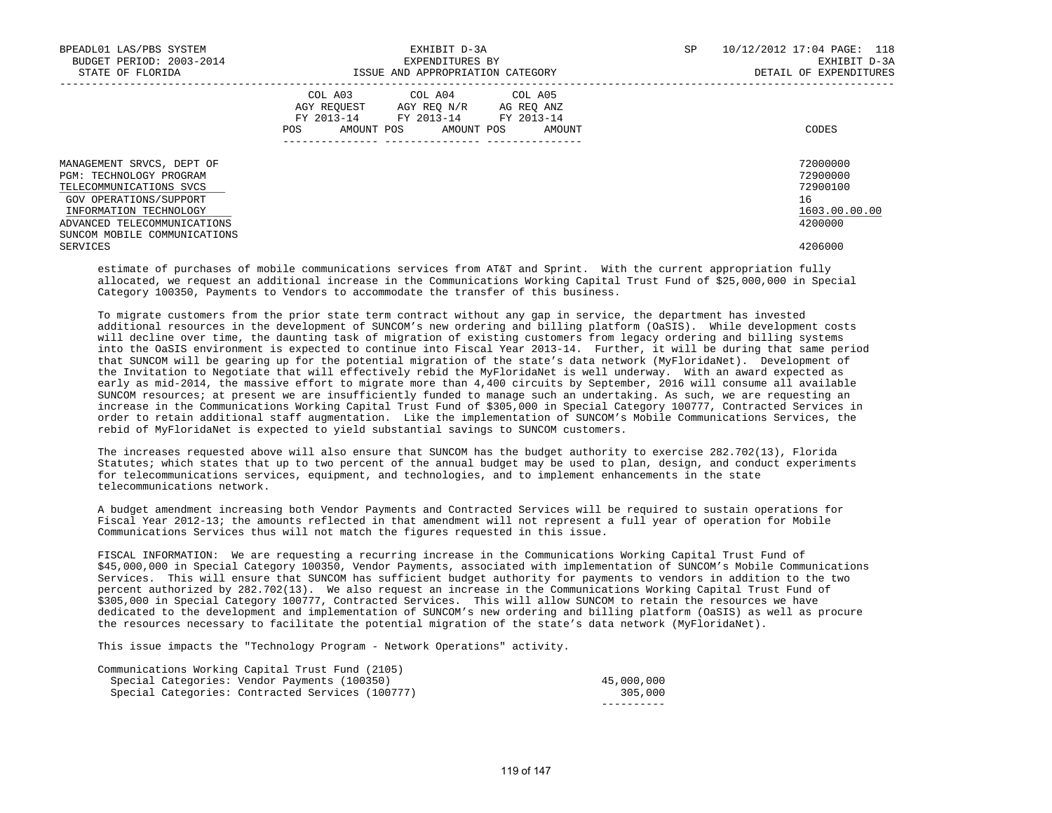| BPEADL01 LAS/PBS SYSTEM<br>BUDGET PERIOD: 2003-2014<br>STATE OF FLORIDA                                                             | EXHIBIT D-3A<br>EXPENDITURES BY<br>ISSUE AND APPROPRIATION CATEGORY                                                                         | 10/12/2012 17:04 PAGE: 118<br>SP<br>EXHIBIT D-3A<br>DETAIL OF EXPENDITURES |
|-------------------------------------------------------------------------------------------------------------------------------------|---------------------------------------------------------------------------------------------------------------------------------------------|----------------------------------------------------------------------------|
|                                                                                                                                     | COL A03 COL A04 COL A05<br>AGY REQUEST AGY REQ N/R AG REQ ANZ<br>FY 2013-14 FY 2013-14 FY 2013-14<br>AMOUNT POS AMOUNT POS<br>POS<br>AMOUNT | CODES                                                                      |
| MANAGEMENT SRVCS, DEPT OF<br>PGM: TECHNOLOGY PROGRAM<br>TELECOMMUNICATIONS SVCS<br>GOV OPERATIONS/SUPPORT<br>INFORMATION TECHNOLOGY |                                                                                                                                             | 72000000<br>72900000<br>72900100<br>16<br>1603.00.00.00                    |
| ADVANCED TELECOMMUNICATIONS<br>SUNCOM MOBILE COMMUNICATIONS<br>SERVICES                                                             |                                                                                                                                             | 4200000<br>4206000                                                         |

 estimate of purchases of mobile communications services from AT&T and Sprint. With the current appropriation fully allocated, we request an additional increase in the Communications Working Capital Trust Fund of \$25,000,000 in Special Category 100350, Payments to Vendors to accommodate the transfer of this business.

 To migrate customers from the prior state term contract without any gap in service, the department has invested additional resources in the development of SUNCOM's new ordering and billing platform (OaSIS). While development costs will decline over time, the daunting task of migration of existing customers from legacy ordering and billing systems into the OaSIS environment is expected to continue into Fiscal Year 2013-14. Further, it will be during that same period that SUNCOM will be gearing up for the potential migration of the state's data network (MyFloridaNet). Development of the Invitation to Negotiate that will effectively rebid the MyFloridaNet is well underway. With an award expected as early as mid-2014, the massive effort to migrate more than 4,400 circuits by September, 2016 will consume all available SUNCOM resources; at present we are insufficiently funded to manage such an undertaking. As such, we are requesting an increase in the Communications Working Capital Trust Fund of \$305,000 in Special Category 100777, Contracted Services in order to retain additional staff augmentation. Like the implementation of SUNCOM's Mobile Communications Services, the rebid of MyFloridaNet is expected to yield substantial savings to SUNCOM customers.

 The increases requested above will also ensure that SUNCOM has the budget authority to exercise 282.702(13), Florida Statutes; which states that up to two percent of the annual budget may be used to plan, design, and conduct experiments for telecommunications services, equipment, and technologies, and to implement enhancements in the state telecommunications network.

 A budget amendment increasing both Vendor Payments and Contracted Services will be required to sustain operations for Fiscal Year 2012-13; the amounts reflected in that amendment will not represent a full year of operation for Mobile Communications Services thus will not match the figures requested in this issue.

 FISCAL INFORMATION: We are requesting a recurring increase in the Communications Working Capital Trust Fund of \$45,000,000 in Special Category 100350, Vendor Payments, associated with implementation of SUNCOM's Mobile Communications Services. This will ensure that SUNCOM has sufficient budget authority for payments to vendors in addition to the two percent authorized by 282.702(13). We also request an increase in the Communications Working Capital Trust Fund of \$305,000 in Special Category 100777, Contracted Services. This will allow SUNCOM to retain the resources we have dedicated to the development and implementation of SUNCOM's new ordering and billing platform (OaSIS) as well as procure the resources necessary to facilitate the potential migration of the state's data network (MyFloridaNet).

This issue impacts the "Technology Program - Network Operations" activity.

| Communications Working Capital Trust Fund (2105) |            |
|--------------------------------------------------|------------|
| Special Categories: Vendor Payments (100350)     | 45,000,000 |
| Special Categories: Contracted Services (100777) | 305,000    |
|                                                  |            |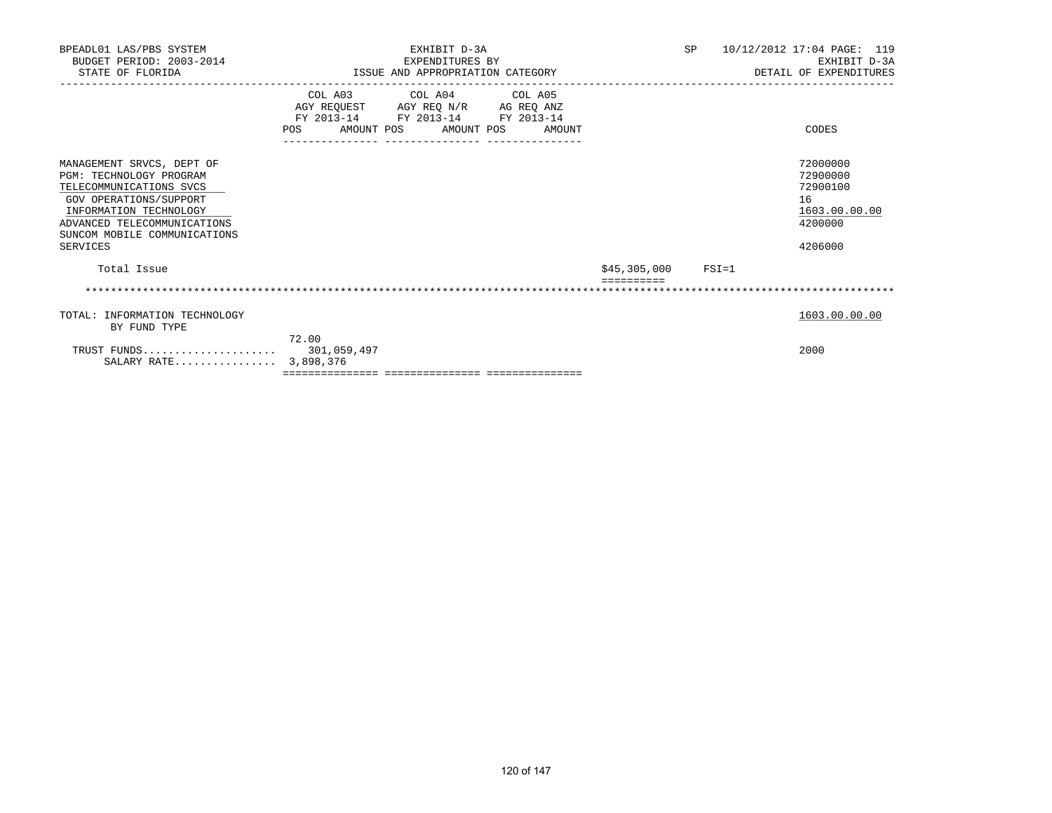| BPEADL01 LAS/PBS SYSTEM<br>BUDGET PERIOD: 2003-2014<br>STATE OF FLORIDA                                                                                                                                               | EXHIBIT D-3A<br>EXPENDITURES BY<br>ISSUE AND APPROPRIATION CATEGORY |                                                                                                                           |                       | SP | 10/12/2012 17:04 PAGE: 119<br>EXHIBIT D-3A<br>DETAIL OF EXPENDITURES          |
|-----------------------------------------------------------------------------------------------------------------------------------------------------------------------------------------------------------------------|---------------------------------------------------------------------|---------------------------------------------------------------------------------------------------------------------------|-----------------------|----|-------------------------------------------------------------------------------|
|                                                                                                                                                                                                                       | AMOUNT POS<br>POS                                                   | COL A03 COL A04 COL A05<br>AGY REQUEST AGY REQ N/R AG REQ ANZ<br>FY 2013-14 FY 2013-14 FY 2013-14<br>AMOUNT POS<br>AMOUNT |                       |    | CODES                                                                         |
| MANAGEMENT SRVCS, DEPT OF<br><b>PGM: TECHNOLOGY PROGRAM</b><br>TELECOMMUNICATIONS SVCS<br>GOV OPERATIONS/SUPPORT<br>INFORMATION TECHNOLOGY<br>ADVANCED TELECOMMUNICATIONS<br>SUNCOM MOBILE COMMUNICATIONS<br>SERVICES |                                                                     |                                                                                                                           |                       |    | 72000000<br>72900000<br>72900100<br>16<br>1603.00.00.00<br>4200000<br>4206000 |
| Total Issue                                                                                                                                                                                                           |                                                                     |                                                                                                                           | $$45,305,000$ $FSI=1$ |    |                                                                               |
|                                                                                                                                                                                                                       |                                                                     |                                                                                                                           |                       |    |                                                                               |
| TOTAL: INFORMATION TECHNOLOGY<br>BY FUND TYPE                                                                                                                                                                         |                                                                     |                                                                                                                           |                       |    | 1603.00.00.00                                                                 |
| TRUST FUNDS 301,059,497<br>SALARY RATE 3,898,376                                                                                                                                                                      | 72.00                                                               |                                                                                                                           |                       |    | 2000                                                                          |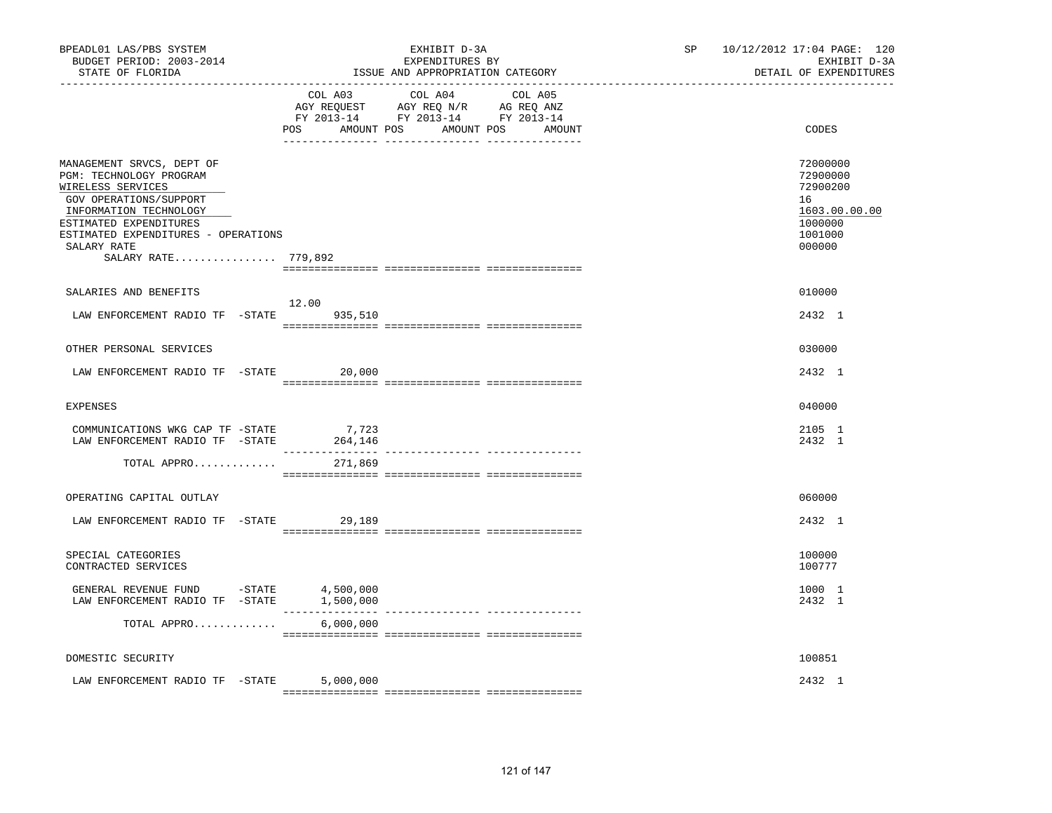| BPEADL01 LAS/PBS SYSTEM<br>BUDGET PERIOD: 2003-2014<br>STATE OF FLORIDA<br>-----------------                                                                                                                                         |                                      | EXHIBIT D-3A<br>EXPENDITURES BY<br>ISSUE AND APPROPRIATION CATEGORY                                                               | 10/12/2012 17:04 PAGE: 120<br>SP <sub>2</sub><br>EXHIBIT D-3A<br>DETAIL OF EXPENDITURES |                                                                                         |
|--------------------------------------------------------------------------------------------------------------------------------------------------------------------------------------------------------------------------------------|--------------------------------------|-----------------------------------------------------------------------------------------------------------------------------------|-----------------------------------------------------------------------------------------|-----------------------------------------------------------------------------------------|
|                                                                                                                                                                                                                                      | POS                                  | COL A03 COL A04 COL A05<br>AGY REQUEST AGY REQ N/R AG REQ ANZ<br>FY 2013-14 FY 2013-14 FY 2013-14<br>AMOUNT POS AMOUNT POS AMOUNT |                                                                                         | CODES                                                                                   |
| MANAGEMENT SRVCS, DEPT OF<br>PGM: TECHNOLOGY PROGRAM<br>WIRELESS SERVICES<br>GOV OPERATIONS/SUPPORT<br>INFORMATION TECHNOLOGY<br>ESTIMATED EXPENDITURES<br>ESTIMATED EXPENDITURES - OPERATIONS<br>SALARY RATE<br>SALARY RATE 779,892 |                                      |                                                                                                                                   |                                                                                         | 72000000<br>72900000<br>72900200<br>16<br>1603.00.00.00<br>1000000<br>1001000<br>000000 |
| SALARIES AND BENEFITS                                                                                                                                                                                                                | 12.00                                |                                                                                                                                   |                                                                                         | 010000                                                                                  |
| LAW ENFORCEMENT RADIO TF - STATE 935,510                                                                                                                                                                                             |                                      |                                                                                                                                   |                                                                                         | 2432 1                                                                                  |
| OTHER PERSONAL SERVICES                                                                                                                                                                                                              |                                      |                                                                                                                                   |                                                                                         | 030000                                                                                  |
| LAW ENFORCEMENT RADIO TF -STATE                                                                                                                                                                                                      | 20,000                               |                                                                                                                                   |                                                                                         | 2432 1                                                                                  |
| <b>EXPENSES</b>                                                                                                                                                                                                                      |                                      |                                                                                                                                   |                                                                                         | 040000                                                                                  |
| COMMUNICATIONS WKG CAP TF -STATE<br>LAW ENFORCEMENT RADIO TF -STATE                                                                                                                                                                  | 7,723<br>264,146<br>________________ |                                                                                                                                   |                                                                                         | 2105 1<br>2432 1                                                                        |
| TOTAL APPRO                                                                                                                                                                                                                          | 271,869                              |                                                                                                                                   |                                                                                         |                                                                                         |
| OPERATING CAPITAL OUTLAY                                                                                                                                                                                                             |                                      |                                                                                                                                   |                                                                                         | 060000                                                                                  |
| LAW ENFORCEMENT RADIO TF -STATE                                                                                                                                                                                                      | 29,189                               |                                                                                                                                   |                                                                                         | 2432 1                                                                                  |
| SPECIAL CATEGORIES<br>CONTRACTED SERVICES                                                                                                                                                                                            |                                      |                                                                                                                                   |                                                                                         | 100000<br>100777                                                                        |
| GENERAL REVENUE FUND -STATE 4,500,000<br>LAW ENFORCEMENT RADIO TF -STATE                                                                                                                                                             | 1,500,000                            |                                                                                                                                   |                                                                                         | 1000 1<br>2432 1                                                                        |
| TOTAL APPRO                                                                                                                                                                                                                          | $\frac{1}{2}$<br>6,000,000           | ---------------- ---------------                                                                                                  |                                                                                         |                                                                                         |
| DOMESTIC SECURITY                                                                                                                                                                                                                    |                                      |                                                                                                                                   |                                                                                         | 100851                                                                                  |
| LAW ENFORCEMENT RADIO TF -STATE                                                                                                                                                                                                      | 5,000,000                            |                                                                                                                                   |                                                                                         | 2432 1                                                                                  |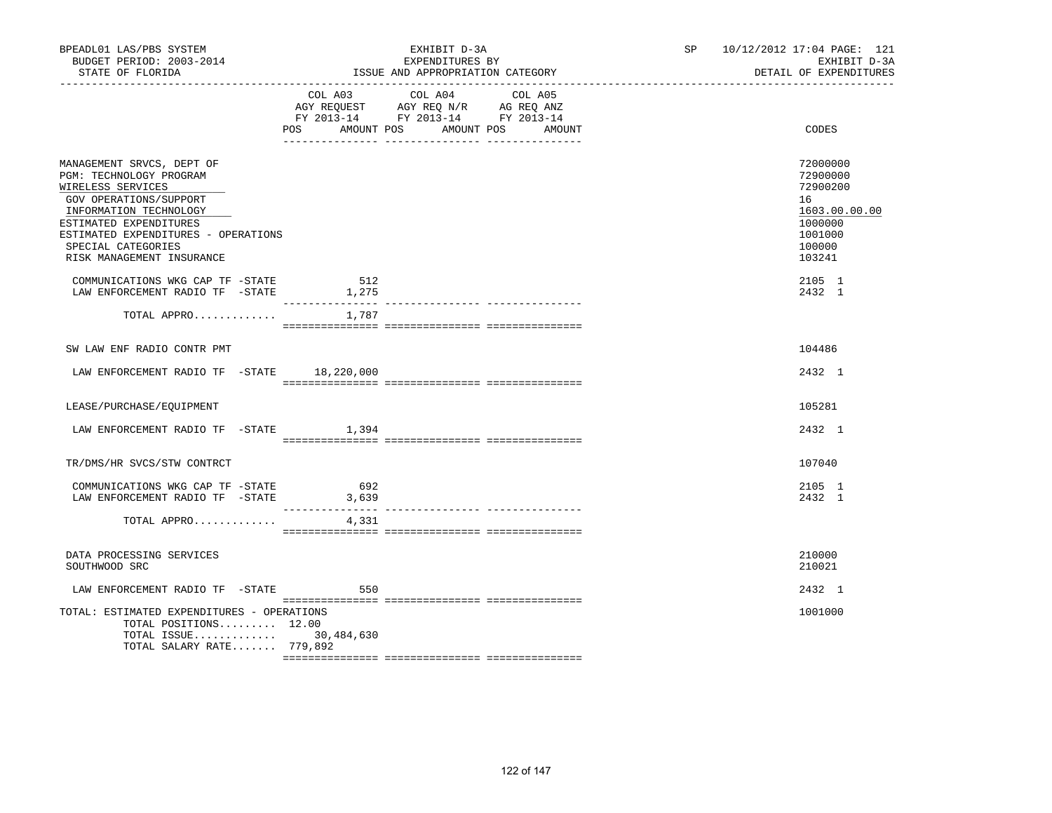| BPEADL01 LAS/PBS SYSTEM<br>BUDGET PERIOD: 2003-2014<br>STATE OF FLORIDA                                                                                                                                                                           |                | EXHIBIT D-3A<br>EXPENDITURES BY<br>ISSUE AND APPROPRIATION CATEGORY                                                       | SP 10/12/2012 17:04 PAGE: 121<br>EXHIBIT D-3A<br>DETAIL OF EXPENDITURES                           |
|---------------------------------------------------------------------------------------------------------------------------------------------------------------------------------------------------------------------------------------------------|----------------|---------------------------------------------------------------------------------------------------------------------------|---------------------------------------------------------------------------------------------------|
|                                                                                                                                                                                                                                                   | POS AMOUNT POS | COL A03 COL A04 COL A05<br>AGY REQUEST AGY REQ N/R AG REQ ANZ<br>FY 2013-14 FY 2013-14 FY 2013-14<br>AMOUNT POS<br>AMOUNT | CODES                                                                                             |
| MANAGEMENT SRVCS, DEPT OF<br>PGM: TECHNOLOGY PROGRAM<br>WIRELESS SERVICES<br>GOV OPERATIONS/SUPPORT<br>INFORMATION TECHNOLOGY<br>ESTIMATED EXPENDITURES<br>ESTIMATED EXPENDITURES - OPERATIONS<br>SPECIAL CATEGORIES<br>RISK MANAGEMENT INSURANCE |                |                                                                                                                           | 72000000<br>72900000<br>72900200<br>16<br>1603.00.00.00<br>1000000<br>1001000<br>100000<br>103241 |
| COMMUNICATIONS WKG CAP TF -STATE<br>LAW ENFORCEMENT RADIO TF -STATE                                                                                                                                                                               | 512<br>1,275   |                                                                                                                           | 2105 1<br>2432 1                                                                                  |
| TOTAL APPRO                                                                                                                                                                                                                                       | 1,787          |                                                                                                                           |                                                                                                   |
| SW LAW ENF RADIO CONTR PMT                                                                                                                                                                                                                        |                |                                                                                                                           | 104486                                                                                            |
| LAW ENFORCEMENT RADIO TF -STATE 18,220,000                                                                                                                                                                                                        |                |                                                                                                                           | 2432 1                                                                                            |
| LEASE/PURCHASE/EQUIPMENT                                                                                                                                                                                                                          |                |                                                                                                                           | 105281                                                                                            |
| LAW ENFORCEMENT RADIO TF -STATE 1,394                                                                                                                                                                                                             |                |                                                                                                                           | 2432 1                                                                                            |
| TR/DMS/HR SVCS/STW CONTRCT                                                                                                                                                                                                                        |                |                                                                                                                           | 107040                                                                                            |
| COMMUNICATIONS WKG CAP TF -STATE<br>LAW ENFORCEMENT RADIO TF -STATE                                                                                                                                                                               | 692<br>3,639   |                                                                                                                           | 2105 1<br>2432 1                                                                                  |
| TOTAL APPRO                                                                                                                                                                                                                                       | 4,331          |                                                                                                                           |                                                                                                   |
| DATA PROCESSING SERVICES<br>SOUTHWOOD SRC                                                                                                                                                                                                         |                |                                                                                                                           | 210000<br>210021                                                                                  |
| LAW ENFORCEMENT RADIO TF -STATE 650                                                                                                                                                                                                               |                |                                                                                                                           | 2432 1                                                                                            |
| TOTAL: ESTIMATED EXPENDITURES - OPERATIONS<br>TOTAL POSITIONS 12.00<br>TOTAL ISSUE 30,484,630<br>TOTAL SALARY RATE 779,892                                                                                                                        |                |                                                                                                                           | 1001000                                                                                           |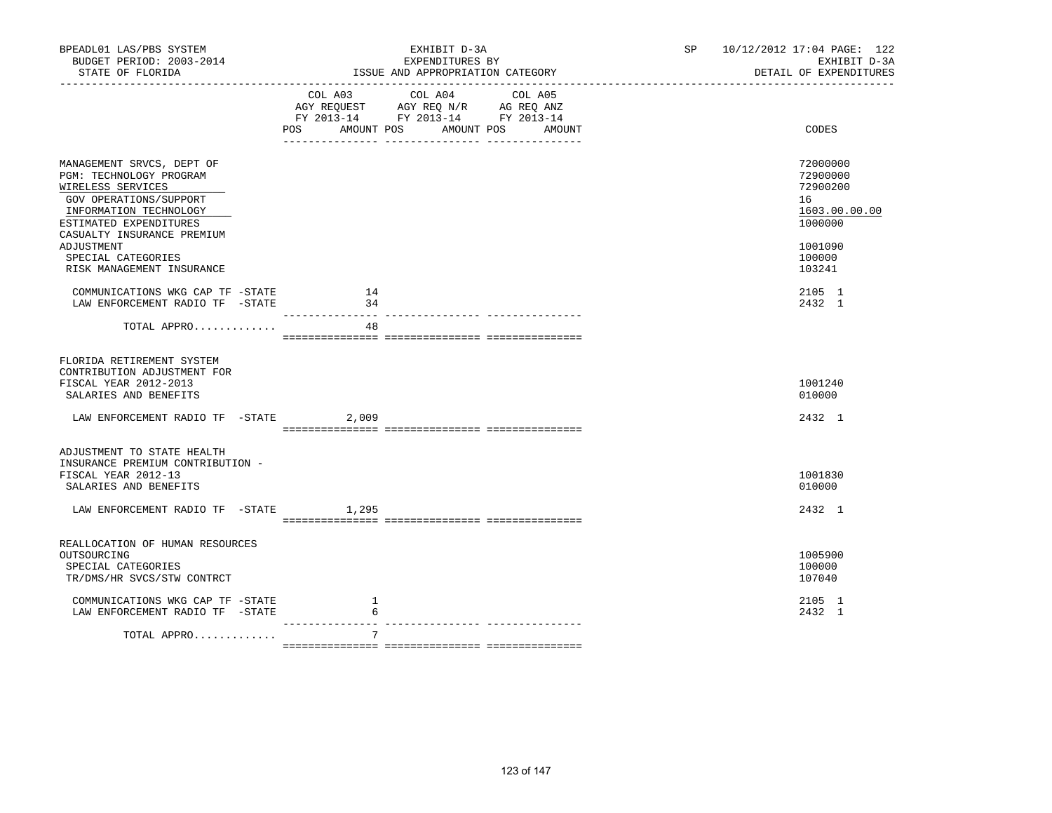| BPEADL01 LAS/PBS SYSTEM<br>BUDGET PERIOD: 2003-2014<br>STATE OF FLORIDA                                                                                                               |          | EXHIBIT D-3A<br>EXPENDITURES BY<br>ISSUE AND APPROPRIATION CATEGORY                                                                   | SP and the set of the set of the set of the set of the set of the set of the set of the set of the set of the set of the set of the set of the set of the set of the set of the set of the set of the set of the set of the se | 10/12/2012 17:04 PAGE: 122<br>EXHIBIT D-3A<br>DETAIL OF EXPENDITURES |
|---------------------------------------------------------------------------------------------------------------------------------------------------------------------------------------|----------|---------------------------------------------------------------------------------------------------------------------------------------|--------------------------------------------------------------------------------------------------------------------------------------------------------------------------------------------------------------------------------|----------------------------------------------------------------------|
|                                                                                                                                                                                       |          | COL A03 COL A04 COL A05<br>AGY REQUEST AGY REQ N/R AG REQ ANZ<br>FY 2013-14 FY 2013-14 FY 2013-14<br>POS AMOUNT POS AMOUNT POS AMOUNT |                                                                                                                                                                                                                                | CODES                                                                |
| MANAGEMENT SRVCS, DEPT OF<br>PGM: TECHNOLOGY PROGRAM<br>WIRELESS SERVICES<br>GOV OPERATIONS/SUPPORT<br>INFORMATION TECHNOLOGY<br>ESTIMATED EXPENDITURES<br>CASUALTY INSURANCE PREMIUM |          |                                                                                                                                       |                                                                                                                                                                                                                                | 72000000<br>72900000<br>72900200<br>16<br>1603.00.00.00<br>1000000   |
| ADJUSTMENT<br>SPECIAL CATEGORIES<br>RISK MANAGEMENT INSURANCE                                                                                                                         |          |                                                                                                                                       |                                                                                                                                                                                                                                | 1001090<br>100000<br>103241                                          |
| COMMUNICATIONS WKG CAP TF -STATE<br>LAW ENFORCEMENT RADIO TF -STATE                                                                                                                   | 14<br>34 |                                                                                                                                       |                                                                                                                                                                                                                                | 2105 1<br>2432 1                                                     |
| TOTAL APPRO                                                                                                                                                                           | 48       |                                                                                                                                       |                                                                                                                                                                                                                                |                                                                      |
| FLORIDA RETIREMENT SYSTEM<br>CONTRIBUTION ADJUSTMENT FOR<br>FISCAL YEAR 2012-2013<br>SALARIES AND BENEFITS                                                                            |          |                                                                                                                                       |                                                                                                                                                                                                                                | 1001240<br>010000                                                    |
| LAW ENFORCEMENT RADIO TF -STATE 2,009                                                                                                                                                 |          |                                                                                                                                       |                                                                                                                                                                                                                                | 2432 1                                                               |
| ADJUSTMENT TO STATE HEALTH<br>INSURANCE PREMIUM CONTRIBUTION -<br>FISCAL YEAR 2012-13<br>SALARIES AND BENEFITS<br>LAW ENFORCEMENT RADIO TF -STATE 1,295                               |          |                                                                                                                                       |                                                                                                                                                                                                                                | 1001830<br>010000<br>2432 1                                          |
|                                                                                                                                                                                       |          |                                                                                                                                       |                                                                                                                                                                                                                                |                                                                      |
| REALLOCATION OF HUMAN RESOURCES<br>OUTSOURCING<br>SPECIAL CATEGORIES<br>TR/DMS/HR SVCS/STW CONTRCT                                                                                    |          |                                                                                                                                       |                                                                                                                                                                                                                                | 1005900<br>100000<br>107040                                          |
| COMMUNICATIONS WKG CAP TF -STATE<br>LAW ENFORCEMENT RADIO TF -STATE                                                                                                                   | 1<br>6   |                                                                                                                                       |                                                                                                                                                                                                                                | 2105 1<br>2432 1                                                     |
| TOTAL APPRO                                                                                                                                                                           | 7        |                                                                                                                                       |                                                                                                                                                                                                                                |                                                                      |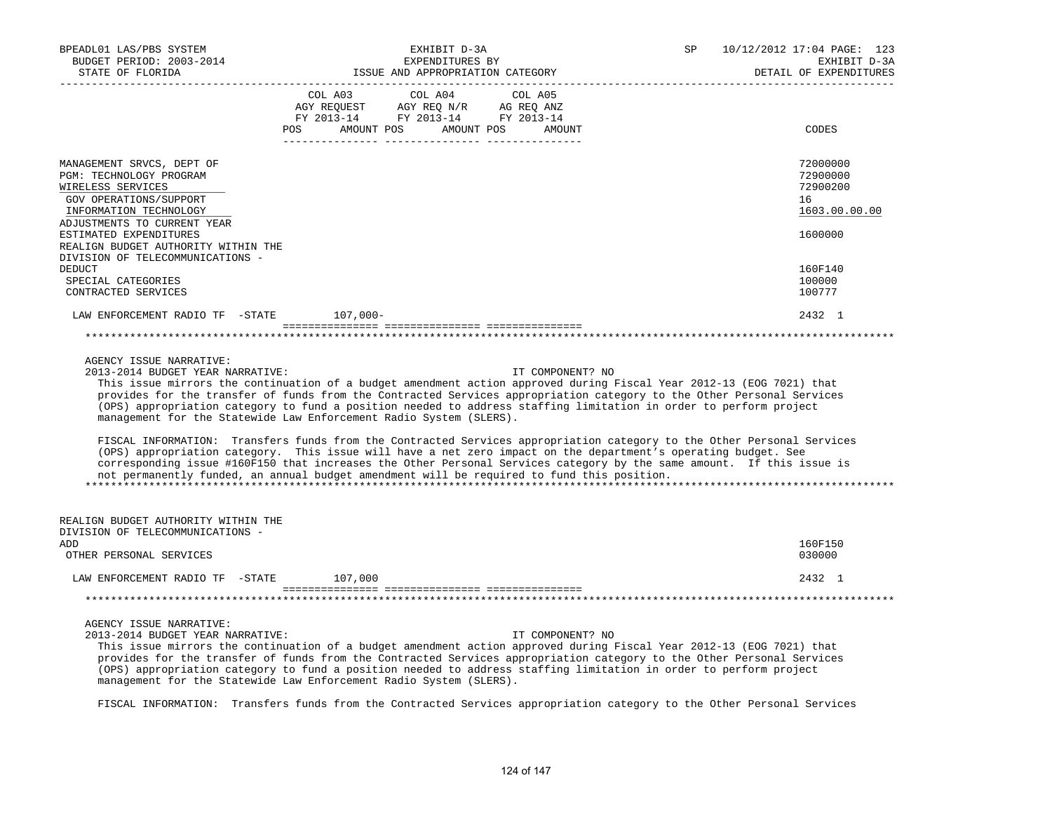| BPEADL01 LAS/PBS SYSTEM<br>BUDGET PERIOD: 2003-2014<br>STATE OF FLORIDA                                                                                                                                                                                                     | EXHIBIT D-3A<br>EXPENDITURES BY<br>ISSUE AND APPROPRIATION CATEGORY                                                                                                                                                                                                                                                                                                                                                                                                                                                                                                                                                                                                                                                                                                                                                                                                                                                             | SP<br>10/12/2012 17:04 PAGE: 123<br>EXHIBIT D-3A<br>DETAIL OF EXPENDITURES    |
|-----------------------------------------------------------------------------------------------------------------------------------------------------------------------------------------------------------------------------------------------------------------------------|---------------------------------------------------------------------------------------------------------------------------------------------------------------------------------------------------------------------------------------------------------------------------------------------------------------------------------------------------------------------------------------------------------------------------------------------------------------------------------------------------------------------------------------------------------------------------------------------------------------------------------------------------------------------------------------------------------------------------------------------------------------------------------------------------------------------------------------------------------------------------------------------------------------------------------|-------------------------------------------------------------------------------|
|                                                                                                                                                                                                                                                                             | COL A04<br>COL A03<br>COL A05<br>AGY REQUEST AGY REQ N/R AG REQ ANZ<br>FY 2013-14 FY 2013-14 FY 2013-14<br>POS AMOUNT POS AMOUNT POS AMOUNT<br>.                                                                                                                                                                                                                                                                                                                                                                                                                                                                                                                                                                                                                                                                                                                                                                                | CODES                                                                         |
| MANAGEMENT SRVCS, DEPT OF<br>PGM: TECHNOLOGY PROGRAM<br>WIRELESS SERVICES<br>GOV OPERATIONS/SUPPORT<br>INFORMATION TECHNOLOGY<br>ADJUSTMENTS TO CURRENT YEAR<br>ESTIMATED EXPENDITURES<br>REALIGN BUDGET AUTHORITY WITHIN THE<br>DIVISION OF TELECOMMUNICATIONS -<br>DEDUCT |                                                                                                                                                                                                                                                                                                                                                                                                                                                                                                                                                                                                                                                                                                                                                                                                                                                                                                                                 | 72000000<br>72900000<br>72900200<br>16<br>1603.00.00.00<br>1600000<br>160F140 |
| SPECIAL CATEGORIES<br>CONTRACTED SERVICES                                                                                                                                                                                                                                   |                                                                                                                                                                                                                                                                                                                                                                                                                                                                                                                                                                                                                                                                                                                                                                                                                                                                                                                                 | 100000<br>100777                                                              |
| LAW ENFORCEMENT RADIO TF -STATE 107,000-                                                                                                                                                                                                                                    |                                                                                                                                                                                                                                                                                                                                                                                                                                                                                                                                                                                                                                                                                                                                                                                                                                                                                                                                 | 2432 1                                                                        |
|                                                                                                                                                                                                                                                                             |                                                                                                                                                                                                                                                                                                                                                                                                                                                                                                                                                                                                                                                                                                                                                                                                                                                                                                                                 |                                                                               |
| AGENCY ISSUE NARRATIVE:<br>2013-2014 BUDGET YEAR NARRATIVE:                                                                                                                                                                                                                 | IT COMPONENT? NO<br>This issue mirrors the continuation of a budget amendment action approved during Fiscal Year 2012-13 (EOG 7021) that<br>provides for the transfer of funds from the Contracted Services appropriation category to the Other Personal Services<br>(OPS) appropriation category to fund a position needed to address staffing limitation in order to perform project<br>management for the Statewide Law Enforcement Radio System (SLERS).<br>FISCAL INFORMATION: Transfers funds from the Contracted Services appropriation category to the Other Personal Services<br>(OPS) appropriation category. This issue will have a net zero impact on the department's operating budget. See<br>corresponding issue #160F150 that increases the Other Personal Services category by the same amount. If this issue is<br>not permanently funded, an annual budget amendment will be required to fund this position. |                                                                               |
| REALIGN BUDGET AUTHORITY WITHIN THE<br>DIVISION OF TELECOMMUNICATIONS -<br>ADD<br>OTHER PERSONAL SERVICES                                                                                                                                                                   |                                                                                                                                                                                                                                                                                                                                                                                                                                                                                                                                                                                                                                                                                                                                                                                                                                                                                                                                 | 160F150<br>030000                                                             |
| LAW ENFORCEMENT RADIO TF -STATE 107,000                                                                                                                                                                                                                                     |                                                                                                                                                                                                                                                                                                                                                                                                                                                                                                                                                                                                                                                                                                                                                                                                                                                                                                                                 | 2432 1                                                                        |
|                                                                                                                                                                                                                                                                             |                                                                                                                                                                                                                                                                                                                                                                                                                                                                                                                                                                                                                                                                                                                                                                                                                                                                                                                                 |                                                                               |
| AGENCY ISSUE NARRATIVE:<br>2013-2014 BUDGET YEAR NARRATIVE:                                                                                                                                                                                                                 | IT COMPONENT? NO<br>This issue mirrors the continuation of a budget amendment action approved during Fiscal Year 2012-13 (EOG 7021) that<br>provides for the transfer of funds from the Contracted Services appropriation category to the Other Personal Services<br>(OPS) appropriation category to fund a position needed to address staffing limitation in order to perform project<br>management for the Statewide Law Enforcement Radio System (SLERS).<br>FISCAL INFORMATION: Transfers funds from the Contracted Services appropriation category to the Other Personal Services                                                                                                                                                                                                                                                                                                                                          |                                                                               |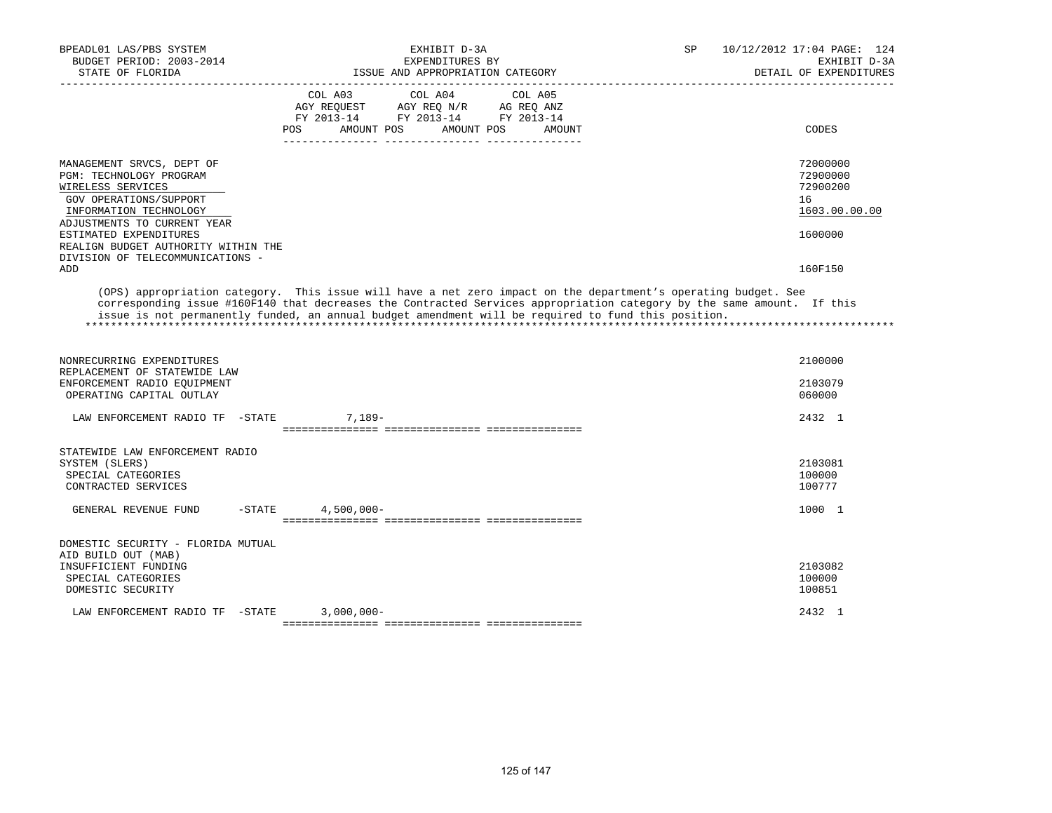| BPEADL01 LAS/PBS SYSTEM<br>BUDGET PERIOD: 2003-2014<br>STATE OF FLORIDA                                                                                      | EXHIBIT D-3A<br>EXPENDITURES BY<br>ISSUE AND APPROPRIATION CATEGORY                                                                                                                                                                                                                                                                             | 10/12/2012 17:04 PAGE: 124<br>SP<br>EXHIBIT D-3A<br>DETAIL OF EXPENDITURES |
|--------------------------------------------------------------------------------------------------------------------------------------------------------------|-------------------------------------------------------------------------------------------------------------------------------------------------------------------------------------------------------------------------------------------------------------------------------------------------------------------------------------------------|----------------------------------------------------------------------------|
|                                                                                                                                                              | COL A03<br>COL A04<br>COL A05<br>AGY REOUEST<br>AGY REQ N/R AG REQ ANZ<br>FY 2013-14 FY 2013-14 FY 2013-14<br><b>POS</b><br>AMOUNT POS<br>AMOUNT POS<br>AMOUNT                                                                                                                                                                                  | CODES                                                                      |
| MANAGEMENT SRVCS, DEPT OF<br>PGM: TECHNOLOGY PROGRAM<br>WIRELESS SERVICES<br>GOV OPERATIONS/SUPPORT<br>INFORMATION TECHNOLOGY<br>ADJUSTMENTS TO CURRENT YEAR |                                                                                                                                                                                                                                                                                                                                                 | 72000000<br>72900000<br>72900200<br>16<br>1603.00.00.00                    |
| ESTIMATED EXPENDITURES<br>REALIGN BUDGET AUTHORITY WITHIN THE<br>DIVISION OF TELECOMMUNICATIONS -<br>ADD                                                     |                                                                                                                                                                                                                                                                                                                                                 | 1600000<br>160F150                                                         |
|                                                                                                                                                              | (OPS) appropriation category. This issue will have a net zero impact on the department's operating budget. See<br>corresponding issue #160F140 that decreases the Contracted Services appropriation category by the same amount. If this<br>issue is not permanently funded, an annual budget amendment will be required to fund this position. |                                                                            |
| NONRECURRING EXPENDITURES<br>REPLACEMENT OF STATEWIDE LAW                                                                                                    |                                                                                                                                                                                                                                                                                                                                                 | 2100000                                                                    |
| ENFORCEMENT RADIO EOUIPMENT<br>OPERATING CAPITAL OUTLAY                                                                                                      |                                                                                                                                                                                                                                                                                                                                                 | 2103079<br>060000                                                          |
| LAW ENFORCEMENT RADIO TF -STATE                                                                                                                              | $7.189-$                                                                                                                                                                                                                                                                                                                                        | 2432 1                                                                     |
| STATEWIDE LAW ENFORCEMENT RADIO<br>SYSTEM (SLERS)<br>SPECIAL CATEGORIES<br>CONTRACTED SERVICES                                                               |                                                                                                                                                                                                                                                                                                                                                 | 2103081<br>100000<br>100777                                                |
| $-$ STATE<br>GENERAL REVENUE FUND                                                                                                                            | $4,500,000 -$                                                                                                                                                                                                                                                                                                                                   | 1000 1                                                                     |
| DOMESTIC SECURITY - FLORIDA MUTUAL<br>AID BUILD OUT (MAB)<br>INSUFFICIENT FUNDING<br>SPECIAL CATEGORIES<br>DOMESTIC SECURITY                                 |                                                                                                                                                                                                                                                                                                                                                 | 2103082<br>100000<br>100851                                                |
| LAW ENFORCEMENT RADIO TF -STATE                                                                                                                              | $3,000,000 -$                                                                                                                                                                                                                                                                                                                                   | 2432 1                                                                     |
|                                                                                                                                                              |                                                                                                                                                                                                                                                                                                                                                 |                                                                            |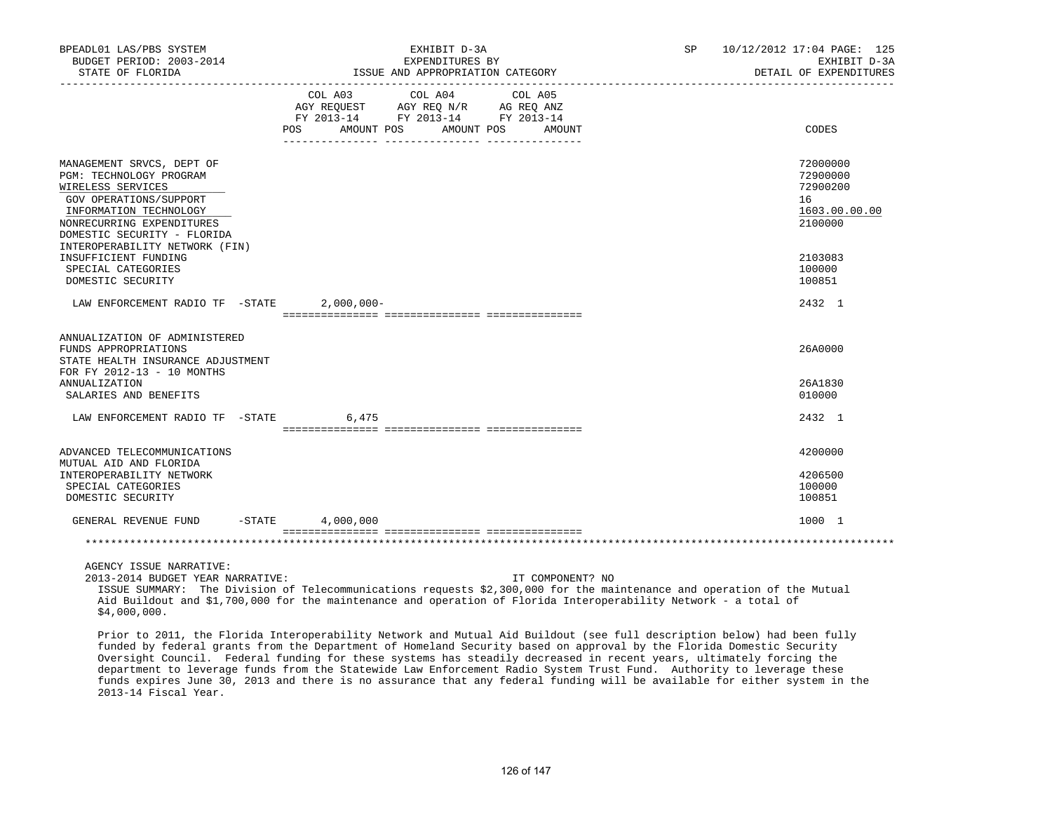| BPEADL01 LAS/PBS SYSTEM<br>BUDGET PERIOD: 2003-2014<br>STATE OF FLORIDA                                                                                                                   | EXHIBIT D-3A<br>EXPENDITURES BY<br>ISSUE AND APPROPRIATION CATEGORY                                                                         | 10/12/2012 17:04 PAGE: 125<br>SP<br>EXHIBIT D-3A<br>DETAIL OF EXPENDITURES |
|-------------------------------------------------------------------------------------------------------------------------------------------------------------------------------------------|---------------------------------------------------------------------------------------------------------------------------------------------|----------------------------------------------------------------------------|
|                                                                                                                                                                                           | COL A03 COL A04 COL A05<br>AGY REQUEST AGY REQ N/R AG REQ ANZ<br>FY 2013-14 FY 2013-14 FY 2013-14<br>POS<br>AMOUNT POS<br>AMOUNT POS AMOUNT | CODES                                                                      |
| MANAGEMENT SRVCS, DEPT OF<br>PGM: TECHNOLOGY PROGRAM<br>WIRELESS SERVICES<br>GOV OPERATIONS/SUPPORT<br>INFORMATION TECHNOLOGY<br>NONRECURRING EXPENDITURES<br>DOMESTIC SECURITY - FLORIDA |                                                                                                                                             | 72000000<br>72900000<br>72900200<br>16<br>1603.00.00.00<br>2100000         |
| INTEROPERABILITY NETWORK (FIN)<br>INSUFFICIENT FUNDING<br>SPECIAL CATEGORIES<br>DOMESTIC SECURITY                                                                                         |                                                                                                                                             | 2103083<br>100000<br>100851                                                |
| LAW ENFORCEMENT RADIO TF -STATE                                                                                                                                                           | $2,000,000-$                                                                                                                                | 2432 1                                                                     |
| ANNUALIZATION OF ADMINISTERED<br>FUNDS APPROPRIATIONS<br>STATE HEALTH INSURANCE ADJUSTMENT<br>FOR FY 2012-13 - 10 MONTHS<br>ANNUALIZATION                                                 |                                                                                                                                             | 26A0000<br>26A1830                                                         |
| SALARIES AND BENEFITS                                                                                                                                                                     |                                                                                                                                             | 010000                                                                     |
| LAW ENFORCEMENT RADIO TF -STATE                                                                                                                                                           | 6,475                                                                                                                                       | 2432 1                                                                     |
| ADVANCED TELECOMMUNICATIONS<br>MUTUAL AID AND FLORIDA<br>INTEROPERABILITY NETWORK<br>SPECIAL CATEGORIES<br>DOMESTIC SECURITY                                                              |                                                                                                                                             | 4200000<br>4206500<br>100000<br>100851                                     |
| GENERAL REVENUE FUND -STATE 4,000,000                                                                                                                                                     |                                                                                                                                             | 1000 1                                                                     |
|                                                                                                                                                                                           |                                                                                                                                             |                                                                            |
| AGENCY ISSUE NARRATIVE:<br>2013-2014 BUDGET YEAR NARRATIVE:                                                                                                                               | IT COMPONENT? NO                                                                                                                            |                                                                            |

 ISSUE SUMMARY: The Division of Telecommunications requests \$2,300,000 for the maintenance and operation of the Mutual Aid Buildout and \$1,700,000 for the maintenance and operation of Florida Interoperability Network - a total of \$4,000,000.

 Prior to 2011, the Florida Interoperability Network and Mutual Aid Buildout (see full description below) had been fully funded by federal grants from the Department of Homeland Security based on approval by the Florida Domestic Security Oversight Council. Federal funding for these systems has steadily decreased in recent years, ultimately forcing the department to leverage funds from the Statewide Law Enforcement Radio System Trust Fund. Authority to leverage these funds expires June 30, 2013 and there is no assurance that any federal funding will be available for either system in the 2013-14 Fiscal Year.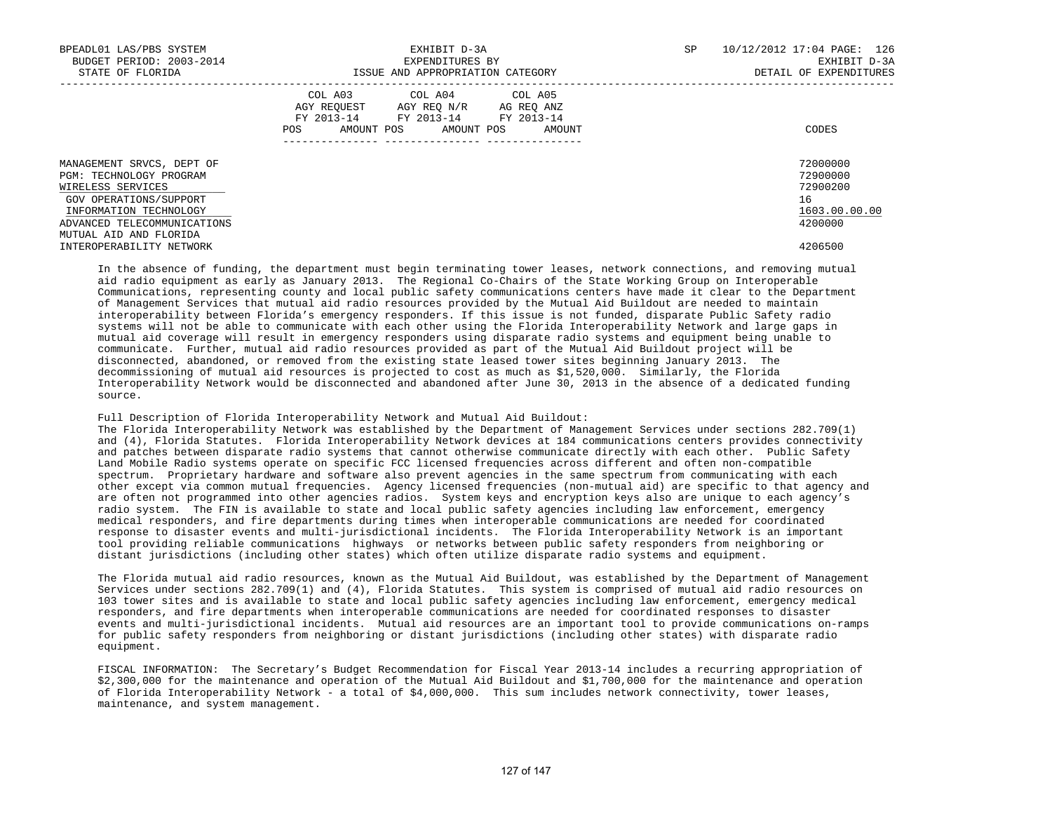| BPEADL01 LAS/PBS SYSTEM<br>BUDGET PERIOD: 2003-2014<br>STATE OF FLORIDA                                                                                      | EXHIBIT D-3A<br>EXPENDITURES BY<br>ISSUE AND APPROPRIATION CATEGORY                                                                             | SP | 10/12/2012 17:04 PAGE: 126<br>EXHIBIT D-3A<br>DETAIL OF EXPENDITURES |  |
|--------------------------------------------------------------------------------------------------------------------------------------------------------------|-------------------------------------------------------------------------------------------------------------------------------------------------|----|----------------------------------------------------------------------|--|
|                                                                                                                                                              | COL A03 COL A04 COL A05<br>AGY REQUEST AGY REQ N/R AG REQ ANZ<br>FY 2013-14 FY 2013-14 FY 2013-14<br>AMOUNT POS AMOUNT POS AMOUNT<br><b>POS</b> |    | CODES                                                                |  |
| MANAGEMENT SRVCS, DEPT OF<br>PGM: TECHNOLOGY PROGRAM<br>WIRELESS SERVICES<br>GOV OPERATIONS/SUPPORT<br>INFORMATION TECHNOLOGY<br>ADVANCED TELECOMMUNICATIONS |                                                                                                                                                 |    | 72000000<br>72900000<br>72900200<br>16<br>1603.00.00.00<br>4200000   |  |
| MUTUAL AID AND FLORIDA<br>INTEROPERABILITY NETWORK                                                                                                           |                                                                                                                                                 |    | 4206500                                                              |  |

 In the absence of funding, the department must begin terminating tower leases, network connections, and removing mutual aid radio equipment as early as January 2013. The Regional Co-Chairs of the State Working Group on Interoperable Communications, representing county and local public safety communications centers have made it clear to the Department of Management Services that mutual aid radio resources provided by the Mutual Aid Buildout are needed to maintain interoperability between Florida's emergency responders. If this issue is not funded, disparate Public Safety radio systems will not be able to communicate with each other using the Florida Interoperability Network and large gaps in mutual aid coverage will result in emergency responders using disparate radio systems and equipment being unable to communicate. Further, mutual aid radio resources provided as part of the Mutual Aid Buildout project will be disconnected, abandoned, or removed from the existing state leased tower sites beginning January 2013. The decommissioning of mutual aid resources is projected to cost as much as \$1,520,000. Similarly, the Florida Interoperability Network would be disconnected and abandoned after June 30, 2013 in the absence of a dedicated funding source.

Full Description of Florida Interoperability Network and Mutual Aid Buildout:

 The Florida Interoperability Network was established by the Department of Management Services under sections 282.709(1) and (4), Florida Statutes. Florida Interoperability Network devices at 184 communications centers provides connectivity and patches between disparate radio systems that cannot otherwise communicate directly with each other. Public Safety Land Mobile Radio systems operate on specific FCC licensed frequencies across different and often non-compatible spectrum. Proprietary hardware and software also prevent agencies in the same spectrum from communicating with each other except via common mutual frequencies. Agency licensed frequencies (non-mutual aid) are specific to that agency and are often not programmed into other agencies radios. System keys and encryption keys also are unique to each agency's radio system. The FIN is available to state and local public safety agencies including law enforcement, emergency medical responders, and fire departments during times when interoperable communications are needed for coordinated response to disaster events and multi-jurisdictional incidents. The Florida Interoperability Network is an important tool providing reliable communications highways or networks between public safety responders from neighboring or distant jurisdictions (including other states) which often utilize disparate radio systems and equipment.

 The Florida mutual aid radio resources, known as the Mutual Aid Buildout, was established by the Department of Management Services under sections 282.709(1) and (4), Florida Statutes. This system is comprised of mutual aid radio resources on 103 tower sites and is available to state and local public safety agencies including law enforcement, emergency medical responders, and fire departments when interoperable communications are needed for coordinated responses to disaster events and multi-jurisdictional incidents. Mutual aid resources are an important tool to provide communications on-ramps for public safety responders from neighboring or distant jurisdictions (including other states) with disparate radio equipment.

 FISCAL INFORMATION: The Secretary's Budget Recommendation for Fiscal Year 2013-14 includes a recurring appropriation of \$2,300,000 for the maintenance and operation of the Mutual Aid Buildout and \$1,700,000 for the maintenance and operation of Florida Interoperability Network - a total of \$4,000,000. This sum includes network connectivity, tower leases, maintenance, and system management.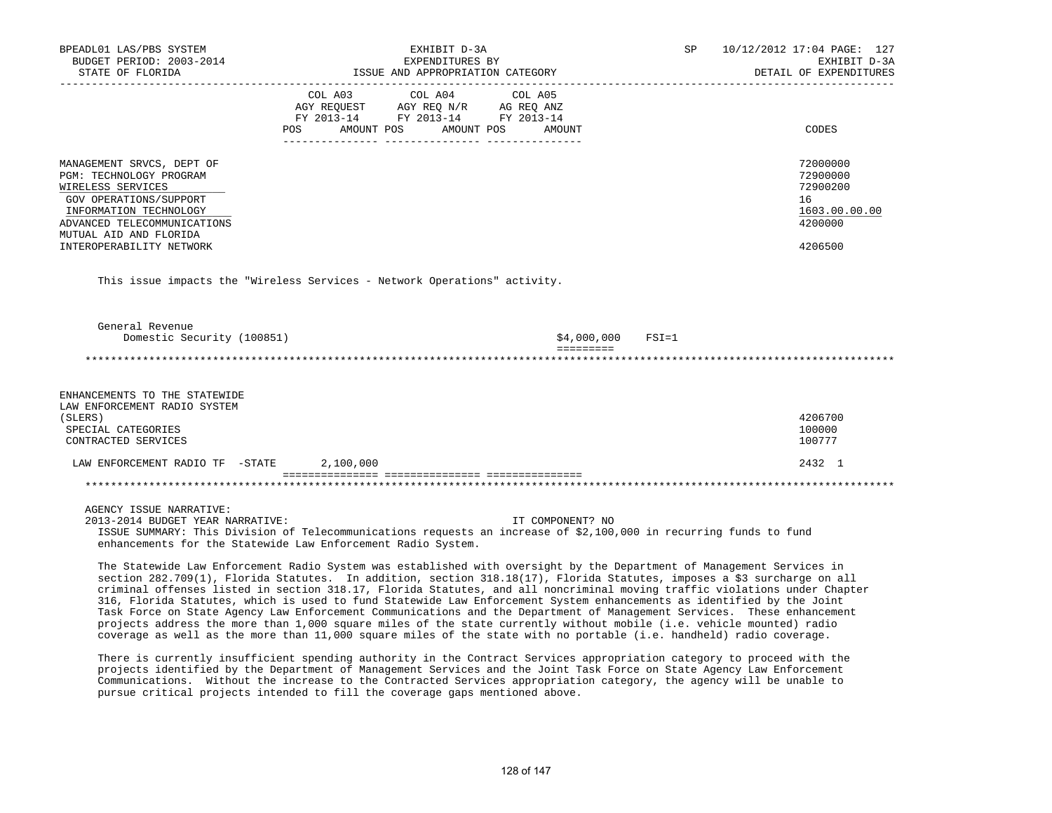| BPEADL01 LAS/PBS SYSTEM<br>BUDGET PERIOD: 2003-2014                                                                                                                                                                                                                                                                                                                                                                                                                                                                                                                                                                                                                                                                                                    |                                                                                                                       | EXHIBIT D-3A<br>EXPENDITURES BY |                                  | SP        | 10/12/2012 17:04 PAGE: 127<br>EXHIBIT D-3A                         |
|--------------------------------------------------------------------------------------------------------------------------------------------------------------------------------------------------------------------------------------------------------------------------------------------------------------------------------------------------------------------------------------------------------------------------------------------------------------------------------------------------------------------------------------------------------------------------------------------------------------------------------------------------------------------------------------------------------------------------------------------------------|-----------------------------------------------------------------------------------------------------------------------|---------------------------------|----------------------------------|-----------|--------------------------------------------------------------------|
| STATE OF FLORIDA                                                                                                                                                                                                                                                                                                                                                                                                                                                                                                                                                                                                                                                                                                                                       |                                                                                                                       |                                 | ISSUE AND APPROPRIATION CATEGORY |           | DETAIL OF EXPENDITURES                                             |
|                                                                                                                                                                                                                                                                                                                                                                                                                                                                                                                                                                                                                                                                                                                                                        | COL A03<br>AGY REQUEST AGY REQ N/R AG REQ ANZ<br>FY 2013-14 FY 2013-14 FY 2013-14<br>POS AMOUNT POS AMOUNT POS AMOUNT | COL A04                         | COL A05                          |           | CODES                                                              |
| MANAGEMENT SRVCS, DEPT OF<br>PGM: TECHNOLOGY PROGRAM<br>WIRELESS SERVICES<br>GOV OPERATIONS/SUPPORT<br>INFORMATION TECHNOLOGY<br>ADVANCED TELECOMMUNICATIONS<br>MUTUAL AID AND FLORIDA                                                                                                                                                                                                                                                                                                                                                                                                                                                                                                                                                                 |                                                                                                                       |                                 |                                  |           | 72000000<br>72900000<br>72900200<br>16<br>1603.00.00.00<br>4200000 |
| INTEROPERABILITY NETWORK                                                                                                                                                                                                                                                                                                                                                                                                                                                                                                                                                                                                                                                                                                                               |                                                                                                                       |                                 |                                  |           | 4206500                                                            |
| This issue impacts the "Wireless Services - Network Operations" activity.<br>General Revenue<br>Domestic Security (100851)                                                                                                                                                                                                                                                                                                                                                                                                                                                                                                                                                                                                                             |                                                                                                                       |                                 | \$4,000,000<br>=========         | $FSI = 1$ |                                                                    |
|                                                                                                                                                                                                                                                                                                                                                                                                                                                                                                                                                                                                                                                                                                                                                        |                                                                                                                       |                                 |                                  |           |                                                                    |
| ENHANCEMENTS TO THE STATEWIDE<br>LAW ENFORCEMENT RADIO SYSTEM<br>(SLERS)<br>SPECIAL CATEGORIES<br>CONTRACTED SERVICES                                                                                                                                                                                                                                                                                                                                                                                                                                                                                                                                                                                                                                  |                                                                                                                       |                                 |                                  |           | 4206700<br>100000<br>100777                                        |
| LAW ENFORCEMENT RADIO TF -STATE 2,100,000                                                                                                                                                                                                                                                                                                                                                                                                                                                                                                                                                                                                                                                                                                              |                                                                                                                       |                                 |                                  |           | 2432 1                                                             |
|                                                                                                                                                                                                                                                                                                                                                                                                                                                                                                                                                                                                                                                                                                                                                        |                                                                                                                       |                                 |                                  |           |                                                                    |
| AGENCY ISSUE NARRATIVE:<br>2013-2014 BUDGET YEAR NARRATIVE:<br>ISSUE SUMMARY: This Division of Telecommunications requests an increase of \$2,100,000 in recurring funds to fund<br>enhancements for the Statewide Law Enforcement Radio System.<br>The Statewide Law Enforcement Radio System was established with oversight by the Department of Management Services in                                                                                                                                                                                                                                                                                                                                                                              |                                                                                                                       |                                 | IT COMPONENT? NO                 |           |                                                                    |
| section 282.709(1), Florida Statutes. In addition, section 318.18(17), Florida Statutes, imposes a \$3 surcharge on all<br>criminal offenses listed in section 318.17, Florida Statutes, and all noncriminal moving traffic violations under Chapter<br>316, Florida Statutes, which is used to fund Statewide Law Enforcement System enhancements as identified by the Joint<br>Task Force on State Agency Law Enforcement Communications and the Department of Management Services. These enhancement<br>projects address the more than 1,000 square miles of the state currently without mobile (i.e. vehicle mounted) radio<br>coverage as well as the more than 11,000 square miles of the state with no portable (i.e. handheld) radio coverage. |                                                                                                                       |                                 |                                  |           |                                                                    |
| There is currently insufficient spending authority in the Contract Services appropriation category to proceed with the<br>projects identified by the Department of Management Services and the Joint Task Force on State Agency Law Enforcement<br>Communications. Without the increase to the Contracted Services appropriation category, the agency will be unable to<br>pursue critical projects intended to fill the coverage gaps mentioned above.                                                                                                                                                                                                                                                                                                |                                                                                                                       |                                 |                                  |           |                                                                    |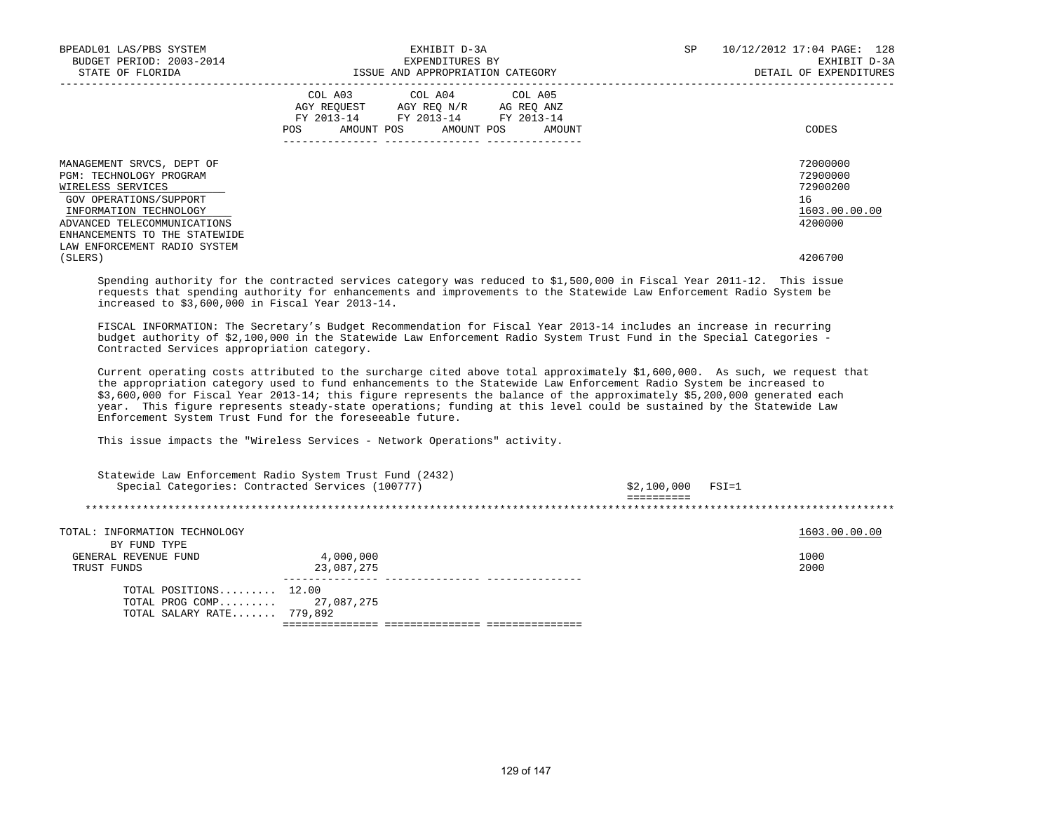| BPEADL01 LAS/PBS SYSTEM<br>BUDGET PERIOD: 2003-2014<br>STATE OF FLORIDA                                                                                                                       |     |                                                                                        | EXHIBIT D-3A<br>EXPENDITURES BY<br>ISSUE AND APPROPRIATION CATEGORY |                      | SP | 10/12/2012 17:04 PAGE: 128<br>EXHIBIT D-3A<br>DETAIL OF EXPENDITURES |
|-----------------------------------------------------------------------------------------------------------------------------------------------------------------------------------------------|-----|----------------------------------------------------------------------------------------|---------------------------------------------------------------------|----------------------|----|----------------------------------------------------------------------|
|                                                                                                                                                                                               | POS | COL A03 COL A04 COL A05<br>AGY REOUEST AGY REO N/R<br>FY 2013-14 FY 2013-14 FY 2013-14 | AMOUNT POS AMOUNT POS                                               | AG REO ANZ<br>AMOUNT |    | CODES                                                                |
| MANAGEMENT SRVCS, DEPT OF<br>PGM: TECHNOLOGY PROGRAM<br>WIRELESS SERVICES<br>GOV OPERATIONS/SUPPORT<br>INFORMATION TECHNOLOGY<br>ADVANCED TELECOMMUNICATIONS<br>ENHANCEMENTS TO THE STATEWIDE |     |                                                                                        |                                                                     |                      |    | 72000000<br>72900000<br>72900200<br>16<br>1603.00.00.00<br>4200000   |
| LAW ENFORCEMENT RADIO SYSTEM<br>(SLERS)                                                                                                                                                       |     |                                                                                        |                                                                     |                      |    | 4206700                                                              |

 Spending authority for the contracted services category was reduced to \$1,500,000 in Fiscal Year 2011-12. This issue requests that spending authority for enhancements and improvements to the Statewide Law Enforcement Radio System be increased to \$3,600,000 in Fiscal Year 2013-14.

 FISCAL INFORMATION: The Secretary's Budget Recommendation for Fiscal Year 2013-14 includes an increase in recurring budget authority of \$2,100,000 in the Statewide Law Enforcement Radio System Trust Fund in the Special Categories - Contracted Services appropriation category.

 Current operating costs attributed to the surcharge cited above total approximately \$1,600,000. As such, we request that the appropriation category used to fund enhancements to the Statewide Law Enforcement Radio System be increased to \$3,600,000 for Fiscal Year 2013-14; this figure represents the balance of the approximately \$5,200,000 generated each year. This figure represents steady-state operations; funding at this level could be sustained by the Statewide Law Enforcement System Trust Fund for the foreseeable future.

This issue impacts the "Wireless Services - Network Operations" activity.

| Special Categories: Contracted Services (100777)                        | Statewide Law Enforcement Radio System Trust Fund (2432) | \$2,100,000 | FSI=1         |
|-------------------------------------------------------------------------|----------------------------------------------------------|-------------|---------------|
|                                                                         |                                                          |             |               |
| TOTAL: INFORMATION TECHNOLOGY<br>BY FUND TYPE                           |                                                          |             | 1603.00.00.00 |
| GENERAL REVENUE FUND<br>TRUST FUNDS                                     | 4,000,000<br>23,087,275                                  |             | 1000<br>2000  |
| TOTAL POSITIONS $12.00$<br>TOTAL PROG COMP<br>TOTAL SALARY RATE 779,892 | 27,087,275                                               |             |               |
|                                                                         |                                                          |             |               |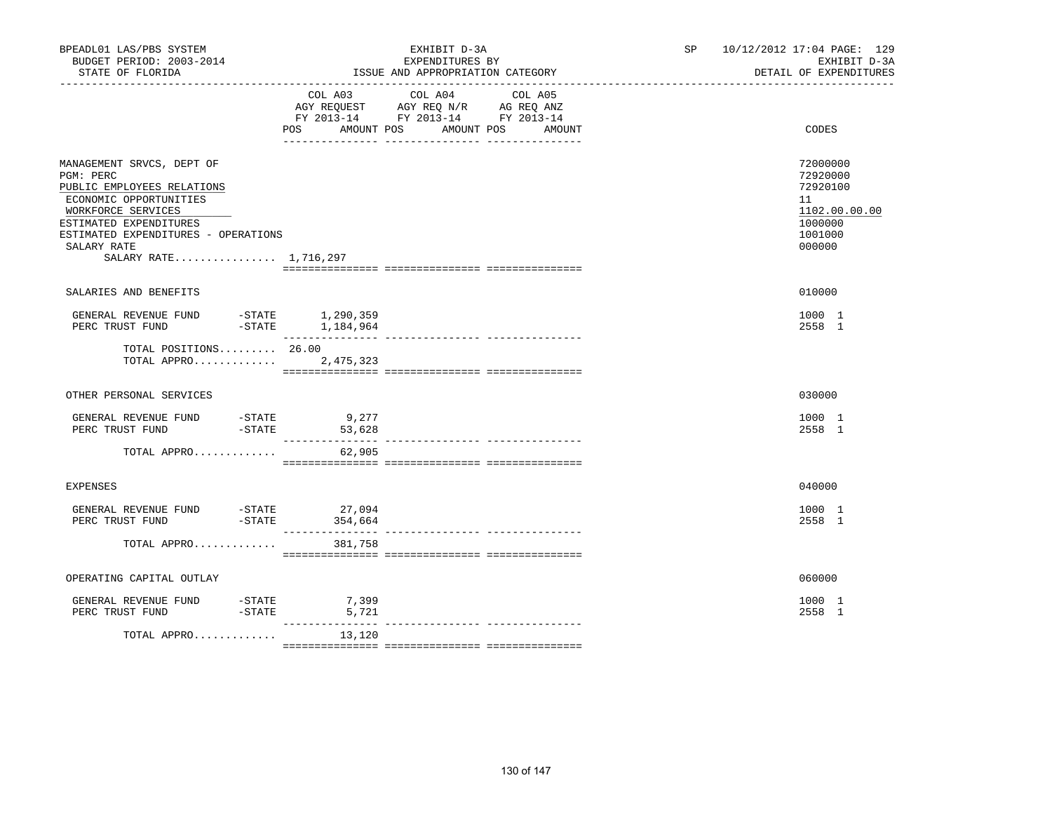| BPEADL01 LAS/PBS SYSTEM<br>BUDGET PERIOD: 2003-2014<br>STATE OF FLORIDA                                                                                                                                                       |                                                                              | EXHIBIT D-3A<br>EXPENDITURES BY<br>ISSUE AND APPROPRIATION CATEGORY | SP and the set of the set of the set of the set of the set of the set of the set of the set of the set of the set of the set of the set of the set of the set of the set of the set of the set of the set of the set of the se | 10/12/2012 17:04 PAGE: 129<br>EXHIBIT D-3A<br>DETAIL OF EXPENDITURES                    |
|-------------------------------------------------------------------------------------------------------------------------------------------------------------------------------------------------------------------------------|------------------------------------------------------------------------------|---------------------------------------------------------------------|--------------------------------------------------------------------------------------------------------------------------------------------------------------------------------------------------------------------------------|-----------------------------------------------------------------------------------------|
|                                                                                                                                                                                                                               | COL A03<br>AGY REQUEST<br>FY 2013-14 FY 2013-14 FY 2013-14<br>POS AMOUNT POS | COL A04 COL A05<br>AGY REQ N/R AG REQ ANZ<br>AMOUNT POS<br>AMOUNT   |                                                                                                                                                                                                                                | CODES                                                                                   |
| MANAGEMENT SRVCS, DEPT OF<br>PGM: PERC<br>PUBLIC EMPLOYEES RELATIONS<br>ECONOMIC OPPORTUNITIES<br>WORKFORCE SERVICES<br>ESTIMATED EXPENDITURES<br>ESTIMATED EXPENDITURES - OPERATIONS<br>SALARY RATE<br>SALARY RATE 1,716,297 |                                                                              |                                                                     |                                                                                                                                                                                                                                | 72000000<br>72920000<br>72920100<br>11<br>1102.00.00.00<br>1000000<br>1001000<br>000000 |
| SALARIES AND BENEFITS                                                                                                                                                                                                         |                                                                              |                                                                     |                                                                                                                                                                                                                                | 010000                                                                                  |
| GENERAL REVENUE FUND<br>$-STATE$<br>PERC TRUST FUND                                                                                                                                                                           | -STATE 1,290,359<br>1,184,964                                                |                                                                     |                                                                                                                                                                                                                                | 1000 1<br>2558 1                                                                        |
| TOTAL POSITIONS 26.00<br>TOTAL APPRO                                                                                                                                                                                          | 2,475,323                                                                    |                                                                     |                                                                                                                                                                                                                                |                                                                                         |
| OTHER PERSONAL SERVICES                                                                                                                                                                                                       |                                                                              |                                                                     |                                                                                                                                                                                                                                | 030000                                                                                  |
| GENERAL REVENUE FUND -STATE<br>PERC TRUST FUND                                                                                                                                                                                | 9,277<br>-STATE<br>-STATE<br>53,628<br>_______________                       | ---------------- ---------------                                    |                                                                                                                                                                                                                                | 1000 1<br>2558 1                                                                        |
| TOTAL APPRO                                                                                                                                                                                                                   | 62,905                                                                       |                                                                     |                                                                                                                                                                                                                                |                                                                                         |
| <b>EXPENSES</b>                                                                                                                                                                                                               |                                                                              |                                                                     |                                                                                                                                                                                                                                | 040000                                                                                  |
| GENERAL REVENUE FUND<br>$-$ STATE<br>PERC TRUST FUND                                                                                                                                                                          | $-STATE$ 27,094<br>354,664                                                   |                                                                     |                                                                                                                                                                                                                                | 1000 1<br>2558 1                                                                        |
| TOTAL APPRO                                                                                                                                                                                                                   | 381,758                                                                      |                                                                     |                                                                                                                                                                                                                                |                                                                                         |
| OPERATING CAPITAL OUTLAY                                                                                                                                                                                                      |                                                                              |                                                                     |                                                                                                                                                                                                                                | 060000                                                                                  |
| GENERAL REVENUE FUND<br>-STATE<br>-STATE<br>PERC TRUST FUND                                                                                                                                                                   | 7,399<br>5,721<br>___________                                                | _______________ _______________                                     |                                                                                                                                                                                                                                | 1000 1<br>2558 1                                                                        |
| TOTAL APPRO                                                                                                                                                                                                                   | 13,120                                                                       |                                                                     |                                                                                                                                                                                                                                |                                                                                         |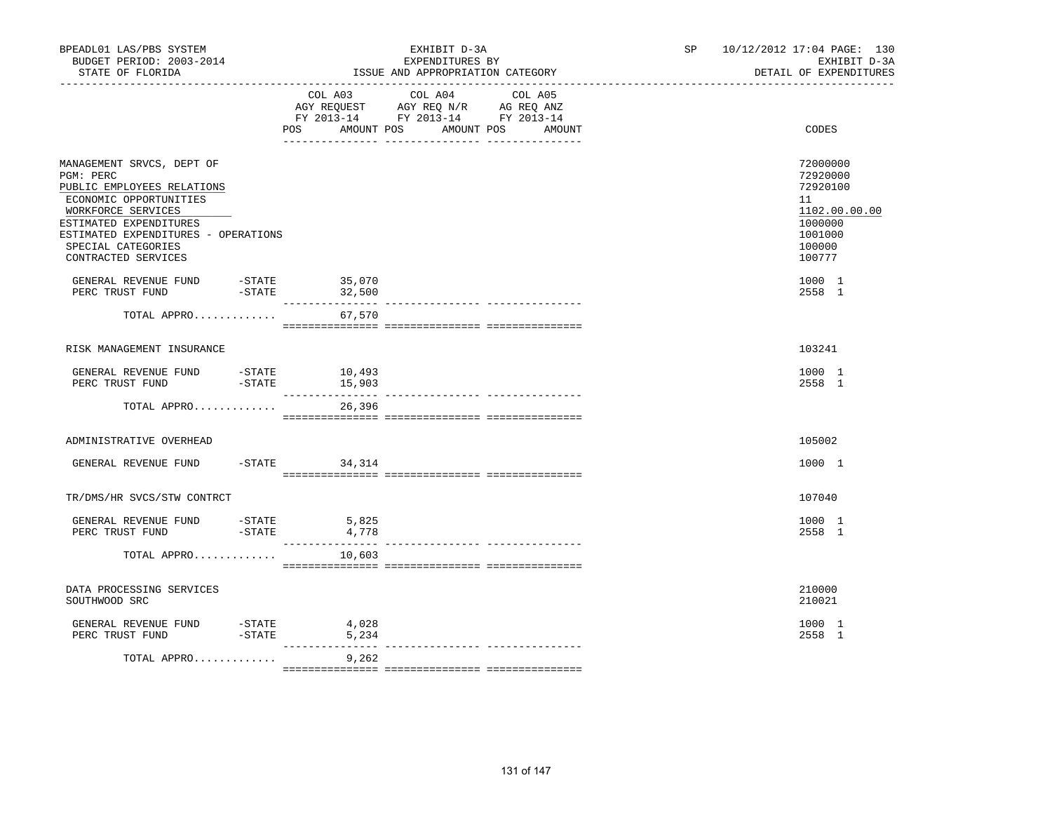| BPEADL01 LAS/PBS SYSTEM<br>BUDGET PERIOD: 2003-2014<br>STATE OF FLORIDA                                                                                                                                                            |                     |                           | EXHIBIT D-3A<br>EXPENDITURES BY<br>ISSUE AND APPROPRIATION CATEGORY                                                                                                                               |                             | SP <sub>2</sub> | 10/12/2012 17:04 PAGE: 130<br>EXHIBIT D-3A<br>DETAIL OF EXPENDITURES                              |
|------------------------------------------------------------------------------------------------------------------------------------------------------------------------------------------------------------------------------------|---------------------|---------------------------|---------------------------------------------------------------------------------------------------------------------------------------------------------------------------------------------------|-----------------------------|-----------------|---------------------------------------------------------------------------------------------------|
|                                                                                                                                                                                                                                    |                     | POS<br>AMOUNT POS         | COL A03 COL A04 COL A05<br>$\begin{tabular}{lllllll} AGY & \texttt{REQUEST} & \texttt{AGY REQ} & \texttt{N/R} & \texttt{AG REQ} & \texttt{ANZ} \end{tabular}$<br>FY 2013-14 FY 2013-14 FY 2013-14 | AMOUNT POS<br><b>AMOUNT</b> |                 | CODES                                                                                             |
| MANAGEMENT SRVCS, DEPT OF<br>PGM: PERC<br>PUBLIC EMPLOYEES RELATIONS<br>ECONOMIC OPPORTUNITIES<br>WORKFORCE SERVICES<br>ESTIMATED EXPENDITURES<br>ESTIMATED EXPENDITURES - OPERATIONS<br>SPECIAL CATEGORIES<br>CONTRACTED SERVICES |                     |                           |                                                                                                                                                                                                   |                             |                 | 72000000<br>72920000<br>72920100<br>11<br>1102.00.00.00<br>1000000<br>1001000<br>100000<br>100777 |
| GENERAL REVENUE FUND -STATE 35,070<br>PERC TRUST FUND                                                                                                                                                                              | $-$ STATE           | 32,500                    |                                                                                                                                                                                                   |                             |                 | 1000 1<br>2558 1                                                                                  |
| TOTAL APPRO                                                                                                                                                                                                                        |                     | 67,570                    |                                                                                                                                                                                                   |                             |                 |                                                                                                   |
| RISK MANAGEMENT INSURANCE                                                                                                                                                                                                          |                     |                           |                                                                                                                                                                                                   |                             |                 | 103241                                                                                            |
| GENERAL REVENUE FUND<br>PERC TRUST FUND                                                                                                                                                                                            | $-$ STATE           | 10,493<br>$ 5TATE$ 15,903 |                                                                                                                                                                                                   |                             |                 | 1000 1<br>2558 1                                                                                  |
| TOTAL APPRO                                                                                                                                                                                                                        |                     | 26,396                    |                                                                                                                                                                                                   |                             |                 |                                                                                                   |
| ADMINISTRATIVE OVERHEAD                                                                                                                                                                                                            |                     |                           |                                                                                                                                                                                                   |                             |                 | 105002                                                                                            |
| GENERAL REVENUE FUND                                                                                                                                                                                                               |                     | $-$ STATE 34, 314         |                                                                                                                                                                                                   |                             |                 | 1000 1                                                                                            |
| TR/DMS/HR SVCS/STW CONTRCT                                                                                                                                                                                                         |                     |                           |                                                                                                                                                                                                   |                             |                 | 107040                                                                                            |
| GENERAL REVENUE FUND - STATE<br>PERC TRUST FUND                                                                                                                                                                                    | $-$ STATE           | 5,825<br>4,778            |                                                                                                                                                                                                   |                             |                 | 1000 1<br>2558 1                                                                                  |
| TOTAL APPRO                                                                                                                                                                                                                        |                     | 10,603                    |                                                                                                                                                                                                   |                             |                 |                                                                                                   |
| DATA PROCESSING SERVICES<br>SOUTHWOOD SRC                                                                                                                                                                                          |                     |                           |                                                                                                                                                                                                   |                             |                 | 210000<br>210021                                                                                  |
| GENERAL REVENUE FUND<br>PERC TRUST FUND                                                                                                                                                                                            | -STATE<br>$-$ STATE | 4,028<br>5,234            |                                                                                                                                                                                                   |                             |                 | 1000 1<br>2558 1                                                                                  |
| TOTAL APPRO                                                                                                                                                                                                                        |                     | 9,262                     |                                                                                                                                                                                                   |                             |                 |                                                                                                   |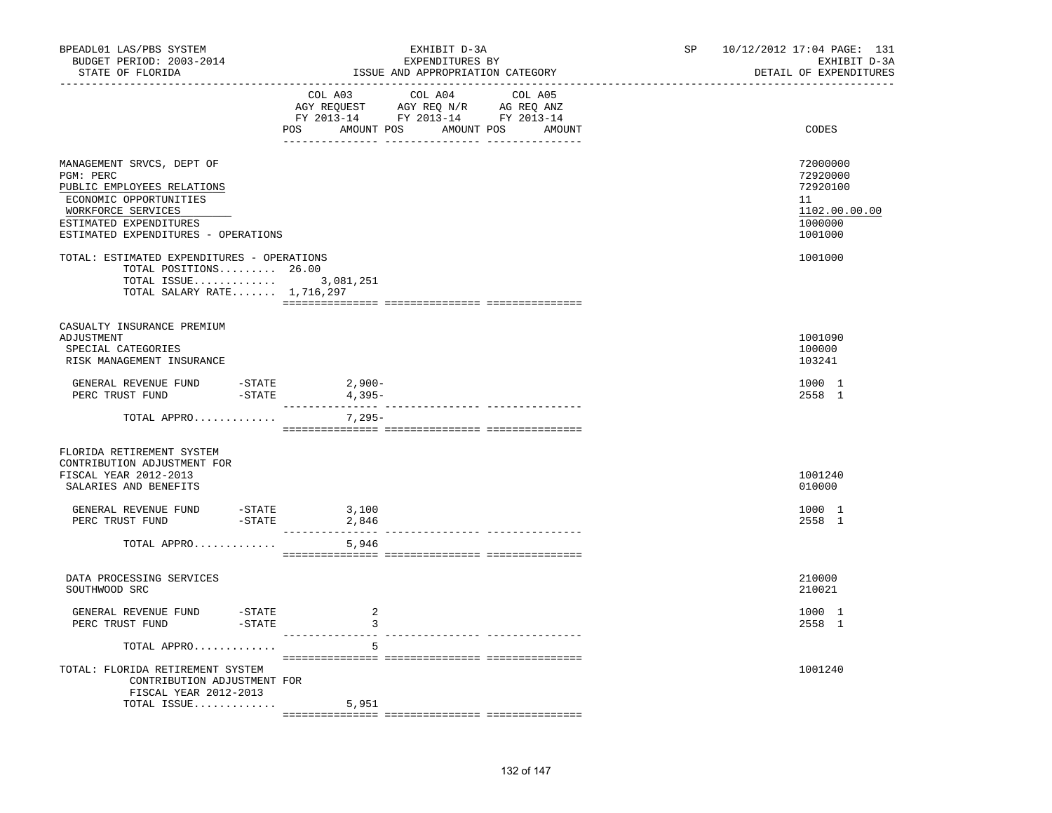| BPEADL01 LAS/PBS SYSTEM<br>BUDGET PERIOD: 2003-2014<br>STATE OF FLORIDA                                                                                                               | EXHIBIT D-3A<br>EXPENDITURES BY<br>ISSUE AND APPROPRIATION CATEGORY                              | SP 10/12/2012 17:04 PAGE: 131<br>EXHIBIT D-3A<br>DETAIL OF EXPENDITURES<br>------------------- |
|---------------------------------------------------------------------------------------------------------------------------------------------------------------------------------------|--------------------------------------------------------------------------------------------------|------------------------------------------------------------------------------------------------|
|                                                                                                                                                                                       | COL A03 COL A04 COL A05<br>POS AMOUNT POS AMOUNT POS AMOUNT                                      | CODES                                                                                          |
| MANAGEMENT SRVCS, DEPT OF<br>PGM: PERC<br>PUBLIC EMPLOYEES RELATIONS<br>ECONOMIC OPPORTUNITIES<br>WORKFORCE SERVICES<br>ESTIMATED EXPENDITURES<br>ESTIMATED EXPENDITURES - OPERATIONS |                                                                                                  | 72000000<br>72920000<br>72920100<br>11<br>1102.00.00.00<br>1000000<br>1001000                  |
| TOTAL: ESTIMATED EXPENDITURES - OPERATIONS<br>TOTAL POSITIONS 26.00<br>TOTAL ISSUE $3,081,251$<br>TOTAL SALARY RATE $1,716,297$                                                       |                                                                                                  | 1001000                                                                                        |
| CASUALTY INSURANCE PREMIUM<br>ADJUSTMENT<br>SPECIAL CATEGORIES<br>RISK MANAGEMENT INSURANCE                                                                                           |                                                                                                  | 1001090<br>100000<br>103241                                                                    |
| GENERAL REVENUE FUND -STATE<br>PERC TRUST FUND -STATE                                                                                                                                 | $2,900-$<br>4,395-                                                                               | 1000 1<br>2558 1                                                                               |
| TOTAL APPRO                                                                                                                                                                           | 7,295-                                                                                           |                                                                                                |
| FLORIDA RETIREMENT SYSTEM<br>CONTRIBUTION ADJUSTMENT FOR<br>FISCAL YEAR 2012-2013<br>SALARIES AND BENEFITS                                                                            |                                                                                                  | 1001240<br>010000                                                                              |
| GENERAL REVENUE FUND -STATE 3,100<br>$-STATE$<br>PERC TRUST FUND                                                                                                                      | 2,846                                                                                            | 1000 1<br>2558 1                                                                               |
| TOTAL APPRO                                                                                                                                                                           | 5,946                                                                                            |                                                                                                |
| DATA PROCESSING SERVICES<br>SOUTHWOOD SRC                                                                                                                                             |                                                                                                  | 210000<br>210021                                                                               |
| GENERAL REVENUE FUND -STATE<br>PERC TRUST FUND<br>-STATE                                                                                                                              | 2<br>$\overline{\mathbf{3}}$<br>$\begin{array}{ccccccccc} - & - & - & - & - & - & - \end{array}$ | 1000 1<br>2558 1                                                                               |
| TOTAL APPRO<br>TOTAL: FLORIDA RETIREMENT SYSTEM<br>CONTRIBUTION ADJUSTMENT FOR<br>FISCAL YEAR 2012-2013                                                                               | -5                                                                                               | 1001240                                                                                        |
| TOTAL ISSUE                                                                                                                                                                           | 5,951                                                                                            |                                                                                                |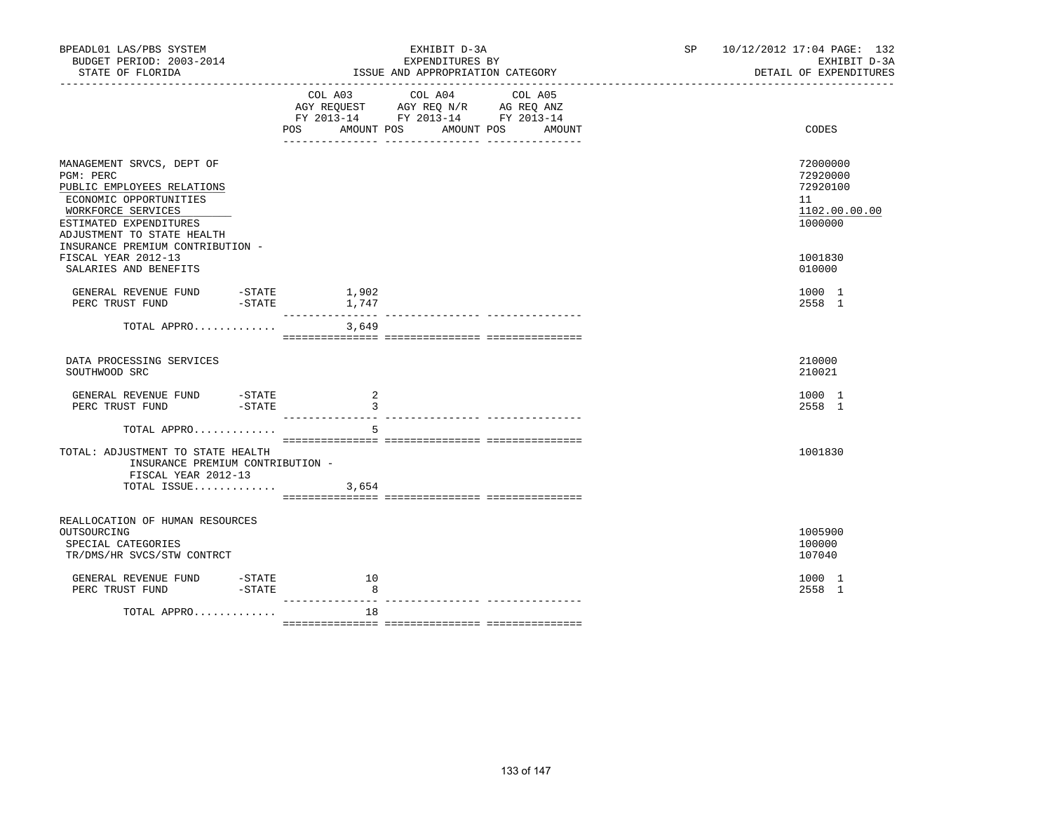| BPEADL01 LAS/PBS SYSTEM<br>BUDGET PERIOD: 2003-2014<br>STATE OF FLORIDA                                                                                                      |                 | EXHIBIT D-3A<br>EXPENDITURES BY<br>ISSUE AND APPROPRIATION CATEGORY                                                                                                                                           | 10/12/2012 17:04 PAGE: 132<br>SP <sub>2</sub><br>DETAIL OF EXPENDITURES | EXHIBIT D-3A  |
|------------------------------------------------------------------------------------------------------------------------------------------------------------------------------|-----------------|---------------------------------------------------------------------------------------------------------------------------------------------------------------------------------------------------------------|-------------------------------------------------------------------------|---------------|
|                                                                                                                                                                              | COL A03 COL A04 | COL A05<br>$\begin{tabular}{lllllll} \bf AGY \,\, REQUEST \,\, & \bf AGY \,\, REQ \,\, N/R & \,\, AG \,\, REQ \,\, ANZ \\ \bf FY \,\, 2013-14 & \,\, FY \,\, 2013-14 & \,\, FY \,\, 2013-14 \\ \end{tabular}$ |                                                                         |               |
|                                                                                                                                                                              |                 | POS AMOUNT POS AMOUNT POS AMOUNT                                                                                                                                                                              | CODES                                                                   |               |
| MANAGEMENT SRVCS, DEPT OF<br>PGM: PERC<br>PUBLIC EMPLOYEES RELATIONS<br>ECONOMIC OPPORTUNITIES<br>WORKFORCE SERVICES<br>ESTIMATED EXPENDITURES<br>ADJUSTMENT TO STATE HEALTH |                 |                                                                                                                                                                                                               | 72000000<br>72920000<br>72920100<br>11<br>1000000                       | 1102.00.00.00 |
| INSURANCE PREMIUM CONTRIBUTION -<br>FISCAL YEAR 2012-13<br>SALARIES AND BENEFITS                                                                                             |                 |                                                                                                                                                                                                               | 1001830<br>010000                                                       |               |
| GENERAL REVENUE FUND -STATE<br>PERC TRUST FUND -STATE 1,747                                                                                                                  | 1,902           |                                                                                                                                                                                                               | 1000 1<br>2558 1                                                        |               |
| TOTAL APPRO                                                                                                                                                                  | 3,649           |                                                                                                                                                                                                               |                                                                         |               |
| DATA PROCESSING SERVICES<br>SOUTHWOOD SRC                                                                                                                                    |                 |                                                                                                                                                                                                               | 210000<br>210021                                                        |               |
| GENERAL REVENUE FUND<br>-STATE<br>$-STATE$<br>PERC TRUST FUND                                                                                                                | -2<br>3         |                                                                                                                                                                                                               | 1000 1<br>2558 1                                                        |               |
| TOTAL APPRO                                                                                                                                                                  | 5               |                                                                                                                                                                                                               |                                                                         |               |
| TOTAL: ADJUSTMENT TO STATE HEALTH<br>INSURANCE PREMIUM CONTRIBUTION -<br>FISCAL YEAR 2012-13<br>TOTAL ISSUE                                                                  | 3,654           |                                                                                                                                                                                                               | 1001830                                                                 |               |
| REALLOCATION OF HUMAN RESOURCES<br>OUTSOURCING<br>SPECIAL CATEGORIES<br>TR/DMS/HR SVCS/STW CONTRCT                                                                           |                 |                                                                                                                                                                                                               | 1005900<br>100000<br>107040                                             |               |
| GENERAL REVENUE FUND -STATE<br>PERC TRUST FUND<br>-STATE                                                                                                                     | 10<br>8         |                                                                                                                                                                                                               | 1000 1<br>2558 1                                                        |               |
| TOTAL APPRO                                                                                                                                                                  | 18              |                                                                                                                                                                                                               |                                                                         |               |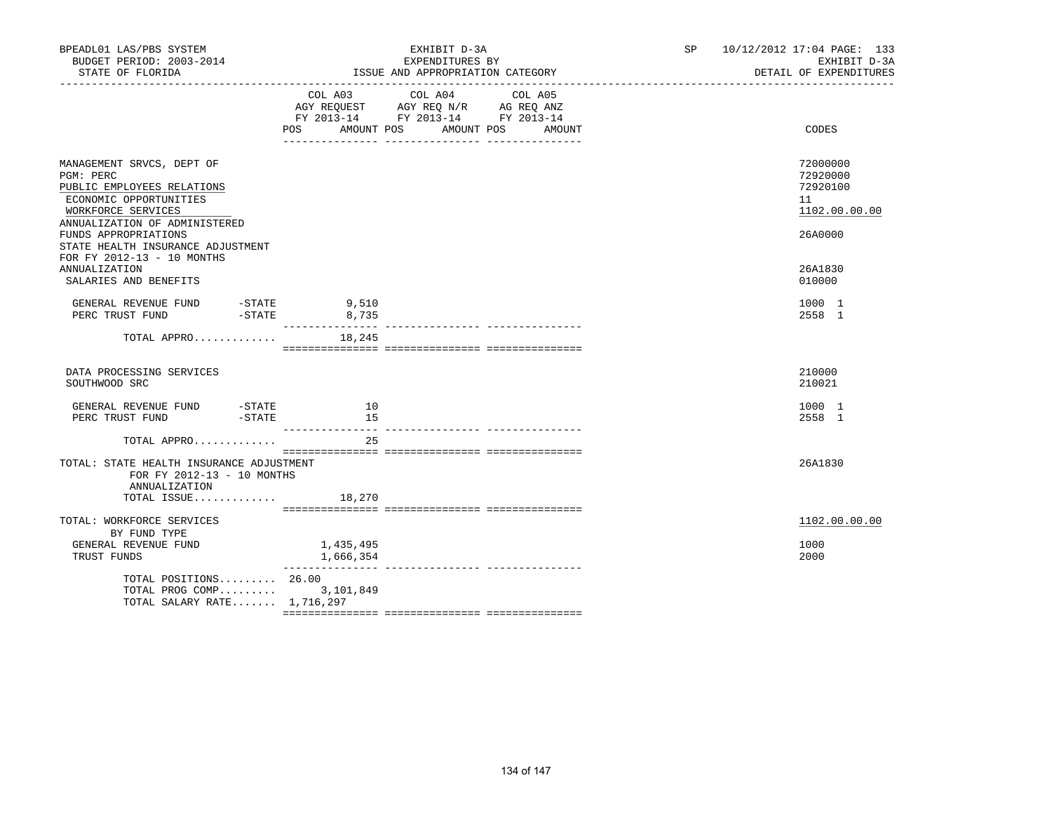| BPEADL01 LAS/PBS SYSTEM<br>BUDGET PERIOD: 2003-2014<br>STATE OF FLORIDA                                                                                                                                                                                           |                        | EXHIBIT D-3A<br>EXPENDITURES BY<br>ISSUE AND APPROPRIATION CATEGORY                                                                      | SP <sub>2</sub> | 10/12/2012 17:04 PAGE: 133<br>EXHIBIT D-3A<br>DETAIL OF EXPENDITURES          |
|-------------------------------------------------------------------------------------------------------------------------------------------------------------------------------------------------------------------------------------------------------------------|------------------------|------------------------------------------------------------------------------------------------------------------------------------------|-----------------|-------------------------------------------------------------------------------|
|                                                                                                                                                                                                                                                                   |                        | COL A03 COL A04<br>COL A05<br>AGY REQUEST AGY REQ N/R AG REQ ANZ<br>FY 2013-14 FY 2013-14 FY 2013-14<br>POS AMOUNT POS AMOUNT POS AMOUNT |                 | CODES                                                                         |
| MANAGEMENT SRVCS, DEPT OF<br>PGM: PERC<br>PUBLIC EMPLOYEES RELATIONS<br>ECONOMIC OPPORTUNITIES<br>WORKFORCE SERVICES<br>ANNUALIZATION OF ADMINISTERED<br>FUNDS APPROPRIATIONS<br>STATE HEALTH INSURANCE ADJUSTMENT<br>FOR FY 2012-13 - 10 MONTHS<br>ANNUALIZATION |                        |                                                                                                                                          |                 | 72000000<br>72920000<br>72920100<br>11<br>1102.00.00.00<br>26A0000<br>26A1830 |
| SALARIES AND BENEFITS<br>GENERAL REVENUE FUND -STATE 9,510                                                                                                                                                                                                        |                        |                                                                                                                                          |                 | 010000<br>1000 1                                                              |
| PERC TRUST FUND -STATE<br>TOTAL APPRO $18,245$                                                                                                                                                                                                                    | 8,735                  |                                                                                                                                          |                 | 2558 1                                                                        |
| DATA PROCESSING SERVICES<br>SOUTHWOOD SRC                                                                                                                                                                                                                         |                        |                                                                                                                                          |                 | 210000<br>210021                                                              |
| GENERAL REVENUE FUND - STATE<br>PERC TRUST FUND - STATE                                                                                                                                                                                                           | 10<br>15               |                                                                                                                                          |                 | 1000 1<br>2558 1                                                              |
| TOTAL APPRO                                                                                                                                                                                                                                                       | 2.5                    |                                                                                                                                          |                 |                                                                               |
| TOTAL: STATE HEALTH INSURANCE ADJUSTMENT<br>FOR FY 2012-13 - 10 MONTHS<br>ANNUALIZATION<br>TOTAL ISSUE $18,270$                                                                                                                                                   |                        |                                                                                                                                          |                 | 26A1830                                                                       |
| TOTAL: WORKFORCE SERVICES<br>BY FUND TYPE<br>GENERAL REVENUE FUND<br>TRUST FUNDS                                                                                                                                                                                  | 1,435,495<br>1,666,354 |                                                                                                                                          |                 | 1102.00.00.00<br>1000<br>2000                                                 |
| TOTAL POSITIONS 26.00<br>TOTAL PROG COMP 3,101,849<br>TOTAL SALARY RATE $1,716,297$                                                                                                                                                                               |                        |                                                                                                                                          |                 |                                                                               |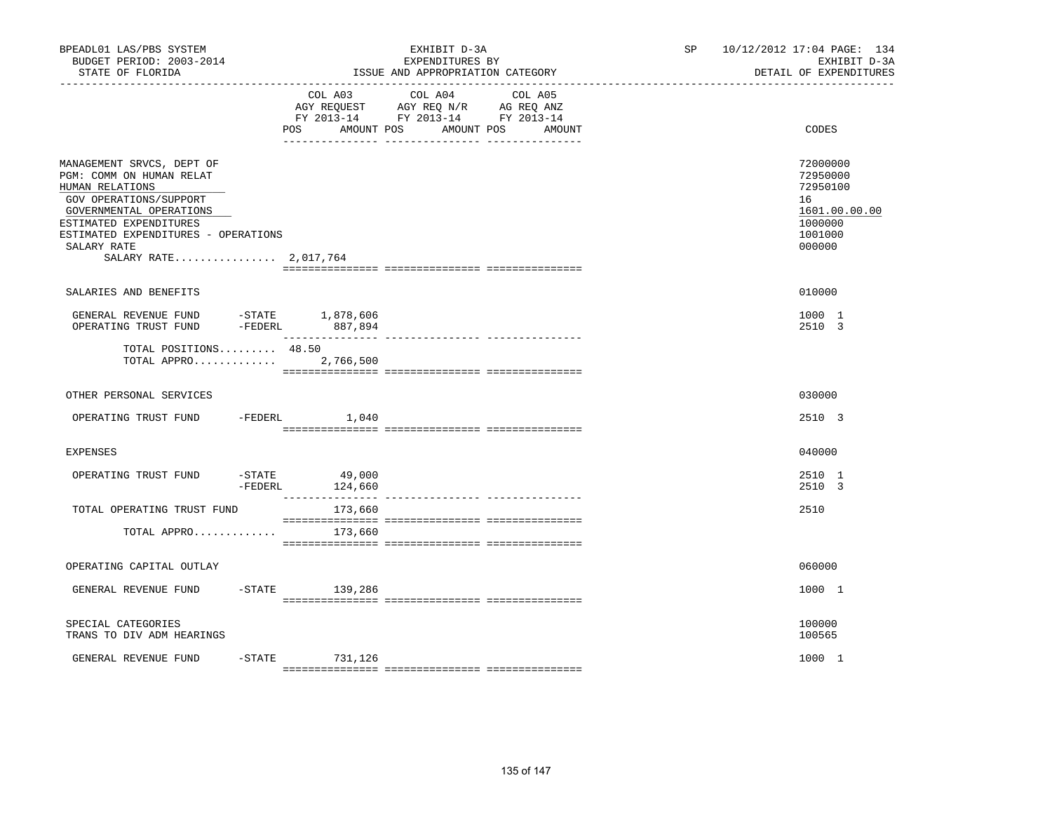| BPEADL01 LAS/PBS SYSTEM<br>BUDGET PERIOD: 2003-2014<br>STATE OF FLORIDA                                                                                                                                                                |                      |                    | EXHIBIT D-3A<br>EXPENDITURES BY<br>ISSUE AND APPROPRIATION CATEGORY                                                                                                                                                     |                      | SP <sub>2</sub> | 10/12/2012 17:04 PAGE: 134<br>EXHIBIT D-3A<br>DETAIL OF EXPENDITURES                    |
|----------------------------------------------------------------------------------------------------------------------------------------------------------------------------------------------------------------------------------------|----------------------|--------------------|-------------------------------------------------------------------------------------------------------------------------------------------------------------------------------------------------------------------------|----------------------|-----------------|-----------------------------------------------------------------------------------------|
|                                                                                                                                                                                                                                        |                      | POS<br>AMOUNT POS  | COL A03 COL A04 COL A05<br>$\begin{tabular}{lllllll} AGY & \texttt{REQUEST} & \texttt{AGY} & \texttt{REG} & \texttt{N/R} & \texttt{AG} & \texttt{REG} & \texttt{ANZ} \end{tabular}$<br>FY 2013-14 FY 2013-14 FY 2013-14 | AMOUNT POS<br>AMOUNT |                 | CODES                                                                                   |
| MANAGEMENT SRVCS, DEPT OF<br>PGM: COMM ON HUMAN RELAT<br>HUMAN RELATIONS<br>GOV OPERATIONS/SUPPORT<br>GOVERNMENTAL OPERATIONS<br>ESTIMATED EXPENDITURES<br>ESTIMATED EXPENDITURES - OPERATIONS<br>SALARY RATE<br>SALARY RATE 2,017,764 |                      |                    |                                                                                                                                                                                                                         |                      |                 | 72000000<br>72950000<br>72950100<br>16<br>1601.00.00.00<br>1000000<br>1001000<br>000000 |
| SALARIES AND BENEFITS                                                                                                                                                                                                                  |                      |                    |                                                                                                                                                                                                                         |                      |                 | 010000                                                                                  |
| GENERAL REVENUE FUND $-$ STATE $1,878,606$<br>OPERATING TRUST FUND $-$ FEDERL $887,894$                                                                                                                                                |                      |                    |                                                                                                                                                                                                                         |                      |                 | 1000 1<br>2510 3                                                                        |
| TOTAL POSITIONS 48.50<br>TOTAL APPRO 2,766,500                                                                                                                                                                                         |                      |                    |                                                                                                                                                                                                                         |                      |                 |                                                                                         |
| OTHER PERSONAL SERVICES                                                                                                                                                                                                                |                      |                    |                                                                                                                                                                                                                         |                      |                 | 030000                                                                                  |
| OPERATING TRUST FUND -FEDERL 1,040                                                                                                                                                                                                     |                      |                    |                                                                                                                                                                                                                         |                      |                 | 2510 3                                                                                  |
| <b>EXPENSES</b>                                                                                                                                                                                                                        |                      |                    |                                                                                                                                                                                                                         |                      |                 | 040000                                                                                  |
| OPERATING TRUST FUND                                                                                                                                                                                                                   | $-$ STATE<br>-FEDERL | 49,000<br>124,660  |                                                                                                                                                                                                                         |                      |                 | 2510 1<br>2510 3                                                                        |
| TOTAL OPERATING TRUST FUND                                                                                                                                                                                                             |                      | 173,660            |                                                                                                                                                                                                                         |                      |                 | 2510                                                                                    |
| TOTAL APPRO                                                                                                                                                                                                                            |                      | 173,660            |                                                                                                                                                                                                                         |                      |                 |                                                                                         |
| OPERATING CAPITAL OUTLAY                                                                                                                                                                                                               |                      |                    |                                                                                                                                                                                                                         |                      |                 | 060000                                                                                  |
| GENERAL REVENUE FUND                                                                                                                                                                                                                   |                      | $-$ STATE 139, 286 |                                                                                                                                                                                                                         |                      |                 | 1000 1                                                                                  |
| SPECIAL CATEGORIES<br>TRANS TO DIV ADM HEARINGS                                                                                                                                                                                        |                      |                    |                                                                                                                                                                                                                         |                      |                 | 100000<br>100565                                                                        |
| GENERAL REVENUE FUND                                                                                                                                                                                                                   |                      | -STATE 731,126     |                                                                                                                                                                                                                         |                      |                 | 1000 1                                                                                  |
|                                                                                                                                                                                                                                        |                      |                    |                                                                                                                                                                                                                         |                      |                 |                                                                                         |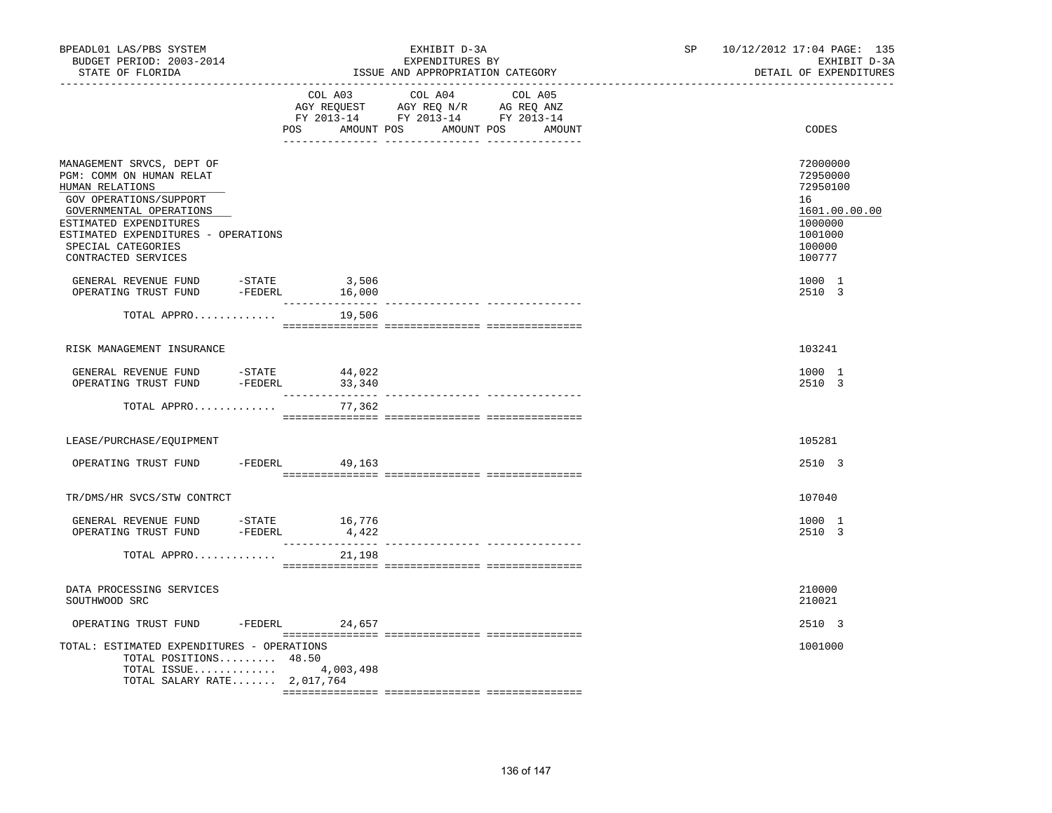| BPEADL01 LAS/PBS SYSTEM<br>BUDGET PERIOD: 2003-2014<br>STATE OF FLORIDA                                                                                                                                                                     |           |        | EXHIBIT D-3A<br>EXPENDITURES BY<br>ISSUE AND APPROPRIATION CATEGORY                                                                   | SP and the set of the set of the set of the set of the set of the set of the set of the set of the set of the set of the set of the set of the set of the set of the set of the set of the set of the set of the set of the se | 10/12/2012 17:04 PAGE: 135<br>EXHIBIT D-3A<br>DETAIL OF EXPENDITURES                              |
|---------------------------------------------------------------------------------------------------------------------------------------------------------------------------------------------------------------------------------------------|-----------|--------|---------------------------------------------------------------------------------------------------------------------------------------|--------------------------------------------------------------------------------------------------------------------------------------------------------------------------------------------------------------------------------|---------------------------------------------------------------------------------------------------|
|                                                                                                                                                                                                                                             |           |        | COL A03 COL A04 COL A05<br>AGY REQUEST AGY REQ N/R AG REQ ANZ<br>FY 2013-14 FY 2013-14 FY 2013-14<br>POS AMOUNT POS AMOUNT POS AMOUNT |                                                                                                                                                                                                                                | CODES                                                                                             |
| MANAGEMENT SRVCS, DEPT OF<br>PGM: COMM ON HUMAN RELAT<br>HUMAN RELATIONS<br>GOV OPERATIONS/SUPPORT<br>GOVERNMENTAL OPERATIONS<br>ESTIMATED EXPENDITURES<br>ESTIMATED EXPENDITURES - OPERATIONS<br>SPECIAL CATEGORIES<br>CONTRACTED SERVICES |           |        |                                                                                                                                       |                                                                                                                                                                                                                                | 72000000<br>72950000<br>72950100<br>16<br>1601.00.00.00<br>1000000<br>1001000<br>100000<br>100777 |
| GENERAL REVENUE FUND -STATE 3,506<br>OPERATING TRUST FUND                                                                                                                                                                                   | $-FEDERL$ | 16,000 |                                                                                                                                       |                                                                                                                                                                                                                                | 1000 1<br>2510 3                                                                                  |
| TOTAL APPRO                                                                                                                                                                                                                                 |           | 19,506 |                                                                                                                                       |                                                                                                                                                                                                                                |                                                                                                   |
| RISK MANAGEMENT INSURANCE                                                                                                                                                                                                                   |           |        |                                                                                                                                       |                                                                                                                                                                                                                                | 103241                                                                                            |
|                                                                                                                                                                                                                                             |           |        |                                                                                                                                       |                                                                                                                                                                                                                                | 1000 1<br>2510 3                                                                                  |
| TOTAL APPRO                                                                                                                                                                                                                                 |           | 77,362 |                                                                                                                                       |                                                                                                                                                                                                                                |                                                                                                   |
| LEASE/PURCHASE/EQUIPMENT                                                                                                                                                                                                                    |           |        |                                                                                                                                       |                                                                                                                                                                                                                                | 105281                                                                                            |
| OPERATING TRUST FUND -FEDERL 49,163                                                                                                                                                                                                         |           |        |                                                                                                                                       |                                                                                                                                                                                                                                | 2510 3                                                                                            |
| TR/DMS/HR SVCS/STW CONTRCT                                                                                                                                                                                                                  |           |        |                                                                                                                                       |                                                                                                                                                                                                                                | 107040                                                                                            |
| GENERAL REVENUE FUND -STATE 16,776<br>OPERATING TRUST FUND -FEDERL                                                                                                                                                                          |           | 4,422  |                                                                                                                                       |                                                                                                                                                                                                                                | 1000 1<br>2510 3                                                                                  |
| TOTAL APPRO                                                                                                                                                                                                                                 |           | 21,198 |                                                                                                                                       |                                                                                                                                                                                                                                |                                                                                                   |
| DATA PROCESSING SERVICES<br>SOUTHWOOD SRC                                                                                                                                                                                                   |           |        |                                                                                                                                       |                                                                                                                                                                                                                                | 210000<br>210021                                                                                  |
| OPERATING TRUST FUND -FEDERL 24,657                                                                                                                                                                                                         |           |        |                                                                                                                                       |                                                                                                                                                                                                                                | 2510 3                                                                                            |
| TOTAL: ESTIMATED EXPENDITURES - OPERATIONS<br>TOTAL POSITIONS 48.50<br>TOTAL ISSUE $4,003,498$<br>TOTAL SALARY RATE 2,017,764                                                                                                               |           |        |                                                                                                                                       |                                                                                                                                                                                                                                | 1001000                                                                                           |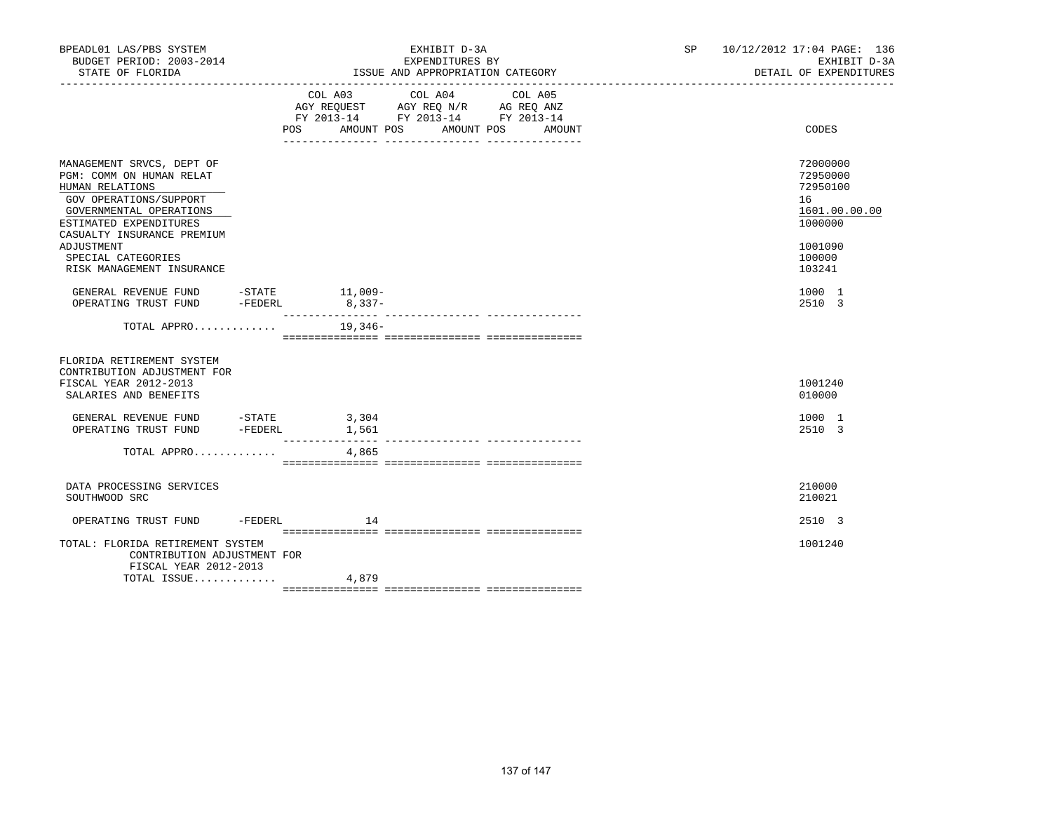| BPEADL01 LAS/PBS SYSTEM<br>BUDGET PERIOD: 2003-2014<br>STATE OF FLORIDA                                                                                                                             |                                                                                                          | EXHIBIT D-3A<br>EXPENDITURES BY<br>ISSUE AND APPROPRIATION CATEGORY |        | SP 10/12/2012 17:04 PAGE: 136<br>EXHIBIT D-3A<br>DETAIL OF EXPENDITURES       |
|-----------------------------------------------------------------------------------------------------------------------------------------------------------------------------------------------------|----------------------------------------------------------------------------------------------------------|---------------------------------------------------------------------|--------|-------------------------------------------------------------------------------|
|                                                                                                                                                                                                     | COL A03 COL A04 COL A05<br>AGY REQUEST AGY REQ N/R AG REQ ANZ<br>FY 2013-14 FY 2013-14 FY 2013-14<br>POS | AMOUNT POS AMOUNT POS                                               | AMOUNT | CODES                                                                         |
| MANAGEMENT SRVCS, DEPT OF<br>PGM: COMM ON HUMAN RELAT<br>HUMAN RELATIONS<br>GOV OPERATIONS/SUPPORT<br>GOVERNMENTAL OPERATIONS<br>ESTIMATED EXPENDITURES<br>CASUALTY INSURANCE PREMIUM<br>ADJUSTMENT |                                                                                                          |                                                                     |        | 72000000<br>72950000<br>72950100<br>16<br>1601.00.00.00<br>1000000<br>1001090 |
| SPECIAL CATEGORIES<br>RISK MANAGEMENT INSURANCE                                                                                                                                                     |                                                                                                          |                                                                     |        | 100000<br>103241                                                              |
| GENERAL REVENUE FUND -STATE 11,009-<br>OPERATING TRUST FUND                                                                                                                                         | $-FEDERL$ 8, 337-                                                                                        |                                                                     |        | 1000 1<br>2510 3                                                              |
| TOTAL APPRO $\ldots \ldots \ldots$ . 19,346-                                                                                                                                                        |                                                                                                          |                                                                     |        |                                                                               |
| FLORIDA RETIREMENT SYSTEM<br>CONTRIBUTION ADJUSTMENT FOR<br>FISCAL YEAR 2012-2013<br>SALARIES AND BENEFITS                                                                                          |                                                                                                          |                                                                     |        | 1001240<br>010000                                                             |
| GENERAL REVENUE FUND -STATE 3,304<br>OPERATING TRUST FUND -FEDERL                                                                                                                                   | 1,561                                                                                                    |                                                                     |        | 1000 1<br>2510 3                                                              |
| TOTAL APPRO $4,865$                                                                                                                                                                                 |                                                                                                          |                                                                     |        |                                                                               |
| DATA PROCESSING SERVICES<br>SOUTHWOOD SRC                                                                                                                                                           |                                                                                                          |                                                                     |        | 210000<br>210021                                                              |
| OPERATING TRUST FUND -FEDERL                                                                                                                                                                        | 14                                                                                                       |                                                                     |        | 2510 3                                                                        |
| TOTAL: FLORIDA RETIREMENT SYSTEM<br>CONTRIBUTION ADJUSTMENT FOR<br>FISCAL YEAR 2012-2013                                                                                                            |                                                                                                          |                                                                     |        | 1001240                                                                       |
| TOTAL ISSUE                                                                                                                                                                                         | 4,879                                                                                                    |                                                                     |        |                                                                               |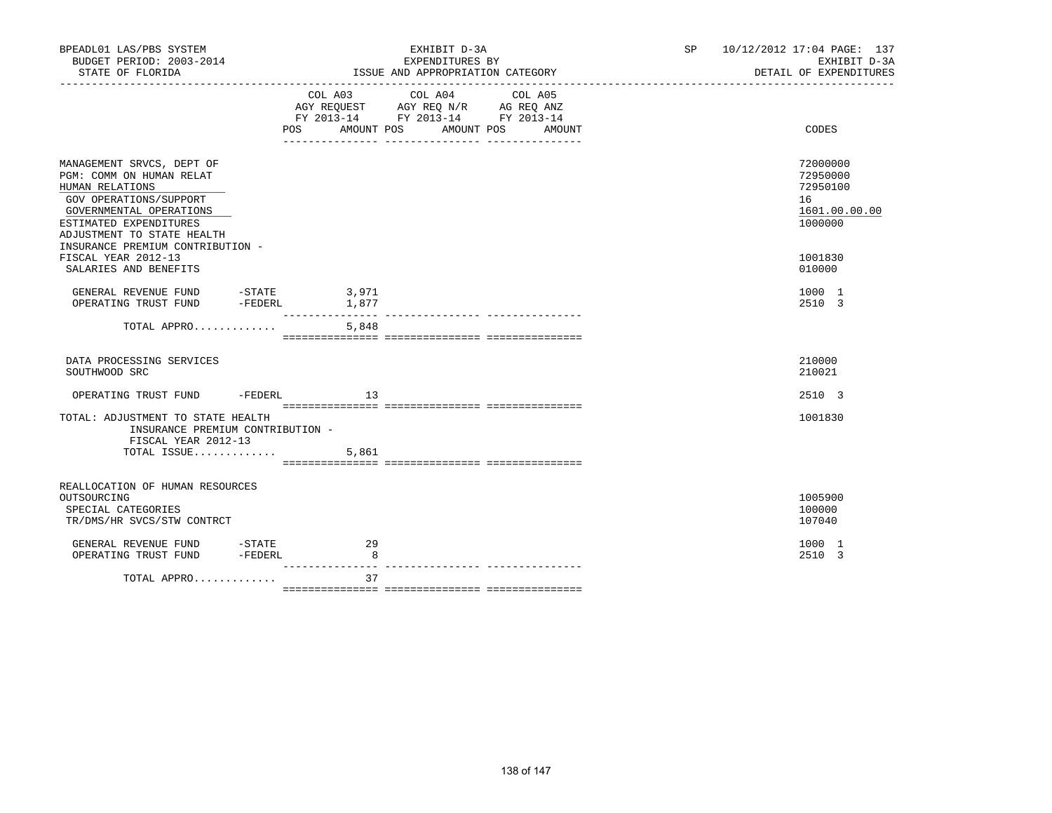| BPEADL01 LAS/PBS SYSTEM<br>BUDGET PERIOD: 2003-2014<br>STATE OF FLORIDA                                                                                                                                                   |         | EXHIBIT D-3A<br>EXPENDITURES BY<br>ISSUE AND APPROPRIATION CATEGORY                                                                                                                                                                                                                                                                                |        | SP <sub>2</sub> | 10/12/2012 17:04 PAGE: 137<br>EXHIBIT D-3A<br>DETAIL OF EXPENDITURES |
|---------------------------------------------------------------------------------------------------------------------------------------------------------------------------------------------------------------------------|---------|----------------------------------------------------------------------------------------------------------------------------------------------------------------------------------------------------------------------------------------------------------------------------------------------------------------------------------------------------|--------|-----------------|----------------------------------------------------------------------|
|                                                                                                                                                                                                                           |         | $\begin{tabular}{lllllllllll} &\multicolumn{4}{c}{\text{COL A03}} &\multicolumn{4}{c}{\text{COL A04}} &\multicolumn{4}{c}{\text{COL A05}} \\ \multicolumn{4}{c}{\text{AGY REQUEST}} &\multicolumn{4}{c}{\text{AGY REQ N/R}} &\multicolumn{4}{c}{\text{AG REQ ANZ}} \end{tabular}$<br>FY 2013-14 FY 2013-14 FY 2013-14<br>POS AMOUNT POS AMOUNT POS | AMOUNT |                 | CODES                                                                |
| MANAGEMENT SRVCS, DEPT OF<br>PGM: COMM ON HUMAN RELAT<br>HUMAN RELATIONS<br>GOV OPERATIONS/SUPPORT<br>GOVERNMENTAL OPERATIONS<br>ESTIMATED EXPENDITURES<br>ADJUSTMENT TO STATE HEALTH<br>INSURANCE PREMIUM CONTRIBUTION - |         |                                                                                                                                                                                                                                                                                                                                                    |        |                 | 72000000<br>72950000<br>72950100<br>16<br>1601.00.00.00<br>1000000   |
| FISCAL YEAR 2012-13<br>SALARIES AND BENEFITS                                                                                                                                                                              |         |                                                                                                                                                                                                                                                                                                                                                    |        |                 | 1001830<br>010000                                                    |
|                                                                                                                                                                                                                           |         |                                                                                                                                                                                                                                                                                                                                                    |        |                 | 1000 1<br>2510 3                                                     |
| TOTAL APPRO                                                                                                                                                                                                               | 5,848   |                                                                                                                                                                                                                                                                                                                                                    |        |                 |                                                                      |
| DATA PROCESSING SERVICES<br>SOUTHWOOD SRC                                                                                                                                                                                 |         |                                                                                                                                                                                                                                                                                                                                                    |        |                 | 210000<br>210021                                                     |
| OPERATING TRUST FUND - FEDERL 13                                                                                                                                                                                          |         |                                                                                                                                                                                                                                                                                                                                                    |        |                 | 2510 3                                                               |
| TOTAL: ADJUSTMENT TO STATE HEALTH<br>INSURANCE PREMIUM CONTRIBUTION -<br>FISCAL YEAR 2012-13                                                                                                                              |         |                                                                                                                                                                                                                                                                                                                                                    |        |                 | 1001830                                                              |
| TOTAL ISSUE                                                                                                                                                                                                               | 5,861   |                                                                                                                                                                                                                                                                                                                                                    |        |                 |                                                                      |
| REALLOCATION OF HUMAN RESOURCES<br>OUTSOURCING<br>SPECIAL CATEGORIES<br>TR/DMS/HR SVCS/STW CONTRCT                                                                                                                        |         |                                                                                                                                                                                                                                                                                                                                                    |        |                 | 1005900<br>100000<br>107040                                          |
| GENERAL REVENUE FUND - STATE<br>OPERATING TRUST FUND - FEDERL<br>OPERATING TRUST FUND                                                                                                                                     | 29<br>8 |                                                                                                                                                                                                                                                                                                                                                    |        |                 | 1000 1<br>2510 3                                                     |
| TOTAL APPRO                                                                                                                                                                                                               | 37      |                                                                                                                                                                                                                                                                                                                                                    |        |                 |                                                                      |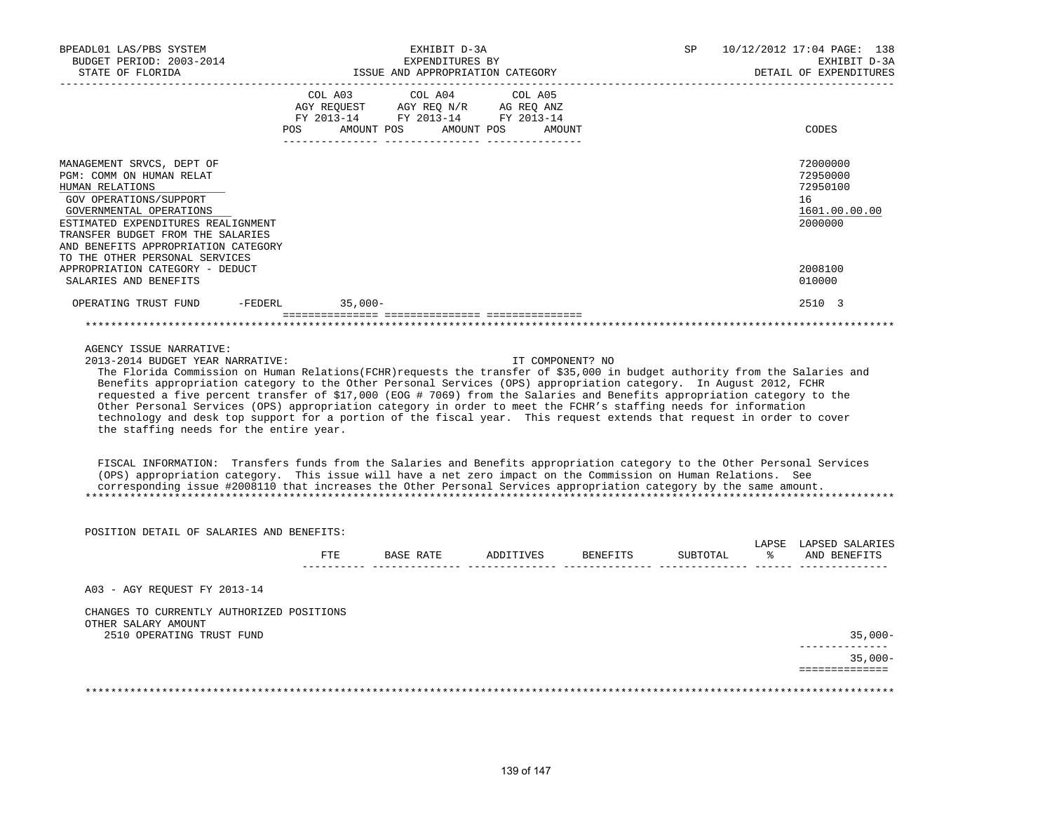| BPEADL01 LAS/PBS SYSTEM<br>BUDGET PERIOD: 2003-2014<br>STATE OF FLORIDA                                                                                                                                                                                                                                                                                                                                                                                                                                                                                                                                                                                                                                |     | EXHIBIT D-3A<br>EXPENDITURES BY<br>ISSUE AND APPROPRIATION CATEGORY                                                                                                                            |                     |                  | SP       |               | 10/12/2012 17:04 PAGE: 138<br>EXHIBIT D-3A<br>DETAIL OF EXPENDITURES |
|--------------------------------------------------------------------------------------------------------------------------------------------------------------------------------------------------------------------------------------------------------------------------------------------------------------------------------------------------------------------------------------------------------------------------------------------------------------------------------------------------------------------------------------------------------------------------------------------------------------------------------------------------------------------------------------------------------|-----|------------------------------------------------------------------------------------------------------------------------------------------------------------------------------------------------|---------------------|------------------|----------|---------------|----------------------------------------------------------------------|
|                                                                                                                                                                                                                                                                                                                                                                                                                                                                                                                                                                                                                                                                                                        |     | $\begin{tabular}{lcccc} COL A03 & COL A04 & COL A05 \\ AGY REQUEST & AGY REQ N/R & AG REQ ANZ \\ FY & 2013-14 & FY & 2013-14 & FY & 2013-14 \end{tabular}$<br>POS AMOUNT POS AMOUNT POS AMOUNT |                     |                  |          |               | CODES                                                                |
| MANAGEMENT SRVCS, DEPT OF<br>PGM: COMM ON HUMAN RELAT<br>HUMAN RELATIONS<br>GOV OPERATIONS/SUPPORT<br>GOVERNMENTAL OPERATIONS<br>ESTIMATED EXPENDITURES REALIGNMENT<br>TRANSFER BUDGET FROM THE SALARIES<br>AND BENEFITS APPROPRIATION CATEGORY<br>TO THE OTHER PERSONAL SERVICES                                                                                                                                                                                                                                                                                                                                                                                                                      |     |                                                                                                                                                                                                |                     |                  |          |               | 72000000<br>72950000<br>72950100<br>16<br>1601.00.00.00<br>2000000   |
| APPROPRIATION CATEGORY - DEDUCT<br>SALARIES AND BENEFITS                                                                                                                                                                                                                                                                                                                                                                                                                                                                                                                                                                                                                                               |     |                                                                                                                                                                                                |                     |                  |          |               | 2008100<br>010000                                                    |
| OPERATING TRUST FUND -FEDERL 35,000-                                                                                                                                                                                                                                                                                                                                                                                                                                                                                                                                                                                                                                                                   |     |                                                                                                                                                                                                |                     |                  |          |               | 2510 3                                                               |
|                                                                                                                                                                                                                                                                                                                                                                                                                                                                                                                                                                                                                                                                                                        |     |                                                                                                                                                                                                |                     |                  |          |               |                                                                      |
| 2013-2014 BUDGET YEAR NARRATIVE:<br>The Florida Commission on Human Relations(FCHR) requests the transfer of \$35,000 in budget authority from the Salaries and<br>Benefits appropriation category to the Other Personal Services (OPS) appropriation category. In August 2012, FCHR<br>requested a five percent transfer of \$17,000 (EOG # 7069) from the Salaries and Benefits appropriation category to the<br>Other Personal Services (OPS) appropriation category in order to meet the FCHR's staffing needs for information<br>technology and desk top support for a portion of the fiscal year. This request extends that request in order to cover<br>the staffing needs for the entire year. |     |                                                                                                                                                                                                |                     | IT COMPONENT? NO |          |               |                                                                      |
| FISCAL INFORMATION: Transfers funds from the Salaries and Benefits appropriation category to the Other Personal Services<br>(OPS) appropriation category. This issue will have a net zero impact on the Commission on Human Relations. See<br>corresponding issue #2008110 that increases the Other Personal Services appropriation category by the same amount.                                                                                                                                                                                                                                                                                                                                       |     |                                                                                                                                                                                                |                     |                  |          |               |                                                                      |
| POSITION DETAIL OF SALARIES AND BENEFITS:                                                                                                                                                                                                                                                                                                                                                                                                                                                                                                                                                                                                                                                              |     |                                                                                                                                                                                                |                     |                  |          |               |                                                                      |
|                                                                                                                                                                                                                                                                                                                                                                                                                                                                                                                                                                                                                                                                                                        | FTE |                                                                                                                                                                                                | BASE RATE ADDITIVES | BENEFITS         | SUBTOTAL | $\frac{8}{6}$ | LAPSE LAPSED SALARIES<br>AND BENEFITS                                |
| A03 - AGY REQUEST FY 2013-14                                                                                                                                                                                                                                                                                                                                                                                                                                                                                                                                                                                                                                                                           |     |                                                                                                                                                                                                |                     |                  |          |               |                                                                      |
| CHANGES TO CURRENTLY AUTHORIZED POSITIONS<br>OTHER SALARY AMOUNT                                                                                                                                                                                                                                                                                                                                                                                                                                                                                                                                                                                                                                       |     |                                                                                                                                                                                                |                     |                  |          |               |                                                                      |
| 2510 OPERATING TRUST FUND                                                                                                                                                                                                                                                                                                                                                                                                                                                                                                                                                                                                                                                                              |     |                                                                                                                                                                                                |                     |                  |          |               | 35,000-<br>--------------                                            |
|                                                                                                                                                                                                                                                                                                                                                                                                                                                                                                                                                                                                                                                                                                        |     |                                                                                                                                                                                                |                     |                  |          |               | $35,000-$<br>==============                                          |
|                                                                                                                                                                                                                                                                                                                                                                                                                                                                                                                                                                                                                                                                                                        |     |                                                                                                                                                                                                |                     |                  |          |               |                                                                      |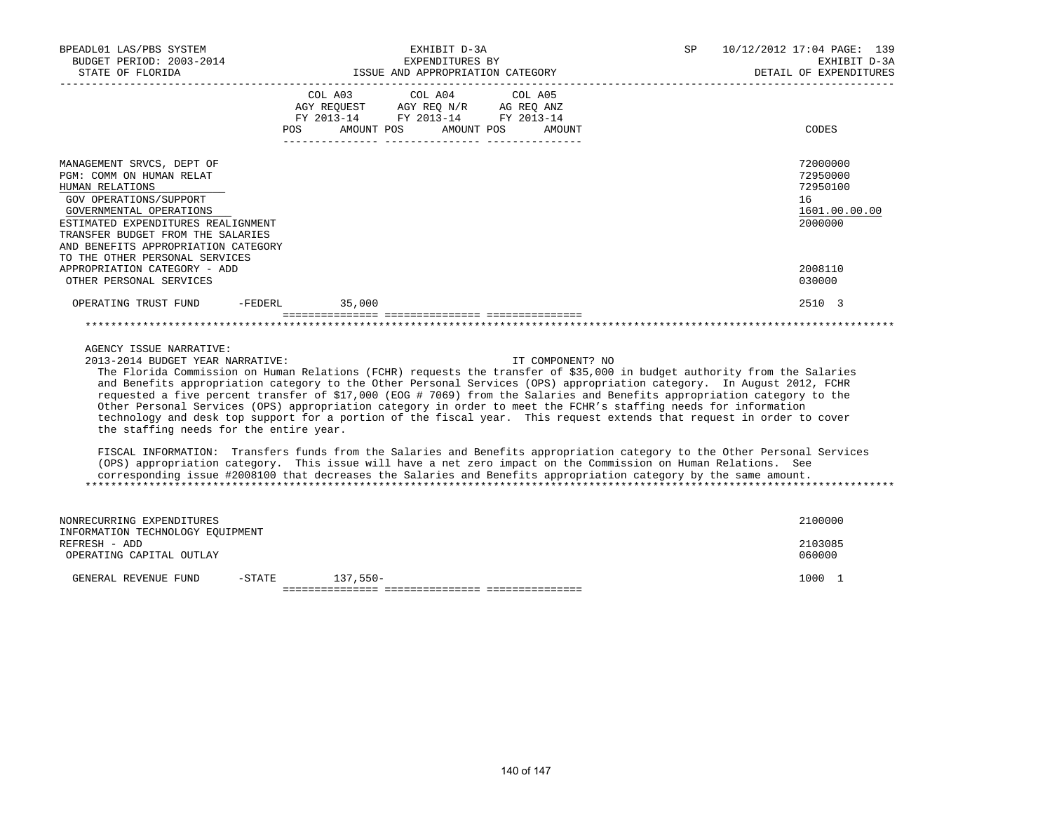| BPEADL01 LAS/PBS SYSTEM<br>BUDGET PERIOD: 2003-2014<br>STATE OF FLORIDA                                                                                                                                                                                                                                                                                                                                                                                                                                                                                                                                                                                                                                                                                                                                                                                                                                                                                                          | EXHIBIT D-3A<br>SP<br>EXPENDITURES BY<br>ISSUE AND APPROPRIATION CATEGORY |                                                                                                                           |                  | 10/12/2012 17:04 PAGE: 139<br>EXHIBIT D-3A<br>DETAIL OF EXPENDITURES |
|----------------------------------------------------------------------------------------------------------------------------------------------------------------------------------------------------------------------------------------------------------------------------------------------------------------------------------------------------------------------------------------------------------------------------------------------------------------------------------------------------------------------------------------------------------------------------------------------------------------------------------------------------------------------------------------------------------------------------------------------------------------------------------------------------------------------------------------------------------------------------------------------------------------------------------------------------------------------------------|---------------------------------------------------------------------------|---------------------------------------------------------------------------------------------------------------------------|------------------|----------------------------------------------------------------------|
|                                                                                                                                                                                                                                                                                                                                                                                                                                                                                                                                                                                                                                                                                                                                                                                                                                                                                                                                                                                  | COL A03                                                                   | COL A04<br>COL A05<br>AGY REQUEST AGY REQ N/R AG REQ ANZ<br>FY 2013-14 FY 2013-14 FY 2013-14<br>POS AMOUNT POS AMOUNT POS | AMOUNT           | CODES                                                                |
| MANAGEMENT SRVCS, DEPT OF<br>PGM: COMM ON HUMAN RELAT<br>HUMAN RELATIONS<br>GOV OPERATIONS/SUPPORT<br>GOVERNMENTAL OPERATIONS<br>ESTIMATED EXPENDITURES REALIGNMENT<br>TRANSFER BUDGET FROM THE SALARIES<br>AND BENEFITS APPROPRIATION CATEGORY<br>TO THE OTHER PERSONAL SERVICES                                                                                                                                                                                                                                                                                                                                                                                                                                                                                                                                                                                                                                                                                                |                                                                           |                                                                                                                           |                  | 72000000<br>72950000<br>72950100<br>16<br>1601.00.00.00<br>2000000   |
| APPROPRIATION CATEGORY - ADD<br>OTHER PERSONAL SERVICES                                                                                                                                                                                                                                                                                                                                                                                                                                                                                                                                                                                                                                                                                                                                                                                                                                                                                                                          |                                                                           |                                                                                                                           |                  | 2008110<br>030000                                                    |
| OPERATING TRUST FUND                                                                                                                                                                                                                                                                                                                                                                                                                                                                                                                                                                                                                                                                                                                                                                                                                                                                                                                                                             | 35,000<br>$-{\tt FEDERL}$                                                 |                                                                                                                           |                  | 2510 3                                                               |
| AGENCY ISSUE NARRATIVE:<br>2013-2014 BUDGET YEAR NARRATIVE:<br>The Florida Commission on Human Relations (FCHR) requests the transfer of \$35,000 in budget authority from the Salaries<br>and Benefits appropriation category to the Other Personal Services (OPS) appropriation category. In August 2012, FCHR<br>requested a five percent transfer of \$17,000 (EOG # 7069) from the Salaries and Benefits appropriation category to the<br>Other Personal Services (OPS) appropriation category in order to meet the FCHR's staffing needs for information<br>technology and desk top support for a portion of the fiscal year. This request extends that request in order to cover<br>the staffing needs for the entire year.<br>FISCAL INFORMATION: Transfers funds from the Salaries and Benefits appropriation category to the Other Personal Services<br>(OPS) appropriation category. This issue will have a net zero impact on the Commission on Human Relations. See |                                                                           |                                                                                                                           | IT COMPONENT? NO |                                                                      |
| corresponding issue #2008100 that decreases the Salaries and Benefits appropriation category by the same amount.                                                                                                                                                                                                                                                                                                                                                                                                                                                                                                                                                                                                                                                                                                                                                                                                                                                                 |                                                                           |                                                                                                                           |                  |                                                                      |
| NONRECURRING EXPENDITURES<br>INFORMATION TECHNOLOGY EQUIPMENT                                                                                                                                                                                                                                                                                                                                                                                                                                                                                                                                                                                                                                                                                                                                                                                                                                                                                                                    |                                                                           |                                                                                                                           |                  | 2100000                                                              |
| REFRESH - ADD<br>OPERATING CAPITAL OUTLAY                                                                                                                                                                                                                                                                                                                                                                                                                                                                                                                                                                                                                                                                                                                                                                                                                                                                                                                                        |                                                                           |                                                                                                                           |                  | 2103085<br>060000                                                    |
| GENERAL REVENUE FUND<br>$-$ STATE                                                                                                                                                                                                                                                                                                                                                                                                                                                                                                                                                                                                                                                                                                                                                                                                                                                                                                                                                | $137,550-$                                                                |                                                                                                                           |                  | 1000 1                                                               |

=============== =============== ===============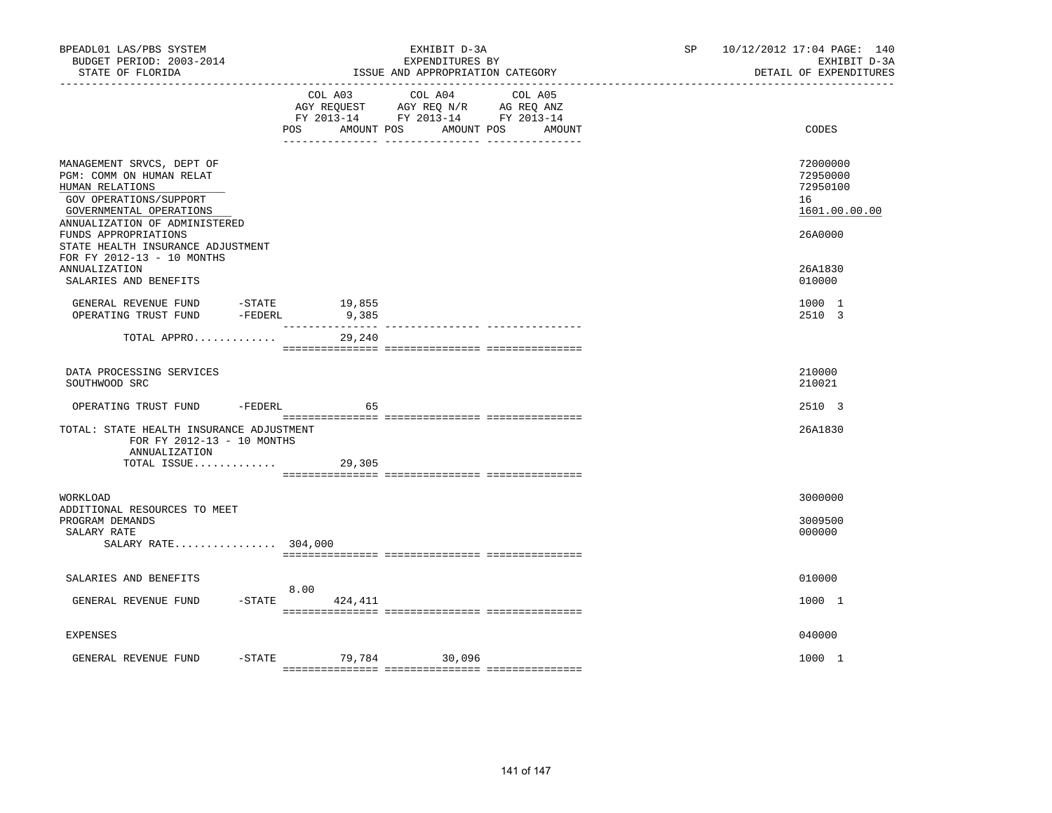| BPEADL01 LAS/PBS SYSTEM<br>BUDGET PERIOD: 2003-2014<br>STATE OF FLORIDA                                                                                                                | EXHIBIT D-3A<br>EXPENDITURES BY<br>ISSUE AND APPROPRIATION CATEGORY |                      |                                                                                                                 | SP <sub>2</sub> | 10/12/2012 17:04 PAGE: 140<br>EXHIBIT D-3A<br>DETAIL OF EXPENDITURES |                                                                    |
|----------------------------------------------------------------------------------------------------------------------------------------------------------------------------------------|---------------------------------------------------------------------|----------------------|-----------------------------------------------------------------------------------------------------------------|-----------------|----------------------------------------------------------------------|--------------------------------------------------------------------|
| -------------------                                                                                                                                                                    |                                                                     | POS DO<br>AMOUNT POS | COL A03 COL A04 COL A05<br>AGY REQUEST AGY REQ N/R AG REQ ANZ<br>FY 2013-14 FY 2013-14 FY 2013-14<br>AMOUNT POS | AMOUNT          |                                                                      | CODES                                                              |
| MANAGEMENT SRVCS, DEPT OF<br>PGM: COMM ON HUMAN RELAT<br>HUMAN RELATIONS<br>GOV OPERATIONS/SUPPORT<br>GOVERNMENTAL OPERATIONS<br>ANNUALIZATION OF ADMINISTERED<br>FUNDS APPROPRIATIONS |                                                                     |                      |                                                                                                                 |                 |                                                                      | 72000000<br>72950000<br>72950100<br>16<br>1601.00.00.00<br>26A0000 |
| STATE HEALTH INSURANCE ADJUSTMENT<br>FOR FY 2012-13 - 10 MONTHS<br><b>ANNUALIZATION</b><br>SALARIES AND BENEFITS                                                                       |                                                                     |                      |                                                                                                                 |                 |                                                                      | 26A1830<br>010000                                                  |
| GENERAL REVENUE FUND<br>$-STATE$<br>OPERATING TRUST FUND                                                                                                                               | $-FEDERL$                                                           | 19,855<br>9,385      |                                                                                                                 |                 |                                                                      | 1000 1<br>2510 3                                                   |
| TOTAL APPRO                                                                                                                                                                            |                                                                     | 29,240               |                                                                                                                 |                 |                                                                      |                                                                    |
| DATA PROCESSING SERVICES<br>SOUTHWOOD SRC                                                                                                                                              |                                                                     |                      |                                                                                                                 |                 |                                                                      | 210000<br>210021                                                   |
| OPERATING TRUST FUND                                                                                                                                                                   |                                                                     | $-FEDERL$<br>65      |                                                                                                                 |                 |                                                                      | 2510 3                                                             |
| TOTAL: STATE HEALTH INSURANCE ADJUSTMENT<br>FOR FY 2012-13 - 10 MONTHS<br>ANNUALIZATION<br>TOTAL ISSUE                                                                                 |                                                                     | 29,305               |                                                                                                                 |                 |                                                                      | 26A1830                                                            |
| WORKLOAD<br>ADDITIONAL RESOURCES TO MEET                                                                                                                                               |                                                                     |                      |                                                                                                                 |                 |                                                                      | 3000000                                                            |
| PROGRAM DEMANDS<br>SALARY RATE<br>SALARY RATE $304,000$                                                                                                                                |                                                                     |                      |                                                                                                                 |                 |                                                                      | 3009500<br>000000                                                  |
| SALARIES AND BENEFITS                                                                                                                                                                  |                                                                     | 8.00                 |                                                                                                                 |                 |                                                                      | 010000                                                             |
| GENERAL REVENUE FUND                                                                                                                                                                   |                                                                     | $-$ STATE 424, 411   |                                                                                                                 |                 |                                                                      | 1000 1                                                             |
| <b>EXPENSES</b>                                                                                                                                                                        |                                                                     |                      |                                                                                                                 |                 |                                                                      | 040000                                                             |
| GENERAL REVENUE FUND                                                                                                                                                                   |                                                                     |                      | -STATE 79,784 30,096                                                                                            |                 |                                                                      | 1000 1                                                             |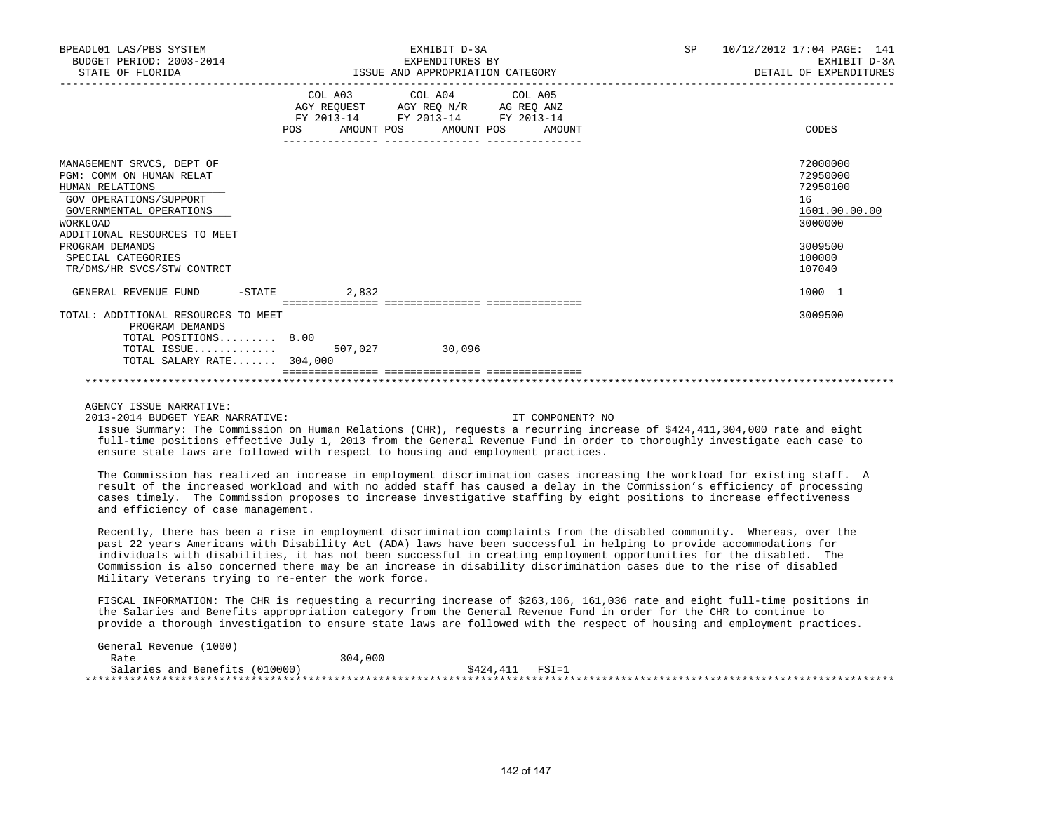| BPEADL01 LAS/PBS SYSTEM<br>BUDGET PERIOD: 2003-2014<br>STATE OF FLORIDA |            | EXHIBIT D-3A<br>EXPENDITURES BY<br>ISSUE AND APPROPRIATION CATEGORY | SP<br>10/12/2012 17:04 PAGE: 141<br>EXHIBIT D-3A<br>DETAIL OF EXPENDITURES |               |  |  |
|-------------------------------------------------------------------------|------------|---------------------------------------------------------------------|----------------------------------------------------------------------------|---------------|--|--|
|                                                                         |            | COL A03 COL A04 COL A05<br>AGY REQUEST AGY REQ N/R AG REQ ANZ       |                                                                            |               |  |  |
|                                                                         | FY 2013-14 | FY 2013-14 FY 2013-14                                               |                                                                            |               |  |  |
|                                                                         | <b>POS</b> | AMOUNT POS AMOUNT POS AMOUNT                                        |                                                                            | CODES         |  |  |
| MANAGEMENT SRVCS, DEPT OF                                               |            |                                                                     |                                                                            | 72000000      |  |  |
| PGM: COMM ON HUMAN RELAT                                                |            |                                                                     |                                                                            | 72950000      |  |  |
| HUMAN RELATIONS                                                         |            |                                                                     |                                                                            | 72950100      |  |  |
| GOV OPERATIONS/SUPPORT                                                  |            |                                                                     |                                                                            | 16            |  |  |
| GOVERNMENTAL OPERATIONS                                                 |            |                                                                     |                                                                            | 1601.00.00.00 |  |  |
| <b>WORKLOAD</b>                                                         |            |                                                                     |                                                                            | 3000000       |  |  |
| ADDITIONAL RESOURCES TO MEET                                            |            |                                                                     |                                                                            |               |  |  |
| PROGRAM DEMANDS                                                         |            |                                                                     |                                                                            | 3009500       |  |  |
| SPECIAL CATEGORIES                                                      |            |                                                                     |                                                                            | 100000        |  |  |
| TR/DMS/HR SVCS/STW CONTRCT                                              |            |                                                                     |                                                                            | 107040        |  |  |
| $-$ STATE<br>GENERAL REVENUE FUND                                       | 2,832      |                                                                     |                                                                            | 1000 1        |  |  |
|                                                                         |            |                                                                     |                                                                            |               |  |  |
| TOTAL: ADDITIONAL RESOURCES TO MEET<br>PROGRAM DEMANDS                  |            |                                                                     |                                                                            | 3009500       |  |  |
| TOTAL POSITIONS 8.00                                                    |            |                                                                     |                                                                            |               |  |  |
| TOTAL ISSUE $507,027$                                                   |            | 30,096                                                              |                                                                            |               |  |  |
| TOTAL SALARY RATE 304,000                                               |            |                                                                     |                                                                            |               |  |  |
|                                                                         |            |                                                                     |                                                                            |               |  |  |

AGENCY ISSUE NARRATIVE:

2013-2014 BUDGET YEAR NARRATIVE: IT COMPONENT? NO

 Issue Summary: The Commission on Human Relations (CHR), requests a recurring increase of \$424,411,304,000 rate and eight full-time positions effective July 1, 2013 from the General Revenue Fund in order to thoroughly investigate each case to ensure state laws are followed with respect to housing and employment practices.

 The Commission has realized an increase in employment discrimination cases increasing the workload for existing staff. A result of the increased workload and with no added staff has caused a delay in the Commission's efficiency of processing cases timely. The Commission proposes to increase investigative staffing by eight positions to increase effectiveness and efficiency of case management.

 Recently, there has been a rise in employment discrimination complaints from the disabled community. Whereas, over the past 22 years Americans with Disability Act (ADA) laws have been successful in helping to provide accommodations for individuals with disabilities, it has not been successful in creating employment opportunities for the disabled. The Commission is also concerned there may be an increase in disability discrimination cases due to the rise of disabled Military Veterans trying to re-enter the work force.

 FISCAL INFORMATION: The CHR is requesting a recurring increase of \$263,106, 161,036 rate and eight full-time positions in the Salaries and Benefits appropriation category from the General Revenue Fund in order for the CHR to continue to provide a thorough investigation to ensure state laws are followed with the respect of housing and employment practices.

| General Revenue (1000)         |         |                    |  |
|--------------------------------|---------|--------------------|--|
| Rate                           | 304,000 |                    |  |
| Salaries and Benefits (010000) |         | $$424.411$ $FSI=1$ |  |
|                                |         |                    |  |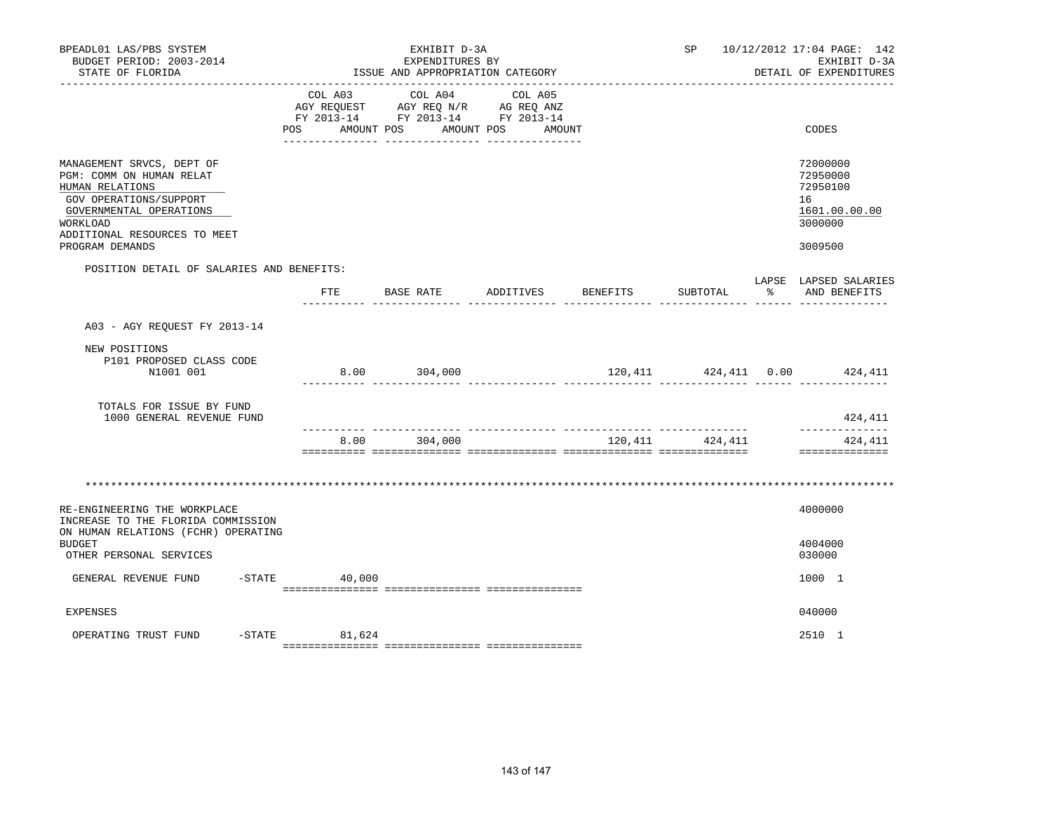| BPEADL01 LAS/PBS SYSTEM<br>BUDGET PERIOD: 2003-2014<br>STATE OF FLORIDA                                                                                                   | EXHIBIT D-3A<br>EXPENDITURES BY<br>ISSUE AND APPROPRIATION CATEGORY |                                                                                                           |           |          |          |   | SP 10/12/2012 17:04 PAGE: 142<br>EXHIBIT D-3A<br>DETAIL OF EXPENDITURES |
|---------------------------------------------------------------------------------------------------------------------------------------------------------------------------|---------------------------------------------------------------------|-----------------------------------------------------------------------------------------------------------|-----------|----------|----------|---|-------------------------------------------------------------------------|
|                                                                                                                                                                           | COL A03<br>AGY REQUEST                                              | COL A04<br>AGY REQ N/R AG REQ ANZ<br>FY 2013-14 FY 2013-14 FY 2013-14<br>POS AMOUNT POS AMOUNT POS AMOUNT | COL A05   |          |          |   | CODES                                                                   |
| MANAGEMENT SRVCS, DEPT OF<br>PGM: COMM ON HUMAN RELAT<br>HUMAN RELATIONS<br>GOV OPERATIONS/SUPPORT<br>GOVERNMENTAL OPERATIONS<br>WORKLOAD<br>ADDITIONAL RESOURCES TO MEET |                                                                     |                                                                                                           |           |          |          |   | 72000000<br>72950000<br>72950100<br>16<br>1601.00.00.00<br>3000000      |
| PROGRAM DEMANDS                                                                                                                                                           |                                                                     |                                                                                                           |           |          |          |   | 3009500                                                                 |
| POSITION DETAIL OF SALARIES AND BENEFITS:                                                                                                                                 |                                                                     | FTE BASE RATE                                                                                             | ADDITIVES | BENEFITS | SUBTOTAL | ៖ | LAPSE LAPSED SALARIES<br>AND BENEFITS                                   |
| A03 - AGY REQUEST FY 2013-14                                                                                                                                              |                                                                     |                                                                                                           |           |          |          |   |                                                                         |
| NEW POSITIONS<br>P101 PROPOSED CLASS CODE<br>N1001 001                                                                                                                    |                                                                     | 8.00 304,000                                                                                              |           |          |          |   | 120,411 424,411 0.00 424,411                                            |
| TOTALS FOR ISSUE BY FUND<br>1000 GENERAL REVENUE FUND                                                                                                                     |                                                                     |                                                                                                           |           |          |          |   | 424,411                                                                 |
|                                                                                                                                                                           | 8.00                                                                | 304,000                                                                                                   |           | 120,411  | 424,411  |   | ______________<br>424,411<br>==============                             |
|                                                                                                                                                                           |                                                                     |                                                                                                           |           |          |          |   |                                                                         |
| RE-ENGINEERING THE WORKPLACE<br>INCREASE TO THE FLORIDA COMMISSION<br>ON HUMAN RELATIONS (FCHR) OPERATING<br><b>BUDGET</b><br>OTHER PERSONAL SERVICES                     |                                                                     |                                                                                                           |           |          |          |   | 4000000<br>4004000<br>030000                                            |
| GENERAL REVENUE FUND                                                                                                                                                      | $-$ STATE<br>40,000                                                 |                                                                                                           |           |          |          |   | 1000 1                                                                  |
|                                                                                                                                                                           |                                                                     |                                                                                                           |           |          |          |   |                                                                         |
| <b>EXPENSES</b>                                                                                                                                                           |                                                                     |                                                                                                           |           |          |          |   | 040000                                                                  |
| $-$ STATE<br>OPERATING TRUST FUND                                                                                                                                         | 81,624                                                              |                                                                                                           |           |          |          |   | 2510 1                                                                  |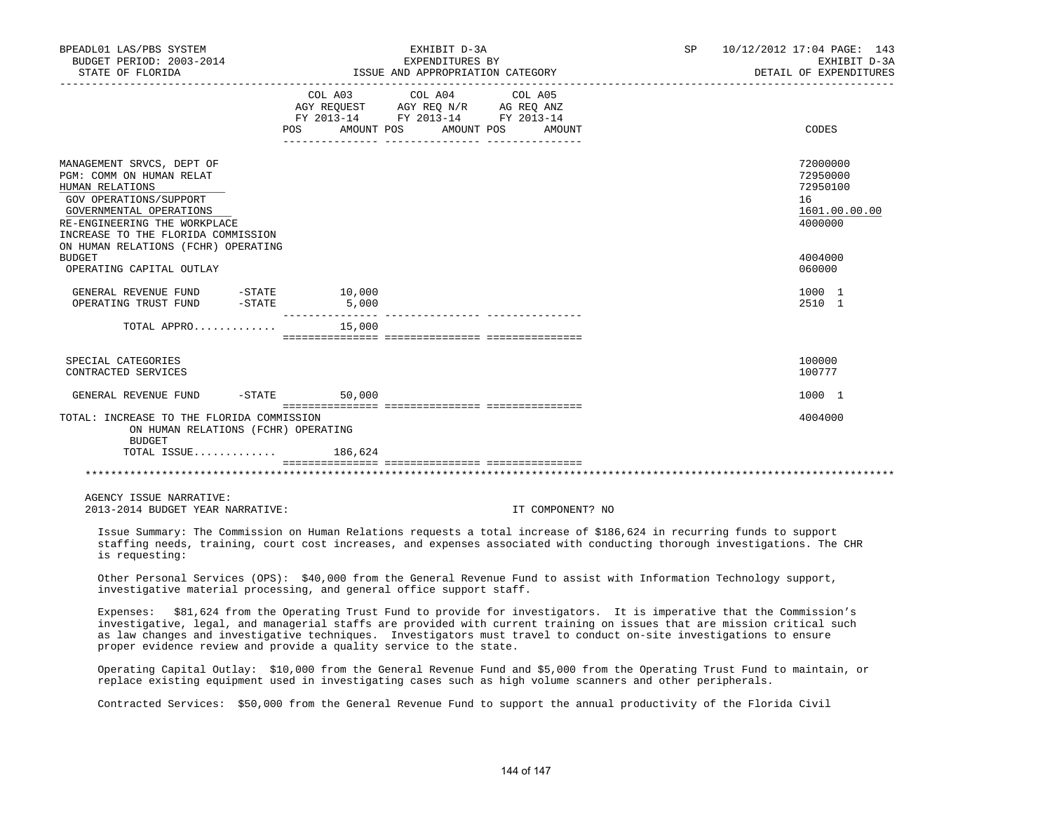| BPEADL01 LAS/PBS SYSTEM<br>BUDGET PERIOD: 2003-2014                                                                                                                                                                                        |                 | EXHIBIT D-3A<br>EXPENDITURES BY                                                                                                                                  | SP | 10/12/2012 17:04 PAGE: 143<br>EXHIBIT D-3A                         |  |
|--------------------------------------------------------------------------------------------------------------------------------------------------------------------------------------------------------------------------------------------|-----------------|------------------------------------------------------------------------------------------------------------------------------------------------------------------|----|--------------------------------------------------------------------|--|
| STATE OF FLORIDA                                                                                                                                                                                                                           |                 | ISSUE AND APPROPRIATION CATEGORY                                                                                                                                 |    | DETAIL OF EXPENDITURES                                             |  |
|                                                                                                                                                                                                                                            | POS AMOUNT POS  | COL A03 COL A04 COL A05<br>AGY REQUEST AGY REQ N/R AG REQ ANZ<br>FY 2013-14 FY 2013-14 FY 2013-14<br>AMOUNT POS<br>AMOUNT<br>_______________<br>________________ |    | CODES                                                              |  |
| MANAGEMENT SRVCS, DEPT OF<br>PGM: COMM ON HUMAN RELAT<br>HUMAN RELATIONS<br>GOV OPERATIONS/SUPPORT<br>GOVERNMENTAL OPERATIONS<br>RE-ENGINEERING THE WORKPLACE<br>INCREASE TO THE FLORIDA COMMISSION<br>ON HUMAN RELATIONS (FCHR) OPERATING |                 |                                                                                                                                                                  |    | 72000000<br>72950000<br>72950100<br>16<br>1601.00.00.00<br>4000000 |  |
| <b>BUDGET</b><br>OPERATING CAPITAL OUTLAY                                                                                                                                                                                                  |                 |                                                                                                                                                                  |    | 4004000<br>060000                                                  |  |
| GENERAL REVENUE FUND -STATE<br>OPERATING TRUST FUND<br>$-STATE$                                                                                                                                                                            | 10,000<br>5,000 |                                                                                                                                                                  |    | 1000 1<br>2510 1                                                   |  |
| TOTAL APPRO                                                                                                                                                                                                                                | 15,000          |                                                                                                                                                                  |    |                                                                    |  |
| SPECIAL CATEGORIES<br>CONTRACTED SERVICES                                                                                                                                                                                                  |                 |                                                                                                                                                                  |    | 100000<br>100777                                                   |  |
| GENERAL REVENUE FUND                                                                                                                                                                                                                       | $-STATE$ 50,000 |                                                                                                                                                                  |    | 1000 1                                                             |  |
| TOTAL: INCREASE TO THE FLORIDA COMMISSION<br>ON HUMAN RELATIONS (FCHR) OPERATING<br><b>BUDGET</b>                                                                                                                                          |                 |                                                                                                                                                                  |    | 4004000                                                            |  |
| TOTAL ISSUE                                                                                                                                                                                                                                | 186,624         |                                                                                                                                                                  |    |                                                                    |  |
|                                                                                                                                                                                                                                            |                 |                                                                                                                                                                  |    |                                                                    |  |
| AGENCY ISSUE NARRATIVE:<br>2013-2014 BUDGET YEAR NARRATIVE:                                                                                                                                                                                |                 | IT COMPONENT? NO                                                                                                                                                 |    |                                                                    |  |

 Issue Summary: The Commission on Human Relations requests a total increase of \$186,624 in recurring funds to support staffing needs, training, court cost increases, and expenses associated with conducting thorough investigations. The CHR is requesting:

 Other Personal Services (OPS): \$40,000 from the General Revenue Fund to assist with Information Technology support, investigative material processing, and general office support staff.

 Expenses: \$81,624 from the Operating Trust Fund to provide for investigators. It is imperative that the Commission's investigative, legal, and managerial staffs are provided with current training on issues that are mission critical such as law changes and investigative techniques. Investigators must travel to conduct on-site investigations to ensure proper evidence review and provide a quality service to the state.

 Operating Capital Outlay: \$10,000 from the General Revenue Fund and \$5,000 from the Operating Trust Fund to maintain, or replace existing equipment used in investigating cases such as high volume scanners and other peripherals.

Contracted Services: \$50,000 from the General Revenue Fund to support the annual productivity of the Florida Civil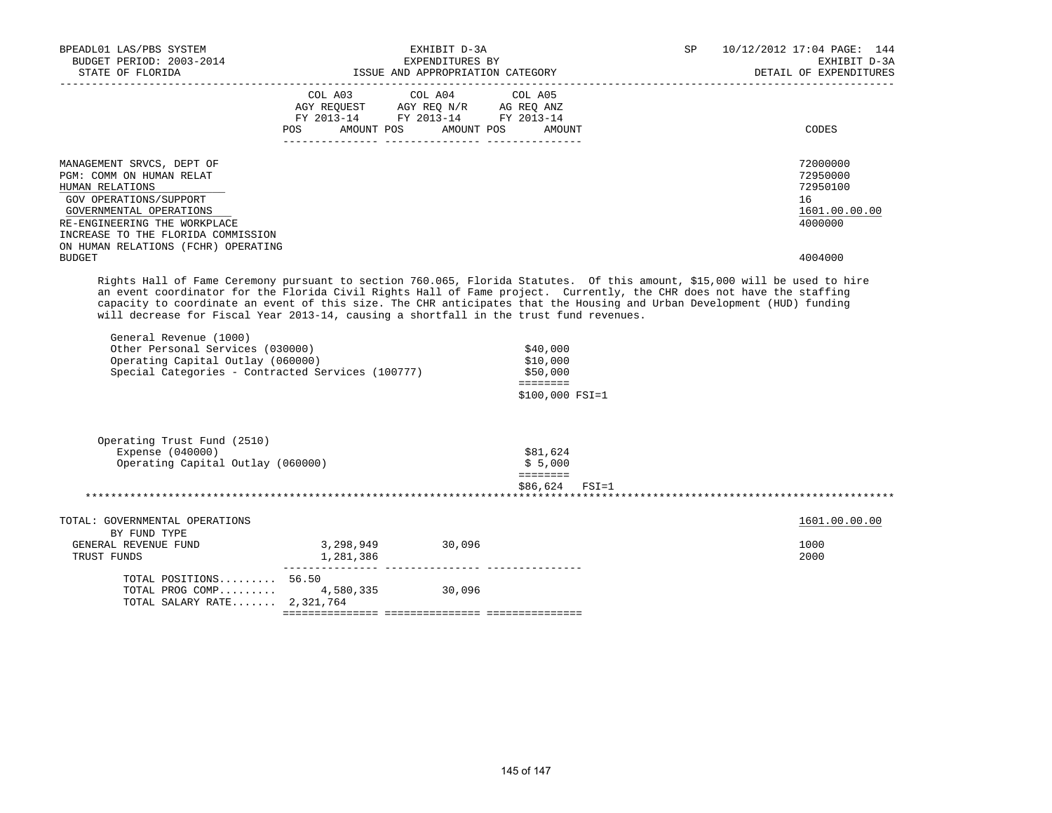| BPEADL01 LAS/PBS SYSTEM<br>BUDGET PERIOD: 2003-2014<br>STATE OF FLORIDA                                                                                                                                                                                                                                                                                                                                                                                                                           | EXHIBIT D-3A<br>EXPENDITURES BY<br>ISSUE AND APPROPRIATION CATEGORY                             |                                       |                                                                           | SP | 10/12/2012 17:04 PAGE: 144<br>EXHIBIT D-3A<br>DETAIL OF EXPENDITURES |
|---------------------------------------------------------------------------------------------------------------------------------------------------------------------------------------------------------------------------------------------------------------------------------------------------------------------------------------------------------------------------------------------------------------------------------------------------------------------------------------------------|-------------------------------------------------------------------------------------------------|---------------------------------------|---------------------------------------------------------------------------|----|----------------------------------------------------------------------|
|                                                                                                                                                                                                                                                                                                                                                                                                                                                                                                   | AGY REQUEST AGY REQ N/R AG REQ ANZ<br>FY 2013-14 FY 2013-14 FY 2013-14<br>POS FOR<br>AMOUNT POS | COL A03 COL A04 COL A05<br>AMOUNT POS | AMOUNT                                                                    |    | CODES                                                                |
| MANAGEMENT SRVCS, DEPT OF<br>PGM: COMM ON HUMAN RELAT<br>HUMAN RELATIONS<br>GOV OPERATIONS/SUPPORT<br>GOVERNMENTAL OPERATIONS<br>RE-ENGINEERING THE WORKPLACE<br>INCREASE TO THE FLORIDA COMMISSION<br>ON HUMAN RELATIONS (FCHR) OPERATING                                                                                                                                                                                                                                                        |                                                                                                 |                                       |                                                                           |    | 72000000<br>72950000<br>72950100<br>16<br>1601.00.00.00<br>4000000   |
| <b>BUDGET</b><br>Rights Hall of Fame Ceremony pursuant to section 760.065, Florida Statutes. Of this amount, \$15,000 will be used to hire                                                                                                                                                                                                                                                                                                                                                        |                                                                                                 |                                       |                                                                           |    | 4004000                                                              |
| an event coordinator for the Florida Civil Rights Hall of Fame project. Currently, the CHR does not have the staffing<br>capacity to coordinate an event of this size. The CHR anticipates that the Housing and Urban Development (HUD) funding<br>will decrease for Fiscal Year 2013-14, causing a shortfall in the trust fund revenues.<br>General Revenue (1000)<br>Other Personal Services (030000)<br>Operating Capital Outlay (060000)<br>Special Categories - Contracted Services (100777) |                                                                                                 |                                       | \$40,000<br>\$10,000<br>\$50,000<br><b>EEEEEEEE</b><br>$$100,000 FSI = 1$ |    |                                                                      |
| Operating Trust Fund (2510)<br>Expense (040000)<br>Operating Capital Outlay (060000)                                                                                                                                                                                                                                                                                                                                                                                                              |                                                                                                 |                                       | \$81,624<br>\$5,000<br><b>EEEEEEE</b>                                     |    |                                                                      |
|                                                                                                                                                                                                                                                                                                                                                                                                                                                                                                   |                                                                                                 |                                       | $$86,624$ $FSI=1$                                                         |    |                                                                      |
| TOTAL: GOVERNMENTAL OPERATIONS                                                                                                                                                                                                                                                                                                                                                                                                                                                                    |                                                                                                 |                                       |                                                                           |    | 1601.00.00.00                                                        |
| BY FUND TYPE<br>GENERAL REVENUE FUND<br>TRUST FUNDS                                                                                                                                                                                                                                                                                                                                                                                                                                               | 3, 298, 949 30, 096<br>1,281,386                                                                |                                       |                                                                           |    | 1000<br>2000                                                         |
| TOTAL POSITIONS $56.50$<br>TOTAL PROG COMP<br>TOTAL SALARY RATE 2,321,764                                                                                                                                                                                                                                                                                                                                                                                                                         | 4,580,335 30,096                                                                                |                                       |                                                                           |    |                                                                      |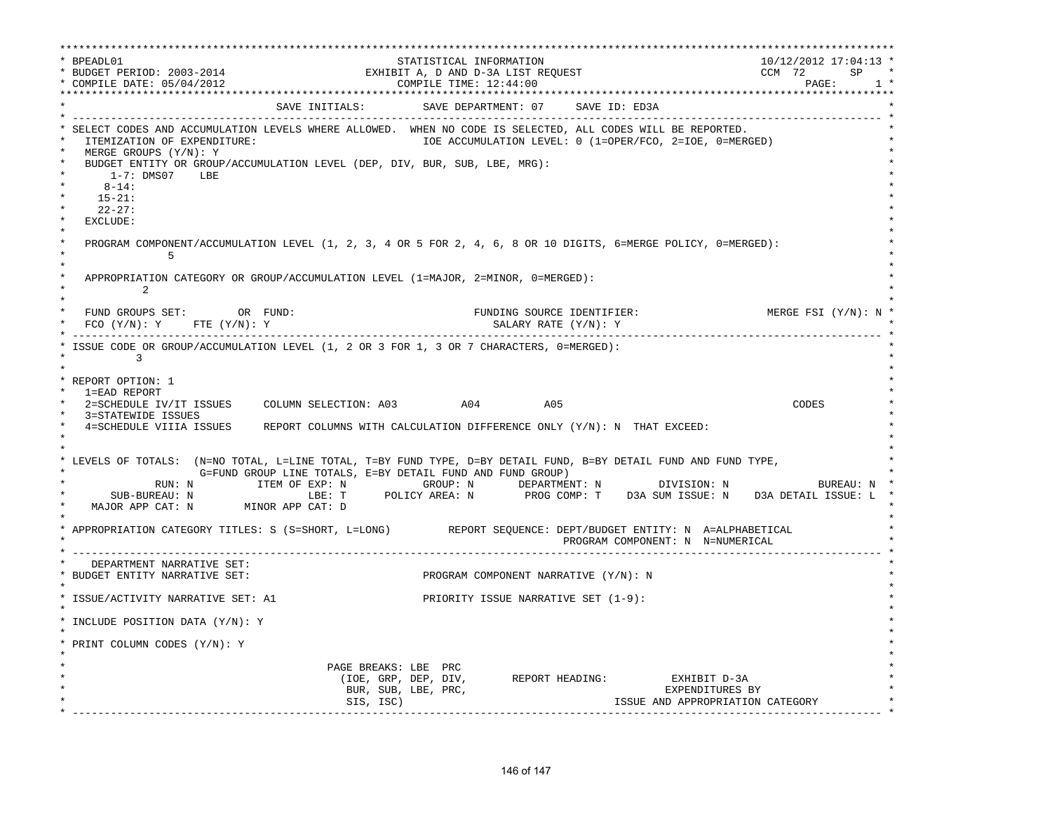\*\*\*\*\*\*\*\*\*\*\*\*\*\*\*\*\*\*\*\*\*\*\*\*\*\*\*\*\*\*\*\*\*\*\*\*\*\*\*\*\*\*\*\*\*\*\*\*\*\*\*\*\*\*\*\*\*\*\*\*\*\*\*\*\*\*\*\*\*\*\*\*\*\*\*\*\*\*\*\*\*\*\*\*\*\*\*\*\*\*\*\*\*\*\*\*\*\*\*\*\*\*\*\*\*\*\*\*\*\*\*\*\*\*\*\*\*\*\*\*\*\*\*\*\*\*\*\*\*\*\* \* BPEADL01 STATISTICAL INFORMATION 10/12/2012 17:04:13 \* \* BUDGET PERIOD: 2003-2014 EXHIBIT A, D AND D-3A LIST REQUEST CCM 72 SP \* \* COMPILE DATE: 05/04/2012 COMPILE TIME: 12:44:00 PAGE: 1 \* \*\*\*\*\*\*\*\*\*\*\*\*\*\*\*\*\*\*\*\*\*\*\*\*\*\*\*\*\*\*\*\*\*\*\*\*\*\*\*\*\*\*\*\*\*\*\*\*\*\*\*\*\*\*\*\*\*\*\*\*\*\*\*\*\*\*\*\*\*\*\*\*\*\*\*\*\*\*\*\*\*\*\*\*\*\*\*\*\*\*\*\*\*\*\*\*\*\*\*\*\*\*\*\*\*\*\*\*\*\*\*\*\*\*\*\*\*\*\*\*\*\*\*\*\*\*\*\*\*\*\* SAVE INITIALS: SAVE DEPARTMENT: 07 SAVE ID: ED3A \* ------------------------------------------------------------------------------------------------------------------------------- \* \* SELECT CODES AND ACCUMULATION LEVELS WHERE ALLOWED. WHEN NO CODE IS SELECTED, ALL CODES WILL BE REPORTED. \* ITEMIZATION OF EXPENDITURE:  $\overline{10}$ Expenditure:  $\overline{10}$  accumulation level: 0 (1=OPER/FCO, 2=IOE, 0=MERGED) MERGE GROUPS (Y/N): Y BUDGET ENTITY OR GROUP/ACCUMULATION LEVEL (DEP, DIV, BUR, SUB, LBE, MRG): \* 1-7: DMS07 LBE \* \* 8-14: \* \* 15-21: \* \* 22-27: \* \* EXCLUDE: \*  $\star$   $\star$ PROGRAM COMPONENT/ACCUMULATION LEVEL (1, 2, 3, 4 OR 5 FOR 2, 4, 6, 8 OR 10 DIGITS, 6=MERGE POLICY, 0=MERGED):<br>5  $\star$  5  $\star$  $\star$   $\star$ APPROPRIATION CATEGORY OR GROUP/ACCUMULATION LEVEL  $(1=MAJOR, 2=MINOR, 0=MERGED):$  $\star$  2  $\star$  $\star$   $\star$  ${\small \texttt{FUND}} \quad \texttt{GROUPS} \quad {\small \texttt{SET:}} \qquad \qquad \texttt{OR} \quad {\small \texttt{FUND}}: \qquad \qquad \texttt{FUNDING} \quad {\small \texttt{SOURCE} \quad \texttt{IDENTIFYER:}} \qquad \qquad \texttt{MERGE} \quad {\small \texttt{FSI (Y/N): N}} \quad \texttt{N}}$  $FCO$  (Y/N): Y  $FTE$  (Y/N): Y  $SALARY$  RATE (Y/N): Y \* ------------------------------------------------------------------------------------------------------------------------------- \* ISSUE CODE OR GROUP/ACCUMULATION LEVEL (1, 2 OR 3 FOR 1, 3 OR 7 CHARACTERS, 0=MERGED):  $\star$  3 \* \* \* REPORT OPTION: 1 \* \* 1=EAD REPORT \* \* 2=SCHEDULE IV/IT ISSUES COLUMN SELECTION: A03 A04 A05 CODES \* 3=STATEWIDE ISSUES 4=SCHEDULE VIIIA ISSUES REPORT COLUMNS WITH CALCULATION DIFFERENCE ONLY (Y/N): N THAT EXCEED:  $\star$  \*  $\star$  \* \* LEVELS OF TOTALS: (N=NO TOTAL, L=LINE TOTAL, T=BY FUND TYPE, D=BY DETAIL FUND, B=BY DETAIL FUND AND FUND TYPE, \* G=FUND GROUP LINE TOTALS, E=BY DETAIL FUND AND FUND GROUP) \* RUN: N ITEM OF EXP: N GROUP: N DEPARTMENT: N DIVISION: N BUREAU: N \* \* SUB-BUREAU: N LBE: T POLICY AREA: N PROG COMP: T D3A SUM ISSUE: N D3A DETAIL ISSUE: L \* MAJOR APP CAT: N MINOR APP CAT: D  $\star$   $\star$  \* APPROPRIATION CATEGORY TITLES: S (S=SHORT, L=LONG) REPORT SEQUENCE: DEPT/BUDGET ENTITY: N A=ALPHABETICAL \* PROGRAM COMPONENT: N N=NUMERICAL \* ------------------------------------------------------------------------------------------------------------------------------- \* DEPARTMENT NARRATIVE SET:<br>BUDGET ENTITY NARRATIVE SET: PROGRAM COMPONENT NARRATIVE (Y/N): N \* \* \* ISSUE/ACTIVITY NARRATIVE SET: A1 PRIORITY ISSUE NARRATIVE SET (1-9): \* \* \* \* INCLUDE POSITION DATA (Y/N): Y \* \* \* \* PRINT COLUMN CODES (Y/N): Y \* \* \* PAGE BREAKS: LBE PRC (IOE, GRP, DEP, DIV, REPORT HEADING: EXHIBIT D-3A \* BUR, SUB, LBE, PRC, EXPENDITURES BY \* SIS, ISC) ISSUE AND APPROPRIATION CATEGORY \* ------------------------------------------------------------------------------------------------------------------------------- \*